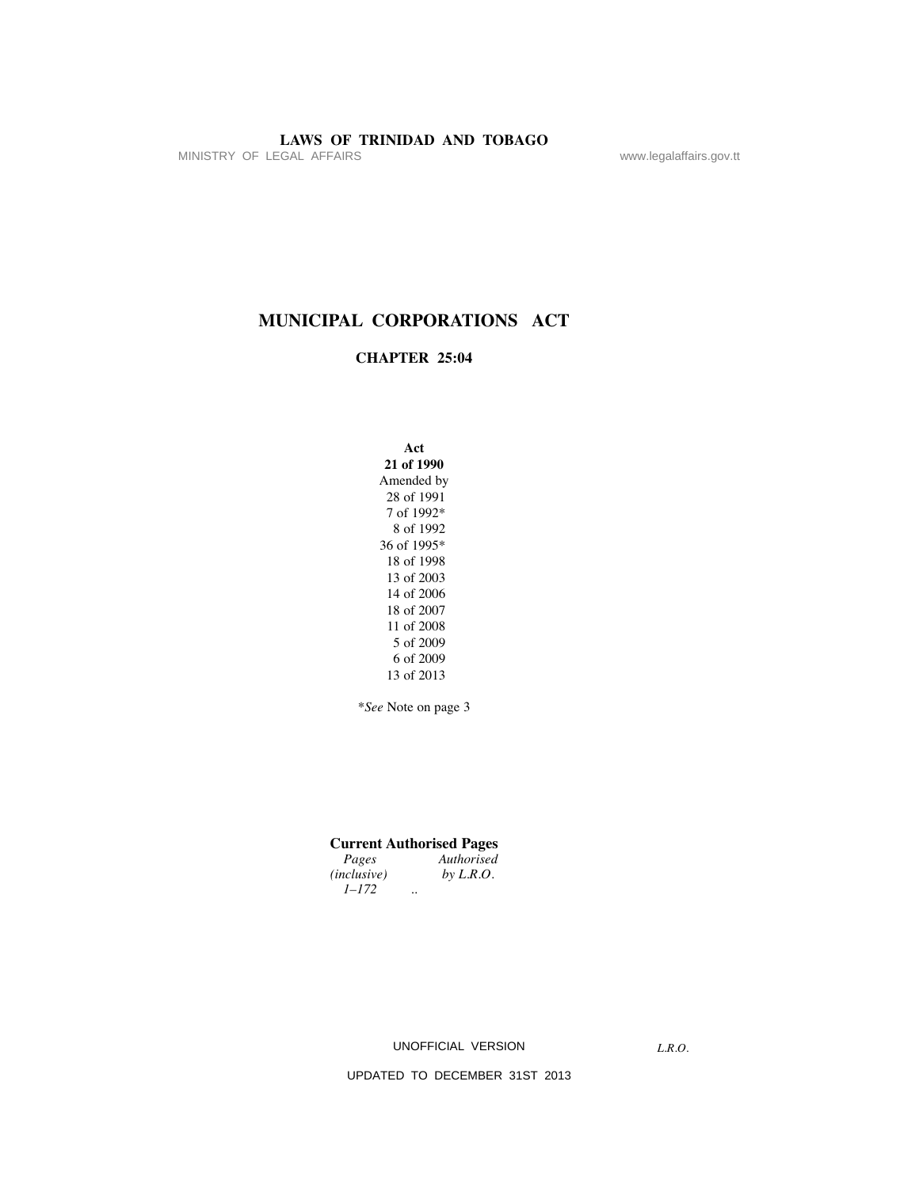MINISTRY OF LEGAL AFFAIRS www.legalaffairs.gov.tt

# **MUNICIPAL CORPORATIONS ACT**

# **CHAPTER 25:04**

**Act 21 of 1990** Amended by 28 of 1991 7 of 1992\* 8 of 1992 36 of 1995\* 18 of 1998 13 of 2003 14 of 2006 18 of 2007 11 of 2008 5 of 2009 6 of 2009 13 of 2013

\**See* Note on page 3

# **Current Authorised Pages**

| Pages              | Authorised           |  |
|--------------------|----------------------|--|
| <i>(inclusive)</i> | by $L.R.O.$          |  |
| $1 - 172$          | $\ddot{\phantom{0}}$ |  |

UNOFFICIAL VERSION

*L.R.O.*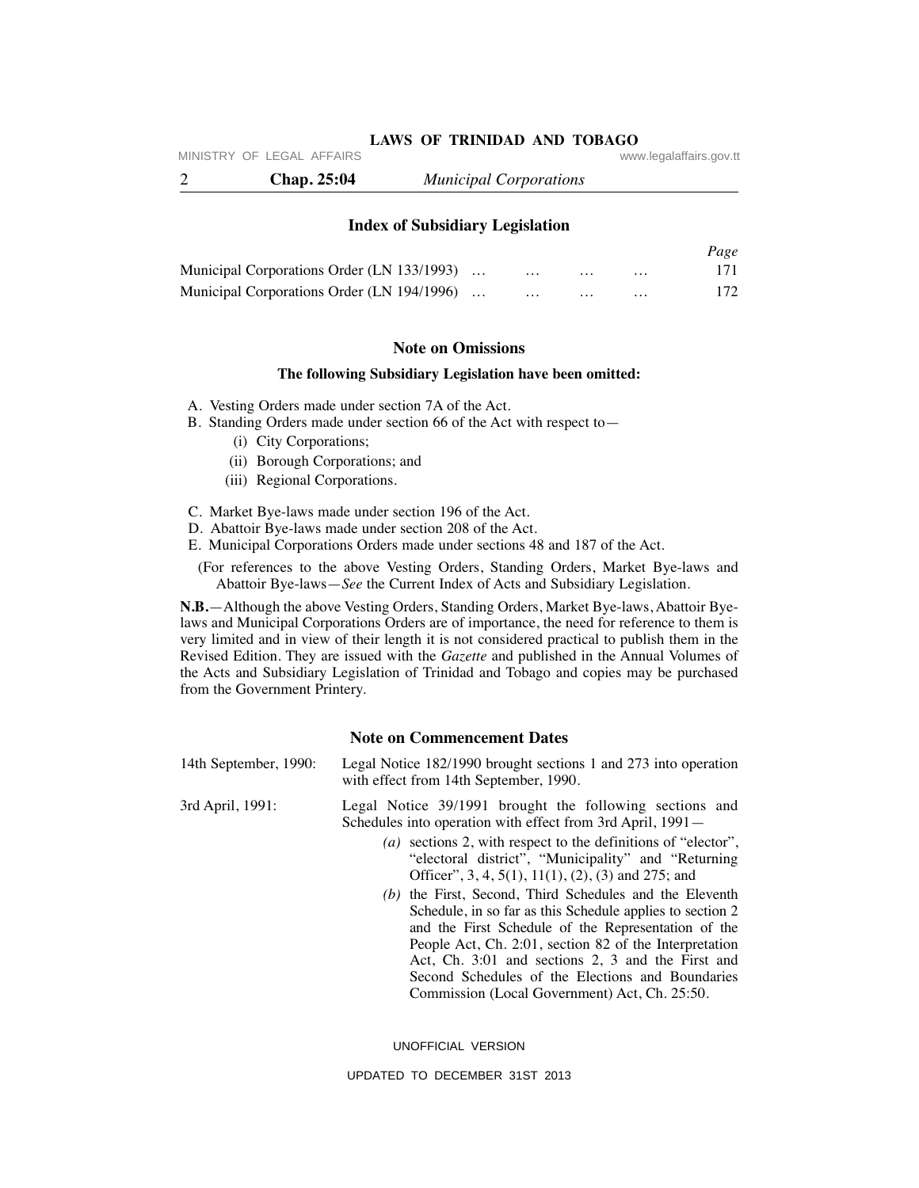MINISTRY OF LEGAL AFFAIRS **WARE ACCOMPTED MINISTRY** OF LEGAL AFFAIRS

2 **Chap. 25:04** *Municipal Corporations*

**Index of Subsidiary Legislation**

|                                            |          |          |          | Page |
|--------------------------------------------|----------|----------|----------|------|
| Municipal Corporations Order (LN 133/1993) | $\cdots$ | $\cdots$ | $\cdots$ | 171  |
| Municipal Corporations Order (LN 194/1996) | $\cdots$ | .        | $\cdots$ | 172  |

# **Note on Omissions**

#### **The following Subsidiary Legislation have been omitted:**

- A. Vesting Orders made under section 7A of the Act.
- B. Standing Orders made under section 66 of the Act with respect to—
	- (i) City Corporations;
	- (ii) Borough Corporations; and
	- (iii) Regional Corporations.
- C. Market Bye-laws made under section 196 of the Act.
- D. Abattoir Bye-laws made under section 208 of the Act.
- E. Municipal Corporations Orders made under sections 48 and 187 of the Act.
	- (For references to the above Vesting Orders, Standing Orders, Market Bye-laws and Abattoir Bye-laws—*See* the Current Index of Acts and Subsidiary Legislation.

**N.B.**—Although the above Vesting Orders, Standing Orders, Market Bye-laws, Abattoir Byelaws and Municipal Corporations Orders are of importance, the need for reference to them is very limited and in view of their length it is not considered practical to publish them in the Revised Edition. They are issued with the *Gazette* and published in the Annual Volumes of the Acts and Subsidiary Legislation of Trinidad and Tobago and copies may be purchased from the Government Printery.

# **Note on Commencement Dates**

- 14th September, 1990: Legal Notice 182/1990 brought sections 1 and 273 into operation with effect from 14th September, 1990.
- 3rd April, 1991: Legal Notice 39/1991 brought the following sections and Schedules into operation with effect from 3rd April, 1991—
	- *(a)* sections 2, with respect to the definitions of "elector", "electoral district", "Municipality" and "Returning Officer", 3, 4, 5(1), 11(1), (2), (3) and 275; and
	- *(b)* the First, Second, Third Schedules and the Eleventh Schedule, in so far as this Schedule applies to section 2 and the First Schedule of the Representation of the People Act, Ch. 2:01, section 82 of the Interpretation Act, Ch. 3:01 and sections 2, 3 and the First and Second Schedules of the Elections and Boundaries Commission (Local Government) Act, Ch. 25:50.

UNOFFICIAL VERSION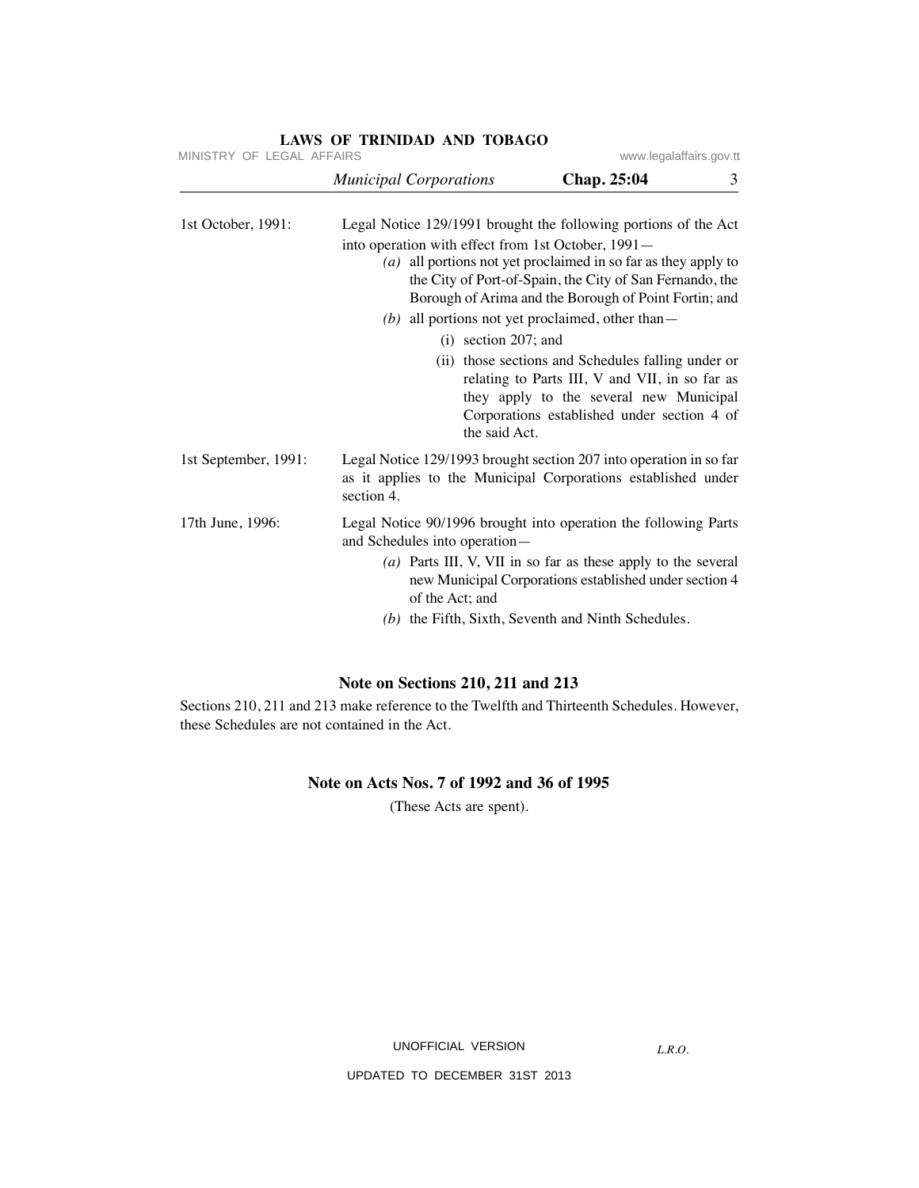| MINISTRY OF LEGAL AFFAIRS     |             |                                                                                                                                                                                                                                                                                                                                                                                                                                                                                                                                                                                                                                                                                                                                                                                                                                                                                                                                                                                                                                                                             |
|-------------------------------|-------------|-----------------------------------------------------------------------------------------------------------------------------------------------------------------------------------------------------------------------------------------------------------------------------------------------------------------------------------------------------------------------------------------------------------------------------------------------------------------------------------------------------------------------------------------------------------------------------------------------------------------------------------------------------------------------------------------------------------------------------------------------------------------------------------------------------------------------------------------------------------------------------------------------------------------------------------------------------------------------------------------------------------------------------------------------------------------------------|
| <b>Municipal Corporations</b> | Chap. 25:04 | 3                                                                                                                                                                                                                                                                                                                                                                                                                                                                                                                                                                                                                                                                                                                                                                                                                                                                                                                                                                                                                                                                           |
|                               |             |                                                                                                                                                                                                                                                                                                                                                                                                                                                                                                                                                                                                                                                                                                                                                                                                                                                                                                                                                                                                                                                                             |
|                               |             |                                                                                                                                                                                                                                                                                                                                                                                                                                                                                                                                                                                                                                                                                                                                                                                                                                                                                                                                                                                                                                                                             |
| section 4.                    |             |                                                                                                                                                                                                                                                                                                                                                                                                                                                                                                                                                                                                                                                                                                                                                                                                                                                                                                                                                                                                                                                                             |
| of the Act; and               |             |                                                                                                                                                                                                                                                                                                                                                                                                                                                                                                                                                                                                                                                                                                                                                                                                                                                                                                                                                                                                                                                                             |
|                               |             | www.legalaffairs.gov.tt<br>Legal Notice 129/1991 brought the following portions of the Act<br>into operation with effect from 1st October, 1991-<br>(a) all portions not yet proclaimed in so far as they apply to<br>the City of Port-of-Spain, the City of San Fernando, the<br>Borough of Arima and the Borough of Point Fortin; and<br>(b) all portions not yet proclaimed, other than $-$<br>$(i)$ section 207; and<br>(ii) those sections and Schedules falling under or<br>relating to Parts III, V and VII, in so far as<br>they apply to the several new Municipal<br>Corporations established under section 4 of<br>the said Act.<br>Legal Notice 129/1993 brought section 207 into operation in so far<br>as it applies to the Municipal Corporations established under<br>Legal Notice 90/1996 brought into operation the following Parts<br>and Schedules into operation-<br>$(a)$ Parts III, V, VII in so far as these apply to the several<br>new Municipal Corporations established under section 4<br>$(b)$ the Fifth, Sixth, Seventh and Ninth Schedules. |

# **Note on Sections 210, 211 and 213**

Sections 210, 211 and 213 make reference to the Twelfth and Thirteenth Schedules. However, these Schedules are not contained in the Act.

# **Note on Acts Nos. 7 of 1992 and 36 of 1995**

(These Acts are spent).

UNOFFICIAL VERSION

*L.R.O.*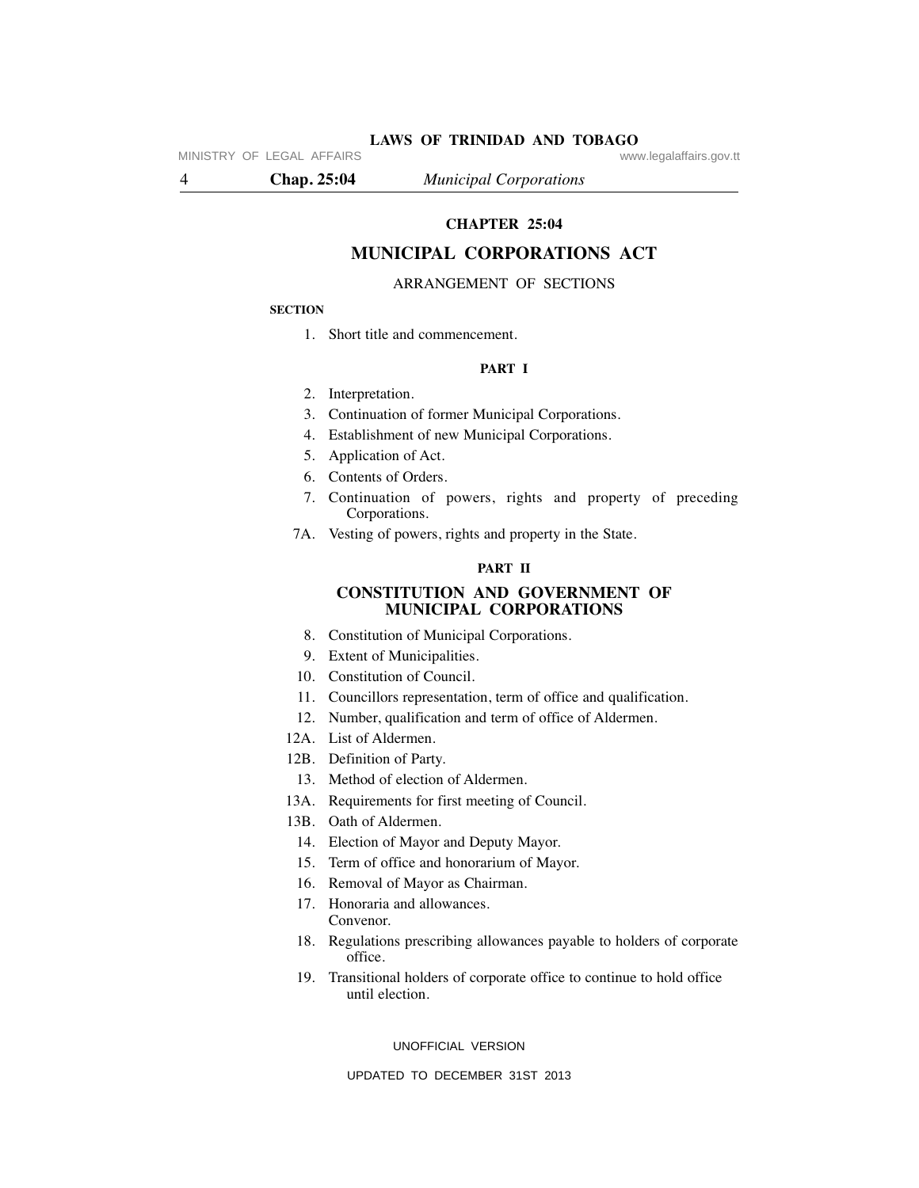**LAWS OF TRINIDAD AND TOBAGO** www.legalaffairs.gov.tt

MINISTRY OF LEGAL AFFAIRS

4 **Chap. 25:04** *Municipal Corporations*

# **CHAPTER 25:04**

# **MUNICIPAL CORPORATIONS ACT**

#### ARRANGEMENT OF SECTIONS

#### **SECTION**

1. Short title and commencement.

#### **PART I**

- 2. Interpretation.
- 3. Continuation of former Municipal Corporations.
- 4. Establishment of new Municipal Corporations.
- 5. Application of Act.
- 6. Contents of Orders.
- 7. Continuation of powers, rights and property of preceding Corporations.
- 7A. Vesting of powers, rights and property in the State.

#### **PART II**

#### **CONSTITUTION AND GOVERNMENT OF MUNICIPAL CORPORATIONS**

- 8. Constitution of Municipal Corporations.
- 9. Extent of Municipalities.
- 10. Constitution of Council.
- 11. Councillors representation, term of office and qualification.
- 12. Number, qualification and term of office of Aldermen.
- 12A. List of Aldermen.
- 12B. Definition of Party.
- 13. Method of election of Aldermen.
- 13A. Requirements for first meeting of Council.
- 13B. Oath of Aldermen.
- 14. Election of Mayor and Deputy Mayor.
- 15. Term of office and honorarium of Mayor.
- 16. Removal of Mayor as Chairman.
- 17. Honoraria and allowances. Convenor.
- 18. Regulations prescribing allowances payable to holders of corporate office.
- 19. Transitional holders of corporate office to continue to hold office until election.

UNOFFICIAL VERSION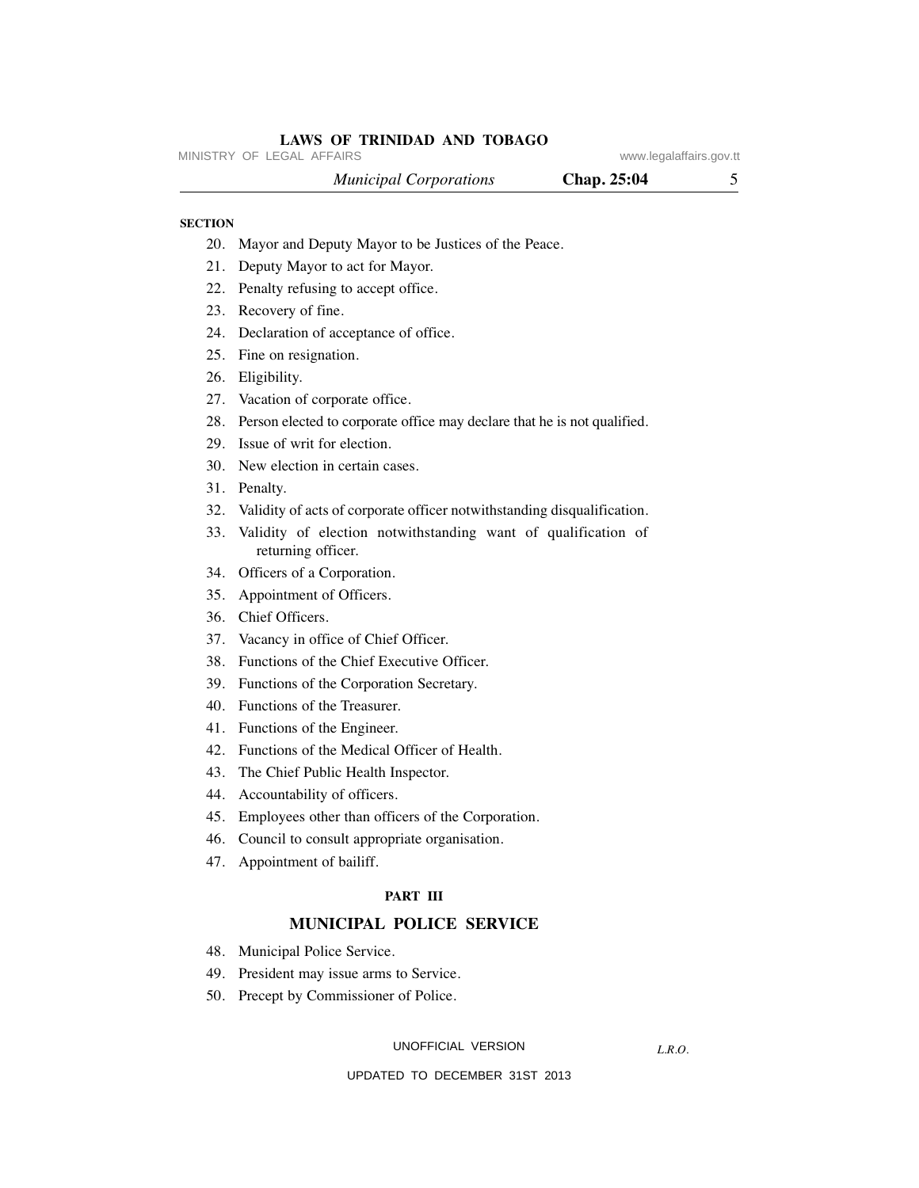MINISTRY OF LEGAL AFFAIRS **WARE ACCOMPTED MINISTRY** OF LEGAL AFFAIRS

 *Municipal Corporations* **Chap. 25:04** 5

#### **SECTION**

- 20. Mayor and Deputy Mayor to be Justices of the Peace.
- 21. Deputy Mayor to act for Mayor.
- 22. Penalty refusing to accept office.
- 23. Recovery of fine.
- 24. Declaration of acceptance of office.
- 25. Fine on resignation.
- 26. Eligibility.
- 27. Vacation of corporate office.
- 28. Person elected to corporate office may declare that he is not qualified.
- 29. Issue of writ for election.
- 30. New election in certain cases.
- 31. Penalty.
- 32. Validity of acts of corporate officer notwithstanding disqualification.
- 33. Validity of election notwithstanding want of qualification of returning officer.
- 34. Officers of a Corporation.
- 35. Appointment of Officers.
- 36. Chief Officers.
- 37. Vacancy in office of Chief Officer.
- 38. Functions of the Chief Executive Officer.
- 39. Functions of the Corporation Secretary.
- 40. Functions of the Treasurer.
- 41. Functions of the Engineer.
- 42. Functions of the Medical Officer of Health.
- 43. The Chief Public Health Inspector.
- 44. Accountability of officers.
- 45. Employees other than officers of the Corporation.
- 46. Council to consult appropriate organisation.
- 47. Appointment of bailiff.

#### **PART III**

# **MUNICIPAL POLICE SERVICE**

- 48. Municipal Police Service.
- 49. President may issue arms to Service.
- 50. Precept by Commissioner of Police.

UNOFFICIAL VERSION

*L.R.O.*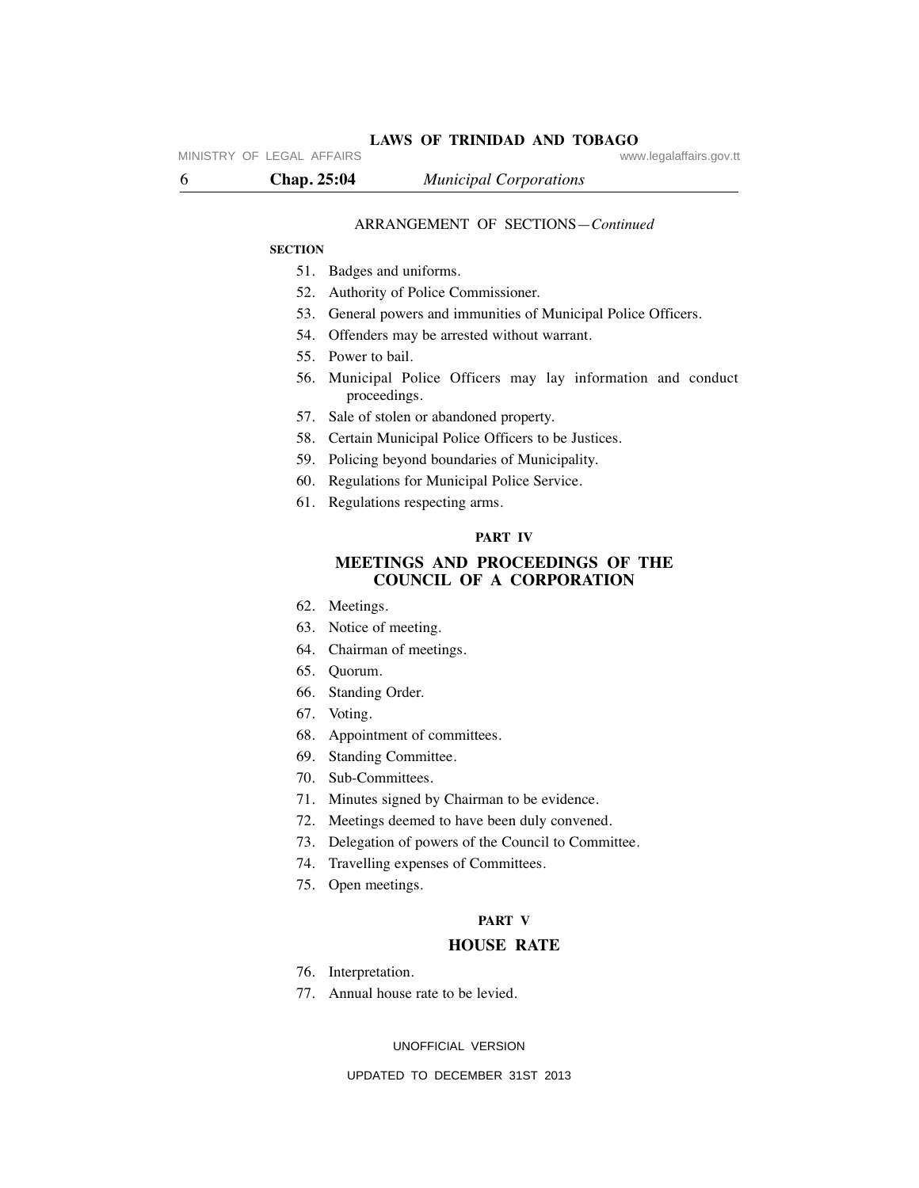MINISTRY OF LEGAL AFFAIRS **WARE ACCOMPTED MINISTRY** OF LEGAL AFFAIRS

#### ARRANGEMENT OF SECTIONS—*Continued*

#### **SECTION**

- 51. Badges and uniforms.
- 52. Authority of Police Commissioner.
- 53. General powers and immunities of Municipal Police Officers.
- 54. Offenders may be arrested without warrant.
- 55. Power to bail.
- 56. Municipal Police Officers may lay information and conduct proceedings.
- 57. Sale of stolen or abandoned property.
- 58. Certain Municipal Police Officers to be Justices.
- 59. Policing beyond boundaries of Municipality.
- 60. Regulations for Municipal Police Service.
- 61. Regulations respecting arms.

#### **PART IV**

# **MEETINGS AND PROCEEDINGS OF THE COUNCIL OF A CORPORATION**

- 62. Meetings.
- 63. Notice of meeting.
- 64. Chairman of meetings.
- 65. Quorum.
- 66. Standing Order.
- 67. Voting.
- 68. Appointment of committees.
- 69. Standing Committee.
- 70. Sub-Committees.
- 71. Minutes signed by Chairman to be evidence.
- 72. Meetings deemed to have been duly convened.
- 73. Delegation of powers of the Council to Committee.
- 74. Travelling expenses of Committees.
- 75. Open meetings.

#### **PART V**

#### **HOUSE RATE**

- 76. Interpretation.
- 77. Annual house rate to be levied.

UNOFFICIAL VERSION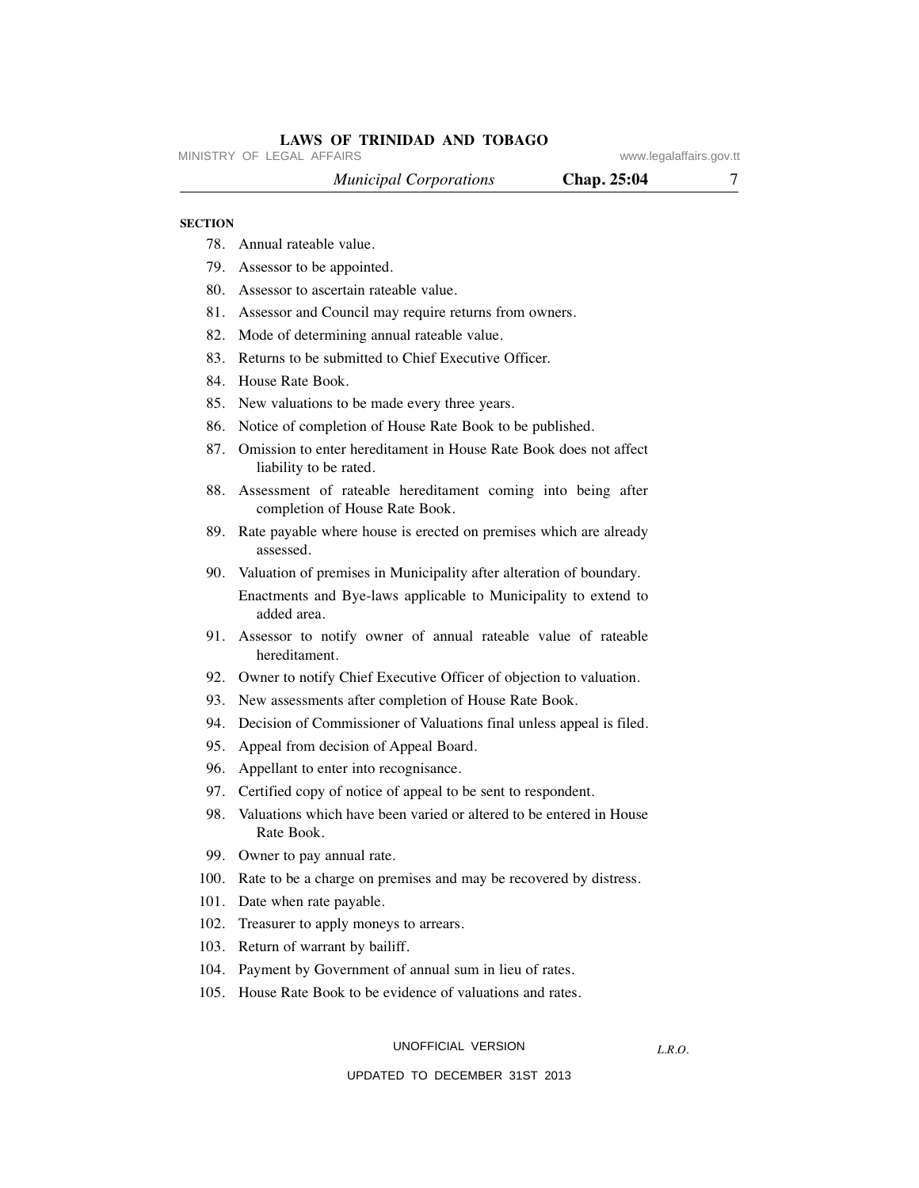MINISTRY OF LEGAL AFFAIRS **WARE ACCOMPTED MINISTRY** OF LEGAL AFFAIRS

 *Municipal Corporations* **Chap. 25:04** 7

#### **SECTION**

- 78. Annual rateable value.
- 79. Assessor to be appointed.
- 80. Assessor to ascertain rateable value.
- 81. Assessor and Council may require returns from owners.
- 82. Mode of determining annual rateable value.
- 83. Returns to be submitted to Chief Executive Officer.
- 84. House Rate Book.
- 85. New valuations to be made every three years.
- 86. Notice of completion of House Rate Book to be published.
- 87. Omission to enter hereditament in House Rate Book does not affect liability to be rated.
- 88. Assessment of rateable hereditament coming into being after completion of House Rate Book.
- 89. Rate payable where house is erected on premises which are already assessed.
- 90. Valuation of premises in Municipality after alteration of boundary.

 Enactments and Bye-laws applicable to Municipality to extend to added area.

- 91. Assessor to notify owner of annual rateable value of rateable hereditament.
- 92. Owner to notify Chief Executive Officer of objection to valuation.
- 93. New assessments after completion of House Rate Book.
- 94. Decision of Commissioner of Valuations final unless appeal is filed.
- 95. Appeal from decision of Appeal Board.
- 96. Appellant to enter into recognisance.
- 97. Certified copy of notice of appeal to be sent to respondent.
- 98. Valuations which have been varied or altered to be entered in House Rate Book.
- 99. Owner to pay annual rate.
- 100. Rate to be a charge on premises and may be recovered by distress.
- 101. Date when rate payable.
- 102. Treasurer to apply moneys to arrears.
- 103. Return of warrant by bailiff.
- 104. Payment by Government of annual sum in lieu of rates.
- 105. House Rate Book to be evidence of valuations and rates.

#### UNOFFICIAL VERSION

*L.R.O.*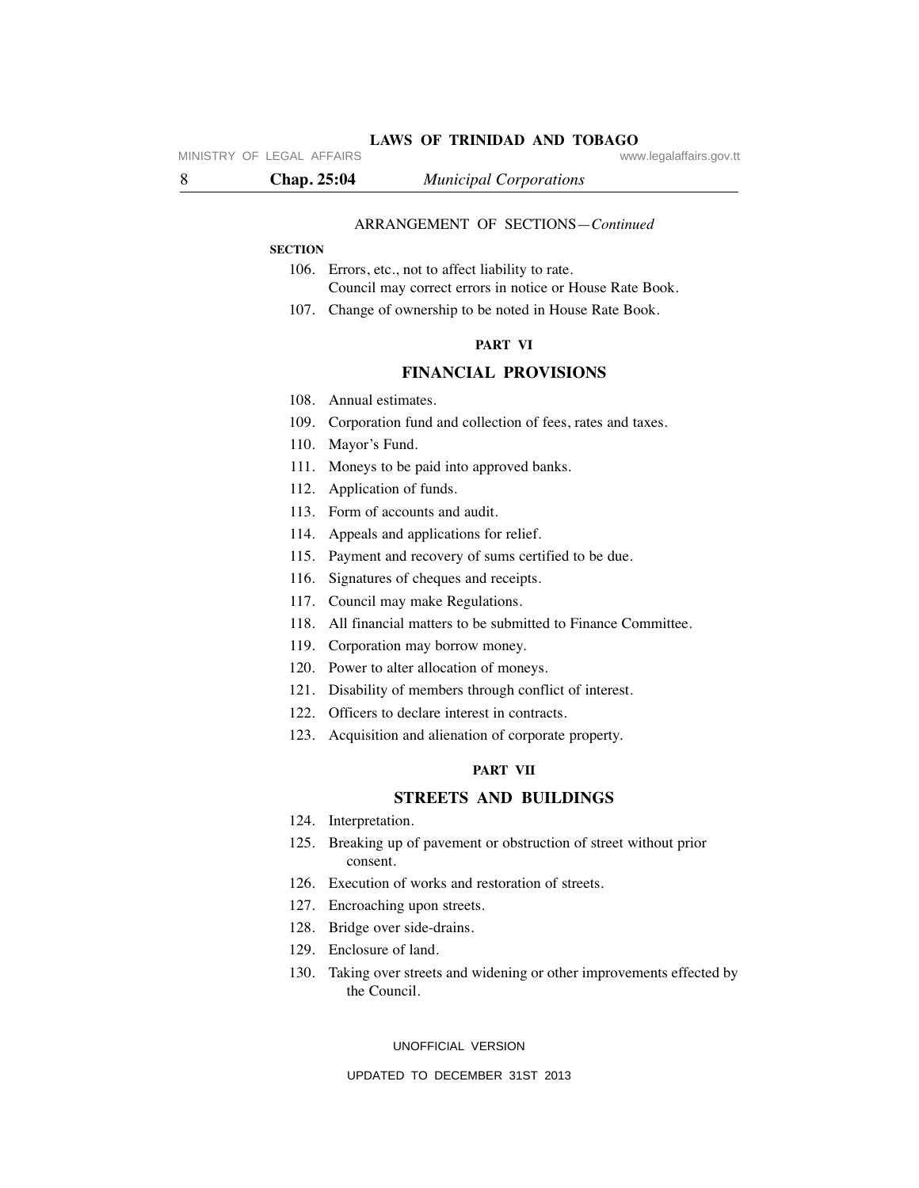#### ARRANGEMENT OF SECTIONS—*Continued*

**LAWS OF TRINIDAD AND TOBAGO**

#### **SECTION**

- 106. Errors, etc., not to affect liability to rate. Council may correct errors in notice or House Rate Book.
- 107. Change of ownership to be noted in House Rate Book.

#### **PART VI**

#### **FINANCIAL PROVISIONS**

- 108. Annual estimates.
- 109. Corporation fund and collection of fees, rates and taxes.
- 110. Mayor's Fund.
- 111. Moneys to be paid into approved banks.
- 112. Application of funds.
- 113. Form of accounts and audit.
- 114. Appeals and applications for relief.
- 115. Payment and recovery of sums certified to be due.
- 116. Signatures of cheques and receipts.
- 117. Council may make Regulations.
- 118. All financial matters to be submitted to Finance Committee.
- 119. Corporation may borrow money.
- 120. Power to alter allocation of moneys.
- 121. Disability of members through conflict of interest.
- 122. Officers to declare interest in contracts.
- 123. Acquisition and alienation of corporate property.

#### **PART VII**

# **STREETS AND BUILDINGS**

- 124. Interpretation.
- 125. Breaking up of pavement or obstruction of street without prior consent.
- 126. Execution of works and restoration of streets.
- 127. Encroaching upon streets.
- 128. Bridge over side-drains.
- 129. Enclosure of land.
- 130. Taking over streets and widening or other improvements effected by the Council.

UNOFFICIAL VERSION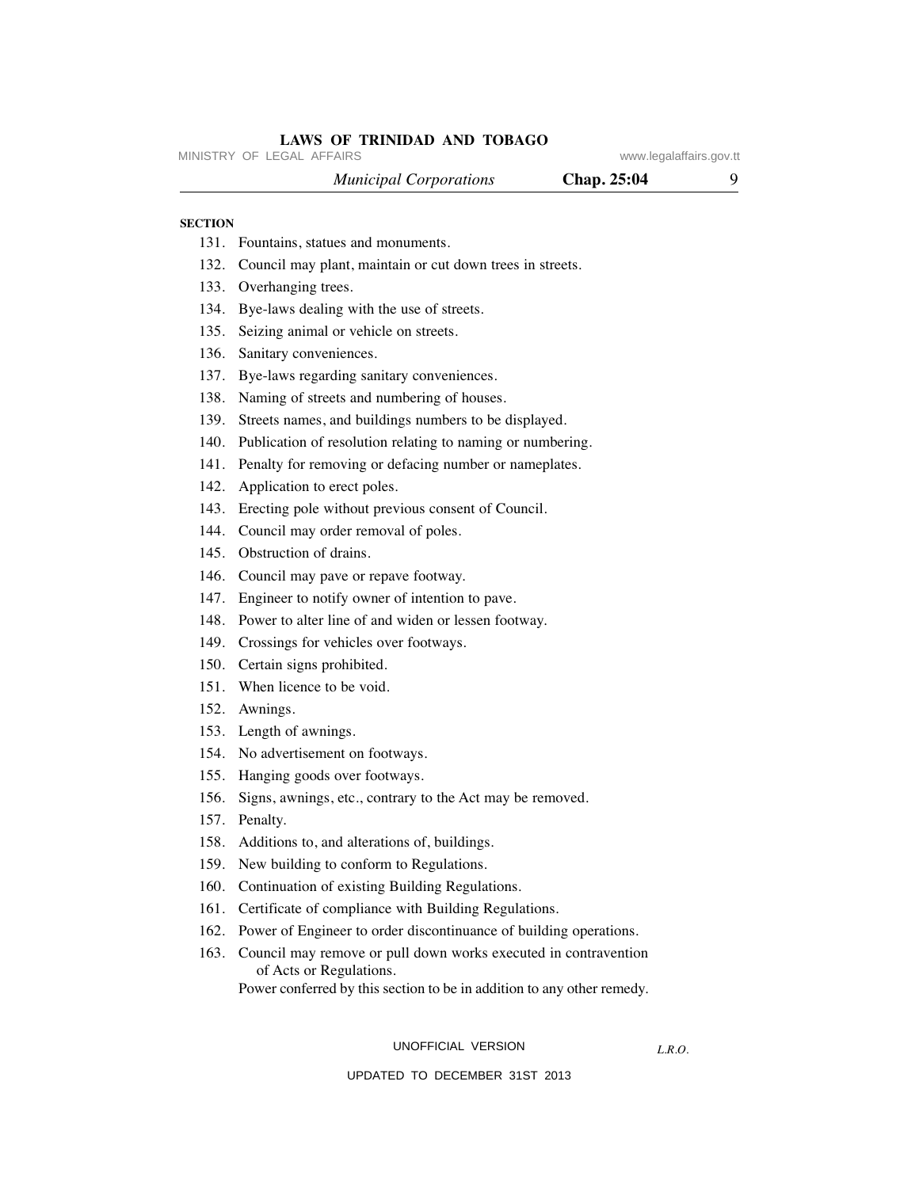# *Municipal Corporations* **Chap. 25:04** 9 131. Fountains, statues and monuments. 132. Council may plant, maintain or cut down trees in streets. 133. Overhanging trees. 134. Bye-laws dealing with the use of streets. **SECTION** MINISTRY OF LEGAL AFFAIRS **WARE ACCOMPTED MINISTRY** OF LEGAL AFFAIRS

- 135. Seizing animal or vehicle on streets.
- 136. Sanitary conveniences.
- 137. Bye-laws regarding sanitary conveniences.
- 138. Naming of streets and numbering of houses.
- 139. Streets names, and buildings numbers to be displayed.
- 140. Publication of resolution relating to naming or numbering.
- 141. Penalty for removing or defacing number or nameplates.
- 142. Application to erect poles.
- 143. Erecting pole without previous consent of Council.
- 144. Council may order removal of poles.
- 145. Obstruction of drains.
- 146. Council may pave or repave footway.
- 147. Engineer to notify owner of intention to pave.
- 148. Power to alter line of and widen or lessen footway.
- 149. Crossings for vehicles over footways.
- 150. Certain signs prohibited.
- 151. When licence to be void.
- 152. Awnings.
- 153. Length of awnings.
- 154. No advertisement on footways.
- 155. Hanging goods over footways.
- 156. Signs, awnings, etc., contrary to the Act may be removed.
- 157. Penalty.
- 158. Additions to, and alterations of, buildings.
- 159. New building to conform to Regulations.
- 160. Continuation of existing Building Regulations.
- 161. Certificate of compliance with Building Regulations.
- 162. Power of Engineer to order discontinuance of building operations.
- 163. Council may remove or pull down works executed in contravention of Acts or Regulations.
	- Power conferred by this section to be in addition to any other remedy.

#### UNOFFICIAL VERSION

*L.R.O.* 

#### UPDATED TO DECEMBER 31ST 2013

# **LAWS OF TRINIDAD AND TOBAGO**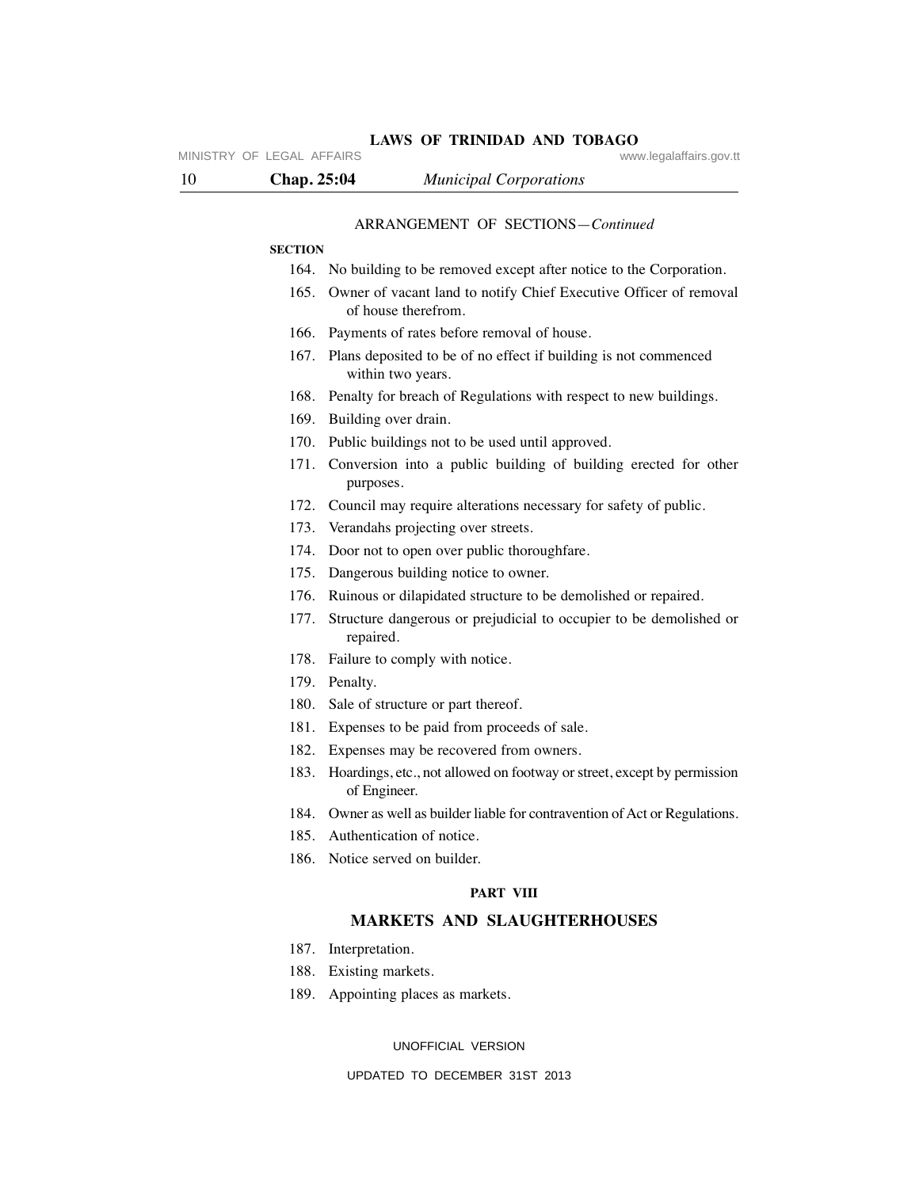| MINISTRY OF LEGAL AFFAIRS | www.legalaffairs.gov.tt                                                                       |
|---------------------------|-----------------------------------------------------------------------------------------------|
| 10<br><b>Chap. 25:04</b>  | <b>Municipal Corporations</b>                                                                 |
|                           | ARRANGEMENT OF SECTIONS-Continued                                                             |
| <b>SECTION</b>            |                                                                                               |
|                           | 164. No building to be removed except after notice to the Corporation.                        |
|                           | 165. Owner of vacant land to notify Chief Executive Officer of removal<br>of house therefrom. |
|                           | 166. Payments of rates before removal of house.                                               |
|                           | 167. Plans deposited to be of no effect if building is not commenced<br>within two years.     |
|                           | 168. Penalty for breach of Regulations with respect to new buildings.                         |
|                           | 169. Building over drain.                                                                     |
|                           | 170. Public buildings not to be used until approved.                                          |
|                           | 171. Conversion into a public building of building erected for other<br>purposes.             |
|                           | 172. Council may require alterations necessary for safety of public.                          |
|                           | 173. Verandahs projecting over streets.                                                       |
|                           | 174. Door not to open over public thoroughfare.                                               |
|                           | 175. Dangerous building notice to owner.                                                      |
| 176.                      | Ruinous or dilapidated structure to be demolished or repaired.                                |
| 177.                      | Structure dangerous or prejudicial to occupier to be demolished or<br>repaired.               |
|                           | 178. Failure to comply with notice.                                                           |
|                           | 179. Penalty.                                                                                 |
|                           | 180. Sale of structure or part thereof.                                                       |
|                           | 181. Expenses to be paid from proceeds of sale.                                               |
|                           | 182. Expenses may be recovered from owners.                                                   |
| 183.                      | Hoardings, etc., not allowed on footway or street, except by permission<br>of Engineer.       |
|                           | 184. Owner as well as builder liable for contravention of Act or Regulations.                 |
|                           | 185. Authentication of notice.                                                                |
|                           | 186. Notice served on builder.                                                                |
|                           | <b>PART VIII</b>                                                                              |
|                           | <b>MARKETS AND SLAUGHTERHOUSES</b>                                                            |

- 187. Interpretation.
- 188. Existing markets.
- 189. Appointing places as markets.

# UNOFFICIAL VERSION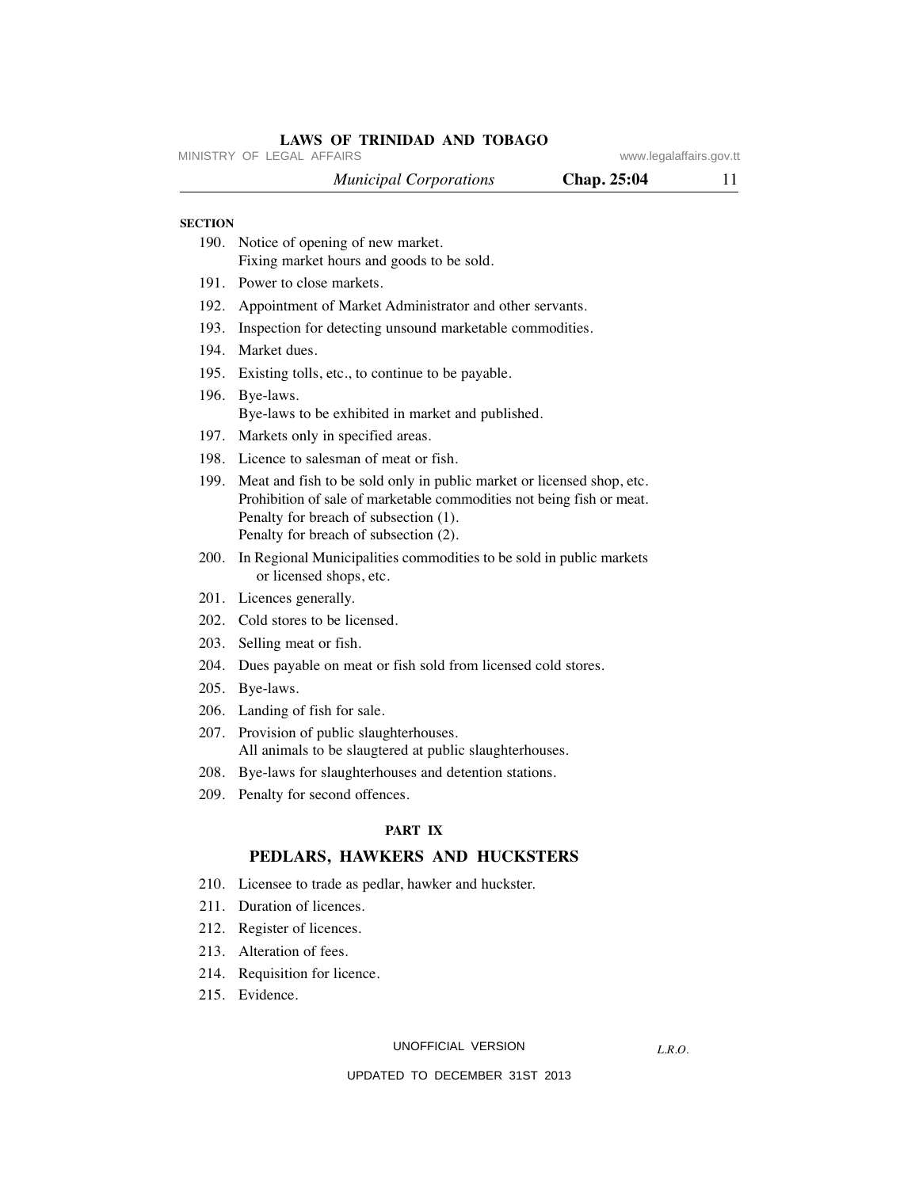|                | LAWS OF TRINIDAD AND TOBAGO<br>MINISTRY OF LEGAL AFFAIRS                                                                                                                                                                         | www.legalaffairs.gov.tt |    |
|----------------|----------------------------------------------------------------------------------------------------------------------------------------------------------------------------------------------------------------------------------|-------------------------|----|
|                | <b>Municipal Corporations</b>                                                                                                                                                                                                    | Chap. 25:04             | 11 |
| <b>SECTION</b> |                                                                                                                                                                                                                                  |                         |    |
|                | 190. Notice of opening of new market.<br>Fixing market hours and goods to be sold.                                                                                                                                               |                         |    |
| 191.           | Power to close markets.                                                                                                                                                                                                          |                         |    |
|                | 192. Appointment of Market Administrator and other servants.                                                                                                                                                                     |                         |    |
| 193.           | Inspection for detecting unsound marketable commodities.                                                                                                                                                                         |                         |    |
| 194.           | Market dues.                                                                                                                                                                                                                     |                         |    |
| 195.           | Existing tolls, etc., to continue to be payable.                                                                                                                                                                                 |                         |    |
|                | 196. Bye-laws.<br>Bye-laws to be exhibited in market and published.                                                                                                                                                              |                         |    |
|                | 197. Markets only in specified areas.                                                                                                                                                                                            |                         |    |
|                | 198. Licence to salesman of meat or fish.                                                                                                                                                                                        |                         |    |
| 199.           | Meat and fish to be sold only in public market or licensed shop, etc.<br>Prohibition of sale of marketable commodities not being fish or meat.<br>Penalty for breach of subsection (1).<br>Penalty for breach of subsection (2). |                         |    |
|                | 200. In Regional Municipalities commodities to be sold in public markets<br>or licensed shops, etc.                                                                                                                              |                         |    |
|                | 201. Licences generally.                                                                                                                                                                                                         |                         |    |
|                | 202. Cold stores to be licensed.                                                                                                                                                                                                 |                         |    |
| 203.           | Selling meat or fish.                                                                                                                                                                                                            |                         |    |
|                | 204. Dues payable on meat or fish sold from licensed cold stores.                                                                                                                                                                |                         |    |
|                | 205. Bye-laws.                                                                                                                                                                                                                   |                         |    |
|                | 206. Landing of fish for sale.                                                                                                                                                                                                   |                         |    |
|                | 207. Provision of public slaughterhouses.<br>All animals to be slaugtered at public slaughterhouses.                                                                                                                             |                         |    |
|                | 208. Bye-laws for slaughterhouses and detention stations.                                                                                                                                                                        |                         |    |
| 209.           | Penalty for second offences.                                                                                                                                                                                                     |                         |    |
|                | PART IX                                                                                                                                                                                                                          |                         |    |
|                | PEDLARS, HAWKERS AND HUCKSTERS                                                                                                                                                                                                   |                         |    |
| 210.           | Licensee to trade as pedlar, hawker and huckster.                                                                                                                                                                                |                         |    |
| 211.           | Duration of licences.                                                                                                                                                                                                            |                         |    |
| 212.           | Register of licences.                                                                                                                                                                                                            |                         |    |
| 213.           | Alteration of fees.                                                                                                                                                                                                              |                         |    |
|                | 214. Requisition for licence.                                                                                                                                                                                                    |                         |    |

UNOFFICIAL VERSION

*L.R.O.*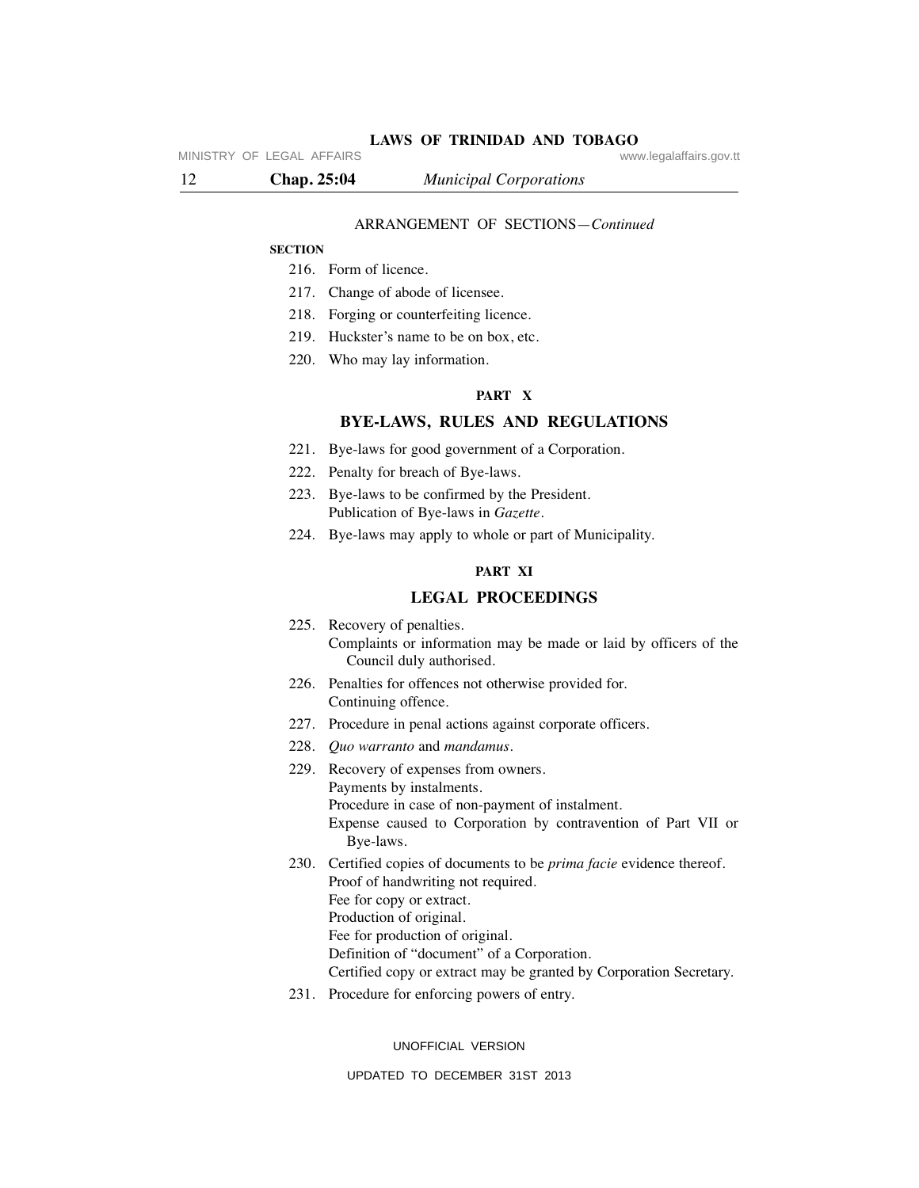MINISTRY OF LEGAL AFFAIRS **WARE ACCOMPTED MINISTRY** OF LEGAL AFFAIRS

12 **Chap. 25:04** *Municipal Corporations*

# ARRANGEMENT OF SECTIONS—*Continued*

#### **SECTION**

- 216. Form of licence.
- 217. Change of abode of licensee.
- 218. Forging or counterfeiting licence.
- 219. Huckster's name to be on box, etc.
- 220. Who may lay information.

# **PART X**

# **BYE-LAWS, RULES AND REGULATIONS**

- 221. Bye-laws for good government of a Corporation.
- 222. Penalty for breach of Bye-laws.
- 223. Bye-laws to be confirmed by the President. Publication of Bye-laws in *Gazette*.
- 224. Bye-laws may apply to whole or part of Municipality.

# **PART XI**

#### **LEGAL PROCEEDINGS**

- 225. Recovery of penalties. Complaints or information may be made or laid by officers of the Council duly authorised.
- 226. Penalties for offences not otherwise provided for. Continuing offence.
- 227. Procedure in penal actions against corporate officers.
- 228. *Quo warranto* and *mandamus*.
- 229. Recovery of expenses from owners. Payments by instalments. Procedure in case of non-payment of instalment. Expense caused to Corporation by contravention of Part VII or Bye-laws. 230. Certified copies of documents to be *prima facie* evidence thereof.
	- Proof of handwriting not required. Fee for copy or extract.
	- Production of original.
		- Fee for production of original.
	- Definition of "document" of a Corporation.
	- Certified copy or extract may be granted by Corporation Secretary.
- 231. Procedure for enforcing powers of entry.

UNOFFICIAL VERSION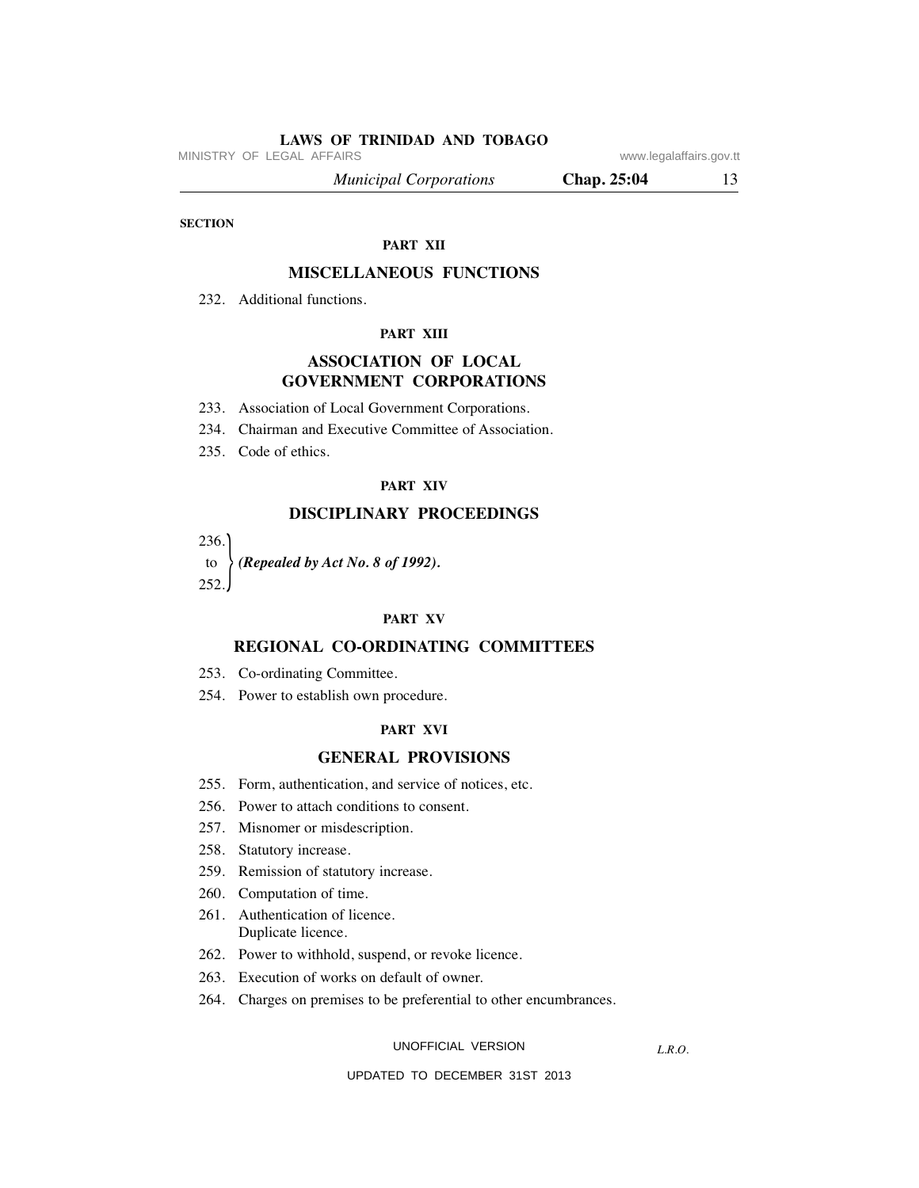MINISTRY OF LEGAL AFFAIRS **WARE ACCOMPTED MINISTRY** OF LEGAL AFFAIRS

 *Municipal Corporations* **Chap. 25:04** 13

**SECTION**

#### **PART XII**

# **MISCELLANEOUS FUNCTIONS**

232. Additional functions.

#### **PART XIII**

# **ASSOCIATION OF LOCAL GOVERNMENT CORPORATIONS**

- 233. Association of Local Government Corporations.
- 234. Chairman and Executive Committee of Association.
- 235. Code of ethics.

#### **PART XIV**

# **DISCIPLINARY PROCEEDINGS**

236.

 to *(Repealed by Act No. 8 of 1992).* 252.  $\frac{1}{2}$ 

#### **PART XV**

# **REGIONAL CO-ORDINATING COMMITTEES**

- 253. Co-ordinating Committee.
- 254. Power to establish own procedure.

#### **PART XVI**

#### **GENERAL PROVISIONS**

- 255. Form, authentication, and service of notices, etc.
- 256. Power to attach conditions to consent.
- 257. Misnomer or misdescription.
- 258. Statutory increase.
- 259. Remission of statutory increase.
- 260. Computation of time.
- 261. Authentication of licence. Duplicate licence.
- 262. Power to withhold, suspend, or revoke licence.
- 263. Execution of works on default of owner.
- 264. Charges on premises to be preferential to other encumbrances.

UNOFFICIAL VERSION

*L.R.O.*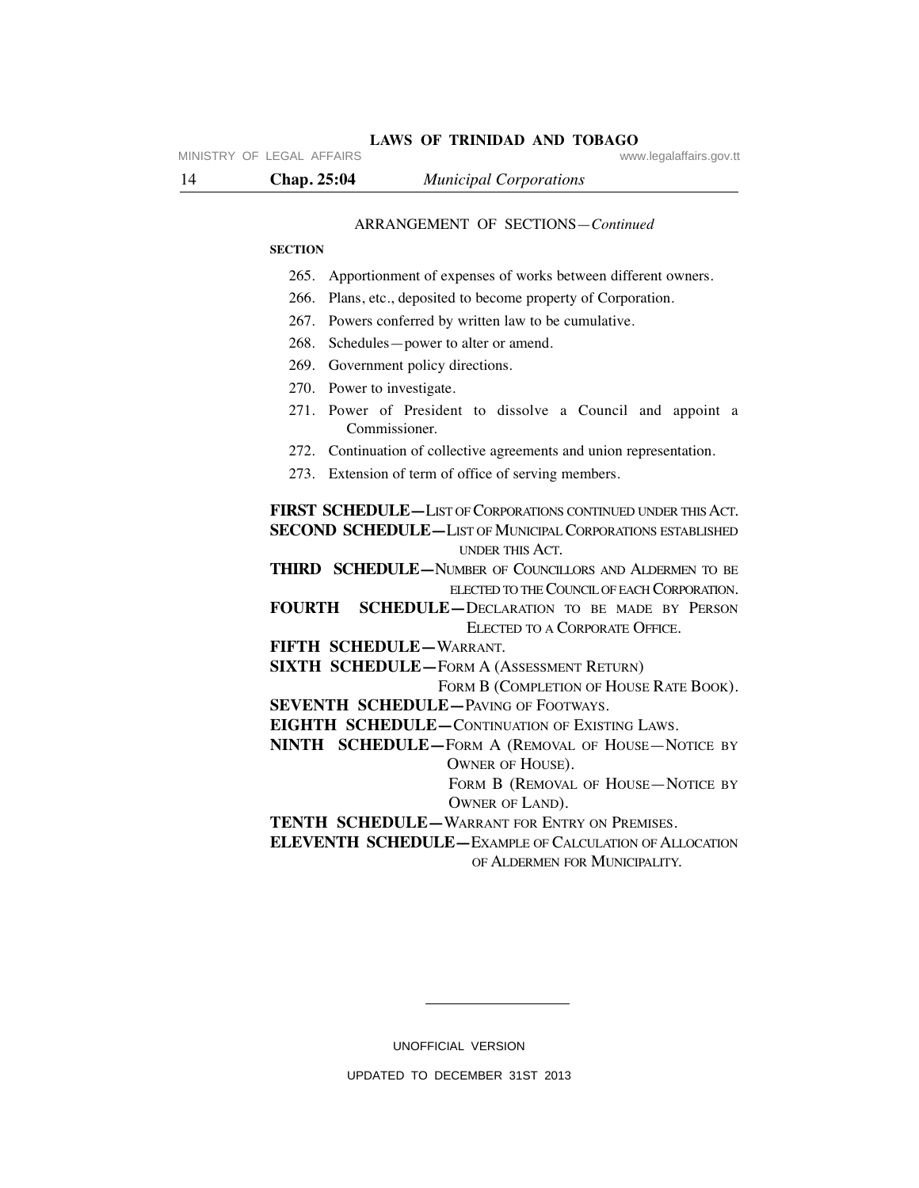#### ARRANGEMENT OF SECTIONS—*Continued*

#### **SECTION**

- 265. Apportionment of expenses of works between different owners.
- 266. Plans, etc., deposited to become property of Corporation.
- 267. Powers conferred by written law to be cumulative.
- 268. Schedules—power to alter or amend.
- 269. Government policy directions.
- 270. Power to investigate.
- 271. Power of President to dissolve a Council and appoint a Commissioner.
- 272. Continuation of collective agreements and union representation.
- 273. Extension of term of office of serving members.

FIRST SCHEDULE—LIST OF CORPORATIONS CONTINUED UNDER THIS ACT. **SECOND SCHEDULE—LIST OF MUNICIPAL CORPORATIONS ESTABLISHED** UNDER THIS ACT.

**THIRD SCHEDULE—**NUMBER OF COUNCILLORS AND ALDERMEN TO BE ELECTED TO THE COUNCIL OF EACH CORPORATION.

- **FOURTH SCHEDULE—**DECLARATION TO BE MADE BY PERSON ELECTED TO A CORPORATE OFFICE.
- **FIFTH SCHEDULE—**WARRANT.

**SIXTH SCHEDULE—**FORM A (ASSESSMENT RETURN)

FORM B (COMPLETION OF HOUSE RATE BOOK).

**SEVENTH SCHEDULE**—PAVING OF FOOTWAYS.

**EIGHTH SCHEDULE—**CONTINUATION OF EXISTING LAWS.

**NINTH SCHEDULE—**FORM A (REMOVAL OF HOUSE—NOTICE BY OWNER OF HOUSE).

> FORM **B** (REMOVAL OF HOUSE-NOTICE BY OWNER OF LAND).

**TENTH SCHEDULE—**WARRANT FOR ENTRY ON PREMISES.

**ELEVENTH SCHEDULE—**EXAMPLE OF CALCULATION OF ALLOCATION OF ALDERMEN FOR MUNICIPALITY.

UNOFFICIAL VERSION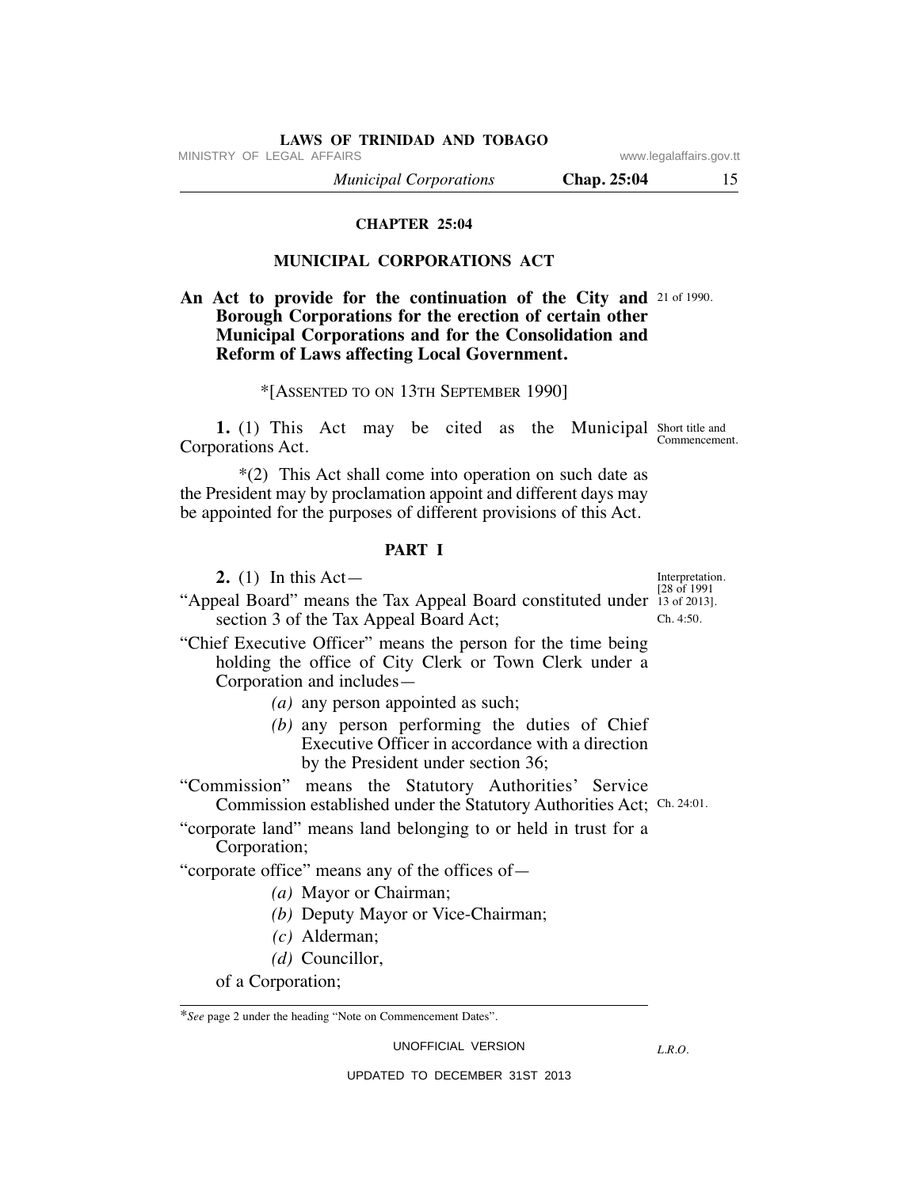MINISTRY OF LEGAL AFFAIRS **WARE ACCOMPTED MINISTRY** OF LEGAL AFFAIRS

 *Municipal Corporations* **Chap. 25:04** 15

# **CHAPTER 25:04**

# **MUNICIPAL CORPORATIONS ACT**

# An Act to provide for the continuation of the City and 21 of 1990. **Borough Corporations for the erection of certain other Municipal Corporations and for the Consolidation and Reform of Laws affecting Local Government.**

# \*[ASSENTED TO ON 13TH SEPTEMBER 1990]

**1.** (1) This Act may be cited as the Municipal Short title and Corporations Act. Commencement.

 \*(2) This Act shall come into operation on such date as the President may by proclamation appoint and different days may be appointed for the purposes of different provisions of this Act.

#### **PART I**

**2.** (1) In this Act—

"Appeal Board" means the Tax Appeal Board constituted under 13 of 2013]. section 3 of the Tax Appeal Board Act;

"Chief Executive Officer" means the person for the time being holding the office of City Clerk or Town Clerk under a Corporation and includes—

 *(a)* any person appointed as such;

 *(b)* any person performing the duties of Chief Executive Officer in accordance with a direction by the President under section 36;

"Commission" means the Statutory Authorities' Service Commission established under the Statutory Authorities Act; Ch. 24:01.

"corporate land" means land belonging to or held in trust for a Corporation;

"corporate office" means any of the offices of—

- *(a)* Mayor or Chairman;
- *(b)* Deputy Mayor or Vice-Chairman;
- *(c)* Alderman;
- *(d)* Councillor,

of a Corporation;

UNOFFICIAL VERSION UPDATED TO DECEMBER 31ST 2013

*L.R.O.* 

Interpretation. [28 of 1991

Ch. 4:50.

<sup>\*</sup>*See* page 2 under the heading "Note on Commencement Dates".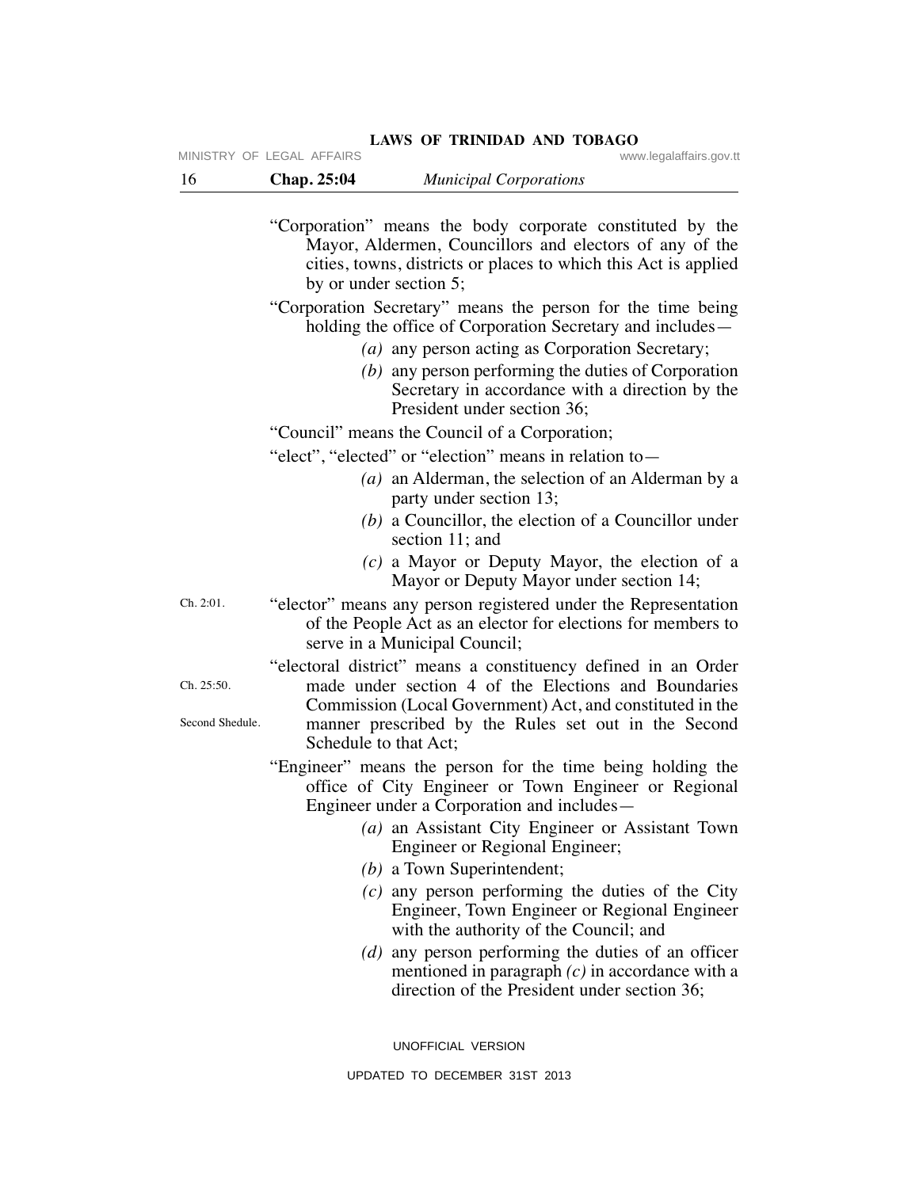|                               | MINISTRY OF LEGAL AFFAIRS | www.legalaffairs.gov.tt                                                                                                                                                                                                                    |
|-------------------------------|---------------------------|--------------------------------------------------------------------------------------------------------------------------------------------------------------------------------------------------------------------------------------------|
| 16                            | Chap. 25:04               | <b>Municipal Corporations</b>                                                                                                                                                                                                              |
|                               |                           | "Corporation" means the body corporate constituted by the<br>Mayor, Aldermen, Councillors and electors of any of the<br>cities, towns, districts or places to which this Act is applied<br>by or under section 5;                          |
|                               |                           | "Corporation Secretary" means the person for the time being<br>holding the office of Corporation Secretary and includes—                                                                                                                   |
|                               |                           | (a) any person acting as Corporation Secretary;<br>$(b)$ any person performing the duties of Corporation<br>Secretary in accordance with a direction by the<br>President under section 36;                                                 |
|                               |                           | "Council" means the Council of a Corporation;                                                                                                                                                                                              |
|                               |                           | "elect", "elected" or "election" means in relation to -                                                                                                                                                                                    |
|                               |                           | (a) an Alderman, the selection of an Alderman by a<br>party under section 13;                                                                                                                                                              |
|                               |                           | $(b)$ a Councillor, the election of a Councillor under<br>section 11; and                                                                                                                                                                  |
|                               |                           | $(c)$ a Mayor or Deputy Mayor, the election of a<br>Mayor or Deputy Mayor under section 14;                                                                                                                                                |
| Ch. 2:01.                     |                           | "elector" means any person registered under the Representation<br>of the People Act as an elector for elections for members to<br>serve in a Municipal Council;                                                                            |
| Ch. 25:50.<br>Second Shedule. |                           | "electoral district" means a constituency defined in an Order<br>made under section 4 of the Elections and Boundaries<br>Commission (Local Government) Act, and constituted in the<br>manner prescribed by the Rules set out in the Second |
|                               | Schedule to that Act;     |                                                                                                                                                                                                                                            |
|                               |                           | "Engineer" means the person for the time being holding the<br>office of City Engineer or Town Engineer or Regional<br>Engineer under a Corporation and includes—                                                                           |
|                               |                           | (a) an Assistant City Engineer or Assistant Town<br>Engineer or Regional Engineer;                                                                                                                                                         |
|                               |                           | $(b)$ a Town Superintendent;                                                                                                                                                                                                               |
|                               |                           | $(c)$ any person performing the duties of the City<br>Engineer, Town Engineer or Regional Engineer<br>with the authority of the Council; and                                                                                               |
|                               |                           | $(d)$ any person performing the duties of an officer<br>mentioned in paragraph $(c)$ in accordance with a<br>direction of the President under section 36;                                                                                  |
|                               |                           | UNOFFICIAL VERSION                                                                                                                                                                                                                         |

LAWS OF TRINIDAD AND TOBAGO **WWW.legalaffairs.gov.tt**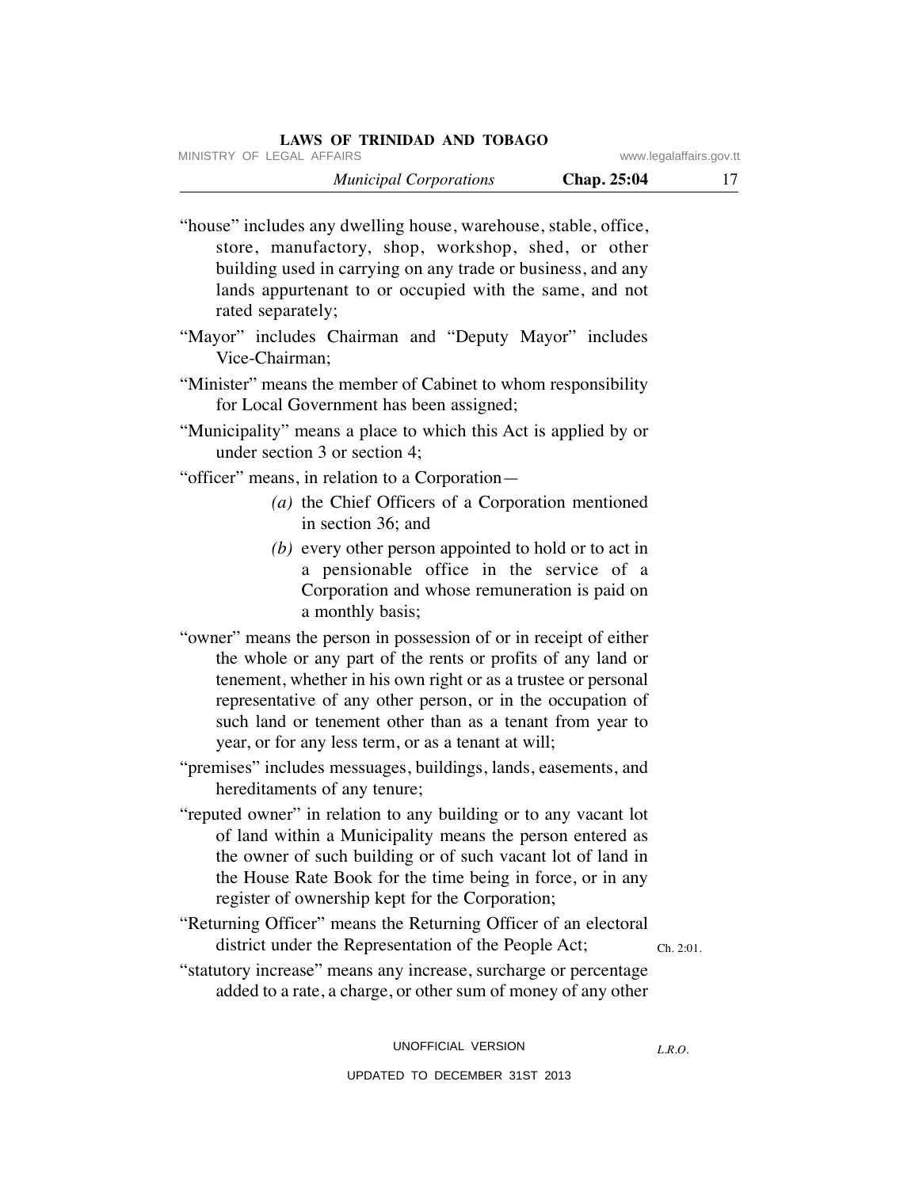MINISTRY OF LEGAL AFFAIRS www.

|  |  |  |  |  | .legalaffairs.gov.tt |
|--|--|--|--|--|----------------------|
|--|--|--|--|--|----------------------|

 *Municipal Corporations* **Chap. 25:04** 17

"house" includes any dwelling house, warehouse, stable, office, store, manufactory, shop, workshop, shed, or other building used in carrying on any trade or business, and any lands appurtenant to or occupied with the same, and not rated separately;

- "Mayor" includes Chairman and "Deputy Mayor" includes Vice-Chairman;
- "Minister" means the member of Cabinet to whom responsibility for Local Government has been assigned;
- "Municipality" means a place to which this Act is applied by or under section 3 or section 4;

"officer" means, in relation to a Corporation—

- *(a)* the Chief Officers of a Corporation mentioned in section 36; and
- *(b)* every other person appointed to hold or to act in a pensionable office in the service of a Corporation and whose remuneration is paid on a monthly basis;
- "owner" means the person in possession of or in receipt of either the whole or any part of the rents or profits of any land or tenement, whether in his own right or as a trustee or personal representative of any other person, or in the occupation of such land or tenement other than as a tenant from year to year, or for any less term, or as a tenant at will;
- "premises" includes messuages, buildings, lands, easements, and hereditaments of any tenure;
- "reputed owner" in relation to any building or to any vacant lot of land within a Municipality means the person entered as the owner of such building or of such vacant lot of land in the House Rate Book for the time being in force, or in any register of ownership kept for the Corporation;
- "Returning Officer" means the Returning Officer of an electoral district under the Representation of the People Act;

Ch. 2:01.

"statutory increase" means any increase, surcharge or percentage added to a rate, a charge, or other sum of money of any other

> UNOFFICIAL VERSION UPDATED TO DECEMBER 31ST 2013

*L.R.O.*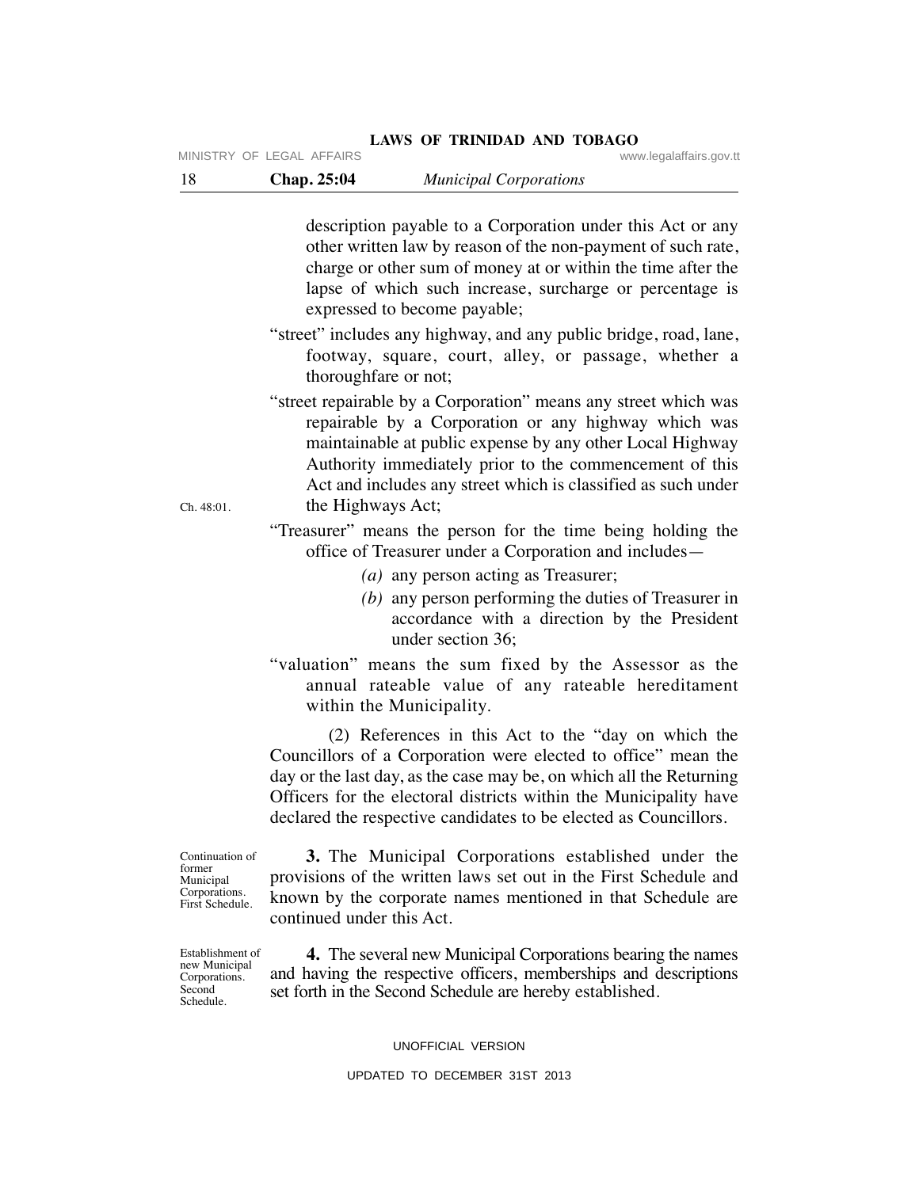description payable to a Corporation under this Act or any other written law by reason of the non-payment of such rate, charge or other sum of money at or within the time after the lapse of which such increase, surcharge or percentage is expressed to become payable; "street" includes any highway, and any public bridge, road, lane, footway, square, court, alley, or passage, whether a thoroughfare or not; "street repairable by a Corporation" means any street which was repairable by a Corporation or any highway which was

maintainable at public expense by any other Local Highway Authority immediately prior to the commencement of this Act and includes any street which is classified as such under the Highways Act;

"Treasurer" means the person for the time being holding the office of Treasurer under a Corporation and includes—

- *(a)* any person acting as Treasurer;
- *(b)* any person performing the duties of Treasurer in accordance with a direction by the President under section 36;
- "valuation" means the sum fixed by the Assessor as the annual rateable value of any rateable hereditament within the Municipality.

 (2) References in this Act to the "day on which the Councillors of a Corporation were elected to office" mean the day or the last day, as the case may be, on which all the Returning Officers for the electoral districts within the Municipality have declared the respective candidates to be elected as Councillors.

Continuation of former Municipal Corporations. First Schedule.

Establishment of new Municipal Corporations. **Second** Schedule.

 **3.** The Municipal Corporations established under the provisions of the written laws set out in the First Schedule and known by the corporate names mentioned in that Schedule are continued under this Act.

 **4.** The several new Municipal Corporations bearing the names and having the respective officers, memberships and descriptions set forth in the Second Schedule are hereby established.

UNOFFICIAL VERSION

# Ch. 48:01.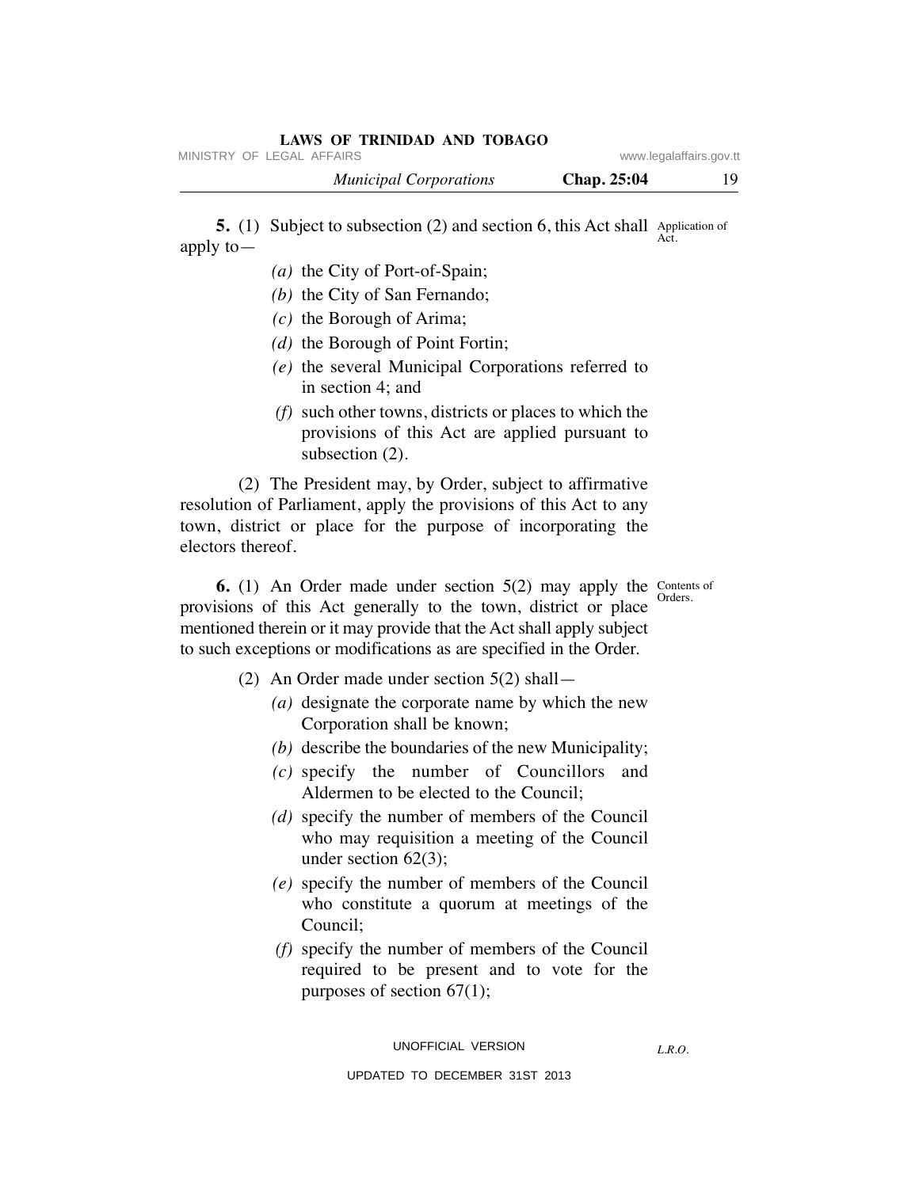|              | MINISTRY OF LEGAL AFFAIRS                                                            |             | www.legalaffairs.gov.tt |
|--------------|--------------------------------------------------------------------------------------|-------------|-------------------------|
|              | <b>Municipal Corporations</b>                                                        | Chap. 25:04 | 19                      |
| apply to $-$ | <b>5.</b> (1) Subject to subsection (2) and section 6, this Act shall Application of |             | Act.                    |
|              | (a) the City of Port-of-Spain;                                                       |             |                         |
|              | $(b)$ the City of San Fernando;                                                      |             |                         |
|              |                                                                                      |             |                         |

- *(c)* the Borough of Arima;
- *(d)* the Borough of Point Fortin;
- *(e)* the several Municipal Corporations referred to in section 4; and
- *(f)* such other towns, districts or places to which the provisions of this Act are applied pursuant to subsection (2).

 (2) The President may, by Order, subject to affirmative resolution of Parliament, apply the provisions of this Act to any town, district or place for the purpose of incorporating the electors thereof.

Orders.

**6.** (1) An Order made under section 5(2) may apply the Contents of provisions of this Act generally to the town, district or place mentioned therein or it may provide that the Act shall apply subject to such exceptions or modifications as are specified in the Order.

- (2) An Order made under section 5(2) shall—
	- *(a)* designate the corporate name by which the new Corporation shall be known;
	- *(b)* describe the boundaries of the new Municipality;
	- *(c)* specify the number of Councillors and Aldermen to be elected to the Council;
	- *(d)* specify the number of members of the Council who may requisition a meeting of the Council under section 62(3);
	- *(e)* specify the number of members of the Council who constitute a quorum at meetings of the Council;
	- *(f)* specify the number of members of the Council required to be present and to vote for the purposes of section 67(1);

*L.R.O.*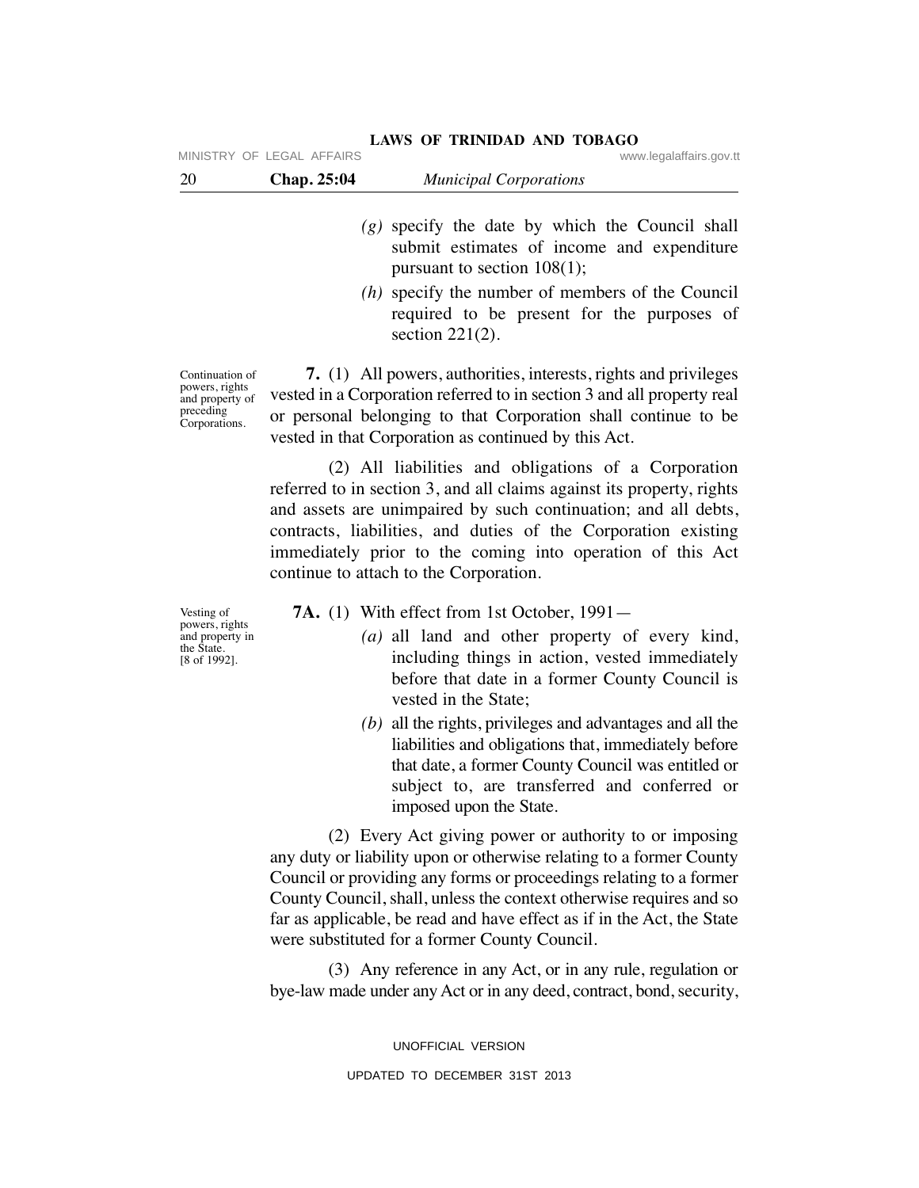| 20 | Chap. 25:04               | <b>Municipal Corporations</b> |                         |
|----|---------------------------|-------------------------------|-------------------------|
|    | MINISTRY OF LEGAL AFFAIRS |                               | www.legalaffairs.gov.tt |

- *(g)* specify the date by which the Council shall submit estimates of income and expenditure pursuant to section 108(1);
- *(h)* specify the number of members of the Council required to be present for the purposes of section 221(2).

Continuation of powers, rights and property of preceding Corporations.

 **7.** (1) All powers, authorities, interests, rights and privileges vested in a Corporation referred to in section 3 and all property real or personal belonging to that Corporation shall continue to be vested in that Corporation as continued by this Act.

 (2) All liabilities and obligations of a Corporation referred to in section 3, and all claims against its property, rights and assets are unimpaired by such continuation; and all debts, contracts, liabilities, and duties of the Corporation existing immediately prior to the coming into operation of this Act continue to attach to the Corporation.

**7A.** (1) With effect from 1st October, 1991—

- *(a)* all land and other property of every kind, including things in action, vested immediately before that date in a former County Council is vested in the State;
- *(b)* all the rights, privileges and advantages and all the liabilities and obligations that, immediately before that date, a former County Council was entitled or subject to, are transferred and conferred or imposed upon the State.

 (2) Every Act giving power or authority to or imposing any duty or liability upon or otherwise relating to a former County Council or providing any forms or proceedings relating to a former County Council, shall, unless the context otherwise requires and so far as applicable, be read and have effect as if in the Act, the State were substituted for a former County Council.

 (3) Any reference in any Act, or in any rule, regulation or bye-law made under any Act or in any deed, contract, bond, security,

> UNOFFICIAL VERSION UPDATED TO DECEMBER 31ST 2013

Vesting of powers, rights and property in the State. [8 of 1992].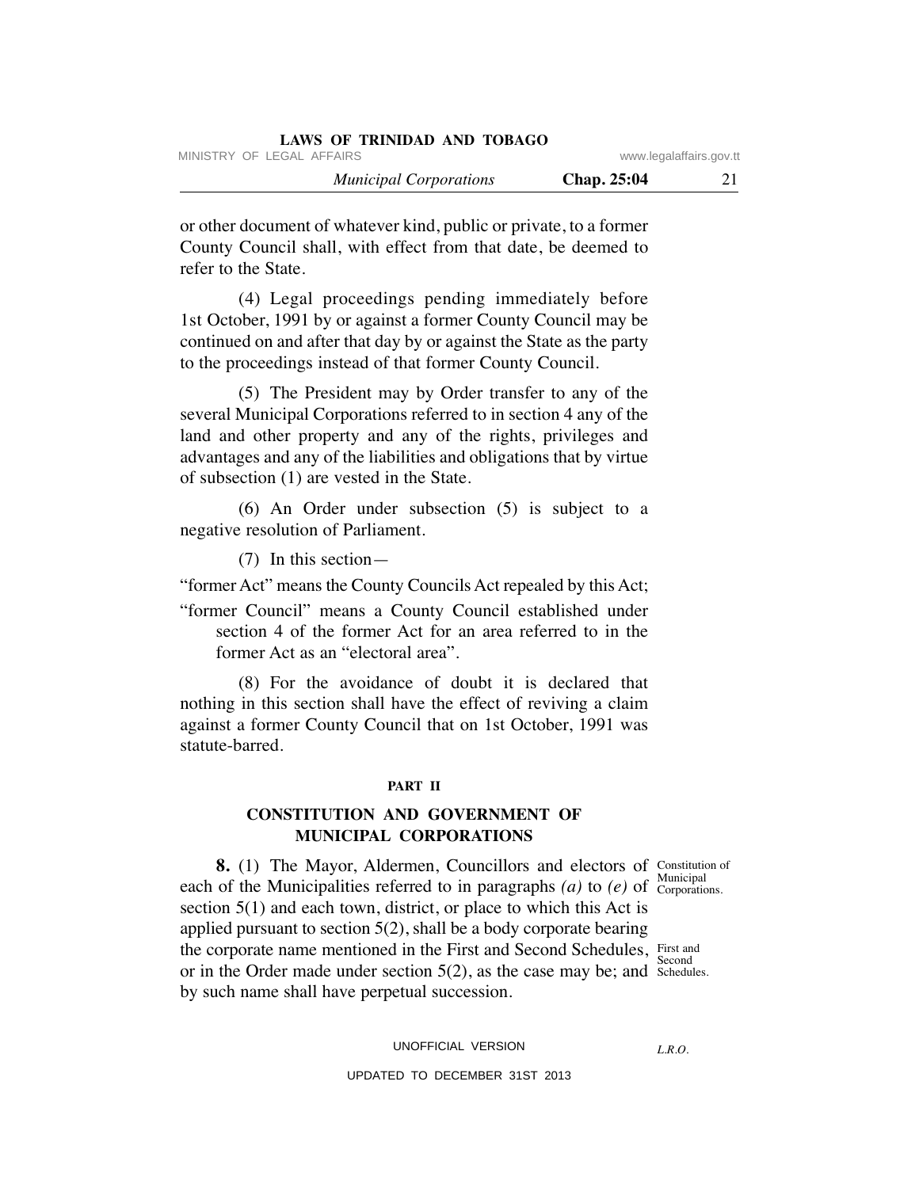| LAWS OF IKINIDAD AND TODAGO   |                    |                         |
|-------------------------------|--------------------|-------------------------|
| MINISTRY OF LEGAL AFFAIRS     |                    | www.legalaffairs.gov.tt |
| <b>Municipal Corporations</b> | <b>Chap. 25:04</b> |                         |

or other document of whatever kind, public or private, to a former County Council shall, with effect from that date, be deemed to refer to the State.

**LAWS OF TRINIDAD AND TOBAGO**

 (4) Legal proceedings pending immediately before 1st October, 1991 by or against a former County Council may be continued on and after that day by or against the State as the party to the proceedings instead of that former County Council.

 (5) The President may by Order transfer to any of the several Municipal Corporations referred to in section 4 any of the land and other property and any of the rights, privileges and advantages and any of the liabilities and obligations that by virtue of subsection (1) are vested in the State.

 (6) An Order under subsection (5) is subject to a negative resolution of Parliament.

(7) In this section—

"former Act" means the County Councils Act repealed by this Act;

"former Council" means a County Council established under section 4 of the former Act for an area referred to in the former Act as an "electoral area".

 (8) For the avoidance of doubt it is declared that nothing in this section shall have the effect of reviving a claim against a former County Council that on 1st October, 1991 was statute-barred.

#### **PART II**

# **CONSTITUTION AND GOVERNMENT OF MUNICIPAL CORPORATIONS**

Corporations.

**8.** (1) The Mayor, Aldermen, Councillors and electors of Constitution of each of the Municipalities referred to in paragraphs  $(a)$  to  $(e)$  of Corporation section 5(1) and each town, district, or place to which this Act is applied pursuant to section 5(2), shall be a body corporate bearing the corporate name mentioned in the First and Second Schedules, First and or in the Order made under section  $5(2)$ , as the case may be; and schedules. by such name shall have perpetual succession. Second

UNOFFICIAL VERSION

*L.R.O.*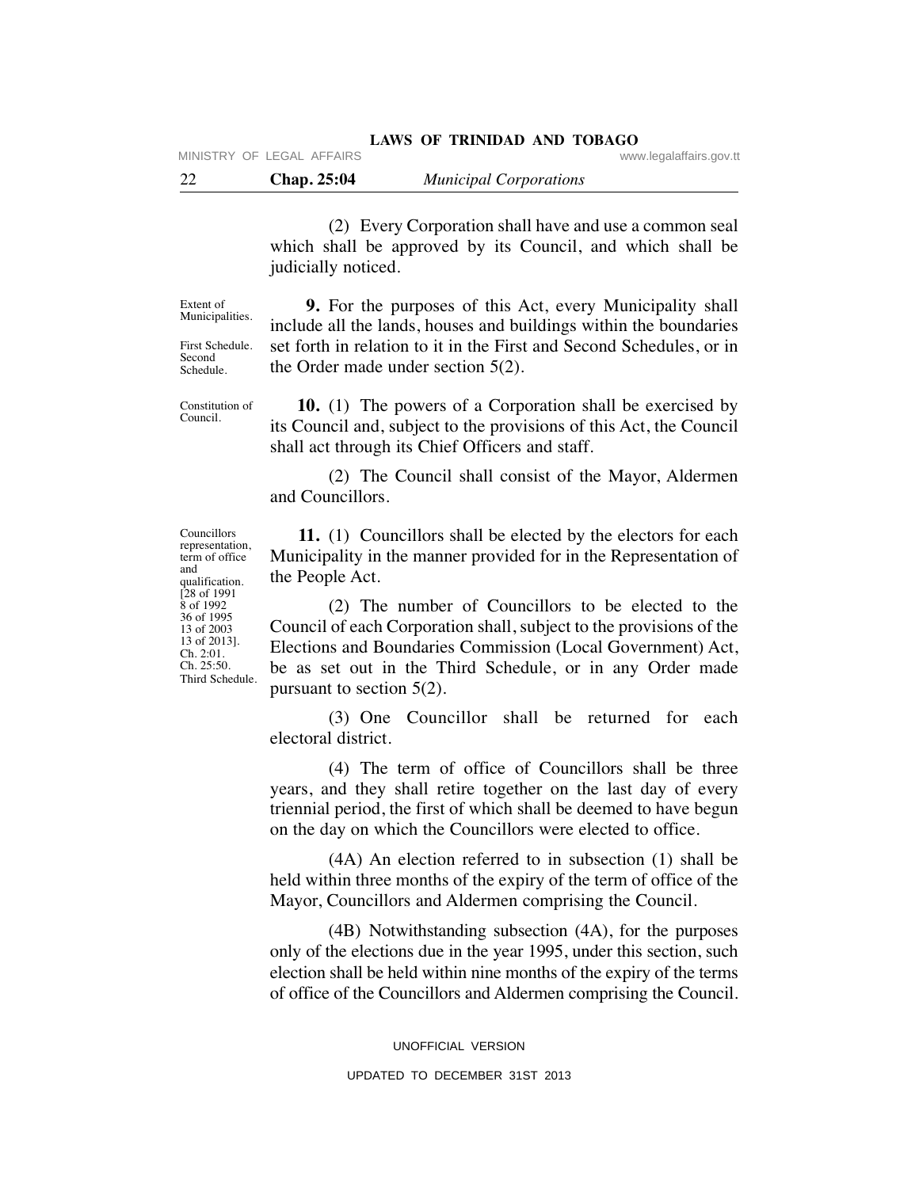(2) Every Corporation shall have and use a common seal which shall be approved by its Council, and which shall be judicially noticed.

Extent of Municipalities.

First Schedule. Second Schedule.

Constitution of Council.

 **9.** For the purposes of this Act, every Municipality shall include all the lands, houses and buildings within the boundaries set forth in relation to it in the First and Second Schedules, or in the Order made under section 5(2).

 **10.** (1) The powers of a Corporation shall be exercised by its Council and, subject to the provisions of this Act, the Council shall act through its Chief Officers and staff.

 (2) The Council shall consist of the Mayor, Aldermen and Councillors.

 **11.** (1) Councillors shall be elected by the electors for each Municipality in the manner provided for in the Representation of the People Act.

 (2) The number of Councillors to be elected to the Council of each Corporation shall, subject to the provisions of the Elections and Boundaries Commission (Local Government) Act, be as set out in the Third Schedule, or in any Order made pursuant to section 5(2).

 (3) One Councillor shall be returned for each electoral district.

 (4) The term of office of Councillors shall be three years, and they shall retire together on the last day of every triennial period, the first of which shall be deemed to have begun on the day on which the Councillors were elected to office.

 (4A) An election referred to in subsection (1) shall be held within three months of the expiry of the term of office of the Mayor, Councillors and Aldermen comprising the Council.

 (4B) Notwithstanding subsection (4A), for the purposes only of the elections due in the year 1995, under this section, such election shall be held within nine months of the expiry of the terms of office of the Councillors and Aldermen comprising the Council.

Councillors representation, term of office and qualification. [28 of 1991 8 of 1992 36 of 1995 13 of 2003 13 of 2013]. Ch. 2:01. Ch. 25:50. Third Schedule.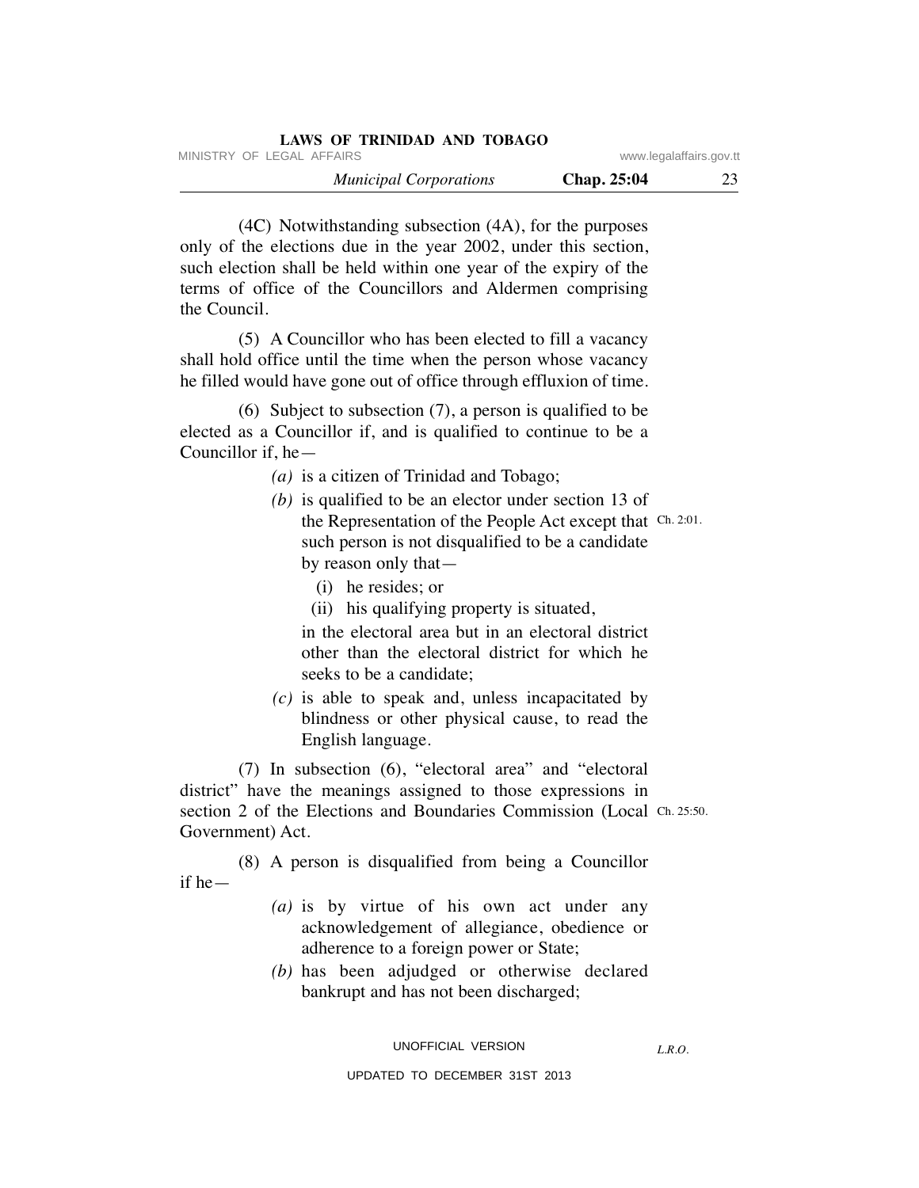| LAWS OF TRINIDAD AND TOBAGO   |             |                         |
|-------------------------------|-------------|-------------------------|
| MINISTRY OF LEGAL AFFAIRS     |             | www.legalaffairs.gov.tt |
| <b>Municipal Corporations</b> | Chap. 25:04 | 23                      |

 (4C) Notwithstanding subsection (4A), for the purposes only of the elections due in the year 2002, under this section, such election shall be held within one year of the expiry of the terms of office of the Councillors and Aldermen comprising the Council.

 (5) A Councillor who has been elected to fill a vacancy shall hold office until the time when the person whose vacancy he filled would have gone out of office through effluxion of time.

 (6) Subject to subsection (7), a person is qualified to be elected as a Councillor if, and is qualified to continue to be a Councillor if, he—

- *(a)* is a citizen of Trinidad and Tobago;
- *(b)* is qualified to be an elector under section 13 of the Representation of the People Act except that Ch. 2:01. such person is not disqualified to be a candidate by reason only that—
	- (i) he resides; or
	- (ii) his qualifying property is situated,

 in the electoral area but in an electoral district other than the electoral district for which he seeks to be a candidate;

 *(c)* is able to speak and, unless incapacitated by blindness or other physical cause, to read the English language.

 (7) In subsection (6), "electoral area" and "electoral district" have the meanings assigned to those expressions in section 2 of the Elections and Boundaries Commission (Local Ch. 25:50. Government) Act.

 (8) A person is disqualified from being a Councillor if he—

- *(a)* is by virtue of his own act under any acknowledgement of allegiance, obedience or adherence to a foreign power or State;
- *(b)* has been adjudged or otherwise declared bankrupt and has not been discharged;

UNOFFICIAL VERSION

*L.R.O.*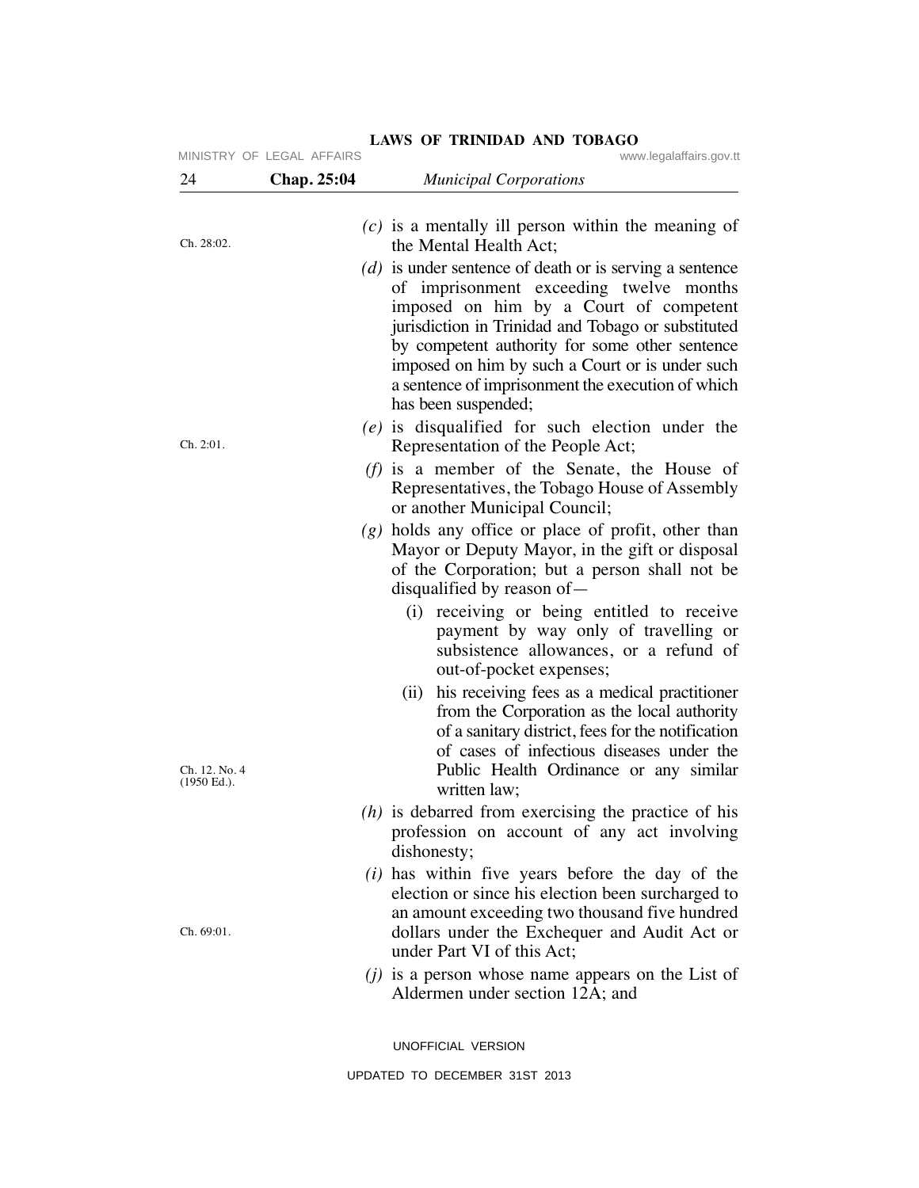| 24                           | MINISTRY OF LEGAL AFFAIRS<br>Chap. 25:04 | www.legalaffairs.gov.tt<br><b>Municipal Corporations</b>                                                                                                                                                                                                                                                                                                                              |
|------------------------------|------------------------------------------|---------------------------------------------------------------------------------------------------------------------------------------------------------------------------------------------------------------------------------------------------------------------------------------------------------------------------------------------------------------------------------------|
|                              |                                          |                                                                                                                                                                                                                                                                                                                                                                                       |
| Ch. 28:02.                   |                                          | $(c)$ is a mentally ill person within the meaning of<br>the Mental Health Act;                                                                                                                                                                                                                                                                                                        |
|                              |                                          | $(d)$ is under sentence of death or is serving a sentence<br>of imprisonment exceeding twelve months<br>imposed on him by a Court of competent<br>jurisdiction in Trinidad and Tobago or substituted<br>by competent authority for some other sentence<br>imposed on him by such a Court or is under such<br>a sentence of imprisonment the execution of which<br>has been suspended; |
| Ch. 2:01.                    |                                          | $(e)$ is disqualified for such election under the<br>Representation of the People Act;                                                                                                                                                                                                                                                                                                |
|                              |                                          | ( <i>f</i> ) is a member of the Senate, the House of<br>Representatives, the Tobago House of Assembly<br>or another Municipal Council;                                                                                                                                                                                                                                                |
|                              |                                          | $(g)$ holds any office or place of profit, other than<br>Mayor or Deputy Mayor, in the gift or disposal<br>of the Corporation; but a person shall not be<br>disqualified by reason of $-$                                                                                                                                                                                             |
|                              |                                          | (i) receiving or being entitled to receive<br>payment by way only of travelling or<br>subsistence allowances, or a refund of<br>out-of-pocket expenses;                                                                                                                                                                                                                               |
| Ch. 12. No. 4<br>(1950 Ed.). |                                          | his receiving fees as a medical practitioner<br>(ii)<br>from the Corporation as the local authority<br>of a sanitary district, fees for the notification<br>of cases of infectious diseases under the<br>Public Health Ordinance or any similar<br>written law;                                                                                                                       |
|                              |                                          | $(h)$ is debarred from exercising the practice of his<br>profession on account of any act involving<br>dishonesty;                                                                                                                                                                                                                                                                    |
| Ch. 69:01.                   |                                          | $(i)$ has within five years before the day of the<br>election or since his election been surcharged to<br>an amount exceeding two thousand five hundred<br>dollars under the Exchequer and Audit Act or<br>under Part VI of this Act;                                                                                                                                                 |
|                              |                                          | $(i)$ is a person whose name appears on the List of<br>Aldermen under section 12A; and                                                                                                                                                                                                                                                                                                |
|                              |                                          | UNOFFICIAL VERSION                                                                                                                                                                                                                                                                                                                                                                    |
|                              |                                          | UPDATED TO DECEMBER 31ST 2013                                                                                                                                                                                                                                                                                                                                                         |

# **LAWS OF TRINIDAD AND TOBAGO**<br>S<br>Www.legalaffairs.gov.tt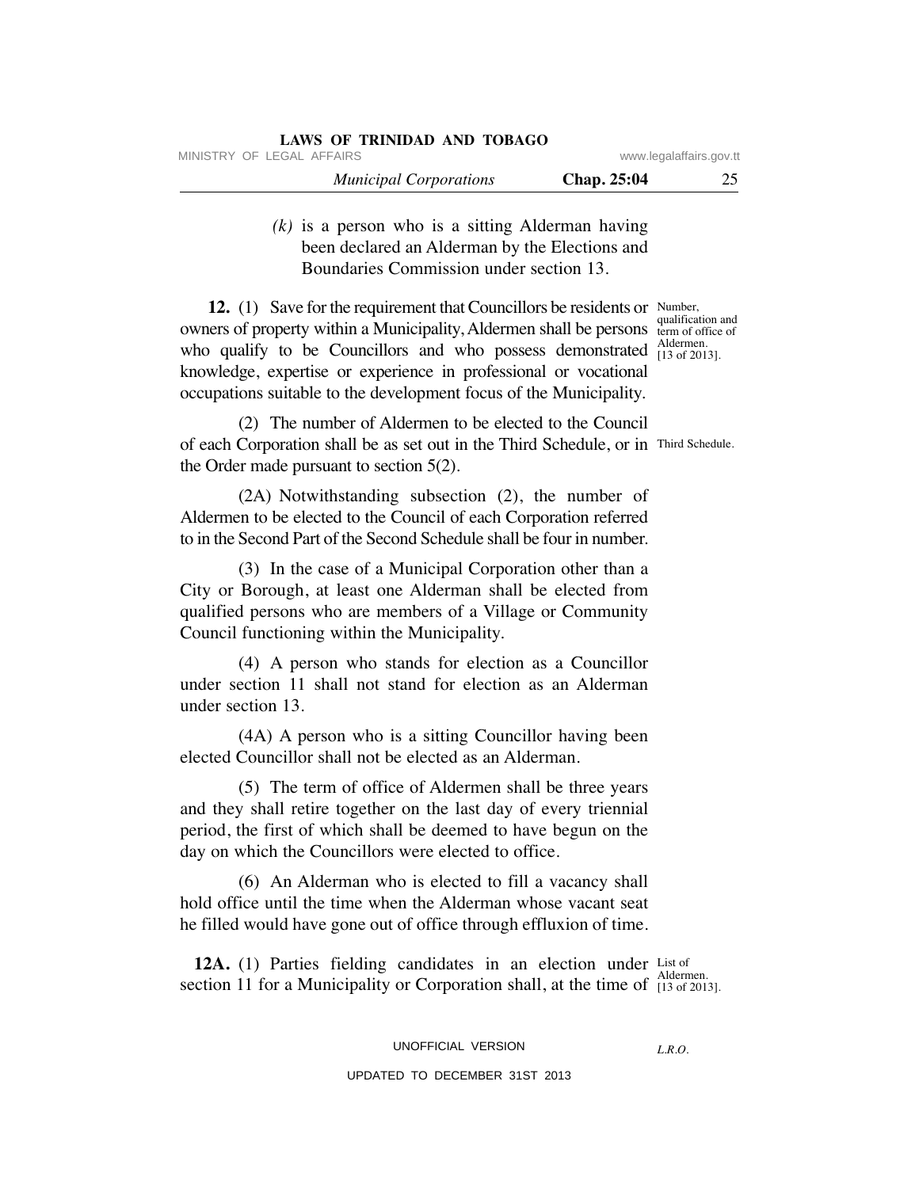| MINISTRY OF LEGAL AFFAIRS     | www.legalaffairs.gov.tt |  |
|-------------------------------|-------------------------|--|
| <b>Municipal Corporations</b> | Chap. 25:04             |  |
|                               |                         |  |

 *(k)* is a person who is a sitting Alderman having been declared an Alderman by the Elections and Boundaries Commission under section 13.

**12.** (1) Save for the requirement that Councillors be residents or owners of property within a Municipality, Aldermen shall be persons who qualify to be Councillors and who possess demonstrated  $^{Aldermen}_{[13 of 201]}$ knowledge, expertise or experience in professional or vocational occupations suitable to the development focus of the Municipality.

**LAWS OF TRINIDAD AND TOBAGO**

 (2) The number of Aldermen to be elected to the Council of each Corporation shall be as set out in the Third Schedule, or in Third Schedule. the Order made pursuant to section 5(2).

 (2A) Notwithstanding subsection (2), the number of Aldermen to be elected to the Council of each Corporation referred to in the Second Part of the Second Schedule shall be four in number.

 (3) In the case of a Municipal Corporation other than a City or Borough, at least one Alderman shall be elected from qualified persons who are members of a Village or Community Council functioning within the Municipality.

 (4) A person who stands for election as a Councillor under section 11 shall not stand for election as an Alderman under section 13.

 (4A) A person who is a sitting Councillor having been elected Councillor shall not be elected as an Alderman.

 (5) The term of office of Aldermen shall be three years and they shall retire together on the last day of every triennial period, the first of which shall be deemed to have begun on the day on which the Councillors were elected to office.

 (6) An Alderman who is elected to fill a vacancy shall hold office until the time when the Alderman whose vacant seat he filled would have gone out of office through effluxion of time.

**12A.** (1) Parties fielding candidates in an election under List of section 11 for a Municipality or Corporation shall, at the time of  $\frac{\text{Aldermen.}}{113 \text{ of } 201}$ [13 of 2013].

*L.R.O.* 

UPDATED TO DECEMBER 31ST 2013

Number, qualification and term of office of [13 of 2013].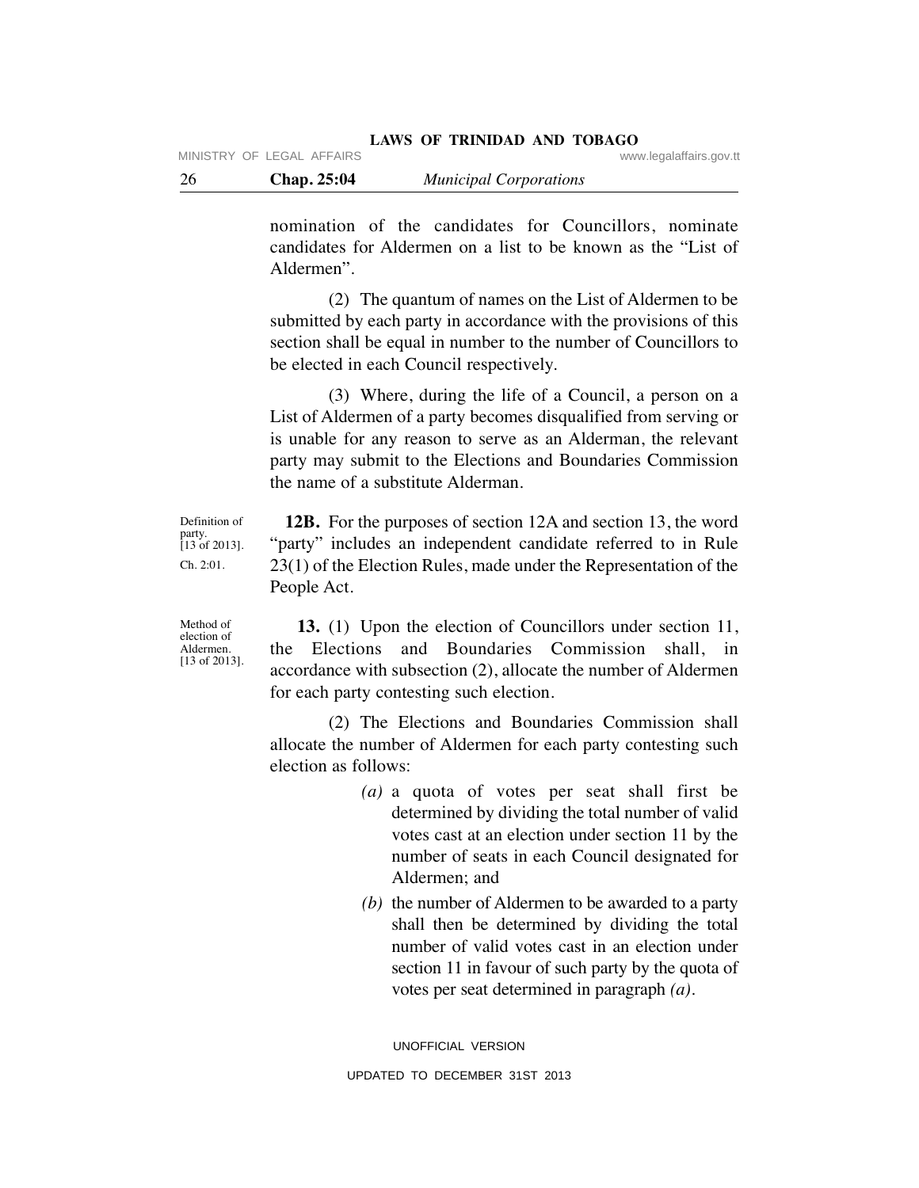| -26<br><b>Chap. 25:04</b><br><b>Municipal Corporations</b> |  |
|------------------------------------------------------------|--|
|------------------------------------------------------------|--|

nomination of the candidates for Councillors, nominate candidates for Aldermen on a list to be known as the "List of Aldermen".

 (2) The quantum of names on the List of Aldermen to be submitted by each party in accordance with the provisions of this section shall be equal in number to the number of Councillors to be elected in each Council respectively.

 (3) Where, during the life of a Council, a person on a List of Aldermen of a party becomes disqualified from serving or is unable for any reason to serve as an Alderman, the relevant party may submit to the Elections and Boundaries Commission the name of a substitute Alderman.

Definition of party. [13 of 2013]. Ch. 2:01.

 **12B.** For the purposes of section 12A and section 13, the word "party" includes an independent candidate referred to in Rule 23(1) of the Election Rules, made under the Representation of the People Act.

Method of election of Aldermen. [13 of 2013].

 **13.** (1) Upon the election of Councillors under section 11, the Elections and Boundaries Commission shall, in accordance with subsection (2), allocate the number of Aldermen for each party contesting such election.

 (2) The Elections and Boundaries Commission shall allocate the number of Aldermen for each party contesting such election as follows:

- *(a)* a quota of votes per seat shall first be determined by dividing the total number of valid votes cast at an election under section 11 by the number of seats in each Council designated for Aldermen; and
- *(b)* the number of Aldermen to be awarded to a party shall then be determined by dividing the total number of valid votes cast in an election under section 11 in favour of such party by the quota of votes per seat determined in paragraph *(a)*.

UNOFFICIAL VERSION UPDATED TO DECEMBER 31ST 2013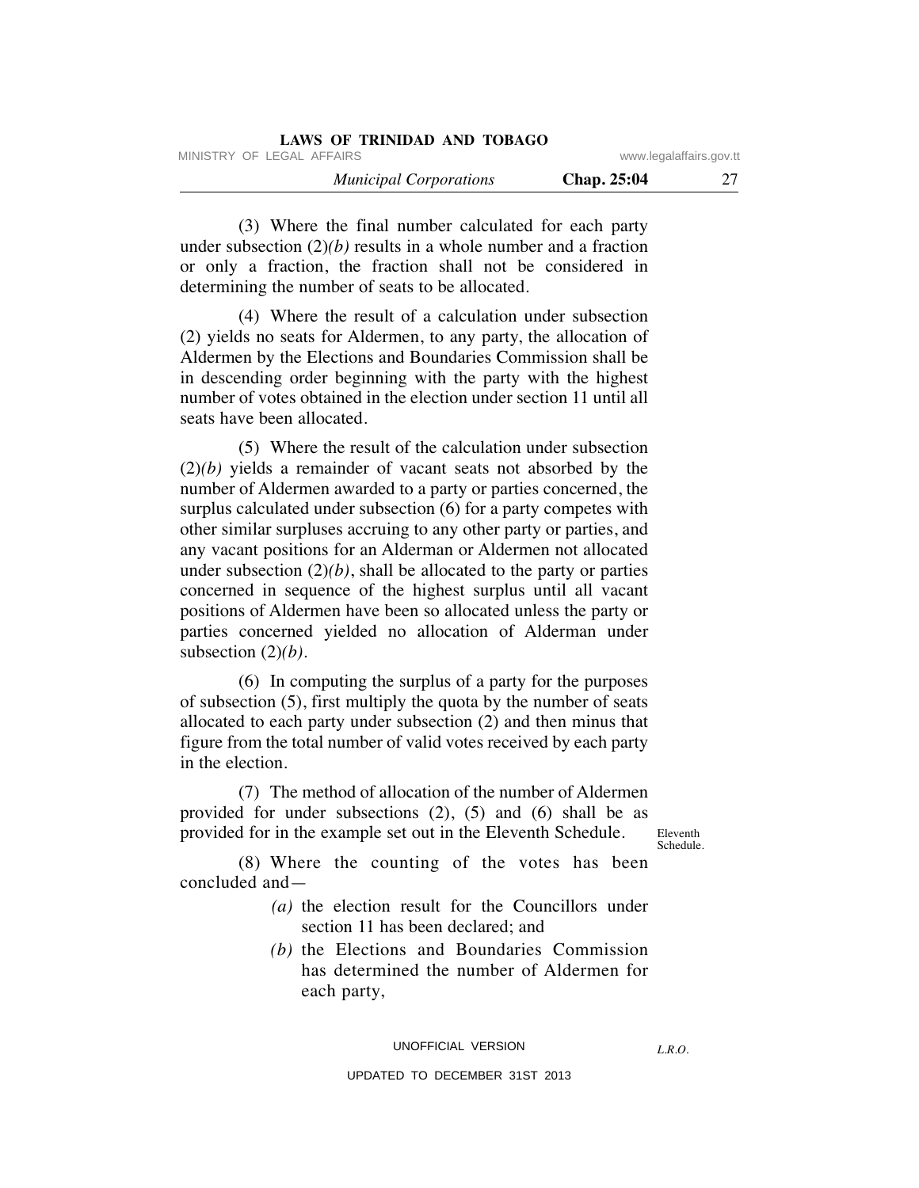| LAWS OF TRINIDAD AND TOBAGO   |                         |  |
|-------------------------------|-------------------------|--|
| MINISTRY OF LEGAL AFFAIRS     | www.legalaffairs.gov.tt |  |
| <b>Municipal Corporations</b> | Chap. 25:04             |  |

 (3) Where the final number calculated for each party under subsection  $(2)(b)$  results in a whole number and a fraction or only a fraction, the fraction shall not be considered in determining the number of seats to be allocated.

 (4) Where the result of a calculation under subsection (2) yields no seats for Aldermen, to any party, the allocation of Aldermen by the Elections and Boundaries Commission shall be in descending order beginning with the party with the highest number of votes obtained in the election under section 11 until all seats have been allocated.

 (5) Where the result of the calculation under subsection (2)*(b)* yields a remainder of vacant seats not absorbed by the number of Aldermen awarded to a party or parties concerned, the surplus calculated under subsection (6) for a party competes with other similar surpluses accruing to any other party or parties, and any vacant positions for an Alderman or Aldermen not allocated under subsection  $(2)(b)$ , shall be allocated to the party or parties concerned in sequence of the highest surplus until all vacant positions of Aldermen have been so allocated unless the party or parties concerned yielded no allocation of Alderman under subsection (2)*(b)*.

 (6) In computing the surplus of a party for the purposes of subsection (5), first multiply the quota by the number of seats allocated to each party under subsection (2) and then minus that figure from the total number of valid votes received by each party in the election.

 (7) The method of allocation of the number of Aldermen provided for under subsections (2), (5) and (6) shall be as provided for in the example set out in the Eleventh Schedule.

Eleventh Schedule.

 (8) Where the counting of the votes has been concluded and—

- *(a)* the election result for the Councillors under section 11 has been declared; and
- *(b)* the Elections and Boundaries Commission has determined the number of Aldermen for each party,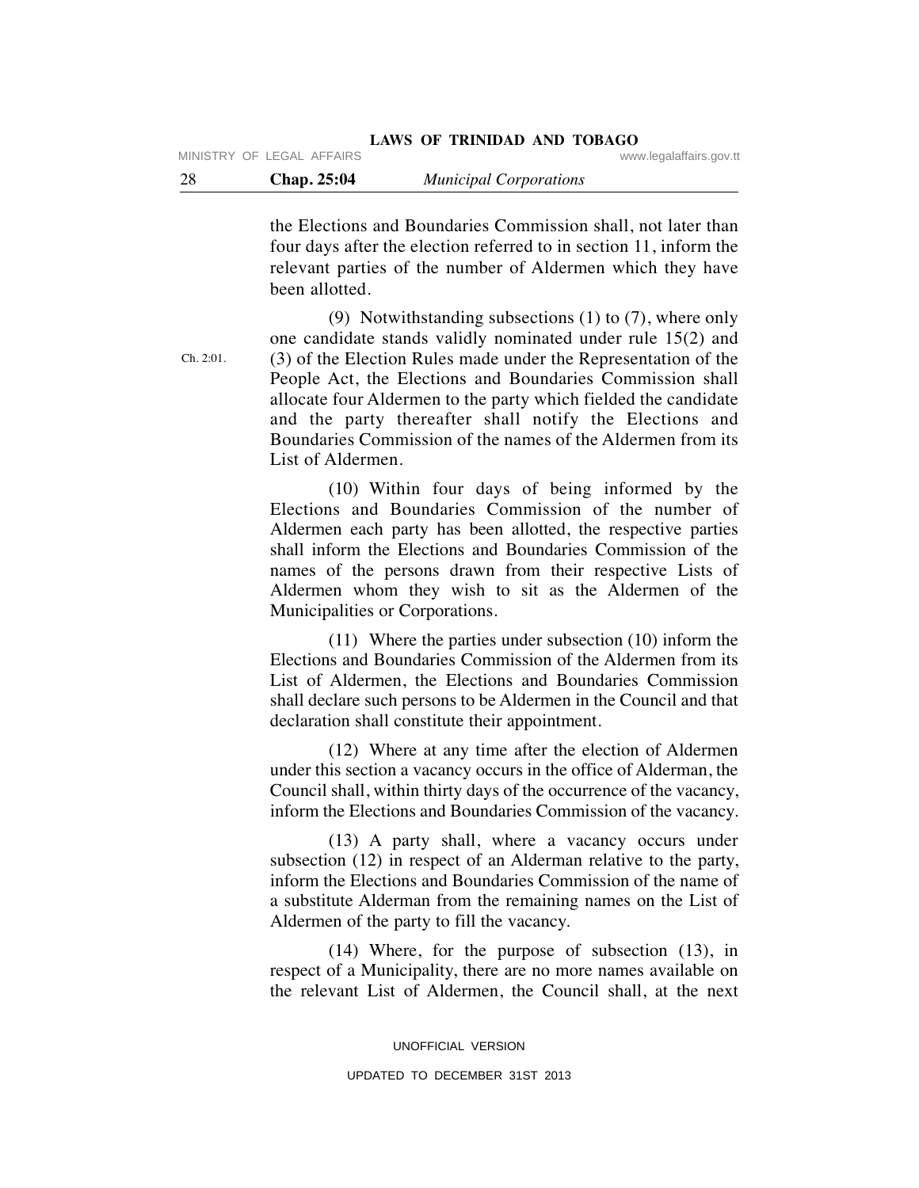the Elections and Boundaries Commission shall, not later than four days after the election referred to in section 11, inform the relevant parties of the number of Aldermen which they have been allotted.

 (9) Notwithstanding subsections (1) to (7), where only one candidate stands validly nominated under rule 15(2) and (3) of the Election Rules made under the Representation of the People Act, the Elections and Boundaries Commission shall allocate four Aldermen to the party which fielded the candidate and the party thereafter shall notify the Elections and Boundaries Commission of the names of the Aldermen from its List of Aldermen.

 (10) Within four days of being informed by the Elections and Boundaries Commission of the number of Aldermen each party has been allotted, the respective parties shall inform the Elections and Boundaries Commission of the names of the persons drawn from their respective Lists of Aldermen whom they wish to sit as the Aldermen of the Municipalities or Corporations.

 (11) Where the parties under subsection (10) inform the Elections and Boundaries Commission of the Aldermen from its List of Aldermen, the Elections and Boundaries Commission shall declare such persons to be Aldermen in the Council and that declaration shall constitute their appointment.

 (12) Where at any time after the election of Aldermen under this section a vacancy occurs in the office of Alderman, the Council shall, within thirty days of the occurrence of the vacancy, inform the Elections and Boundaries Commission of the vacancy.

 (13) A party shall, where a vacancy occurs under subsection (12) in respect of an Alderman relative to the party, inform the Elections and Boundaries Commission of the name of a substitute Alderman from the remaining names on the List of Aldermen of the party to fill the vacancy.

 (14) Where, for the purpose of subsection (13), in respect of a Municipality, there are no more names available on the relevant List of Aldermen, the Council shall, at the next

> UNOFFICIAL VERSION UPDATED TO DECEMBER 31ST 2013

Ch. 2:01.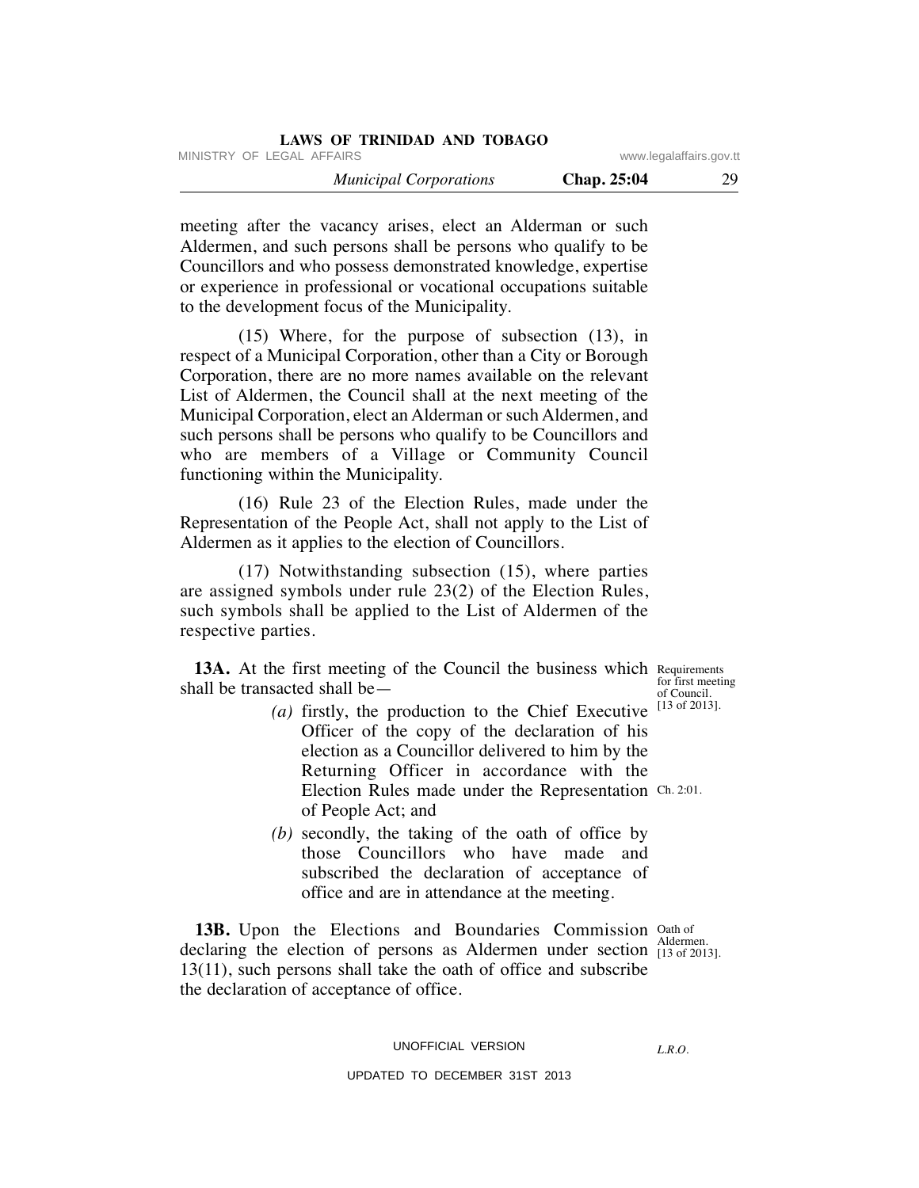|                         | LAWS OF TRINIDAD AND TOBAGO   |
|-------------------------|-------------------------------|
| www.legalaffairs.gov.tt | MINISTRY OF LEGAL AFFAIRS     |
| 29<br>Chap. 25:04       | <b>Municipal Corporations</b> |

meeting after the vacancy arises, elect an Alderman or such Aldermen, and such persons shall be persons who qualify to be Councillors and who possess demonstrated knowledge, expertise or experience in professional or vocational occupations suitable to the development focus of the Municipality.

 (15) Where, for the purpose of subsection (13), in respect of a Municipal Corporation, other than a City or Borough Corporation, there are no more names available on the relevant List of Aldermen, the Council shall at the next meeting of the Municipal Corporation, elect an Alderman or such Aldermen, and such persons shall be persons who qualify to be Councillors and who are members of a Village or Community Council functioning within the Municipality.

 (16) Rule 23 of the Election Rules, made under the Representation of the People Act, shall not apply to the List of Aldermen as it applies to the election of Councillors.

 (17) Notwithstanding subsection (15), where parties are assigned symbols under rule 23(2) of the Election Rules, such symbols shall be applied to the List of Aldermen of the respective parties.

13A. At the first meeting of the Council the business which Requirements shall be transacted shall be—

- *(a)* firstly, the production to the Chief Executive Officer of the copy of the declaration of his election as a Councillor delivered to him by the Returning Officer in accordance with the Election Rules made under the Representation Ch. 2:01. of People Act; and
- *(b)* secondly, the taking of the oath of office by those Councillors who have made and subscribed the declaration of acceptance of office and are in attendance at the meeting.

**13B.** Upon the Elections and Boundaries Commission Oath of declaring the election of persons as Aldermen under section [13 of 201] 13(11), such persons shall take the oath of office and subscribe the declaration of acceptance of office. [13 of 2013].

#### UNOFFICIAL VERSION

*L.R.O.* 

UPDATED TO DECEMBER 31ST 2013

for first meeting of Council. [13 of 2013].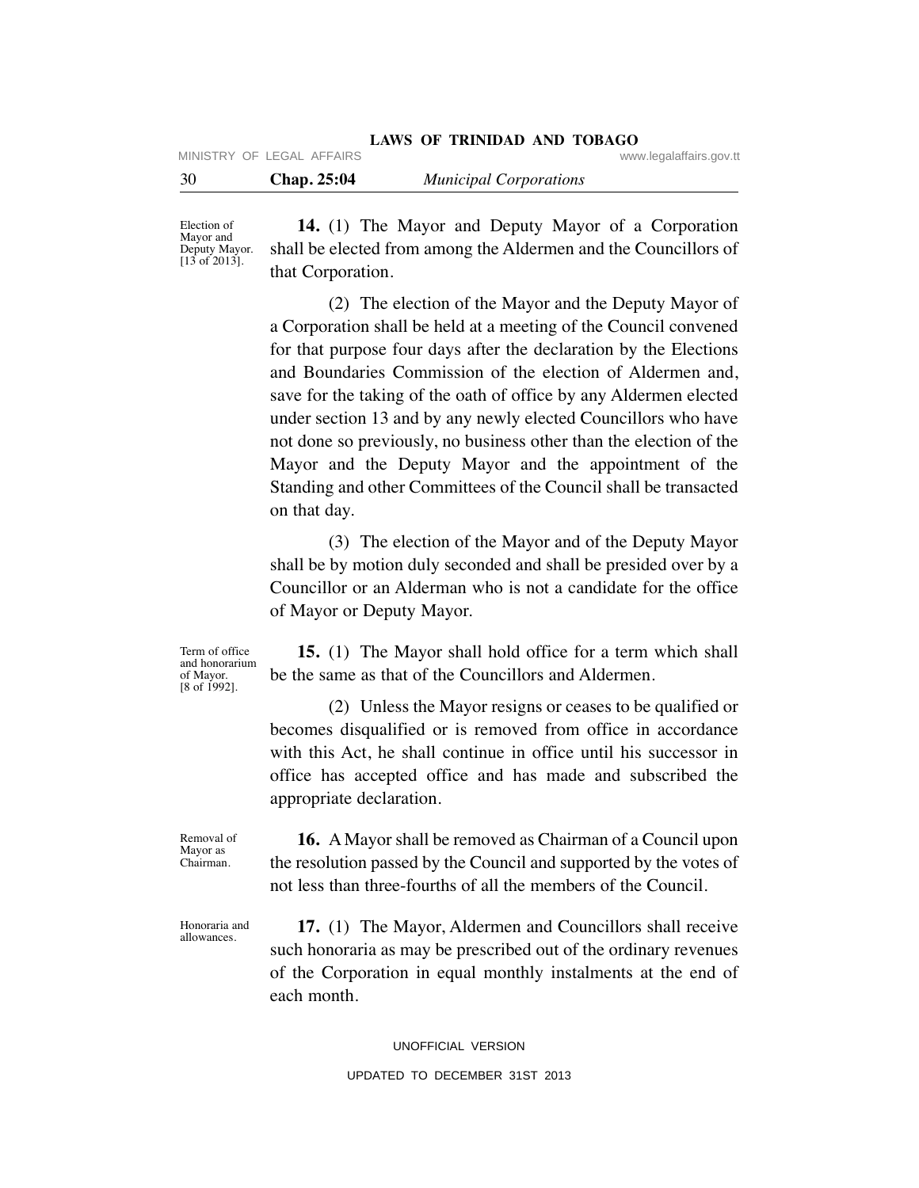|      | MINISTRY OF LEGAL AFFAIRS |                               | www.legalaffairs.gov.tt |
|------|---------------------------|-------------------------------|-------------------------|
| - 30 | Chap. 25:04               | <b>Municipal Corporations</b> |                         |

Election of Mayor and Deputy Mayor.  $[13 \text{ of } 2013]$ .

 **14.** (1) The Mayor and Deputy Mayor of a Corporation shall be elected from among the Aldermen and the Councillors of that Corporation.

**LAWS OF TRINIDAD AND TOBAGO**

 (2) The election of the Mayor and the Deputy Mayor of a Corporation shall be held at a meeting of the Council convened for that purpose four days after the declaration by the Elections and Boundaries Commission of the election of Aldermen and, save for the taking of the oath of office by any Aldermen elected under section 13 and by any newly elected Councillors who have not done so previously, no business other than the election of the Mayor and the Deputy Mayor and the appointment of the Standing and other Committees of the Council shall be transacted on that day.

 (3) The election of the Mayor and of the Deputy Mayor shall be by motion duly seconded and shall be presided over by a Councillor or an Alderman who is not a candidate for the office of Mayor or Deputy Mayor.

Term of office and honorarium of Mayor. [8 of 1992].

 **15.** (1) The Mayor shall hold office for a term which shall be the same as that of the Councillors and Aldermen.

 (2) Unless the Mayor resigns or ceases to be qualified or becomes disqualified or is removed from office in accordance with this Act, he shall continue in office until his successor in office has accepted office and has made and subscribed the appropriate declaration.

Removal of Mayor as Chairman.

allowances.

 **16.** A Mayor shall be removed as Chairman of a Council upon the resolution passed by the Council and supported by the votes of not less than three-fourths of all the members of the Council.

 **17.** (1) The Mayor, Aldermen and Councillors shall receive such honoraria as may be prescribed out of the ordinary revenues of the Corporation in equal monthly instalments at the end of each month. Honoraria and

UNOFFICIAL VERSION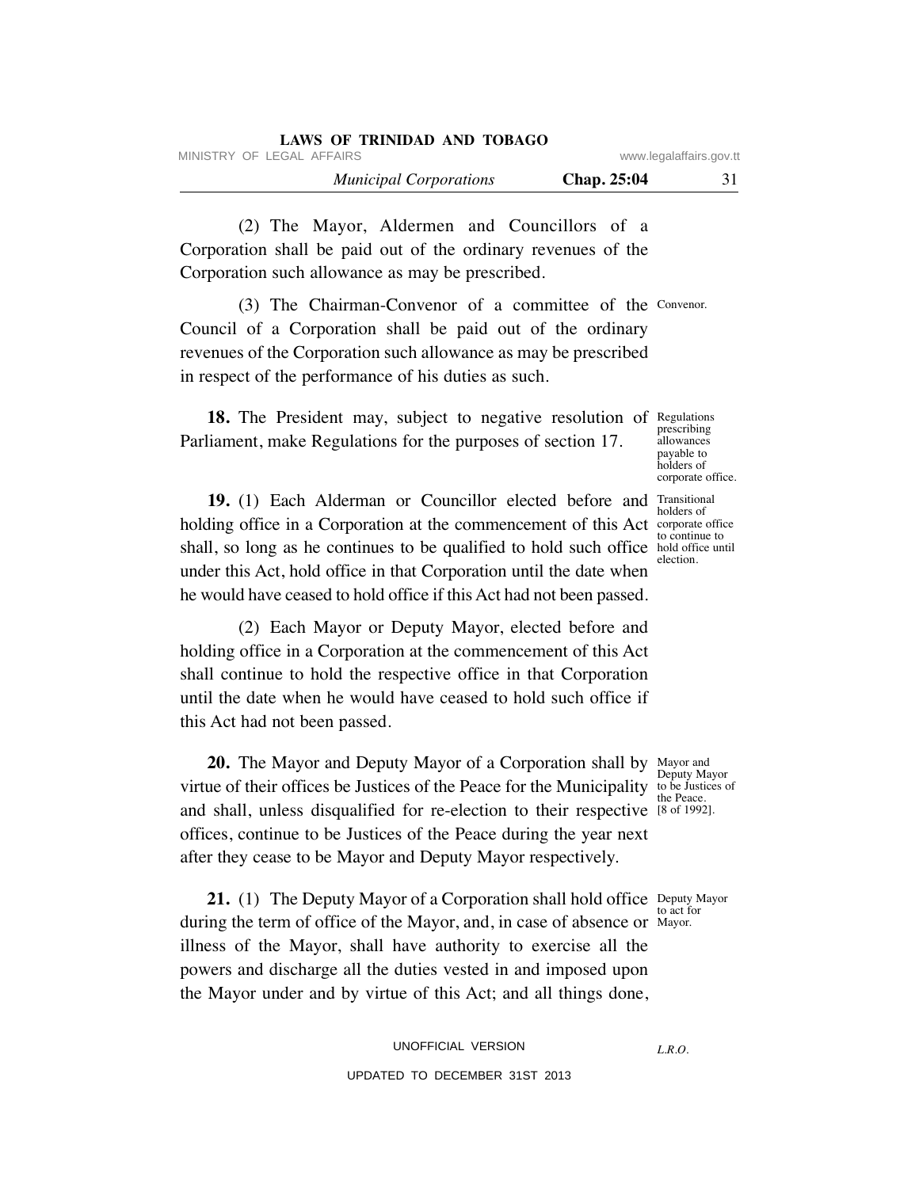| LAWS OF TRINIDAD AND TOBAGO   |                         |    |
|-------------------------------|-------------------------|----|
| MINISTRY OF LEGAL AFFAIRS     | www.legalaffairs.gov.tt |    |
| <b>Municipal Corporations</b> | Chap. 25:04             | 31 |

 (2) The Mayor, Aldermen and Councillors of a Corporation shall be paid out of the ordinary revenues of the Corporation such allowance as may be prescribed.

 (3) The Chairman-Convenor of a committee of the Convenor. Council of a Corporation shall be paid out of the ordinary revenues of the Corporation such allowance as may be prescribed in respect of the performance of his duties as such.

18. The President may, subject to negative resolution of Regulations Parliament, make Regulations for the purposes of section 17.

**19.** (1) Each Alderman or Councillor elected before and Transitional holding office in a Corporation at the commencement of this Act corporate office shall, so long as he continues to be qualified to hold such office hold office until under this Act, hold office in that Corporation until the date when

 (2) Each Mayor or Deputy Mayor, elected before and holding office in a Corporation at the commencement of this Act shall continue to hold the respective office in that Corporation until the date when he would have ceased to hold such office if this Act had not been passed.

he would have ceased to hold office if this Act had not been passed.

**20.** The Mayor and Deputy Mayor of a Corporation shall by Mayor and virtue of their offices be Justices of the Peace for the Municipality to be Justices of and shall, unless disqualified for re-election to their respective [8 of 1992]. offices, continue to be Justices of the Peace during the year next after they cease to be Mayor and Deputy Mayor respectively.

**21.** (1) The Deputy Mayor of a Corporation shall hold office Deputy Mayor during the term of office of the Mayor, and, in case of absence or Mayor. illness of the Mayor, shall have authority to exercise all the powers and discharge all the duties vested in and imposed upon the Mayor under and by virtue of this Act; and all things done,

> UNOFFICIAL VERSION UPDATED TO DECEMBER 31ST 2013

Deputy Mayor the Peace.

to act for

*L.R.O.* 

prescribing allowances payable to holders of corporate office.

holders of to continue to election.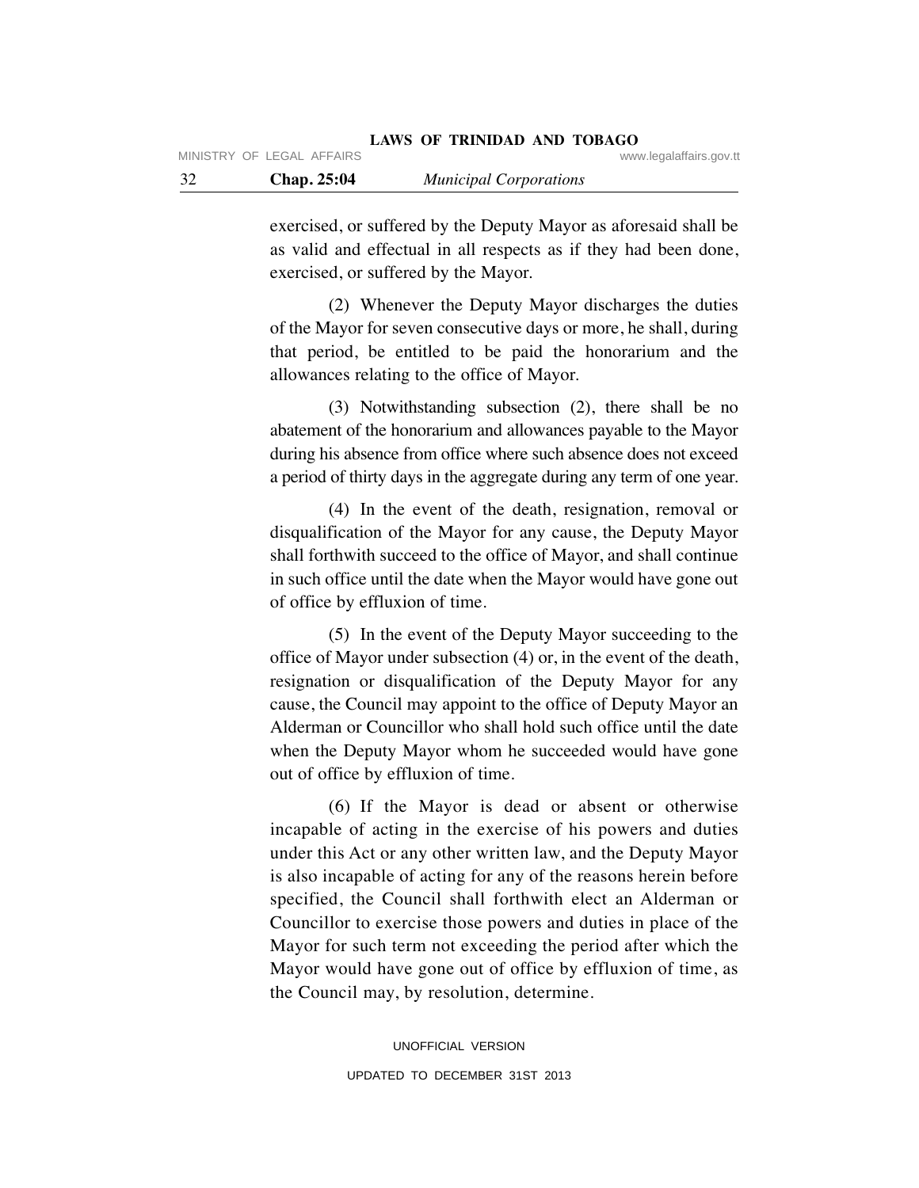exercised, or suffered by the Deputy Mayor as aforesaid shall be as valid and effectual in all respects as if they had been done, exercised, or suffered by the Mayor.

 (2) Whenever the Deputy Mayor discharges the duties of the Mayor for seven consecutive days or more, he shall, during that period, be entitled to be paid the honorarium and the allowances relating to the office of Mayor.

 (3) Notwithstanding subsection (2), there shall be no abatement of the honorarium and allowances payable to the Mayor during his absence from office where such absence does not exceed a period of thirty days in the aggregate during any term of one year.

 (4) In the event of the death, resignation, removal or disqualification of the Mayor for any cause, the Deputy Mayor shall forthwith succeed to the office of Mayor, and shall continue in such office until the date when the Mayor would have gone out of office by effluxion of time.

 (5) In the event of the Deputy Mayor succeeding to the office of Mayor under subsection (4) or, in the event of the death, resignation or disqualification of the Deputy Mayor for any cause, the Council may appoint to the office of Deputy Mayor an Alderman or Councillor who shall hold such office until the date when the Deputy Mayor whom he succeeded would have gone out of office by effluxion of time.

 (6) If the Mayor is dead or absent or otherwise incapable of acting in the exercise of his powers and duties under this Act or any other written law, and the Deputy Mayor is also incapable of acting for any of the reasons herein before specified, the Council shall forthwith elect an Alderman or Councillor to exercise those powers and duties in place of the Mayor for such term not exceeding the period after which the Mayor would have gone out of office by effluxion of time, as the Council may, by resolution, determine.

> UNOFFICIAL VERSION UPDATED TO DECEMBER 31ST 2013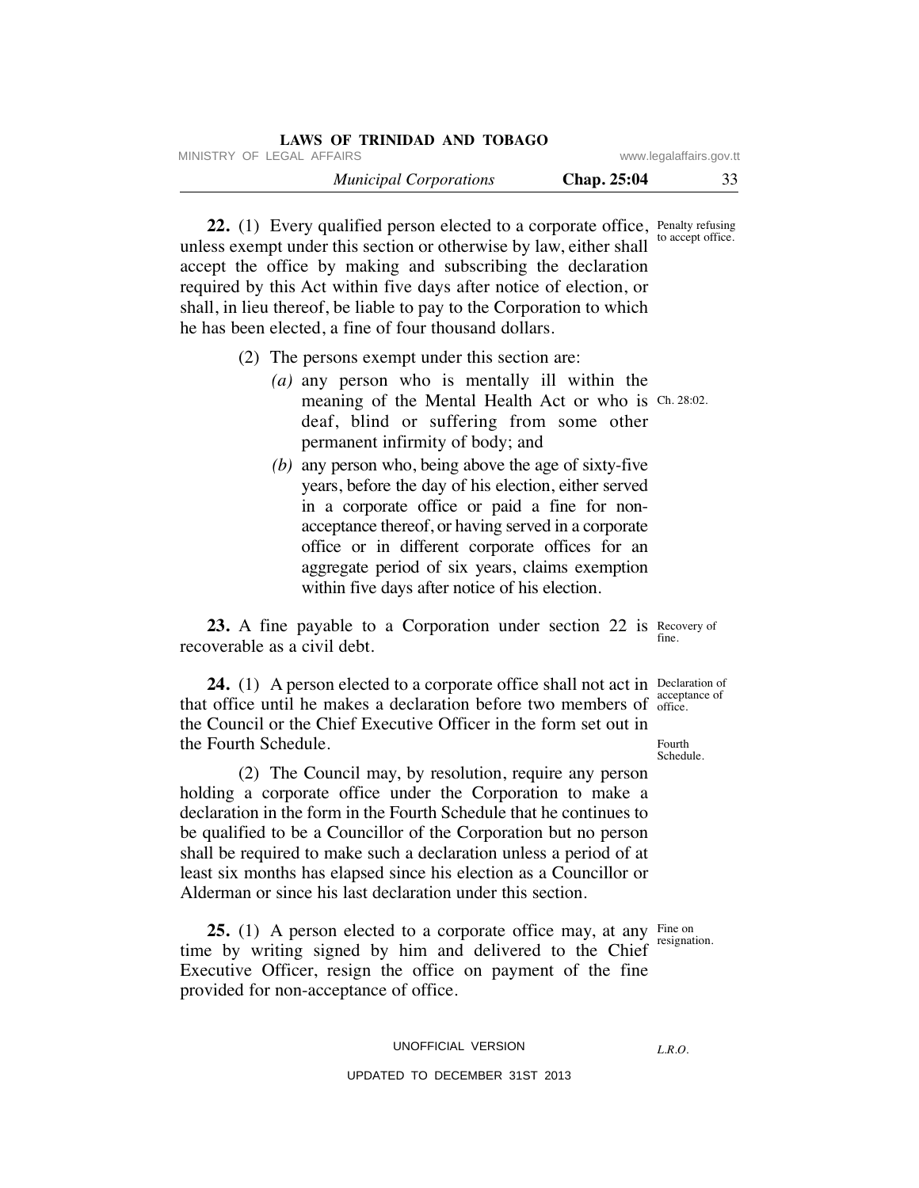| LAWS OF TRINIDAD AND TOBAGO   |             |                         |
|-------------------------------|-------------|-------------------------|
| MINISTRY OF LEGAL AFFAIRS     |             | www.legalaffairs.gov.tt |
| <b>Municipal Corporations</b> | Chap. 25:04 | 33                      |

**22.** (1) Every qualified person elected to a corporate office, Penalty refusing unless exempt under this section or otherwise by law, either shall accept the office by making and subscribing the declaration required by this Act within five days after notice of election, or shall, in lieu thereof, be liable to pay to the Corporation to which he has been elected, a fine of four thousand dollars. to accept office.

- (2) The persons exempt under this section are:
	- *(a)* any person who is mentally ill within the meaning of the Mental Health Act or who is Ch. 28:02. deaf, blind or suffering from some other permanent infirmity of body; and
	- *(b)* any person who, being above the age of sixty-five years, before the day of his election, either served in a corporate office or paid a fine for nonacceptance thereof, or having served in a corporate office or in different corporate offices for an aggregate period of six years, claims exemption within five days after notice of his election.

**23.** A fine payable to a Corporation under section 22 is Recovery of recoverable as a civil debt. fine.

**24.** (1) A person elected to a corporate office shall not act in Declaration of that office until he makes a declaration before two members of office. the Council or the Chief Executive Officer in the form set out in the Fourth Schedule. Fourth

 (2) The Council may, by resolution, require any person holding a corporate office under the Corporation to make a declaration in the form in the Fourth Schedule that he continues to be qualified to be a Councillor of the Corporation but no person shall be required to make such a declaration unless a period of at least six months has elapsed since his election as a Councillor or Alderman or since his last declaration under this section.

**25.** (1) A person elected to a corporate office may, at any Fine on time by writing signed by him and delivered to the Chief Executive Officer, resign the office on payment of the fine provided for non-acceptance of office.

UNOFFICIAL VERSION

# UPDATED TO DECEMBER 31ST 2013

acceptance of

Schedule.

resignation.

*L.R.O.*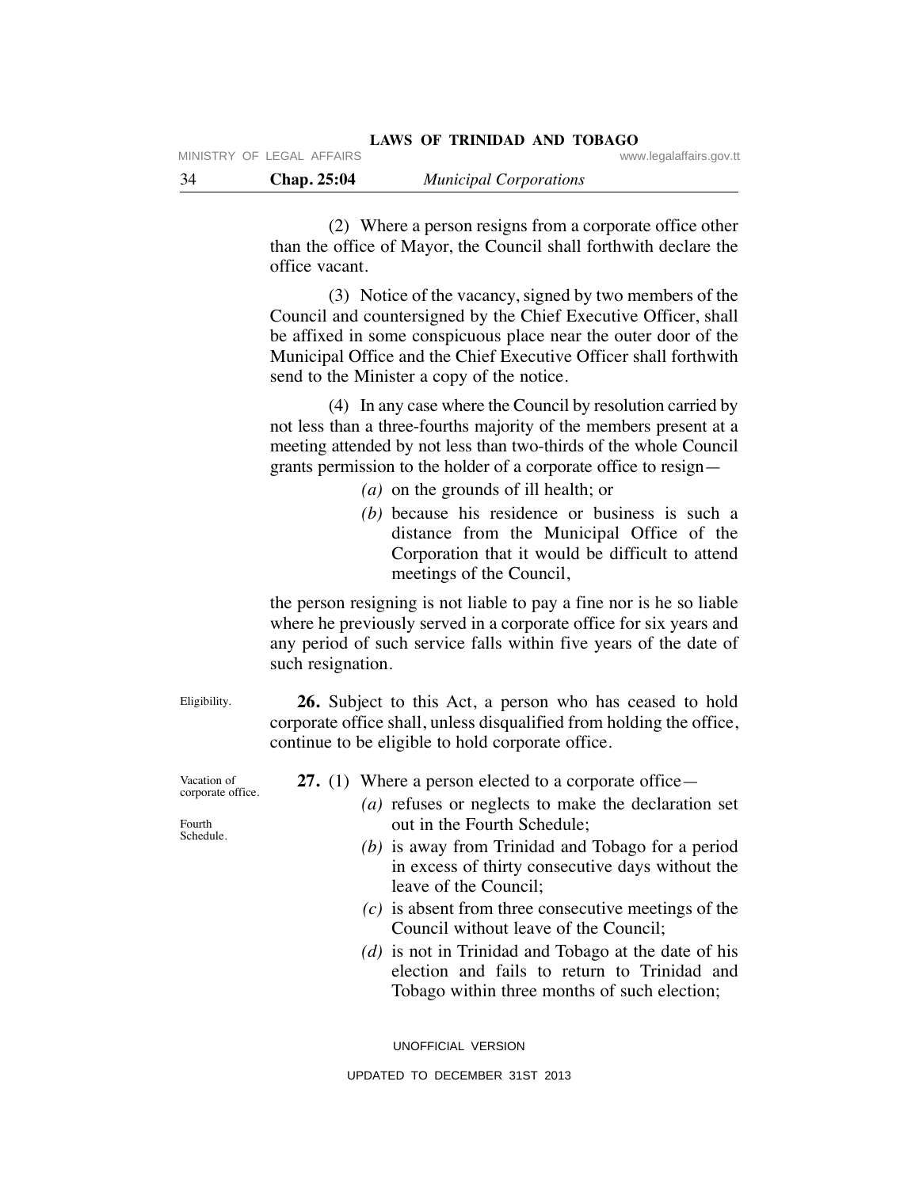|    | MINISTRY OF LEGAL AFFAIRS |                               | www.legalaffairs.gov.tt |
|----|---------------------------|-------------------------------|-------------------------|
| 34 | <b>Chap. 25:04</b>        | <b>Municipal Corporations</b> |                         |
|    |                           |                               |                         |

 (2) Where a person resigns from a corporate office other than the office of Mayor, the Council shall forthwith declare the office vacant.

**LAWS OF TRINIDAD AND TOBAGO**

 (3) Notice of the vacancy, signed by two members of the Council and countersigned by the Chief Executive Officer, shall be affixed in some conspicuous place near the outer door of the Municipal Office and the Chief Executive Officer shall forthwith send to the Minister a copy of the notice.

 (4) In any case where the Council by resolution carried by not less than a three-fourths majority of the members present at a meeting attended by not less than two-thirds of the whole Council grants permission to the holder of a corporate office to resign—

- *(a)* on the grounds of ill health; or
- *(b)* because his residence or business is such a distance from the Municipal Office of the Corporation that it would be difficult to attend meetings of the Council,

the person resigning is not liable to pay a fine nor is he so liable where he previously served in a corporate office for six years and any period of such service falls within five years of the date of such resignation.

 **26.** Subject to this Act, a person who has ceased to hold corporate office shall, unless disqualified from holding the office, continue to be eligible to hold corporate office.

- **27.** (1) Where a person elected to a corporate office—
	- *(a)* refuses or neglects to make the declaration set out in the Fourth Schedule;
	- *(b)* is away from Trinidad and Tobago for a period in excess of thirty consecutive days without the leave of the Council;
	- *(c)* is absent from three consecutive meetings of the Council without leave of the Council;
	- *(d)* is not in Trinidad and Tobago at the date of his election and fails to return to Trinidad and Tobago within three months of such election;

UNOFFICIAL VERSION

Fourth Schedule.

Vacation of corporate office.

Eligibility.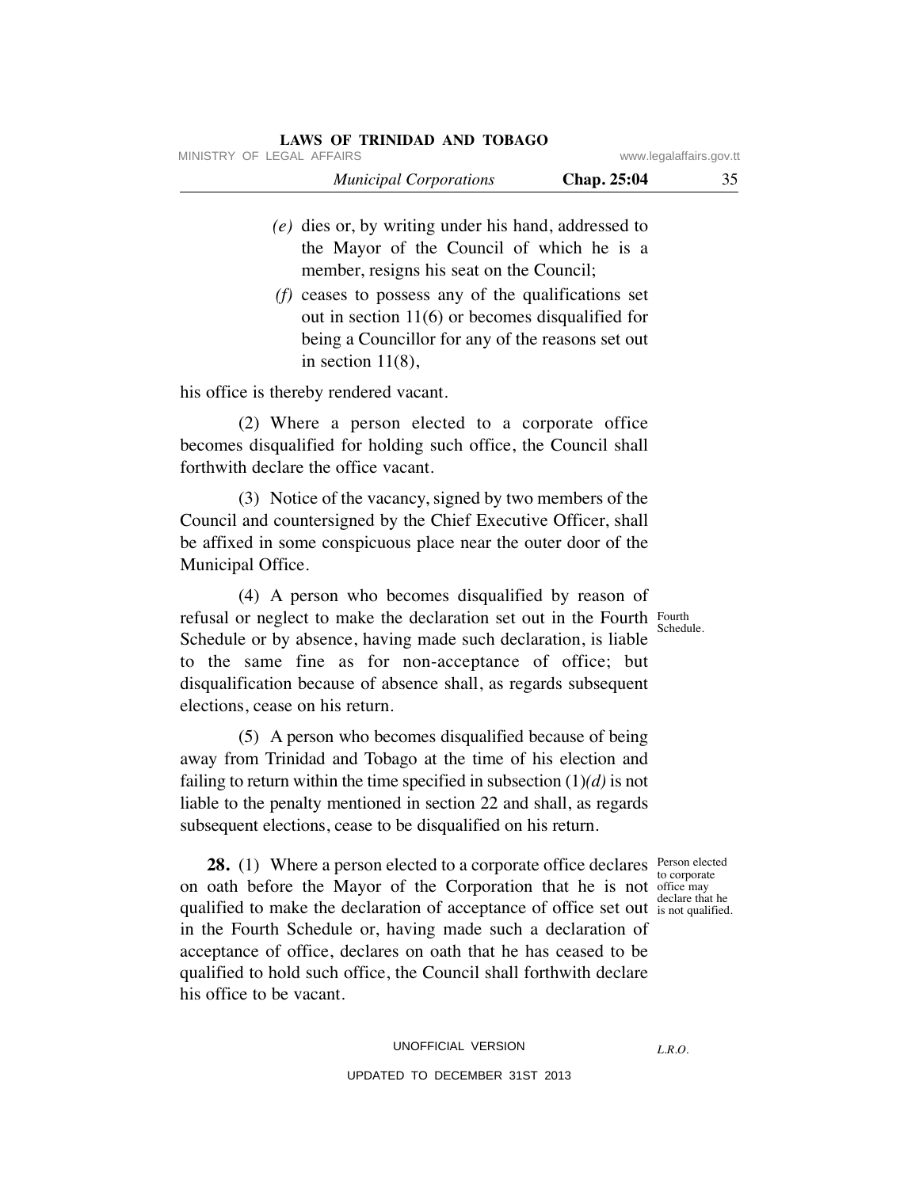| LAWS OF TRINIDAD AND TOBAGO   |                         |    |
|-------------------------------|-------------------------|----|
| MINISTRY OF LEGAL AFFAIRS     | www.legalaffairs.gov.tt |    |
| <b>Municipal Corporations</b> | <b>Chap.</b> 25:04      | 35 |

- *(e)* dies or, by writing under his hand, addressed to the Mayor of the Council of which he is a member, resigns his seat on the Council;
- *(f)* ceases to possess any of the qualifications set out in section 11(6) or becomes disqualified for being a Councillor for any of the reasons set out in section  $11(8)$ ,

his office is thereby rendered vacant.

 (2) Where a person elected to a corporate office becomes disqualified for holding such office, the Council shall forthwith declare the office vacant.

 (3) Notice of the vacancy, signed by two members of the Council and countersigned by the Chief Executive Officer, shall be affixed in some conspicuous place near the outer door of the Municipal Office.

 (4) A person who becomes disqualified by reason of refusal or neglect to make the declaration set out in the Fourth Fourth Schedule or by absence, having made such declaration, is liable to the same fine as for non-acceptance of office; but disqualification because of absence shall, as regards subsequent elections, cease on his return.

 (5) A person who becomes disqualified because of being away from Trinidad and Tobago at the time of his election and failing to return within the time specified in subsection (1)*(d)* is not liable to the penalty mentioned in section 22 and shall, as regards subsequent elections, cease to be disqualified on his return.

**28.** (1) Where a person elected to a corporate office declares Person elected on oath before the Mayor of the Corporation that he is not office may qualified to make the declaration of acceptance of office set out is not qualified in the Fourth Schedule or, having made such a declaration of acceptance of office, declares on oath that he has ceased to be qualified to hold such office, the Council shall forthwith declare his office to be vacant.

Schedule.

to corporate is not qualified.

*L.R.O.*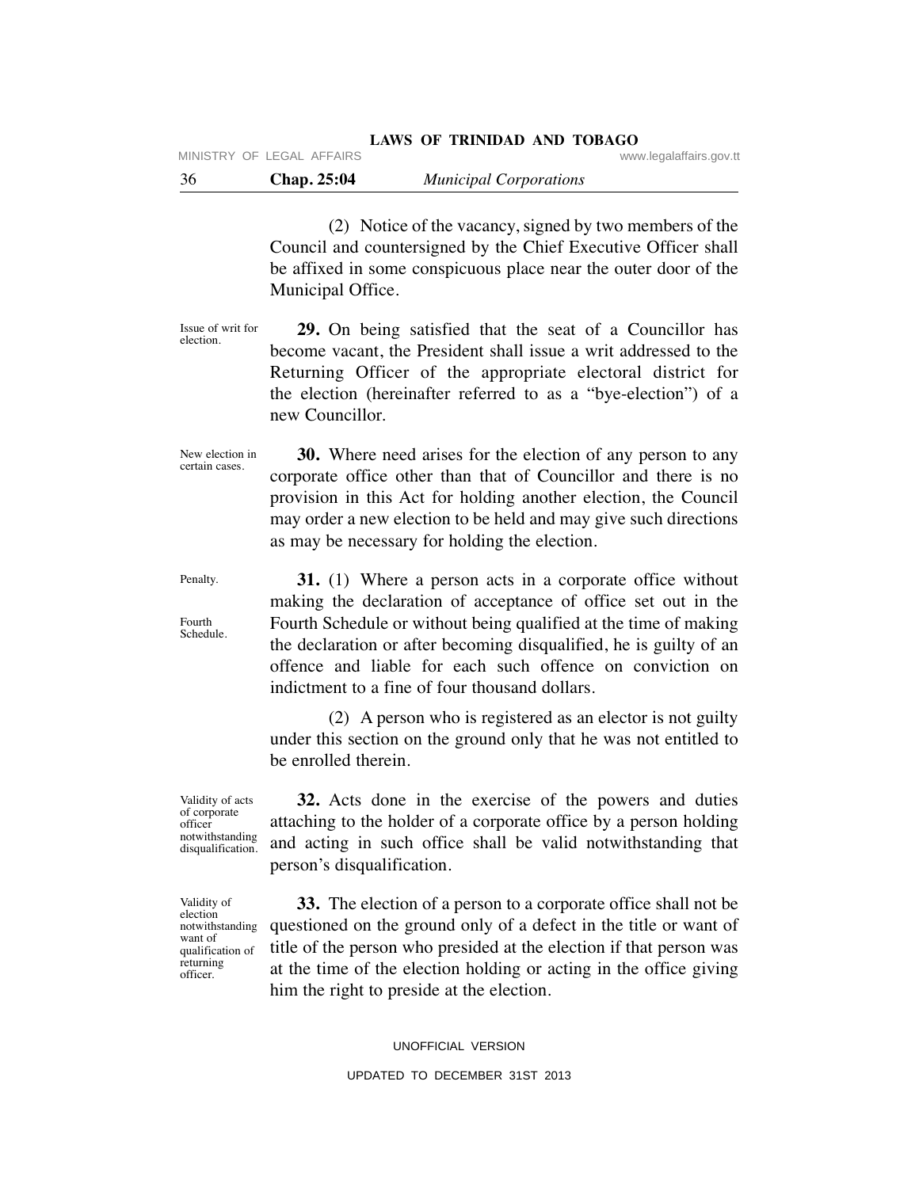(2) Notice of the vacancy, signed by two members of the Council and countersigned by the Chief Executive Officer shall be affixed in some conspicuous place near the outer door of the Municipal Office.

 **29.** On being satisfied that the seat of a Councillor has become vacant, the President shall issue a writ addressed to the Returning Officer of the appropriate electoral district for the election (hereinafter referred to as a "bye-election") of a new Councillor. Issue of writ for election.

 **30.** Where need arises for the election of any person to any corporate office other than that of Councillor and there is no provision in this Act for holding another election, the Council may order a new election to be held and may give such directions as may be necessary for holding the election. New election in certain cases.

 **31.** (1) Where a person acts in a corporate office without making the declaration of acceptance of office set out in the Fourth Schedule or without being qualified at the time of making the declaration or after becoming disqualified, he is guilty of an offence and liable for each such offence on conviction on indictment to a fine of four thousand dollars. Schedule.

> (2) A person who is registered as an elector is not guilty under this section on the ground only that he was not entitled to be enrolled therein.

Validity of acts of corporate officer notwithstanding disqualification.

Penalty.

Fourth

Validity of election notwithstanding want of qualification of returning officer.

 **32.** Acts done in the exercise of the powers and duties attaching to the holder of a corporate office by a person holding and acting in such office shall be valid notwithstanding that person's disqualification.

 **33.** The election of a person to a corporate office shall not be questioned on the ground only of a defect in the title or want of title of the person who presided at the election if that person was at the time of the election holding or acting in the office giving him the right to preside at the election.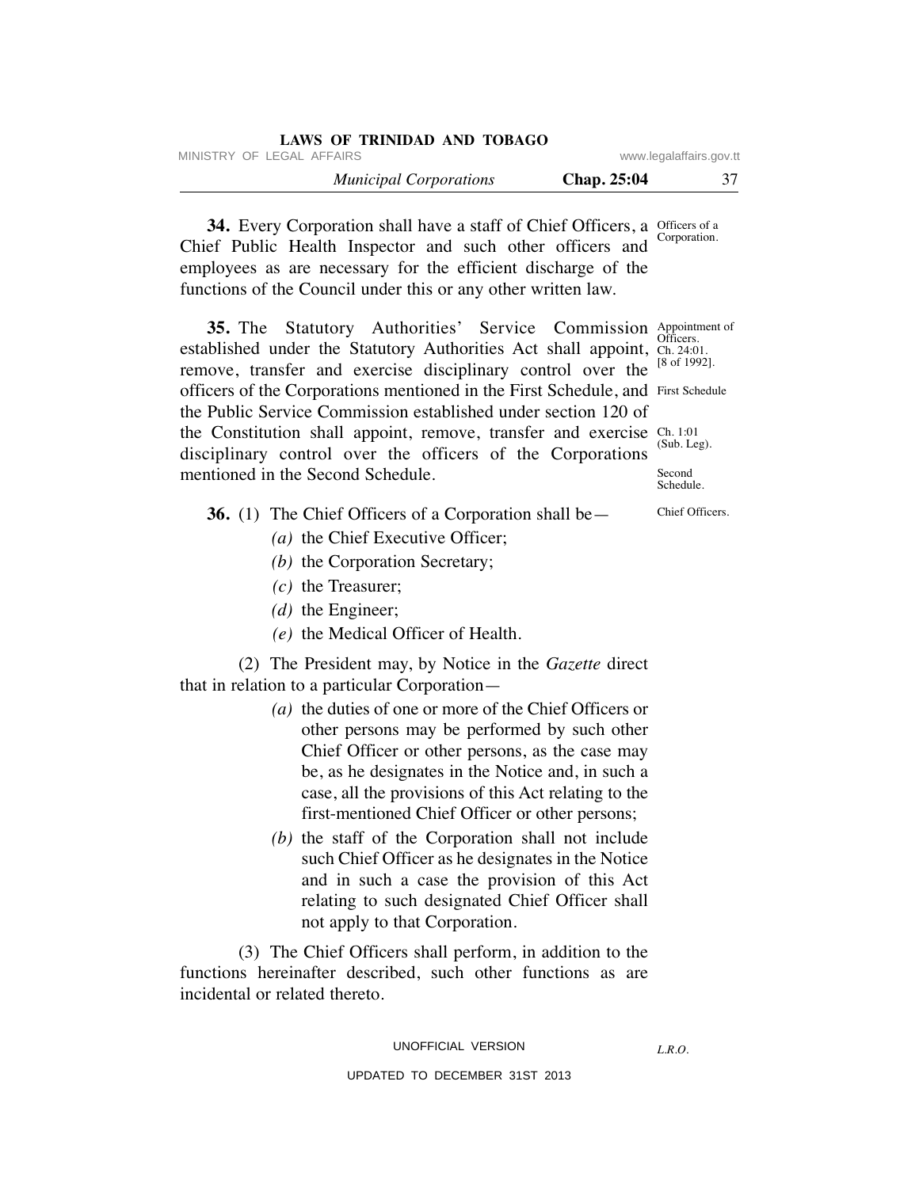| LAWS OF TRINIDAD AND TOBAGO   |                    |                         |
|-------------------------------|--------------------|-------------------------|
| MINISTRY OF LEGAL AFFAIRS     |                    | www.legalaffairs.gov.tt |
| <b>Municipal Corporations</b> | <b>Chap.</b> 25:04 | 37                      |

**34.** Every Corporation shall have a staff of Chief Officers, a Officers of a Chief Public Health Inspector and such other officers and employees as are necessary for the efficient discharge of the functions of the Council under this or any other written law. Corporation.

**35.** The Statutory Authorities' Service Commission Appointment of established under the Statutory Authorities Act shall appoint, Ch. 24:0 remove, transfer and exercise disciplinary control over the [8 of 1992]. officers of the Corporations mentioned in the First Schedule, and First Schedule the Public Service Commission established under section 120 of the Constitution shall appoint, remove, transfer and exercise  $\frac{Ch. 1:01}{Ch. 1:01}$ disciplinary control over the officers of the Corporations mentioned in the Second Schedule. (Sub. Leg). **Second** Schedule.

# **36.** (1) The Chief Officers of a Corporation shall be—

- *(a)* the Chief Executive Officer;
- *(b)* the Corporation Secretary;
- *(c)* the Treasurer;
- *(d)* the Engineer;
- *(e)* the Medical Officer of Health.

 (2) The President may, by Notice in the *Gazette* direct that in relation to a particular Corporation—

- *(a)* the duties of one or more of the Chief Officers or other persons may be performed by such other Chief Officer or other persons, as the case may be, as he designates in the Notice and, in such a case, all the provisions of this Act relating to the first-mentioned Chief Officer or other persons;
- *(b)* the staff of the Corporation shall not include such Chief Officer as he designates in the Notice and in such a case the provision of this Act relating to such designated Chief Officer shall not apply to that Corporation.

 (3) The Chief Officers shall perform, in addition to the functions hereinafter described, such other functions as are incidental or related thereto.

*L.R.O.* 

Chief Officers.

Ch. 24:01.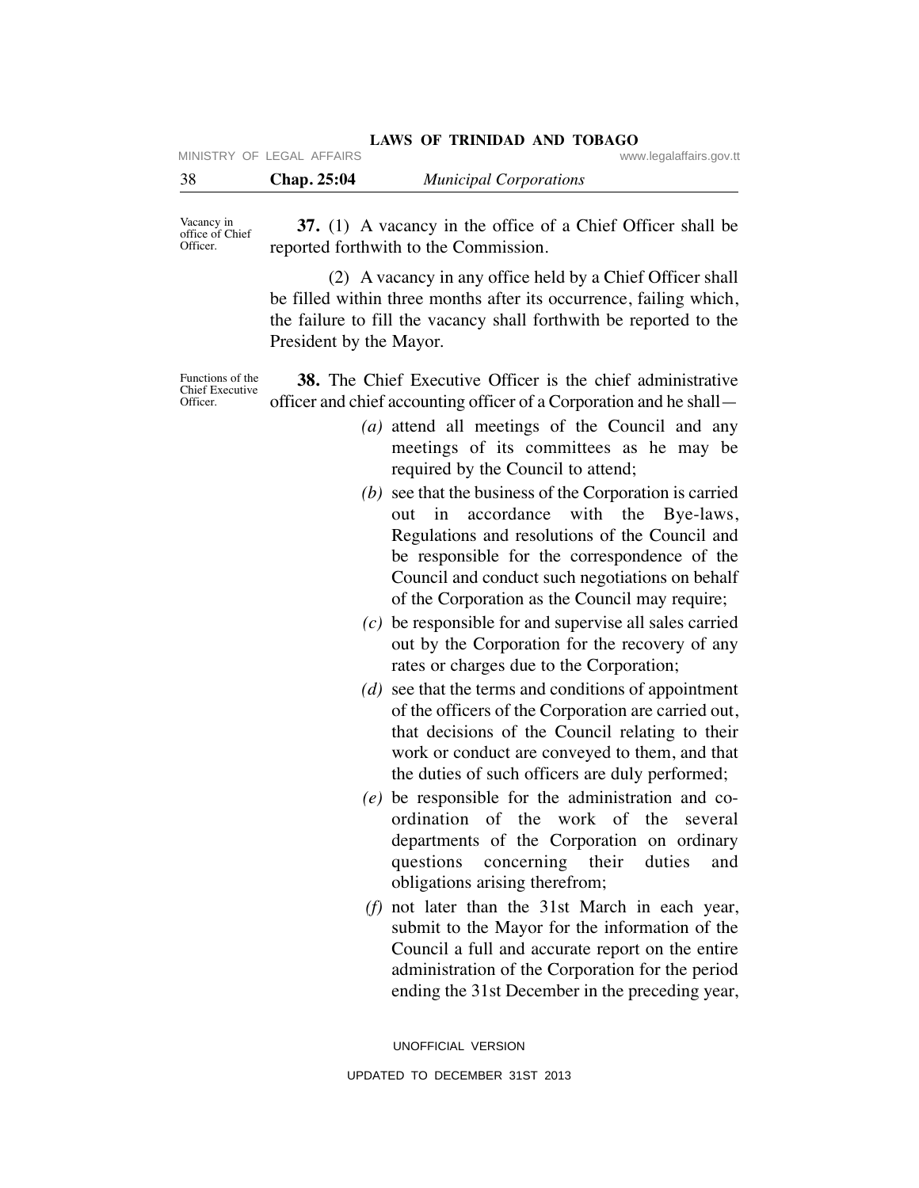|                           | LAWS OF TRINIDAD AND TOBAGO |                         |
|---------------------------|-----------------------------|-------------------------|
| MINISTRY OF LEGAL AFFAIRS |                             | www.legalaffairs.gov.tt |

| 38 | Chap. 25:04 | <b>Municipal Corporations</b> |  |
|----|-------------|-------------------------------|--|

Vacancy in office of Chief Officer.

 **37.** (1) A vacancy in the office of a Chief Officer shall be reported forthwith to the Commission.

 (2) A vacancy in any office held by a Chief Officer shall be filled within three months after its occurrence, failing which, the failure to fill the vacancy shall forthwith be reported to the President by the Mayor.

Functions of the Chief Executive Officer.

 **38.** The Chief Executive Officer is the chief administrative officer and chief accounting officer of a Corporation and he shall—

- *(a)* attend all meetings of the Council and any meetings of its committees as he may be required by the Council to attend;
- *(b)* see that the business of the Corporation is carried out in accordance with the Bye-laws, Regulations and resolutions of the Council and be responsible for the correspondence of the Council and conduct such negotiations on behalf of the Corporation as the Council may require;
- *(c)* be responsible for and supervise all sales carried out by the Corporation for the recovery of any rates or charges due to the Corporation;
- *(d)* see that the terms and conditions of appointment of the officers of the Corporation are carried out, that decisions of the Council relating to their work or conduct are conveyed to them, and that the duties of such officers are duly performed;
- *(e)* be responsible for the administration and coordination of the work of the several departments of the Corporation on ordinary questions concerning their duties and obligations arising therefrom;
- *(f)* not later than the 31st March in each year, submit to the Mayor for the information of the Council a full and accurate report on the entire administration of the Corporation for the period ending the 31st December in the preceding year,

UNOFFICIAL VERSION UPDATED TO DECEMBER 31ST 2013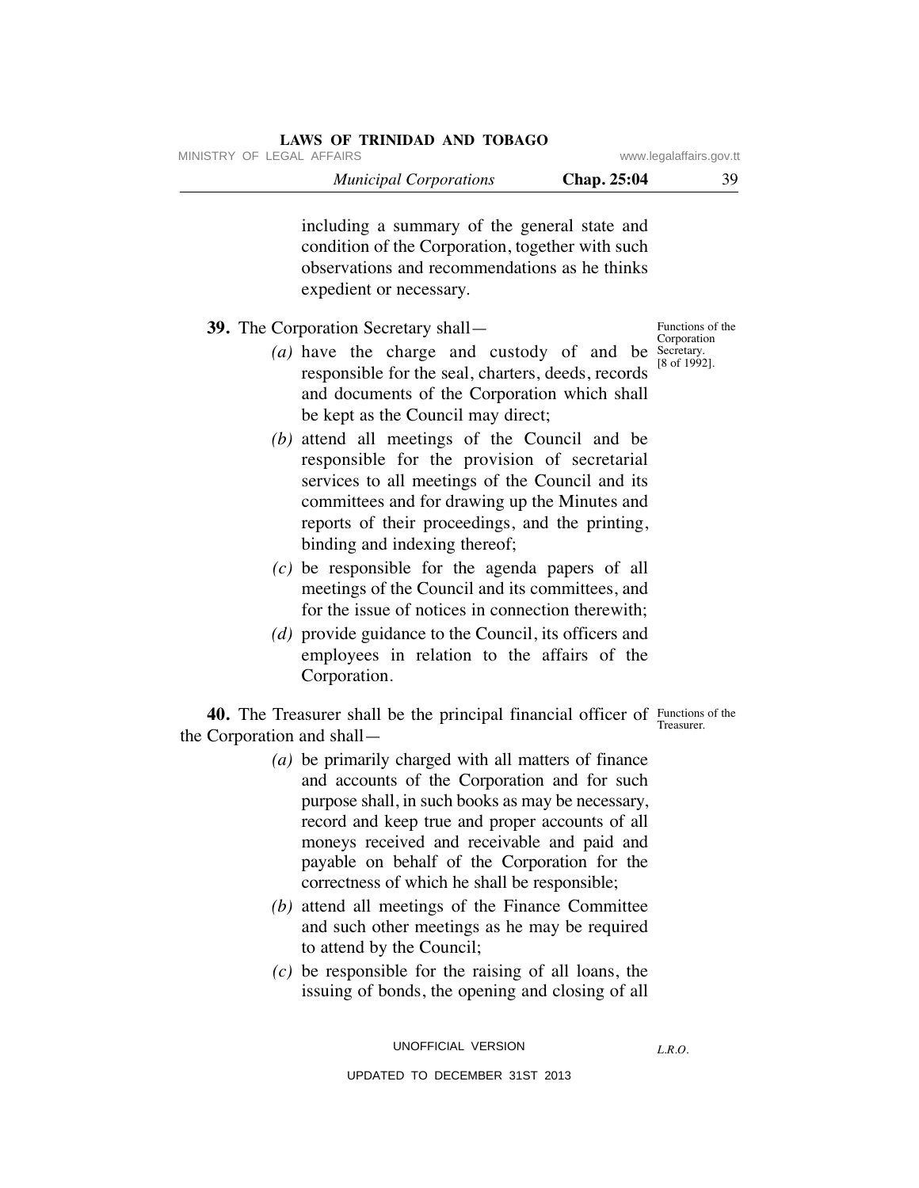# **LAWS OF TRINIDAD AND TOBAGO**

 *Municipal Corporations* **Chap. 25:04** 39

including a summary of the general state and condition of the Corporation, together with such observations and recommendations as he thinks expedient or necessary.

# **39.** The Corporation Secretary shall—

- *(a)* have the charge and custody of and be responsible for the seal, charters, deeds, records and documents of the Corporation which shall be kept as the Council may direct;
- *(b)* attend all meetings of the Council and be responsible for the provision of secretarial services to all meetings of the Council and its committees and for drawing up the Minutes and reports of their proceedings, and the printing, binding and indexing thereof;
- *(c)* be responsible for the agenda papers of all meetings of the Council and its committees, and for the issue of notices in connection therewith;
- *(d)* provide guidance to the Council, its officers and employees in relation to the affairs of the Corporation.

**40.** The Treasurer shall be the principal financial officer of Functions of the the Corporation and shall—

- *(a)* be primarily charged with all matters of finance and accounts of the Corporation and for such purpose shall, in such books as may be necessary, record and keep true and proper accounts of all moneys received and receivable and paid and payable on behalf of the Corporation for the correctness of which he shall be responsible;
- *(b)* attend all meetings of the Finance Committee and such other meetings as he may be required to attend by the Council;
- *(c)* be responsible for the raising of all loans, the issuing of bonds, the opening and closing of all

UNOFFICIAL VERSION

*L.R.O.* 

UPDATED TO DECEMBER 31ST 2013

Functions of the Corporation Secretary. [8 of 1992].

Treasurer.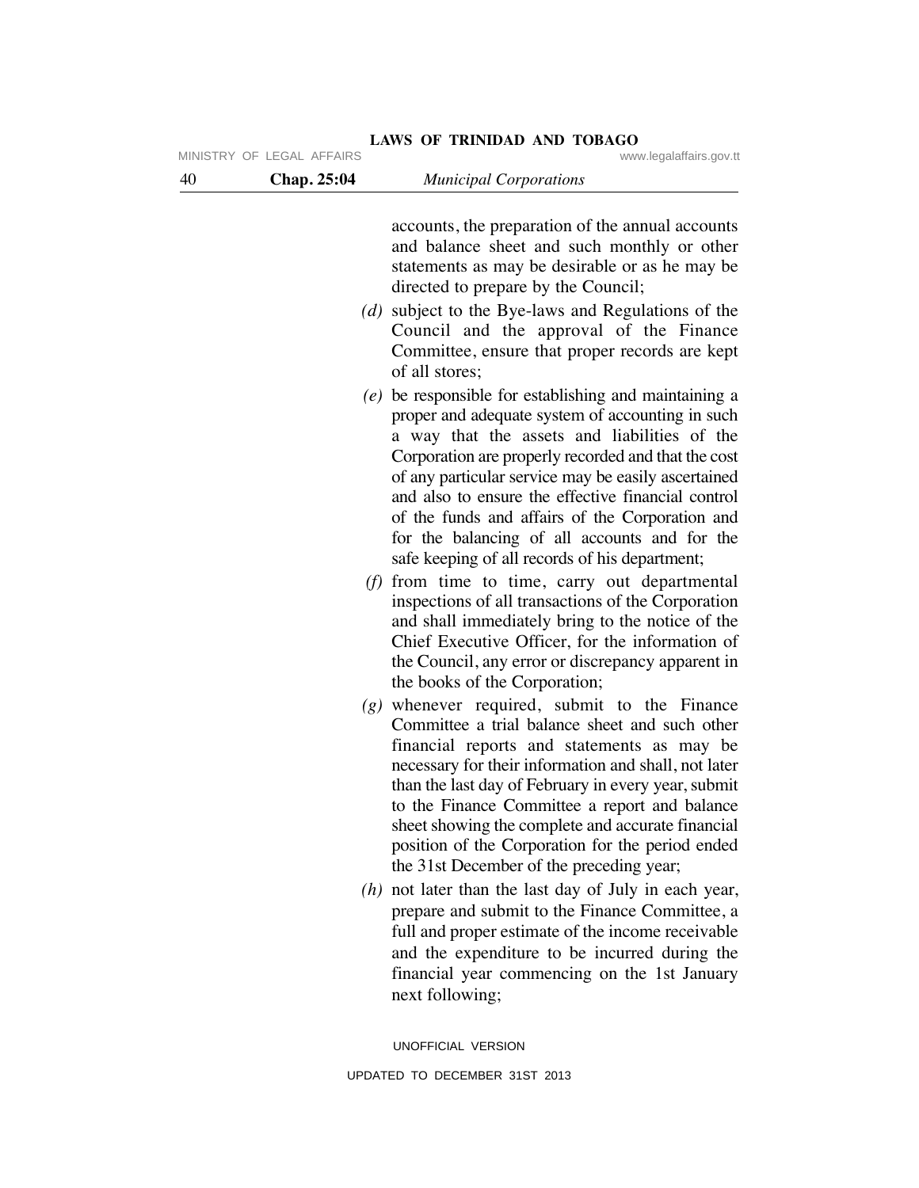| 40 | Chap. 25:04 | <b>Municipal Corporations</b>                                                                                                                                                                                                                                                                                                                                                                                                                                                       |
|----|-------------|-------------------------------------------------------------------------------------------------------------------------------------------------------------------------------------------------------------------------------------------------------------------------------------------------------------------------------------------------------------------------------------------------------------------------------------------------------------------------------------|
|    |             | accounts, the preparation of the annual accounts<br>and balance sheet and such monthly or other<br>statements as may be desirable or as he may be<br>directed to prepare by the Council;                                                                                                                                                                                                                                                                                            |
|    |             | (d) subject to the Bye-laws and Regulations of the<br>Council and the approval of the Finance<br>Committee, ensure that proper records are kept<br>of all stores;                                                                                                                                                                                                                                                                                                                   |
|    |             | (e) be responsible for establishing and maintaining a<br>proper and adequate system of accounting in such<br>a way that the assets and liabilities of the<br>Corporation are properly recorded and that the cost<br>of any particular service may be easily ascertained<br>and also to ensure the effective financial control<br>of the funds and affairs of the Corporation and<br>for the balancing of all accounts and for the<br>safe keeping of all records of his department; |
|    |             | $(f)$ from time to time, carry out departmental<br>inspections of all transactions of the Corporation<br>and shall immediately bring to the notice of the<br>Chief Executive Officer, for the information of<br>the Council, any error or discrepancy apparent in<br>the books of the Corporation;                                                                                                                                                                                  |
|    |             | $(g)$ whenever required, submit to the Finance<br>Committee a trial balance sheet and such other<br>financial reports and statements as may be<br>necessary for their information and shall, not later<br>than the last day of February in every year, submit<br>to the Finance Committee a report and balance<br>sheet showing the complete and accurate financial<br>position of the Corporation for the period ended<br>the 31st December of the preceding year;                 |
|    |             | $(h)$ not later than the last day of July in each year,<br>prepare and submit to the Finance Committee, a<br>full and proper estimate of the income receivable<br>and the expenditure to be incurred during the<br>financial year commencing on the 1st January<br>next following;                                                                                                                                                                                                  |

UPDATED TO DECEMBER 31ST 2013

UNOFFICIAL VERSION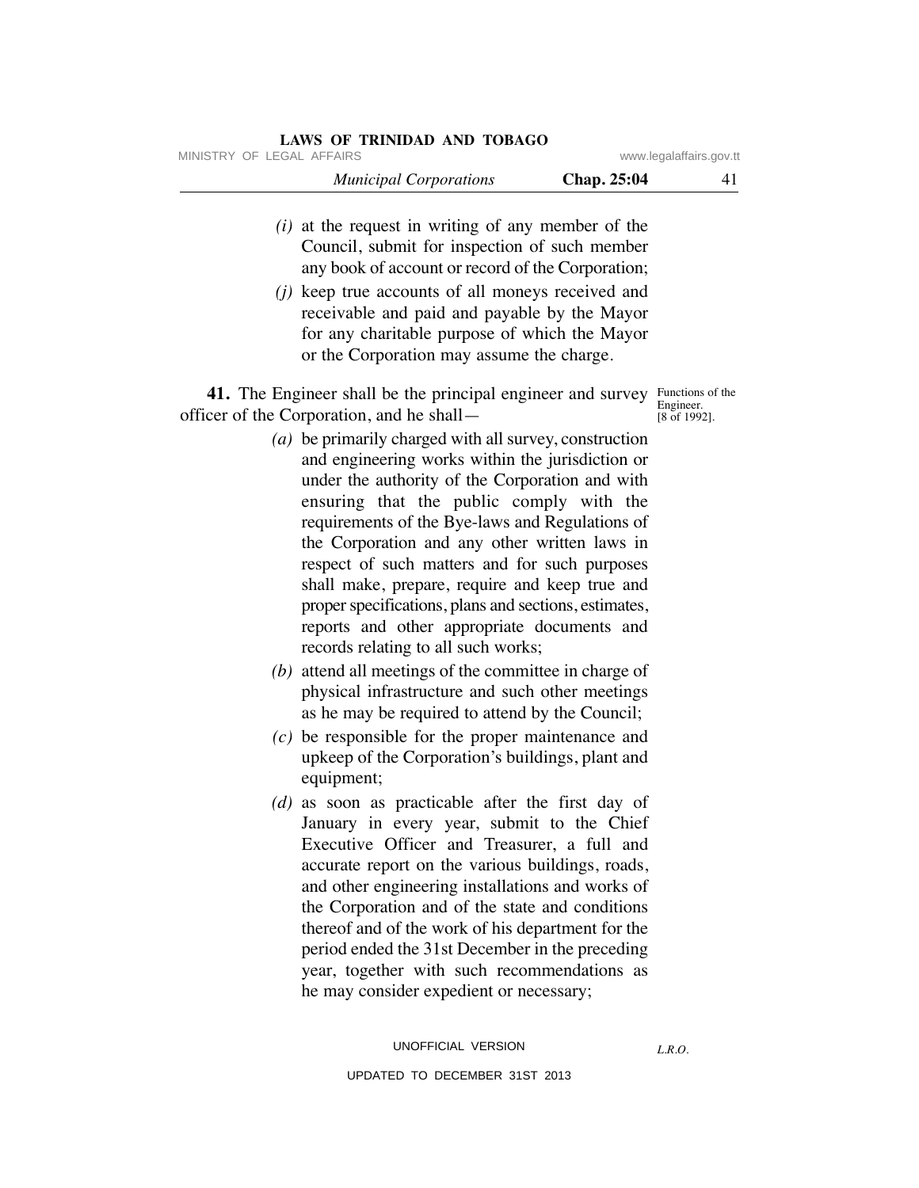# **LAWS OF TRINIDAD AND TOBAGO**

|                           | <b>Municipal Corporations</b> | <b>Chap.</b> 25:04 |                         |
|---------------------------|-------------------------------|--------------------|-------------------------|
| MINISTRY OF LEGAL AFFAIRS |                               |                    | www.legalaffairs.gov.tt |

- *(i)* at the request in writing of any member of the Council, submit for inspection of such member any book of account or record of the Corporation;
- *(j)* keep true accounts of all moneys received and receivable and paid and payable by the Mayor for any charitable purpose of which the Mayor or the Corporation may assume the charge.

**41.** The Engineer shall be the principal engineer and survey Functions of the officer of the Corporation, and he shall—

Engineer. [8 of 1992].

- *(a)* be primarily charged with all survey, construction and engineering works within the jurisdiction or under the authority of the Corporation and with ensuring that the public comply with the requirements of the Bye-laws and Regulations of the Corporation and any other written laws in respect of such matters and for such purposes shall make, prepare, require and keep true and proper specifications, plans and sections, estimates, reports and other appropriate documents and records relating to all such works;
- *(b)* attend all meetings of the committee in charge of physical infrastructure and such other meetings as he may be required to attend by the Council;
- *(c)* be responsible for the proper maintenance and upkeep of the Corporation's buildings, plant and equipment;
- *(d)* as soon as practicable after the first day of January in every year, submit to the Chief Executive Officer and Treasurer, a full and accurate report on the various buildings, roads, and other engineering installations and works of the Corporation and of the state and conditions thereof and of the work of his department for the period ended the 31st December in the preceding year, together with such recommendations as he may consider expedient or necessary;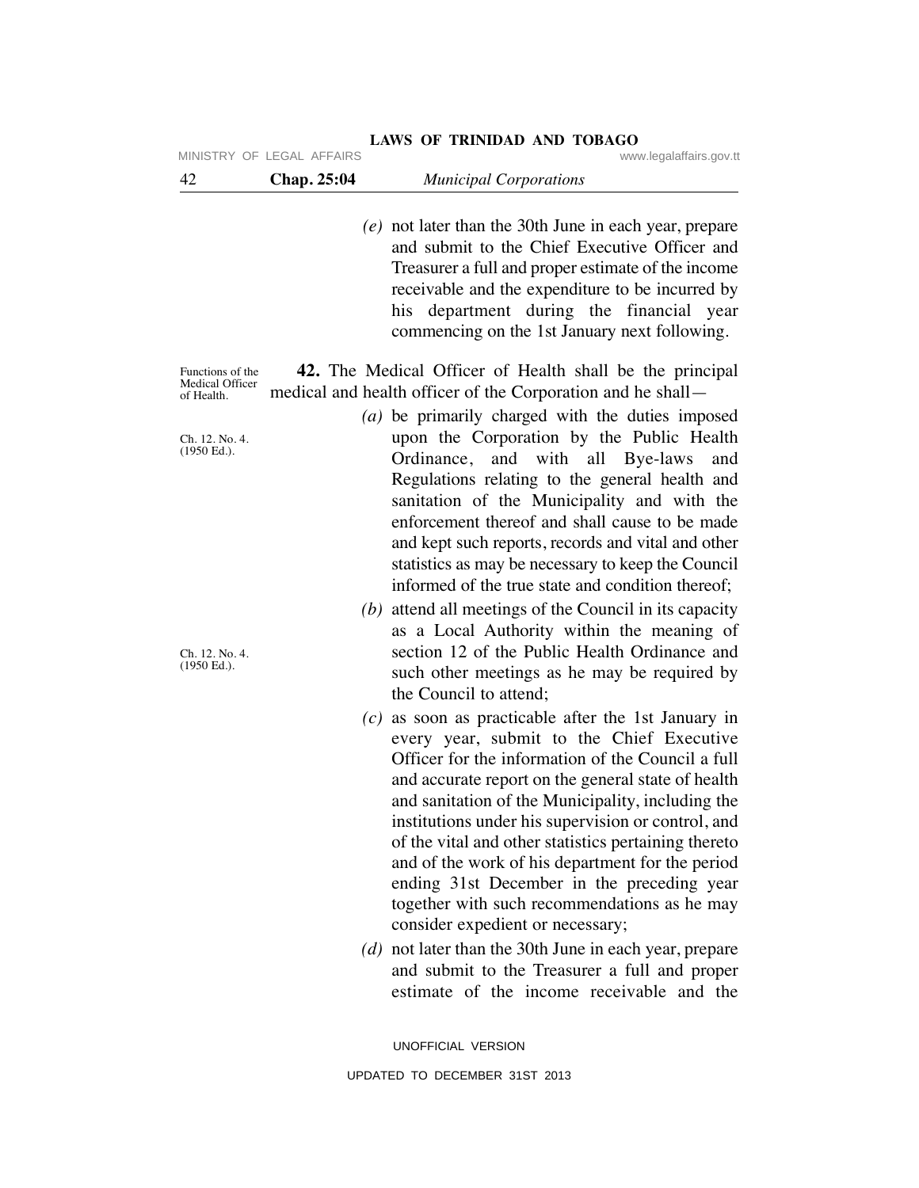| 42 | Chap. 25:04 | <b>Municipal Corporations</b> |  |
|----|-------------|-------------------------------|--|
|----|-------------|-------------------------------|--|

 *(e)* not later than the 30th June in each year, prepare and submit to the Chief Executive Officer and Treasurer a full and proper estimate of the income receivable and the expenditure to be incurred by his department during the financial year commencing on the 1st January next following.

Functions of the Medical Officer of Health.

 **42.** The Medical Officer of Health shall be the principal medical and health officer of the Corporation and he shall—

> *(a)* be primarily charged with the duties imposed upon the Corporation by the Public Health Ordinance, and with all Bye-laws and Regulations relating to the general health and sanitation of the Municipality and with the enforcement thereof and shall cause to be made and kept such reports, records and vital and other statistics as may be necessary to keep the Council informed of the true state and condition thereof;

- *(b)* attend all meetings of the Council in its capacity as a Local Authority within the meaning of section 12 of the Public Health Ordinance and such other meetings as he may be required by the Council to attend;
- *(c)* as soon as practicable after the 1st January in every year, submit to the Chief Executive Officer for the information of the Council a full and accurate report on the general state of health and sanitation of the Municipality, including the institutions under his supervision or control, and of the vital and other statistics pertaining thereto and of the work of his department for the period ending 31st December in the preceding year together with such recommendations as he may consider expedient or necessary;
- *(d)* not later than the 30th June in each year, prepare and submit to the Treasurer a full and proper estimate of the income receivable and the

UNOFFICIAL VERSION UPDATED TO DECEMBER 31ST 2013

Ch. 12. No. 4. (1950 Ed.).

Ch. 12. No. 4. (1950 Ed.).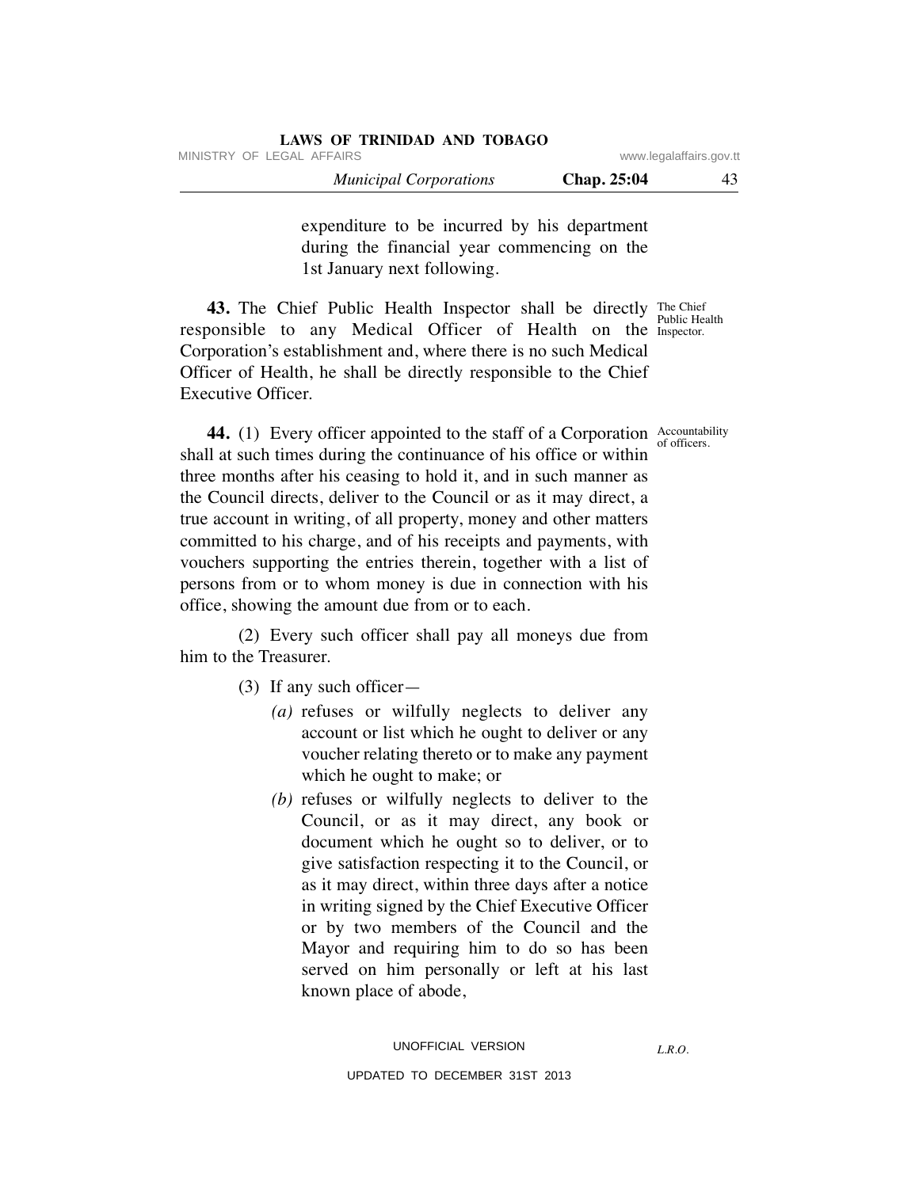|                         |             | LAWS OF ININIDAD AND TODAGO   |
|-------------------------|-------------|-------------------------------|
| www.legalaffairs.gov.tt |             | MINISTRY OF LEGAL AFFAIRS     |
|                         | Chap. 25:04 | <b>Municipal Corporations</b> |

**LAWS OF TRINIDAD AND TOBAGO**

expenditure to be incurred by his department during the financial year commencing on the 1st January next following.

**43.** The Chief Public Health Inspector shall be directly The Chief responsible to any Medical Officer of Health on the Inspector. Corporation's establishment and, where there is no such Medical Officer of Health, he shall be directly responsible to the Chief Executive Officer. Public Health

of officers.

**44.** (1) Every officer appointed to the staff of a Corporation Accountability shall at such times during the continuance of his office or within three months after his ceasing to hold it, and in such manner as the Council directs, deliver to the Council or as it may direct, a true account in writing, of all property, money and other matters committed to his charge, and of his receipts and payments, with vouchers supporting the entries therein, together with a list of persons from or to whom money is due in connection with his office, showing the amount due from or to each.

 (2) Every such officer shall pay all moneys due from him to the Treasurer.

- (3) If any such officer—
	- *(a)* refuses or wilfully neglects to deliver any account or list which he ought to deliver or any voucher relating thereto or to make any payment which he ought to make; or
	- *(b)* refuses or wilfully neglects to deliver to the Council, or as it may direct, any book or document which he ought so to deliver, or to give satisfaction respecting it to the Council, or as it may direct, within three days after a notice in writing signed by the Chief Executive Officer or by two members of the Council and the Mayor and requiring him to do so has been served on him personally or left at his last known place of abode,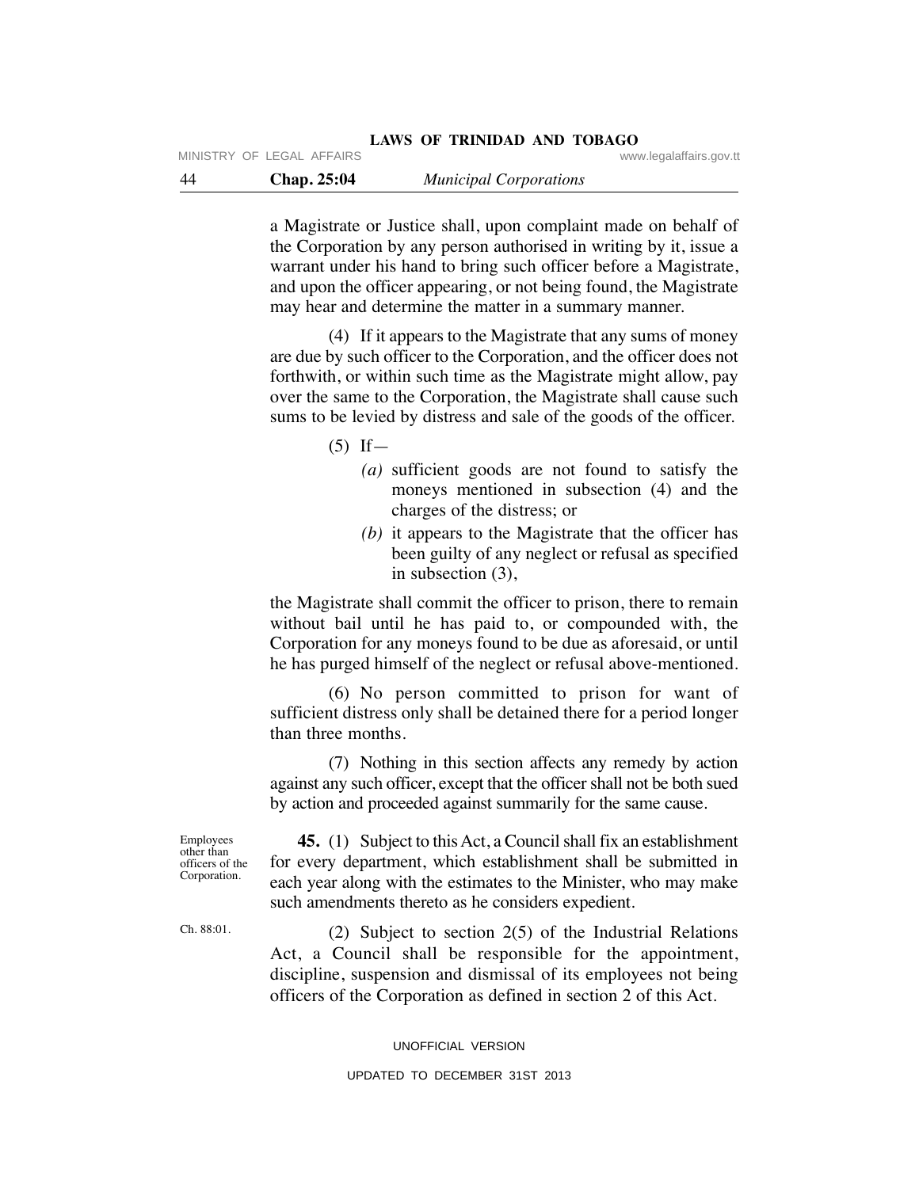44 **Chap. 25:04** *Municipal Corporations* MINISTRY OF LEGAL AFFAIRS **WARE ACCOMPTED MINISTRY** OF LEGAL AFFAIRS

> a Magistrate or Justice shall, upon complaint made on behalf of the Corporation by any person authorised in writing by it, issue a warrant under his hand to bring such officer before a Magistrate, and upon the officer appearing, or not being found, the Magistrate may hear and determine the matter in a summary manner.

> (4) If it appears to the Magistrate that any sums of money are due by such officer to the Corporation, and the officer does not forthwith, or within such time as the Magistrate might allow, pay over the same to the Corporation, the Magistrate shall cause such sums to be levied by distress and sale of the goods of the officer.

> > $(5)$  If —

- *(a)* sufficient goods are not found to satisfy the moneys mentioned in subsection (4) and the charges of the distress; or
- *(b)* it appears to the Magistrate that the officer has been guilty of any neglect or refusal as specified in subsection (3),

the Magistrate shall commit the officer to prison, there to remain without bail until he has paid to, or compounded with, the Corporation for any moneys found to be due as aforesaid, or until he has purged himself of the neglect or refusal above-mentioned.

 (6) No person committed to prison for want of sufficient distress only shall be detained there for a period longer than three months.

 (7) Nothing in this section affects any remedy by action against any such officer, except that the officer shall not be both sued by action and proceeded against summarily for the same cause.

officers of the Corporation.

 **45.** (1) Subject to this Act, a Council shall fix an establishment for every department, which establishment shall be submitted in each year along with the estimates to the Minister, who may make such amendments thereto as he considers expedient.

 (2) Subject to section 2(5) of the Industrial Relations Act, a Council shall be responsible for the appointment, discipline, suspension and dismissal of its employees not being officers of the Corporation as defined in section 2 of this Act.

UNOFFICIAL VERSION

Employees other than

Ch. 88:01.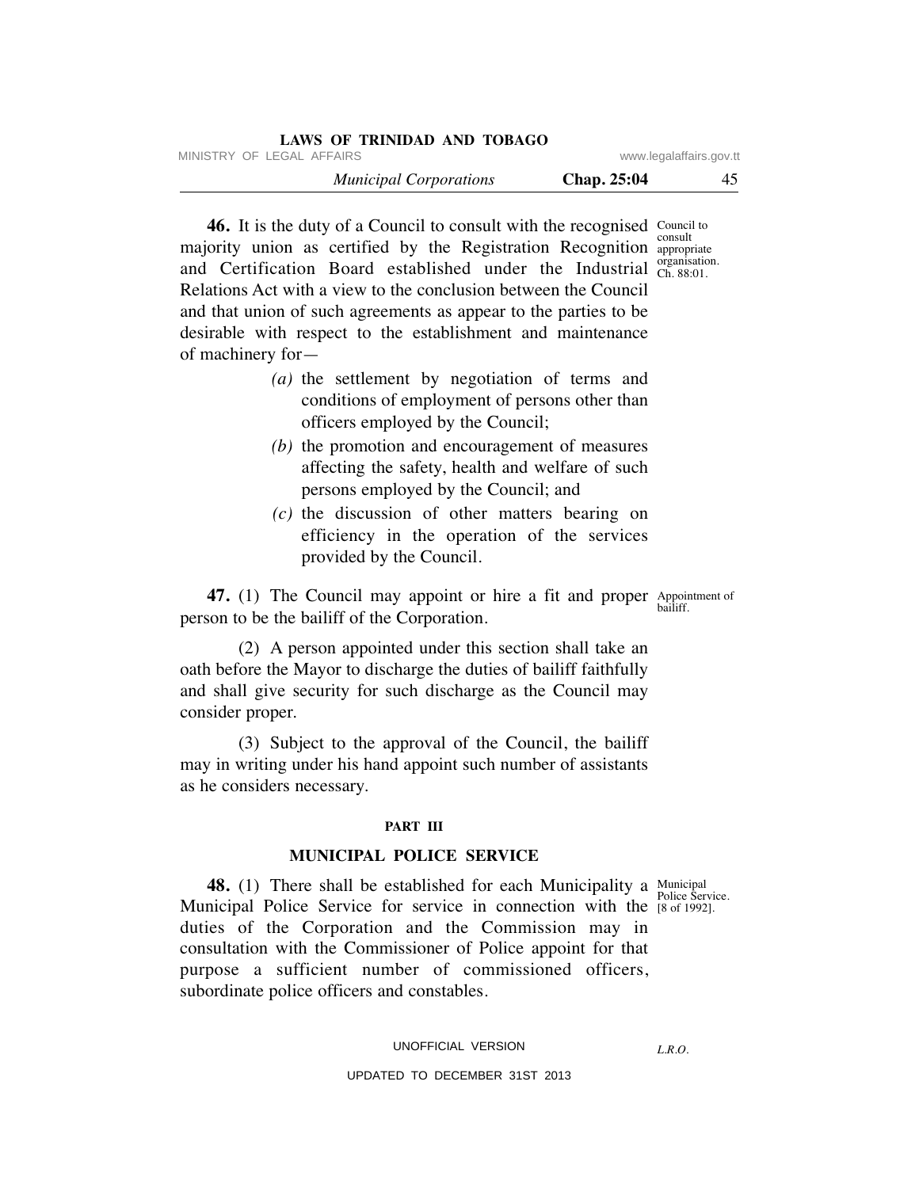| <b>LAWS OF TRINIDAD AND TOBAGO</b> |                         |    |
|------------------------------------|-------------------------|----|
| MINISTRY OF LEGAL AFFAIRS          | www.legalaffairs.gov.tt |    |
| <b>Municipal Corporations</b>      | Chap. 25:04             | 45 |

**46.** It is the duty of a Council to consult with the recognised Council to majority union as certified by the Registration Recognition approp and Certification Board established under the Industrial Ch. 88:01. Relations Act with a view to the conclusion between the Council and that union of such agreements as appear to the parties to be desirable with respect to the establishment and maintenance of machinery for appropriate Ch. 88:01.

- *(a)* the settlement by negotiation of terms and conditions of employment of persons other than officers employed by the Council;
- *(b)* the promotion and encouragement of measures affecting the safety, health and welfare of such persons employed by the Council; and
- *(c)* the discussion of other matters bearing on efficiency in the operation of the services provided by the Council.

**47.** (1) The Council may appoint or hire a fit and proper Appointment of person to be the bailiff of the Corporation. bailiff.

 (2) A person appointed under this section shall take an oath before the Mayor to discharge the duties of bailiff faithfully and shall give security for such discharge as the Council may consider proper.

 (3) Subject to the approval of the Council, the bailiff may in writing under his hand appoint such number of assistants as he considers necessary.

#### **PART III**

#### **MUNICIPAL POLICE SERVICE**

Police Service.

**48.** (1) There shall be established for each Municipality a Municipal Municipal Police Service for service in connection with the [8 of 1992]. duties of the Corporation and the Commission may in consultation with the Commissioner of Police appoint for that purpose a sufficient number of commissioned officers, subordinate police officers and constables.

UNOFFICIAL VERSION

*L.R.O.* 

UPDATED TO DECEMBER 31ST 2013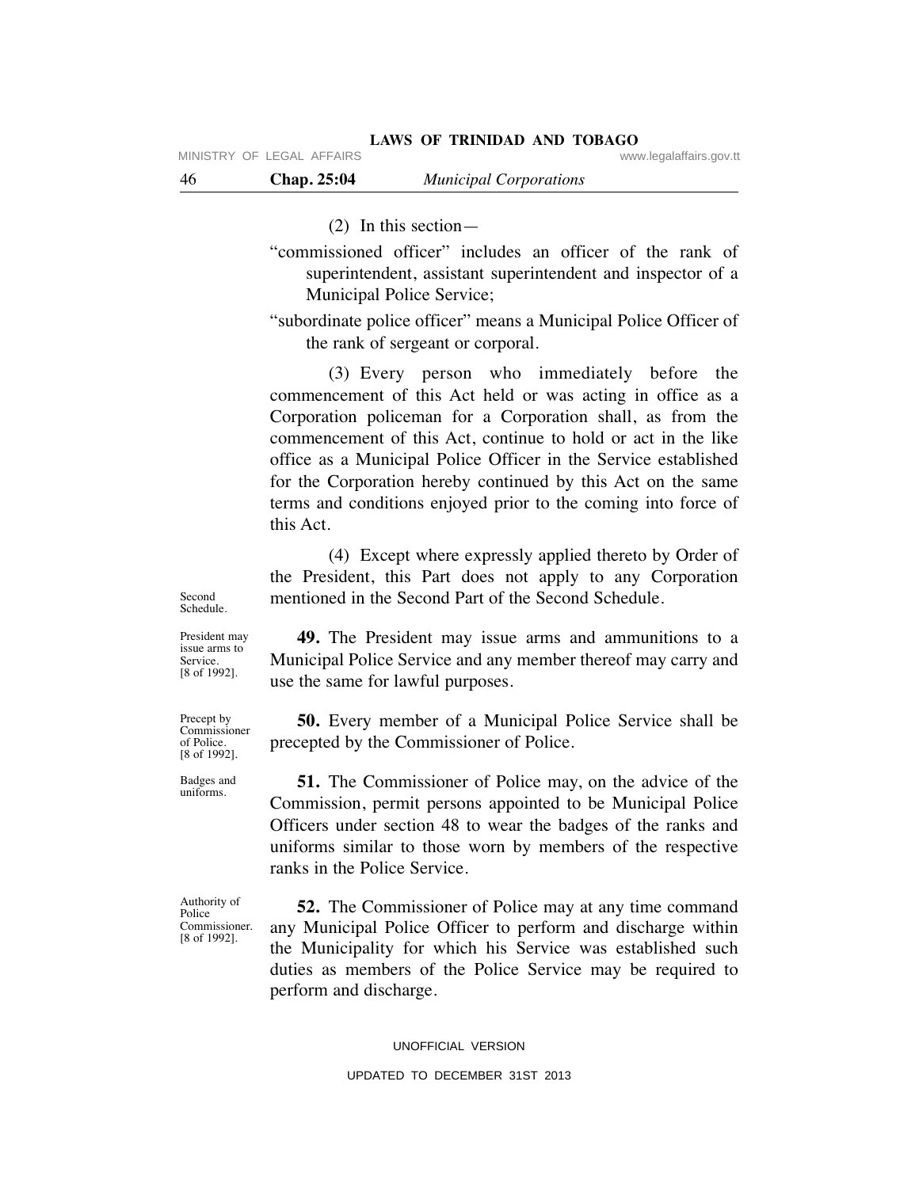MINISTRY OF LEGAL AFFAIRS **WARE ACCOMPTED MINISTRY** OF LEGAL AFFAIRS

46 **Chap. 25:04** *Municipal Corporations*

(2) In this section—

"commissioned officer" includes an officer of the rank of superintendent, assistant superintendent and inspector of a Municipal Police Service;

"subordinate police officer" means a Municipal Police Officer of the rank of sergeant or corporal.

 (3) Every person who immediately before the commencement of this Act held or was acting in office as a Corporation policeman for a Corporation shall, as from the commencement of this Act, continue to hold or act in the like office as a Municipal Police Officer in the Service established for the Corporation hereby continued by this Act on the same terms and conditions enjoyed prior to the coming into force of this Act.

 (4) Except where expressly applied thereto by Order of the President, this Part does not apply to any Corporation mentioned in the Second Part of the Second Schedule.

Second Schedule.

Service.

Precept by Commissioner of Police. [8 of 1992].

 **49.** The President may issue arms and ammunitions to a Municipal Police Service and any member thereof may carry and use the same for lawful purposes. President may issue arms to [8 of 1992].

> **50.** Every member of a Municipal Police Service shall be precepted by the Commissioner of Police.

Badges and uniforms.

Authority of Police Commissioner. [8 of 1992].

 **51.** The Commissioner of Police may, on the advice of the Commission, permit persons appointed to be Municipal Police Officers under section 48 to wear the badges of the ranks and uniforms similar to those worn by members of the respective ranks in the Police Service.

 **52.** The Commissioner of Police may at any time command any Municipal Police Officer to perform and discharge within the Municipality for which his Service was established such duties as members of the Police Service may be required to perform and discharge.

#### UNOFFICIAL VERSION

## UPDATED TO DECEMBER 31ST 2013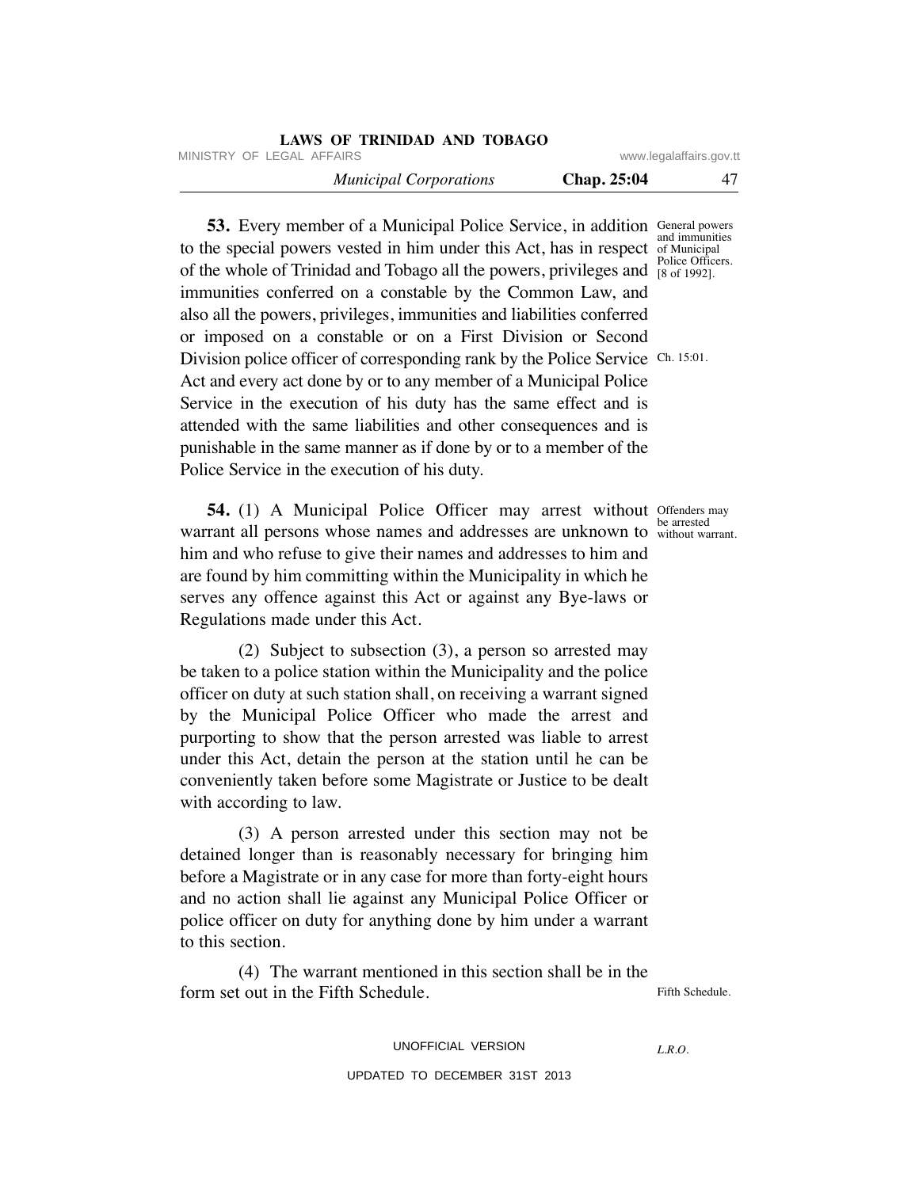|                         |             | LAWS OF TRINIDAD AND TOBAGO   |  |
|-------------------------|-------------|-------------------------------|--|
| www.legalaffairs.gov.tt |             | MINISTRY OF LEGAL AFFAIRS     |  |
| 47                      | Chap. 25:04 | <b>Municipal Corporations</b> |  |

**53.** Every member of a Municipal Police Service, in addition General powers to the special powers vested in him under this Act, has in respect of Municipal of the whole of Trinidad and Tobago all the powers, privileges and <sup>Police Officers.</sup> immunities conferred on a constable by the Common Law, and also all the powers, privileges, immunities and liabilities conferred or imposed on a constable or on a First Division or Second Division police officer of corresponding rank by the Police Service Ch. 15:01. Act and every act done by or to any member of a Municipal Police Service in the execution of his duty has the same effect and is attended with the same liabilities and other consequences and is punishable in the same manner as if done by or to a member of the Police Service in the execution of his duty. and immunities [8 of 1992].

**54.** (1) A Municipal Police Officer may arrest without Offenders may warrant all persons whose names and addresses are unknown to without warrant. him and who refuse to give their names and addresses to him and are found by him committing within the Municipality in which he serves any offence against this Act or against any Bye-laws or Regulations made under this Act.

 (2) Subject to subsection (3), a person so arrested may be taken to a police station within the Municipality and the police officer on duty at such station shall, on receiving a warrant signed by the Municipal Police Officer who made the arrest and purporting to show that the person arrested was liable to arrest under this Act, detain the person at the station until he can be conveniently taken before some Magistrate or Justice to be dealt with according to law.

 (3) A person arrested under this section may not be detained longer than is reasonably necessary for bringing him before a Magistrate or in any case for more than forty-eight hours and no action shall lie against any Municipal Police Officer or police officer on duty for anything done by him under a warrant to this section.

 (4) The warrant mentioned in this section shall be in the form set out in the Fifth Schedule. Fifth Schedule.

> UNOFFICIAL VERSION UPDATED TO DECEMBER 31ST 2013

*L.R.O.* 

be arrested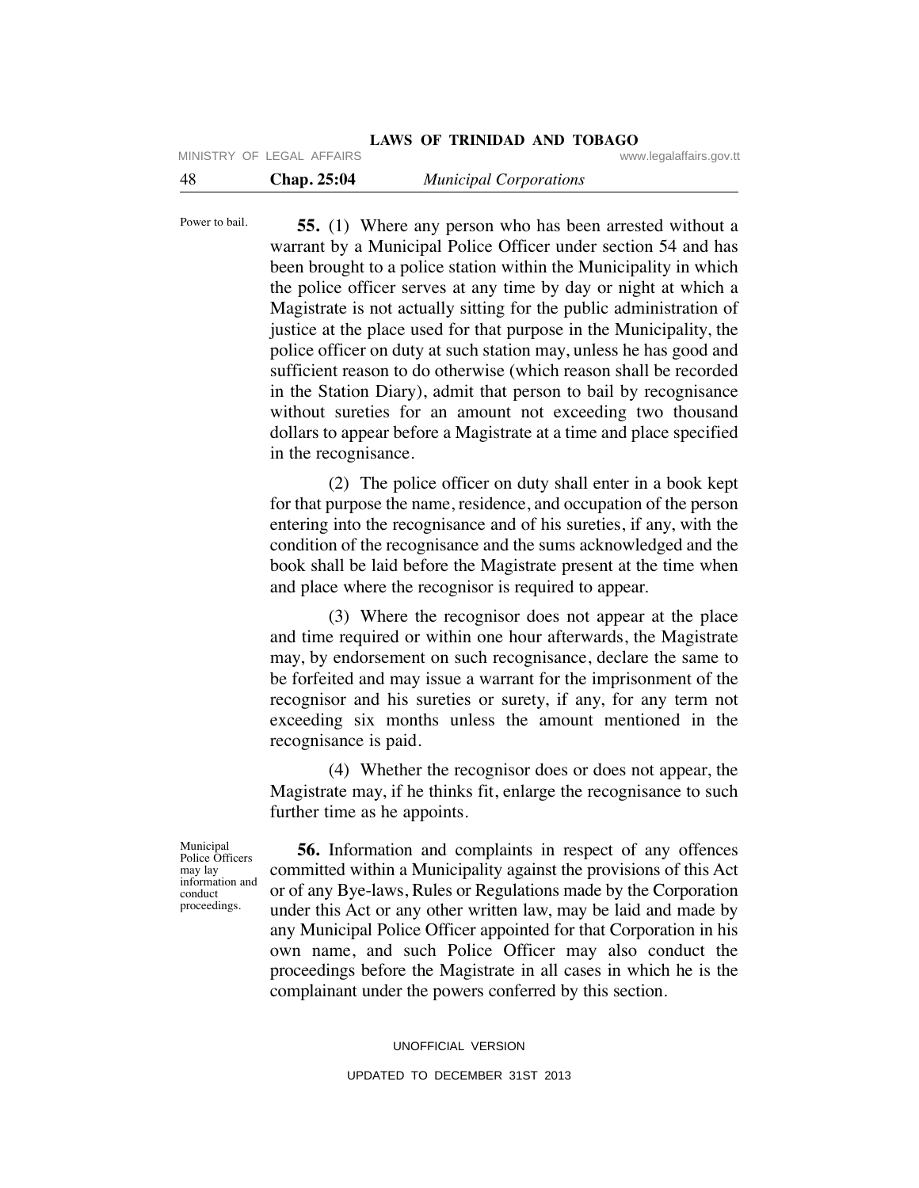|                           |  |  | LAWS OF TRINIDAD AND TOBAGO |  |                         |
|---------------------------|--|--|-----------------------------|--|-------------------------|
| MINISTRY OF LEGAL AFFAIRS |  |  |                             |  | www.legalaffairs.gov.tt |

| -48 | <b>Chap. 25:04</b> | <b>Municipal Corporations</b> |
|-----|--------------------|-------------------------------|
|     |                    |                               |

Power to bail.

 **55.** (1) Where any person who has been arrested without a warrant by a Municipal Police Officer under section 54 and has been brought to a police station within the Municipality in which the police officer serves at any time by day or night at which a Magistrate is not actually sitting for the public administration of justice at the place used for that purpose in the Municipality, the police officer on duty at such station may, unless he has good and sufficient reason to do otherwise (which reason shall be recorded in the Station Diary), admit that person to bail by recognisance without sureties for an amount not exceeding two thousand dollars to appear before a Magistrate at a time and place specified in the recognisance.

 (2) The police officer on duty shall enter in a book kept for that purpose the name, residence, and occupation of the person entering into the recognisance and of his sureties, if any, with the condition of the recognisance and the sums acknowledged and the book shall be laid before the Magistrate present at the time when and place where the recognisor is required to appear.

 (3) Where the recognisor does not appear at the place and time required or within one hour afterwards, the Magistrate may, by endorsement on such recognisance, declare the same to be forfeited and may issue a warrant for the imprisonment of the recognisor and his sureties or surety, if any, for any term not exceeding six months unless the amount mentioned in the recognisance is paid.

 (4) Whether the recognisor does or does not appear, the Magistrate may, if he thinks fit, enlarge the recognisance to such further time as he appoints.

Municipal Police Officers may lay information and conduct proceedings.

 **56.** Information and complaints in respect of any offences committed within a Municipality against the provisions of this Act or of any Bye-laws, Rules or Regulations made by the Corporation under this Act or any other written law, may be laid and made by any Municipal Police Officer appointed for that Corporation in his own name, and such Police Officer may also conduct the proceedings before the Magistrate in all cases in which he is the complainant under the powers conferred by this section.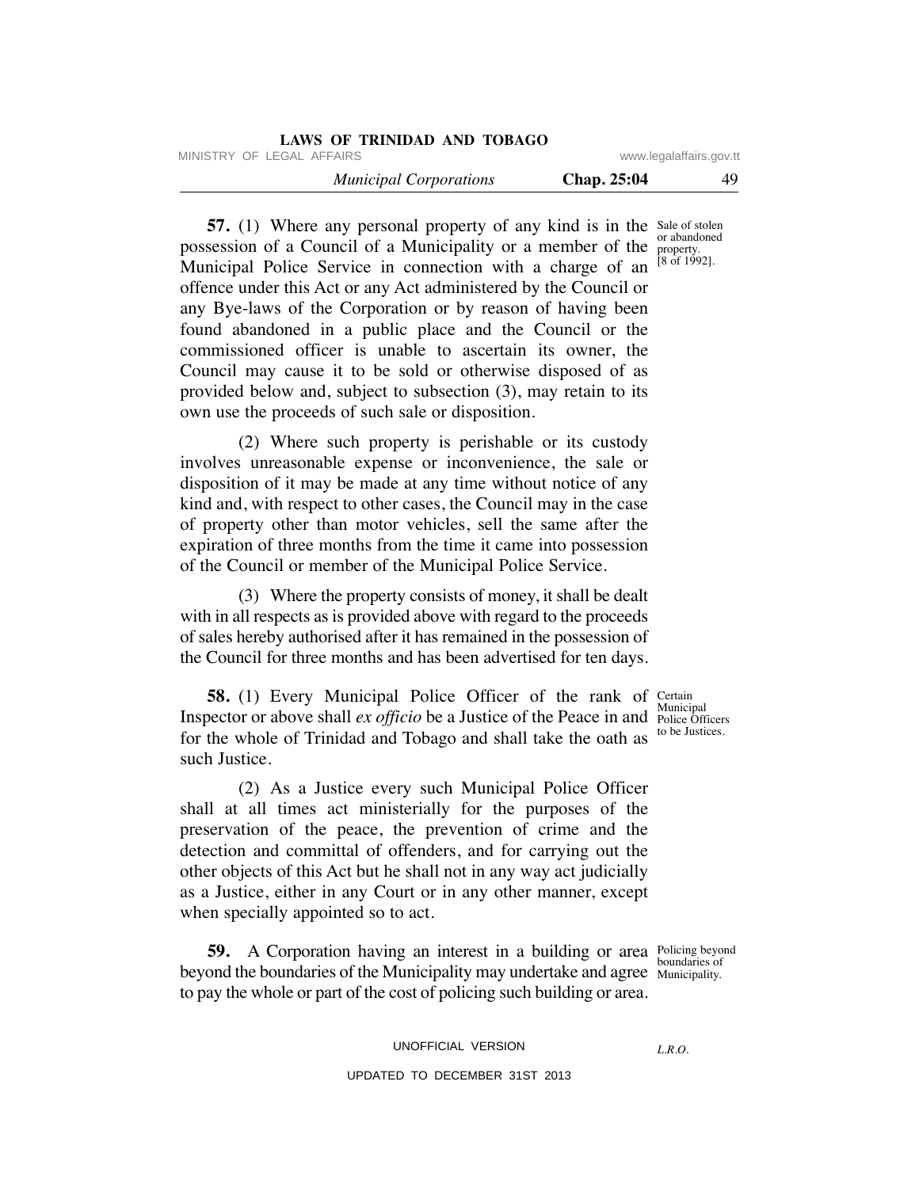|                         |                    | <b>LAWS OF TRINIDAD AND TOBAGO</b> |
|-------------------------|--------------------|------------------------------------|
| www.legalaffairs.gov.tt |                    | MINISTRY OF LEGAL AFFAIRS          |
| 49                      | <b>Chap. 25:04</b> | <b>Municipal Corporations</b>      |

**57.** (1) Where any personal property of any kind is in the Sale of stolen possession of a Council of a Municipality or a member of the property. Municipal Police Service in connection with a charge of an offence under this Act or any Act administered by the Council or any Bye-laws of the Corporation or by reason of having been found abandoned in a public place and the Council or the commissioned officer is unable to ascertain its owner, the Council may cause it to be sold or otherwise disposed of as provided below and, subject to subsection (3), may retain to its own use the proceeds of such sale or disposition. or abandoned [8 of 1992].

 (2) Where such property is perishable or its custody involves unreasonable expense or inconvenience, the sale or disposition of it may be made at any time without notice of any kind and, with respect to other cases, the Council may in the case of property other than motor vehicles, sell the same after the expiration of three months from the time it came into possession of the Council or member of the Municipal Police Service.

 (3) Where the property consists of money, it shall be dealt with in all respects as is provided above with regard to the proceeds of sales hereby authorised after it has remained in the possession of the Council for three months and has been advertised for ten days.

**58.** (1) Every Municipal Police Officer of the rank of Certain Inspector or above shall *ex officio* be a Justice of the Peace in and Police Officers for the whole of Trinidad and Tobago and shall take the oath as such Justice.

 (2) As a Justice every such Municipal Police Officer shall at all times act ministerially for the purposes of the preservation of the peace, the prevention of crime and the detection and committal of offenders, and for carrying out the other objects of this Act but he shall not in any way act judicially as a Justice, either in any Court or in any other manner, except when specially appointed so to act.

**59.** A Corporation having an interest in a building or area Policing beyond beyond the boundaries of the Municipality may undertake and agree Municipality. to pay the whole or part of the cost of policing such building or area.

UNOFFICIAL VERSION

## UPDATED TO DECEMBER 31ST 2013

Municipal to be Justices.

Municipality.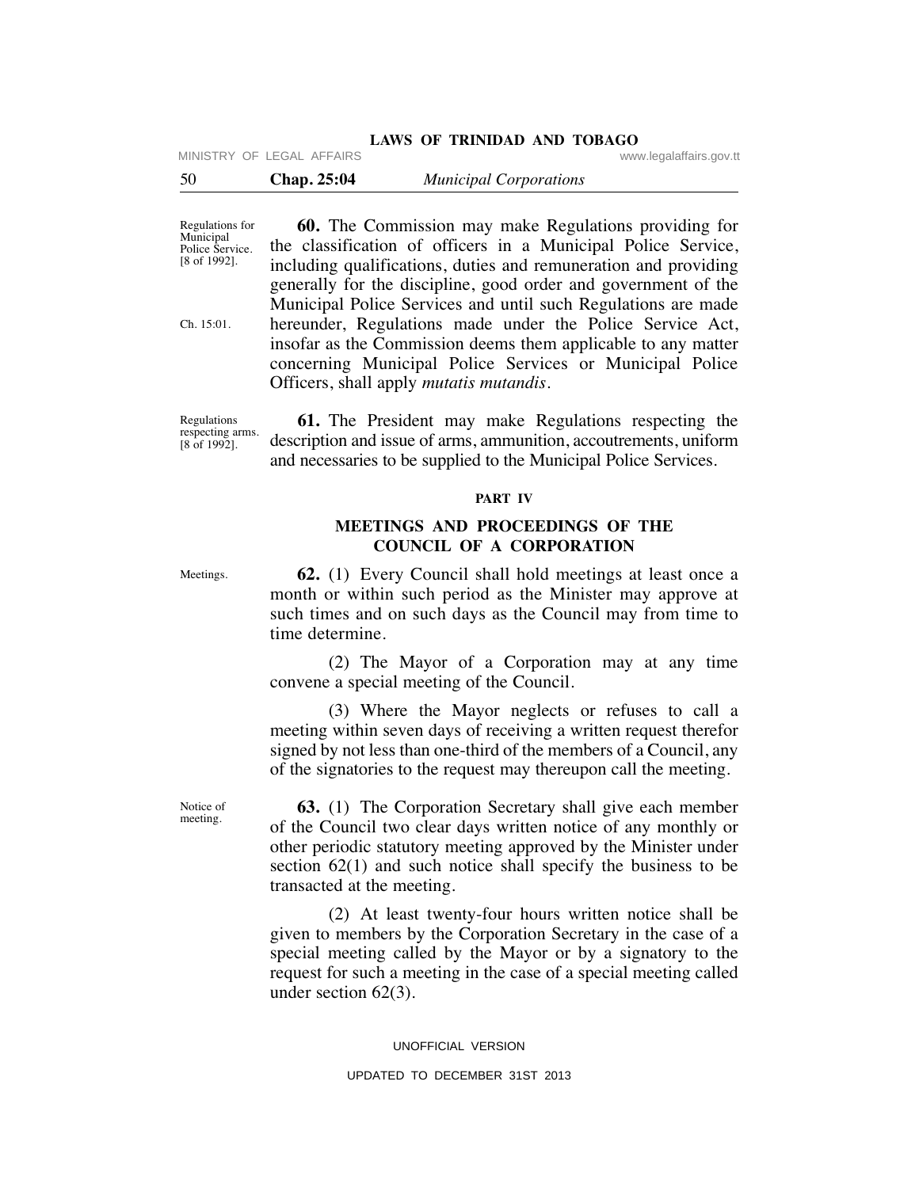## **LAWS OF TRINIDAD AND TOBAGO**

MINISTRY OF LEGAL AFFAIRS **WARE ACCOMPTED MINISTRY** OF LEGAL AFFAIRS

| - 50 | Chap. 25:04 | <b>Municipal Corporations</b> |  |
|------|-------------|-------------------------------|--|
|------|-------------|-------------------------------|--|

Regulations for Municipal Police Service. [8 of 1992].

Ch. 15:01.

 **60.** The Commission may make Regulations providing for the classification of officers in a Municipal Police Service, including qualifications, duties and remuneration and providing generally for the discipline, good order and government of the Municipal Police Services and until such Regulations are made hereunder, Regulations made under the Police Service Act, insofar as the Commission deems them applicable to any matter concerning Municipal Police Services or Municipal Police Officers, shall apply *mutatis mutandis.*

Regulations respecting arms. [8 of 1992].

**61.** The President may make Regulations respecting the description and issue of arms, ammunition, accoutrements, uniform and necessaries to be supplied to the Municipal Police Services.

## **PART IV**

# **MEETINGS AND PROCEEDINGS OF THE COUNCIL OF A CORPORATION**

Meetings.

 **62.** (1) Every Council shall hold meetings at least once a month or within such period as the Minister may approve at such times and on such days as the Council may from time to time determine.

 (2) The Mayor of a Corporation may at any time convene a special meeting of the Council.

 (3) Where the Mayor neglects or refuses to call a meeting within seven days of receiving a written request therefor signed by not less than one-third of the members of a Council, any of the signatories to the request may thereupon call the meeting.

 **63.** (1) The Corporation Secretary shall give each member of the Council two clear days written notice of any monthly or other periodic statutory meeting approved by the Minister under section 62(1) and such notice shall specify the business to be transacted at the meeting.

 (2) At least twenty-four hours written notice shall be given to members by the Corporation Secretary in the case of a special meeting called by the Mayor or by a signatory to the request for such a meeting in the case of a special meeting called under section 62(3).

UNOFFICIAL VERSION

#### UPDATED TO DECEMBER 31ST 2013

Notice of meeting.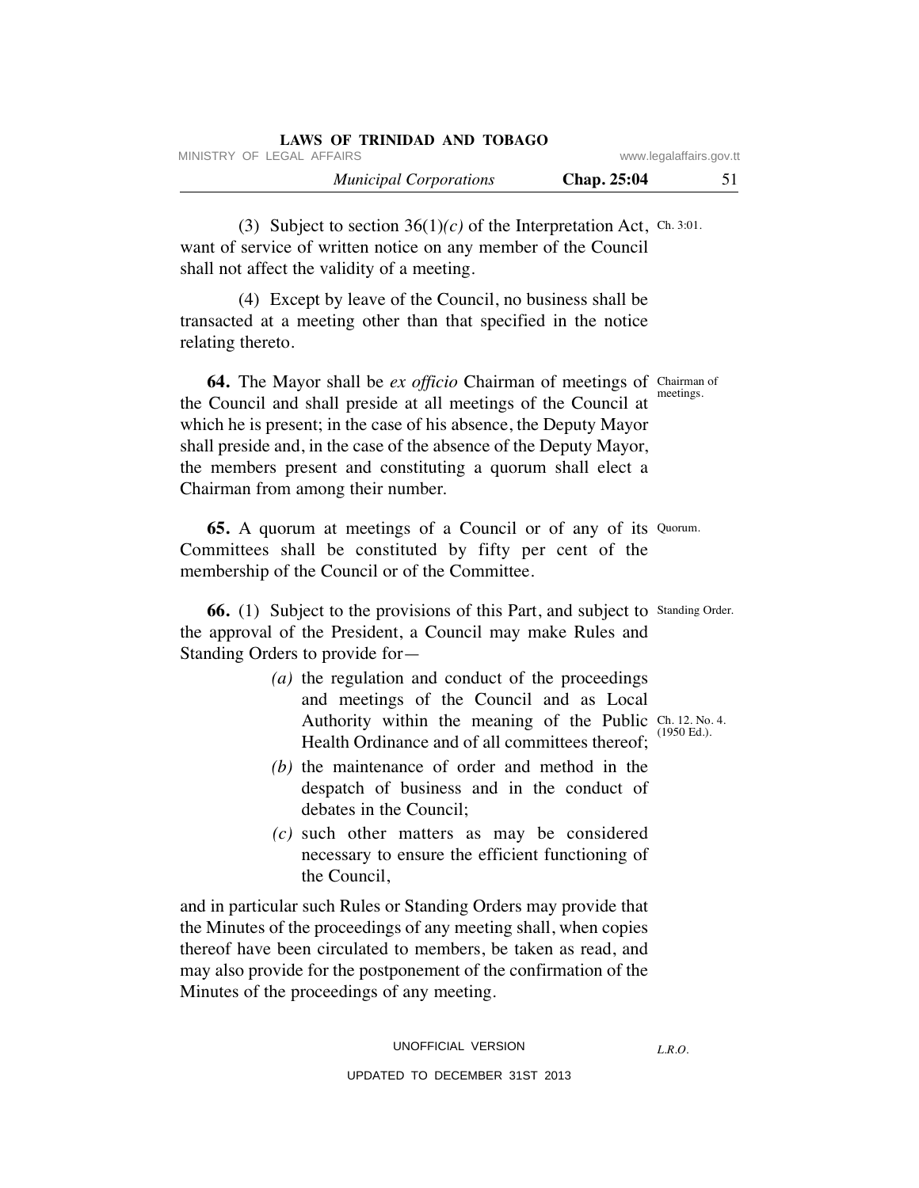| LAWS OF TRINIDAD AND TOBAGO   |                    |                         |
|-------------------------------|--------------------|-------------------------|
| MINISTRY OF LEGAL AFFAIRS     |                    | www.legalaffairs.gov.tt |
| <b>Municipal Corporations</b> | <b>Chap.</b> 25:04 |                         |

(3) Subject to section  $36(1)(c)$  of the Interpretation Act, Ch. 3:01. want of service of written notice on any member of the Council shall not affect the validity of a meeting.

 (4) Except by leave of the Council, no business shall be transacted at a meeting other than that specified in the notice relating thereto.

 **64.** The Mayor shall be *ex officio* Chairman of meetings of Chairman of the Council and shall preside at all meetings of the Council at which he is present; in the case of his absence, the Deputy Mayor shall preside and, in the case of the absence of the Deputy Mayor, the members present and constituting a quorum shall elect a Chairman from among their number. meetings.

**65.** A quorum at meetings of a Council or of any of its Quorum. Committees shall be constituted by fifty per cent of the membership of the Council or of the Committee.

**66.** (1) Subject to the provisions of this Part, and subject to Standing Order. the approval of the President, a Council may make Rules and Standing Orders to provide for—

- *(a)* the regulation and conduct of the proceedings and meetings of the Council and as Local Authority within the meaning of the Public Ch. 12. No. 4. Health Ordinance and of all committees thereof;
- *(b)* the maintenance of order and method in the despatch of business and in the conduct of debates in the Council;
- *(c)* such other matters as may be considered necessary to ensure the efficient functioning of the Council,

and in particular such Rules or Standing Orders may provide that the Minutes of the proceedings of any meeting shall, when copies thereof have been circulated to members, be taken as read, and may also provide for the postponement of the confirmation of the Minutes of the proceedings of any meeting.

*L.R.O.* 

(1950 Ed.).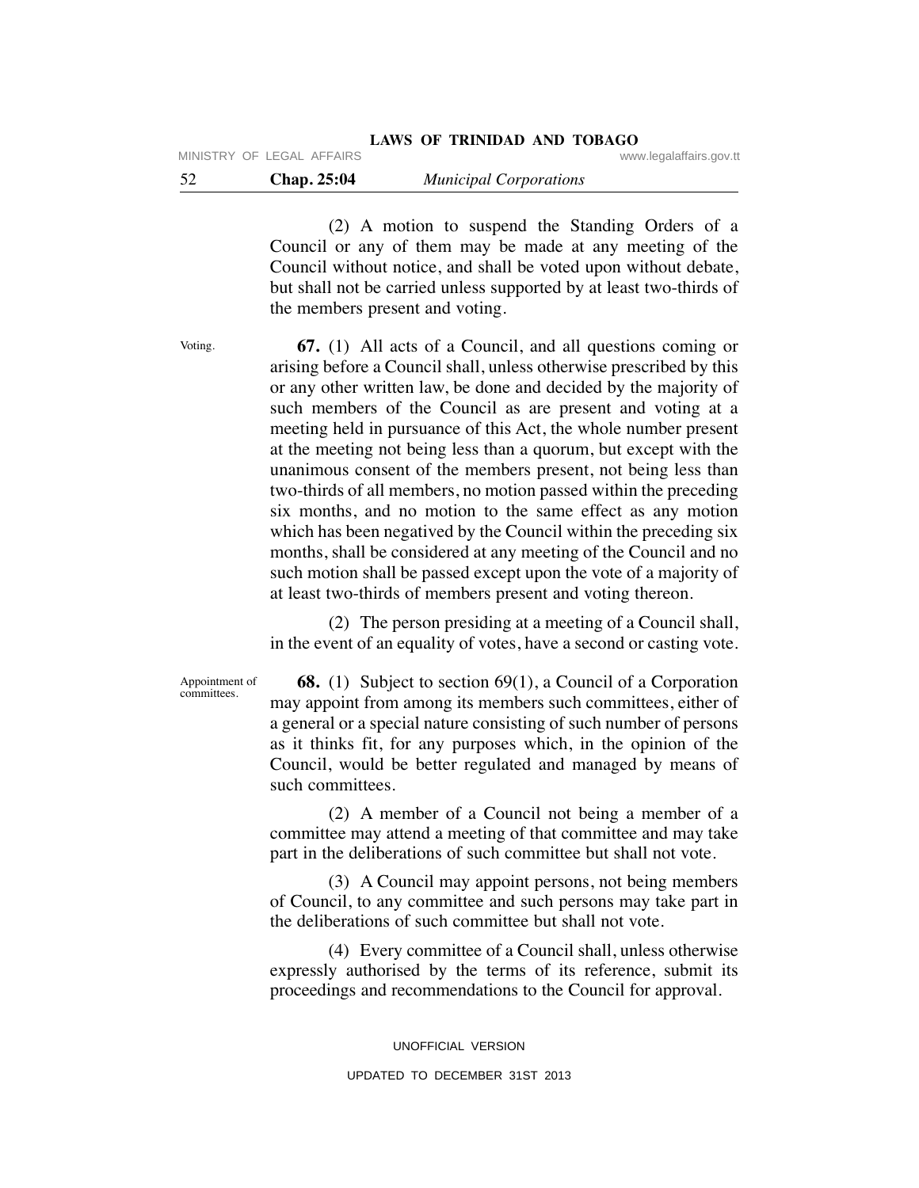52 **Chap. 25:04** *Municipal Corporations*

 (2) A motion to suspend the Standing Orders of a Council or any of them may be made at any meeting of the Council without notice, and shall be voted upon without debate, but shall not be carried unless supported by at least two-thirds of the members present and voting.

Voting.

 **67.** (1) All acts of a Council, and all questions coming or arising before a Council shall, unless otherwise prescribed by this or any other written law, be done and decided by the majority of such members of the Council as are present and voting at a meeting held in pursuance of this Act, the whole number present at the meeting not being less than a quorum, but except with the unanimous consent of the members present, not being less than two-thirds of all members, no motion passed within the preceding six months, and no motion to the same effect as any motion which has been negatived by the Council within the preceding six months, shall be considered at any meeting of the Council and no such motion shall be passed except upon the vote of a majority of at least two-thirds of members present and voting thereon.

 (2) The person presiding at a meeting of a Council shall, in the event of an equality of votes, have a second or casting vote.

 **68.** (1) Subject to section 69(1), a Council of a Corporation may appoint from among its members such committees, either of a general or a special nature consisting of such number of persons as it thinks fit, for any purposes which, in the opinion of the Council, would be better regulated and managed by means of such committees. Appointment of committees.

> (2) A member of a Council not being a member of a committee may attend a meeting of that committee and may take part in the deliberations of such committee but shall not vote.

> (3) A Council may appoint persons, not being members of Council, to any committee and such persons may take part in the deliberations of such committee but shall not vote.

> (4) Every committee of a Council shall, unless otherwise expressly authorised by the terms of its reference, submit its proceedings and recommendations to the Council for approval.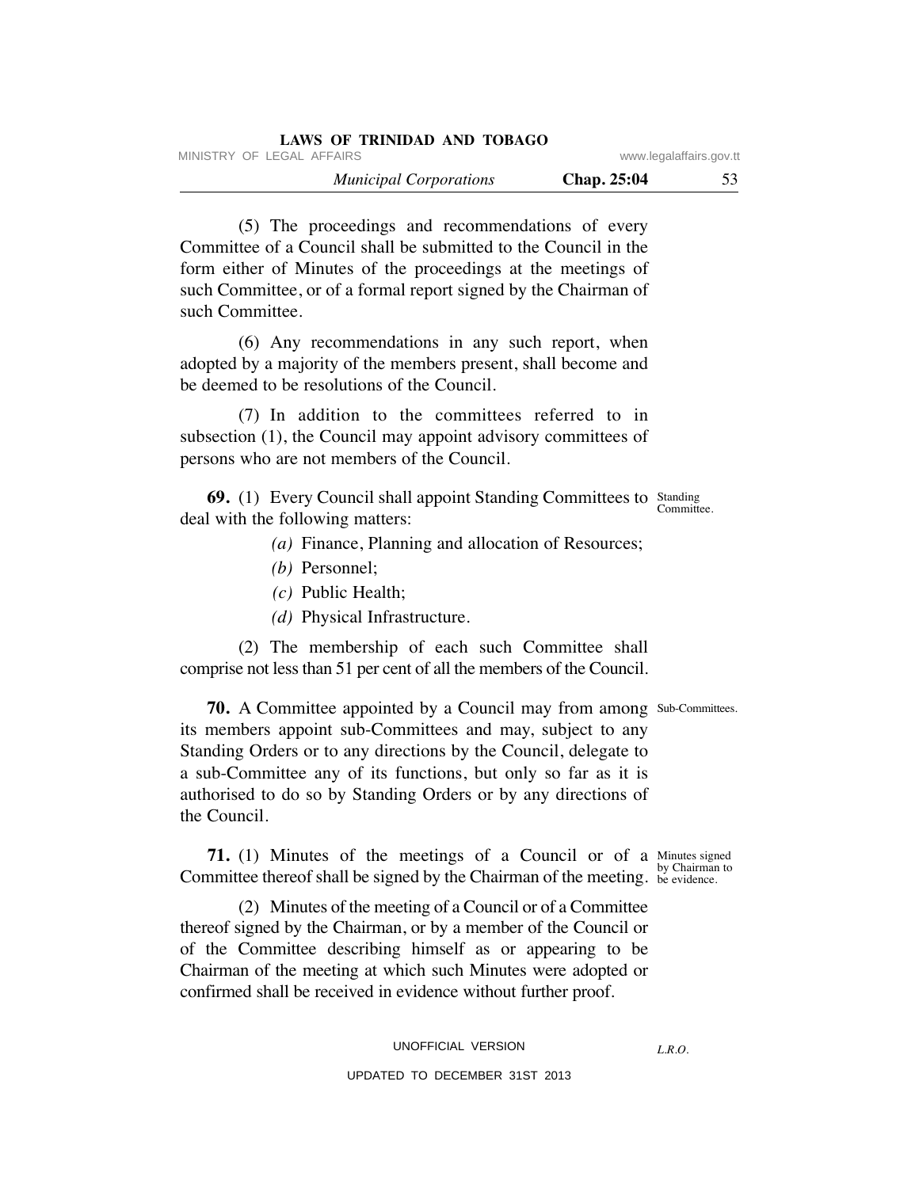| LAWS OF TRINIDAD AND TOBAGO   |                         |    |
|-------------------------------|-------------------------|----|
| MINISTRY OF LEGAL AFFAIRS     | www.legalaffairs.gov.tt |    |
| <b>Municipal Corporations</b> | <b>Chap.</b> 25:04      | 53 |

 (5) The proceedings and recommendations of every Committee of a Council shall be submitted to the Council in the form either of Minutes of the proceedings at the meetings of such Committee, or of a formal report signed by the Chairman of such Committee.

 (6) Any recommendations in any such report, when adopted by a majority of the members present, shall become and be deemed to be resolutions of the Council.

 (7) In addition to the committees referred to in subsection (1), the Council may appoint advisory committees of persons who are not members of the Council.

**69.** (1) Every Council shall appoint Standing Committees to Standing deal with the following matters:

- *(a)* Finance, Planning and allocation of Resources;
- *(b)* Personnel;
- *(c)* Public Health;
- *(d)* Physical Infrastructure.

 (2) The membership of each such Committee shall comprise not less than 51 per cent of all the members of the Council.

**70.** A Committee appointed by a Council may from among Sub-Committees. its members appoint sub-Committees and may, subject to any Standing Orders or to any directions by the Council, delegate to a sub-Committee any of its functions, but only so far as it is authorised to do so by Standing Orders or by any directions of the Council.

**71.** (1) Minutes of the meetings of a Council or of a Minutes signed Committee thereof shall be signed by the Chairman of the meeting. by Chairman to be evidence.

 (2) Minutes of the meeting of a Council or of a Committee thereof signed by the Chairman, or by a member of the Council or of the Committee describing himself as or appearing to be Chairman of the meeting at which such Minutes were adopted or confirmed shall be received in evidence without further proof.

> UNOFFICIAL VERSION UPDATED TO DECEMBER 31ST 2013

*L.R.O.* 

Committee.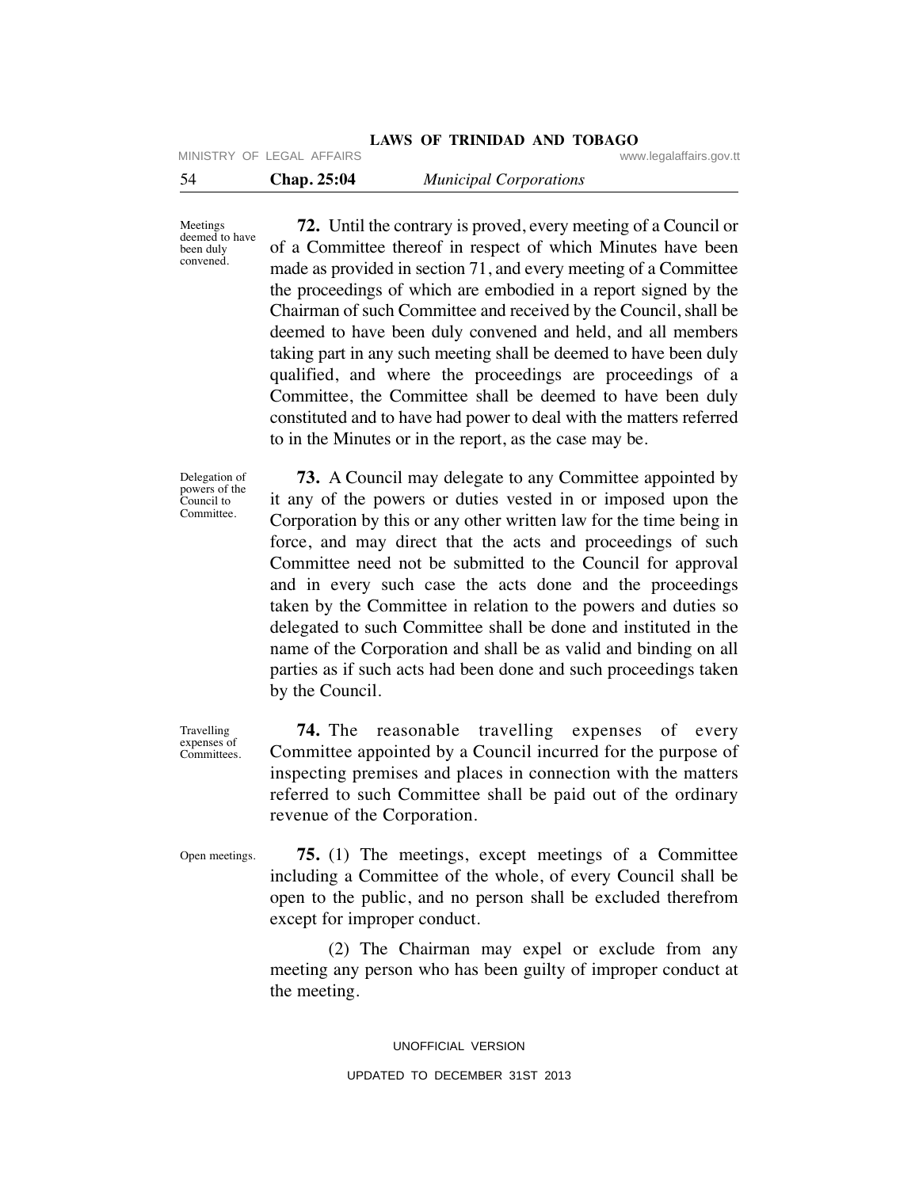|     |                           | Land Of Thempth and Topino    |                         |
|-----|---------------------------|-------------------------------|-------------------------|
|     | MINISTRY OF LEGAL AFFAIRS |                               | www.legalaffairs.gov.tt |
| -54 | Chap. 25:04               | <b>Municipal Corporations</b> |                         |

Meetings deemed to have been duly convened.

 **72.** Until the contrary is proved, every meeting of a Council or of a Committee thereof in respect of which Minutes have been made as provided in section 71, and every meeting of a Committee the proceedings of which are embodied in a report signed by the Chairman of such Committee and received by the Council, shall be deemed to have been duly convened and held, and all members taking part in any such meeting shall be deemed to have been duly qualified, and where the proceedings are proceedings of a Committee, the Committee shall be deemed to have been duly constituted and to have had power to deal with the matters referred to in the Minutes or in the report, as the case may be.

**LAWS OF TRINIDAD AND TOBAGO**

Delegation of powers of the Council to Committee.

 **73.** A Council may delegate to any Committee appointed by it any of the powers or duties vested in or imposed upon the Corporation by this or any other written law for the time being in force, and may direct that the acts and proceedings of such Committee need not be submitted to the Council for approval and in every such case the acts done and the proceedings taken by the Committee in relation to the powers and duties so delegated to such Committee shall be done and instituted in the name of the Corporation and shall be as valid and binding on all parties as if such acts had been done and such proceedings taken by the Council.

Travelling expenses of Committees.

 **74.** The reasonable travelling expenses of every Committee appointed by a Council incurred for the purpose of inspecting premises and places in connection with the matters referred to such Committee shall be paid out of the ordinary revenue of the Corporation.

Open meetings.

 **75.** (1) The meetings, except meetings of a Committee including a Committee of the whole, of every Council shall be open to the public, and no person shall be excluded therefrom except for improper conduct.

 (2) The Chairman may expel or exclude from any meeting any person who has been guilty of improper conduct at the meeting.

> UNOFFICIAL VERSION UPDATED TO DECEMBER 31ST 2013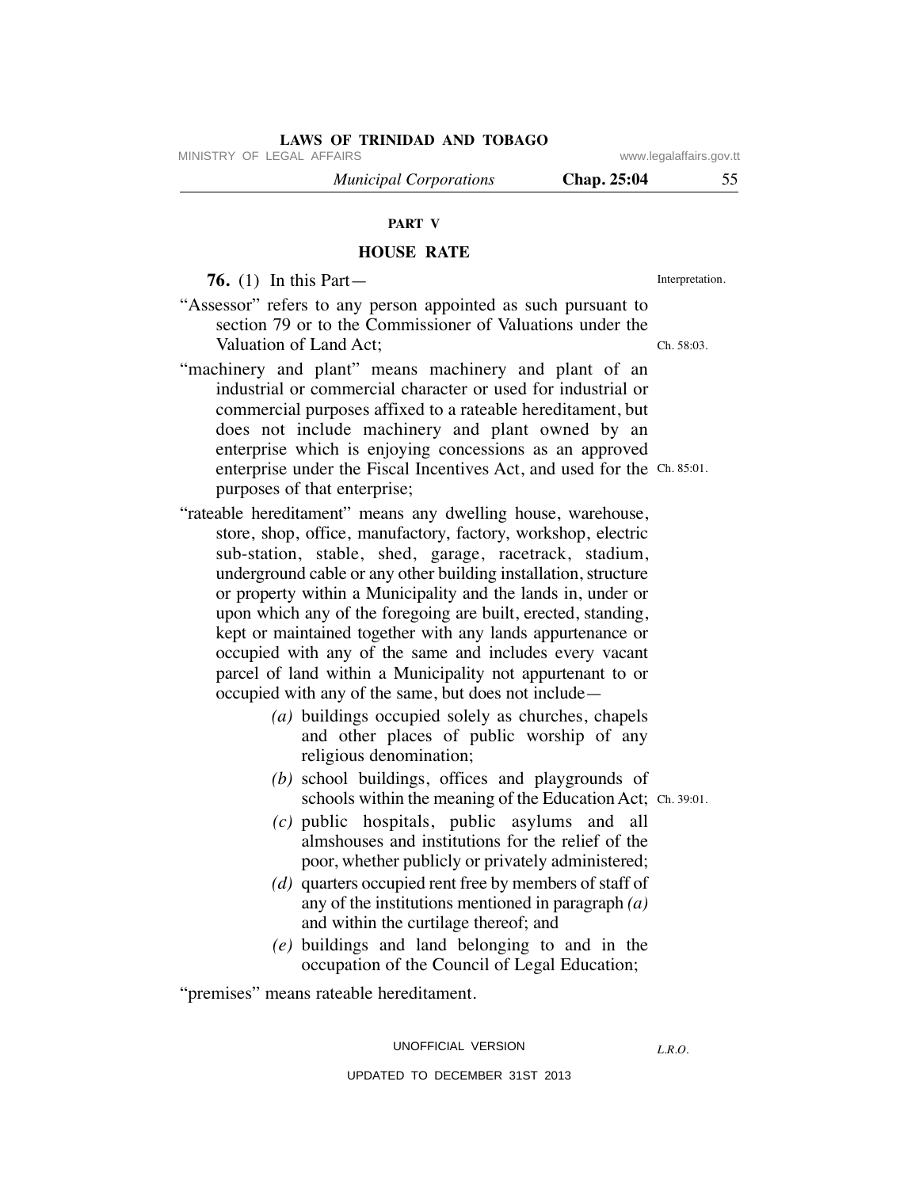MINISTRY OF LEGAL AFFAIRS **WARE ACCOMPTED MINISTRY** OF LEGAL AFFAIRS

 *Municipal Corporations* **Chap. 25:04** 55

# **PART V**

# **HOUSE RATE**

 **76.** (1) In this Part—

- "Assessor" refers to any person appointed as such pursuant to section 79 or to the Commissioner of Valuations under the Valuation of Land Act;
- "machinery and plant" means machinery and plant of an industrial or commercial character or used for industrial or commercial purposes affixed to a rateable hereditament, but does not include machinery and plant owned by an enterprise which is enjoying concessions as an approved enterprise under the Fiscal Incentives Act, and used for the Ch. 85:01. purposes of that enterprise;
- "rateable hereditament" means any dwelling house, warehouse, store, shop, office, manufactory, factory, workshop, electric sub-station, stable, shed, garage, racetrack, stadium, underground cable or any other building installation, structure or property within a Municipality and the lands in, under or upon which any of the foregoing are built, erected, standing, kept or maintained together with any lands appurtenance or occupied with any of the same and includes every vacant parcel of land within a Municipality not appurtenant to or occupied with any of the same, but does not include—
	- *(a)* buildings occupied solely as churches, chapels and other places of public worship of any religious denomination;
	- *(b)* school buildings, offices and playgrounds of schools within the meaning of the Education Act; Ch. 39:01.
	- *(c)* public hospitals, public asylums and all almshouses and institutions for the relief of the poor, whether publicly or privately administered;
	- *(d)* quarters occupied rent free by members of staff of any of the institutions mentioned in paragraph *(a)* and within the curtilage thereof; and
	- *(e)* buildings and land belonging to and in the occupation of the Council of Legal Education;

"premises" means rateable hereditament.

### UNOFFICIAL VERSION

*L.R.O.* 

UPDATED TO DECEMBER 31ST 2013

Interpretation.

Ch. 58:03.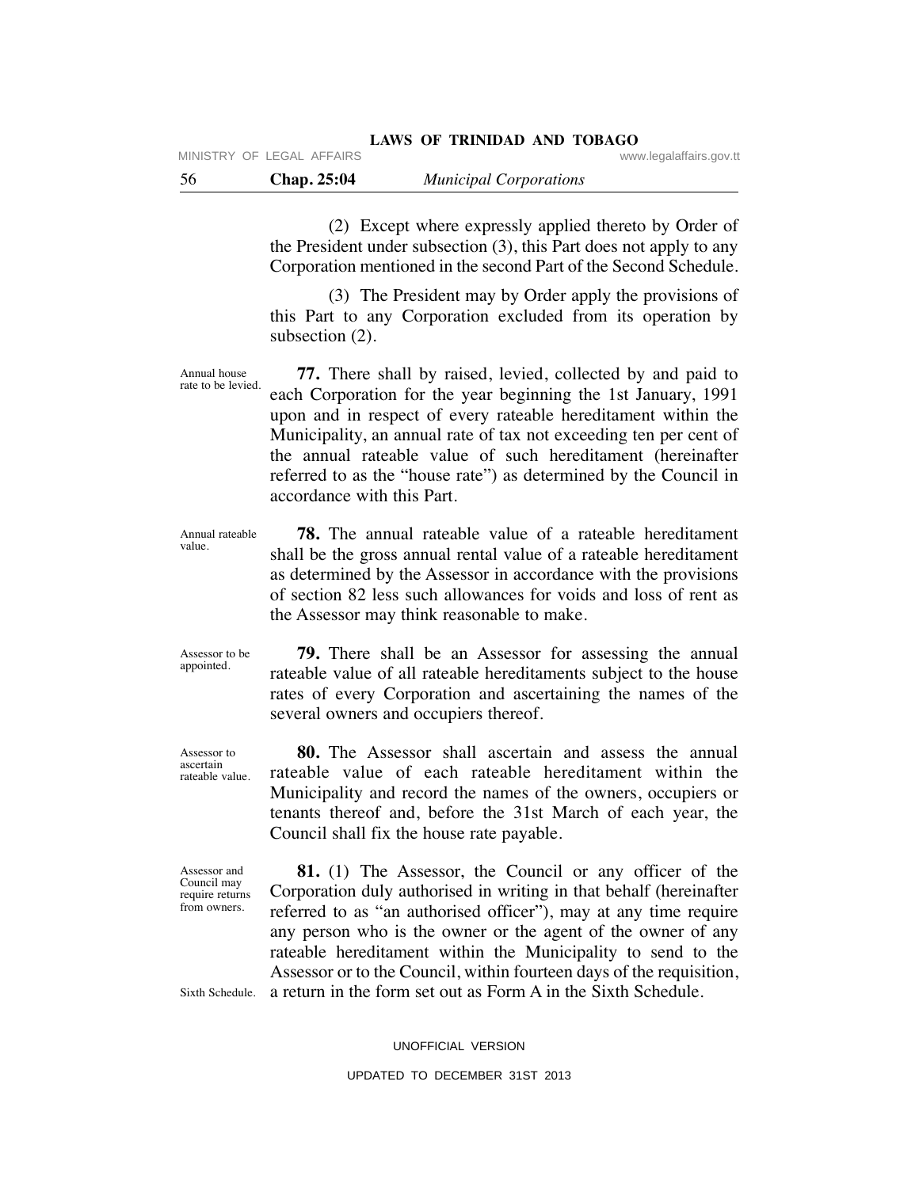(2) Except where expressly applied thereto by Order of the President under subsection (3), this Part does not apply to any Corporation mentioned in the second Part of the Second Schedule.

 (3) The President may by Order apply the provisions of this Part to any Corporation excluded from its operation by subsection (2).

 **77.** There shall by raised, levied, collected by and paid to each Corporation for the year beginning the 1st January, 1991 upon and in respect of every rateable hereditament within the Municipality, an annual rate of tax not exceeding ten per cent of the annual rateable value of such hereditament (hereinafter referred to as the "house rate") as determined by the Council in accordance with this Part. Annual house rate to be levied.

 **78.** The annual rateable value of a rateable hereditament shall be the gross annual rental value of a rateable hereditament as determined by the Assessor in accordance with the provisions of section 82 less such allowances for voids and loss of rent as the Assessor may think reasonable to make. Annual rateable value.

Assessor to be appointed.

Assessor to ascertain rateable value.

Assessor and Council may require returns from owners.

rates of every Corporation and ascertaining the names of the several owners and occupiers thereof. **80.** The Assessor shall ascertain and assess the annual

 **79.** There shall be an Assessor for assessing the annual rateable value of all rateable hereditaments subject to the house

rateable value of each rateable hereditament within the Municipality and record the names of the owners, occupiers or tenants thereof and, before the 31st March of each year, the Council shall fix the house rate payable.

 **81.** (1) The Assessor, the Council or any officer of the Corporation duly authorised in writing in that behalf (hereinafter referred to as "an authorised officer"), may at any time require any person who is the owner or the agent of the owner of any rateable hereditament within the Municipality to send to the Assessor or to the Council, within fourteen days of the requisition, a return in the form set out as Form A in the Sixth Schedule.

Sixth Schedule.

UNOFFICIAL VERSION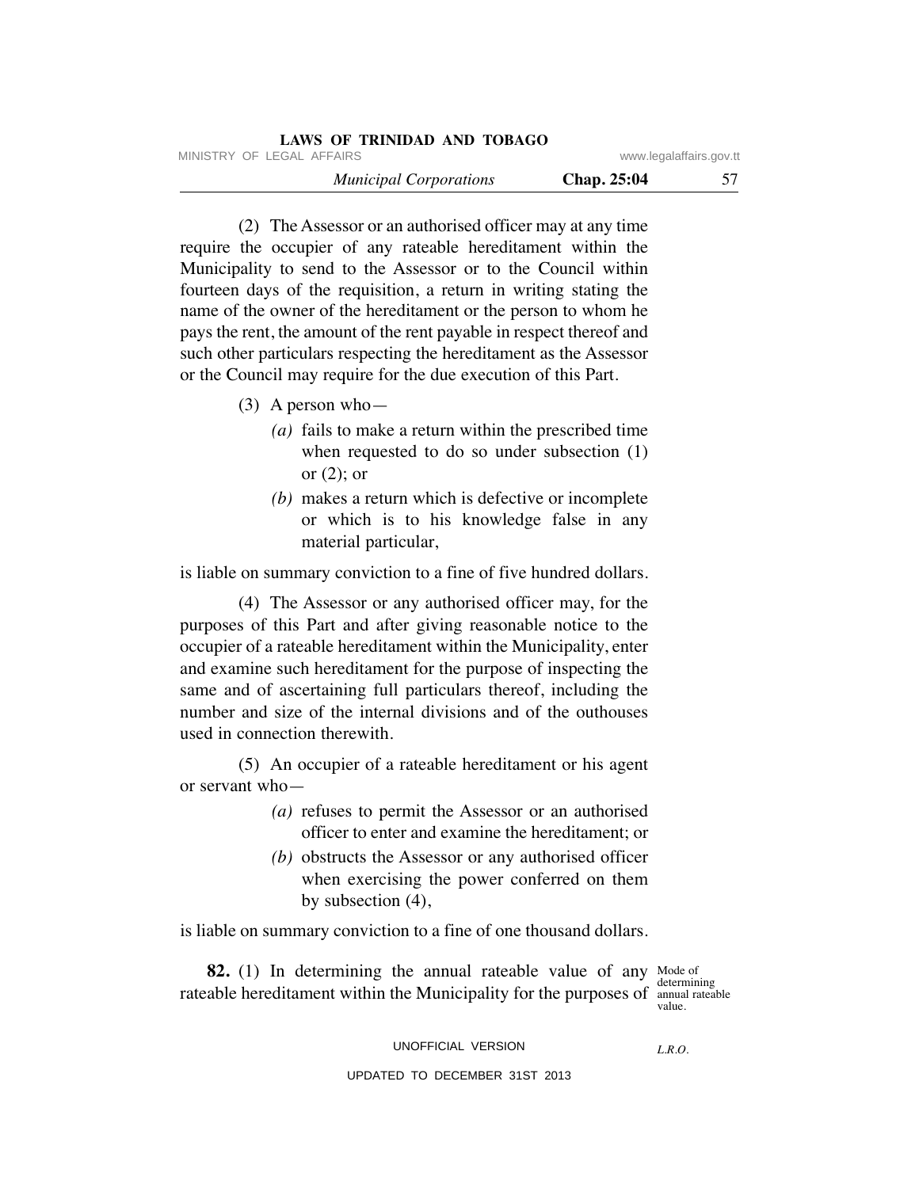| <b>LAWS OF TRINIDAD AND TOBAGO</b> |                         |    |
|------------------------------------|-------------------------|----|
| MINISTRY OF LEGAL AFFAIRS          | www.legalaffairs.gov.tt |    |
| <b>Municipal Corporations</b>      | Chap. 25:04             | 57 |

 (2) The Assessor or an authorised officer may at any time require the occupier of any rateable hereditament within the Municipality to send to the Assessor or to the Council within fourteen days of the requisition, a return in writing stating the name of the owner of the hereditament or the person to whom he pays the rent, the amount of the rent payable in respect thereof and such other particulars respecting the hereditament as the Assessor or the Council may require for the due execution of this Part.

- (3) A person who—
	- *(a)* fails to make a return within the prescribed time when requested to do so under subsection (1) or  $(2)$ ; or
	- *(b)* makes a return which is defective or incomplete or which is to his knowledge false in any material particular,

is liable on summary conviction to a fine of five hundred dollars.

 (4) The Assessor or any authorised officer may, for the purposes of this Part and after giving reasonable notice to the occupier of a rateable hereditament within the Municipality, enter and examine such hereditament for the purpose of inspecting the same and of ascertaining full particulars thereof, including the number and size of the internal divisions and of the outhouses used in connection therewith.

 (5) An occupier of a rateable hereditament or his agent or servant who—

- *(a)* refuses to permit the Assessor or an authorised officer to enter and examine the hereditament; or
- *(b)* obstructs the Assessor or any authorised officer when exercising the power conferred on them by subsection (4),

is liable on summary conviction to a fine of one thousand dollars.

**82.** (1) In determining the annual rateable value of any Mode of rateable hereditament within the Municipality for the purposes of annual rateable

determining value.

UNOFFICIAL VERSION

*L.R.O.* 

## UPDATED TO DECEMBER 31ST 2013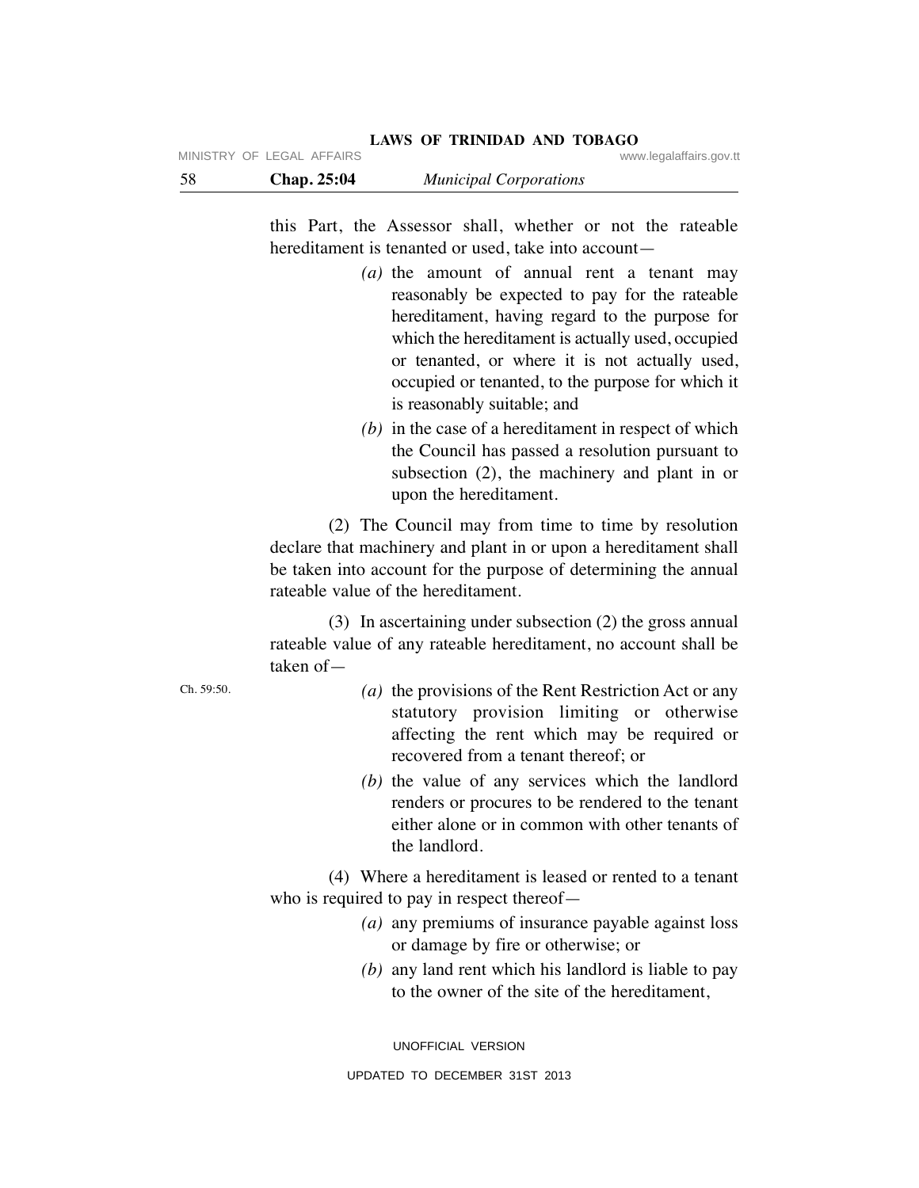| MINDIKY UF LEGAL AFFAIKS |  |  |
|--------------------------|--|--|
|                          |  |  |

| 58 | Chap. 25:04 | <b>Municipal Corporations</b> |  |
|----|-------------|-------------------------------|--|
|----|-------------|-------------------------------|--|

this Part, the Assessor shall, whether or not the rateable hereditament is tenanted or used, take into account—

- *(a)* the amount of annual rent a tenant may reasonably be expected to pay for the rateable hereditament, having regard to the purpose for which the hereditament is actually used, occupied or tenanted, or where it is not actually used, occupied or tenanted, to the purpose for which it is reasonably suitable; and
- *(b)* in the case of a hereditament in respect of which the Council has passed a resolution pursuant to subsection (2), the machinery and plant in or upon the hereditament.

 (2) The Council may from time to time by resolution declare that machinery and plant in or upon a hereditament shall be taken into account for the purpose of determining the annual rateable value of the hereditament.

 (3) In ascertaining under subsection (2) the gross annual rateable value of any rateable hereditament, no account shall be taken of—

- *(a)* the provisions of the Rent Restriction Act or any statutory provision limiting or otherwise affecting the rent which may be required or recovered from a tenant thereof; or
- *(b)* the value of any services which the landlord renders or procures to be rendered to the tenant either alone or in common with other tenants of the landlord.

 (4) Where a hereditament is leased or rented to a tenant who is required to pay in respect thereof—

- *(a)* any premiums of insurance payable against loss or damage by fire or otherwise; or
- *(b)* any land rent which his landlord is liable to pay to the owner of the site of the hereditament,

UNOFFICIAL VERSION

Ch. 59:50.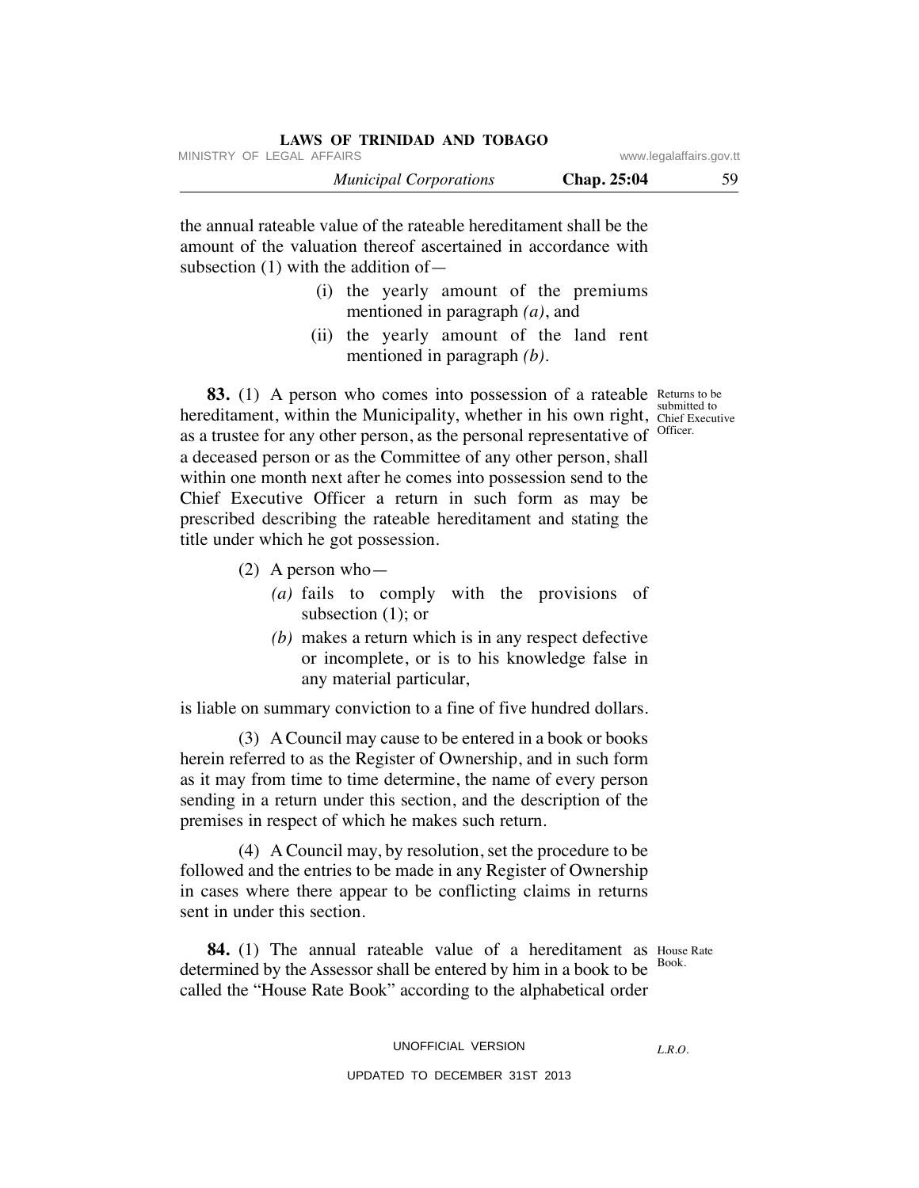| LAWS OF TRINIDAD AND TOBAGO   |                         |    |
|-------------------------------|-------------------------|----|
| MINISTRY OF LEGAL AFFAIRS     | www.legalaffairs.gov.tt |    |
| <b>Municipal Corporations</b> | Chap. 25:04             | 59 |

the annual rateable value of the rateable hereditament shall be the amount of the valuation thereof ascertained in accordance with subsection (1) with the addition of—

- (i) the yearly amount of the premiums mentioned in paragraph *(a)*, and
- (ii) the yearly amount of the land rent mentioned in paragraph *(b)*.

Chief Executive Officer.

**83.** (1) A person who comes into possession of a rateable Returns to be hereditament, within the Municipality, whether in his own right, chief Execu as a trustee for any other person, as the personal representative of a deceased person or as the Committee of any other person, shall within one month next after he comes into possession send to the Chief Executive Officer a return in such form as may be prescribed describing the rateable hereditament and stating the title under which he got possession.

- (2) A person who—
	- *(a)* fails to comply with the provisions of subsection (1); or
	- *(b)* makes a return which is in any respect defective or incomplete, or is to his knowledge false in any material particular,

is liable on summary conviction to a fine of five hundred dollars.

 (3) A Council may cause to be entered in a book or books herein referred to as the Register of Ownership, and in such form as it may from time to time determine, the name of every person sending in a return under this section, and the description of the premises in respect of which he makes such return.

 (4) A Council may, by resolution, set the procedure to be followed and the entries to be made in any Register of Ownership in cases where there appear to be conflicting claims in returns sent in under this section.

**84.** (1) The annual rateable value of a hereditament as House Rate determined by the Assessor shall be entered by him in a book to be called the "House Rate Book" according to the alphabetical order Book.

### UNOFFICIAL VERSION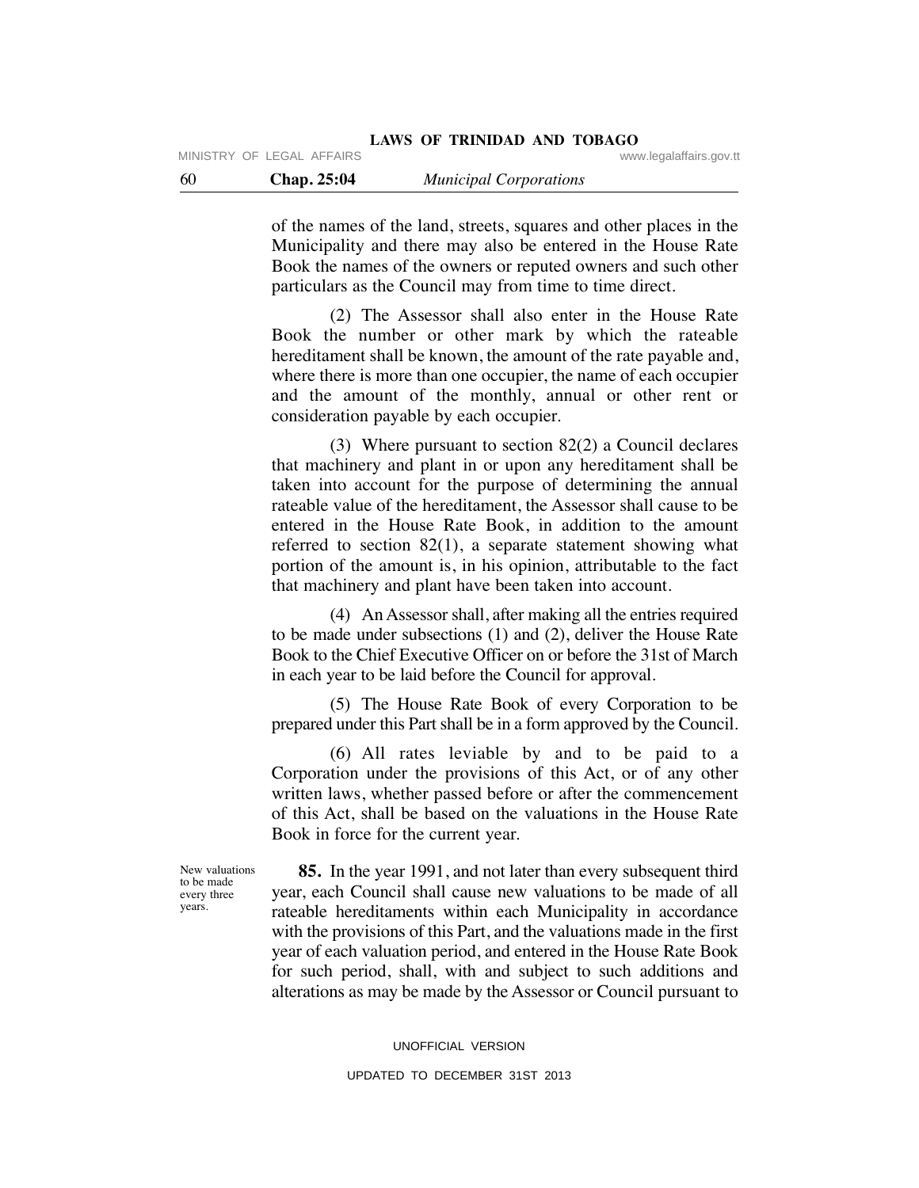of the names of the land, streets, squares and other places in the Municipality and there may also be entered in the House Rate Book the names of the owners or reputed owners and such other particulars as the Council may from time to time direct.

 (2) The Assessor shall also enter in the House Rate Book the number or other mark by which the rateable hereditament shall be known, the amount of the rate payable and, where there is more than one occupier, the name of each occupier and the amount of the monthly, annual or other rent or consideration payable by each occupier.

 (3) Where pursuant to section 82(2) a Council declares that machinery and plant in or upon any hereditament shall be taken into account for the purpose of determining the annual rateable value of the hereditament, the Assessor shall cause to be entered in the House Rate Book, in addition to the amount referred to section 82(1), a separate statement showing what portion of the amount is, in his opinion, attributable to the fact that machinery and plant have been taken into account.

 (4) An Assessor shall, after making all the entries required to be made under subsections (1) and (2), deliver the House Rate Book to the Chief Executive Officer on or before the 31st of March in each year to be laid before the Council for approval.

 (5) The House Rate Book of every Corporation to be prepared under this Part shall be in a form approved by the Council.

 (6) All rates leviable by and to be paid to a Corporation under the provisions of this Act, or of any other written laws, whether passed before or after the commencement of this Act, shall be based on the valuations in the House Rate Book in force for the current year.

New valuations to be made every three years.

 **85.** In the year 1991, and not later than every subsequent third year, each Council shall cause new valuations to be made of all rateable hereditaments within each Municipality in accordance with the provisions of this Part, and the valuations made in the first year of each valuation period, and entered in the House Rate Book for such period, shall, with and subject to such additions and alterations as may be made by the Assessor or Council pursuant to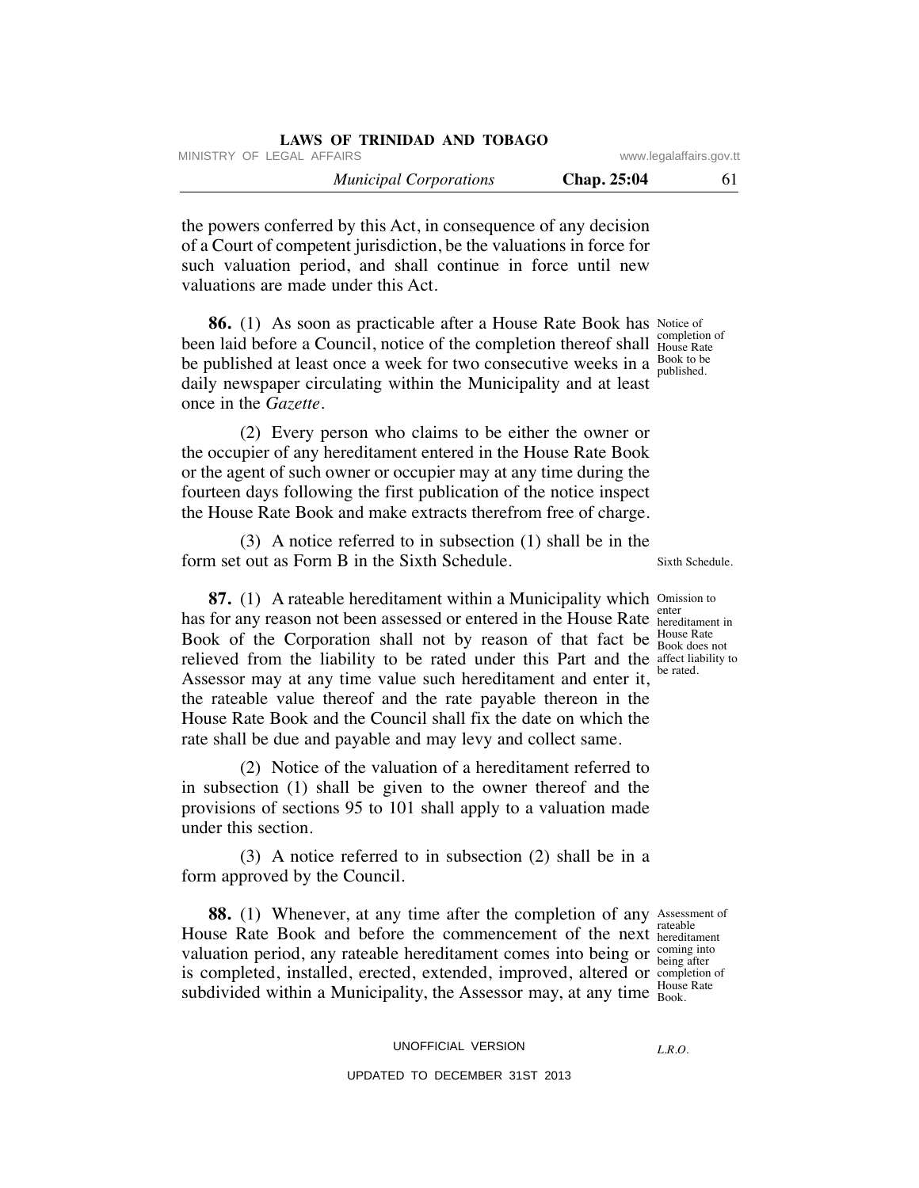| LAWS OF TRINIDAD AND TOBAGO   |                         |    |
|-------------------------------|-------------------------|----|
| MINISTRY OF LEGAL AFFAIRS     | www.legalaffairs.gov.tt |    |
| <b>Municipal Corporations</b> | <b>Chap. 25:04</b>      | 61 |

the powers conferred by this Act, in consequence of any decision of a Court of competent jurisdiction, be the valuations in force for such valuation period, and shall continue in force until new valuations are made under this Act.

**86.** (1) As soon as practicable after a House Rate Book has Notice of been laid before a Council, notice of the completion thereof shall Flouse Rate be published at least once a week for two consecutive weeks in a  $\frac{Book}{published}$ daily newspaper circulating within the Municipality and at least once in the *Gazette.*

(2) Every person who claims to be either the owner or the occupier of any hereditament entered in the House Rate Book or the agent of such owner or occupier may at any time during the fourteen days following the first publication of the notice inspect the House Rate Book and make extracts therefrom free of charge.

 (3) A notice referred to in subsection (1) shall be in the form set out as Form B in the Sixth Schedule.

**87.** (1) A rateable hereditament within a Municipality which Omission to has for any reason not been assessed or entered in the House Rate hered Book of the Corporation shall not by reason of that fact be  $\frac{\text{House Rate}}{\text{Book does}}$ relieved from the liability to be rated under this Part and the affect liability to Assessor may at any time value such hereditament and enter it, the rateable value thereof and the rate payable thereon in the House Rate Book and the Council shall fix the date on which the rate shall be due and payable and may levy and collect same.

 (2) Notice of the valuation of a hereditament referred to in subsection (1) shall be given to the owner thereof and the provisions of sections 95 to 101 shall apply to a valuation made under this section.

 (3) A notice referred to in subsection (2) shall be in a form approved by the Council.

**88.** (1) Whenever, at any time after the completion of any Assessment of House Rate Book and before the commencement of the next heredita valuation period, any rateable hereditament comes into being or  $\frac{\text{coming into}}{\text{being after}}$ is completed, installed, erected, extended, improved, altered or completion of subdivided within a Municipality, the Assessor may, at any time  $_{\text{Book}}^{\text{noise}}$ 

hereditament being after House Rate

UNOFFICIAL VERSION

## UPDATED TO DECEMBER 31ST 2013

House Rate published.

Sixth Schedule.

hereditament in Book does not be rated.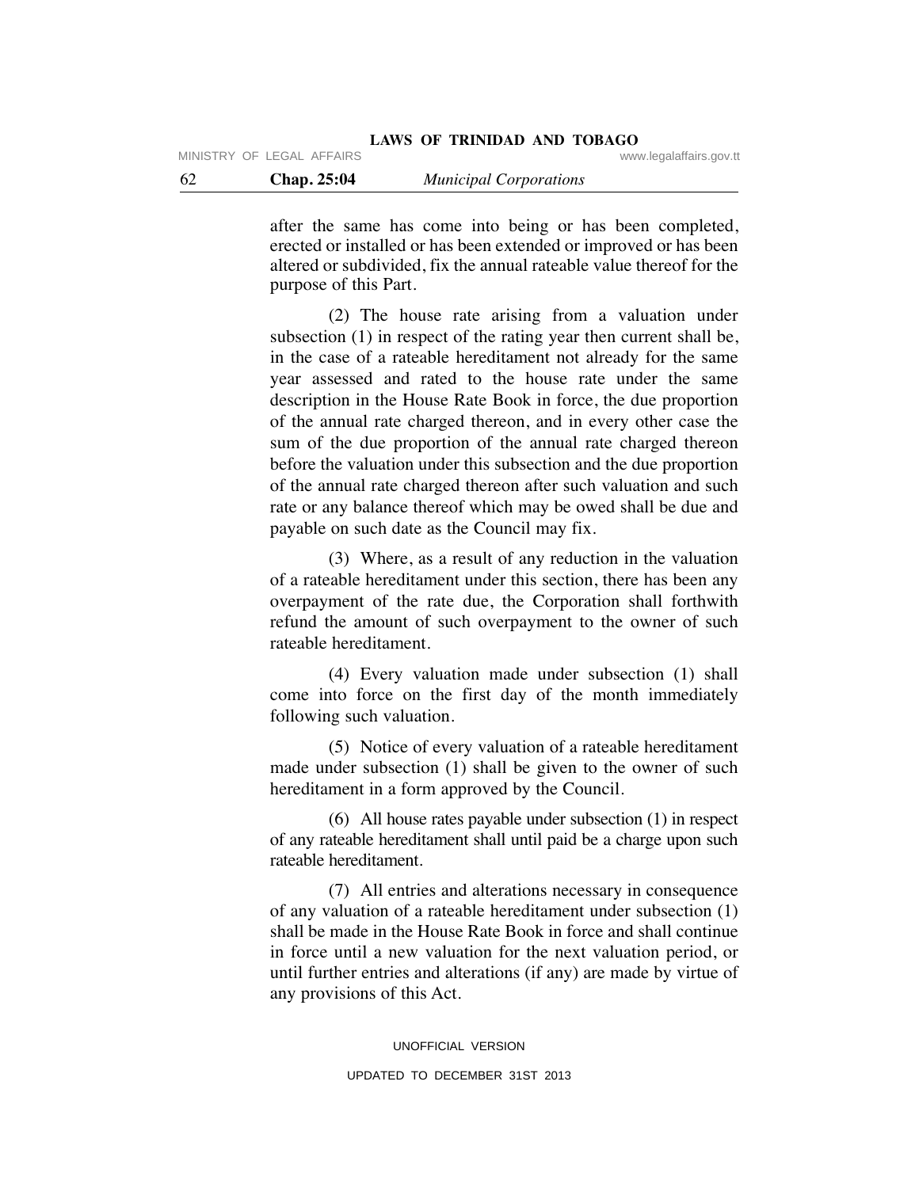after the same has come into being or has been completed, erected or installed or has been extended or improved or has been altered or subdivided, fix the annual rateable value thereof for the purpose of this Part.

 (2) The house rate arising from a valuation under subsection (1) in respect of the rating year then current shall be, in the case of a rateable hereditament not already for the same year assessed and rated to the house rate under the same description in the House Rate Book in force, the due proportion of the annual rate charged thereon, and in every other case the sum of the due proportion of the annual rate charged thereon before the valuation under this subsection and the due proportion of the annual rate charged thereon after such valuation and such rate or any balance thereof which may be owed shall be due and payable on such date as the Council may fix.

 (3) Where, as a result of any reduction in the valuation of a rateable hereditament under this section, there has been any overpayment of the rate due, the Corporation shall forthwith refund the amount of such overpayment to the owner of such rateable hereditament.

 (4) Every valuation made under subsection (1) shall come into force on the first day of the month immediately following such valuation.

 (5) Notice of every valuation of a rateable hereditament made under subsection (1) shall be given to the owner of such hereditament in a form approved by the Council.

 (6) All house rates payable under subsection (1) in respect of any rateable hereditament shall until paid be a charge upon such rateable hereditament.

 (7) All entries and alterations necessary in consequence of any valuation of a rateable hereditament under subsection (1) shall be made in the House Rate Book in force and shall continue in force until a new valuation for the next valuation period, or until further entries and alterations (if any) are made by virtue of any provisions of this Act.

> UNOFFICIAL VERSION UPDATED TO DECEMBER 31ST 2013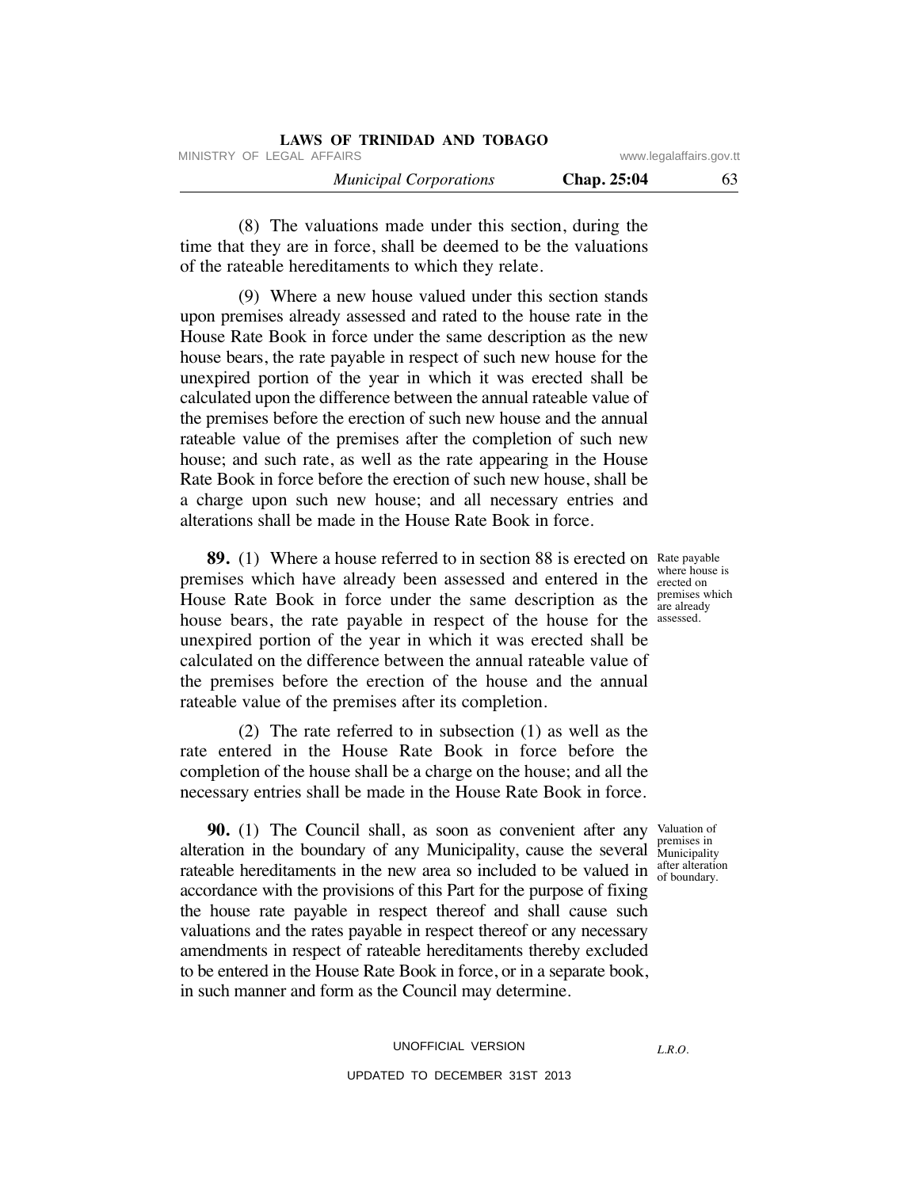| <b>LAWS OF TRINIDAD AND TOBAGO</b> |             |                         |
|------------------------------------|-------------|-------------------------|
| MINISTRY OF LEGAL AFFAIRS          |             | www.legalaffairs.gov.tt |
| <b>Municipal Corporations</b>      | Chap. 25:04 | 63                      |

 (8) The valuations made under this section, during the time that they are in force, shall be deemed to be the valuations of the rateable hereditaments to which they relate.

 (9) Where a new house valued under this section stands upon premises already assessed and rated to the house rate in the House Rate Book in force under the same description as the new house bears, the rate payable in respect of such new house for the unexpired portion of the year in which it was erected shall be calculated upon the difference between the annual rateable value of the premises before the erection of such new house and the annual rateable value of the premises after the completion of such new house; and such rate, as well as the rate appearing in the House Rate Book in force before the erection of such new house, shall be a charge upon such new house; and all necessary entries and alterations shall be made in the House Rate Book in force.

**89.** (1) Where a house referred to in section 88 is erected on Rate payable premises which have already been assessed and entered in the erected on House Rate Book in force under the same description as the  $\frac{premiss which}{are already}$ house bears, the rate payable in respect of the house for the assessed. unexpired portion of the year in which it was erected shall be calculated on the difference between the annual rateable value of the premises before the erection of the house and the annual rateable value of the premises after its completion.

 (2) The rate referred to in subsection (1) as well as the rate entered in the House Rate Book in force before the completion of the house shall be a charge on the house; and all the necessary entries shall be made in the House Rate Book in force.

**90.** (1) The Council shall, as soon as convenient after any Valuation of alteration in the boundary of any Municipality, cause the several Municipality rateable hereditaments in the new area so included to be valued in  $\frac{after\text{ alteration}}{of\text{ boundary}}$ accordance with the provisions of this Part for the purpose of fixing the house rate payable in respect thereof and shall cause such valuations and the rates payable in respect thereof or any necessary amendments in respect of rateable hereditaments thereby excluded to be entered in the House Rate Book in force, or in a separate book, in such manner and form as the Council may determine.

# UNOFFICIAL VERSION UPDATED TO DECEMBER 31ST 2013

where house is are already

Municipality of boundary.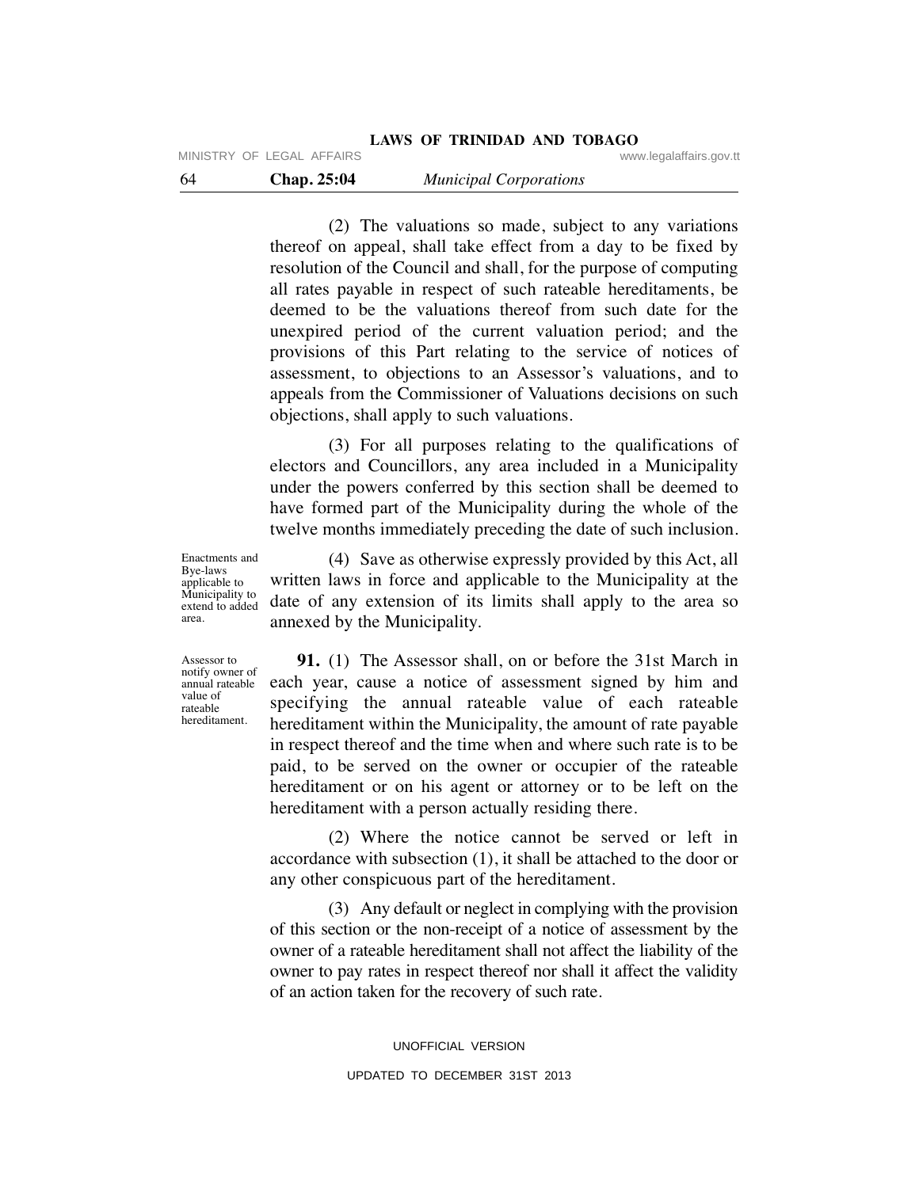MINISTRY OF LEGAL AFFAIRS **WARE ACCOMPTED MINISTRY** OF LEGAL AFFAIRS

 (2) The valuations so made, subject to any variations thereof on appeal, shall take effect from a day to be fixed by resolution of the Council and shall, for the purpose of computing all rates payable in respect of such rateable hereditaments, be deemed to be the valuations thereof from such date for the unexpired period of the current valuation period; and the provisions of this Part relating to the service of notices of assessment, to objections to an Assessor's valuations, and to appeals from the Commissioner of Valuations decisions on such objections, shall apply to such valuations.

 (3) For all purposes relating to the qualifications of electors and Councillors, any area included in a Municipality under the powers conferred by this section shall be deemed to have formed part of the Municipality during the whole of the twelve months immediately preceding the date of such inclusion.

Enactments and Bye-laws applicable to Municipality to extend to added area.

 (4) Save as otherwise expressly provided by this Act, all written laws in force and applicable to the Municipality at the date of any extension of its limits shall apply to the area so annexed by the Municipality.

Assessor to notify owner of annual rateable value of rateable hereditament.

 **91.** (1) The Assessor shall, on or before the 31st March in each year, cause a notice of assessment signed by him and specifying the annual rateable value of each rateable hereditament within the Municipality, the amount of rate payable in respect thereof and the time when and where such rate is to be paid, to be served on the owner or occupier of the rateable hereditament or on his agent or attorney or to be left on the hereditament with a person actually residing there.

 (2) Where the notice cannot be served or left in accordance with subsection (1), it shall be attached to the door or any other conspicuous part of the hereditament.

 (3) Any default or neglect in complying with the provision of this section or the non-receipt of a notice of assessment by the owner of a rateable hereditament shall not affect the liability of the owner to pay rates in respect thereof nor shall it affect the validity of an action taken for the recovery of such rate.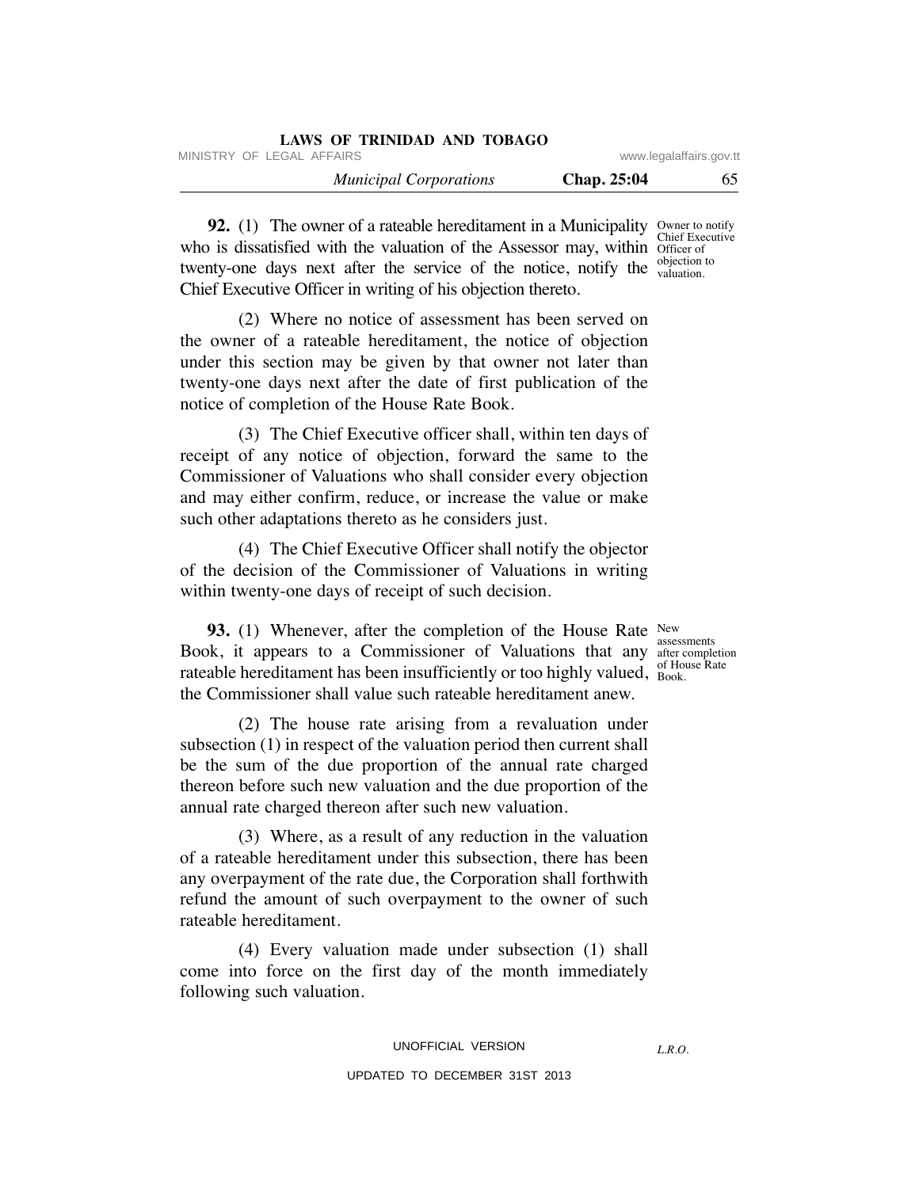| LAWS OF TRINIDAD AND TOBAGO   |             |                         |
|-------------------------------|-------------|-------------------------|
| MINISTRY OF LEGAL AFFAIRS     |             | www.legalaffairs.gov.tt |
| <b>Municipal Corporations</b> | Chap. 25:04 | 65                      |

**92.** (1) The owner of a rateable hereditament in a Municipality Owner to notify who is dissatisfied with the valuation of the Assessor may, within officer of twenty-one days next after the service of the notice, notify the  $\frac{\text{objection to}}{\text{valuation}}$ Chief Executive Officer in writing of his objection thereto. Chief Executive valuation.

 (2) Where no notice of assessment has been served on the owner of a rateable hereditament, the notice of objection under this section may be given by that owner not later than twenty-one days next after the date of first publication of the notice of completion of the House Rate Book.

 (3) The Chief Executive officer shall, within ten days of receipt of any notice of objection, forward the same to the Commissioner of Valuations who shall consider every objection and may either confirm, reduce, or increase the value or make such other adaptations thereto as he considers just.

 (4) The Chief Executive Officer shall notify the objector of the decision of the Commissioner of Valuations in writing within twenty-one days of receipt of such decision.

**93.** (1) Whenever, after the completion of the House Rate New Book, it appears to a Commissioner of Valuations that any after completion rateable hereditament has been insufficiently or too highly valued,  $_{\text{Book}}^{\text{of House Rate}}$ the Commissioner shall value such rateable hereditament anew.

 (2) The house rate arising from a revaluation under subsection (1) in respect of the valuation period then current shall be the sum of the due proportion of the annual rate charged thereon before such new valuation and the due proportion of the annual rate charged thereon after such new valuation.

 (3) Where, as a result of any reduction in the valuation of a rateable hereditament under this subsection, there has been any overpayment of the rate due, the Corporation shall forthwith refund the amount of such overpayment to the owner of such rateable hereditament.

 (4) Every valuation made under subsection (1) shall come into force on the first day of the month immediately following such valuation.

assessments Book.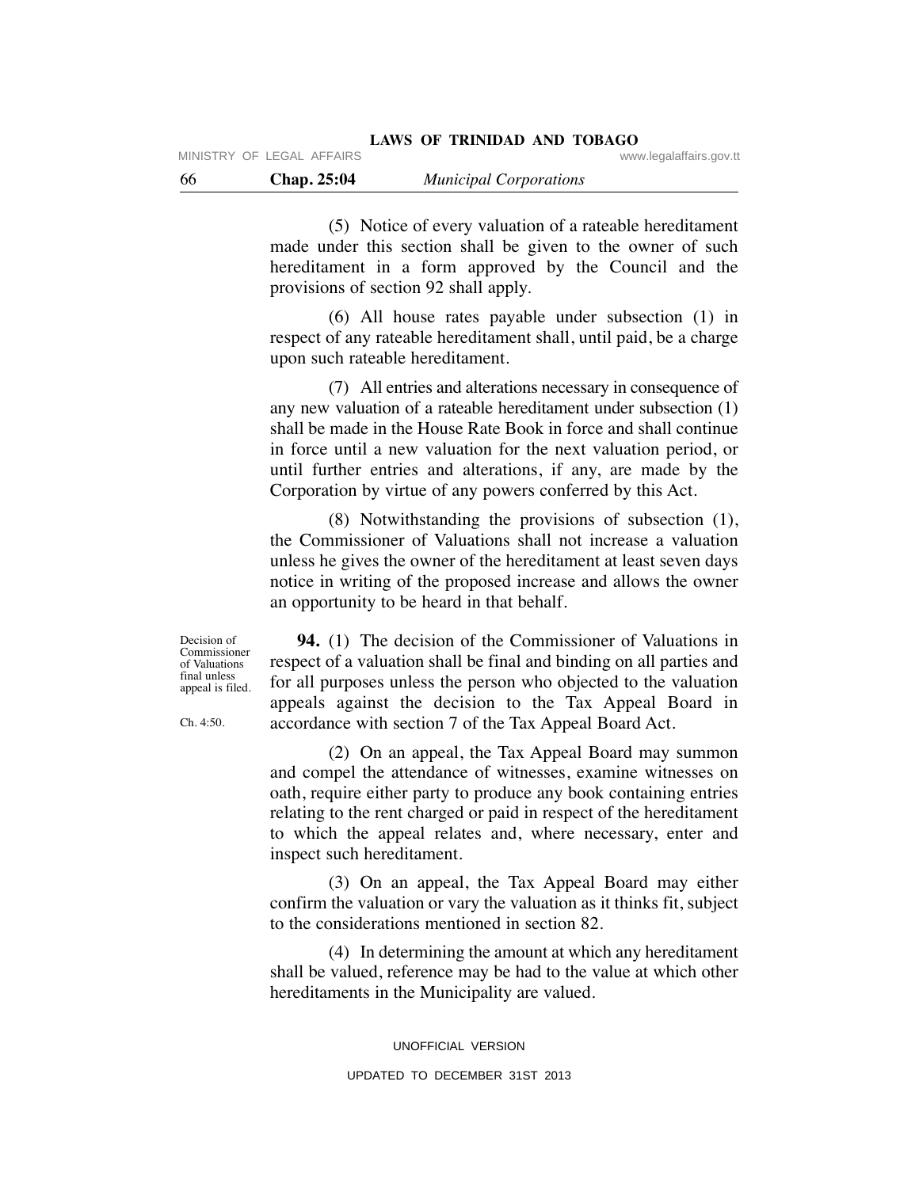MINISTRY OF LEGAL AFFAIRS **WARE ACCOMPTED MINISTRY** OF LEGAL AFFAIRS

 (5) Notice of every valuation of a rateable hereditament made under this section shall be given to the owner of such hereditament in a form approved by the Council and the provisions of section 92 shall apply.

 (6) All house rates payable under subsection (1) in respect of any rateable hereditament shall, until paid, be a charge upon such rateable hereditament.

 (7) All entries and alterations necessary in consequence of any new valuation of a rateable hereditament under subsection (1) shall be made in the House Rate Book in force and shall continue in force until a new valuation for the next valuation period, or until further entries and alterations, if any, are made by the Corporation by virtue of any powers conferred by this Act.

 (8) Notwithstanding the provisions of subsection (1), the Commissioner of Valuations shall not increase a valuation unless he gives the owner of the hereditament at least seven days notice in writing of the proposed increase and allows the owner an opportunity to be heard in that behalf.

Decision of Commissioner of Valuations final unless appeal is filed.

Ch. 4:50.

 **94.** (1) The decision of the Commissioner of Valuations in respect of a valuation shall be final and binding on all parties and for all purposes unless the person who objected to the valuation appeals against the decision to the Tax Appeal Board in accordance with section 7 of the Tax Appeal Board Act.

 (2) On an appeal, the Tax Appeal Board may summon and compel the attendance of witnesses, examine witnesses on oath, require either party to produce any book containing entries relating to the rent charged or paid in respect of the hereditament to which the appeal relates and, where necessary, enter and inspect such hereditament.

 (3) On an appeal, the Tax Appeal Board may either confirm the valuation or vary the valuation as it thinks fit, subject to the considerations mentioned in section 82.

 (4) In determining the amount at which any hereditament shall be valued, reference may be had to the value at which other hereditaments in the Municipality are valued.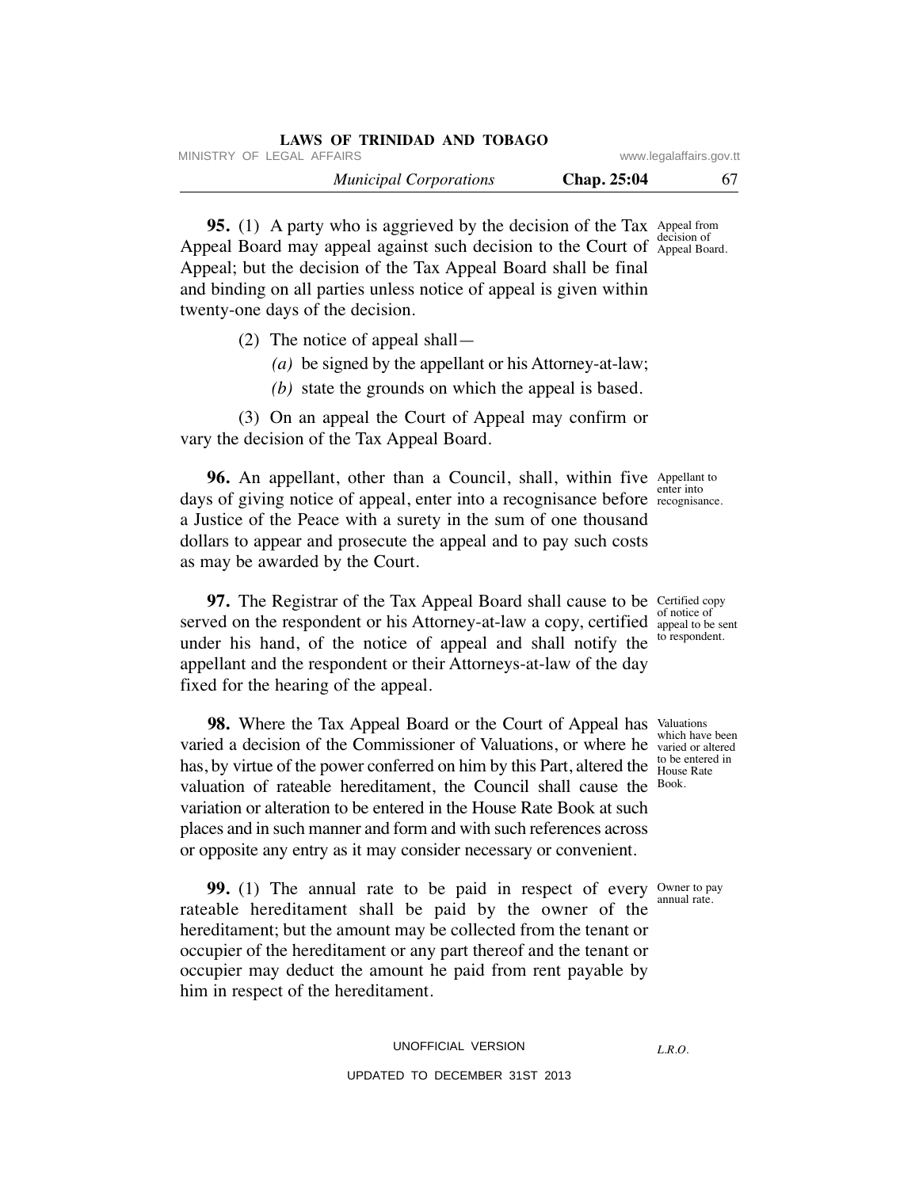| LAWS OF TRINIDAD AND TOBAGO   |             |                         |
|-------------------------------|-------------|-------------------------|
| MINISTRY OF LEGAL AFFAIRS     |             | www.legalaffairs.gov.tt |
| <b>Municipal Corporations</b> | Chap. 25:04 | 67                      |

**95.** (1) A party who is aggrieved by the decision of the Tax Appeal from Appeal Board may appeal against such decision to the Court of Appeal Board Hope Appeal; but the decision of the Tax Appeal Board shall be final and binding on all parties unless notice of appeal is given within twenty-one days of the decision. Appeal Board.

- (2) The notice of appeal shall—
	- *(a)* be signed by the appellant or his Attorney-at-law;
	- *(b)* state the grounds on which the appeal is based.

 (3) On an appeal the Court of Appeal may confirm or vary the decision of the Tax Appeal Board.

**96.** An appellant, other than a Council, shall, within five Appellant to days of giving notice of appeal, enter into a recognisance before recognisa a Justice of the Peace with a surety in the sum of one thousand dollars to appear and prosecute the appeal and to pay such costs as may be awarded by the Court.

**97.** The Registrar of the Tax Appeal Board shall cause to be Certified copy served on the respondent or his Attorney-at-law a copy, certified appeal to be sent under his hand, of the notice of appeal and shall notify the appellant and the respondent or their Attorneys-at-law of the day fixed for the hearing of the appeal.

**98.** Where the Tax Appeal Board or the Court of Appeal has Valuations varied a decision of the Commissioner of Valuations, or where he varied or altered has, by virtue of the power conferred on him by this Part, altered the  $\frac{100}{\text{B}}$  be entered valuation of rateable hereditament, the Council shall cause the variation or alteration to be entered in the House Rate Book at such places and in such manner and form and with such references across or opposite any entry as it may consider necessary or convenient.

**99.** (1) The annual rate to be paid in respect of every owner to pay rateable hereditament shall be paid by the owner of the hereditament; but the amount may be collected from the tenant or occupier of the hereditament or any part thereof and the tenant or occupier may deduct the amount he paid from rent payable by him in respect of the hereditament.

# UNOFFICIAL VERSION

UPDATED TO DECEMBER 31ST 2013

recognisance.

of notice of to respondent.

which have been to be entered in Book.

annual rate.

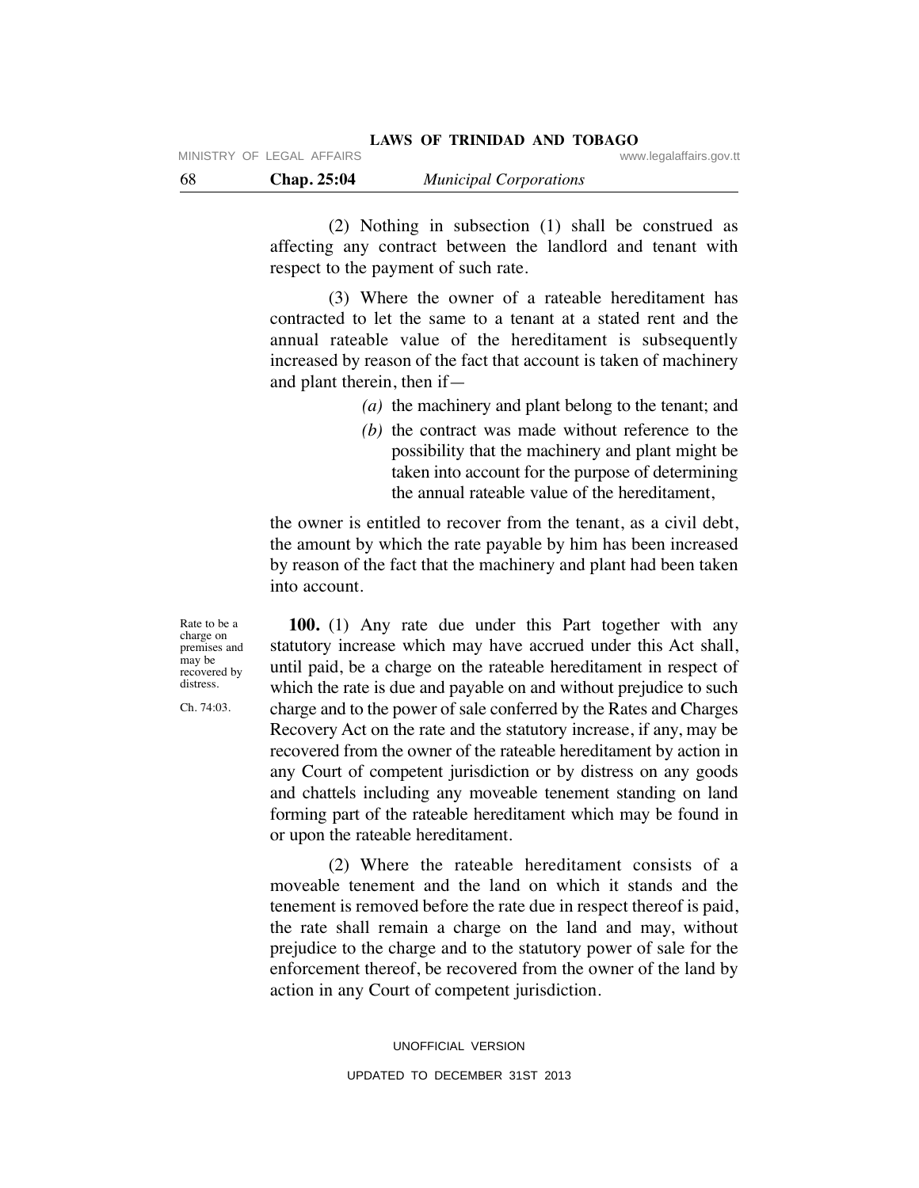(2) Nothing in subsection (1) shall be construed as affecting any contract between the landlord and tenant with respect to the payment of such rate.

 (3) Where the owner of a rateable hereditament has contracted to let the same to a tenant at a stated rent and the annual rateable value of the hereditament is subsequently increased by reason of the fact that account is taken of machinery and plant therein, then if—

- *(a)* the machinery and plant belong to the tenant; and
- *(b)* the contract was made without reference to the possibility that the machinery and plant might be taken into account for the purpose of determining the annual rateable value of the hereditament,

the owner is entitled to recover from the tenant, as a civil debt, the amount by which the rate payable by him has been increased by reason of the fact that the machinery and plant had been taken into account.

 **100.** (1) Any rate due under this Part together with any statutory increase which may have accrued under this Act shall, until paid, be a charge on the rateable hereditament in respect of which the rate is due and payable on and without prejudice to such charge and to the power of sale conferred by the Rates and Charges Recovery Act on the rate and the statutory increase, if any, may be recovered from the owner of the rateable hereditament by action in any Court of competent jurisdiction or by distress on any goods and chattels including any moveable tenement standing on land forming part of the rateable hereditament which may be found in or upon the rateable hereditament.

 (2) Where the rateable hereditament consists of a moveable tenement and the land on which it stands and the tenement is removed before the rate due in respect thereof is paid, the rate shall remain a charge on the land and may, without prejudice to the charge and to the statutory power of sale for the enforcement thereof, be recovered from the owner of the land by action in any Court of competent jurisdiction.

> UNOFFICIAL VERSION UPDATED TO DECEMBER 31ST 2013

Rate to be a charge on premises and may be recovered by distress.

Ch. 74:03.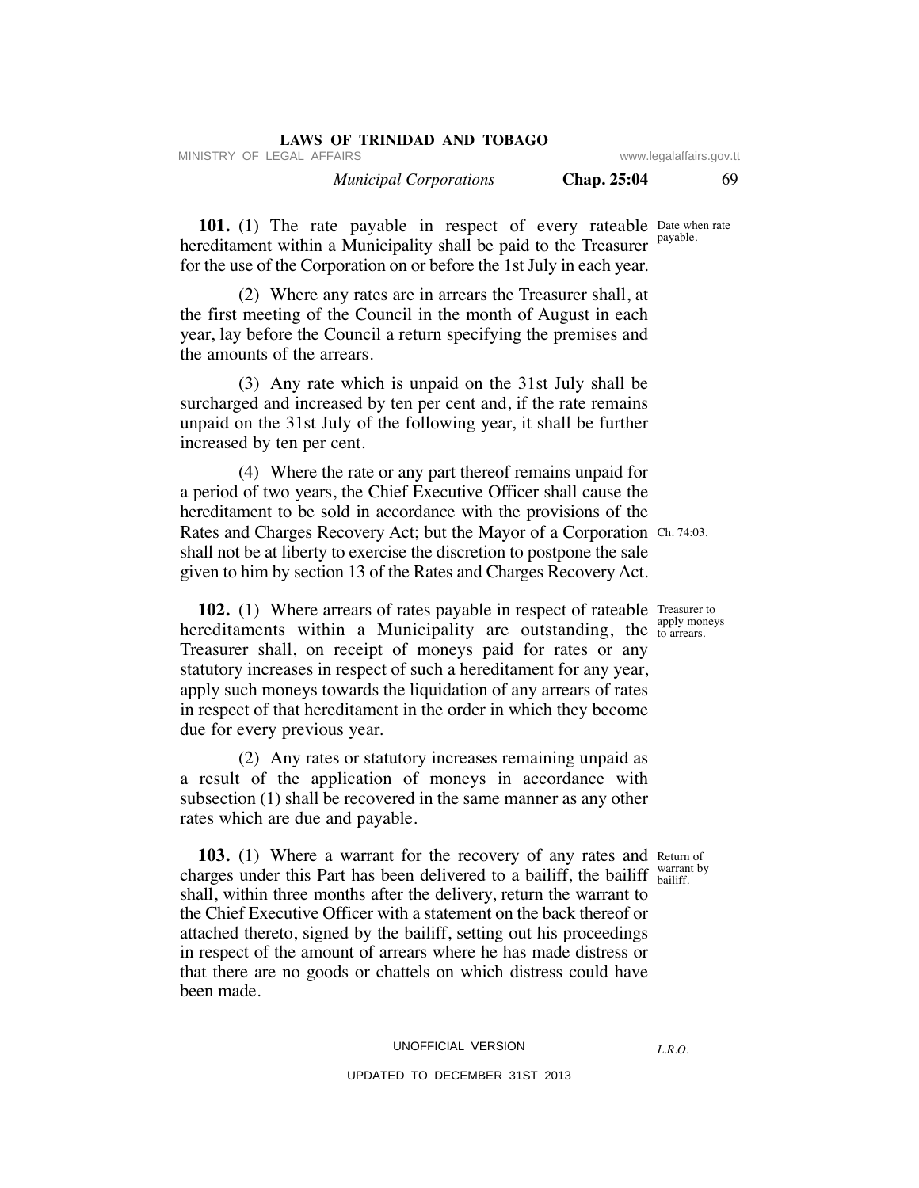| LAWS OF TRINIDAD AND TOBAGO   |                         |    |
|-------------------------------|-------------------------|----|
| MINISTRY OF LEGAL AFFAIRS     | www.legalaffairs.gov.tt |    |
| <b>Municipal Corporations</b> | Chap. 25:04             | 69 |

**101.** (1) The rate payable in respect of every rateable Date when rate hereditament within a Municipality shall be paid to the Treasurer for the use of the Corporation on or before the 1st July in each year. payable.

 (2) Where any rates are in arrears the Treasurer shall, at the first meeting of the Council in the month of August in each year, lay before the Council a return specifying the premises and the amounts of the arrears.

 (3) Any rate which is unpaid on the 31st July shall be surcharged and increased by ten per cent and, if the rate remains unpaid on the 31st July of the following year, it shall be further increased by ten per cent.

 (4) Where the rate or any part thereof remains unpaid for a period of two years, the Chief Executive Officer shall cause the hereditament to be sold in accordance with the provisions of the Rates and Charges Recovery Act; but the Mayor of a Corporation Ch. 74:03. shall not be at liberty to exercise the discretion to postpone the sale given to him by section 13 of the Rates and Charges Recovery Act.

**102.** (1) Where arrears of rates payable in respect of rateable Treasurer to hereditaments within a Municipality are outstanding, the  $_{\text{to} \text{ are}$  arrears. Treasurer shall, on receipt of moneys paid for rates or any statutory increases in respect of such a hereditament for any year, apply such moneys towards the liquidation of any arrears of rates in respect of that hereditament in the order in which they become due for every previous year.

 (2) Any rates or statutory increases remaining unpaid as a result of the application of moneys in accordance with subsection (1) shall be recovered in the same manner as any other rates which are due and payable.

**103.** (1) Where a warrant for the recovery of any rates and Return of charges under this Part has been delivered to a bailiff, the bailiff  $_{\text{bailiff}}^{\text{warmt by}}$ shall, within three months after the delivery, return the warrant to the Chief Executive Officer with a statement on the back thereof or attached thereto, signed by the bailiff, setting out his proceedings in respect of the amount of arrears where he has made distress or that there are no goods or chattels on which distress could have been made. bailiff.

#### UNOFFICIAL VERSION

# UPDATED TO DECEMBER 31ST 2013

*L.R.O.* 

to arrears.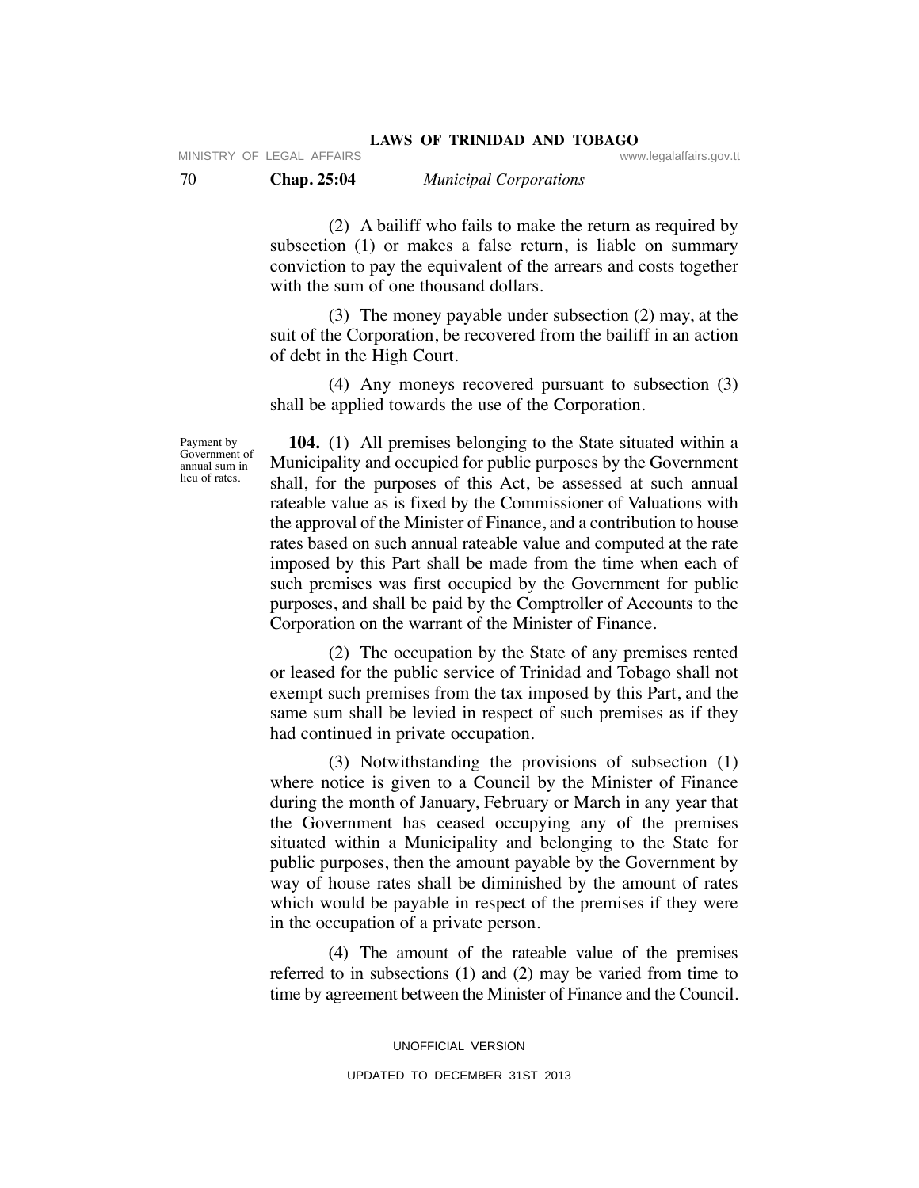70 **Chap. 25:04** *Municipal Corporations*

 (2) A bailiff who fails to make the return as required by subsection (1) or makes a false return, is liable on summary conviction to pay the equivalent of the arrears and costs together with the sum of one thousand dollars.

 (3) The money payable under subsection (2) may, at the suit of the Corporation, be recovered from the bailiff in an action of debt in the High Court.

 (4) Any moneys recovered pursuant to subsection (3) shall be applied towards the use of the Corporation.

Payment by Government of annual sum in lieu of rates.

 **104.** (1) All premises belonging to the State situated within a Municipality and occupied for public purposes by the Government shall, for the purposes of this Act, be assessed at such annual rateable value as is fixed by the Commissioner of Valuations with the approval of the Minister of Finance, and a contribution to house rates based on such annual rateable value and computed at the rate imposed by this Part shall be made from the time when each of such premises was first occupied by the Government for public purposes, and shall be paid by the Comptroller of Accounts to the Corporation on the warrant of the Minister of Finance.

 (2) The occupation by the State of any premises rented or leased for the public service of Trinidad and Tobago shall not exempt such premises from the tax imposed by this Part, and the same sum shall be levied in respect of such premises as if they had continued in private occupation.

 (3) Notwithstanding the provisions of subsection (1) where notice is given to a Council by the Minister of Finance during the month of January, February or March in any year that the Government has ceased occupying any of the premises situated within a Municipality and belonging to the State for public purposes, then the amount payable by the Government by way of house rates shall be diminished by the amount of rates which would be payable in respect of the premises if they were in the occupation of a private person.

 (4) The amount of the rateable value of the premises referred to in subsections (1) and (2) may be varied from time to time by agreement between the Minister of Finance and the Council.

> UNOFFICIAL VERSION UPDATED TO DECEMBER 31ST 2013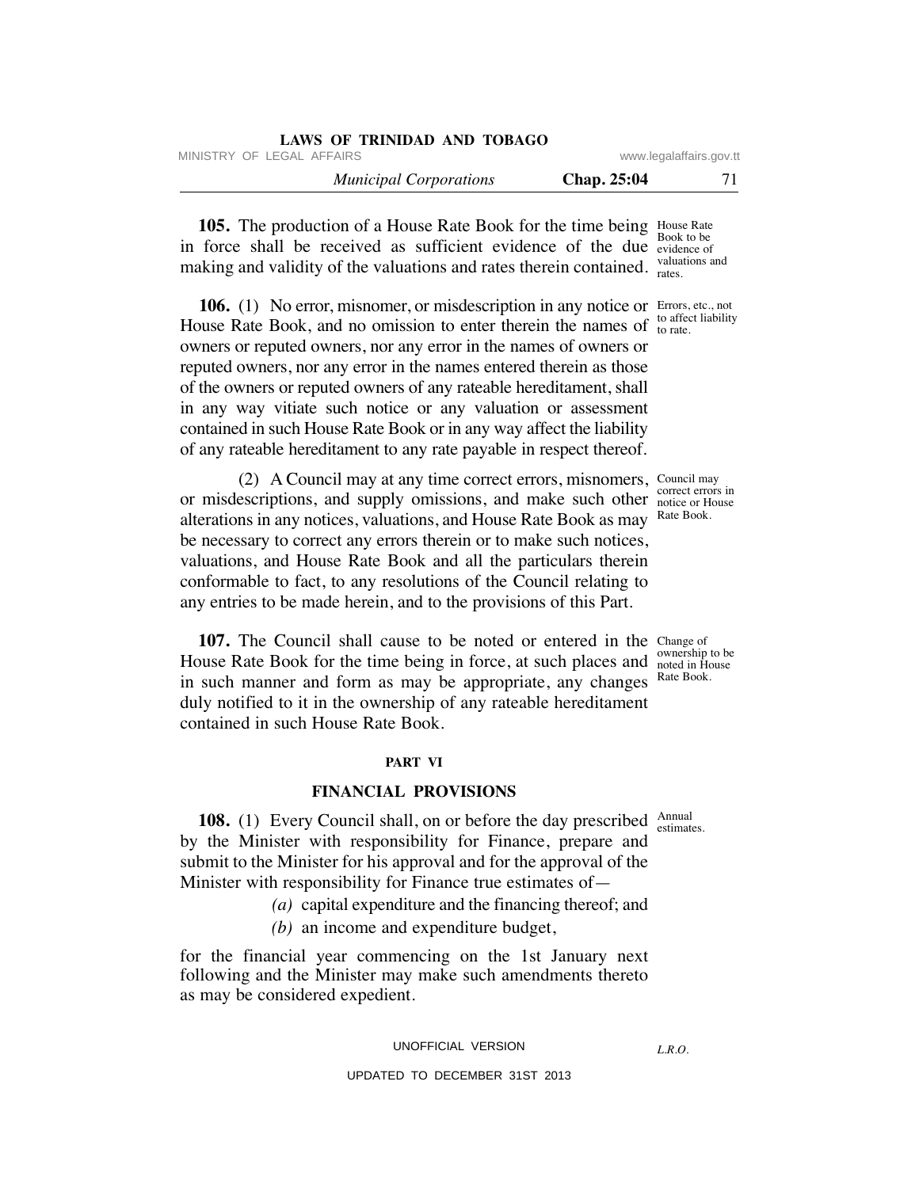| LAWS OF TRINIDAD AND TOBAGO   |             |                         |
|-------------------------------|-------------|-------------------------|
| MINISTRY OF LEGAL AFFAIRS     |             | www.legalaffairs.gov.tt |
| <b>Municipal Corporations</b> | Chap. 25:04 | 71                      |

**105.** The production of a House Rate Book for the time being House Rate in force shall be received as sufficient evidence of the due evidence of making and validity of the valuations and rates therein contained. valuations and Book to be rates.

**106.** (1) No error, misnomer, or misdescription in any notice or Errors, etc., not House Rate Book, and no omission to enter therein the names of  $\frac{10 \text{ and } }{10 \text{ rate}}$ . owners or reputed owners, nor any error in the names of owners or reputed owners, nor any error in the names entered therein as those of the owners or reputed owners of any rateable hereditament, shall in any way vitiate such notice or any valuation or assessment contained in such House Rate Book or in any way affect the liability of any rateable hereditament to any rate payable in respect thereof.

 (2) A Council may at any time correct errors, misnomers, Council may or misdescriptions, and supply omissions, and make such other motion of House alterations in any notices, valuations, and House Rate Book as may be necessary to correct any errors therein or to make such notices, valuations, and House Rate Book and all the particulars therein conformable to fact, to any resolutions of the Council relating to any entries to be made herein, and to the provisions of this Part.

**107.** The Council shall cause to be noted or entered in the Change of House Rate Book for the time being in force, at such places and <sup>ownership to be</sup> in such manner and form as may be appropriate, any changes Rate Book. duly notified to it in the ownership of any rateable hereditament contained in such House Rate Book.

#### **PART VI**

#### **FINANCIAL PROVISIONS**

**108.** (1) Every Council shall, on or before the day prescribed  $\frac{\text{Annual}}{\text{estimate}}$ by the Minister with responsibility for Finance, prepare and submit to the Minister for his approval and for the approval of the Minister with responsibility for Finance true estimates of estimates.

- *(a)* capital expenditure and the financing thereof; and
- *(b)* an income and expenditure budget,

for the financial year commencing on the 1st January next following and the Minister may make such amendments thereto as may be considered expedient.

#### UNOFFICIAL VERSION

## UPDATED TO DECEMBER 31ST 2013

*L.R.O.* 

correct errors in Rate Book.

noted in House

to affect liability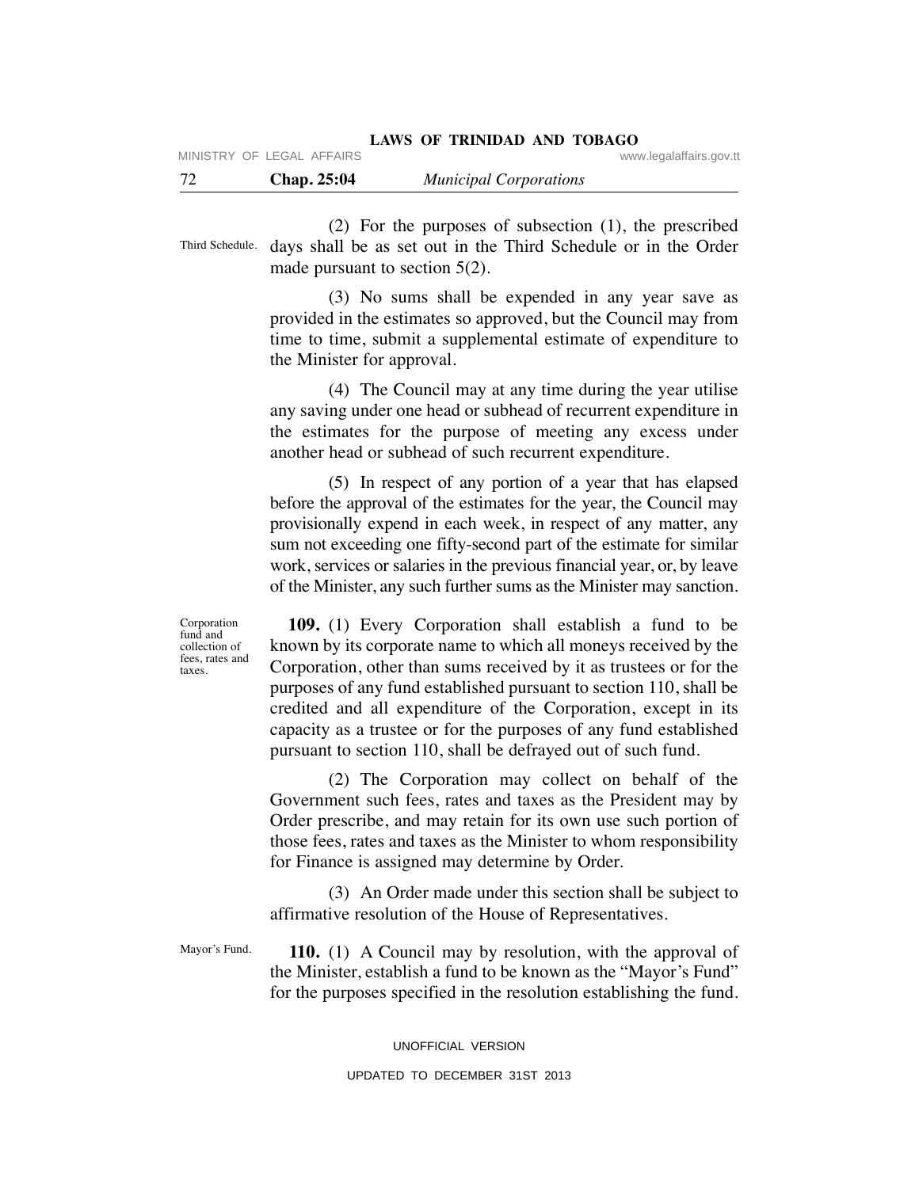| 72 | <b>Chap. 25:04</b> | <b>Municipal Corporations</b> |  |
|----|--------------------|-------------------------------|--|
|----|--------------------|-------------------------------|--|

 (2) For the purposes of subsection (1), the prescribed Third Schedule. days shall be as set out in the Third Schedule or in the Order made pursuant to section 5(2).

> (3) No sums shall be expended in any year save as provided in the estimates so approved, but the Council may from time to time, submit a supplemental estimate of expenditure to the Minister for approval.

> (4) The Council may at any time during the year utilise any saving under one head or subhead of recurrent expenditure in the estimates for the purpose of meeting any excess under another head or subhead of such recurrent expenditure.

> (5) In respect of any portion of a year that has elapsed before the approval of the estimates for the year, the Council may provisionally expend in each week, in respect of any matter, any sum not exceeding one fifty-second part of the estimate for similar work, services or salaries in the previous financial year, or, by leave of the Minister, any such further sums as the Minister may sanction.

> **109.** (1) Every Corporation shall establish a fund to be known by its corporate name to which all moneys received by the Corporation, other than sums received by it as trustees or for the purposes of any fund established pursuant to section 110, shall be credited and all expenditure of the Corporation, except in its capacity as a trustee or for the purposes of any fund established pursuant to section 110, shall be defrayed out of such fund.

> (2) The Corporation may collect on behalf of the Government such fees, rates and taxes as the President may by Order prescribe, and may retain for its own use such portion of those fees, rates and taxes as the Minister to whom responsibility for Finance is assigned may determine by Order.

> (3) An Order made under this section shall be subject to affirmative resolution of the House of Representatives.

 **110.** (1) A Council may by resolution, with the approval of the Minister, establish a fund to be known as the "Mayor's Fund" for the purposes specified in the resolution establishing the fund. Mayor's Fund.

UNOFFICIAL VERSION

Corporation fund and collection of fees, rates and taxes.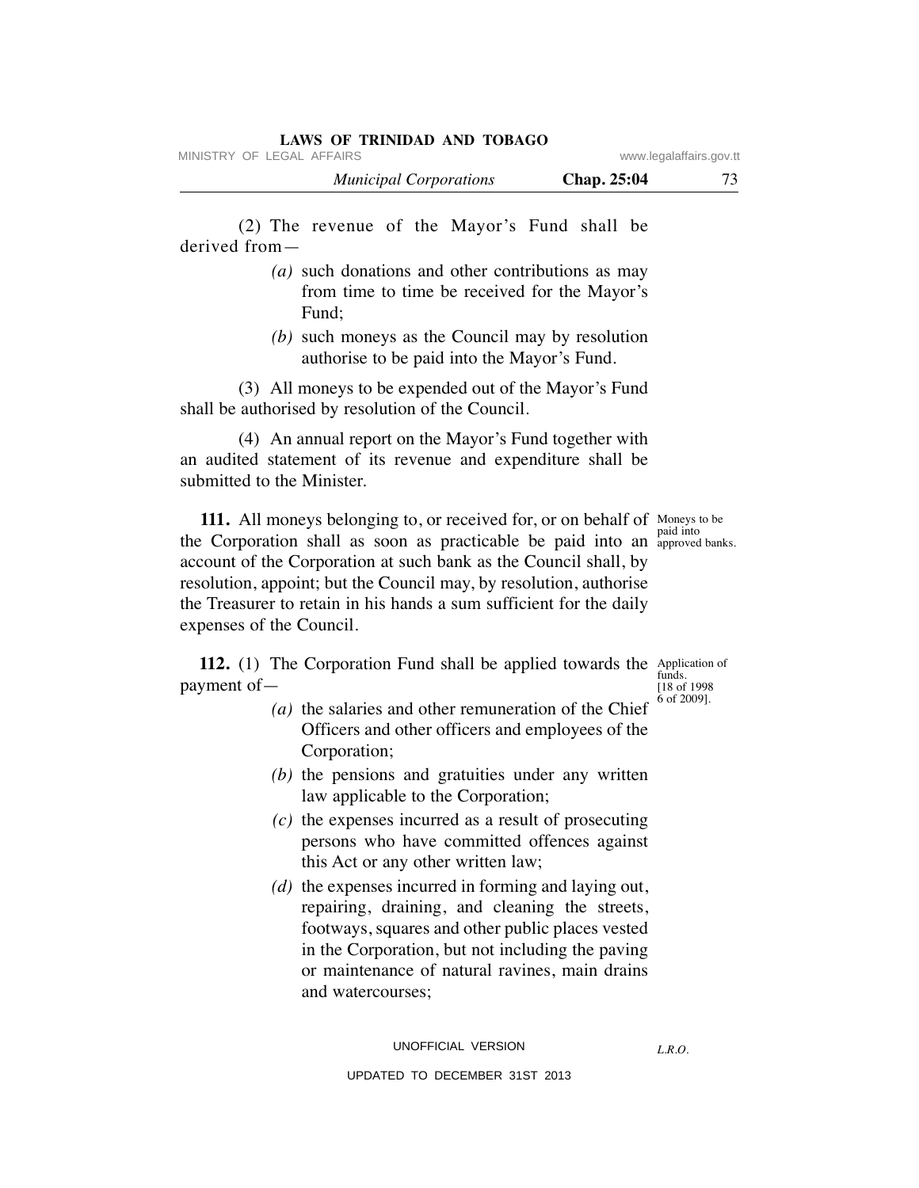## **LAWS OF TRINIDAD AND TOBAGO**

MINISTRY OF LEGAL AFFAIRS **WARE ACCOMPTED MINISTRY** OF LEGAL AFFAIRS

| <b>Municipal Corporations</b> | Chap. 25:04 | 73 |
|-------------------------------|-------------|----|
|-------------------------------|-------------|----|

 (2) The revenue of the Mayor's Fund shall be derived from—

- *(a)* such donations and other contributions as may from time to time be received for the Mayor's Fund;
- *(b)* such moneys as the Council may by resolution authorise to be paid into the Mayor's Fund.

 (3) All moneys to be expended out of the Mayor's Fund shall be authorised by resolution of the Council.

 (4) An annual report on the Mayor's Fund together with an audited statement of its revenue and expenditure shall be submitted to the Minister.

**111.** All moneys belonging to, or received for, or on behalf of Moneys to be the Corporation shall as soon as practicable be paid into an approved account of the Corporation at such bank as the Council shall, by resolution, appoint; but the Council may, by resolution, authorise the Treasurer to retain in his hands a sum sufficient for the daily expenses of the Council.

**112.** (1) The Corporation Fund shall be applied towards the Application of payment of—

- *(a)* the salaries and other remuneration of the Chief Officers and other officers and employees of the Corporation;
- *(b)* the pensions and gratuities under any written law applicable to the Corporation;
- *(c)* the expenses incurred as a result of prosecuting persons who have committed offences against this Act or any other written law;
- *(d)* the expenses incurred in forming and laying out, repairing, draining, and cleaning the streets, footways, squares and other public places vested in the Corporation, but not including the paving or maintenance of natural ravines, main drains and watercourses;

UPDATED TO DECEMBER 31ST 2013

approved banks.

funds. [18 of 1998 6 of 2009].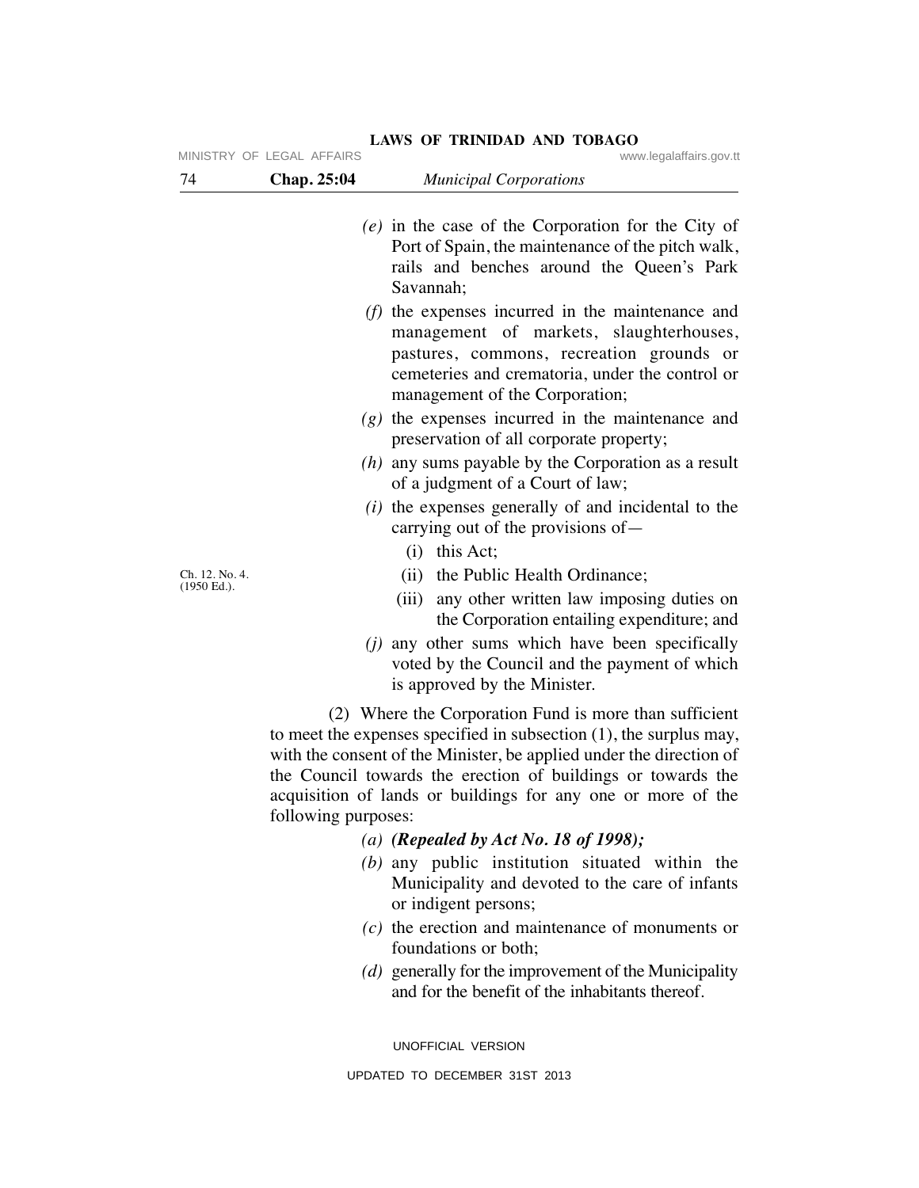|                                  | MINISTRY OF LEGAL AFFAIRS | www.legalaffairs.gov.tt                                                                                                                                                                                                                                                                                                                                                                                                                                                                                |
|----------------------------------|---------------------------|--------------------------------------------------------------------------------------------------------------------------------------------------------------------------------------------------------------------------------------------------------------------------------------------------------------------------------------------------------------------------------------------------------------------------------------------------------------------------------------------------------|
| 74                               | Chap. 25:04               | <b>Municipal Corporations</b>                                                                                                                                                                                                                                                                                                                                                                                                                                                                          |
|                                  |                           | $(e)$ in the case of the Corporation for the City of<br>Port of Spain, the maintenance of the pitch walk,<br>rails and benches around the Queen's Park<br>Savannah;<br>$(f)$ the expenses incurred in the maintenance and<br>management of markets, slaughterhouses,<br>pastures, commons, recreation grounds or<br>cemeteries and crematoria, under the control or<br>management of the Corporation;<br>$(g)$ the expenses incurred in the maintenance and<br>preservation of all corporate property; |
|                                  |                           | $(h)$ any sums payable by the Corporation as a result<br>of a judgment of a Court of law;                                                                                                                                                                                                                                                                                                                                                                                                              |
|                                  |                           | ( <i>i</i> ) the expenses generally of and incidental to the<br>carrying out of the provisions of —<br>$(i)$ this Act;                                                                                                                                                                                                                                                                                                                                                                                 |
| Ch. 12. No. 4.<br>$(1950)$ Ed.). |                           | (ii) the Public Health Ordinance;<br>(iii) any other written law imposing duties on<br>the Corporation entailing expenditure; and<br>( <i>j</i> ) any other sums which have been specifically<br>voted by the Council and the payment of which<br>is approved by the Minister.                                                                                                                                                                                                                         |
|                                  | following purposes:       | (2) Where the Corporation Fund is more than sufficient<br>to meet the expenses specified in subsection $(1)$ , the surplus may,<br>with the consent of the Minister, be applied under the direction of<br>the Council towards the erection of buildings or towards the<br>acquisition of lands or buildings for any one or more of the                                                                                                                                                                 |

# **LAWS OF TRINIDAD AND TOBAGO** www.legalaffairs.gov.tt

 *(a) (Repealed by Act No. 18 of 1998);*

- *(b)* any public institution situated within the Municipality and devoted to the care of infants or indigent persons;
- *(c)* the erection and maintenance of monuments or foundations or both;
- *(d)* generally for the improvement of the Municipality and for the benefit of the inhabitants thereof.

UNOFFICIAL VERSION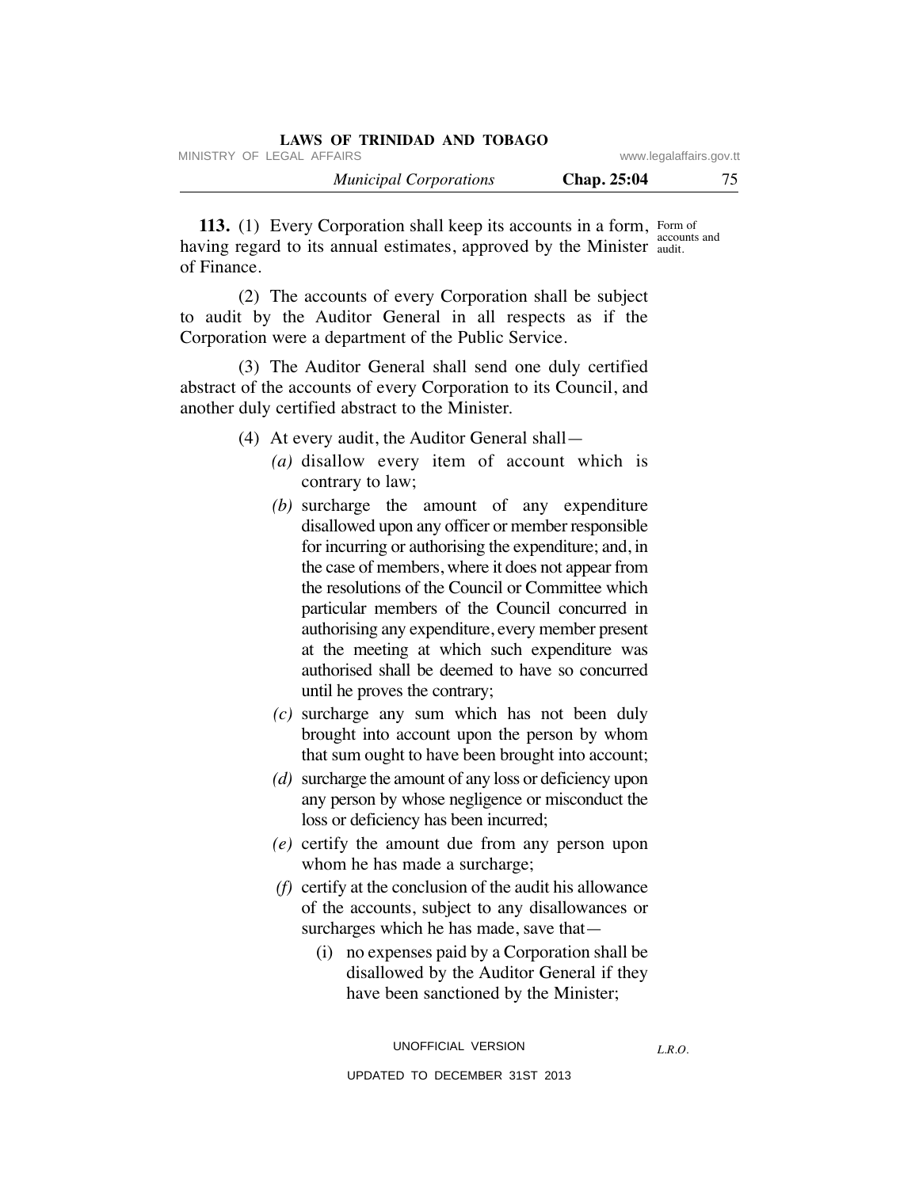| LAWS OF TRINIDAD AND TOBAGO   |                         |    |
|-------------------------------|-------------------------|----|
| MINISTRY OF LEGAL AFFAIRS     | www.legalaffairs.gov.tt |    |
| <i>Municipal Corporations</i> | <b>Chap.</b> 25:04      | 75 |

**113.** (1) Every Corporation shall keep its accounts in a form, Form of having regard to its annual estimates, approved by the Minister audit. of Finance. accounts and

 (2) The accounts of every Corporation shall be subject to audit by the Auditor General in all respects as if the Corporation were a department of the Public Service.

 (3) The Auditor General shall send one duly certified abstract of the accounts of every Corporation to its Council, and another duly certified abstract to the Minister.

- (4) At every audit, the Auditor General shall—
	- *(a)* disallow every item of account which is contrary to law;
	- *(b)* surcharge the amount of any expenditure disallowed upon any officer or member responsible for incurring or authorising the expenditure; and, in the case of members, where it does not appear from the resolutions of the Council or Committee which particular members of the Council concurred in authorising any expenditure, every member present at the meeting at which such expenditure was authorised shall be deemed to have so concurred until he proves the contrary;
	- *(c)* surcharge any sum which has not been duly brought into account upon the person by whom that sum ought to have been brought into account;
	- *(d)* surcharge the amount of any loss or deficiency upon any person by whose negligence or misconduct the loss or deficiency has been incurred;
	- *(e)* certify the amount due from any person upon whom he has made a surcharge;
	- *(f)* certify at the conclusion of the audit his allowance of the accounts, subject to any disallowances or surcharges which he has made, save that—
		- (i) no expenses paid by a Corporation shall be disallowed by the Auditor General if they have been sanctioned by the Minister;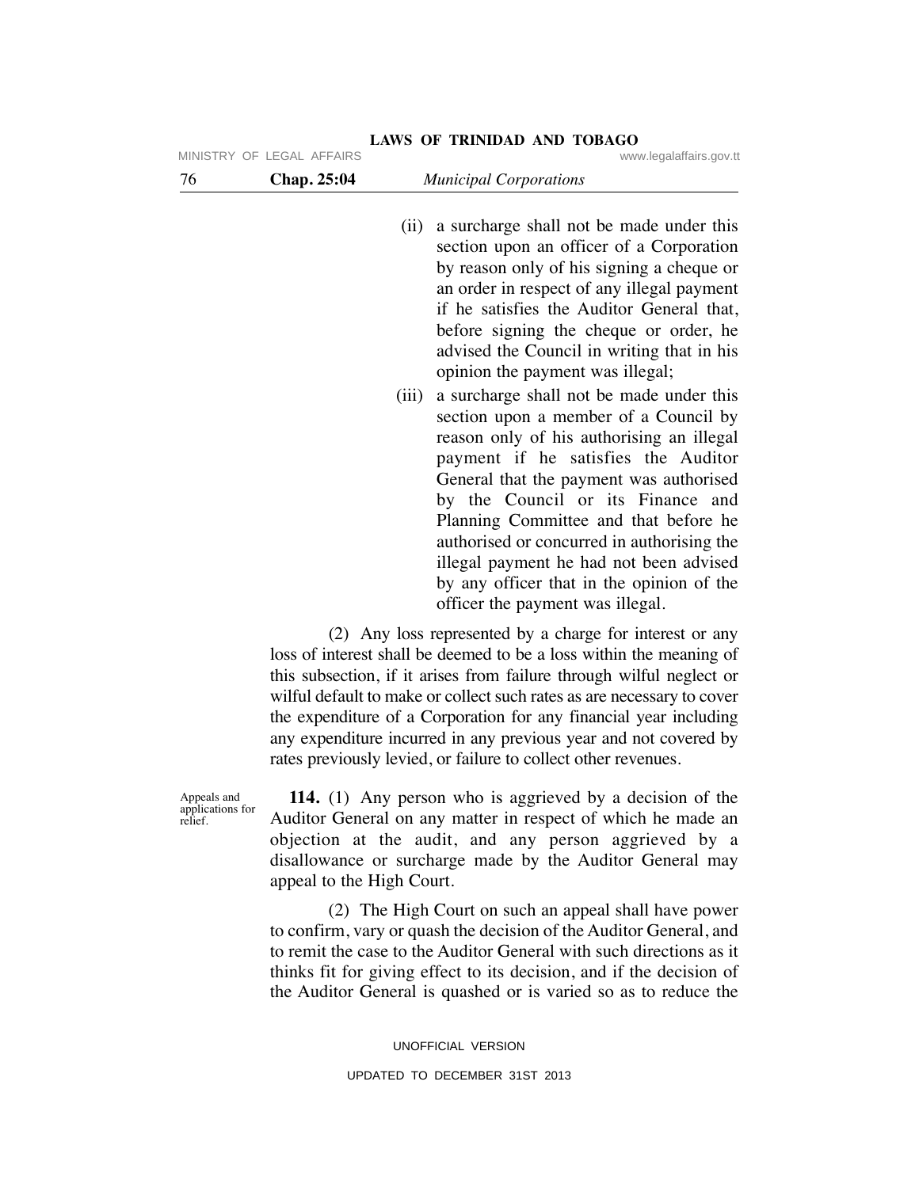|                                            | MINISTRY OF LEGAL AFFAIRS | www.legalaffairs.gov.tt                                                                                                                                                                                                                                                                                                                                                                                                                                                                      |
|--------------------------------------------|---------------------------|----------------------------------------------------------------------------------------------------------------------------------------------------------------------------------------------------------------------------------------------------------------------------------------------------------------------------------------------------------------------------------------------------------------------------------------------------------------------------------------------|
| 76                                         | Chap. 25:04               | <b>Municipal Corporations</b>                                                                                                                                                                                                                                                                                                                                                                                                                                                                |
|                                            | (ii)                      | a surcharge shall not be made under this<br>section upon an officer of a Corporation<br>by reason only of his signing a cheque or<br>an order in respect of any illegal payment<br>if he satisfies the Auditor General that,<br>before signing the cheque or order, he<br>advised the Council in writing that in his<br>opinion the payment was illegal;                                                                                                                                     |
|                                            | (iii)                     | a surcharge shall not be made under this<br>section upon a member of a Council by<br>reason only of his authorising an illegal<br>payment if he satisfies the Auditor<br>General that the payment was authorised<br>by the Council or its Finance and<br>Planning Committee and that before he<br>authorised or concurred in authorising the<br>illegal payment he had not been advised<br>by any officer that in the opinion of the<br>officer the payment was illegal.                     |
|                                            |                           | (2) Any loss represented by a charge for interest or any<br>loss of interest shall be deemed to be a loss within the meaning of<br>this subsection, if it arises from failure through wilful neglect or<br>wilful default to make or collect such rates as are necessary to cover<br>the expenditure of a Corporation for any financial year including<br>any expenditure incurred in any previous year and not covered by<br>rates previously levied, or failure to collect other revenues. |
| Appeals and<br>applications for<br>relief. | appeal to the High Court. | <b>114.</b> (1) Any person who is aggrieved by a decision of the<br>Auditor General on any matter in respect of which he made an<br>objection at the audit, and any person aggrieved by a<br>disallowance or surcharge made by the Auditor General may                                                                                                                                                                                                                                       |
|                                            |                           | (2) The High Court on such an appeal shall have power<br>to confirm, vary or quash the decision of the Auditor General, and<br>to remit the case to the Auditor General with such directions as it<br>thinks fit for giving effect to its decision, and if the decision of<br>the Auditor General is quashed or is varied so as to reduce the                                                                                                                                                |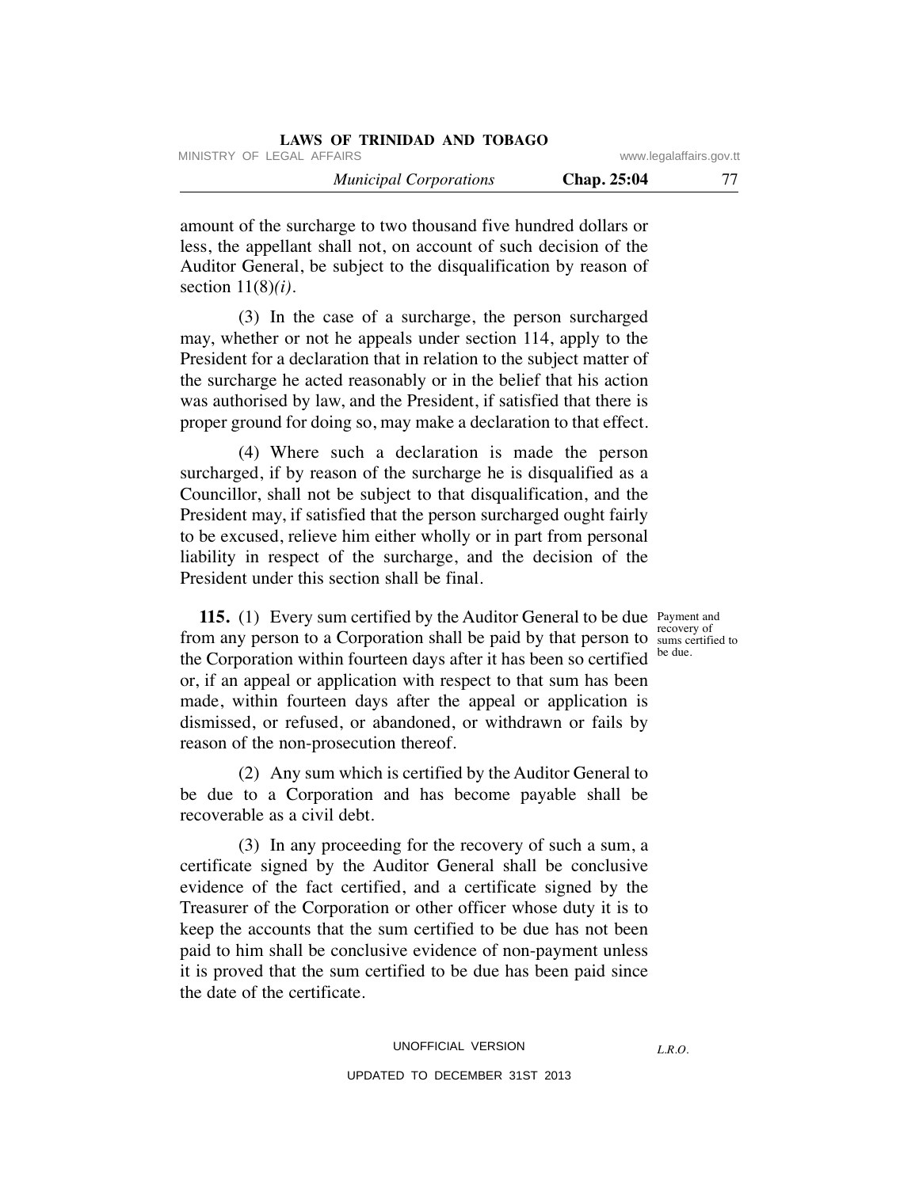| LAWS OF TRINIDAD AND TOBAGO   |                         |    |
|-------------------------------|-------------------------|----|
| MINISTRY OF LEGAL AFFAIRS     | www.legalaffairs.gov.tt |    |
| <b>Municipal Corporations</b> | <b>Chap. 25:04</b>      | 77 |

amount of the surcharge to two thousand five hundred dollars or less, the appellant shall not, on account of such decision of the Auditor General, be subject to the disqualification by reason of section 11(8)*(i)*.

 (3) In the case of a surcharge, the person surcharged may, whether or not he appeals under section 114, apply to the President for a declaration that in relation to the subject matter of the surcharge he acted reasonably or in the belief that his action was authorised by law, and the President, if satisfied that there is proper ground for doing so, may make a declaration to that effect.

 (4) Where such a declaration is made the person surcharged, if by reason of the surcharge he is disqualified as a Councillor, shall not be subject to that disqualification, and the President may, if satisfied that the person surcharged ought fairly to be excused, relieve him either wholly or in part from personal liability in respect of the surcharge, and the decision of the President under this section shall be final.

> recovery of be due.

*L.R.O.* 

**115.** (1) Every sum certified by the Auditor General to be due Payment and from any person to a Corporation shall be paid by that person to sums certified to the Corporation within fourteen days after it has been so certified or, if an appeal or application with respect to that sum has been made, within fourteen days after the appeal or application is dismissed, or refused, or abandoned, or withdrawn or fails by reason of the non-prosecution thereof.

 (2) Any sum which is certified by the Auditor General to be due to a Corporation and has become payable shall be recoverable as a civil debt.

 (3) In any proceeding for the recovery of such a sum, a certificate signed by the Auditor General shall be conclusive evidence of the fact certified, and a certificate signed by the Treasurer of the Corporation or other officer whose duty it is to keep the accounts that the sum certified to be due has not been paid to him shall be conclusive evidence of non-payment unless it is proved that the sum certified to be due has been paid since the date of the certificate.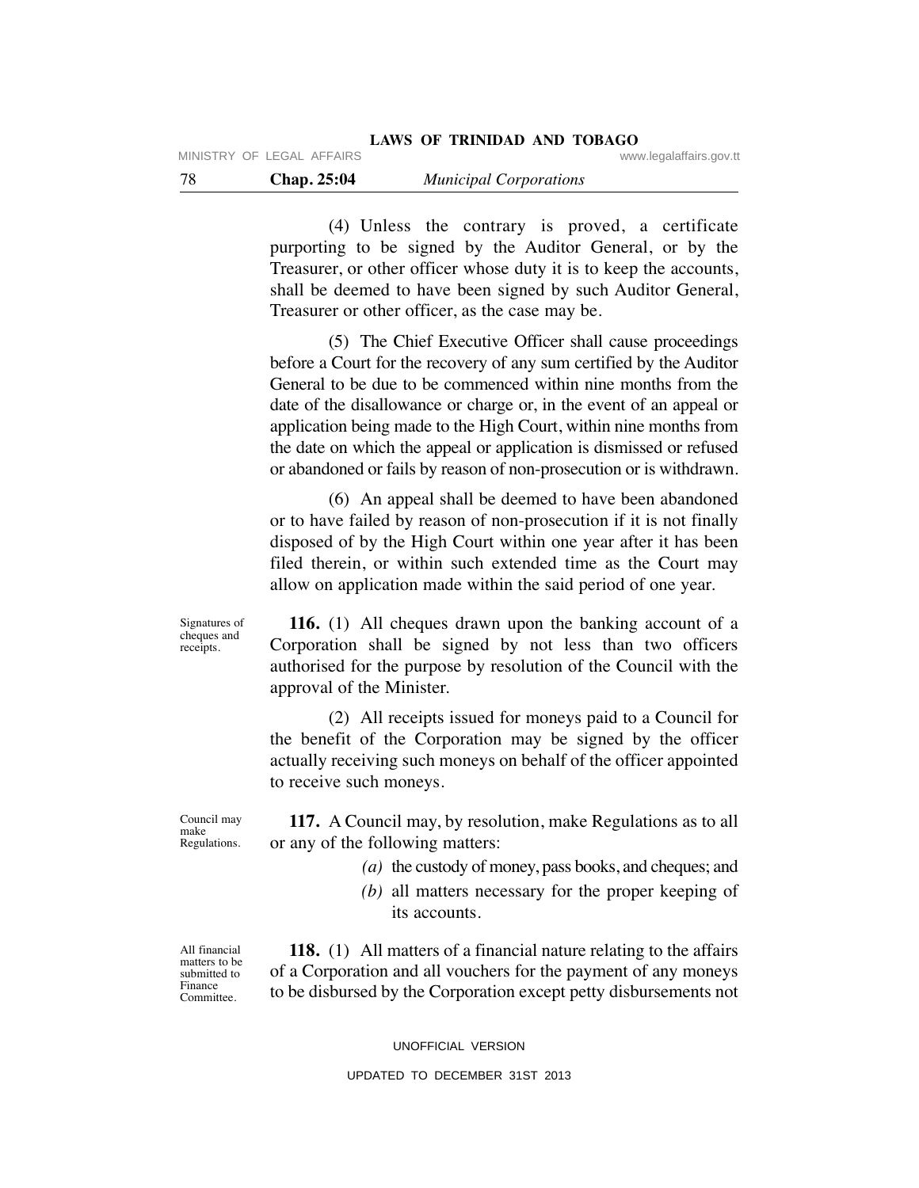(4) Unless the contrary is proved, a certificate purporting to be signed by the Auditor General, or by the Treasurer, or other officer whose duty it is to keep the accounts, shall be deemed to have been signed by such Auditor General, Treasurer or other officer, as the case may be.

 (5) The Chief Executive Officer shall cause proceedings before a Court for the recovery of any sum certified by the Auditor General to be due to be commenced within nine months from the date of the disallowance or charge or, in the event of an appeal or application being made to the High Court, within nine months from the date on which the appeal or application is dismissed or refused or abandoned or fails by reason of non-prosecution or is withdrawn.

 (6) An appeal shall be deemed to have been abandoned or to have failed by reason of non-prosecution if it is not finally disposed of by the High Court within one year after it has been filed therein, or within such extended time as the Court may allow on application made within the said period of one year.

 **116.** (1) All cheques drawn upon the banking account of a Corporation shall be signed by not less than two officers authorised for the purpose by resolution of the Council with the approval of the Minister.

 (2) All receipts issued for moneys paid to a Council for the benefit of the Corporation may be signed by the officer actually receiving such moneys on behalf of the officer appointed to receive such moneys.

 **117.** A Council may, by resolution, make Regulations as to all or any of the following matters:

- *(a)* the custody of money, pass books, and cheques; and
- *(b)* all matters necessary for the proper keeping of its accounts.

 **118.** (1) All matters of a financial nature relating to the affairs of a Corporation and all vouchers for the payment of any moneys to be disbursed by the Corporation except petty disbursements not

Signatures of cheques and receipts.

Council may make Regulations.

All financial matters to be submitted to Finance Committee.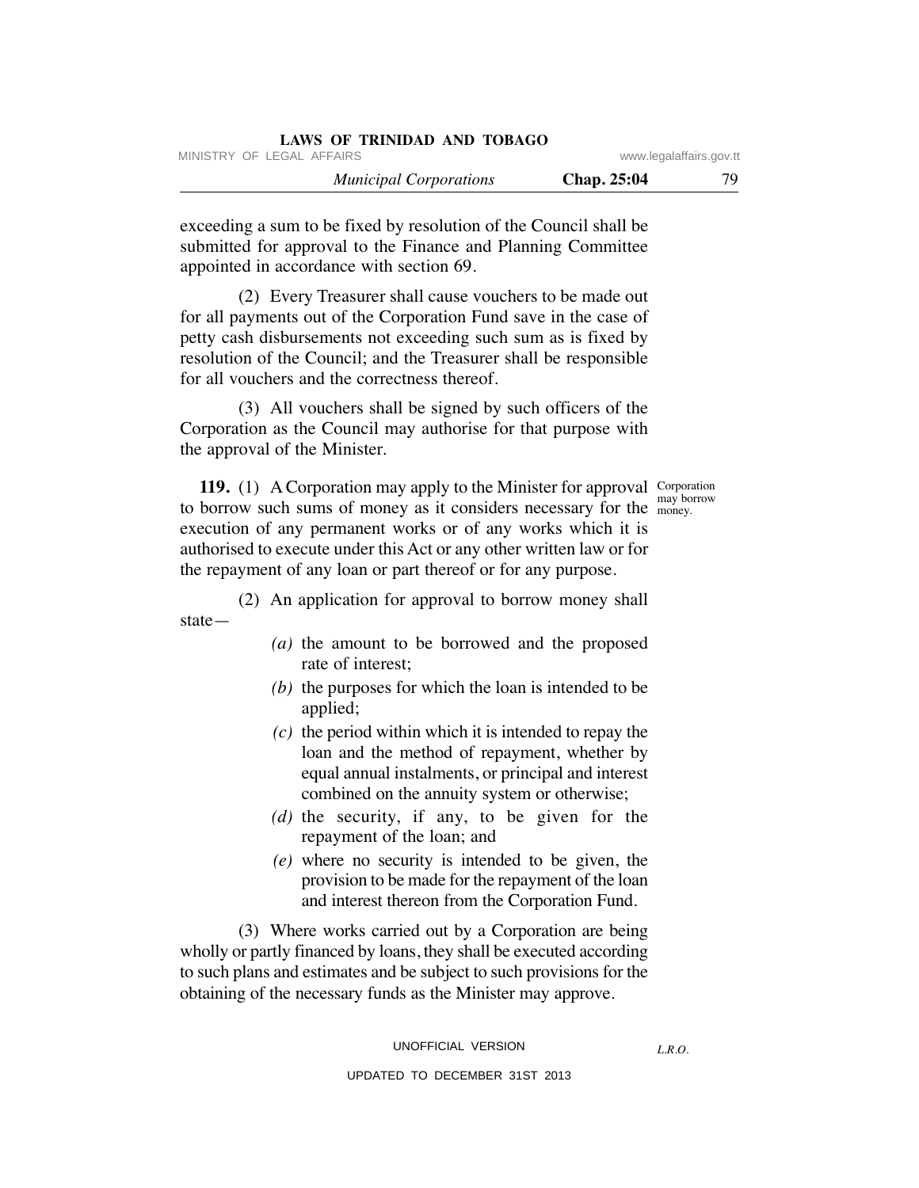| LAWS OF TRINIDAD AND TOBAGO   |             |                         |
|-------------------------------|-------------|-------------------------|
| MINISTRY OF LEGAL AFFAIRS     |             | www.legalaffairs.gov.tt |
| <b>Municipal Corporations</b> | Chap. 25:04 | 79                      |

exceeding a sum to be fixed by resolution of the Council shall be submitted for approval to the Finance and Planning Committee appointed in accordance with section 69.

 (2) Every Treasurer shall cause vouchers to be made out for all payments out of the Corporation Fund save in the case of petty cash disbursements not exceeding such sum as is fixed by resolution of the Council; and the Treasurer shall be responsible for all vouchers and the correctness thereof.

 (3) All vouchers shall be signed by such officers of the Corporation as the Council may authorise for that purpose with the approval of the Minister.

may borrow

**119.** (1) A Corporation may apply to the Minister for approval Corporation to borrow such sums of money as it considers necessary for the money. execution of any permanent works or of any works which it is authorised to execute under this Act or any other written law or for the repayment of any loan or part thereof or for any purpose.

 (2) An application for approval to borrow money shall state—

- *(a)* the amount to be borrowed and the proposed rate of interest;
- *(b)* the purposes for which the loan is intended to be applied;
- *(c)* the period within which it is intended to repay the loan and the method of repayment, whether by equal annual instalments, or principal and interest combined on the annuity system or otherwise;
- *(d)* the security, if any, to be given for the repayment of the loan; and
- *(e)* where no security is intended to be given, the provision to be made for the repayment of the loan and interest thereon from the Corporation Fund.

 (3) Where works carried out by a Corporation are being wholly or partly financed by loans, they shall be executed according to such plans and estimates and be subject to such provisions for the obtaining of the necessary funds as the Minister may approve.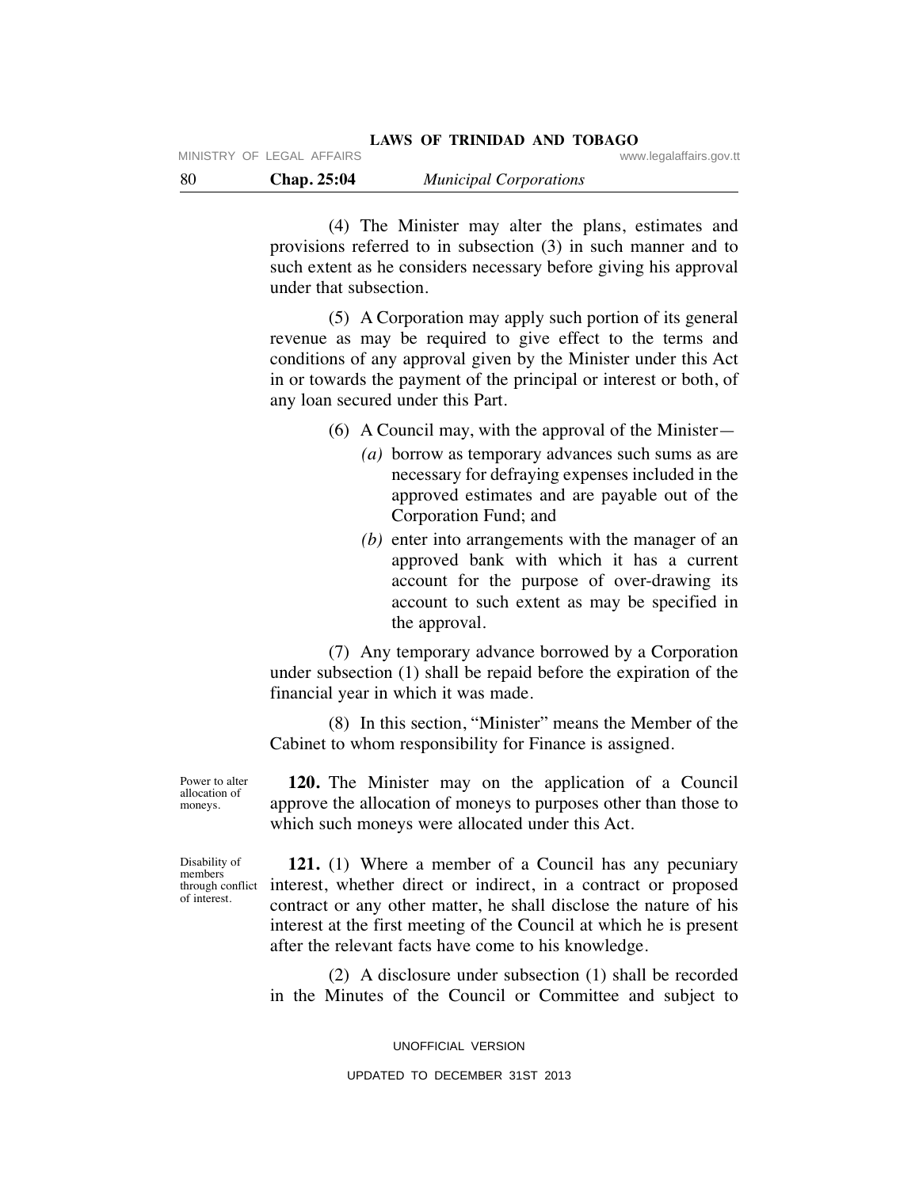(4) The Minister may alter the plans, estimates and provisions referred to in subsection (3) in such manner and to such extent as he considers necessary before giving his approval under that subsection.

 (5) A Corporation may apply such portion of its general revenue as may be required to give effect to the terms and conditions of any approval given by the Minister under this Act in or towards the payment of the principal or interest or both, of any loan secured under this Part.

(6) A Council may, with the approval of the Minister—

- *(a)* borrow as temporary advances such sums as are necessary for defraying expenses included in the approved estimates and are payable out of the Corporation Fund; and
- *(b)* enter into arrangements with the manager of an approved bank with which it has a current account for the purpose of over-drawing its account to such extent as may be specified in the approval.

 (7) Any temporary advance borrowed by a Corporation under subsection (1) shall be repaid before the expiration of the financial year in which it was made.

 (8) In this section, "Minister" means the Member of the Cabinet to whom responsibility for Finance is assigned.

Power to alter allocation of moneys.

 **120.** The Minister may on the application of a Council approve the allocation of moneys to purposes other than those to which such moneys were allocated under this Act.

Disability of members through conflict of interest.

 **121.** (1) Where a member of a Council has any pecuniary interest, whether direct or indirect, in a contract or proposed contract or any other matter, he shall disclose the nature of his interest at the first meeting of the Council at which he is present after the relevant facts have come to his knowledge.

 (2) A disclosure under subsection (1) shall be recorded in the Minutes of the Council or Committee and subject to

UNOFFICIAL VERSION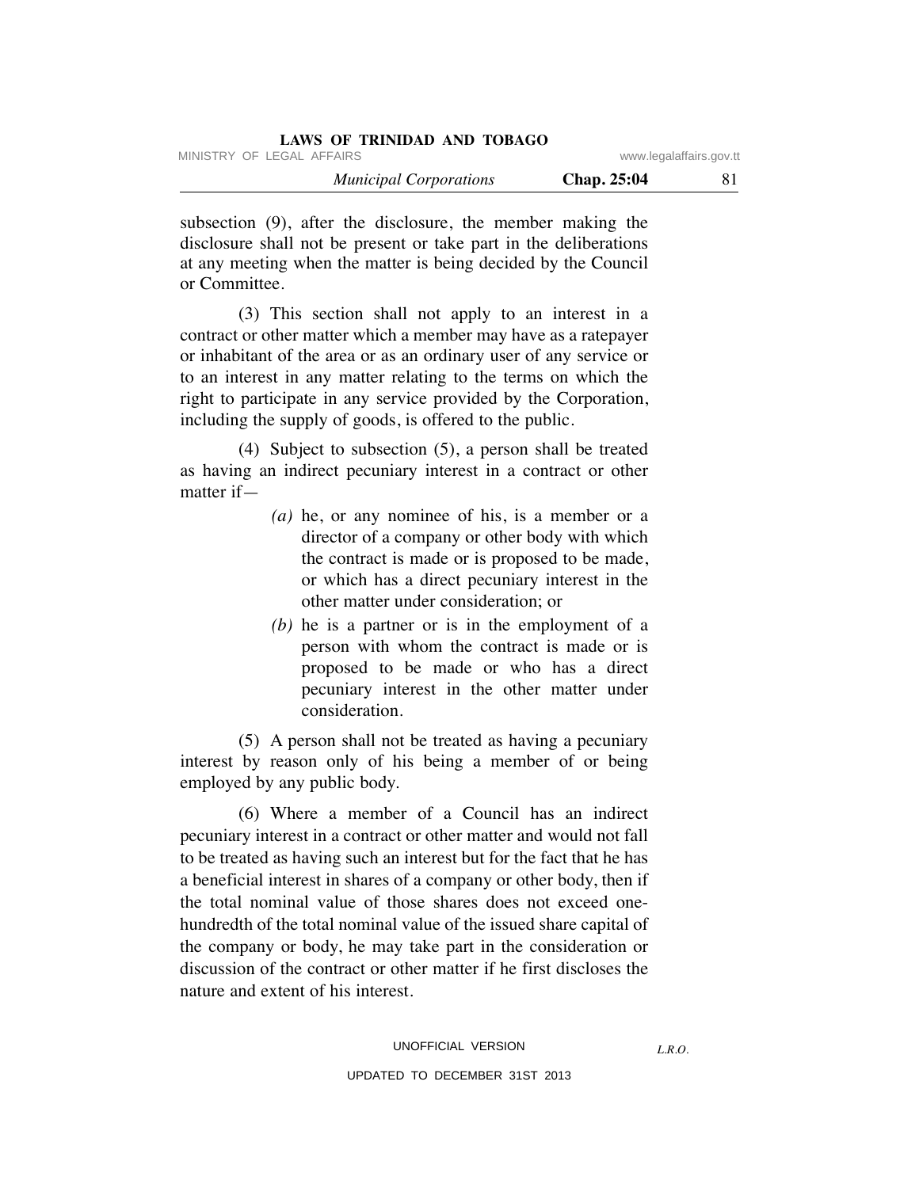| LAWS OF TRINIDAD AND TOBAGO   |             |                         |
|-------------------------------|-------------|-------------------------|
| MINISTRY OF LEGAL AFFAIRS     |             | www.legalaffairs.gov.tt |
| <b>Municipal Corporations</b> | Chap. 25:04 | 81                      |

subsection (9), after the disclosure, the member making the disclosure shall not be present or take part in the deliberations at any meeting when the matter is being decided by the Council or Committee.

 (3) This section shall not apply to an interest in a contract or other matter which a member may have as a ratepayer or inhabitant of the area or as an ordinary user of any service or to an interest in any matter relating to the terms on which the right to participate in any service provided by the Corporation, including the supply of goods, is offered to the public.

 (4) Subject to subsection (5), a person shall be treated as having an indirect pecuniary interest in a contract or other matter if—

- *(a)* he, or any nominee of his, is a member or a director of a company or other body with which the contract is made or is proposed to be made, or which has a direct pecuniary interest in the other matter under consideration; or
- *(b)* he is a partner or is in the employment of a person with whom the contract is made or is proposed to be made or who has a direct pecuniary interest in the other matter under consideration.

 (5) A person shall not be treated as having a pecuniary interest by reason only of his being a member of or being employed by any public body.

 (6) Where a member of a Council has an indirect pecuniary interest in a contract or other matter and would not fall to be treated as having such an interest but for the fact that he has a beneficial interest in shares of a company or other body, then if the total nominal value of those shares does not exceed onehundredth of the total nominal value of the issued share capital of the company or body, he may take part in the consideration or discussion of the contract or other matter if he first discloses the nature and extent of his interest.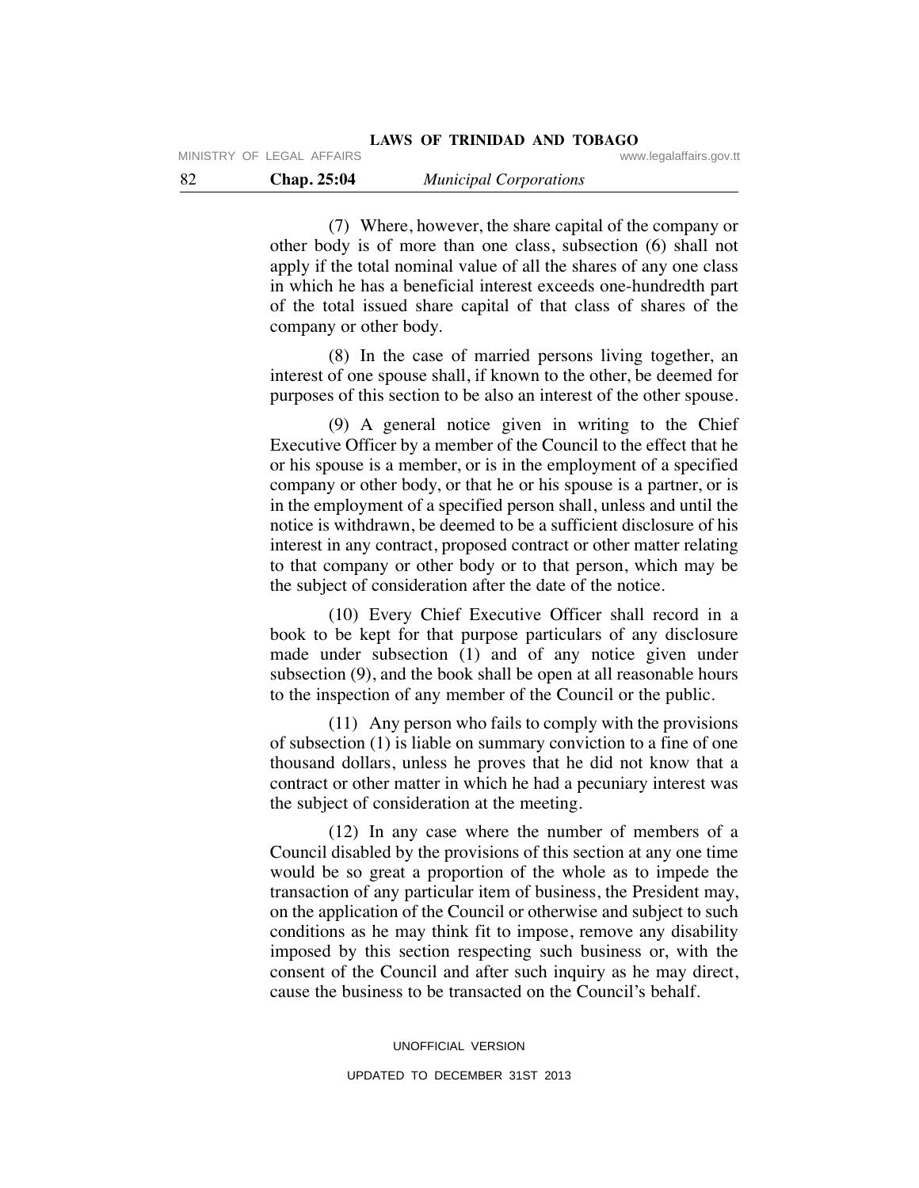(7) Where, however, the share capital of the company or other body is of more than one class, subsection (6) shall not apply if the total nominal value of all the shares of any one class in which he has a beneficial interest exceeds one-hundredth part of the total issued share capital of that class of shares of the company or other body.

 (8) In the case of married persons living together, an interest of one spouse shall, if known to the other, be deemed for purposes of this section to be also an interest of the other spouse.

 (9) A general notice given in writing to the Chief Executive Officer by a member of the Council to the effect that he or his spouse is a member, or is in the employment of a specified company or other body, or that he or his spouse is a partner, or is in the employment of a specified person shall, unless and until the notice is withdrawn, be deemed to be a sufficient disclosure of his interest in any contract, proposed contract or other matter relating to that company or other body or to that person, which may be the subject of consideration after the date of the notice.

 (10) Every Chief Executive Officer shall record in a book to be kept for that purpose particulars of any disclosure made under subsection (1) and of any notice given under subsection (9), and the book shall be open at all reasonable hours to the inspection of any member of the Council or the public.

 (11) Any person who fails to comply with the provisions of subsection (1) is liable on summary conviction to a fine of one thousand dollars, unless he proves that he did not know that a contract or other matter in which he had a pecuniary interest was the subject of consideration at the meeting.

 (12) In any case where the number of members of a Council disabled by the provisions of this section at any one time would be so great a proportion of the whole as to impede the transaction of any particular item of business, the President may, on the application of the Council or otherwise and subject to such conditions as he may think fit to impose, remove any disability imposed by this section respecting such business or, with the consent of the Council and after such inquiry as he may direct, cause the business to be transacted on the Council's behalf.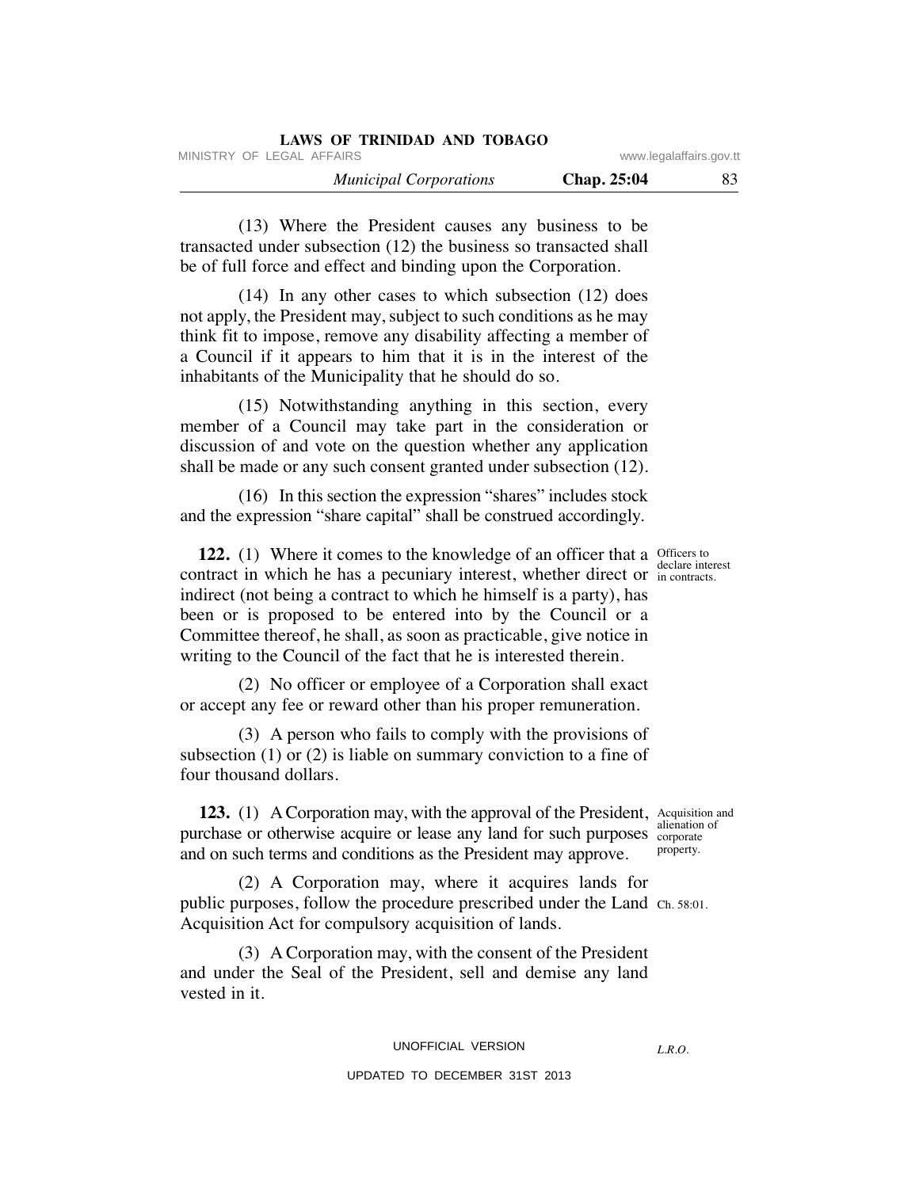| <b>LAWS OF TRINIDAD AND TOBAGO</b> |             |                         |
|------------------------------------|-------------|-------------------------|
| MINISTRY OF LEGAL AFFAIRS          |             | www.legalaffairs.gov.tt |
| <b>Municipal Corporations</b>      | Chap. 25:04 | 83                      |

 (13) Where the President causes any business to be transacted under subsection (12) the business so transacted shall be of full force and effect and binding upon the Corporation.

 (14) In any other cases to which subsection (12) does not apply, the President may, subject to such conditions as he may think fit to impose, remove any disability affecting a member of a Council if it appears to him that it is in the interest of the inhabitants of the Municipality that he should do so.

 (15) Notwithstanding anything in this section, every member of a Council may take part in the consideration or discussion of and vote on the question whether any application shall be made or any such consent granted under subsection (12).

 (16) In this section the expression "shares" includes stock and the expression "share capital" shall be construed accordingly.

**122.** (1) Where it comes to the knowledge of an officer that a Officers to contract in which he has a pecuniary interest, whether direct or in contracts. indirect (not being a contract to which he himself is a party), has been or is proposed to be entered into by the Council or a Committee thereof, he shall, as soon as practicable, give notice in writing to the Council of the fact that he is interested therein.

 (2) No officer or employee of a Corporation shall exact or accept any fee or reward other than his proper remuneration.

 (3) A person who fails to comply with the provisions of subsection (1) or (2) is liable on summary conviction to a fine of four thousand dollars.

**123.** (1) A Corporation may, with the approval of the President, Acquisition and purchase or otherwise acquire or lease any land for such purposes corporate and on such terms and conditions as the President may approve.

 (2) A Corporation may, where it acquires lands for public purposes, follow the procedure prescribed under the Land Ch. 58:01. Acquisition Act for compulsory acquisition of lands.

 (3) A Corporation may, with the consent of the President and under the Seal of the President, sell and demise any land vested in it.

## UPDATED TO DECEMBER 31ST 2013

in contracts.

alienation of property.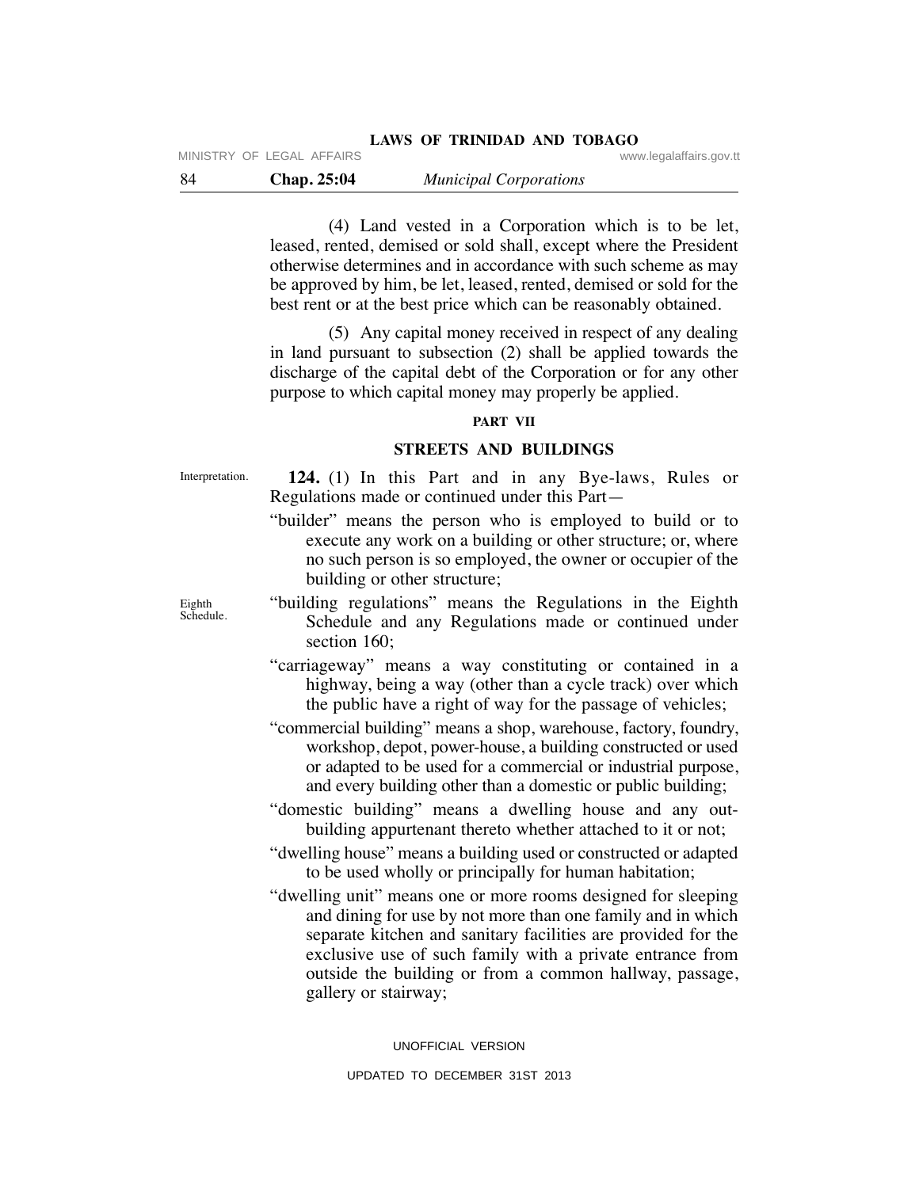| - 84 | <b>Chap. 25:04</b> |  | <b>Municipal Corporations</b> |
|------|--------------------|--|-------------------------------|
|------|--------------------|--|-------------------------------|

MINISTRY OF LEGAL AFFAIRS

 (4) Land vested in a Corporation which is to be let, leased, rented, demised or sold shall, except where the President otherwise determines and in accordance with such scheme as may be approved by him, be let, leased, rented, demised or sold for the best rent or at the best price which can be reasonably obtained.

 (5) Any capital money received in respect of any dealing in land pursuant to subsection (2) shall be applied towards the discharge of the capital debt of the Corporation or for any other purpose to which capital money may properly be applied.

## **PART VII**

## **STREETS AND BUILDINGS**

Interpretation.

 **124.** (1) In this Part and in any Bye-laws, Rules or Regulations made or continued under this Part—

- "builder" means the person who is employed to build or to execute any work on a building or other structure; or, where no such person is so employed, the owner or occupier of the building or other structure;
- "building regulations" means the Regulations in the Eighth Schedule and any Regulations made or continued under section 160:
- "carriageway" means a way constituting or contained in a highway, being a way (other than a cycle track) over which the public have a right of way for the passage of vehicles;
- "commercial building" means a shop, warehouse, factory, foundry, workshop, depot, power-house, a building constructed or used or adapted to be used for a commercial or industrial purpose, and every building other than a domestic or public building;
- "domestic building" means a dwelling house and any outbuilding appurtenant thereto whether attached to it or not;
- "dwelling house" means a building used or constructed or adapted to be used wholly or principally for human habitation;
- "dwelling unit" means one or more rooms designed for sleeping and dining for use by not more than one family and in which separate kitchen and sanitary facilities are provided for the exclusive use of such family with a private entrance from outside the building or from a common hallway, passage, gallery or stairway;

UNOFFICIAL VERSION UPDATED TO DECEMBER 31ST 2013

Eighth Schedule.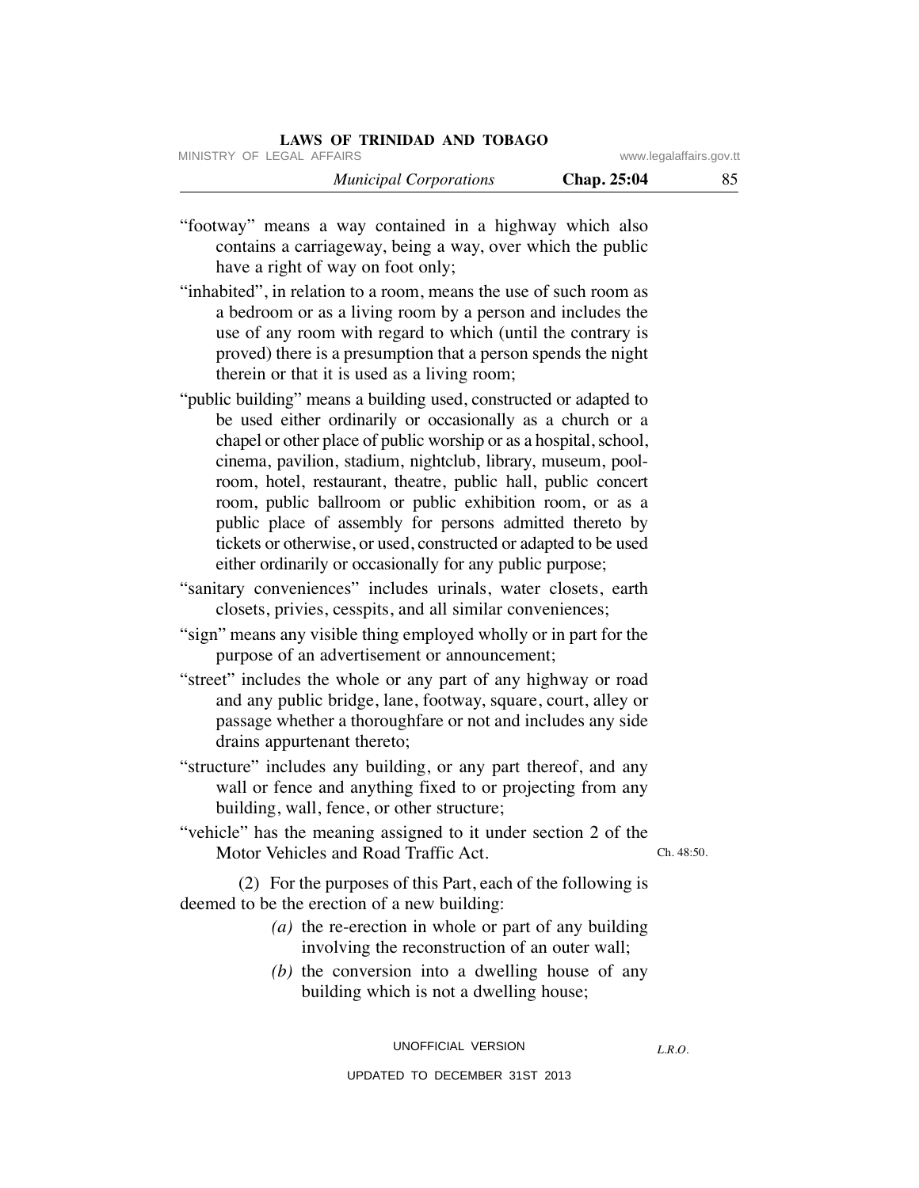## **LAWS OF TRINIDAD AND TOBAGO**

MINISTRY OF LEGAL AFFAIRS **WARE ACCOMPTED MINISTRY** OF LEGAL AFFAIRS

 *Municipal Corporations* **Chap. 25:04** 85

"footway" means a way contained in a highway which also contains a carriageway, being a way, over which the public have a right of way on foot only;

- "inhabited", in relation to a room, means the use of such room as a bedroom or as a living room by a person and includes the use of any room with regard to which (until the contrary is proved) there is a presumption that a person spends the night therein or that it is used as a living room;
- "public building" means a building used, constructed or adapted to be used either ordinarily or occasionally as a church or a chapel or other place of public worship or as a hospital, school, cinema, pavilion, stadium, nightclub, library, museum, poolroom, hotel, restaurant, theatre, public hall, public concert room, public ballroom or public exhibition room, or as a public place of assembly for persons admitted thereto by tickets or otherwise, or used, constructed or adapted to be used either ordinarily or occasionally for any public purpose;
- "sanitary conveniences" includes urinals, water closets, earth closets, privies, cesspits, and all similar conveniences;
- "sign" means any visible thing employed wholly or in part for the purpose of an advertisement or announcement;
- "street" includes the whole or any part of any highway or road and any public bridge, lane, footway, square, court, alley or passage whether a thoroughfare or not and includes any side drains appurtenant thereto;
- "structure" includes any building, or any part thereof, and any wall or fence and anything fixed to or projecting from any building, wall, fence, or other structure;

"vehicle" has the meaning assigned to it under section 2 of the Motor Vehicles and Road Traffic Act.

Ch. 48:50.

 (2) For the purposes of this Part, each of the following is deemed to be the erection of a new building:

- *(a)* the re-erection in whole or part of any building involving the reconstruction of an outer wall;
- *(b)* the conversion into a dwelling house of any building which is not a dwelling house;

UNOFFICIAL VERSION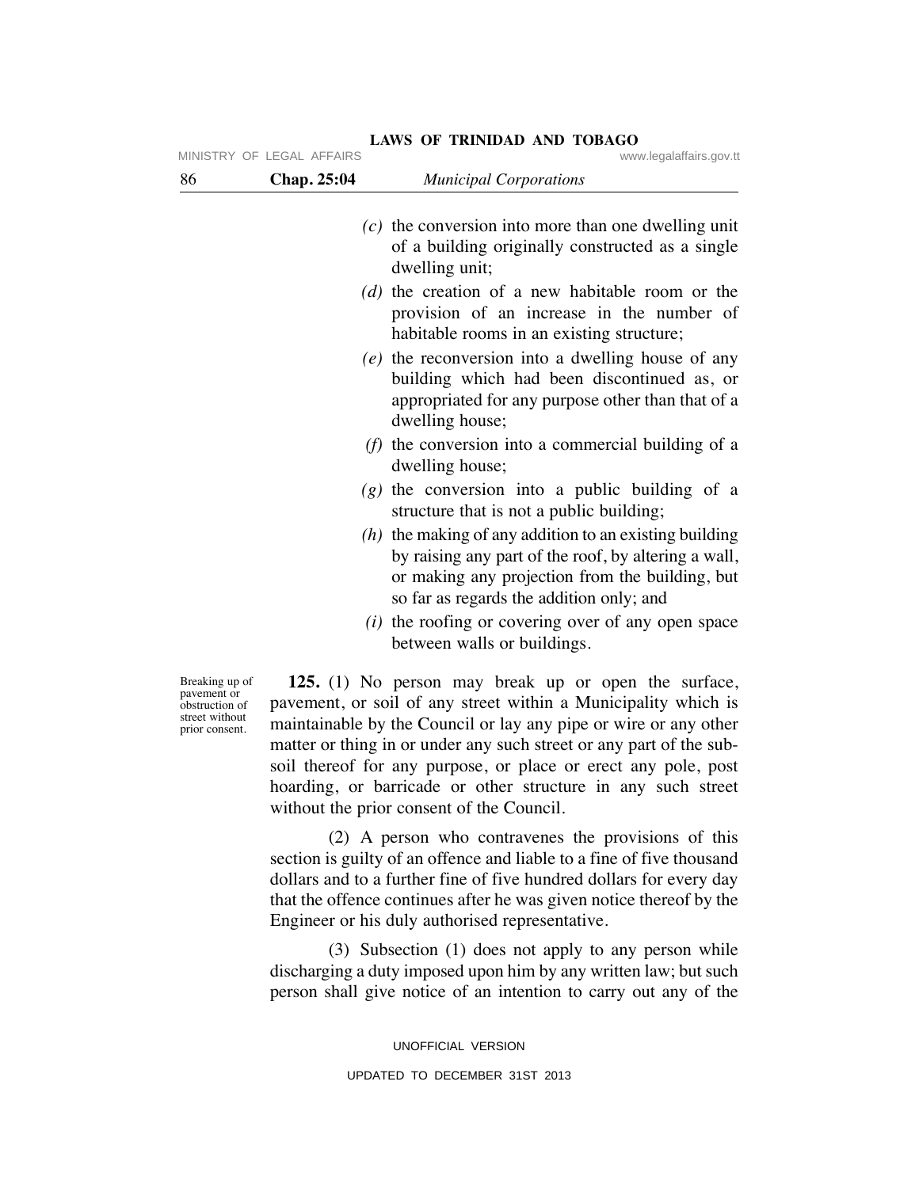|                                                             | MINISTRY OF LEGAL AFFAIRS | www.legalaffairs.gov.tt                                                                                                                                                                                         |
|-------------------------------------------------------------|---------------------------|-----------------------------------------------------------------------------------------------------------------------------------------------------------------------------------------------------------------|
| 86                                                          | Chap. 25:04               | <b>Municipal Corporations</b>                                                                                                                                                                                   |
|                                                             |                           | $(c)$ the conversion into more than one dwelling unit<br>of a building originally constructed as a single<br>dwelling unit;                                                                                     |
|                                                             |                           | $(d)$ the creation of a new habitable room or the<br>provision of an increase in the number of<br>habitable rooms in an existing structure;                                                                     |
|                                                             |                           | $(e)$ the reconversion into a dwelling house of any<br>building which had been discontinued as, or<br>appropriated for any purpose other than that of a<br>dwelling house;                                      |
|                                                             |                           | ( <i>f</i> ) the conversion into a commercial building of a<br>dwelling house;                                                                                                                                  |
|                                                             |                           | $(g)$ the conversion into a public building of a<br>structure that is not a public building;                                                                                                                    |
|                                                             |                           | $(h)$ the making of any addition to an existing building<br>by raising any part of the roof, by altering a wall,<br>or making any projection from the building, but<br>so far as regards the addition only; and |
|                                                             |                           | $(i)$ the roofing or covering over of any open space<br>between walls or buildings.                                                                                                                             |
| Breaking up of<br>pavement or<br>obstruction of<br>المقدمات |                           | 125. (1) No person may break up or open the surface,<br>pavement, or soil of any street within a Municipality which is                                                                                          |

**LAWS OF TRINIDAD AND TOBAGO**

street without prior consent. maintainable by the Council or lay any pipe or wire or any other matter or thing in or under any such street or any part of the subsoil thereof for any purpose, or place or erect any pole, post hoarding, or barricade or other structure in any such street without the prior consent of the Council.

 (2) A person who contravenes the provisions of this section is guilty of an offence and liable to a fine of five thousand dollars and to a further fine of five hundred dollars for every day that the offence continues after he was given notice thereof by the Engineer or his duly authorised representative.

 (3) Subsection (1) does not apply to any person while discharging a duty imposed upon him by any written law; but such person shall give notice of an intention to carry out any of the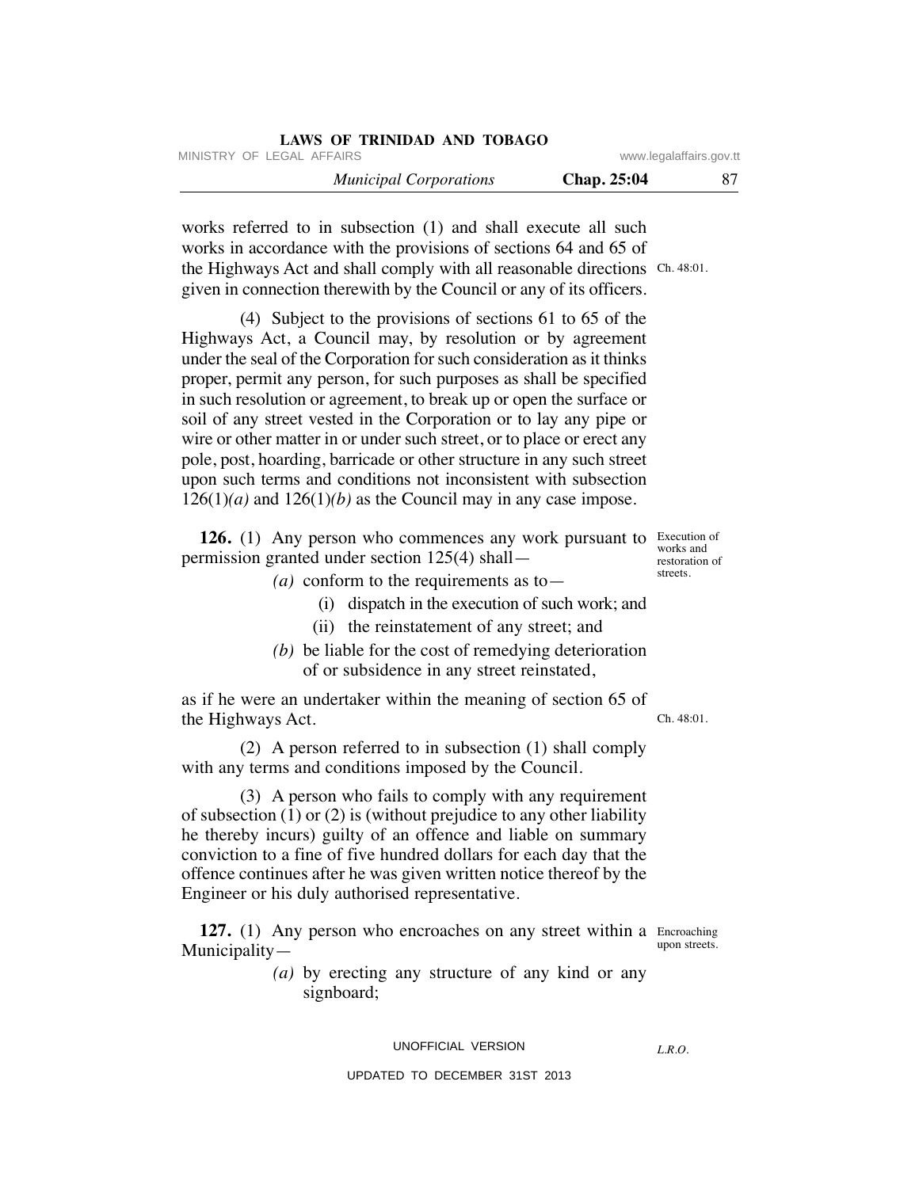| LAWS OF TRINIDAD AND TOBAGO   |                    |                         |
|-------------------------------|--------------------|-------------------------|
| MINISTRY OF LEGAL AFFAIRS     |                    | www.legalaffairs.gov.tt |
| <b>Municipal Corporations</b> | <b>Chap. 25:04</b> | 87.                     |

works referred to in subsection (1) and shall execute all such works in accordance with the provisions of sections 64 and 65 of the Highways Act and shall comply with all reasonable directions Ch. 48:01. given in connection therewith by the Council or any of its officers.

 (4) Subject to the provisions of sections 61 to 65 of the Highways Act, a Council may, by resolution or by agreement under the seal of the Corporation for such consideration as it thinks proper, permit any person, for such purposes as shall be specified in such resolution or agreement, to break up or open the surface or soil of any street vested in the Corporation or to lay any pipe or wire or other matter in or under such street, or to place or erect any pole, post, hoarding, barricade or other structure in any such street upon such terms and conditions not inconsistent with subsection  $126(1)(a)$  and  $126(1)(b)$  as the Council may in any case impose.

**126.** (1) Any person who commences any work pursuant to Execution of permission granted under section 125(4) shall—

- *(a)* conform to the requirements as to—
	- (i) dispatch in the execution of such work; and
	- (ii) the reinstatement of any street; and
- *(b)* be liable for the cost of remedying deterioration of or subsidence in any street reinstated,

as if he were an undertaker within the meaning of section 65 of the Highways Act.

 (2) A person referred to in subsection (1) shall comply with any terms and conditions imposed by the Council.

 (3) A person who fails to comply with any requirement of subsection (1) or (2) is (without prejudice to any other liability he thereby incurs) guilty of an offence and liable on summary conviction to a fine of five hundred dollars for each day that the offence continues after he was given written notice thereof by the Engineer or his duly authorised representative.

127. (1) Any person who encroaches on any street within a Encroaching Municipality upon streets.

> *(a)* by erecting any structure of any kind or any signboard;

## UNOFFICIAL VERSION

### UPDATED TO DECEMBER 31ST 2013

Ch. 48:01.

*L.R.O.* 

works and restoration of streets.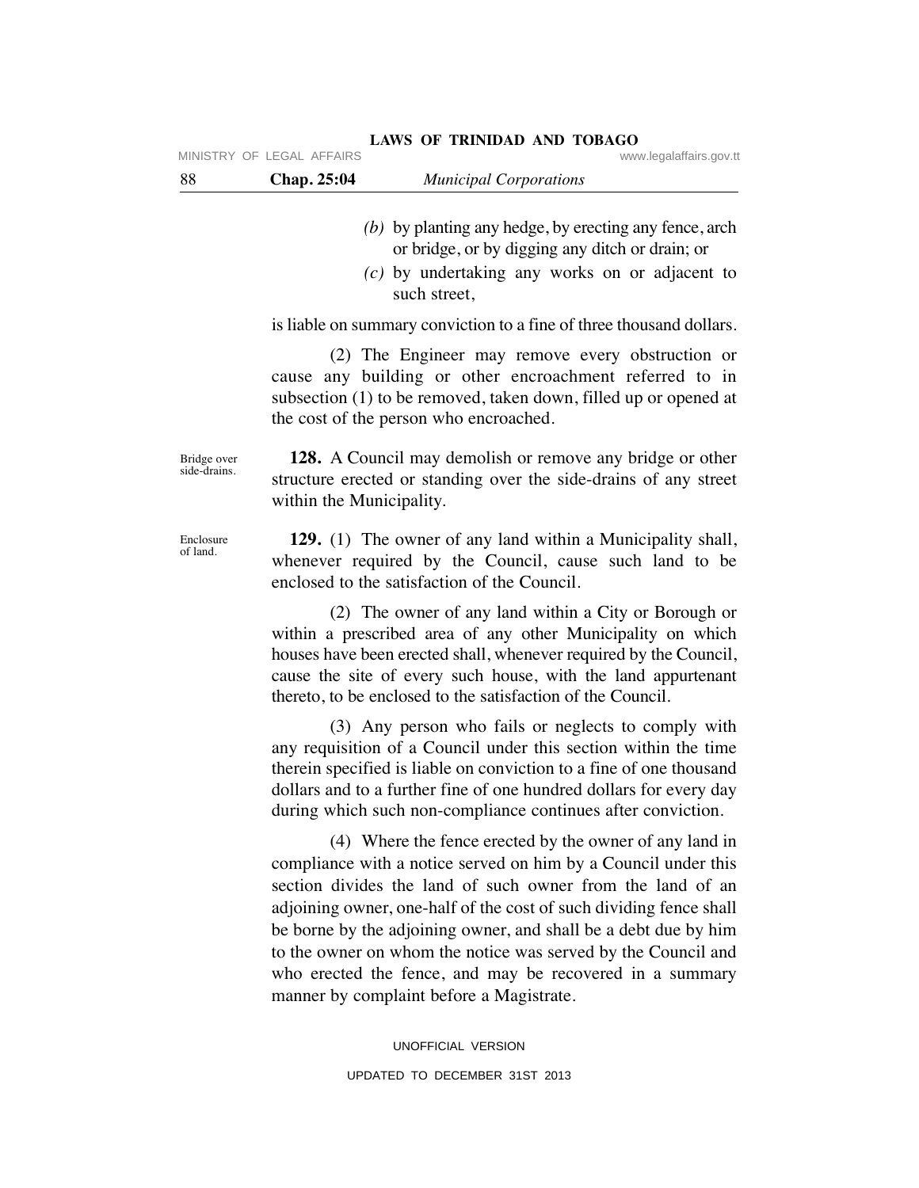| -88 | <b>Chap. 25:04</b>          | <b>Municipal Corporations</b> |                         |
|-----|-----------------------------|-------------------------------|-------------------------|
|     | IVIINISTRI UF LEUAL AFFAIRS |                               | www.iegalafialis.gov.tt |

## **LAWS OF TRINIDAD AND TOBAGO**

- *(b)* by planting any hedge, by erecting any fence, arch or bridge, or by digging any ditch or drain; or
- *(c)* by undertaking any works on or adjacent to such street,

is liable on summary conviction to a fine of three thousand dollars.

 (2) The Engineer may remove every obstruction or cause any building or other encroachment referred to in subsection (1) to be removed, taken down, filled up or opened at the cost of the person who encroached.

 **128.** A Council may demolish or remove any bridge or other structure erected or standing over the side-drains of any street within the Municipality.

 **129.** (1) The owner of any land within a Municipality shall, whenever required by the Council, cause such land to be enclosed to the satisfaction of the Council.

 (2) The owner of any land within a City or Borough or within a prescribed area of any other Municipality on which houses have been erected shall, whenever required by the Council, cause the site of every such house, with the land appurtenant thereto, to be enclosed to the satisfaction of the Council.

 (3) Any person who fails or neglects to comply with any requisition of a Council under this section within the time therein specified is liable on conviction to a fine of one thousand dollars and to a further fine of one hundred dollars for every day during which such non-compliance continues after conviction.

 (4) Where the fence erected by the owner of any land in compliance with a notice served on him by a Council under this section divides the land of such owner from the land of an adjoining owner, one-half of the cost of such dividing fence shall be borne by the adjoining owner, and shall be a debt due by him to the owner on whom the notice was served by the Council and who erected the fence, and may be recovered in a summary manner by complaint before a Magistrate.

> UNOFFICIAL VERSION UPDATED TO DECEMBER 31ST 2013

Bridge over side-drains.

MINISTRY OF LEGAL AFFAIRS

Enclosure of land.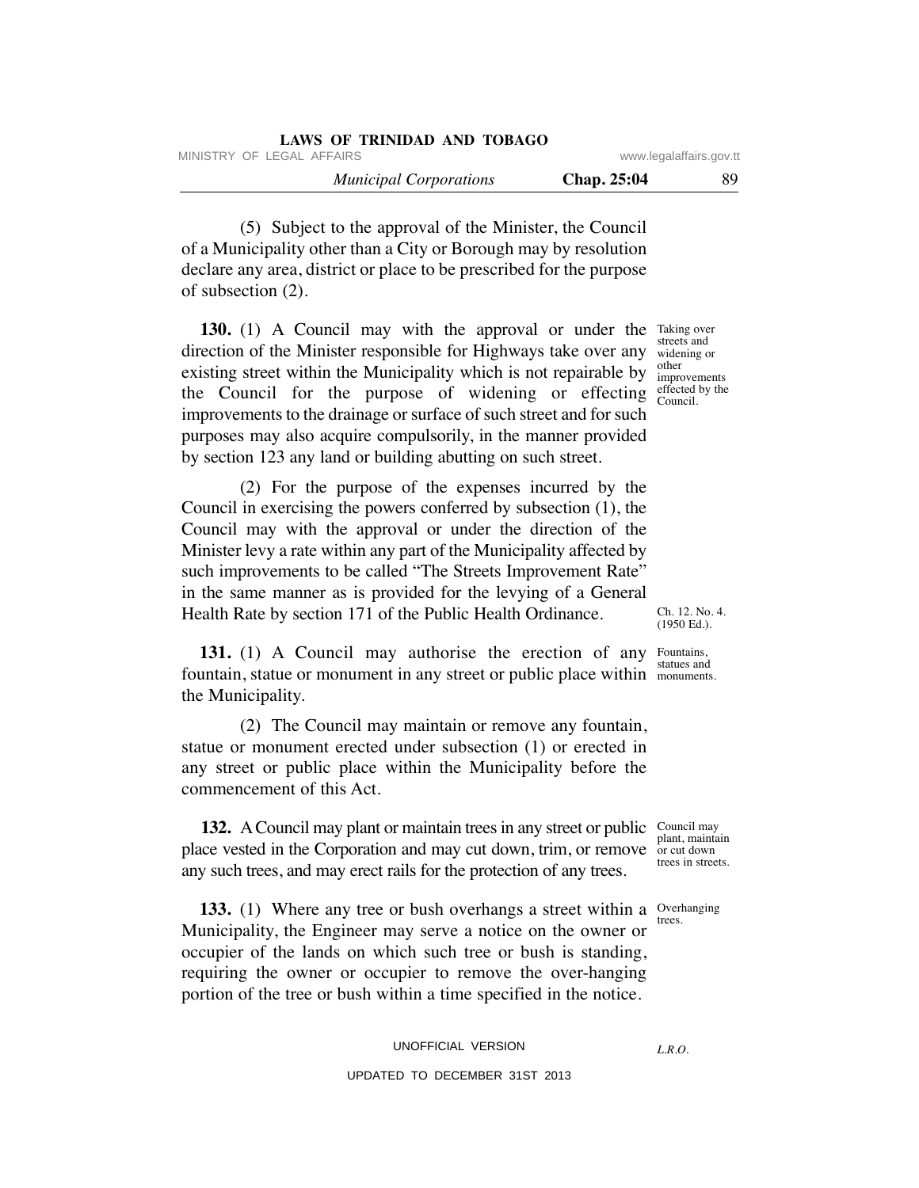| LAWS OF TRINIDAD AND TOBAGO   |             |                         |
|-------------------------------|-------------|-------------------------|
| MINISTRY OF LEGAL AFFAIRS     |             | www.legalaffairs.gov.tt |
| <b>Municipal Corporations</b> | Chap. 25:04 | 89                      |

 (5) Subject to the approval of the Minister, the Council of a Municipality other than a City or Borough may by resolution declare any area, district or place to be prescribed for the purpose of subsection (2).

**130.** (1) A Council may with the approval or under the Taking over direction of the Minister responsible for Highways take over any widening or existing street within the Municipality which is not repairable by the Council for the purpose of widening or effecting improvements to the drainage or surface of such street and for such purposes may also acquire compulsorily, in the manner provided by section 123 any land or building abutting on such street.

 (2) For the purpose of the expenses incurred by the Council in exercising the powers conferred by subsection (1), the Council may with the approval or under the direction of the Minister levy a rate within any part of the Municipality affected by such improvements to be called "The Streets Improvement Rate" in the same manner as is provided for the levying of a General Health Rate by section 171 of the Public Health Ordinance.

131. (1) A Council may authorise the erection of any Fountains, fountain, statue or monument in any street or public place within monuments. the Municipality.

 (2) The Council may maintain or remove any fountain, statue or monument erected under subsection (1) or erected in any street or public place within the Municipality before the commencement of this Act.

**132.** A Council may plant or maintain trees in any street or public Council may place vested in the Corporation and may cut down, trim, or remove any such trees, and may erect rails for the protection of any trees.

**133.** (1) Where any tree or bush overhangs a street within a *Overhanging* Municipality, the Engineer may serve a notice on the owner or occupier of the lands on which such tree or bush is standing, requiring the owner or occupier to remove the over-hanging portion of the tree or bush within a time specified in the notice.

## streets and other improvements effected by the

Council.

Ch. 12. No. 4.  $(1950 \text{ Ed.})$ .

statues and

plant, maintain or cut down trees in streets.

trees.

UNOFFICIAL VERSION UPDATED TO DECEMBER 31ST 2013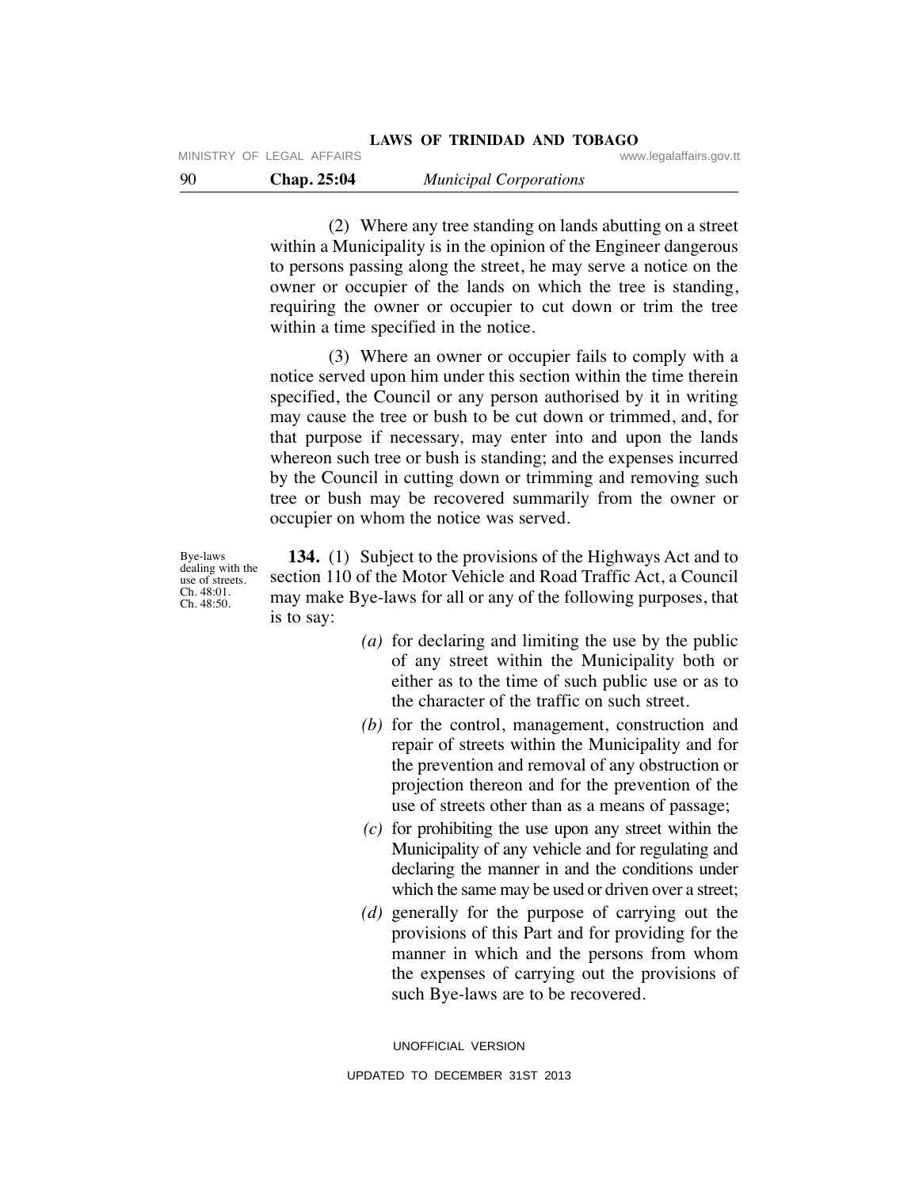MINISTRY OF LEGAL AFFAIRS **WARE ACCOMPTED MINISTRY** OF LEGAL AFFAIRS

 (2) Where any tree standing on lands abutting on a street within a Municipality is in the opinion of the Engineer dangerous to persons passing along the street, he may serve a notice on the

owner or occupier of the lands on which the tree is standing, requiring the owner or occupier to cut down or trim the tree within a time specified in the notice.

 (3) Where an owner or occupier fails to comply with a notice served upon him under this section within the time therein specified, the Council or any person authorised by it in writing may cause the tree or bush to be cut down or trimmed, and, for that purpose if necessary, may enter into and upon the lands whereon such tree or bush is standing; and the expenses incurred by the Council in cutting down or trimming and removing such tree or bush may be recovered summarily from the owner or occupier on whom the notice was served.

Bye-laws dealing with the use of streets. Ch. 48:01. Ch. 48:50.

 **134.** (1) Subject to the provisions of the Highways Act and to section 110 of the Motor Vehicle and Road Traffic Act, a Council may make Bye-laws for all or any of the following purposes, that is to say:

- *(a)* for declaring and limiting the use by the public of any street within the Municipality both or either as to the time of such public use or as to the character of the traffic on such street.
- *(b)* for the control, management, construction and repair of streets within the Municipality and for the prevention and removal of any obstruction or projection thereon and for the prevention of the use of streets other than as a means of passage;
- *(c)* for prohibiting the use upon any street within the Municipality of any vehicle and for regulating and declaring the manner in and the conditions under which the same may be used or driven over a street;
- *(d)* generally for the purpose of carrying out the provisions of this Part and for providing for the manner in which and the persons from whom the expenses of carrying out the provisions of such Bye-laws are to be recovered.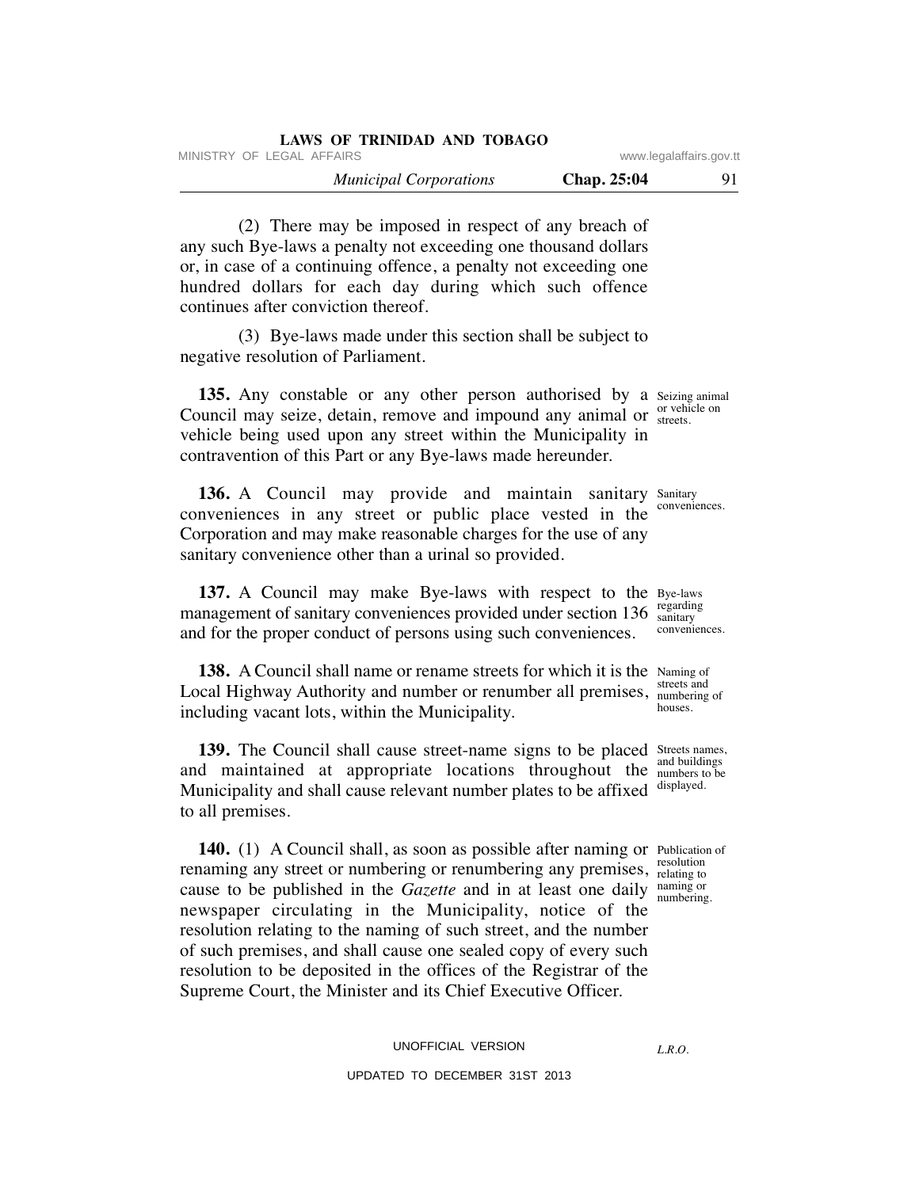| LAWS OF TRINIDAD AND TOBAGO   |                         |    |
|-------------------------------|-------------------------|----|
| MINISTRY OF LEGAL AFFAIRS     | www.legalaffairs.gov.tt |    |
| <b>Municipal Corporations</b> | <b>Chap.</b> 25:04      | 91 |

 (2) There may be imposed in respect of any breach of any such Bye-laws a penalty not exceeding one thousand dollars or, in case of a continuing offence, a penalty not exceeding one hundred dollars for each day during which such offence continues after conviction thereof.

 (3) Bye-laws made under this section shall be subject to negative resolution of Parliament.

135. Any constable or any other person authorised by a Seizing animal Council may seize, detain, remove and impound any animal or *streets*. vehicle being used upon any street within the Municipality in contravention of this Part or any Bye-laws made hereunder.

136. A Council may provide and maintain sanitary Sanitary conveniences in any street or public place vested in the Corporation and may make reasonable charges for the use of any sanitary convenience other than a urinal so provided.

**137.** A Council may make Bye-laws with respect to the Bye-laws management of sanitary conveniences provided under section 136 sanitary and for the proper conduct of persons using such conveniences.

**138.** A Council shall name or rename streets for which it is the Naming of Local Highway Authority and number or renumber all premises, streets and including vacant lots, within the Municipality.

**139.** The Council shall cause street-name signs to be placed Streets names, and maintained at appropriate locations throughout the all outlets to be Municipality and shall cause relevant number plates to be affixed to all premises.

140. (1) A Council shall, as soon as possible after naming or Publication of renaming any street or numbering or renumbering any premises, resolution cause to be published in the *Gazette* and in at least one daily naming or newspaper circulating in the Municipality, notice of the resolution relating to the naming of such street, and the number of such premises, and shall cause one sealed copy of every such resolution to be deposited in the offices of the Registrar of the Supreme Court, the Minister and its Chief Executive Officer.

> UNOFFICIAL VERSION UPDATED TO DECEMBER 31ST 2013

*L.R.O.* 

streets.

conveniences.

sanitary conveniences.

numbering of houses.

and buildings displayed.

relating to numbering.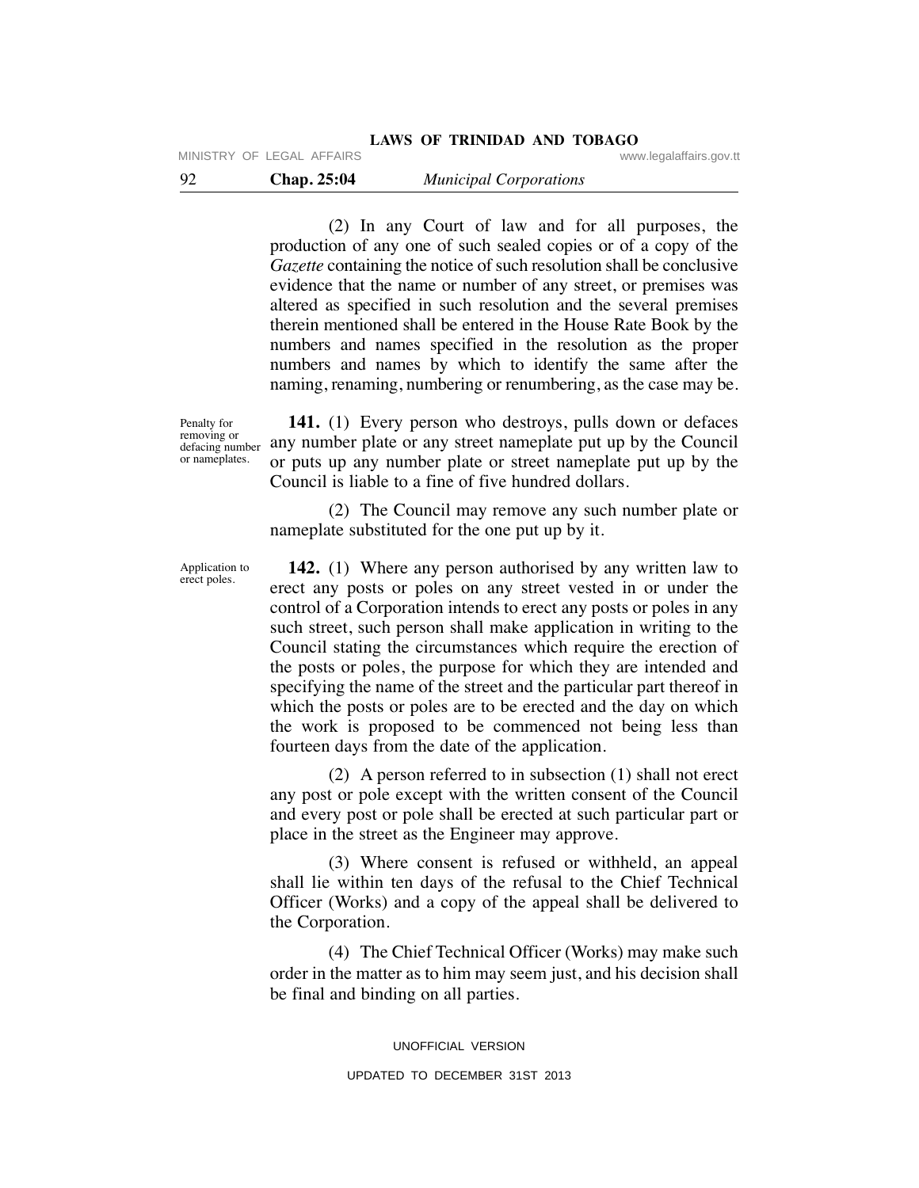MINISTRY OF LEGAL AFFAIRS **WARE ACCOMPTED MINISTRY** OF LEGAL AFFAIRS

 (2) In any Court of law and for all purposes, the production of any one of such sealed copies or of a copy of the *Gazette* containing the notice of such resolution shall be conclusive evidence that the name or number of any street, or premises was altered as specified in such resolution and the several premises therein mentioned shall be entered in the House Rate Book by the numbers and names specified in the resolution as the proper numbers and names by which to identify the same after the naming, renaming, numbering or renumbering, as the case may be.

Penalty for removing or defacing number or nameplates.

Application to erect poles.

 **141.** (1) Every person who destroys, pulls down or defaces any number plate or any street nameplate put up by the Council or puts up any number plate or street nameplate put up by the Council is liable to a fine of five hundred dollars.

 (2) The Council may remove any such number plate or nameplate substituted for the one put up by it.

**142.** (1) Where any person authorised by any written law to erect any posts or poles on any street vested in or under the control of a Corporation intends to erect any posts or poles in any such street, such person shall make application in writing to the Council stating the circumstances which require the erection of the posts or poles, the purpose for which they are intended and specifying the name of the street and the particular part thereof in which the posts or poles are to be erected and the day on which the work is proposed to be commenced not being less than fourteen days from the date of the application.

 (2) A person referred to in subsection (1) shall not erect any post or pole except with the written consent of the Council and every post or pole shall be erected at such particular part or place in the street as the Engineer may approve.

 (3) Where consent is refused or withheld, an appeal shall lie within ten days of the refusal to the Chief Technical Officer (Works) and a copy of the appeal shall be delivered to the Corporation.

 (4) The Chief Technical Officer (Works) may make such order in the matter as to him may seem just, and his decision shall be final and binding on all parties.

UNOFFICIAL VERSION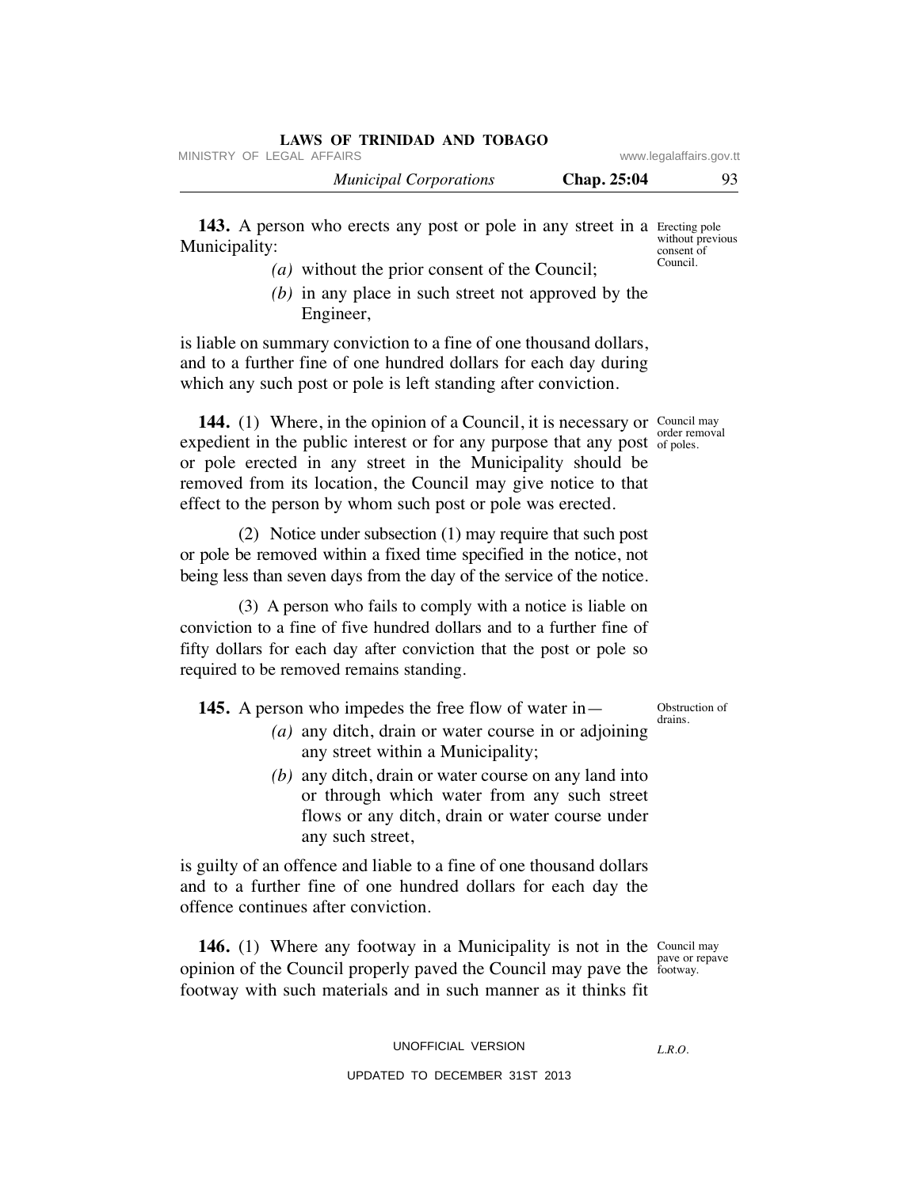| LAWS OF IKINIDAD AND TODAGO<br>MINISTRY OF LEGAL AFFAIRS |             | www.legalaffairs.gov.tt |
|----------------------------------------------------------|-------------|-------------------------|
| <b>Municipal Corporations</b>                            | Chap. 25:04 | $Q_3$                   |
|                                                          |             |                         |

143. A person who erects any post or pole in any street in a Erecting pole Municipality: without previous consent of Council.

**LAWS OF TRINIDAD AND TOBAGO**

- *(a)* without the prior consent of the Council;
- *(b)* in any place in such street not approved by the Engineer,

is liable on summary conviction to a fine of one thousand dollars, and to a further fine of one hundred dollars for each day during which any such post or pole is left standing after conviction.

**144.** (1) Where, in the opinion of a Council, it is necessary or Council may expedient in the public interest or for any purpose that any post of poles. or pole erected in any street in the Municipality should be removed from its location, the Council may give notice to that effect to the person by whom such post or pole was erected.

 (2) Notice under subsection (1) may require that such post or pole be removed within a fixed time specified in the notice, not being less than seven days from the day of the service of the notice.

 (3) A person who fails to comply with a notice is liable on conviction to a fine of five hundred dollars and to a further fine of fifty dollars for each day after conviction that the post or pole so required to be removed remains standing.

**145.** A person who impedes the free flow of water in—

- *(a)* any ditch, drain or water course in or adjoining any street within a Municipality;
- *(b)* any ditch, drain or water course on any land into or through which water from any such street flows or any ditch, drain or water course under any such street,

is guilty of an offence and liable to a fine of one thousand dollars and to a further fine of one hundred dollars for each day the offence continues after conviction.

**146.** (1) Where any footway in a Municipality is not in the Council may opinion of the Council properly paved the Council may pave the footway. footway with such materials and in such manner as it thinks fit

pave or repave

UNOFFICIAL VERSION

*L.R.O.* 

UPDATED TO DECEMBER 31ST 2013

Obstruction of drains.

order removal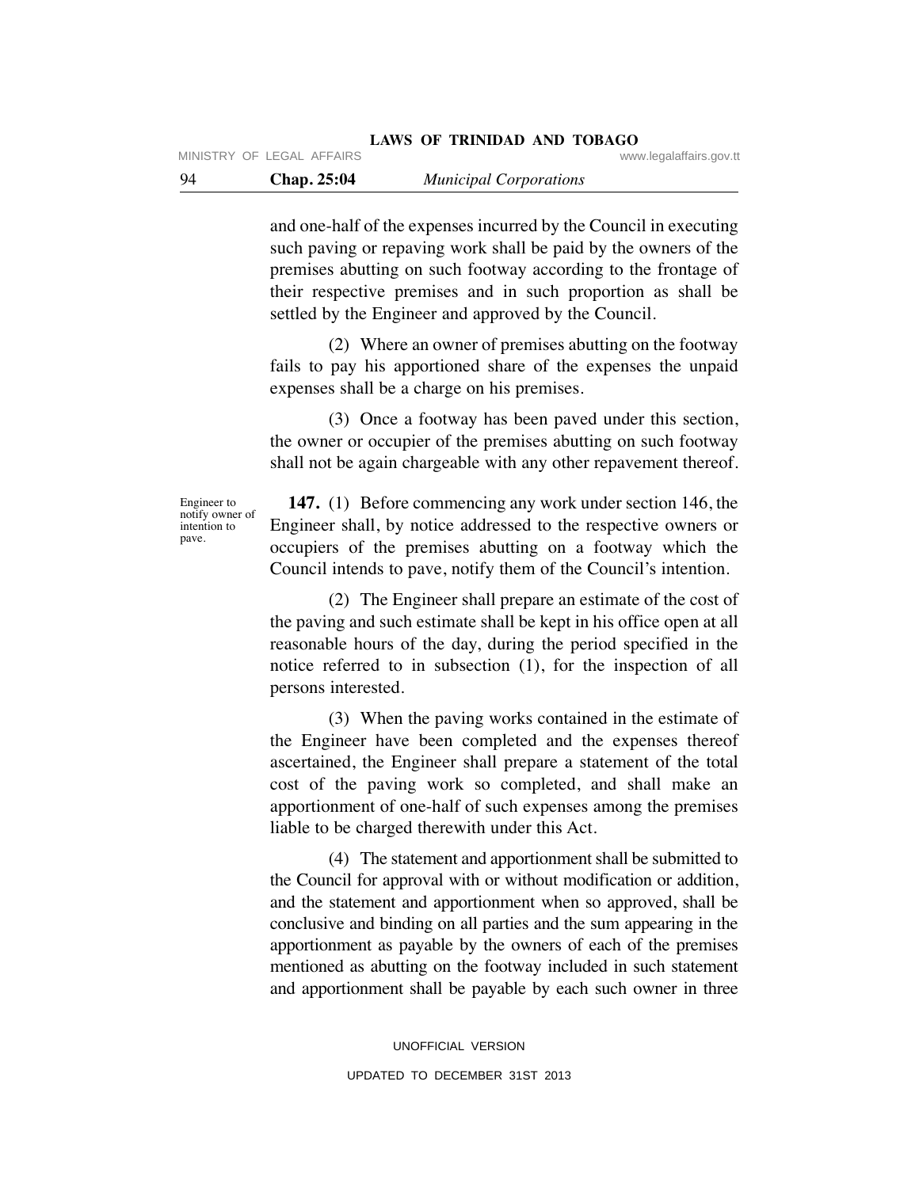MINISTRY OF LEGAL AFFAIRS **WARE ACCOMPTED MINISTRY** OF LEGAL AFFAIRS

and one-half of the expenses incurred by the Council in executing such paving or repaving work shall be paid by the owners of the premises abutting on such footway according to the frontage of their respective premises and in such proportion as shall be settled by the Engineer and approved by the Council.

 (2) Where an owner of premises abutting on the footway fails to pay his apportioned share of the expenses the unpaid expenses shall be a charge on his premises.

 (3) Once a footway has been paved under this section, the owner or occupier of the premises abutting on such footway shall not be again chargeable with any other repavement thereof.

Engineer to notify owner of intention to pave.

 **147.** (1) Before commencing any work under section 146, the Engineer shall, by notice addressed to the respective owners or occupiers of the premises abutting on a footway which the Council intends to pave, notify them of the Council's intention.

 (2) The Engineer shall prepare an estimate of the cost of the paving and such estimate shall be kept in his office open at all reasonable hours of the day, during the period specified in the notice referred to in subsection (1), for the inspection of all persons interested.

 (3) When the paving works contained in the estimate of the Engineer have been completed and the expenses thereof ascertained, the Engineer shall prepare a statement of the total cost of the paving work so completed, and shall make an apportionment of one-half of such expenses among the premises liable to be charged therewith under this Act.

 (4) The statement and apportionment shall be submitted to the Council for approval with or without modification or addition, and the statement and apportionment when so approved, shall be conclusive and binding on all parties and the sum appearing in the apportionment as payable by the owners of each of the premises mentioned as abutting on the footway included in such statement and apportionment shall be payable by each such owner in three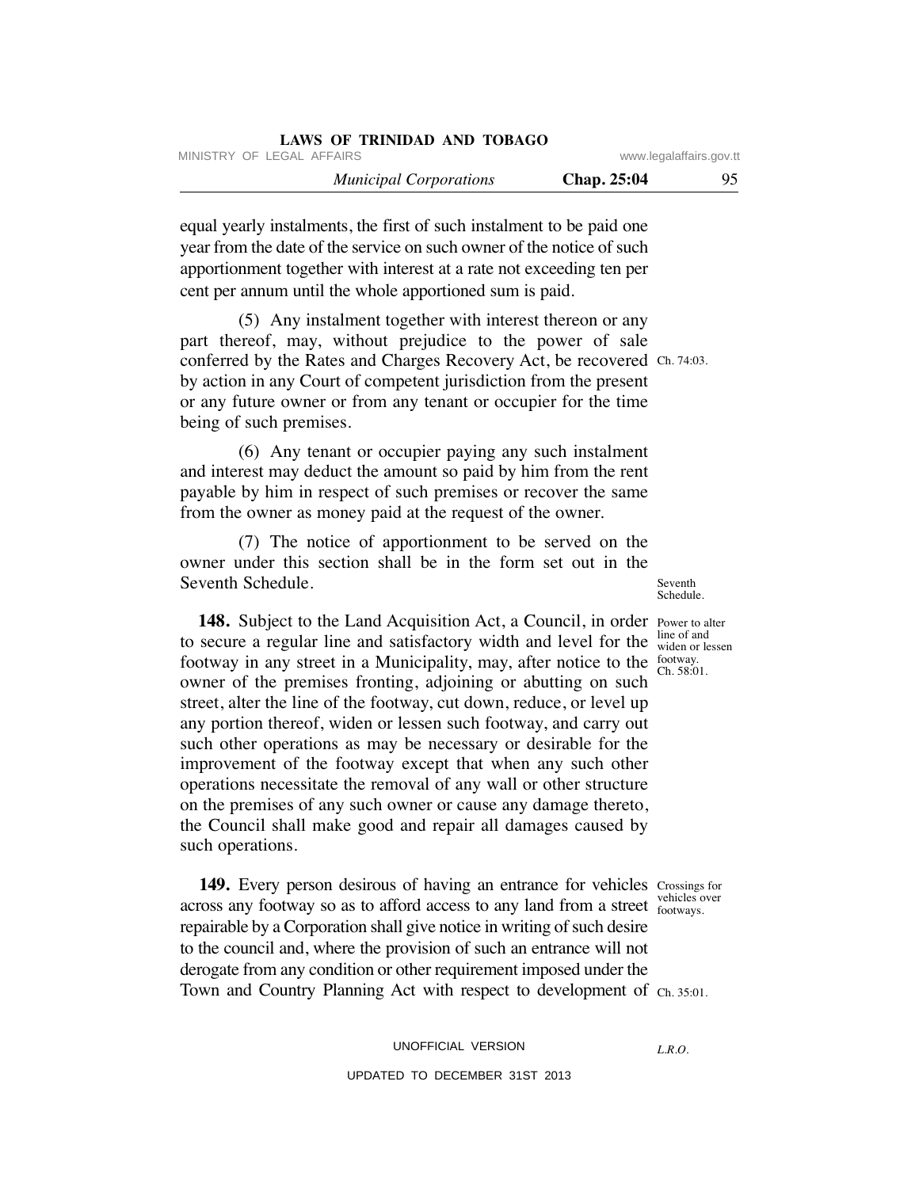| LAWS OF TRINIDAD AND TOBAGO   |                         |    |
|-------------------------------|-------------------------|----|
| MINISTRY OF LEGAL AFFAIRS     | www.legalaffairs.gov.tt |    |
| <b>Municipal Corporations</b> | <b>Chap. 25:04</b>      | 95 |

equal yearly instalments, the first of such instalment to be paid one year from the date of the service on such owner of the notice of such apportionment together with interest at a rate not exceeding ten per cent per annum until the whole apportioned sum is paid.

 (5) Any instalment together with interest thereon or any part thereof, may, without prejudice to the power of sale conferred by the Rates and Charges Recovery Act, be recovered Ch. 74:03. by action in any Court of competent jurisdiction from the present or any future owner or from any tenant or occupier for the time being of such premises.

 (6) Any tenant or occupier paying any such instalment and interest may deduct the amount so paid by him from the rent payable by him in respect of such premises or recover the same from the owner as money paid at the request of the owner.

 (7) The notice of apportionment to be served on the owner under this section shall be in the form set out in the Seventh Schedule.

148. Subject to the Land Acquisition Act, a Council, in order Power to alter to secure a regular line and satisfactory width and level for the footway in any street in a Municipality, may, after notice to the  $\frac{footway}{Ch}$  58.0 owner of the premises fronting, adjoining or abutting on such street, alter the line of the footway, cut down, reduce, or level up any portion thereof, widen or lessen such footway, and carry out such other operations as may be necessary or desirable for the improvement of the footway except that when any such other operations necessitate the removal of any wall or other structure on the premises of any such owner or cause any damage thereto, the Council shall make good and repair all damages caused by such operations.

149. Every person desirous of having an entrance for vehicles Crossings for across any footway so as to afford access to any land from a street respectively repairable by a Corporation shall give notice in writing of such desire to the council and, where the provision of such an entrance will not derogate from any condition or other requirement imposed under the Town and Country Planning Act with respect to development of Ch. 35:01.

line of and widen or lessen Ch. 58:01.

Seventh Schedule.

footways.

*L.R.O.*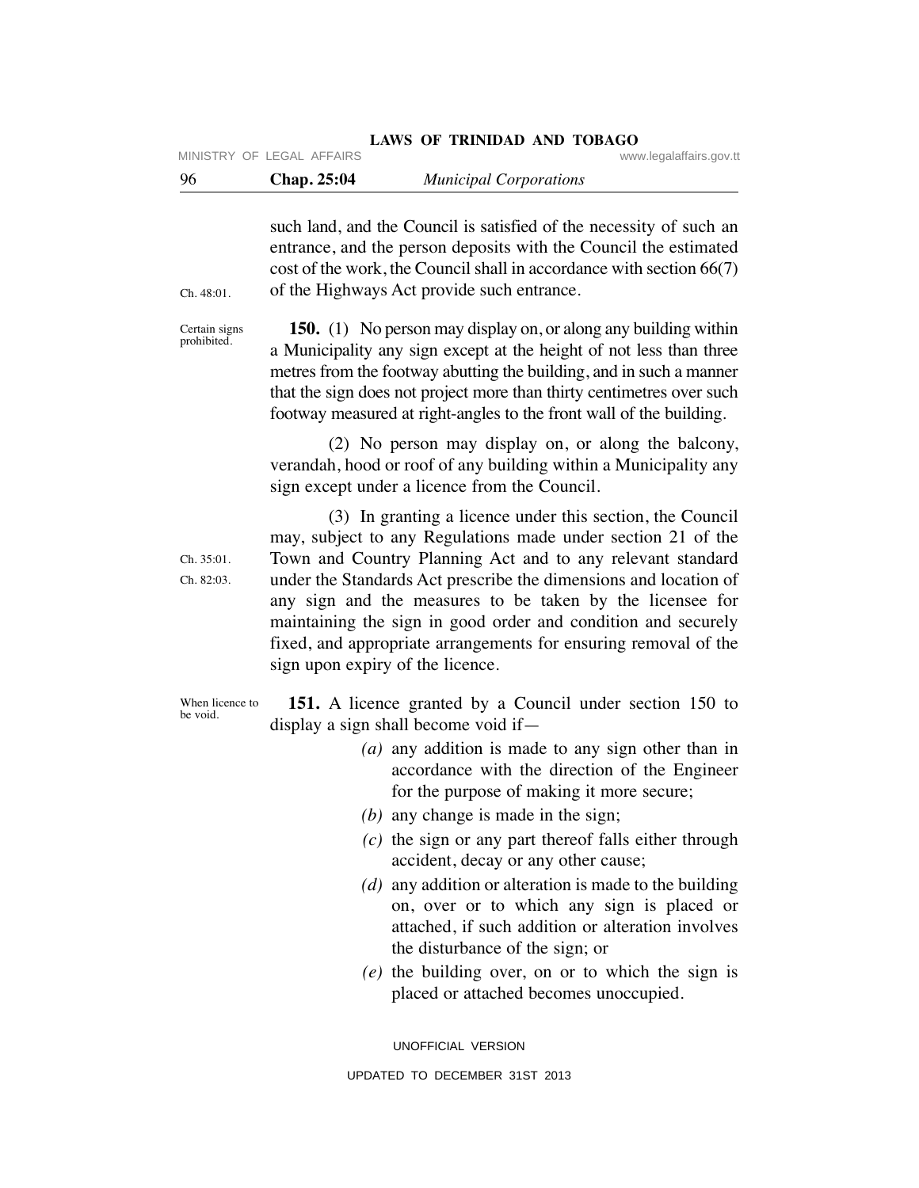| 96                           | Chap. 25:04                      | <b>Municipal Corporations</b>                                                                                                                                                                                                                                                                                                                                                                                                                                                                                                                                                                                                                                                                      |
|------------------------------|----------------------------------|----------------------------------------------------------------------------------------------------------------------------------------------------------------------------------------------------------------------------------------------------------------------------------------------------------------------------------------------------------------------------------------------------------------------------------------------------------------------------------------------------------------------------------------------------------------------------------------------------------------------------------------------------------------------------------------------------|
| Ch. 48:01.                   |                                  | such land, and the Council is satisfied of the necessity of such an<br>entrance, and the person deposits with the Council the estimated<br>cost of the work, the Council shall in accordance with section 66(7)<br>of the Highways Act provide such entrance.                                                                                                                                                                                                                                                                                                                                                                                                                                      |
| Certain signs<br>prohibited. |                                  | <b>150.</b> (1) No person may display on, or along any building within<br>a Municipality any sign except at the height of not less than three<br>metres from the footway abutting the building, and in such a manner<br>that the sign does not project more than thirty centimetres over such<br>footway measured at right-angles to the front wall of the building.                                                                                                                                                                                                                                                                                                                               |
|                              |                                  | (2) No person may display on, or along the balcony,<br>verandah, hood or roof of any building within a Municipality any<br>sign except under a licence from the Council.                                                                                                                                                                                                                                                                                                                                                                                                                                                                                                                           |
| Ch. 35:01.<br>Ch. 82:03.     | sign upon expiry of the licence. | (3) In granting a licence under this section, the Council<br>may, subject to any Regulations made under section 21 of the<br>Town and Country Planning Act and to any relevant standard<br>under the Standards Act prescribe the dimensions and location of<br>any sign and the measures to be taken by the licensee for<br>maintaining the sign in good order and condition and securely<br>fixed, and appropriate arrangements for ensuring removal of the                                                                                                                                                                                                                                       |
| When licence to<br>be void.  |                                  | 151. A licence granted by a Council under section 150 to<br>display a sign shall become void if—<br>(a) any addition is made to any sign other than in<br>accordance with the direction of the Engineer<br>for the purpose of making it more secure;<br>$(b)$ any change is made in the sign;<br>$(c)$ the sign or any part thereof falls either through<br>accident, decay or any other cause;<br>$(d)$ any addition or alteration is made to the building<br>on, over or to which any sign is placed or<br>attached, if such addition or alteration involves<br>the disturbance of the sign; or<br>$(e)$ the building over, on or to which the sign is<br>placed or attached becomes unoccupied. |
|                              |                                  | UNOFFICIAL VERSION                                                                                                                                                                                                                                                                                                                                                                                                                                                                                                                                                                                                                                                                                 |

LAWS OF TRINIDAD AND TOBAGO **WWW.legalaffairs.gov.tt** MINISTRY OF LEGAL AFFAIRS

UPDATED TO DECEMBER 31ST 2013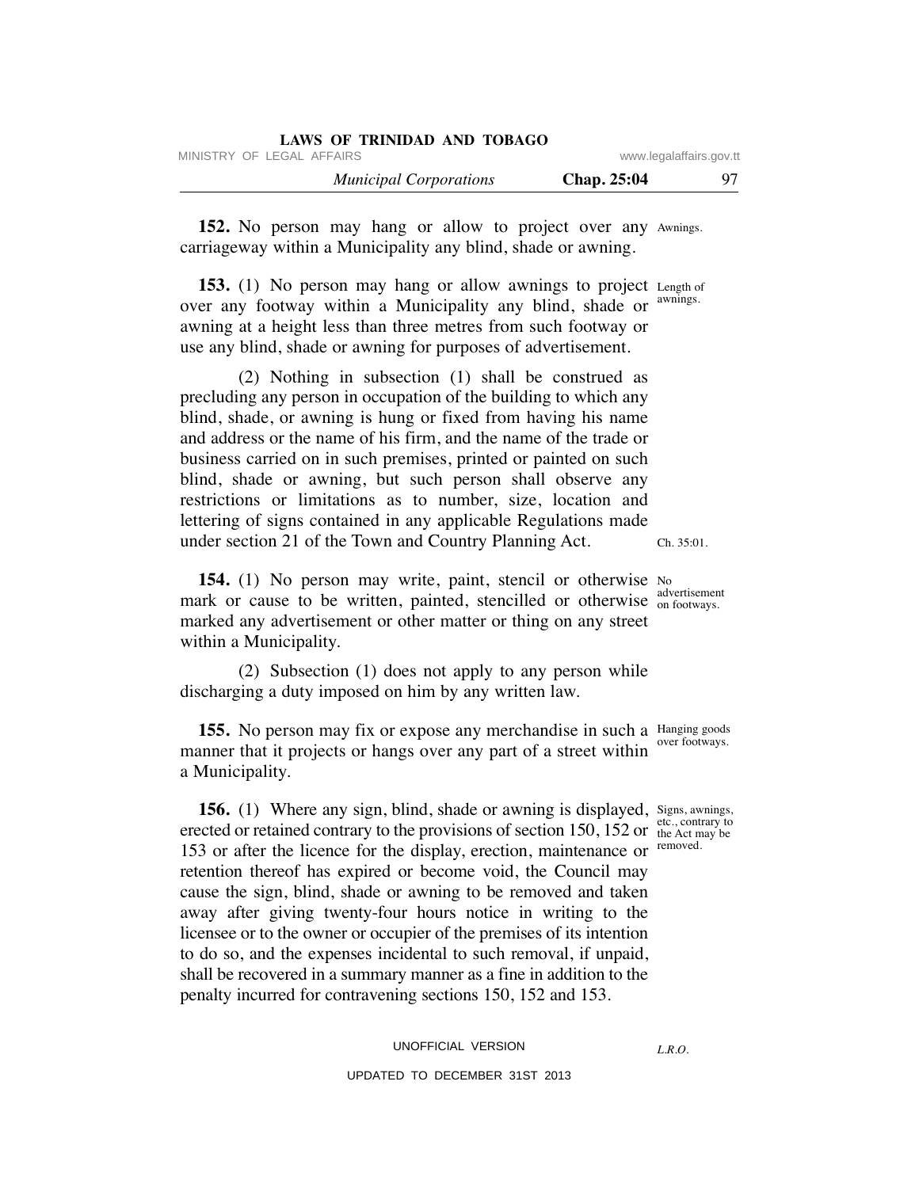| LAWS OF TRINIDAD AND TOBAGO   |                         |     |
|-------------------------------|-------------------------|-----|
| MINISTRY OF LEGAL AFFAIRS     | www.legalaffairs.gov.tt |     |
| <b>Municipal Corporations</b> | Chap. 25:04             | 97. |

152. No person may hang or allow to project over any Awnings. carriageway within a Municipality any blind, shade or awning.

153. (1) No person may hang or allow awnings to project Length of over any footway within a Municipality any blind, shade or awning at a height less than three metres from such footway or use any blind, shade or awning for purposes of advertisement. awnings.

 (2) Nothing in subsection (1) shall be construed as precluding any person in occupation of the building to which any blind, shade, or awning is hung or fixed from having his name and address or the name of his firm, and the name of the trade or business carried on in such premises, printed or painted on such blind, shade or awning, but such person shall observe any restrictions or limitations as to number, size, location and lettering of signs contained in any applicable Regulations made under section 21 of the Town and Country Planning Act.

**154.** (1) No person may write, paint, stencil or otherwise No mark or cause to be written, painted, stencilled or otherwise advertisement marked any advertisement or other matter or thing on any street within a Municipality.

 (2) Subsection (1) does not apply to any person while discharging a duty imposed on him by any written law.

**155.** No person may fix or expose any merchandise in such a Hanging goods manner that it projects or hangs over any part of a street within a Municipality. over footways.

**156.** (1) Where any sign, blind, shade or awning is displayed, Signs, awnings, erected or retained contrary to the provisions of section 150, 152 or  $\frac{\text{etc., contrary to}}{\text{the Act may be}}$ 153 or after the licence for the display, erection, maintenance or retention thereof has expired or become void, the Council may cause the sign, blind, shade or awning to be removed and taken away after giving twenty-four hours notice in writing to the licensee or to the owner or occupier of the premises of its intention to do so, and the expenses incidental to such removal, if unpaid, shall be recovered in a summary manner as a fine in addition to the penalty incurred for contravening sections 150, 152 and 153. the Act may be removed.

# UNOFFICIAL VERSION UPDATED TO DECEMBER 31ST 2013

*L.R.O.* 

Ch. 35:01.

on footways.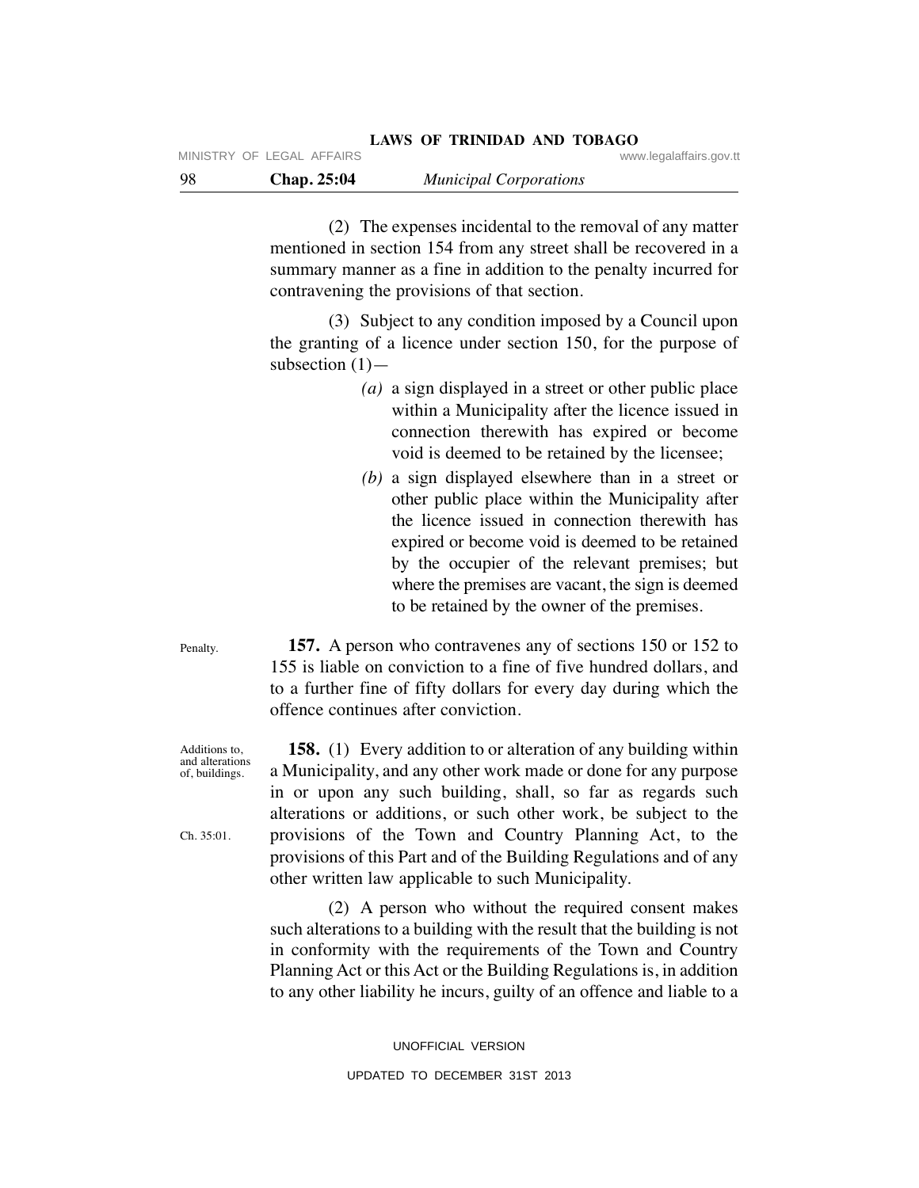(2) The expenses incidental to the removal of any matter mentioned in section 154 from any street shall be recovered in a summary manner as a fine in addition to the penalty incurred for contravening the provisions of that section.

 (3) Subject to any condition imposed by a Council upon the granting of a licence under section 150, for the purpose of subsection  $(1)$ —

- *(a)* a sign displayed in a street or other public place within a Municipality after the licence issued in connection therewith has expired or become void is deemed to be retained by the licensee;
- *(b)* a sign displayed elsewhere than in a street or other public place within the Municipality after the licence issued in connection therewith has expired or become void is deemed to be retained by the occupier of the relevant premises; but where the premises are vacant, the sign is deemed to be retained by the owner of the premises.

 **157.** A person who contravenes any of sections 150 or 152 to 155 is liable on conviction to a fine of five hundred dollars, and to a further fine of fifty dollars for every day during which the offence continues after conviction.

 **158.** (1) Every addition to or alteration of any building within a Municipality, and any other work made or done for any purpose in or upon any such building, shall, so far as regards such alterations or additions, or such other work, be subject to the provisions of the Town and Country Planning Act, to the provisions of this Part and of the Building Regulations and of any other written law applicable to such Municipality.

 (2) A person who without the required consent makes such alterations to a building with the result that the building is not in conformity with the requirements of the Town and Country Planning Act or this Act or the Building Regulations is, in addition to any other liability he incurs, guilty of an offence and liable to a

> UNOFFICIAL VERSION UPDATED TO DECEMBER 31ST 2013

Penalty.

Additions to, and alterations of, buildings.

Ch. 35:01.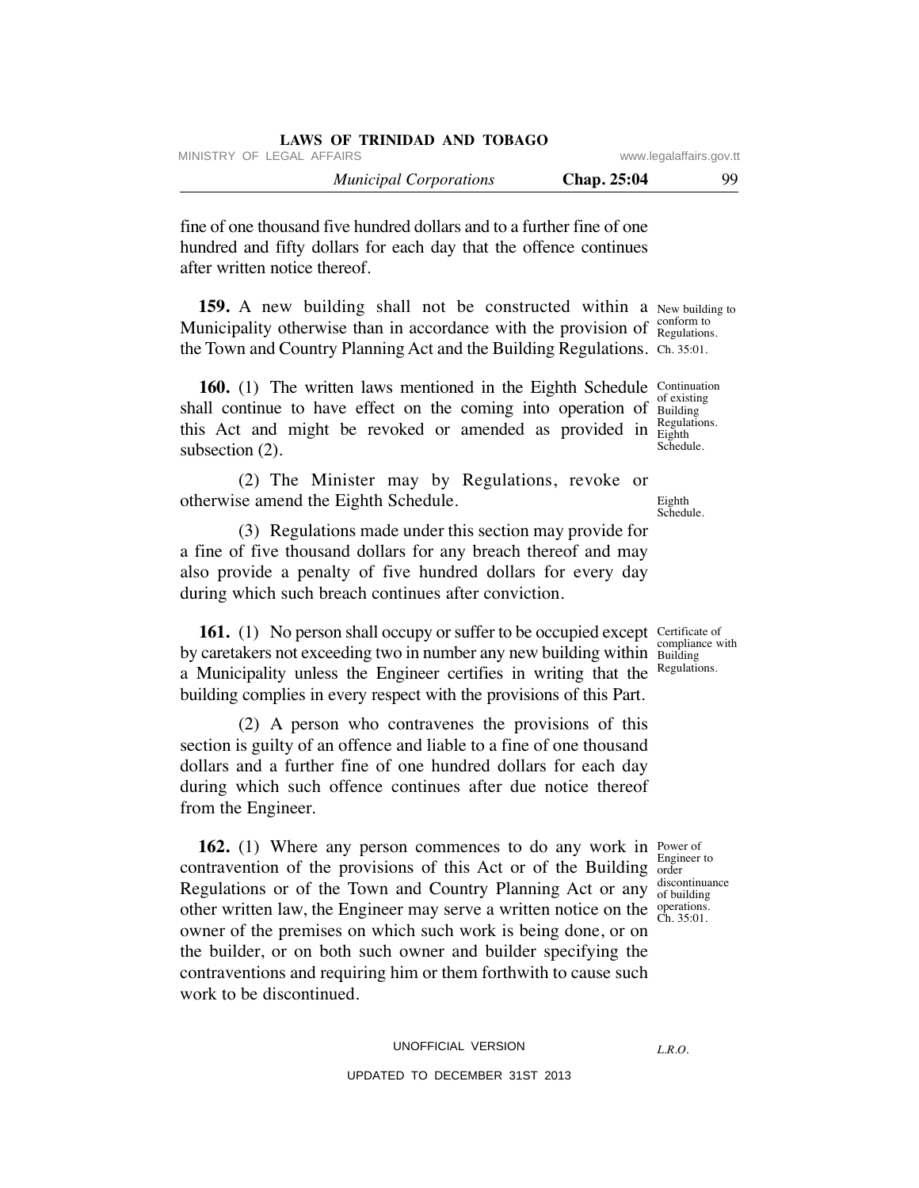| LAWS OF INHTIDAD ARD TODAGO   |                         |    |
|-------------------------------|-------------------------|----|
| MINISTRY OF LEGAL AFFAIRS     | www.legalaffairs.gov.tt |    |
| <b>Municipal Corporations</b> | Chap. 25:04             | 99 |

fine of one thousand five hundred dollars and to a further fine of one hundred and fifty dollars for each day that the offence continues after written notice thereof.

**LAWS OF TRINIDAD AND TOBAGO**

**159.** A new building shall not be constructed within a New building to Municipality otherwise than in accordance with the provision of  $\frac{\text{conform to}}{\text{Regularian}}$ the Town and Country Planning Act and the Building Regulations. Ch. 35:01.

**160.** (1) The written laws mentioned in the Eighth Schedule Continuation shall continue to have effect on the coming into operation of Building this Act and might be revoked or amended as provided in  $E_{\text{light}}^{\text{Regus}}$ subsection (2).

 (2) The Minister may by Regulations, revoke or otherwise amend the Eighth Schedule.

 (3) Regulations made under this section may provide for a fine of five thousand dollars for any breach thereof and may also provide a penalty of five hundred dollars for every day during which such breach continues after conviction.

**161.** (1) No person shall occupy or suffer to be occupied except Certificate of by caretakers not exceeding two in number any new building within Building with a Municipality unless the Engineer certifies in writing that the building complies in every respect with the provisions of this Part.

 (2) A person who contravenes the provisions of this section is guilty of an offence and liable to a fine of one thousand dollars and a further fine of one hundred dollars for each day during which such offence continues after due notice thereof from the Engineer.

**162.** (1) Where any person commences to do any work in Power of contravention of the provisions of this Act or of the Building  $\frac{L_{\text{total}}}{\text{order}}$ Regulations or of the Town and Country Planning Act or any discontinuance other written law, the Engineer may serve a written notice on the  $\frac{\text{operations}}{\text{Ch}}$ owner of the premises on which such work is being done, or on the builder, or on both such owner and builder specifying the contraventions and requiring him or them forthwith to cause such work to be discontinued.

Regulations.

of existing Regulations. Schedule.

Eighth Schedule.

Building Regulations.

Engineer to of building Ch. 35:01.

*L.R.O.* 

UPDATED TO DECEMBER 31ST 2013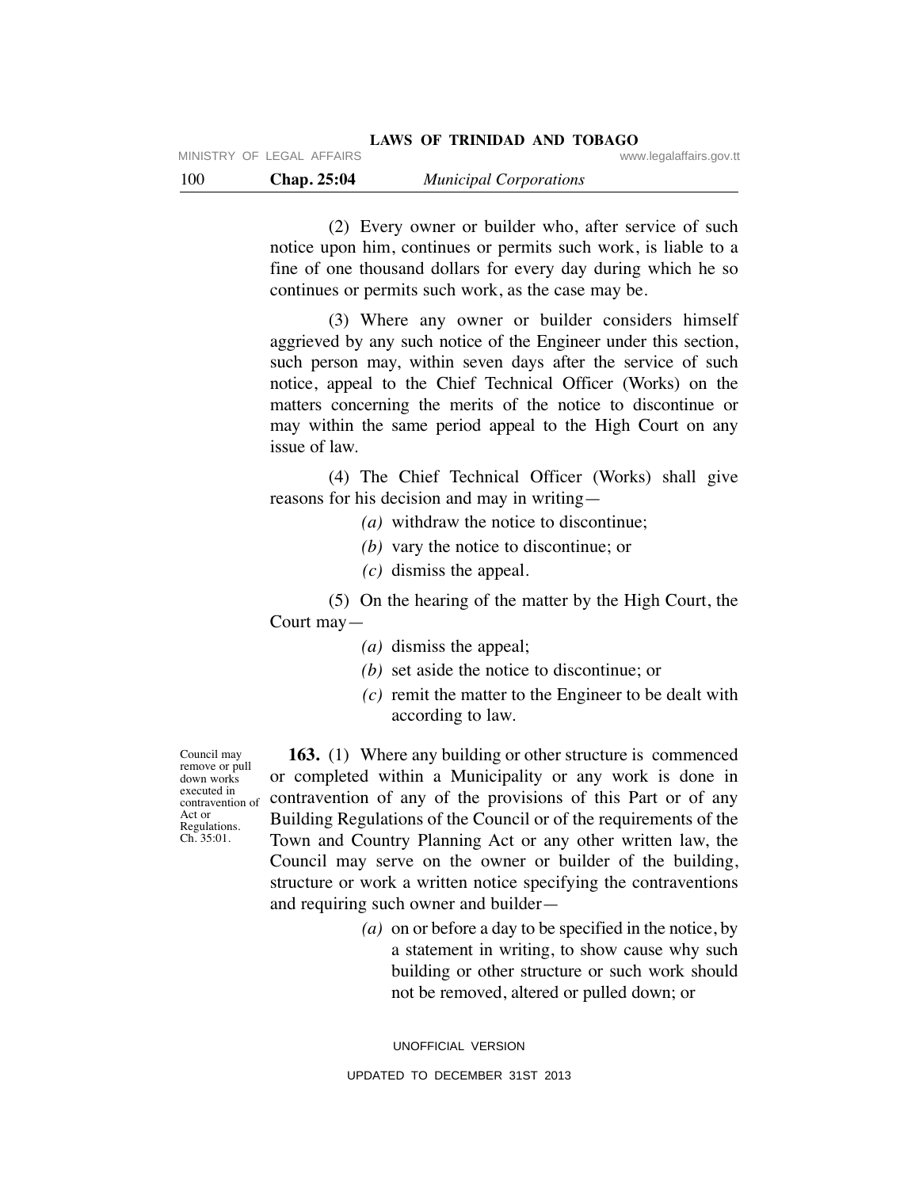(2) Every owner or builder who, after service of such notice upon him, continues or permits such work, is liable to a fine of one thousand dollars for every day during which he so continues or permits such work, as the case may be.

 (3) Where any owner or builder considers himself aggrieved by any such notice of the Engineer under this section, such person may, within seven days after the service of such notice, appeal to the Chief Technical Officer (Works) on the matters concerning the merits of the notice to discontinue or may within the same period appeal to the High Court on any issue of law.

 (4) The Chief Technical Officer (Works) shall give reasons for his decision and may in writing—

- *(a)* withdraw the notice to discontinue;
- *(b)* vary the notice to discontinue; or
- *(c)* dismiss the appeal.

 (5) On the hearing of the matter by the High Court, the Court may—

- *(a)* dismiss the appeal;
- *(b)* set aside the notice to discontinue; or
- *(c)* remit the matter to the Engineer to be dealt with according to law.

Council may remove or pull down works executed in contravention of Act or Regulations. Ch. 35:01.

 **163.** (1) Where any building or other structure is commenced or completed within a Municipality or any work is done in contravention of any of the provisions of this Part or of any Building Regulations of the Council or of the requirements of the Town and Country Planning Act or any other written law, the Council may serve on the owner or builder of the building, structure or work a written notice specifying the contraventions and requiring such owner and builder—

> *(a)* on or before a day to be specified in the notice, by a statement in writing, to show cause why such building or other structure or such work should not be removed, altered or pulled down; or

UNOFFICIAL VERSION UPDATED TO DECEMBER 31ST 2013

MINISTRY OF LEGAL AFFAIRS **WARE ACCOMPTED MINISTRY** OF LEGAL AFFAIRS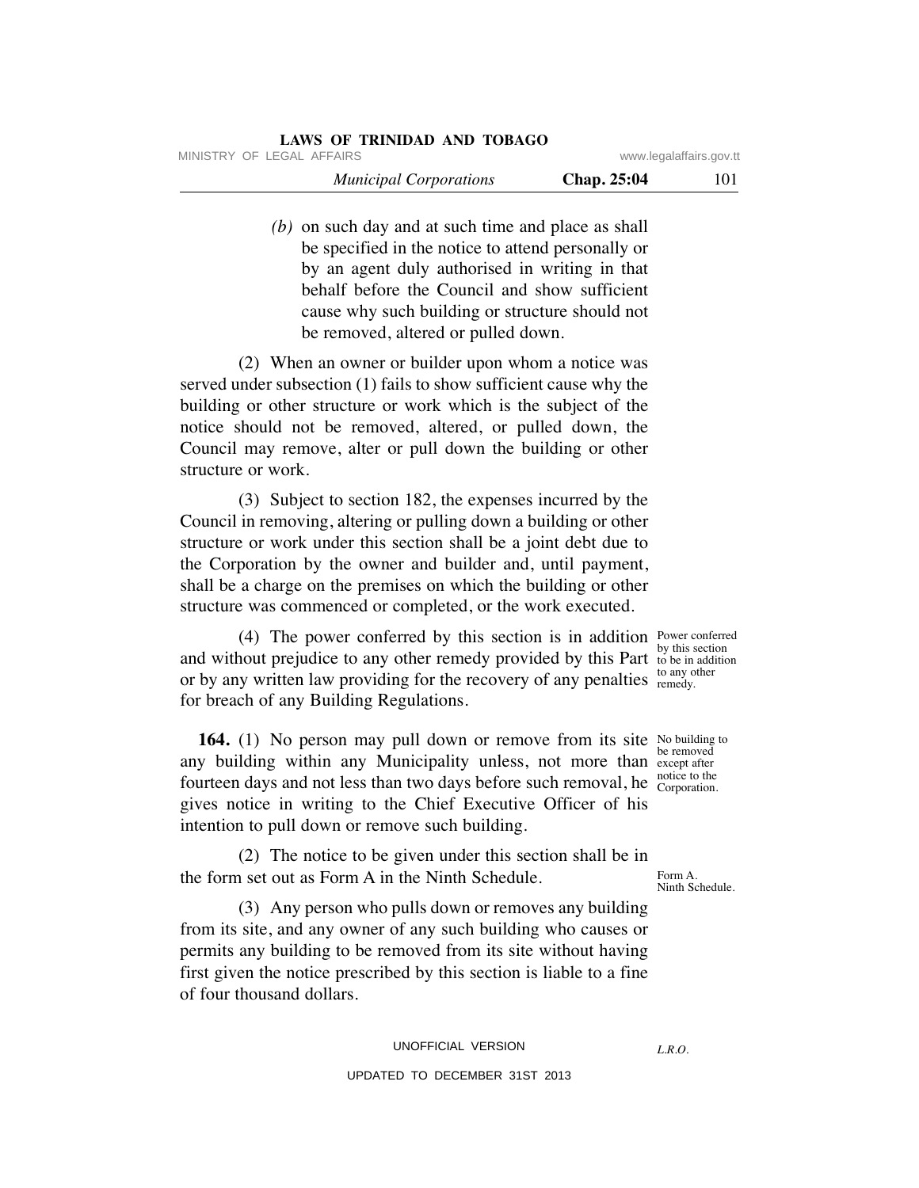| LAWS OF TRINIDAD AND TOBAGO   |                         |     |
|-------------------------------|-------------------------|-----|
| MINISTRY OF LEGAL AFFAIRS     | www.legalaffairs.gov.tt |     |
| <b>Municipal Corporations</b> | Chap. 25:04             | 101 |

 *(b)* on such day and at such time and place as shall be specified in the notice to attend personally or by an agent duly authorised in writing in that behalf before the Council and show sufficient cause why such building or structure should not be removed, altered or pulled down.

 (2) When an owner or builder upon whom a notice was served under subsection (1) fails to show sufficient cause why the building or other structure or work which is the subject of the notice should not be removed, altered, or pulled down, the Council may remove, alter or pull down the building or other structure or work.

 (3) Subject to section 182, the expenses incurred by the Council in removing, altering or pulling down a building or other structure or work under this section shall be a joint debt due to the Corporation by the owner and builder and, until payment, shall be a charge on the premises on which the building or other structure was commenced or completed, or the work executed.

 (4) The power conferred by this section is in addition Power conferred and without prejudice to any other remedy provided by this Part to be in addition or by any written law providing for the recovery of any penalties to any other for breach of any Building Regulations.

**164.** (1) No person may pull down or remove from its site No building to any building within any Municipality unless, not more than except after fourteen days and not less than two days before such removal, he notice to the gives notice in writing to the Chief Executive Officer of his intention to pull down or remove such building.

 (2) The notice to be given under this section shall be in the form set out as Form A in the Ninth Schedule.

by this section remedy.

be removed Corporation.

Form A. Ninth Schedule.

 (3) Any person who pulls down or removes any building from its site, and any owner of any such building who causes or permits any building to be removed from its site without having first given the notice prescribed by this section is liable to a fine of four thousand dollars.

## UNOFFICIAL VERSION UPDATED TO DECEMBER 31ST 2013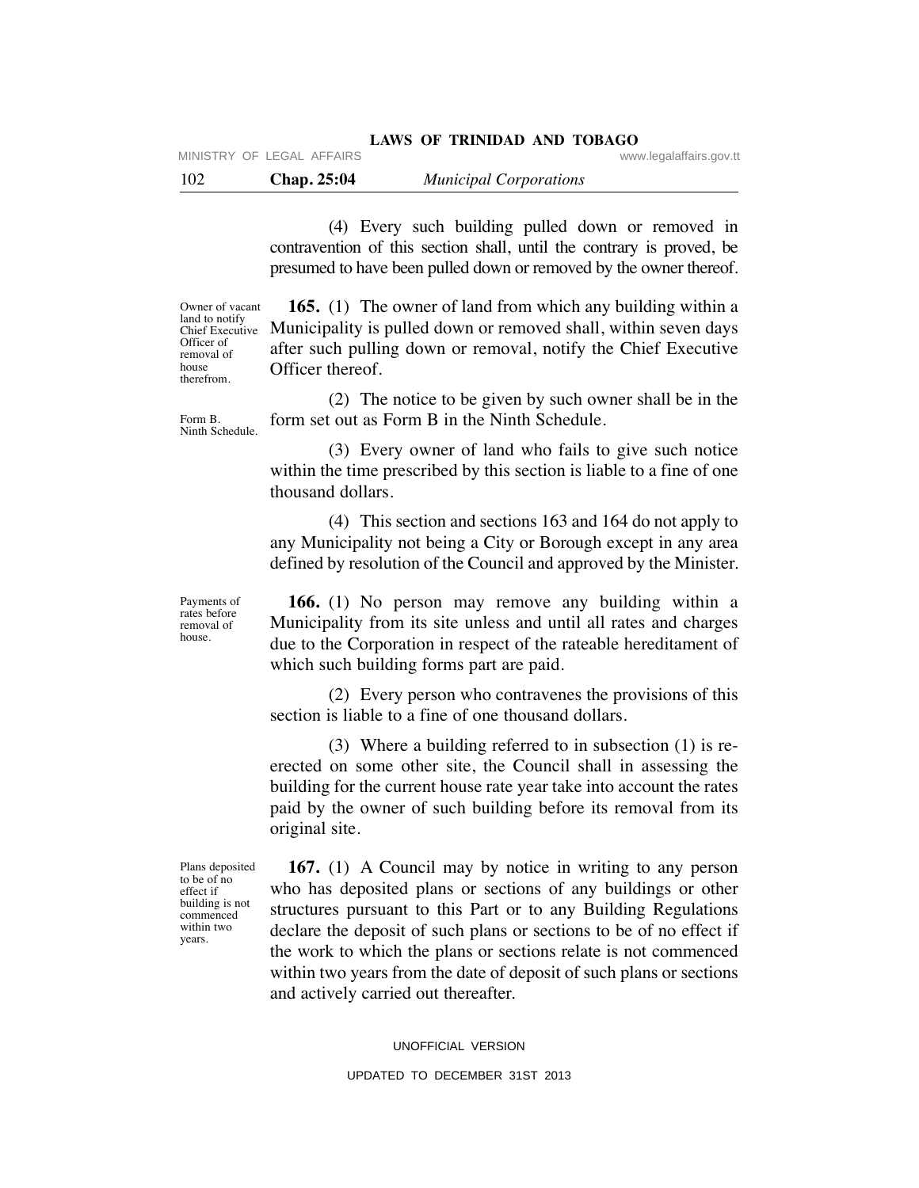## **LAWS OF TRINIDAD AND TOBAGO**

MINISTRY OF LEGAL AFFAIRS **WARE ACCOMPTED MINISTRY** OF LEGAL AFFAIRS

102 **Chap. 25:04** *Municipal Corporations*

 (4) Every such building pulled down or removed in contravention of this section shall, until the contrary is proved, be presumed to have been pulled down or removed by the owner thereof.

Owner of vacant land to notify Chief Executive Officer of removal of house therefrom.

Form B. Ninth Schedule.

 **165.** (1) The owner of land from which any building within a Municipality is pulled down or removed shall, within seven days after such pulling down or removal, notify the Chief Executive Officer thereof.

 (2) The notice to be given by such owner shall be in the form set out as Form B in the Ninth Schedule.

 (3) Every owner of land who fails to give such notice within the time prescribed by this section is liable to a fine of one thousand dollars.

 (4) This section and sections 163 and 164 do not apply to any Municipality not being a City or Borough except in any area defined by resolution of the Council and approved by the Minister.

Payments of rates before removal of house.

 **166.** (1) No person may remove any building within a Municipality from its site unless and until all rates and charges due to the Corporation in respect of the rateable hereditament of which such building forms part are paid.

 (2) Every person who contravenes the provisions of this section is liable to a fine of one thousand dollars.

 (3) Where a building referred to in subsection (1) is reerected on some other site, the Council shall in assessing the building for the current house rate year take into account the rates paid by the owner of such building before its removal from its original site.

Plans deposited to be of no effect if building is not commenced within two years.

 **167.** (1) A Council may by notice in writing to any person who has deposited plans or sections of any buildings or other structures pursuant to this Part or to any Building Regulations declare the deposit of such plans or sections to be of no effect if the work to which the plans or sections relate is not commenced within two years from the date of deposit of such plans or sections and actively carried out thereafter.

UNOFFICIAL VERSION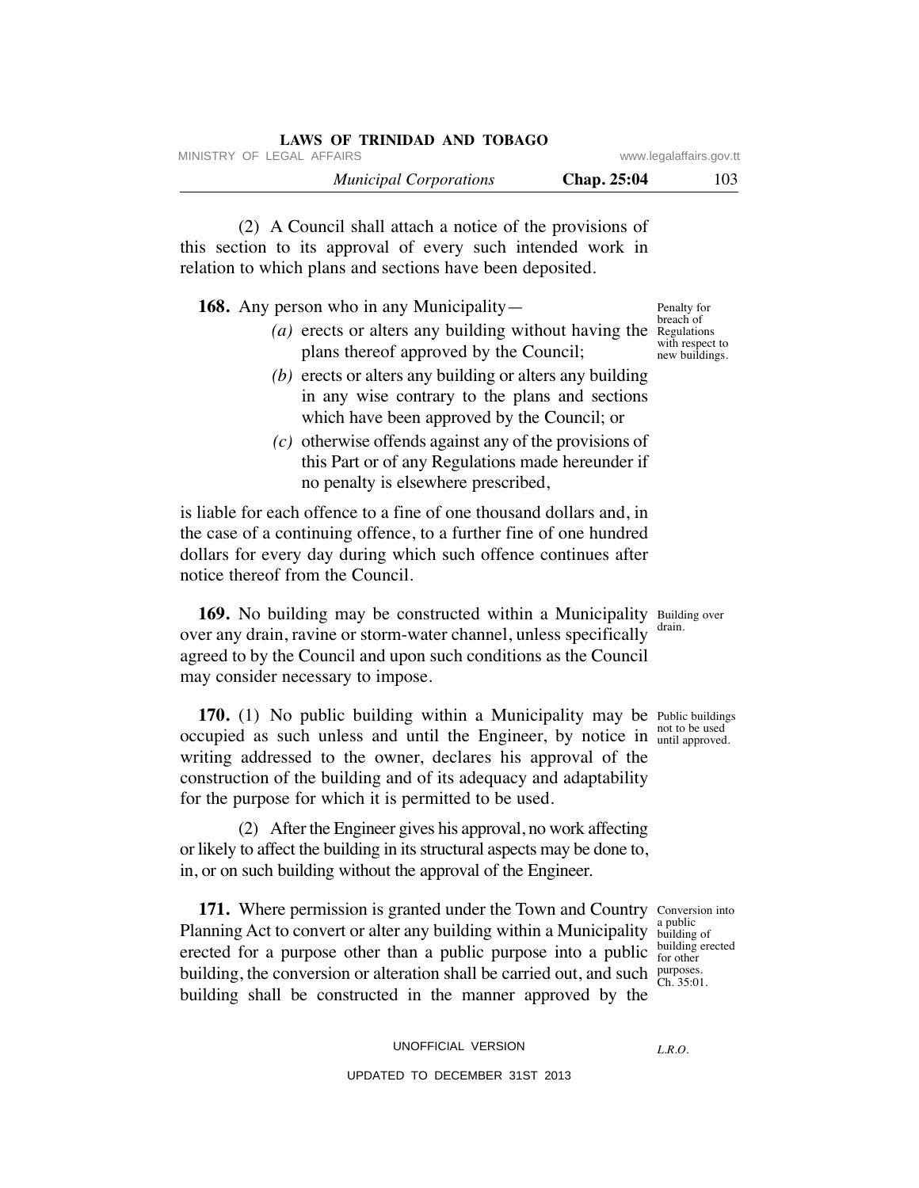|                         | LAWS OF TRINIDAD AND TOBAGO   |
|-------------------------|-------------------------------|
| www.legalaffairs.gov.tt | MINISTRY OF LEGAL AFFAIRS     |
| Chap. 25:04<br>103      | <b>Municipal Corporations</b> |

 (2) A Council shall attach a notice of the provisions of this section to its approval of every such intended work in relation to which plans and sections have been deposited.

**168.** Any person who in any Municipality—

- (*a*) erects or alters any building without having the Regulations plans thereof approved by the Council; breach of with respect to new buildings.
	- *(b)* erects or alters any building or alters any building in any wise contrary to the plans and sections which have been approved by the Council; or
	- *(c)* otherwise offends against any of the provisions of this Part or of any Regulations made hereunder if no penalty is elsewhere prescribed,

is liable for each offence to a fine of one thousand dollars and, in the case of a continuing offence, to a further fine of one hundred dollars for every day during which such offence continues after notice thereof from the Council.

169. No building may be constructed within a Municipality Building over over any drain, ravine or storm-water channel, unless specifically drain. agreed to by the Council and upon such conditions as the Council may consider necessary to impose.

**170.** (1) No public building within a Municipality may be Public buildings occupied as such unless and until the Engineer, by notice in not to be used writing addressed to the owner, declares his approval of the construction of the building and of its adequacy and adaptability for the purpose for which it is permitted to be used.

 (2) After the Engineer gives his approval, no work affecting or likely to affect the building in its structural aspects may be done to, in, or on such building without the approval of the Engineer.

**171.** Where permission is granted under the Town and Country Conversion into Planning Act to convert or alter any building within a Municipality  $\frac{d}{d}$  building of erected for a purpose other than a public purpose into a public  $\frac{\text{building~erected}}{\text{for other}}$ building, the conversion or alteration shall be carried out, and such  $\frac{\text{purposes}}{\text{Ch}}$ building shall be constructed in the manner approved by the

a public for other Ch. 35:01.

Penalty for

until approved.

UNOFFICIAL VERSION UPDATED TO DECEMBER 31ST 2013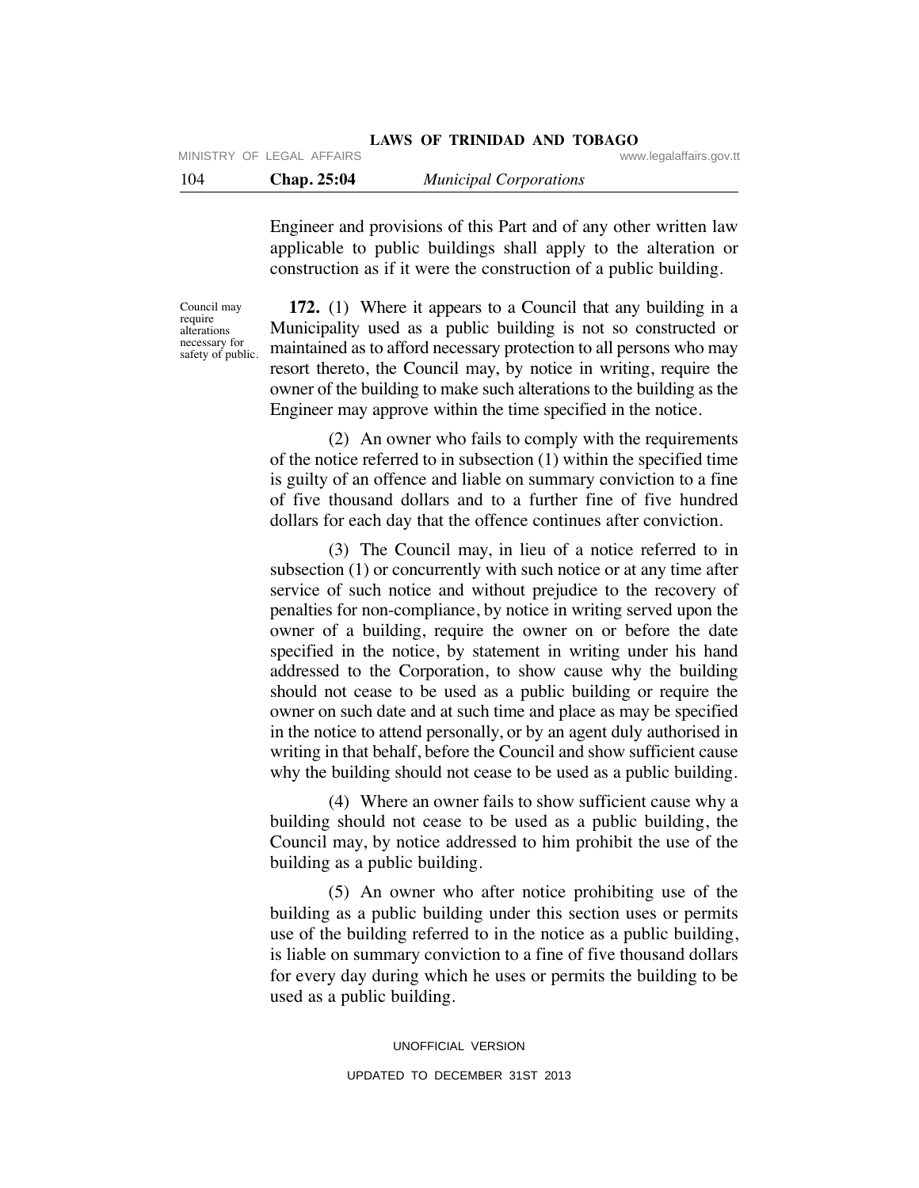#### **LAWS OF TRINIDAD AND TOBAGO** MINISTRY OF LEGAL AFFAIRS **WARE ACCOMPTED MINISTRY** OF LEGAL AFFAIRS

Engineer and provisions of this Part and of any other written law applicable to public buildings shall apply to the alteration or construction as if it were the construction of a public building.

Council may require alterations necessary for safety of public.

 **172.** (1) Where it appears to a Council that any building in a Municipality used as a public building is not so constructed or maintained as to afford necessary protection to all persons who may resort thereto, the Council may, by notice in writing, require the owner of the building to make such alterations to the building as the Engineer may approve within the time specified in the notice.

 (2) An owner who fails to comply with the requirements of the notice referred to in subsection (1) within the specified time is guilty of an offence and liable on summary conviction to a fine of five thousand dollars and to a further fine of five hundred dollars for each day that the offence continues after conviction.

 (3) The Council may, in lieu of a notice referred to in subsection (1) or concurrently with such notice or at any time after service of such notice and without prejudice to the recovery of penalties for non-compliance, by notice in writing served upon the owner of a building, require the owner on or before the date specified in the notice, by statement in writing under his hand addressed to the Corporation, to show cause why the building should not cease to be used as a public building or require the owner on such date and at such time and place as may be specified in the notice to attend personally, or by an agent duly authorised in writing in that behalf, before the Council and show sufficient cause why the building should not cease to be used as a public building.

 (4) Where an owner fails to show sufficient cause why a building should not cease to be used as a public building, the Council may, by notice addressed to him prohibit the use of the building as a public building.

 (5) An owner who after notice prohibiting use of the building as a public building under this section uses or permits use of the building referred to in the notice as a public building, is liable on summary conviction to a fine of five thousand dollars for every day during which he uses or permits the building to be used as a public building.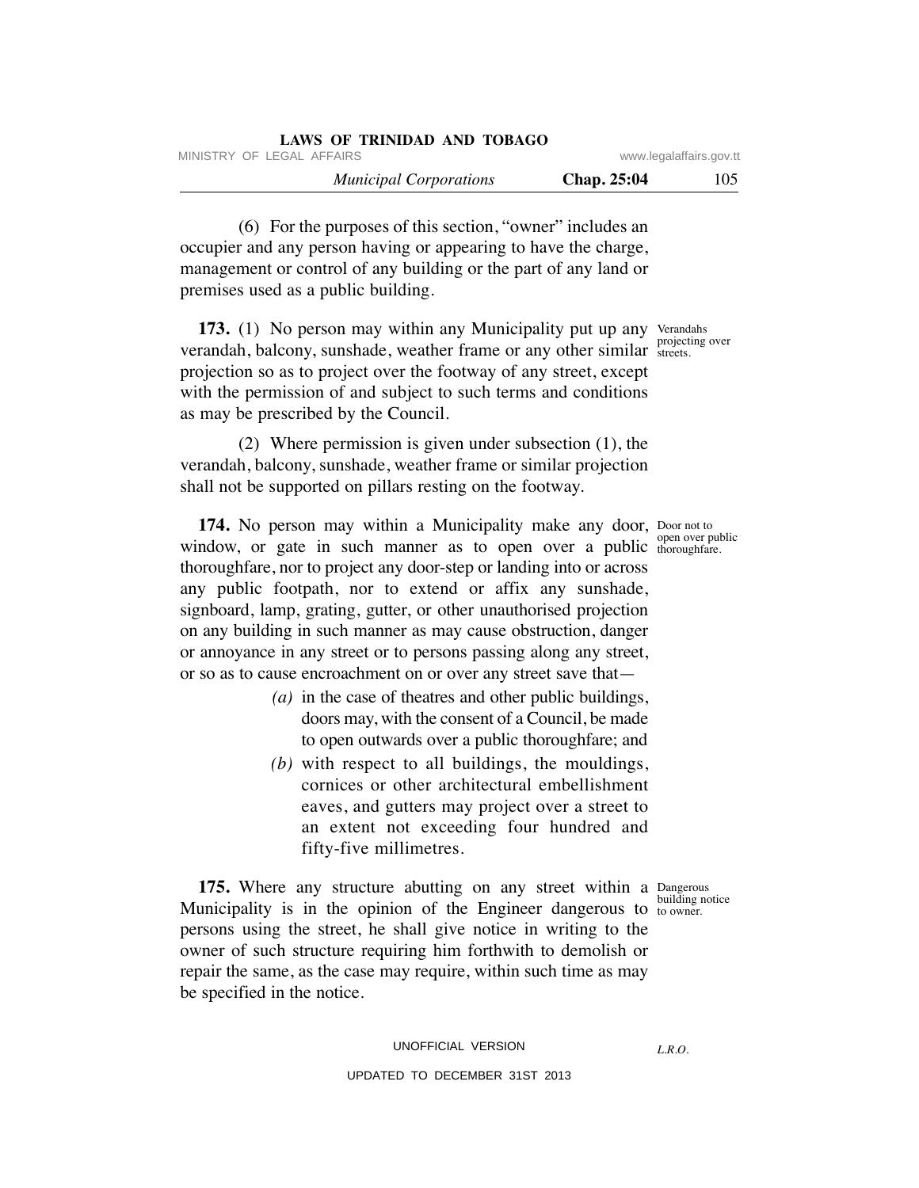| LAWS OF TRINIDAD AND TOBAGO                          |                    |     |
|------------------------------------------------------|--------------------|-----|
| MINISTRY OF LEGAL AFFAIRS<br>www.legalaffairs.gov.tt |                    |     |
| <b>Municipal Corporations</b>                        | <b>Chap.</b> 25:04 | 105 |

 (6) For the purposes of this section, "owner" includes an occupier and any person having or appearing to have the charge, management or control of any building or the part of any land or premises used as a public building.

173. (1) No person may within any Municipality put up any Verandahs verandah, balcony, sunshade, weather frame or any other similar streets. projection so as to project over the footway of any street, except with the permission of and subject to such terms and conditions as may be prescribed by the Council. streets.

 (2) Where permission is given under subsection (1), the verandah, balcony, sunshade, weather frame or similar projection shall not be supported on pillars resting on the footway.

**174.** No person may within a Municipality make any door, Door not to window, or gate in such manner as to open over a public  $_{\text{thoroughfare.}}$ thoroughfare, nor to project any door-step or landing into or across any public footpath, nor to extend or affix any sunshade, signboard, lamp, grating, gutter, or other unauthorised projection on any building in such manner as may cause obstruction, danger or annoyance in any street or to persons passing along any street, or so as to cause encroachment on or over any street save that—

- *(a)* in the case of theatres and other public buildings, doors may, with the consent of a Council, be made to open outwards over a public thoroughfare; and
- *(b)* with respect to all buildings, the mouldings, cornices or other architectural embellishment eaves, and gutters may project over a street to an extent not exceeding four hundred and fifty-five millimetres.

**175.** Where any structure abutting on any street within a Dangerous Municipality is in the opinion of the Engineer dangerous to  $_{\text{to owner}}^{\text{boundary}}$ persons using the street, he shall give notice in writing to the owner of such structure requiring him forthwith to demolish or repair the same, as the case may require, within such time as may be specified in the notice.

thoroughfare.

building notice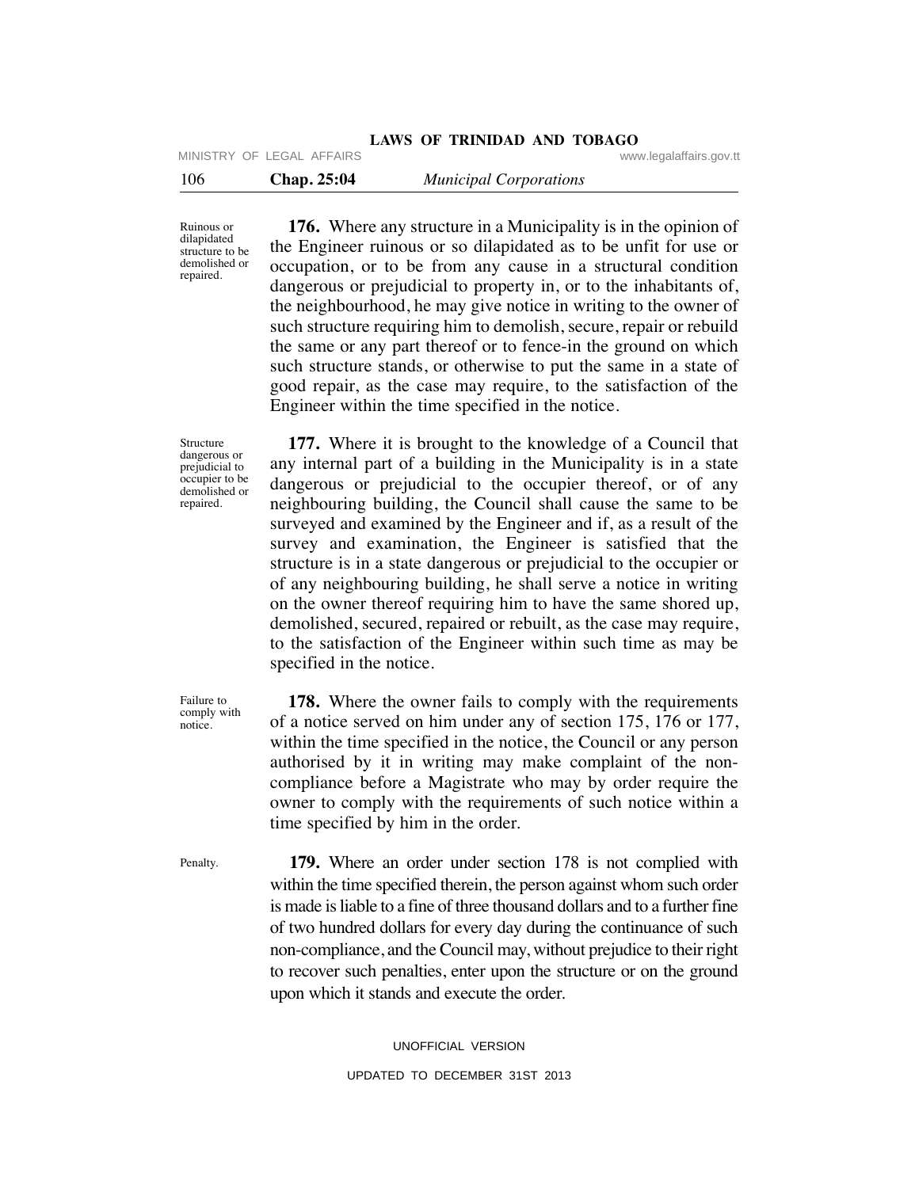## **LAWS OF TRINIDAD AND TOBAGO**

MINISTRY OF LEGAL AFFAIRS **WARE ACCOMPTED MINISTRY** OF LEGAL AFFAIRS

106 **Chap. 25:04** *Municipal Corporations*

Ruinous or dilapidated structure to be demolished or repaired.

 **176.** Where any structure in a Municipality is in the opinion of the Engineer ruinous or so dilapidated as to be unfit for use or occupation, or to be from any cause in a structural condition dangerous or prejudicial to property in, or to the inhabitants of, the neighbourhood, he may give notice in writing to the owner of such structure requiring him to demolish, secure, repair or rebuild the same or any part thereof or to fence-in the ground on which such structure stands, or otherwise to put the same in a state of good repair, as the case may require, to the satisfaction of the Engineer within the time specified in the notice.

Structure dangerous or prejudicial to occupier to be demolished or repaired.

 **177.** Where it is brought to the knowledge of a Council that any internal part of a building in the Municipality is in a state dangerous or prejudicial to the occupier thereof, or of any neighbouring building, the Council shall cause the same to be surveyed and examined by the Engineer and if, as a result of the survey and examination, the Engineer is satisfied that the structure is in a state dangerous or prejudicial to the occupier or of any neighbouring building, he shall serve a notice in writing on the owner thereof requiring him to have the same shored up, demolished, secured, repaired or rebuilt, as the case may require, to the satisfaction of the Engineer within such time as may be specified in the notice.

Failure to comply with notice.

 **178.** Where the owner fails to comply with the requirements of a notice served on him under any of section 175, 176 or 177, within the time specified in the notice, the Council or any person authorised by it in writing may make complaint of the noncompliance before a Magistrate who may by order require the owner to comply with the requirements of such notice within a time specified by him in the order.

Penalty.

 **179.** Where an order under section 178 is not complied with within the time specified therein, the person against whom such order is made is liable to a fine of three thousand dollars and to a further fine of two hundred dollars for every day during the continuance of such non-compliance, and the Council may, without prejudice to their right to recover such penalties, enter upon the structure or on the ground upon which it stands and execute the order.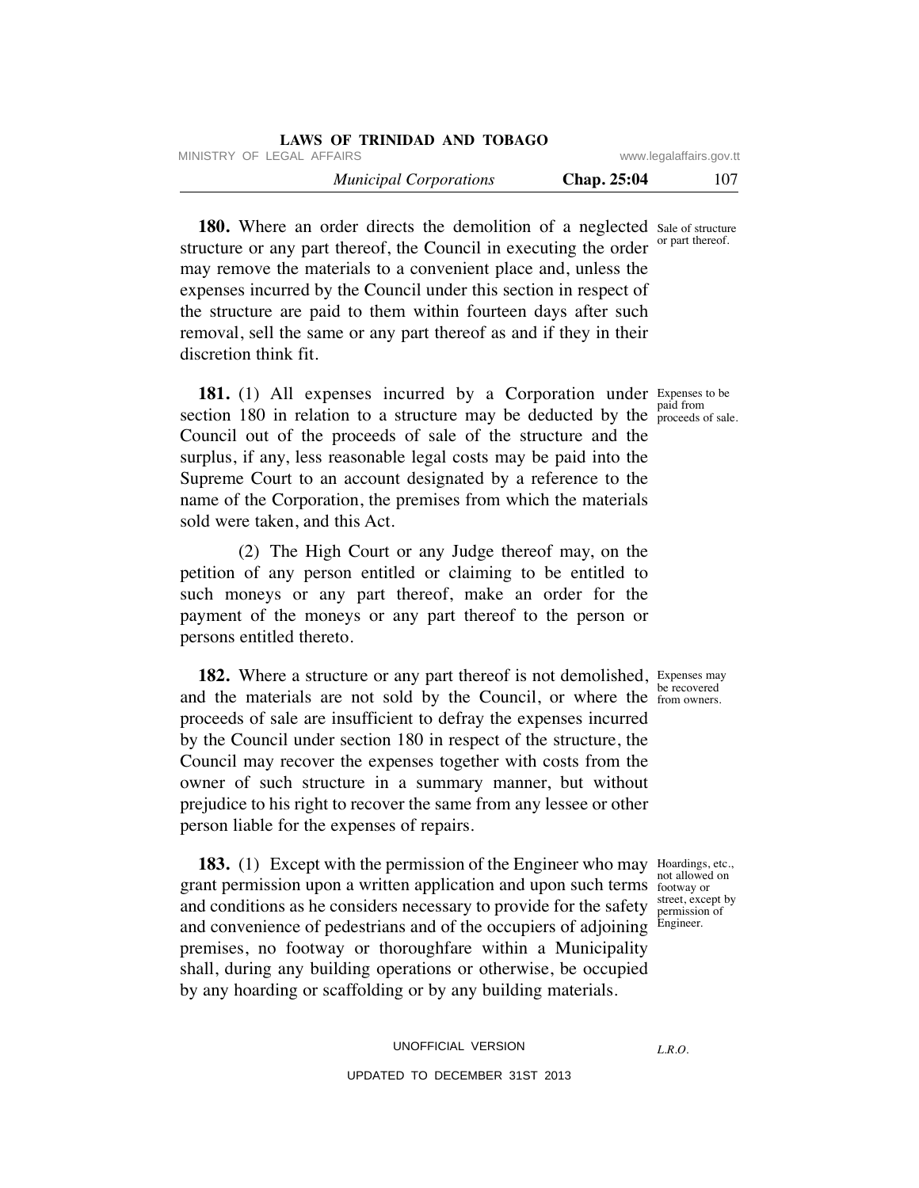| LAWS OF TRINIDAD AND TOBAGO   |             |                         |
|-------------------------------|-------------|-------------------------|
| MINISTRY OF LEGAL AFFAIRS     |             | www.legalaffairs.gov.tt |
| <b>Municipal Corporations</b> | Chap. 25:04 | 107                     |

**180.** Where an order directs the demolition of a neglected sale of structure structure or any part thereof, the Council in executing the order may remove the materials to a convenient place and, unless the expenses incurred by the Council under this section in respect of the structure are paid to them within fourteen days after such removal, sell the same or any part thereof as and if they in their discretion think fit. or part thereof.

**181.** (1) All expenses incurred by a Corporation under Expenses to be section 180 in relation to a structure may be deducted by the  $_{\text{proceeds}}^{\text{paid from}}$ Council out of the proceeds of sale of the structure and the surplus, if any, less reasonable legal costs may be paid into the Supreme Court to an account designated by a reference to the name of the Corporation, the premises from which the materials sold were taken, and this Act.

 (2) The High Court or any Judge thereof may, on the petition of any person entitled or claiming to be entitled to such moneys or any part thereof, make an order for the payment of the moneys or any part thereof to the person or persons entitled thereto.

**182.** Where a structure or any part thereof is not demolished, Expenses may and the materials are not sold by the Council, or where the  $\frac{60}{1000}$  from owners. proceeds of sale are insufficient to defray the expenses incurred by the Council under section 180 in respect of the structure, the Council may recover the expenses together with costs from the owner of such structure in a summary manner, but without prejudice to his right to recover the same from any lessee or other person liable for the expenses of repairs.

**183.** (1) Except with the permission of the Engineer who may Hoardings, etc., grant permission upon a written application and upon such terms footway or and conditions as he considers necessary to provide for the safety and convenience of pedestrians and of the occupiers of adjoining premises, no footway or thoroughfare within a Municipality shall, during any building operations or otherwise, be occupied by any hoarding or scaffolding or by any building materials.

proceeds of sale.

be recovered

not allowed on street, except by permission of Engineer.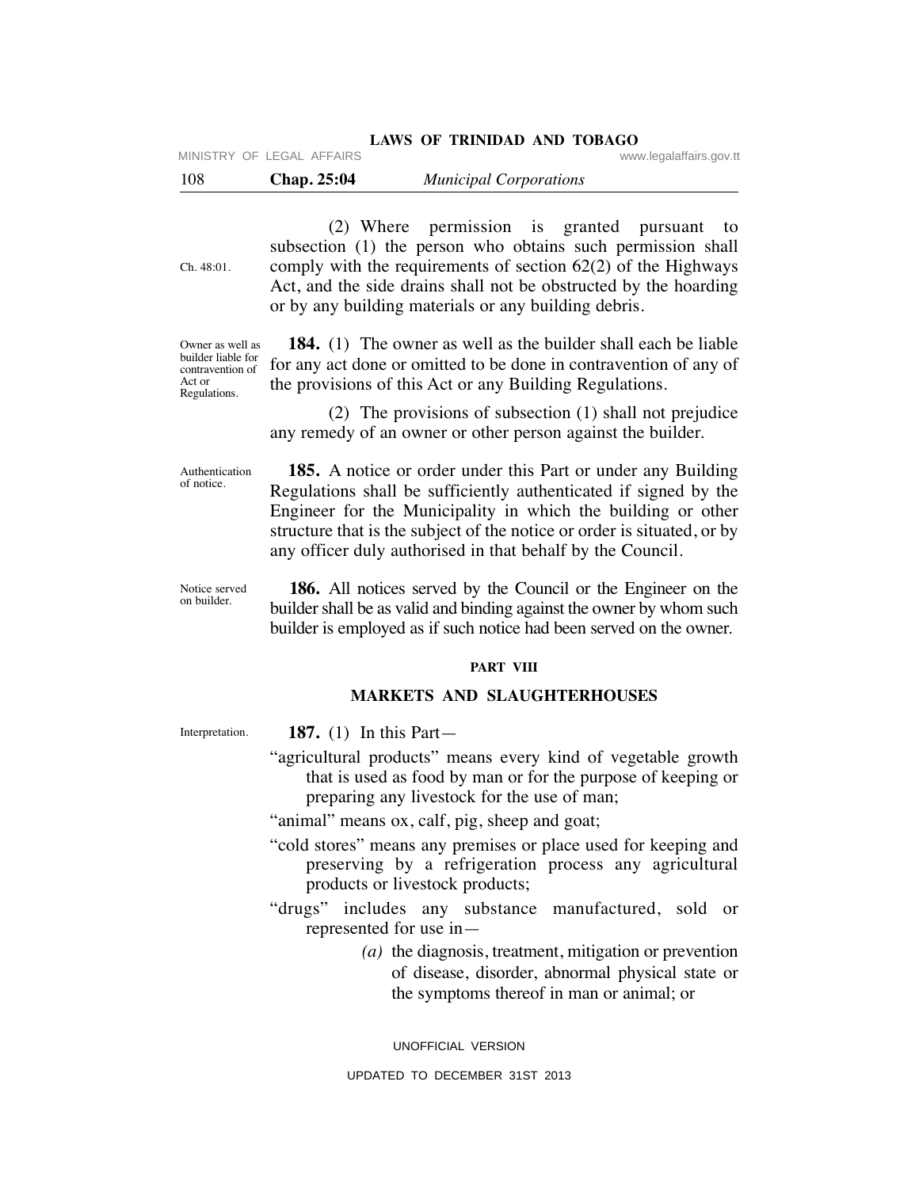MINISTRY OF LEGAL AFFAIRS **WARE ACCOMPTED MINISTRY** OF LEGAL AFFAIRS

| 108 | <b>Chap. 25:04</b> | <b>Municipal Corporations</b> |  |
|-----|--------------------|-------------------------------|--|
|-----|--------------------|-------------------------------|--|

Ch. 48:01.

Owner as well as builder liable for contravention of Act or Regulations.

 (2) Where permission is granted pursuant to subsection (1) the person who obtains such permission shall comply with the requirements of section 62(2) of the Highways Act, and the side drains shall not be obstructed by the hoarding or by any building materials or any building debris.

 **184.** (1) The owner as well as the builder shall each be liable for any act done or omitted to be done in contravention of any of the provisions of this Act or any Building Regulations.

 (2) The provisions of subsection (1) shall not prejudice any remedy of an owner or other person against the builder.

Authentication of notice.

 **185.** A notice or order under this Part or under any Building Regulations shall be sufficiently authenticated if signed by the Engineer for the Municipality in which the building or other structure that is the subject of the notice or order is situated, or by any officer duly authorised in that behalf by the Council.

 **186.** All notices served by the Council or the Engineer on the builder shall be as valid and binding against the owner by whom such builder is employed as if such notice had been served on the owner. Notice served on builder.

### **PART VIII**

## **MARKETS AND SLAUGHTERHOUSES**

Interpretation.

- **187.** (1) In this Part—
- "agricultural products" means every kind of vegetable growth that is used as food by man or for the purpose of keeping or preparing any livestock for the use of man;

"animal" means ox, calf, pig, sheep and goat;

- "cold stores" means any premises or place used for keeping and preserving by a refrigeration process any agricultural products or livestock products;
- "drugs" includes any substance manufactured, sold or represented for use in—
	- *(a)* the diagnosis, treatment, mitigation or prevention of disease, disorder, abnormal physical state or the symptoms thereof in man or animal; or

UNOFFICIAL VERSION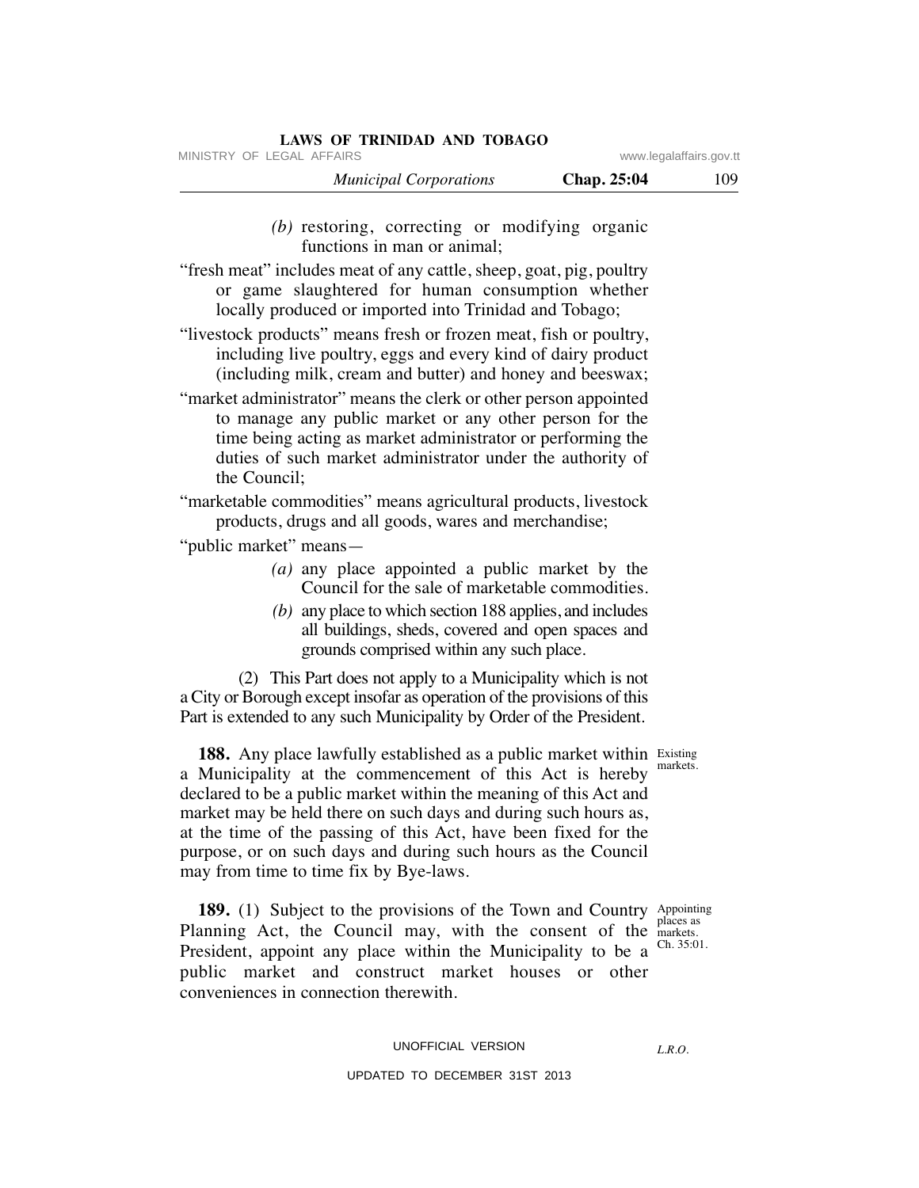MINISTRY OF LEGAL AFFAIRS **WARE ACCOMPTED MINISTRY** OF LEGAL AFFAIRS

| <b>Municipal Corporations</b> | Chap. 25:04 | 109 |
|-------------------------------|-------------|-----|
|-------------------------------|-------------|-----|

 *(b)* restoring, correcting or modifying organic functions in man or animal;

"fresh meat" includes meat of any cattle, sheep, goat, pig, poultry or game slaughtered for human consumption whether locally produced or imported into Trinidad and Tobago;

"livestock products" means fresh or frozen meat, fish or poultry, including live poultry, eggs and every kind of dairy product (including milk, cream and butter) and honey and beeswax;

"market administrator" means the clerk or other person appointed to manage any public market or any other person for the time being acting as market administrator or performing the duties of such market administrator under the authority of the Council;

"marketable commodities" means agricultural products, livestock products, drugs and all goods, wares and merchandise;

"public market" means—

- *(a)* any place appointed a public market by the Council for the sale of marketable commodities.
- *(b)* any place to which section 188 applies, and includes all buildings, sheds, covered and open spaces and grounds comprised within any such place.

 (2) This Part does not apply to a Municipality which is not a City or Borough except insofar as operation of the provisions of this Part is extended to any such Municipality by Order of the President.

**188.** Any place lawfully established as a public market within Existing a Municipality at the commencement of this Act is hereby declared to be a public market within the meaning of this Act and market may be held there on such days and during such hours as, at the time of the passing of this Act, have been fixed for the purpose, or on such days and during such hours as the Council may from time to time fix by Bye-laws.

**189.** (1) Subject to the provisions of the Town and Country Appointing Planning Act, the Council may, with the consent of the markets. President, appoint any place within the Municipality to be a public market and construct market houses or other conveniences in connection therewith.

places as Ch. 35:01.

markets.

UNOFFICIAL VERSION

*L.R.O.*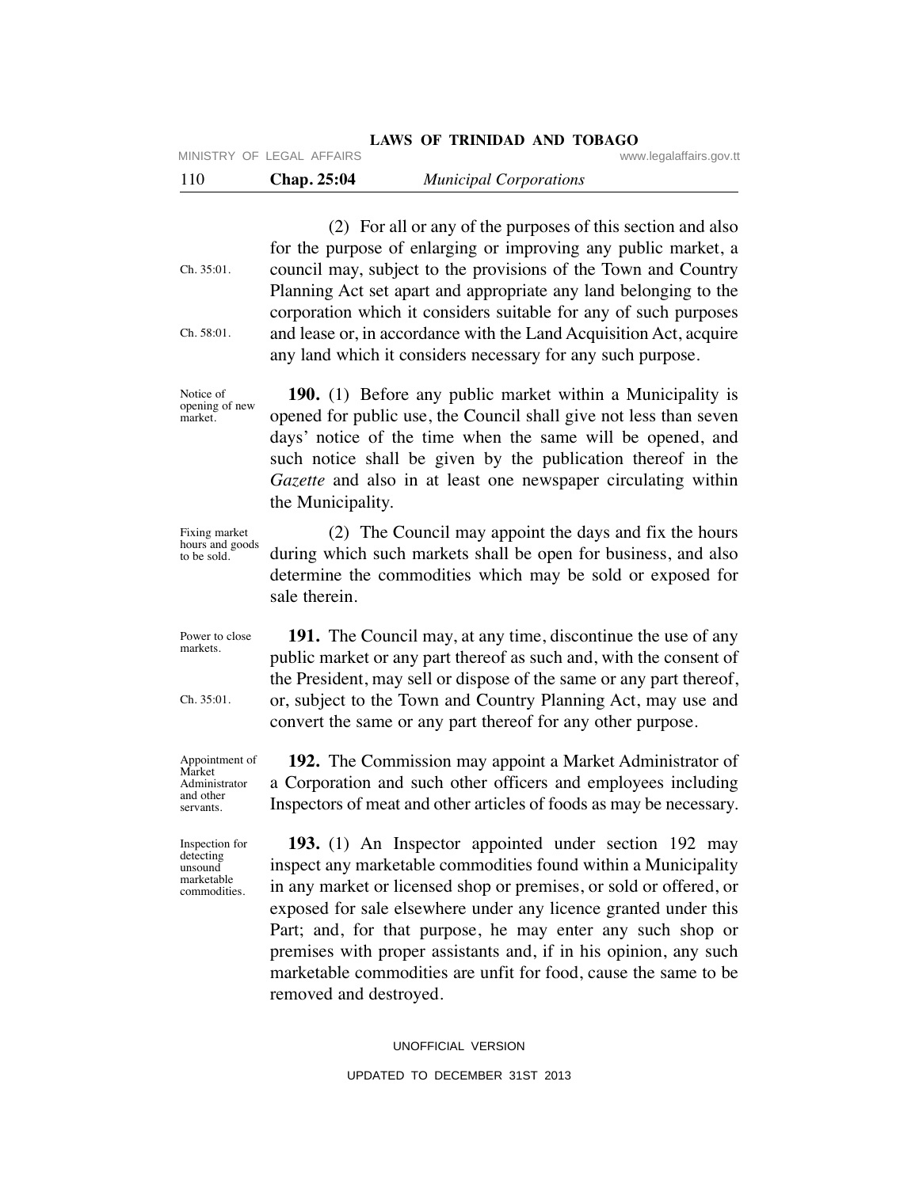|     | MINISTRY OF LEGAL AFFAIRS | LAWS OF ININIDAD AND TOBAGO   |  | www.legalaffairs.gov.tt |
|-----|---------------------------|-------------------------------|--|-------------------------|
| 110 | Chap. 25:04               | <b>Municipal Corporations</b> |  |                         |
|     |                           |                               |  |                         |

 (2) For all or any of the purposes of this section and also for the purpose of enlarging or improving any public market, a council may, subject to the provisions of the Town and Country Planning Act set apart and appropriate any land belonging to the corporation which it considers suitable for any of such purposes and lease or, in accordance with the Land Acquisition Act, acquire any land which it considers necessary for any such purpose. Ch. 35:01. Ch. 58:01.

**LAWS OF TRINIDAD AND TOBAGO**

 **190.** (1) Before any public market within a Municipality is opened for public use, the Council shall give not less than seven days' notice of the time when the same will be opened, and such notice shall be given by the publication thereof in the *Gazette* and also in at least one newspaper circulating within the Municipality. opening of new

 (2) The Council may appoint the days and fix the hours during which such markets shall be open for business, and also determine the commodities which may be sold or exposed for sale therein. Fixing market hours and goods to be sold.

 **191.** The Council may, at any time, discontinue the use of any public market or any part thereof as such and, with the consent of the President, may sell or dispose of the same or any part thereof, or, subject to the Town and Country Planning Act, may use and convert the same or any part thereof for any other purpose. Power to close

> **192.** The Commission may appoint a Market Administrator of a Corporation and such other officers and employees including Inspectors of meat and other articles of foods as may be necessary.

 **193.** (1) An Inspector appointed under section 192 may inspect any marketable commodities found within a Municipality in any market or licensed shop or premises, or sold or offered, or exposed for sale elsewhere under any licence granted under this Part; and, for that purpose, he may enter any such shop or premises with proper assistants and, if in his opinion, any such marketable commodities are unfit for food, cause the same to be removed and destroyed.

UNOFFICIAL VERSION

UPDATED TO DECEMBER 31ST 2013

Appointment of Market Administrator

and other servants.

markets.

 $Ch. 35:01$ 

Notice of

market.

Inspection for detecting unsound marketable commodities.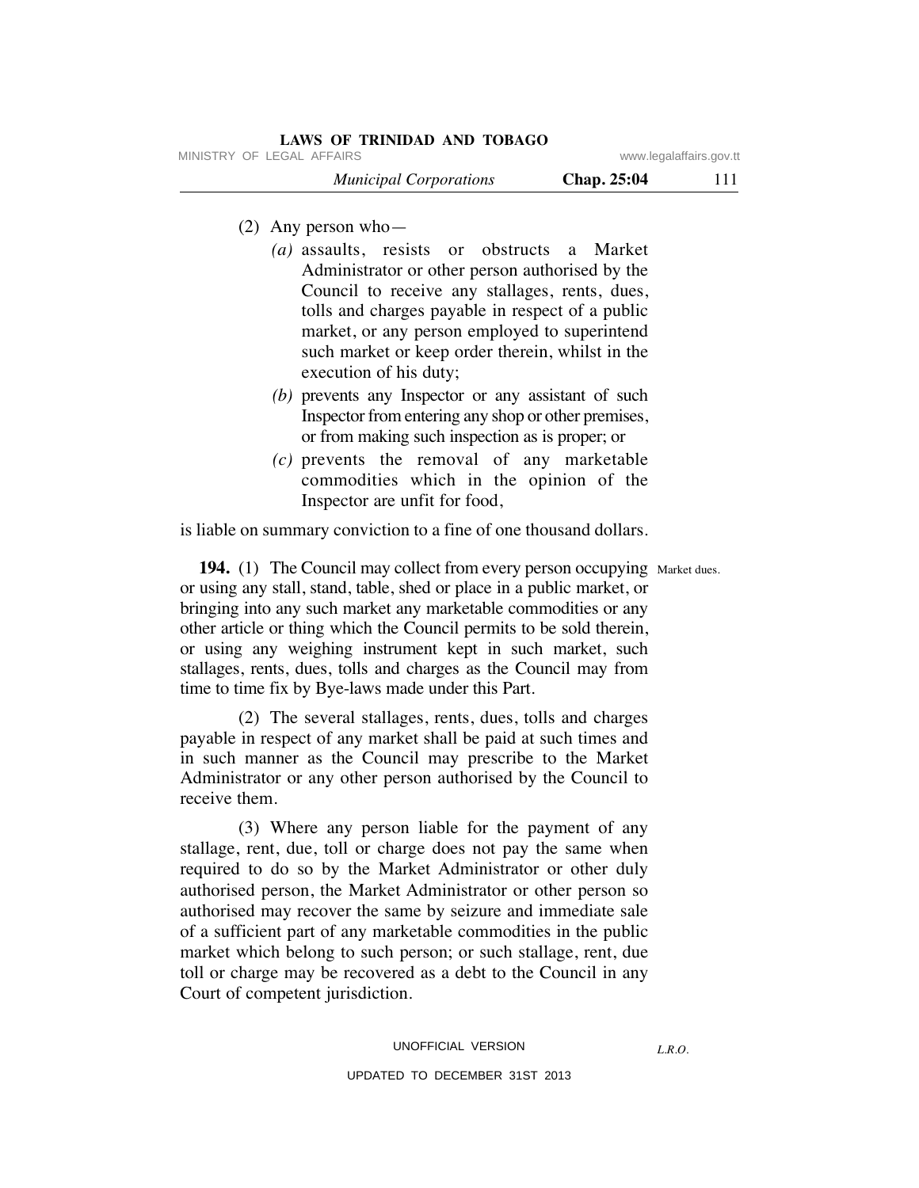| <b>LAWS OF TRINIDAD AND TOBAGO</b>           |                         |
|----------------------------------------------|-------------------------|
| MINISTRY OF LEGAL AFFAIRS                    | www.legalaffairs.gov.tt |
| Chap. 25:04<br><b>Municipal Corporations</b> | 111                     |

- (2) Any person who—
	- *(a)* assaults, resists or obstructs a Market Administrator or other person authorised by the Council to receive any stallages, rents, dues, tolls and charges payable in respect of a public market, or any person employed to superintend such market or keep order therein, whilst in the execution of his duty;
	- *(b)* prevents any Inspector or any assistant of such Inspector from entering any shop or other premises, or from making such inspection as is proper; or
	- *(c)* prevents the removal of any marketable commodities which in the opinion of the Inspector are unfit for food,

is liable on summary conviction to a fine of one thousand dollars.

**194.** (1) The Council may collect from every person occupying Market dues. or using any stall, stand, table, shed or place in a public market, or bringing into any such market any marketable commodities or any other article or thing which the Council permits to be sold therein, or using any weighing instrument kept in such market, such stallages, rents, dues, tolls and charges as the Council may from time to time fix by Bye-laws made under this Part.

 (2) The several stallages, rents, dues, tolls and charges payable in respect of any market shall be paid at such times and in such manner as the Council may prescribe to the Market Administrator or any other person authorised by the Council to receive them.

 (3) Where any person liable for the payment of any stallage, rent, due, toll or charge does not pay the same when required to do so by the Market Administrator or other duly authorised person, the Market Administrator or other person so authorised may recover the same by seizure and immediate sale of a sufficient part of any marketable commodities in the public market which belong to such person; or such stallage, rent, due toll or charge may be recovered as a debt to the Council in any Court of competent jurisdiction.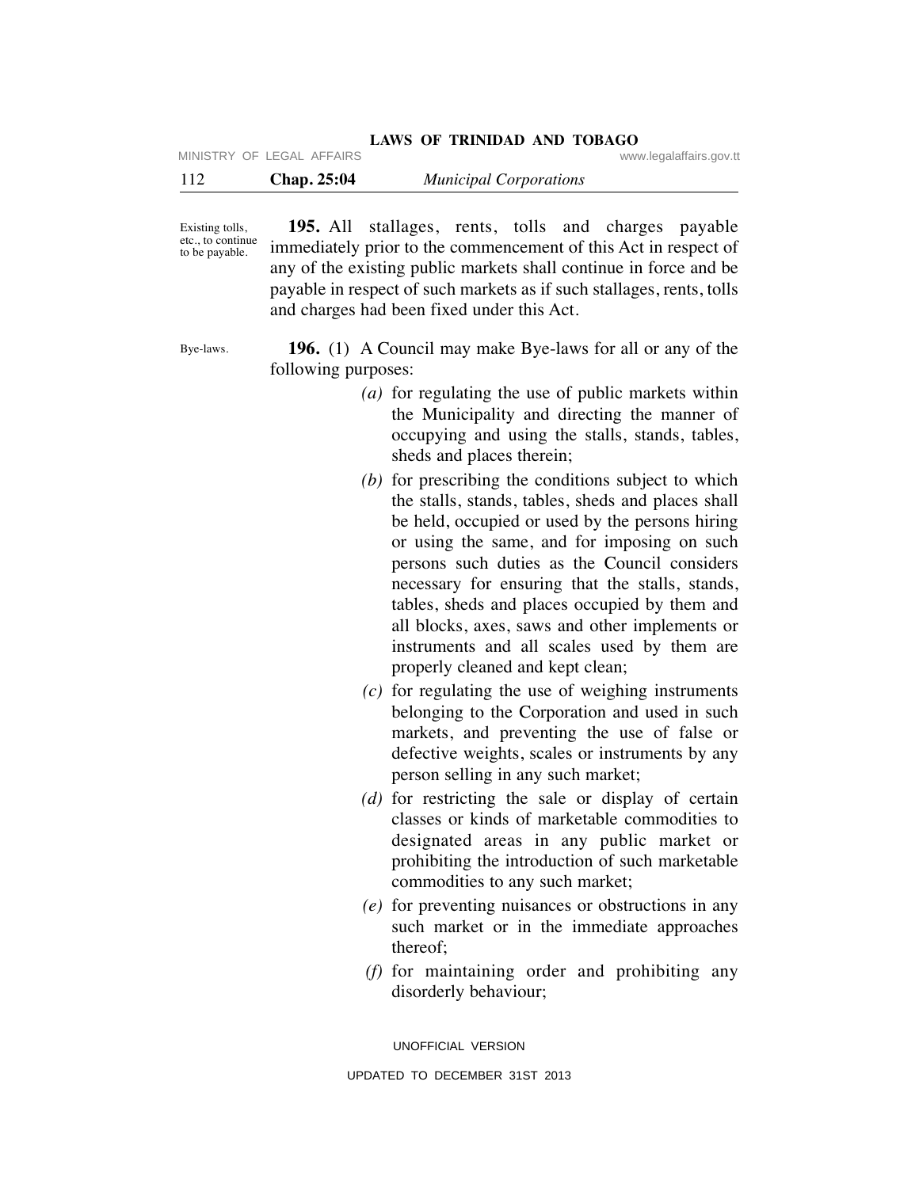MINISTRY OF LEGAL AFFAIRS **WARE ACCOMPTED MINISTRY** OF LEGAL AFFAIRS

| 112 | <b>Chap. 25:04</b> | <b>Municipal Corporations</b> |  |
|-----|--------------------|-------------------------------|--|
|-----|--------------------|-------------------------------|--|

Existing tolls, etc., to continue to be payable.

 **195.** All stallages, rents, tolls and charges payable immediately prior to the commencement of this Act in respect of any of the existing public markets shall continue in force and be payable in respect of such markets as if such stallages, rents, tolls and charges had been fixed under this Act.

Bye-laws.

 **196.** (1) A Council may make Bye-laws for all or any of the following purposes:

- *(a)* for regulating the use of public markets within the Municipality and directing the manner of occupying and using the stalls, stands, tables, sheds and places therein;
- *(b)* for prescribing the conditions subject to which the stalls, stands, tables, sheds and places shall be held, occupied or used by the persons hiring or using the same, and for imposing on such persons such duties as the Council considers necessary for ensuring that the stalls, stands, tables, sheds and places occupied by them and all blocks, axes, saws and other implements or instruments and all scales used by them are properly cleaned and kept clean;
- *(c)* for regulating the use of weighing instruments belonging to the Corporation and used in such markets, and preventing the use of false or defective weights, scales or instruments by any person selling in any such market;
- *(d)* for restricting the sale or display of certain classes or kinds of marketable commodities to designated areas in any public market or prohibiting the introduction of such marketable commodities to any such market;
- *(e)* for preventing nuisances or obstructions in any such market or in the immediate approaches thereof;
- *(f)* for maintaining order and prohibiting any disorderly behaviour;

UNOFFICIAL VERSION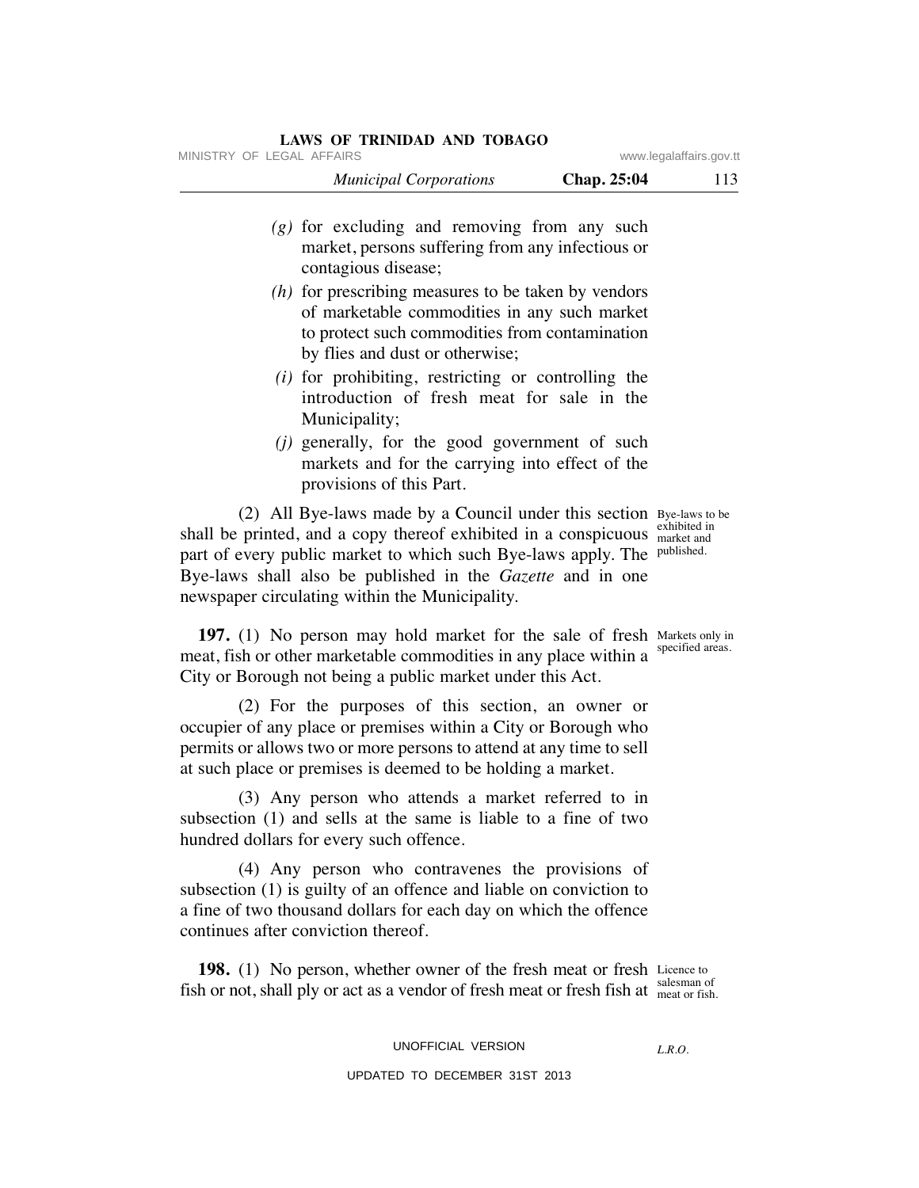| MINISTRY OF LEGAL AFFAIRS |                                                                                                                           |             | www.legalaffairs.gov.tt |
|---------------------------|---------------------------------------------------------------------------------------------------------------------------|-------------|-------------------------|
|                           | <b>Municipal Corporations</b>                                                                                             | Chap. 25:04 | 113                     |
|                           | $(g)$ for excluding and removing from any such<br>market, persons suffering from any infectious or<br>contagious disease; |             |                         |
|                           | $(h)$ for prescribing measures to be taken by vendors<br>of marketable commodities in any such market                     |             |                         |

- to protect such commodities from contamination by flies and dust or otherwise; *(i)* for prohibiting, restricting or controlling the
- introduction of fresh meat for sale in the Municipality;
- *(j)* generally, for the good government of such markets and for the carrying into effect of the provisions of this Part.

 (2) All Bye-laws made by a Council under this section Bye-laws to be shall be printed, and a copy thereof exhibited in a conspicuous exhibited in part of every public market to which such Bye-laws apply. The published. Bye-laws shall also be published in the *Gazette* and in one newspaper circulating within the Municipality.

**197.** (1) No person may hold market for the sale of fresh Markets only in meat, fish or other marketable commodities in any place within a <sup>specified areas.</sup> City or Borough not being a public market under this Act.

 (2) For the purposes of this section, an owner or occupier of any place or premises within a City or Borough who permits or allows two or more persons to attend at any time to sell at such place or premises is deemed to be holding a market.

 (3) Any person who attends a market referred to in subsection (1) and sells at the same is liable to a fine of two hundred dollars for every such offence.

 (4) Any person who contravenes the provisions of subsection (1) is guilty of an offence and liable on conviction to a fine of two thousand dollars for each day on which the offence continues after conviction thereof.

**198.** (1) No person, whether owner of the fresh meat or fresh Licence to fish or not, shall ply or act as a vendor of fresh meat or fresh fish at  $\frac{SALS}{N}$  meat or fish. salesman of

UNOFFICIAL VERSION

*L.R.O.* 

market and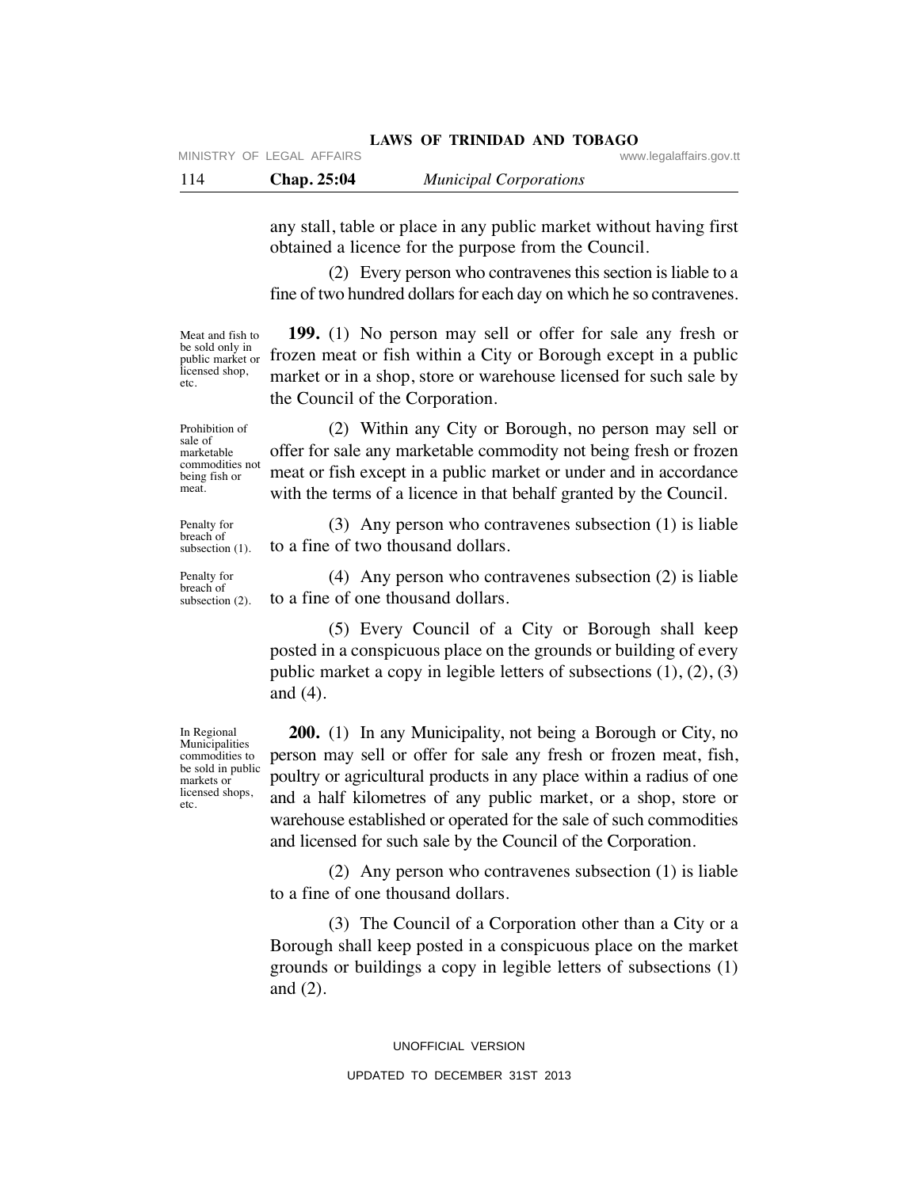| 114<br>Chap. 25:04 |  | <b>Municipal Corporations</b> |
|--------------------|--|-------------------------------|
|--------------------|--|-------------------------------|

any stall, table or place in any public market without having first obtained a licence for the purpose from the Council.

 (2) Every person who contravenes this section is liable to a fine of two hundred dollars for each day on which he so contravenes.

Meat and fish to<br>be sold only in public market or licensed shop, etc.

 **199.** (1) No person may sell or offer for sale any fresh or be sold only in<br>public market or frozen meat or fish within a City or Borough except in a public market or in a shop, store or warehouse licensed for such sale by the Council of the Corporation.

Prohibition of sale of marketable commodities not being fish or meat.

Penalty for breach of

Penalty for breach of subsection (2).

 (2) Within any City or Borough, no person may sell or offer for sale any marketable commodity not being fresh or frozen meat or fish except in a public market or under and in accordance with the terms of a licence in that behalf granted by the Council.

 (3) Any person who contravenes subsection (1) is liable to a fine of two thousand dollars. subsection (1).

> (4) Any person who contravenes subsection (2) is liable to a fine of one thousand dollars.

 (5) Every Council of a City or Borough shall keep posted in a conspicuous place on the grounds or building of every public market a copy in legible letters of subsections (1), (2), (3) and (4).

 **200.** (1) In any Municipality, not being a Borough or City, no person may sell or offer for sale any fresh or frozen meat, fish, poultry or agricultural products in any place within a radius of one and a half kilometres of any public market, or a shop, store or warehouse established or operated for the sale of such commodities and licensed for such sale by the Council of the Corporation.

 (2) Any person who contravenes subsection (1) is liable to a fine of one thousand dollars.

 (3) The Council of a Corporation other than a City or a Borough shall keep posted in a conspicuous place on the market grounds or buildings a copy in legible letters of subsections (1) and (2).

> UNOFFICIAL VERSION UPDATED TO DECEMBER 31ST 2013

In Regional Municipalities commodities to be sold in public markets or licensed shops, etc.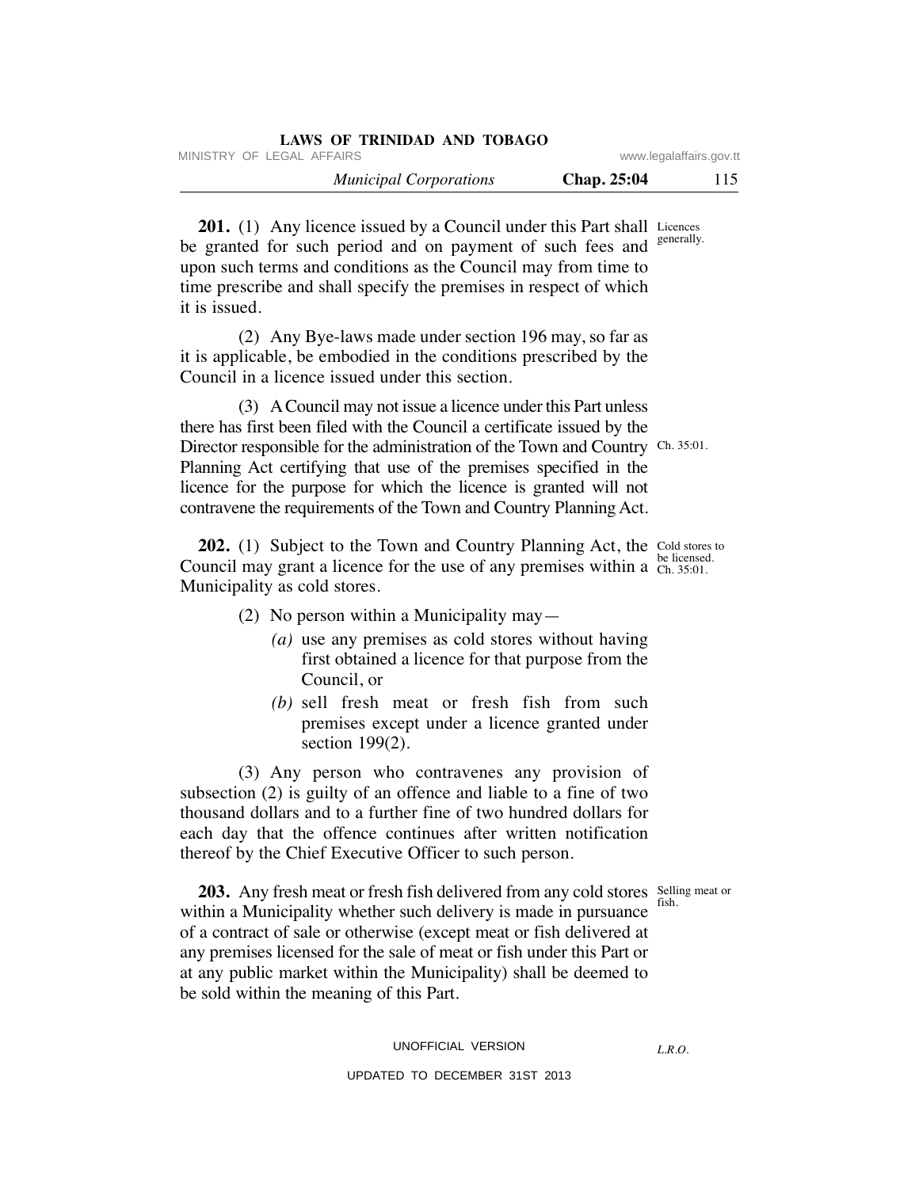|                         | LAWS OF TRINIDAD AND TOBAGO   |
|-------------------------|-------------------------------|
| www.legalaffairs.gov.tt | MINISTRY OF LEGAL AFFAIRS     |
| 115<br>Chap. 25:04      | <b>Municipal Corporations</b> |

**201.** (1) Any licence issued by a Council under this Part shall Licences be granted for such period and on payment of such fees and upon such terms and conditions as the Council may from time to time prescribe and shall specify the premises in respect of which it is issued. generally.

 (2) Any Bye-laws made under section 196 may, so far as it is applicable, be embodied in the conditions prescribed by the Council in a licence issued under this section.

 (3) A Council may not issue a licence under this Part unless there has first been filed with the Council a certificate issued by the Director responsible for the administration of the Town and Country Ch. 35:01. Planning Act certifying that use of the premises specified in the licence for the purpose for which the licence is granted will not contravene the requirements of the Town and Country Planning Act.

**202.** (1) Subject to the Town and Country Planning Act, the Cold stores to Council may grant a licence for the use of any premises within a  $\frac{\text{be licensed}}{\text{Ch. 35:01}}$ . Municipality as cold stores. Ch. 35:01.

- (2) No person within a Municipality may—
	- *(a)* use any premises as cold stores without having first obtained a licence for that purpose from the Council, or
	- *(b)* sell fresh meat or fresh fish from such premises except under a licence granted under section 199(2).

 (3) Any person who contravenes any provision of subsection (2) is guilty of an offence and liable to a fine of two thousand dollars and to a further fine of two hundred dollars for each day that the offence continues after written notification thereof by the Chief Executive Officer to such person.

fish.

**203.** Any fresh meat or fresh fish delivered from any cold stores Selling meat or within a Municipality whether such delivery is made in pursuance of a contract of sale or otherwise (except meat or fish delivered at any premises licensed for the sale of meat or fish under this Part or at any public market within the Municipality) shall be deemed to be sold within the meaning of this Part.

UNOFFICIAL VERSION

*L.R.O.*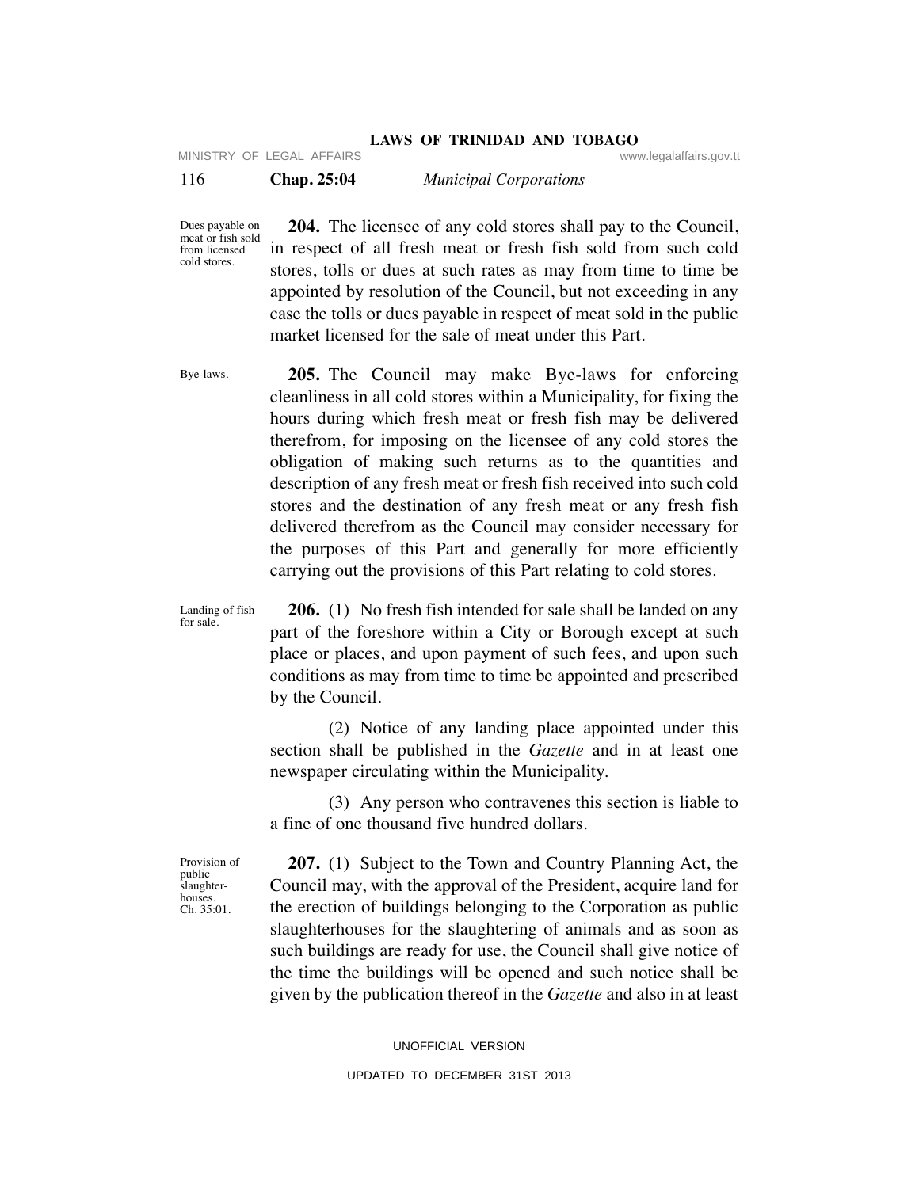## **LAWS OF TRINIDAD AND TOBAGO** MINISTRY OF LEGAL AFFAIRS WWW.legalaffairs.gov.tt

| 116 | <b>Chap. 25:04</b> | <b>Municipal Corporations</b> |  |
|-----|--------------------|-------------------------------|--|
|     |                    |                               |  |

Dues payable on meat or fish sold from licensed cold stores.

 **204.** The licensee of any cold stores shall pay to the Council, in respect of all fresh meat or fresh fish sold from such cold stores, tolls or dues at such rates as may from time to time be appointed by resolution of the Council, but not exceeding in any case the tolls or dues payable in respect of meat sold in the public market licensed for the sale of meat under this Part.

Bye-laws.

 **205.** The Council may make Bye-laws for enforcing cleanliness in all cold stores within a Municipality, for fixing the hours during which fresh meat or fresh fish may be delivered therefrom, for imposing on the licensee of any cold stores the obligation of making such returns as to the quantities and description of any fresh meat or fresh fish received into such cold stores and the destination of any fresh meat or any fresh fish delivered therefrom as the Council may consider necessary for the purposes of this Part and generally for more efficiently carrying out the provisions of this Part relating to cold stores.

Landing of fish for sale.

 **206.** (1) No fresh fish intended for sale shall be landed on any part of the foreshore within a City or Borough except at such place or places, and upon payment of such fees, and upon such conditions as may from time to time be appointed and prescribed by the Council.

 (2) Notice of any landing place appointed under this section shall be published in the *Gazette* and in at least one newspaper circulating within the Municipality.

 (3) Any person who contravenes this section is liable to a fine of one thousand five hundred dollars.

Provision of public slaughterhouses. Ch. 35:01.

 **207.** (1) Subject to the Town and Country Planning Act, the Council may, with the approval of the President, acquire land for the erection of buildings belonging to the Corporation as public slaughterhouses for the slaughtering of animals and as soon as such buildings are ready for use, the Council shall give notice of the time the buildings will be opened and such notice shall be given by the publication thereof in the *Gazette* and also in at least

> UNOFFICIAL VERSION UPDATED TO DECEMBER 31ST 2013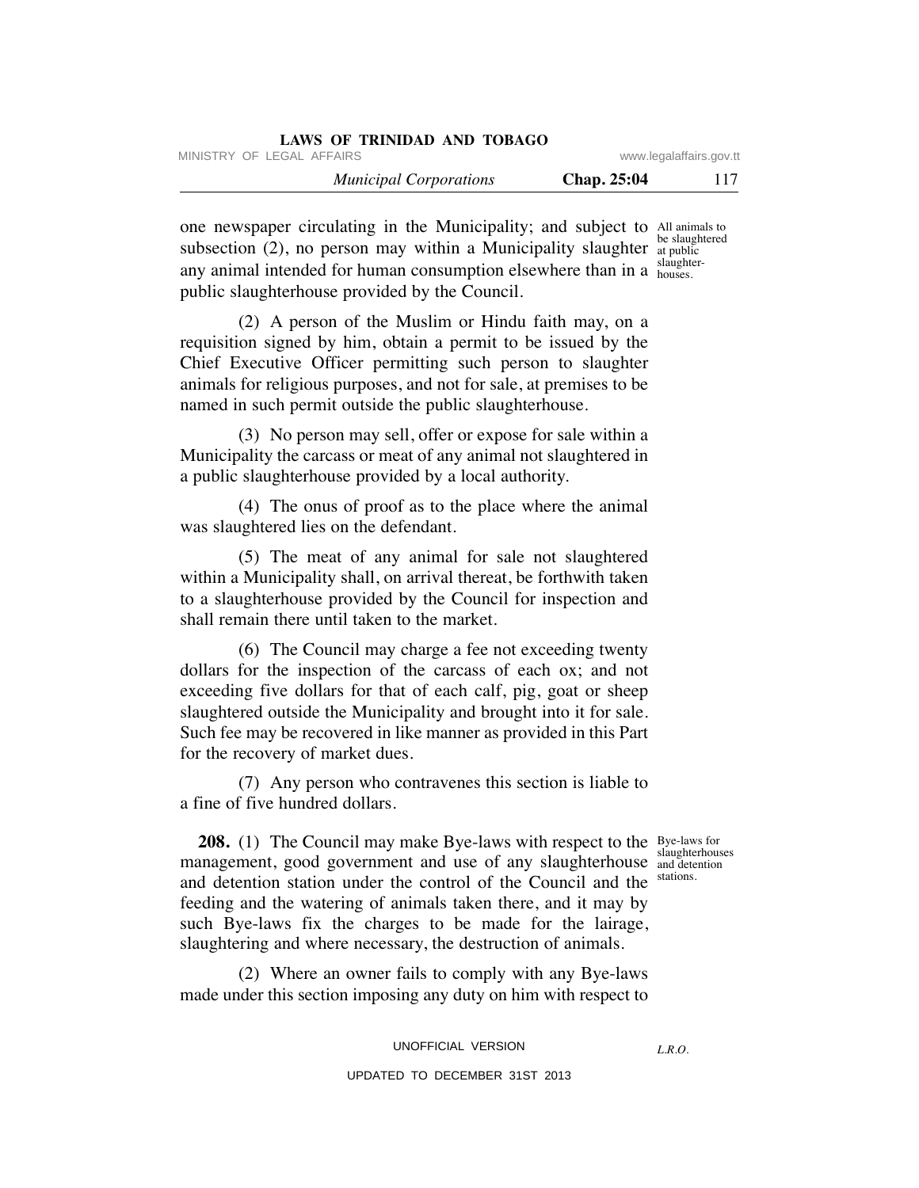| LAWS OF TRINIDAD AND TOBAGO   |                         |     |
|-------------------------------|-------------------------|-----|
| MINISTRY OF LEGAL AFFAIRS     | www.legalaffairs.gov.tt |     |
| <b>Municipal Corporations</b> | <b>Chap.</b> 25:04      | 117 |

one newspaper circulating in the Municipality; and subject to All animals to subsection  $(2)$ , no person may within a Municipality slaughter at public any animal intended for human consumption elsewhere than in a slaughterpublic slaughterhouse provided by the Council. be slaughtered houses.

 (2) A person of the Muslim or Hindu faith may, on a requisition signed by him, obtain a permit to be issued by the Chief Executive Officer permitting such person to slaughter animals for religious purposes, and not for sale, at premises to be named in such permit outside the public slaughterhouse.

 (3) No person may sell, offer or expose for sale within a Municipality the carcass or meat of any animal not slaughtered in a public slaughterhouse provided by a local authority.

 (4) The onus of proof as to the place where the animal was slaughtered lies on the defendant.

 (5) The meat of any animal for sale not slaughtered within a Municipality shall, on arrival thereat, be forthwith taken to a slaughterhouse provided by the Council for inspection and shall remain there until taken to the market.

 (6) The Council may charge a fee not exceeding twenty dollars for the inspection of the carcass of each ox; and not exceeding five dollars for that of each calf, pig, goat or sheep slaughtered outside the Municipality and brought into it for sale. Such fee may be recovered in like manner as provided in this Part for the recovery of market dues.

 (7) Any person who contravenes this section is liable to a fine of five hundred dollars.

> and detention stations.

**208.** (1) The Council may make Bye-laws with respect to the Bye-laws for management, good government and use of any slaughterhouse and detention and detention station under the control of the Council and the feeding and the watering of animals taken there, and it may by such Bye-laws fix the charges to be made for the lairage, slaughtering and where necessary, the destruction of animals.

 (2) Where an owner fails to comply with any Bye-laws made under this section imposing any duty on him with respect to

UNOFFICIAL VERSION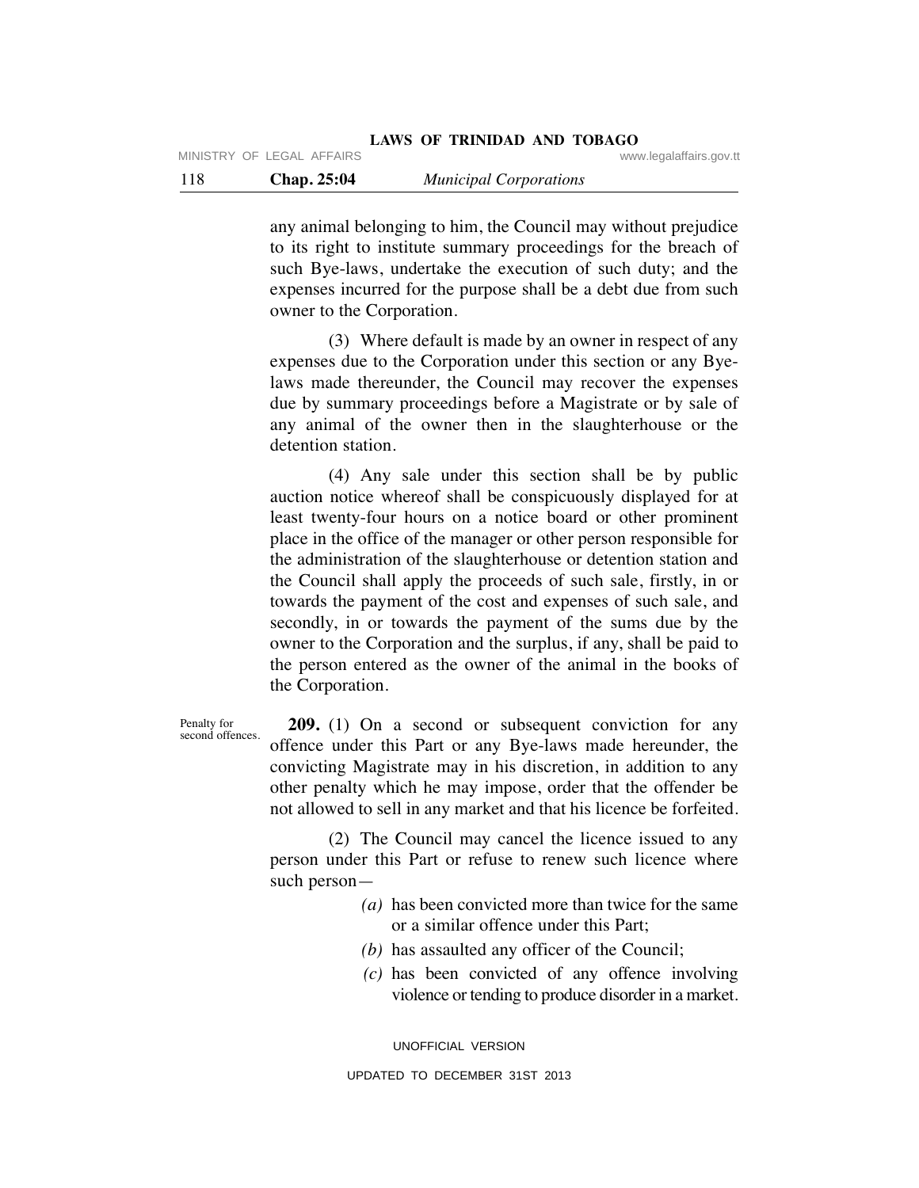any animal belonging to him, the Council may without prejudice to its right to institute summary proceedings for the breach of such Bye-laws, undertake the execution of such duty; and the expenses incurred for the purpose shall be a debt due from such owner to the Corporation.

 (3) Where default is made by an owner in respect of any expenses due to the Corporation under this section or any Byelaws made thereunder, the Council may recover the expenses due by summary proceedings before a Magistrate or by sale of any animal of the owner then in the slaughterhouse or the detention station.

 (4) Any sale under this section shall be by public auction notice whereof shall be conspicuously displayed for at least twenty-four hours on a notice board or other prominent place in the office of the manager or other person responsible for the administration of the slaughterhouse or detention station and the Council shall apply the proceeds of such sale, firstly, in or towards the payment of the cost and expenses of such sale, and secondly, in or towards the payment of the sums due by the owner to the Corporation and the surplus, if any, shall be paid to the person entered as the owner of the animal in the books of the Corporation.

 **209.** (1) On a second or subsequent conviction for any offence under this Part or any Bye-laws made hereunder, the convicting Magistrate may in his discretion, in addition to any other penalty which he may impose, order that the offender be not allowed to sell in any market and that his licence be forfeited. Penalty for second offences.

> (2) The Council may cancel the licence issued to any person under this Part or refuse to renew such licence where such person—

- *(a)* has been convicted more than twice for the same or a similar offence under this Part;
- *(b)* has assaulted any officer of the Council;
- *(c)* has been convicted of any offence involving violence or tending to produce disorder in a market.

UNOFFICIAL VERSION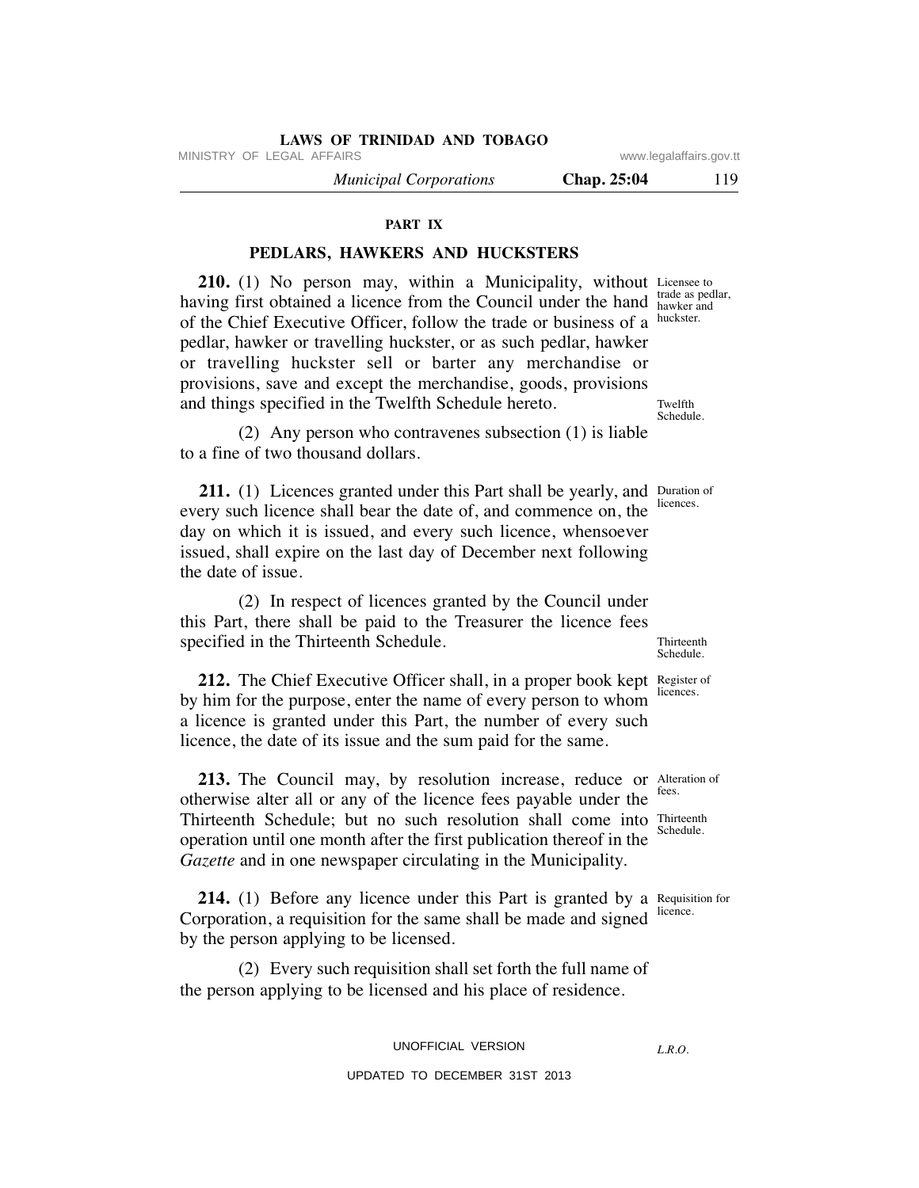MINISTRY OF LEGAL AFFAIRS WWW.legalaffairs.gov.tt

 *Municipal Corporations* **Chap. 25:04** 119

**PART IX**

# **PEDLARS, HAWKERS AND HUCKSTERS**

**210.** (1) No person may, within a Municipality, without Licensee to having first obtained a licence from the Council under the hand hawker and of the Chief Executive Officer, follow the trade or business of a pedlar, hawker or travelling huckster, or as such pedlar, hawker or travelling huckster sell or barter any merchandise or provisions, save and except the merchandise, goods, provisions and things specified in the Twelfth Schedule hereto.

 (2) Any person who contravenes subsection (1) is liable to a fine of two thousand dollars.

**211.** (1) Licences granted under this Part shall be yearly, and Duration of every such licence shall bear the date of, and commence on, the day on which it is issued, and every such licence, whensoever issued, shall expire on the last day of December next following the date of issue.

 (2) In respect of licences granted by the Council under this Part, there shall be paid to the Treasurer the licence fees specified in the Thirteenth Schedule.

**212.** The Chief Executive Officer shall, in a proper book kept Register of by him for the purpose, enter the name of every person to whom a licence is granted under this Part, the number of every such licence, the date of its issue and the sum paid for the same. licences.

**213.** The Council may, by resolution increase, reduce or Alteration of otherwise alter all or any of the licence fees payable under the Thirteenth Schedule; but no such resolution shall come into Thirteenth operation until one month after the first publication thereof in the *Gazette* and in one newspaper circulating in the Municipality. fees.

**214.** (1) Before any licence under this Part is granted by a Requisition for Corporation, a requisition for the same shall be made and signed by the person applying to be licensed.

 (2) Every such requisition shall set forth the full name of the person applying to be licensed and his place of residence.

UNOFFICIAL VERSION

UPDATED TO DECEMBER 31ST 2013

trade as pedlar, huckster.

Twelfth Schedule.

licences.

Thirteenth Schedule.

Schedule.

licence.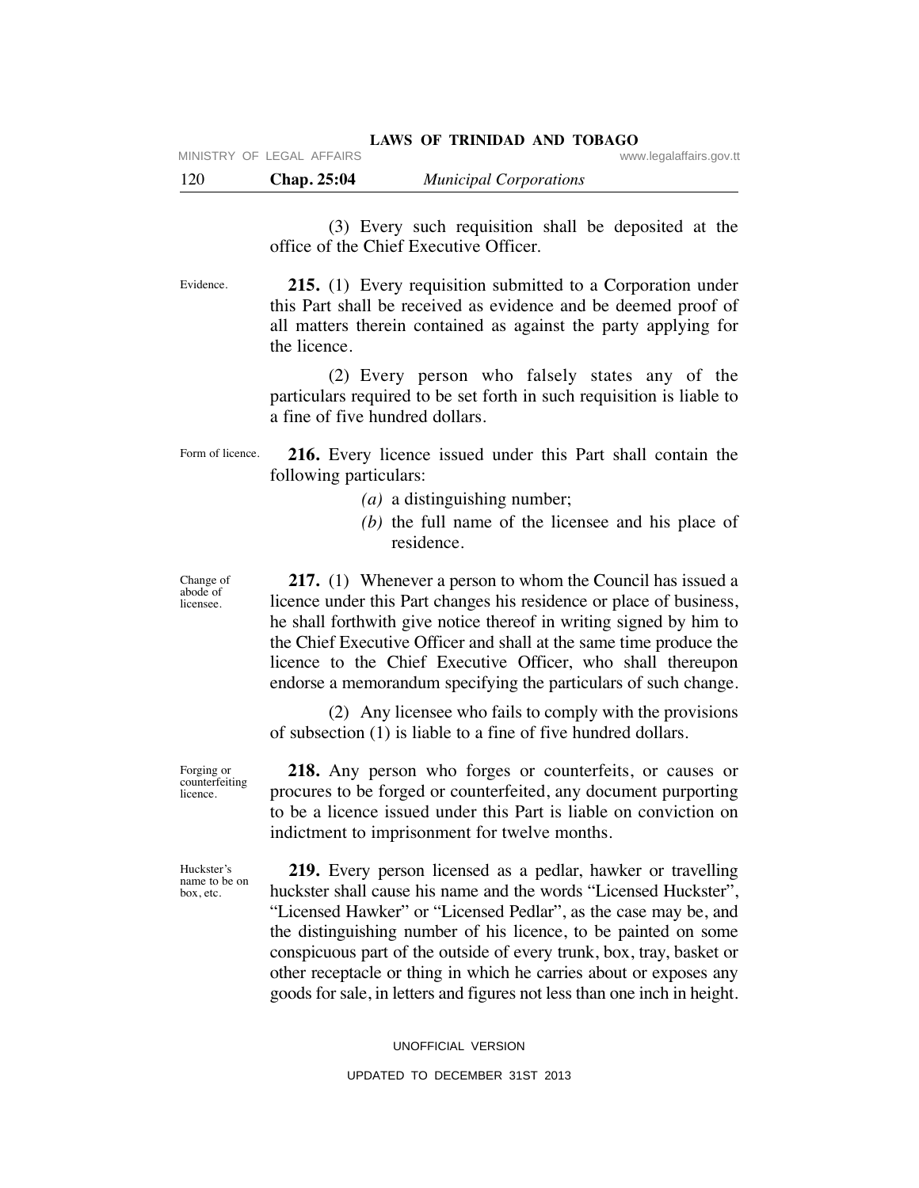120 **Chap. 25:04** *Municipal Corporations*

 (3) Every such requisition shall be deposited at the office of the Chief Executive Officer.

 **215.** (1) Every requisition submitted to a Corporation under this Part shall be received as evidence and be deemed proof of all matters therein contained as against the party applying for the licence. Evidence.

> (2) Every person who falsely states any of the particulars required to be set forth in such requisition is liable to a fine of five hundred dollars.

 **216.** Every licence issued under this Part shall contain the following particulars: Form of licence.

- *(a)* a distinguishing number;
- *(b)* the full name of the licensee and his place of residence.

Change of abode of licensee.

 **217.** (1) Whenever a person to whom the Council has issued a licence under this Part changes his residence or place of business, he shall forthwith give notice thereof in writing signed by him to the Chief Executive Officer and shall at the same time produce the licence to the Chief Executive Officer, who shall thereupon endorse a memorandum specifying the particulars of such change.

 (2) Any licensee who fails to comply with the provisions of subsection (1) is liable to a fine of five hundred dollars.

Forging or counterfeiting licence.

Huckster's name to be on box, etc.

 **218.** Any person who forges or counterfeits, or causes or procures to be forged or counterfeited, any document purporting to be a licence issued under this Part is liable on conviction on indictment to imprisonment for twelve months.

 **219.** Every person licensed as a pedlar, hawker or travelling huckster shall cause his name and the words "Licensed Huckster", "Licensed Hawker" or "Licensed Pedlar", as the case may be, and the distinguishing number of his licence, to be painted on some conspicuous part of the outside of every trunk, box, tray, basket or other receptacle or thing in which he carries about or exposes any goods for sale, in letters and figures not less than one inch in height.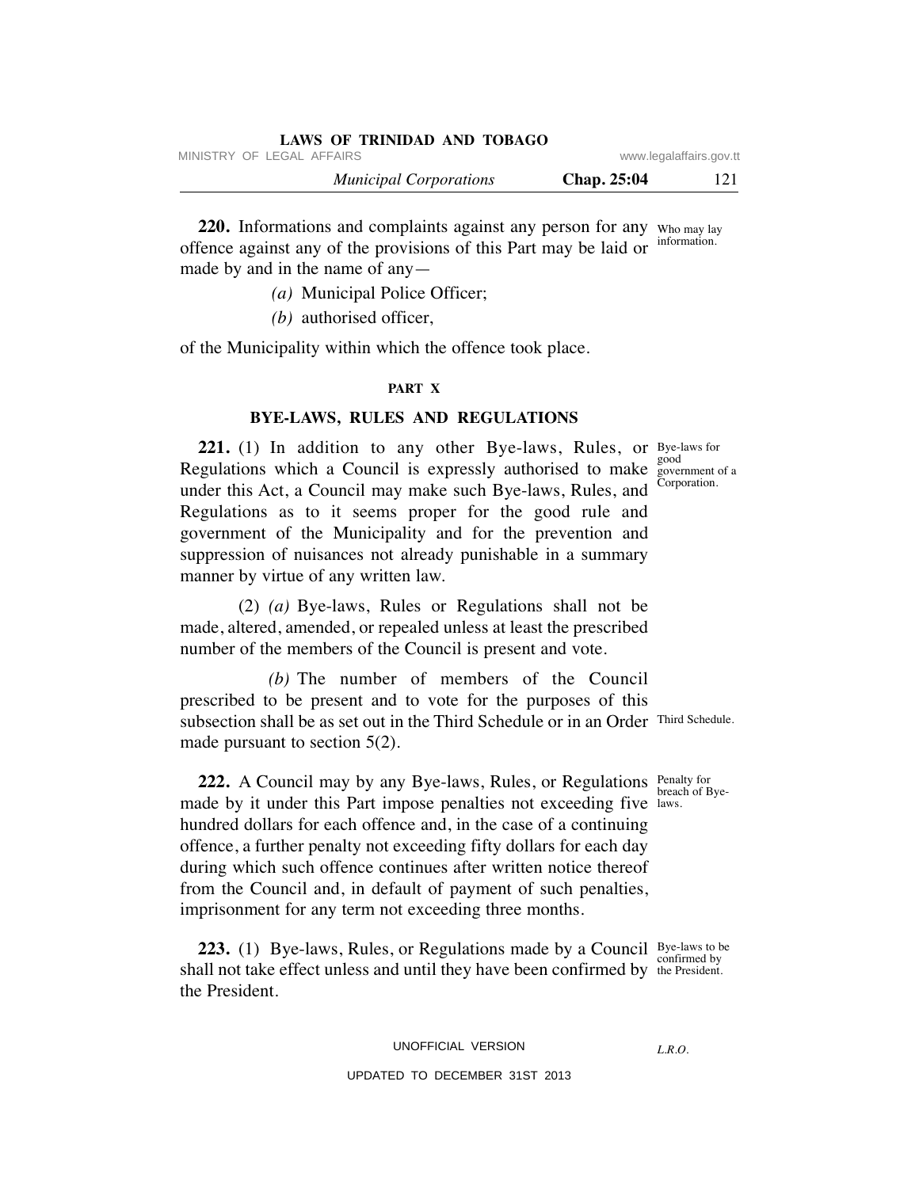| LAWS OF TRINIDAD AND TOBAGO   |             |                         |
|-------------------------------|-------------|-------------------------|
| MINISTRY OF LEGAL AFFAIRS     |             | www.legalaffairs.gov.tt |
| <b>Municipal Corporations</b> | Chap. 25:04 | 121                     |

**220.** Informations and complaints against any person for any who may lay offence against any of the provisions of this Part may be laid or made by and in the name of any information.

- *(a)* Municipal Police Officer;
- *(b)* authorised officer,

of the Municipality within which the offence took place.

# **PART X**

# **BYE-LAWS, RULES AND REGULATIONS**

**221.** (1) In addition to any other Bye-laws, Rules, or Bye-laws for Regulations which a Council is expressly authorised to make under this Act, a Council may make such Bye-laws, Rules, and Regulations as to it seems proper for the good rule and government of the Municipality and for the prevention and suppression of nuisances not already punishable in a summary manner by virtue of any written law.

 (2) *(a)* Bye-laws, Rules or Regulations shall not be made, altered, amended, or repealed unless at least the prescribed number of the members of the Council is present and vote.

 *(b)* The number of members of the Council prescribed to be present and to vote for the purposes of this subsection shall be as set out in the Third Schedule or in an Order Third Schedule. made pursuant to section 5(2).

**222.** A Council may by any Bye-laws, Rules, or Regulations Penalty for made by it under this Part impose penalties not exceeding five laws. hundred dollars for each offence and, in the case of a continuing offence, a further penalty not exceeding fifty dollars for each day during which such offence continues after written notice thereof from the Council and, in default of payment of such penalties, imprisonment for any term not exceeding three months.

**223.** (1) Bye-laws, Rules, or Regulations made by a Council Bye-laws to be shall not take effect unless and until they have been confirmed by the President. the President.

good government of a Corporation.

breach of Bye-

confirmed by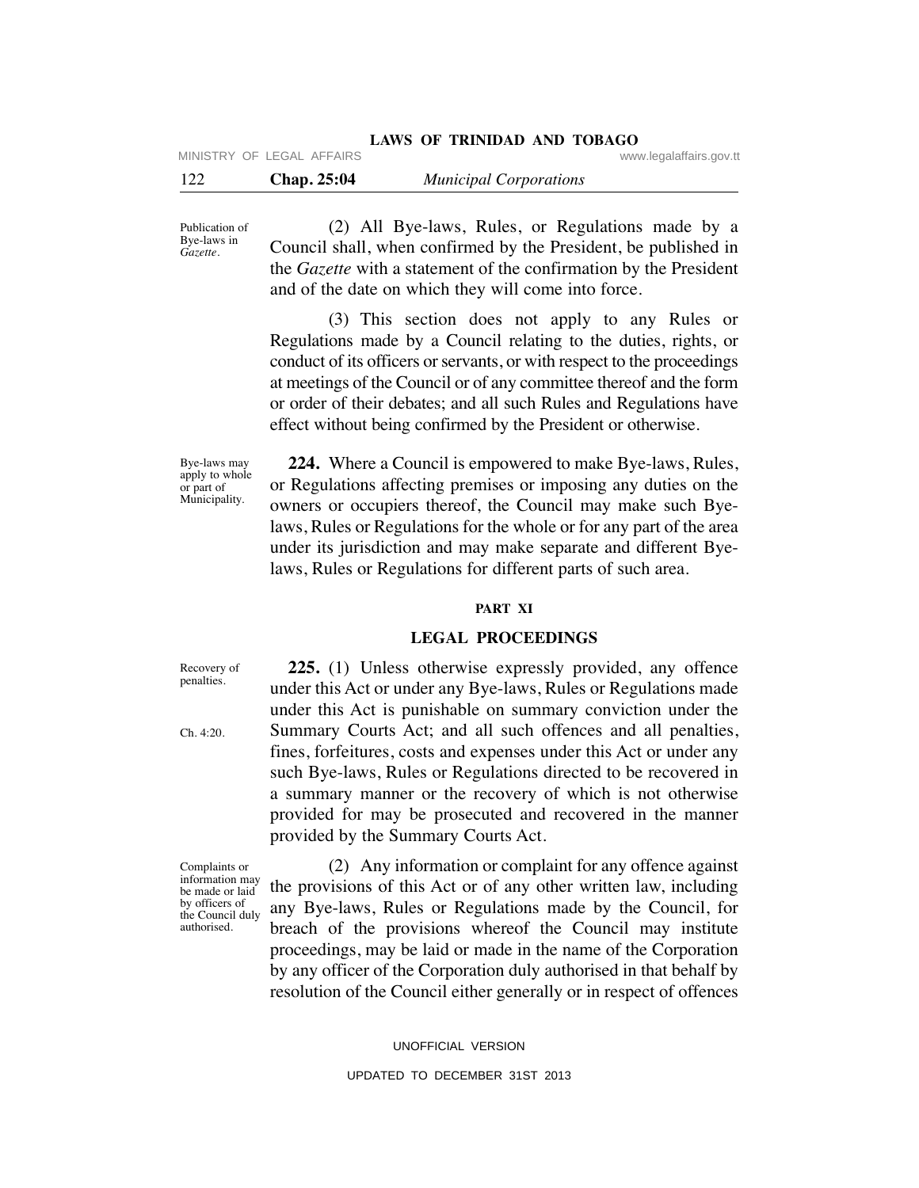|     |                           | LAWS OF TRINIDAD AND TOBAGO   |                         |
|-----|---------------------------|-------------------------------|-------------------------|
|     | MINISTRY OF LEGAL AFFAIRS |                               | www.legalaffairs.gov.tt |
| 122 | <b>Chap. 25:04</b>        | <b>Municipal Corporations</b> |                         |

Publication of Bye-laws in *Gazette*.

 (2) All Bye-laws, Rules, or Regulations made by a Council shall, when confirmed by the President, be published in the *Gazette* with a statement of the confirmation by the President and of the date on which they will come into force.

 (3) This section does not apply to any Rules or Regulations made by a Council relating to the duties, rights, or conduct of its officers or servants, or with respect to the proceedings at meetings of the Council or of any committee thereof and the form or order of their debates; and all such Rules and Regulations have effect without being confirmed by the President or otherwise.

Bye-laws may apply to whole or part of Municipality.

 **224.** Where a Council is empowered to make Bye-laws, Rules, or Regulations affecting premises or imposing any duties on the owners or occupiers thereof, the Council may make such Byelaws, Rules or Regulations for the whole or for any part of the area under its jurisdiction and may make separate and different Byelaws, Rules or Regulations for different parts of such area.

# **PART XI**

# **LEGAL PROCEEDINGS**

Recovery of penalties.

Ch. 4:20.

 **225.** (1) Unless otherwise expressly provided, any offence under this Act or under any Bye-laws, Rules or Regulations made under this Act is punishable on summary conviction under the Summary Courts Act; and all such offences and all penalties, fines, forfeitures, costs and expenses under this Act or under any such Bye-laws, Rules or Regulations directed to be recovered in a summary manner or the recovery of which is not otherwise provided for may be prosecuted and recovered in the manner provided by the Summary Courts Act.

Complaints or information may be made or laid by officers of the Council duly authorised.

 (2) Any information or complaint for any offence against the provisions of this Act or of any other written law, including any Bye-laws, Rules or Regulations made by the Council, for breach of the provisions whereof the Council may institute proceedings, may be laid or made in the name of the Corporation by any officer of the Corporation duly authorised in that behalf by resolution of the Council either generally or in respect of offences

UNOFFICIAL VERSION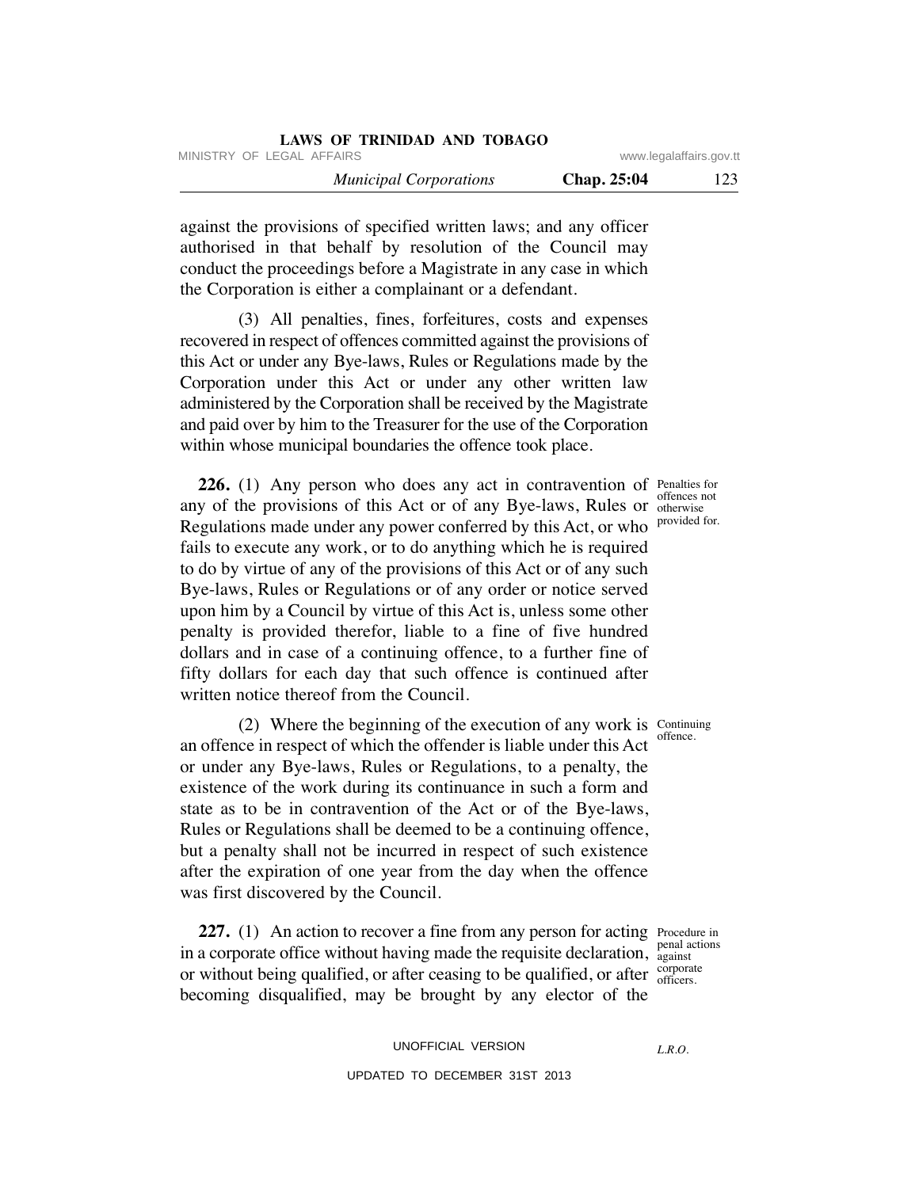| <b>LAWS OF TRINIDAD AND TOBAGO</b> |             |                         |
|------------------------------------|-------------|-------------------------|
| MINISTRY OF LEGAL AFFAIRS          |             | www.legalaffairs.gov.tt |
| <b>Municipal Corporations</b>      | Chap. 25:04 | 123                     |

against the provisions of specified written laws; and any officer authorised in that behalf by resolution of the Council may conduct the proceedings before a Magistrate in any case in which the Corporation is either a complainant or a defendant.

 (3) All penalties, fines, forfeitures, costs and expenses recovered in respect of offences committed against the provisions of this Act or under any Bye-laws, Rules or Regulations made by the Corporation under this Act or under any other written law administered by the Corporation shall be received by the Magistrate and paid over by him to the Treasurer for the use of the Corporation within whose municipal boundaries the offence took place.

**226.** (1) Any person who does any act in contravention of Penalties for any of the provisions of this Act or of any Bye-laws, Rules or offences not Regulations made under any power conferred by this Act, or who fails to execute any work, or to do anything which he is required to do by virtue of any of the provisions of this Act or of any such Bye-laws, Rules or Regulations or of any order or notice served upon him by a Council by virtue of this Act is, unless some other penalty is provided therefor, liable to a fine of five hundred dollars and in case of a continuing offence, to a further fine of fifty dollars for each day that such offence is continued after written notice thereof from the Council.

(2) Where the beginning of the execution of any work is  $C_{\text{optimuing}}$ an offence in respect of which the offender is liable under this Act or under any Bye-laws, Rules or Regulations, to a penalty, the existence of the work during its continuance in such a form and state as to be in contravention of the Act or of the Bye-laws, Rules or Regulations shall be deemed to be a continuing offence, but a penalty shall not be incurred in respect of such existence after the expiration of one year from the day when the offence was first discovered by the Council.

**227.** (1) An action to recover a fine from any person for acting Procedure in in a corporate office without having made the requisite declaration, against or without being qualified, or after ceasing to be qualified, or after  $\frac{\text{corporate}}{\text{offices}}$ becoming disqualified, may be brought by any elector of the

against officers.

otherwise provided for.

offence.

UNOFFICIAL VERSION UPDATED TO DECEMBER 31ST 2013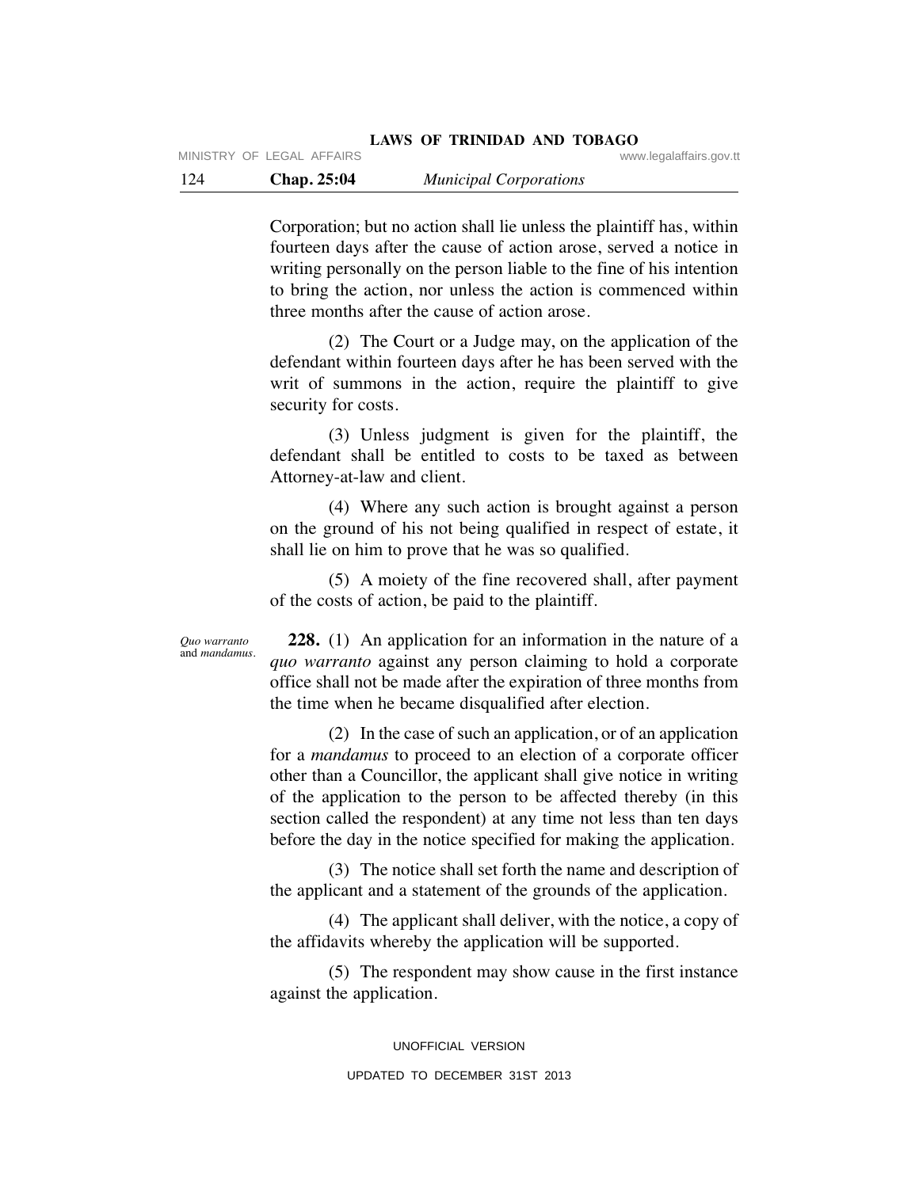Corporation; but no action shall lie unless the plaintiff has, within fourteen days after the cause of action arose, served a notice in writing personally on the person liable to the fine of his intention to bring the action, nor unless the action is commenced within three months after the cause of action arose.

 (2) The Court or a Judge may, on the application of the defendant within fourteen days after he has been served with the writ of summons in the action, require the plaintiff to give security for costs.

 (3) Unless judgment is given for the plaintiff, the defendant shall be entitled to costs to be taxed as between Attorney-at-law and client.

 (4) Where any such action is brought against a person on the ground of his not being qualified in respect of estate, it shall lie on him to prove that he was so qualified.

 (5) A moiety of the fine recovered shall, after payment of the costs of action, be paid to the plaintiff.

*Quo warranto* and *mandamus*.

 **228.** (1) An application for an information in the nature of a *quo warranto* against any person claiming to hold a corporate office shall not be made after the expiration of three months from the time when he became disqualified after election.

 (2) In the case of such an application, or of an application for a *mandamus* to proceed to an election of a corporate officer other than a Councillor, the applicant shall give notice in writing of the application to the person to be affected thereby (in this section called the respondent) at any time not less than ten days before the day in the notice specified for making the application.

 (3) The notice shall set forth the name and description of the applicant and a statement of the grounds of the application.

 (4) The applicant shall deliver, with the notice, a copy of the affidavits whereby the application will be supported.

 (5) The respondent may show cause in the first instance against the application.

> UNOFFICIAL VERSION UPDATED TO DECEMBER 31ST 2013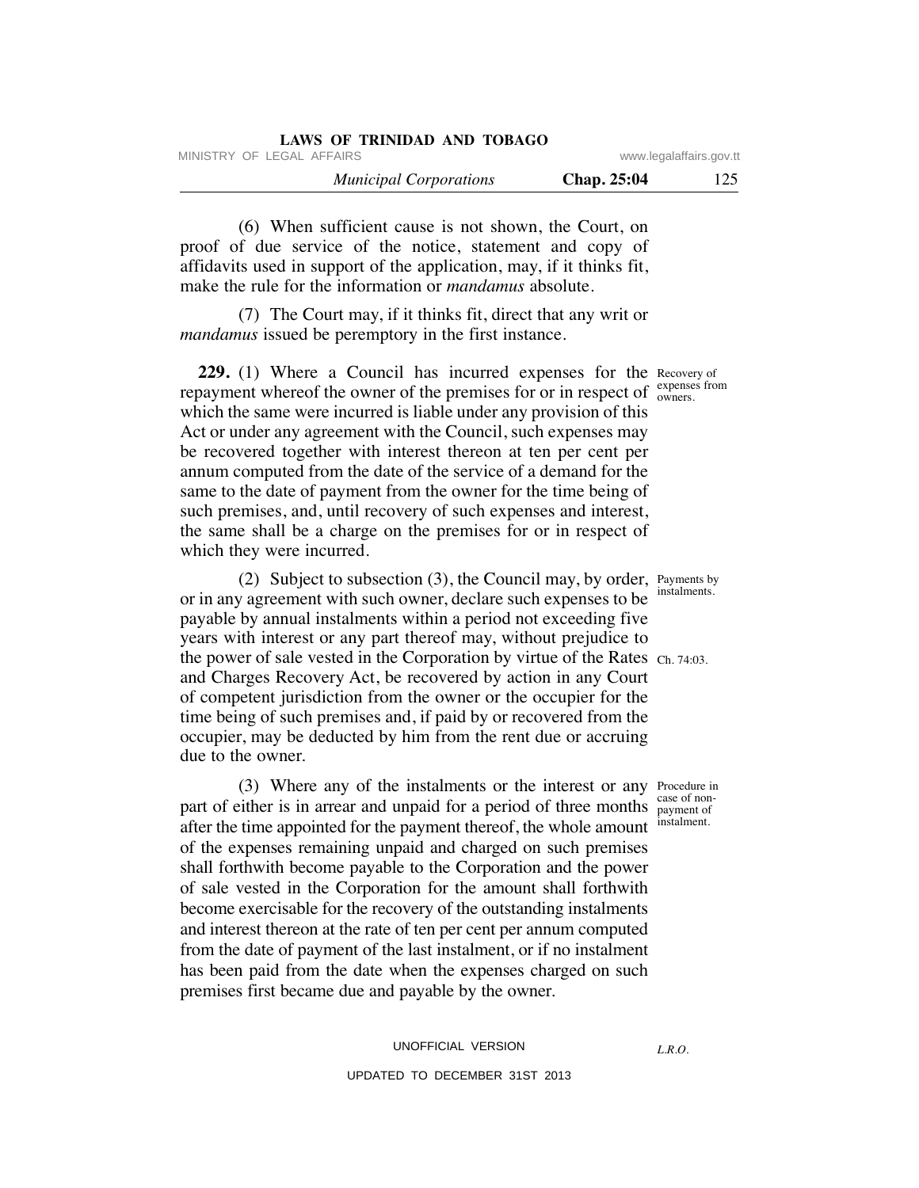|                           | LAWS OF TRINIDAD AND TOBAGO   |
|---------------------------|-------------------------------|
| www.legalaffairs.gov.tt   | MINISTRY OF LEGAL AFFAIRS     |
| <b>Chap. 25:04</b><br>125 | <b>Municipal Corporations</b> |

 (6) When sufficient cause is not shown, the Court, on proof of due service of the notice, statement and copy of affidavits used in support of the application, may, if it thinks fit, make the rule for the information or *mandamus* absolute.

 (7) The Court may, if it thinks fit, direct that any writ or *mandamus* issued be peremptory in the first instance.

**229.** (1) Where a Council has incurred expenses for the Recovery of repayment whereof the owner of the premises for or in respect of  $\frac{\text{exponents}}{\text{owners}}$ which the same were incurred is liable under any provision of this Act or under any agreement with the Council, such expenses may be recovered together with interest thereon at ten per cent per annum computed from the date of the service of a demand for the same to the date of payment from the owner for the time being of such premises, and, until recovery of such expenses and interest, the same shall be a charge on the premises for or in respect of which they were incurred.

 (2) Subject to subsection (3), the Council may, by order, Payments by or in any agreement with such owner, declare such expenses to be payable by annual instalments within a period not exceeding five years with interest or any part thereof may, without prejudice to the power of sale vested in the Corporation by virtue of the Rates Ch. 74:03. and Charges Recovery Act, be recovered by action in any Court of competent jurisdiction from the owner or the occupier for the time being of such premises and, if paid by or recovered from the occupier, may be deducted by him from the rent due or accruing due to the owner.

 (3) Where any of the instalments or the interest or any Procedure in part of either is in arrear and unpaid for a period of three months payment of after the time appointed for the payment thereof, the whole amount of the expenses remaining unpaid and charged on such premises shall forthwith become payable to the Corporation and the power of sale vested in the Corporation for the amount shall forthwith become exercisable for the recovery of the outstanding instalments and interest thereon at the rate of ten per cent per annum computed from the date of payment of the last instalment, or if no instalment has been paid from the date when the expenses charged on such premises first became due and payable by the owner.

# UNOFFICIAL VERSION UPDATED TO DECEMBER 31ST 2013

owners.

instalments.

case of noninstalment.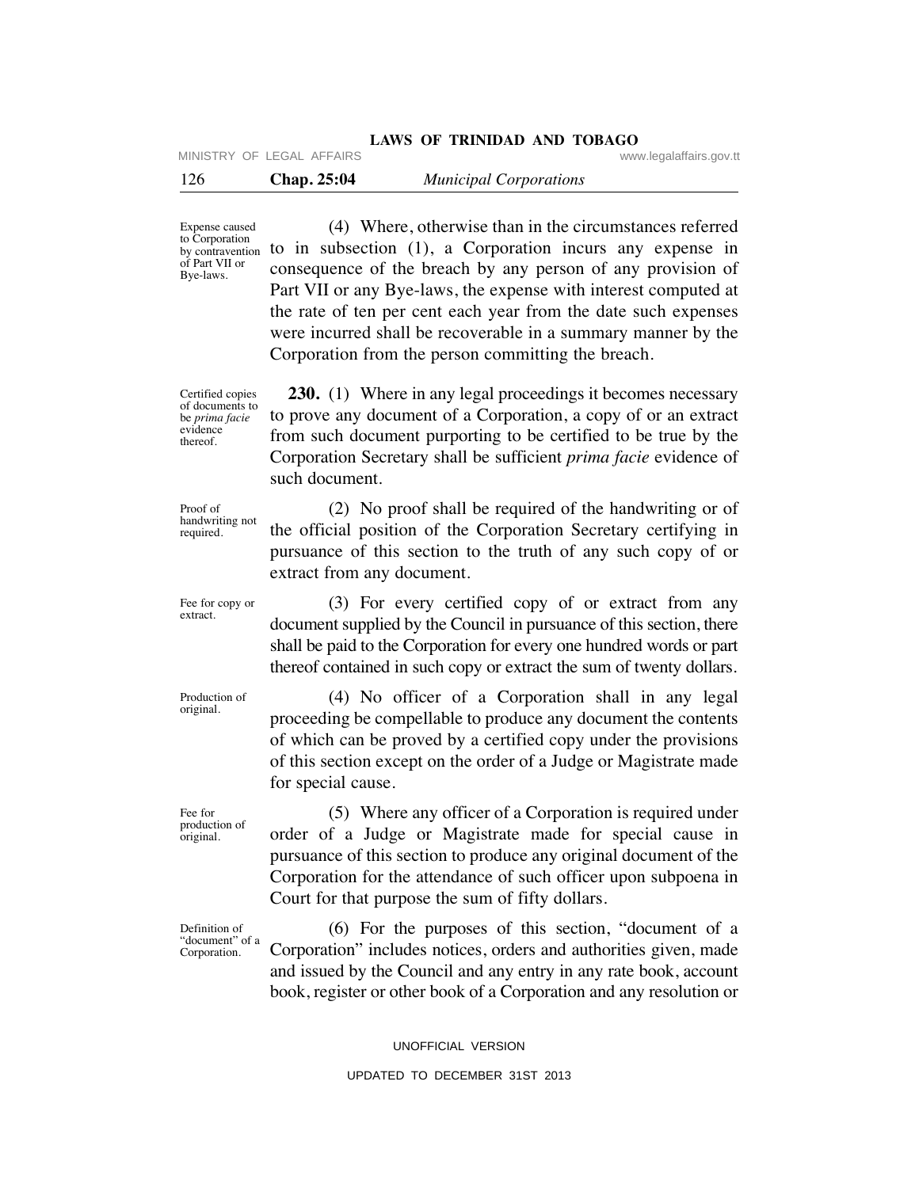MINISTRY OF LEGAL AFFAIRS **WARE ACCOMPTED MINISTRY** OF LEGAL AFFAIRS

| 126 | <b>Chap. 25:04</b> | <b>Municipal Corporations</b> |
|-----|--------------------|-------------------------------|
|-----|--------------------|-------------------------------|

Expense caused by contravention of Part VII or Bye-laws.

 (4) Where, otherwise than in the circumstances referred to Corporation to in subsection (1), a Corporation incurs any expense in consequence of the breach by any person of any provision of Part VII or any Bye-laws, the expense with interest computed at the rate of ten per cent each year from the date such expenses were incurred shall be recoverable in a summary manner by the Corporation from the person committing the breach.

Certified copies of documents to be *prima facie* evidence thereof.

**230.** (1) Where in any legal proceedings it becomes necessary to prove any document of a Corporation, a copy of or an extract from such document purporting to be certified to be true by the Corporation Secretary shall be sufficient *prima facie* evidence of such document.

Proof of handwriting not required.

 (2) No proof shall be required of the handwriting or of the official position of the Corporation Secretary certifying in pursuance of this section to the truth of any such copy of or extract from any document.

 (3) For every certified copy of or extract from any document supplied by the Council in pursuance of this section, there shall be paid to the Corporation for every one hundred words or part thereof contained in such copy or extract the sum of twenty dollars.

 (4) No officer of a Corporation shall in any legal proceeding be compellable to produce any document the contents of which can be proved by a certified copy under the provisions of this section except on the order of a Judge or Magistrate made for special cause.

 (5) Where any officer of a Corporation is required under order of a Judge or Magistrate made for special cause in pursuance of this section to produce any original document of the Corporation for the attendance of such officer upon subpoena in Court for that purpose the sum of fifty dollars.

 (6) For the purposes of this section, "document of a Corporation" includes notices, orders and authorities given, made and issued by the Council and any entry in any rate book, account book, register or other book of a Corporation and any resolution or

UNOFFICIAL VERSION

Fee for copy or extract.

Production of original.

Fee for production of original.

Definition of "document" of a Corporation.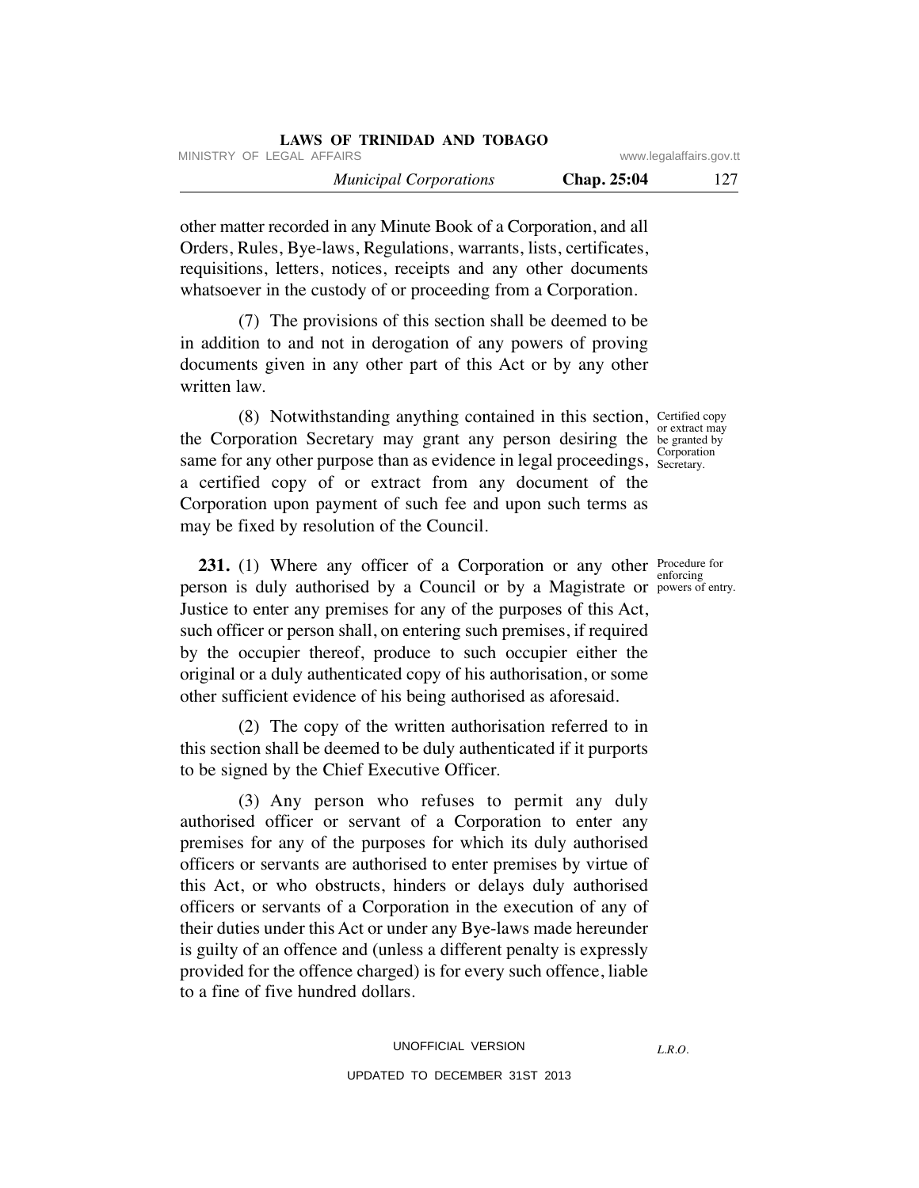| LAWS OF IKINIDAD AND TODAGO   |                    |                         |
|-------------------------------|--------------------|-------------------------|
| MINISTRY OF LEGAL AFFAIRS     |                    | www.legalaffairs.gov.tt |
| <b>Municipal Corporations</b> | <b>Chap. 25:04</b> |                         |

other matter recorded in any Minute Book of a Corporation, and all Orders, Rules, Bye-laws, Regulations, warrants, lists, certificates, requisitions, letters, notices, receipts and any other documents whatsoever in the custody of or proceeding from a Corporation.

**LAWS OF TRINIDAD AND TOBAGO**

 (7) The provisions of this section shall be deemed to be in addition to and not in derogation of any powers of proving documents given in any other part of this Act or by any other written law.

 (8) Notwithstanding anything contained in this section, Certified copy the Corporation Secretary may grant any person desiring the begranted by same for any other purpose than as evidence in legal proceedings, Secretary. a certified copy of or extract from any document of the Corporation upon payment of such fee and upon such terms as may be fixed by resolution of the Council.

**231.** (1) Where any officer of a Corporation or any other **Procedure for** person is duly authorised by a Council or by a Magistrate or powers of entry. Justice to enter any premises for any of the purposes of this Act, such officer or person shall, on entering such premises, if required by the occupier thereof, produce to such occupier either the original or a duly authenticated copy of his authorisation, or some other sufficient evidence of his being authorised as aforesaid.

 (2) The copy of the written authorisation referred to in this section shall be deemed to be duly authenticated if it purports to be signed by the Chief Executive Officer.

 (3) Any person who refuses to permit any duly authorised officer or servant of a Corporation to enter any premises for any of the purposes for which its duly authorised officers or servants are authorised to enter premises by virtue of this Act, or who obstructs, hinders or delays duly authorised officers or servants of a Corporation in the execution of any of their duties under this Act or under any Bye-laws made hereunder is guilty of an offence and (unless a different penalty is expressly provided for the offence charged) is for every such offence, liable to a fine of five hundred dollars.

or extract may Secretary.

enforcing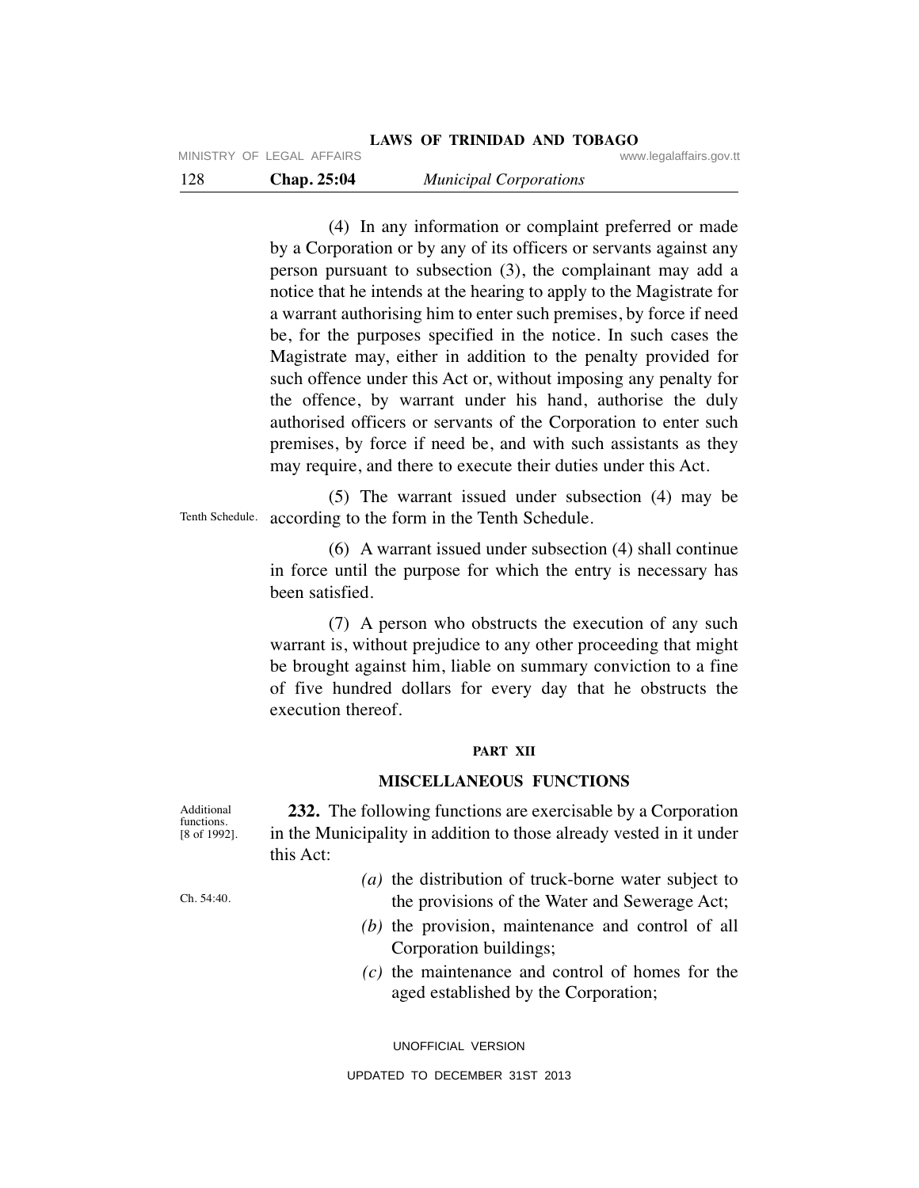(4) In any information or complaint preferred or made by a Corporation or by any of its officers or servants against any person pursuant to subsection (3), the complainant may add a notice that he intends at the hearing to apply to the Magistrate for a warrant authorising him to enter such premises, by force if need be, for the purposes specified in the notice. In such cases the Magistrate may, either in addition to the penalty provided for such offence under this Act or, without imposing any penalty for the offence, by warrant under his hand, authorise the duly authorised officers or servants of the Corporation to enter such premises, by force if need be, and with such assistants as they may require, and there to execute their duties under this Act.

 (5) The warrant issued under subsection (4) may be according to the form in the Tenth Schedule. Tenth Schedule.

> (6) A warrant issued under subsection (4) shall continue in force until the purpose for which the entry is necessary has been satisfied.

> (7) A person who obstructs the execution of any such warrant is, without prejudice to any other proceeding that might be brought against him, liable on summary conviction to a fine of five hundred dollars for every day that he obstructs the execution thereof.

# **PART XII**

# **MISCELLANEOUS FUNCTIONS**

 **232.** The following functions are exercisable by a Corporation in the Municipality in addition to those already vested in it under this Act:

- *(a)* the distribution of truck-borne water subject to the provisions of the Water and Sewerage Act;
- *(b)* the provision, maintenance and control of all Corporation buildings;
- *(c)* the maintenance and control of homes for the aged established by the Corporation;

UNOFFICIAL VERSION

Additional functions. [8 of 1992].

Ch. 54:40.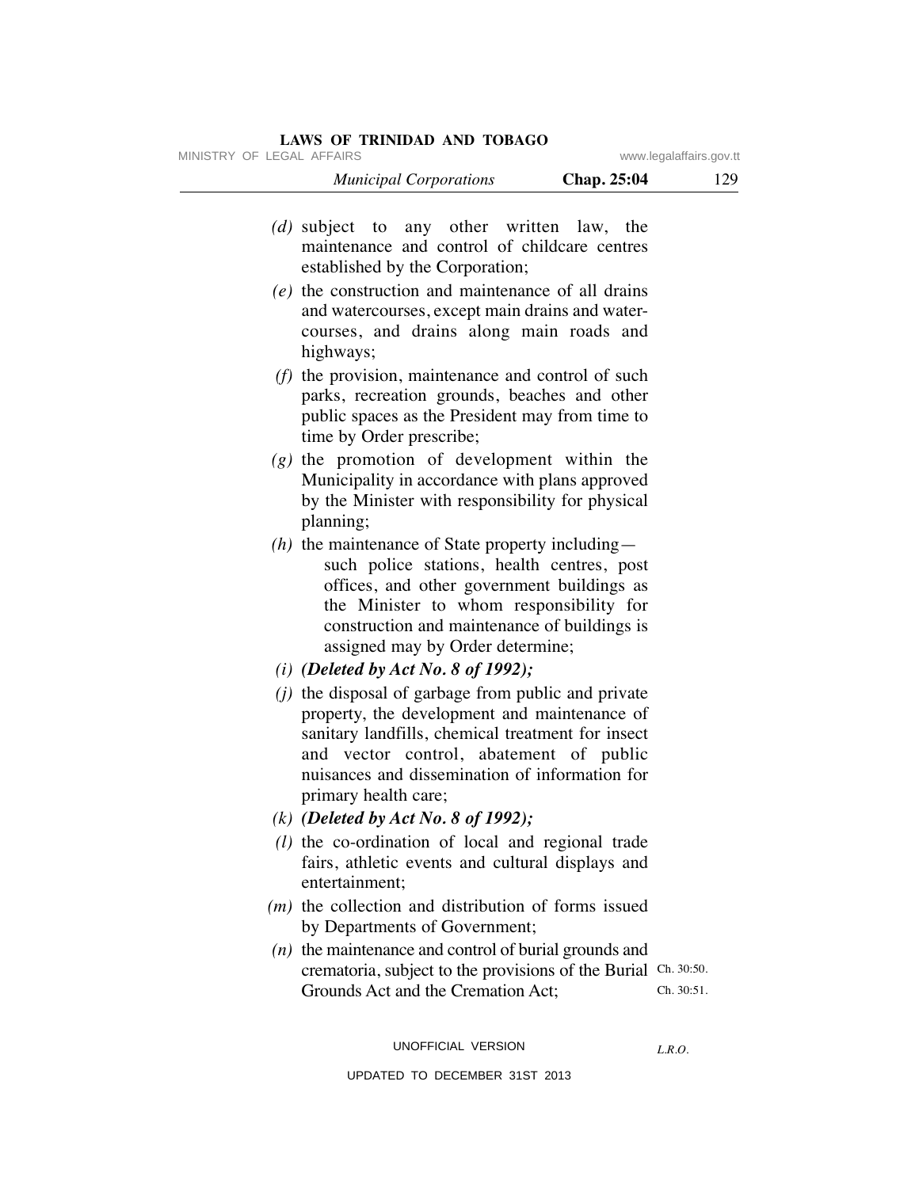| MINISTRY OF LEGAL AFFAIRS |                                                                                                                                                                  | www.legalaffairs.gov.tt |     |
|---------------------------|------------------------------------------------------------------------------------------------------------------------------------------------------------------|-------------------------|-----|
|                           | <b>Municipal Corporations</b>                                                                                                                                    | Chap. 25:04             | 129 |
|                           | (d) subject to any other written law, the<br>maintenance and control of childcare centres<br>established by the Corporation;                                     |                         |     |
|                           | $(e)$ the construction and maintenance of all drains<br>and watercourses, except main drains and water-<br>courses, and drains along main roads and<br>highways; |                         |     |

- *(f)* the provision, maintenance and control of such parks, recreation grounds, beaches and other public spaces as the President may from time to time by Order prescribe;
- *(g)* the promotion of development within the Municipality in accordance with plans approved by the Minister with responsibility for physical planning;
- *(h)* the maintenance of State property including such police stations, health centres, post offices, and other government buildings as the Minister to whom responsibility for construction and maintenance of buildings is assigned may by Order determine;
- *(i) (Deleted by Act No. 8 of 1992);*
- *(j)* the disposal of garbage from public and private property, the development and maintenance of sanitary landfills, chemical treatment for insect and vector control, abatement of public nuisances and dissemination of information for primary health care;
- *(k) (Deleted by Act No. 8 of 1992);*
- *(l)* the co-ordination of local and regional trade fairs, athletic events and cultural displays and entertainment;
- *(m)* the collection and distribution of forms issued by Departments of Government;
- *(n)* the maintenance and control of burial grounds and crematoria, subject to the provisions of the Burial Ch. 30:50. Grounds Act and the Cremation Act; Ch. 30:51.

UNOFFICIAL VERSION

*L.R.O.*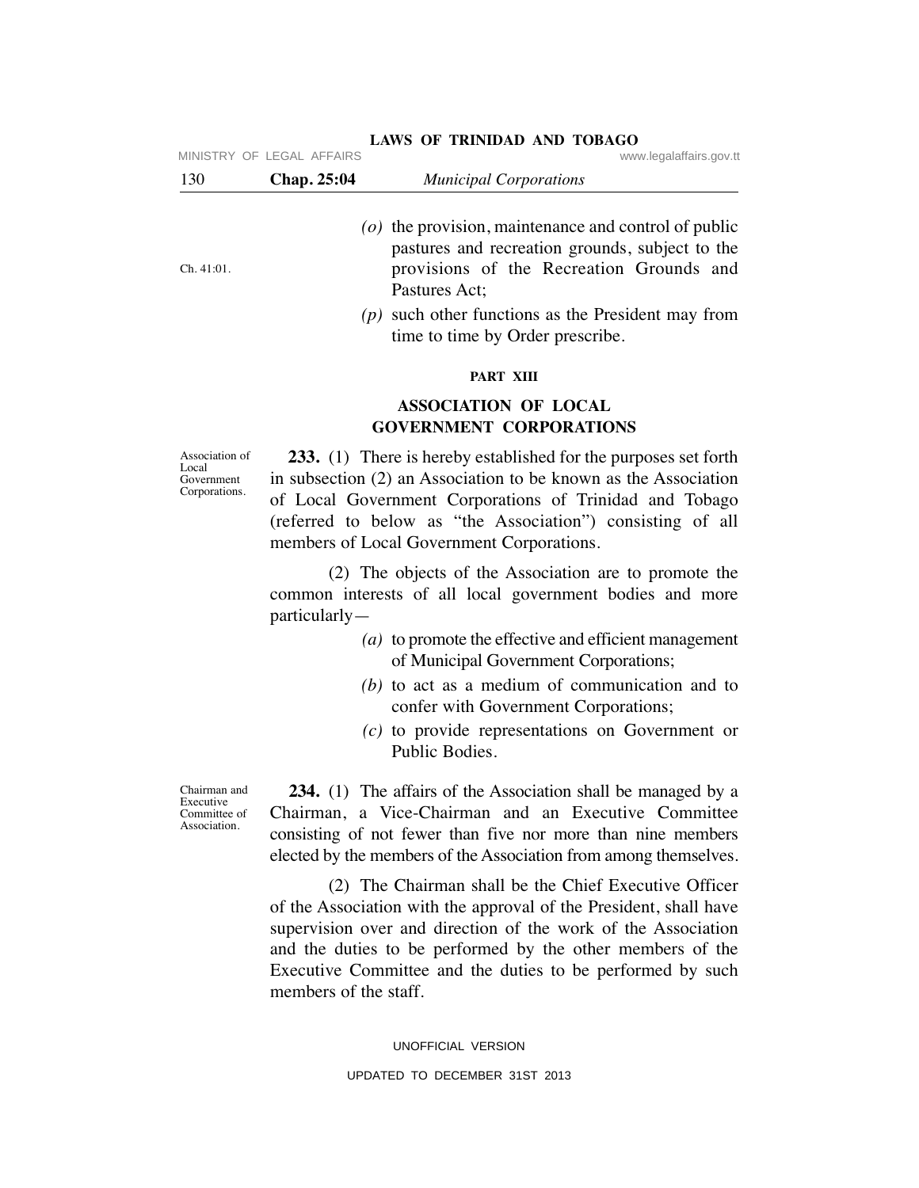| 130        | Chap. 25:04 | <b>Municipal Corporations</b>                                                                                                                                            |
|------------|-------------|--------------------------------------------------------------------------------------------------------------------------------------------------------------------------|
| Ch. 41:01. |             | ( $o$ ) the provision, maintenance and control of public<br>pastures and recreation grounds, subject to the<br>provisions of the Recreation Grounds and<br>Pastures Act; |
|            |             | $(p)$ such other functions as the President may from<br>time to time by Order prescribe.                                                                                 |

### **LAWS OF TRINIDAD AND TOBAGO** MINISTRY OF LEGAL AFFAIRS

**PART XIII**

# **ASSOCIATION OF LOCAL GOVERNMENT CORPORATIONS**

Association of Local Government Corporations.

 **233.** (1) There is hereby established for the purposes set forth in subsection (2) an Association to be known as the Association of Local Government Corporations of Trinidad and Tobago (referred to below as "the Association") consisting of all members of Local Government Corporations.

 (2) The objects of the Association are to promote the common interests of all local government bodies and more particularly—

- *(a)* to promote the effective and efficient management of Municipal Government Corporations;
- *(b)* to act as a medium of communication and to confer with Government Corporations;
- *(c)* to provide representations on Government or Public Bodies.

Chairman and Executive Committee of Association.

 **234.** (1) The affairs of the Association shall be managed by a Chairman, a Vice-Chairman and an Executive Committee consisting of not fewer than five nor more than nine members elected by the members of the Association from among themselves.

 (2) The Chairman shall be the Chief Executive Officer of the Association with the approval of the President, shall have supervision over and direction of the work of the Association and the duties to be performed by the other members of the Executive Committee and the duties to be performed by such members of the staff.

> UNOFFICIAL VERSION UPDATED TO DECEMBER 31ST 2013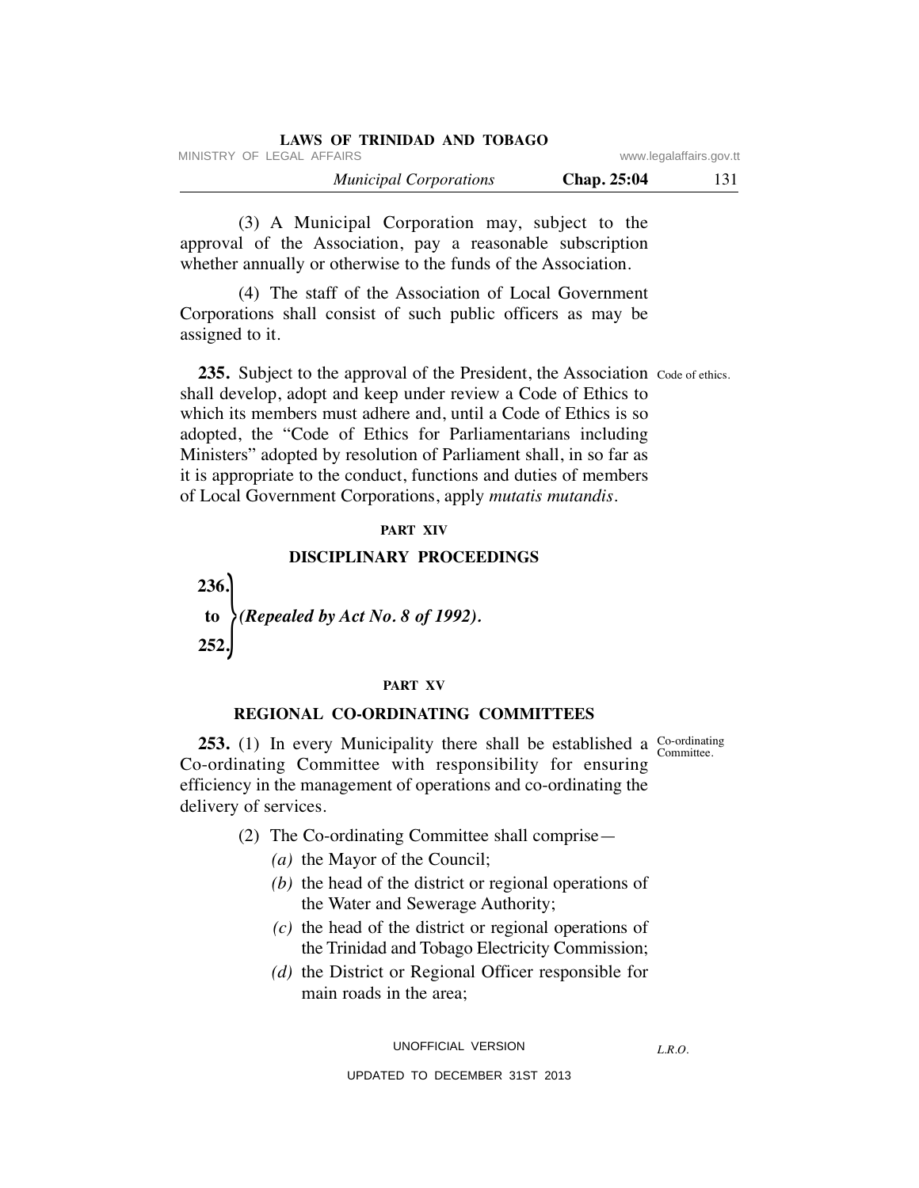| LAWS OF TRINIDAD AND TOBAGO   |             |                         |
|-------------------------------|-------------|-------------------------|
| MINISTRY OF LEGAL AFFAIRS     |             | www.legalaffairs.gov.tt |
| <b>Municipal Corporations</b> | Chap. 25:04 | 131                     |

 (3) A Municipal Corporation may, subject to the approval of the Association, pay a reasonable subscription whether annually or otherwise to the funds of the Association.

 (4) The staff of the Association of Local Government Corporations shall consist of such public officers as may be assigned to it.

**235.** Subject to the approval of the President, the Association Code of ethics. shall develop, adopt and keep under review a Code of Ethics to which its members must adhere and, until a Code of Ethics is so adopted, the "Code of Ethics for Parliamentarians including Ministers" adopted by resolution of Parliament shall, in so far as it is appropriate to the conduct, functions and duties of members of Local Government Corporations, apply *mutatis mutandis.*

# **PART XIV**

# **DISCIPLINARY PROCEEDINGS**

 **236. to** *(Repealed by Act No. 8 of 1992).*  **252.**  $\begin{array}{c} \hline \end{array}$ 

### **PART XV**

# **REGIONAL CO-ORDINATING COMMITTEES**

**253.** (1) In every Municipality there shall be established a  $\frac{\text{Co-ordinating}}{\text{Commitian}}$ Co-ordinating Committee with responsibility for ensuring efficiency in the management of operations and co-ordinating the delivery of services.

Committee.

- (2) The Co-ordinating Committee shall comprise—
	- *(a)* the Mayor of the Council;
	- *(b)* the head of the district or regional operations of the Water and Sewerage Authority;
	- *(c)* the head of the district or regional operations of the Trinidad and Tobago Electricity Commission;
	- *(d)* the District or Regional Officer responsible for main roads in the area;

UNOFFICIAL VERSION

*L.R.O.*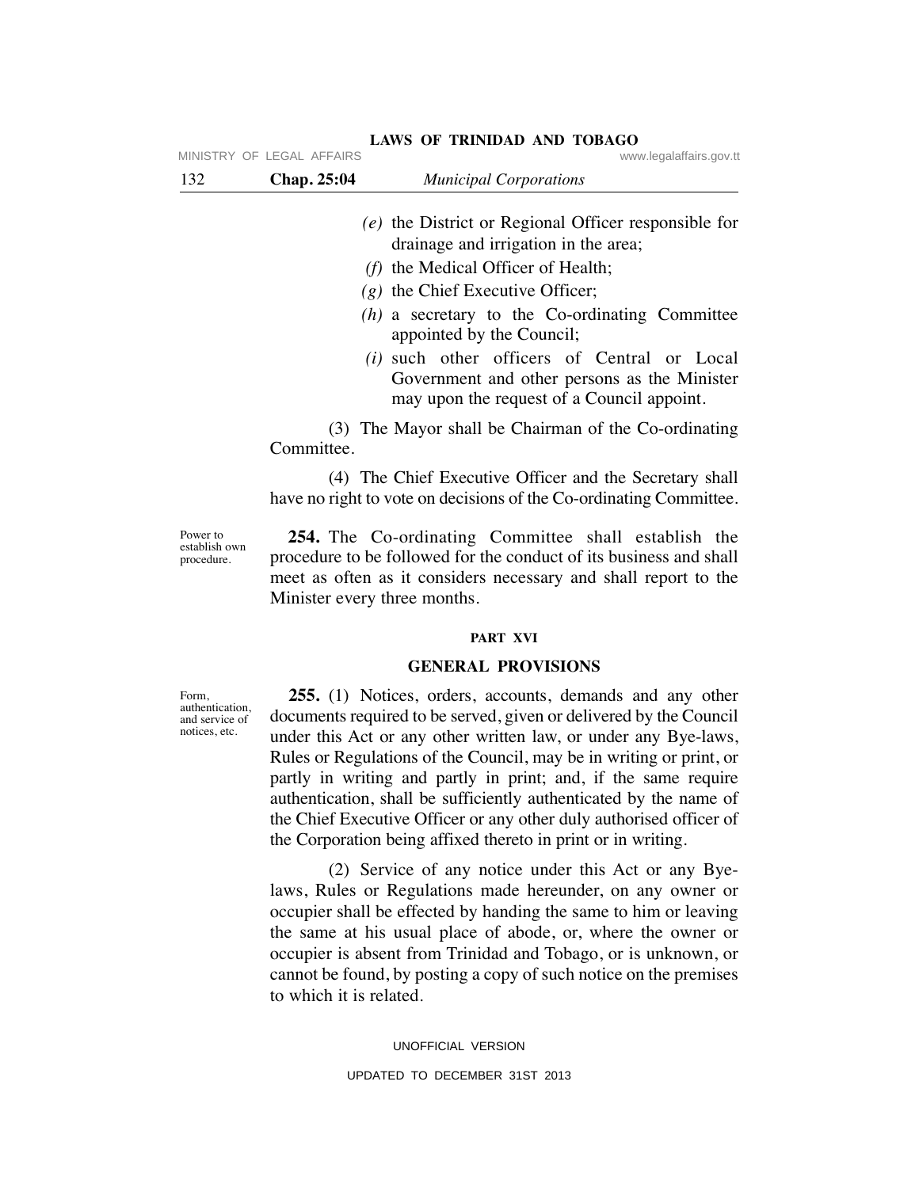|     | MINISTRY OF LEGAL AFFAIRS | www.legalaffairs.gov.tt                                                                                                                                                                                                                                                                                                                                                                                             |
|-----|---------------------------|---------------------------------------------------------------------------------------------------------------------------------------------------------------------------------------------------------------------------------------------------------------------------------------------------------------------------------------------------------------------------------------------------------------------|
| 132 | Chap. 25:04               | <b>Municipal Corporations</b>                                                                                                                                                                                                                                                                                                                                                                                       |
|     |                           | $(e)$ the District or Regional Officer responsible for<br>drainage and irrigation in the area;<br>$(f)$ the Medical Officer of Health;<br>$(g)$ the Chief Executive Officer;<br>$(h)$ a secretary to the Co-ordinating Committee<br>appointed by the Council;<br>( <i>i</i> ) such other officers of Central or Local<br>Government and other persons as the Minister<br>may upon the request of a Council appoint. |
|     | Committee.                | (3) The Mayor shall be Chairman of the Co-ordinating                                                                                                                                                                                                                                                                                                                                                                |
|     |                           | (4) The Chief Executive Officer and the Secretary shall                                                                                                                                                                                                                                                                                                                                                             |

Power to establish own procedure.

 **254.** The Co-ordinating Committee shall establish the procedure to be followed for the conduct of its business and shall meet as often as it considers necessary and shall report to the Minister every three months.

have no right to vote on decisions of the Co-ordinating Committee.

# **PART XVI**

# **GENERAL PROVISIONS**

 **255.** (1) Notices, orders, accounts, demands and any other documents required to be served, given or delivered by the Council under this Act or any other written law, or under any Bye-laws, Rules or Regulations of the Council, may be in writing or print, or partly in writing and partly in print; and, if the same require authentication, shall be sufficiently authenticated by the name of the Chief Executive Officer or any other duly authorised officer of the Corporation being affixed thereto in print or in writing.

 (2) Service of any notice under this Act or any Byelaws, Rules or Regulations made hereunder, on any owner or occupier shall be effected by handing the same to him or leaving the same at his usual place of abode, or, where the owner or occupier is absent from Trinidad and Tobago, or is unknown, or cannot be found, by posting a copy of such notice on the premises to which it is related.

> UNOFFICIAL VERSION UPDATED TO DECEMBER 31ST 2013

Form, authentication, and service of notices, etc.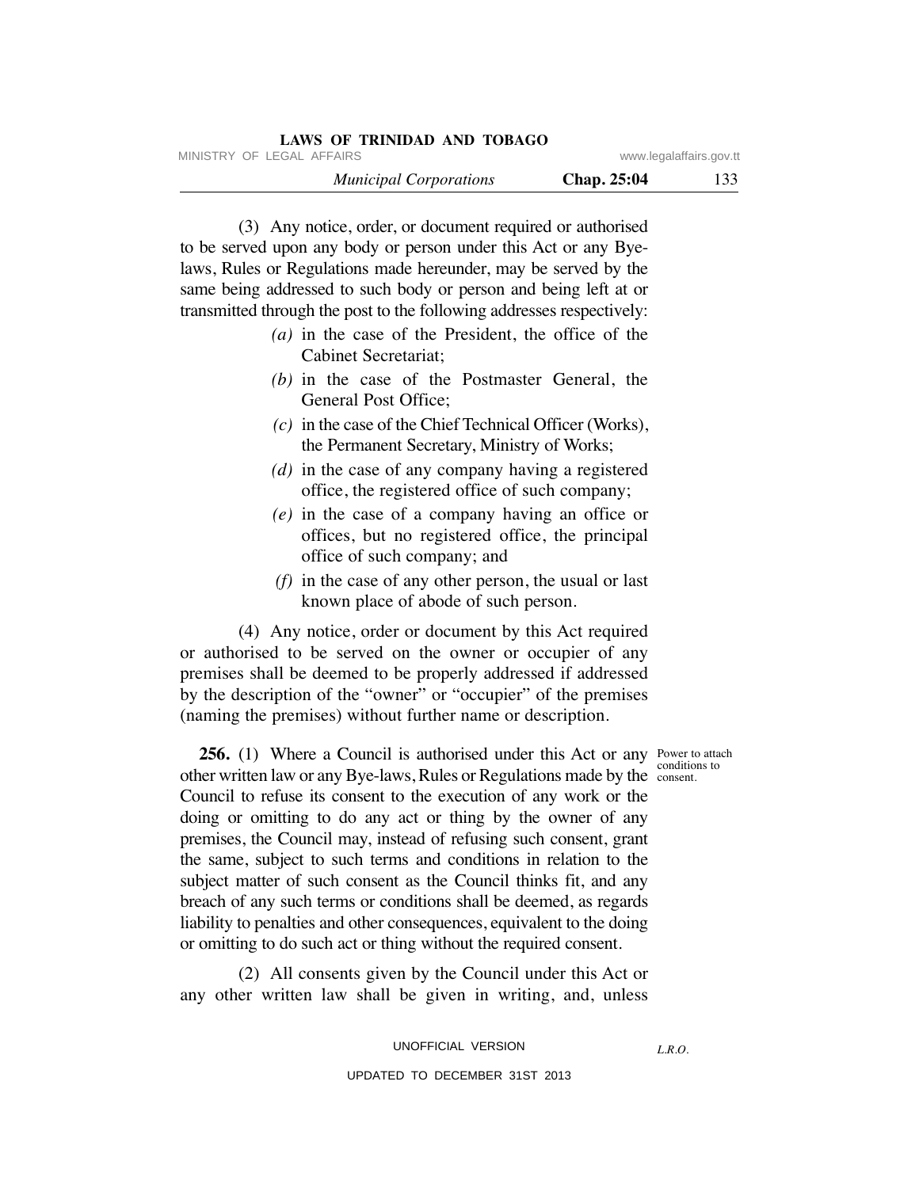| LAWS OF TRINIDAD AND TOBAGO   |             |                         |
|-------------------------------|-------------|-------------------------|
| MINISTRY OF LEGAL AFFAIRS     |             | www.legalaffairs.gov.tt |
| <b>Municipal Corporations</b> | Chap. 25:04 | 133                     |

 (3) Any notice, order, or document required or authorised to be served upon any body or person under this Act or any Byelaws, Rules or Regulations made hereunder, may be served by the same being addressed to such body or person and being left at or transmitted through the post to the following addresses respectively:

- *(a)* in the case of the President, the office of the Cabinet Secretariat;
- *(b)* in the case of the Postmaster General, the General Post Office;
- *(c)* in the case of the Chief Technical Officer (Works), the Permanent Secretary, Ministry of Works;
- *(d)* in the case of any company having a registered office, the registered office of such company;
- *(e)* in the case of a company having an office or offices, but no registered office, the principal office of such company; and
- *(f)* in the case of any other person, the usual or last known place of abode of such person.

 (4) Any notice, order or document by this Act required or authorised to be served on the owner or occupier of any premises shall be deemed to be properly addressed if addressed by the description of the "owner" or "occupier" of the premises (naming the premises) without further name or description.

conditions to

**256.** (1) Where a Council is authorised under this Act or any Power to attach other written law or any Bye-laws, Rules or Regulations made by the consent. Council to refuse its consent to the execution of any work or the doing or omitting to do any act or thing by the owner of any premises, the Council may, instead of refusing such consent, grant the same, subject to such terms and conditions in relation to the subject matter of such consent as the Council thinks fit, and any breach of any such terms or conditions shall be deemed, as regards liability to penalties and other consequences, equivalent to the doing or omitting to do such act or thing without the required consent.

 (2) All consents given by the Council under this Act or any other written law shall be given in writing, and, unless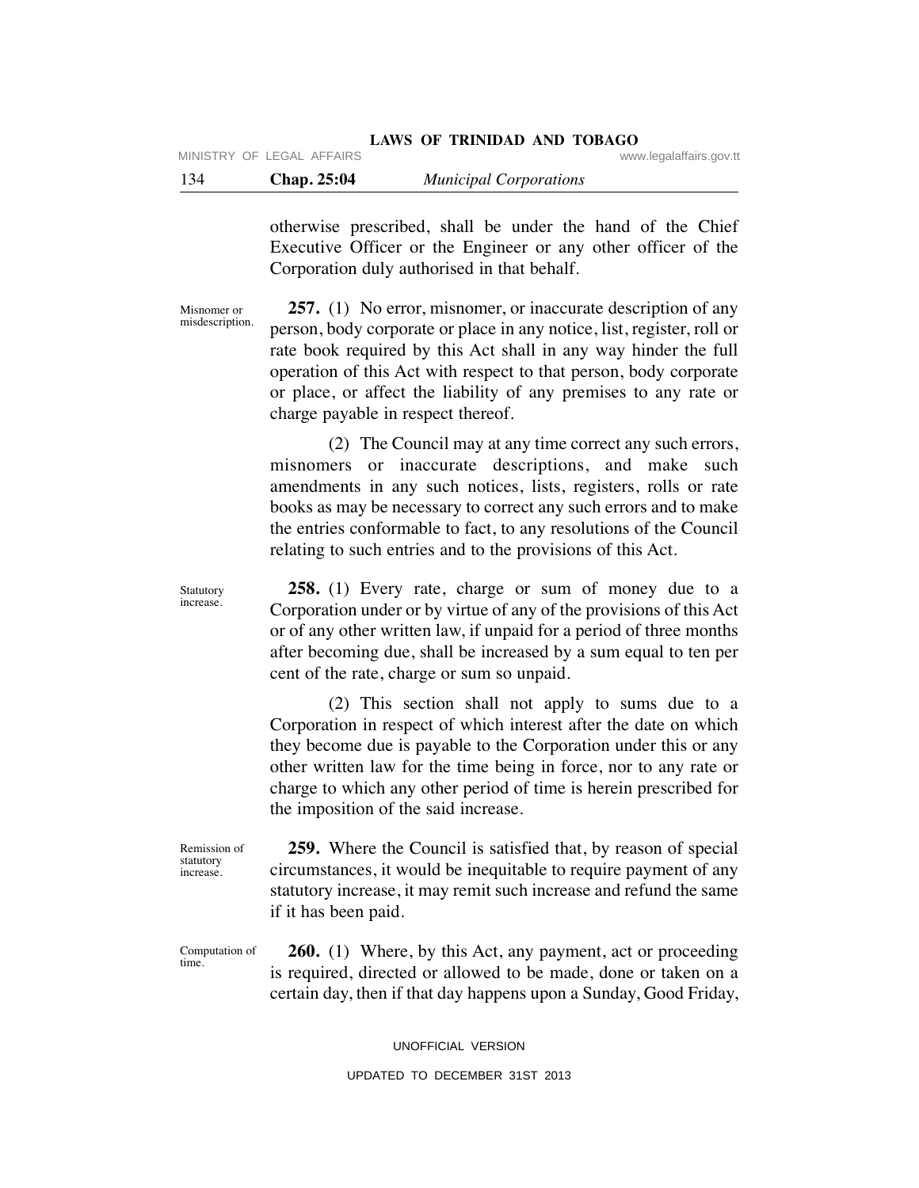otherwise prescribed, shall be under the hand of the Chief Executive Officer or the Engineer or any other officer of the Corporation duly authorised in that behalf.

 **257.** (1) No error, misnomer, or inaccurate description of any person, body corporate or place in any notice, list, register, roll or rate book required by this Act shall in any way hinder the full operation of this Act with respect to that person, body corporate or place, or affect the liability of any premises to any rate or charge payable in respect thereof.

 (2) The Council may at any time correct any such errors, misnomers or inaccurate descriptions, and make such amendments in any such notices, lists, registers, rolls or rate books as may be necessary to correct any such errors and to make the entries conformable to fact, to any resolutions of the Council relating to such entries and to the provisions of this Act.

 **258.** (1) Every rate, charge or sum of money due to a Corporation under or by virtue of any of the provisions of this Act or of any other written law, if unpaid for a period of three months after becoming due, shall be increased by a sum equal to ten per cent of the rate, charge or sum so unpaid.

 (2) This section shall not apply to sums due to a Corporation in respect of which interest after the date on which they become due is payable to the Corporation under this or any other written law for the time being in force, nor to any rate or charge to which any other period of time is herein prescribed for the imposition of the said increase.

 **259.** Where the Council is satisfied that, by reason of special circumstances, it would be inequitable to require payment of any statutory increase, it may remit such increase and refund the same if it has been paid.

Computation of time.

Remission of statutory increase.

> **260.** (1) Where, by this Act, any payment, act or proceeding is required, directed or allowed to be made, done or taken on a certain day, then if that day happens upon a Sunday, Good Friday,

> > UNOFFICIAL VERSION

# UPDATED TO DECEMBER 31ST 2013

Statutory increase.

Misnomer or misdescription.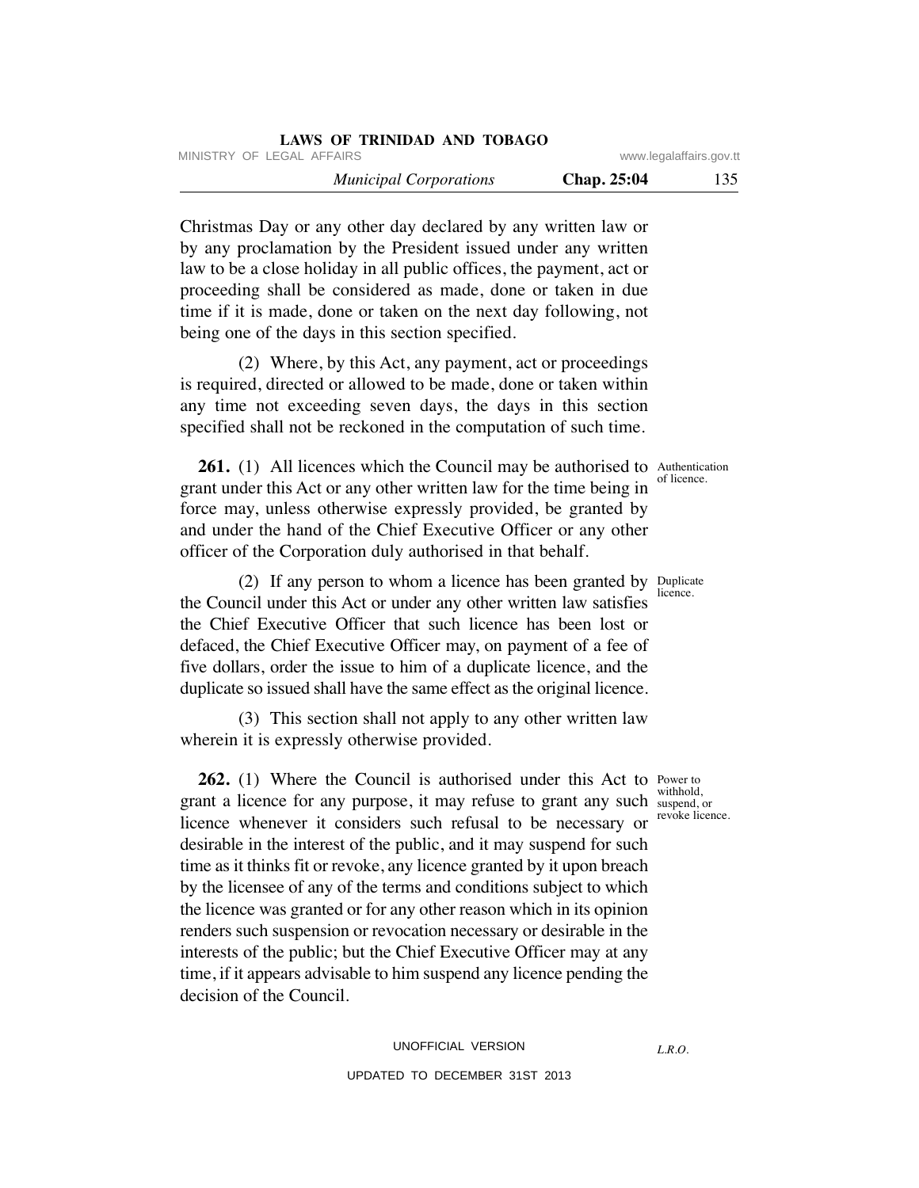|                         | LAWS OF TRINIDAD AND TOBAGO   |
|-------------------------|-------------------------------|
| www.legalaffairs.gov.tt | MINISTRY OF LEGAL AFFAIRS     |
| 135<br>Chap. 25:04      | <b>Municipal Corporations</b> |

Christmas Day or any other day declared by any written law or by any proclamation by the President issued under any written law to be a close holiday in all public offices, the payment, act or proceeding shall be considered as made, done or taken in due time if it is made, done or taken on the next day following, not being one of the days in this section specified.

 (2) Where, by this Act, any payment, act or proceedings is required, directed or allowed to be made, done or taken within any time not exceeding seven days, the days in this section specified shall not be reckoned in the computation of such time.

**261.** (1) All licences which the Council may be authorised to Authentication grant under this Act or any other written law for the time being in force may, unless otherwise expressly provided, be granted by and under the hand of the Chief Executive Officer or any other officer of the Corporation duly authorised in that behalf.

(2) If any person to whom a licence has been granted by  $\frac{D_{\text{unplicate}}}{D_{\text{unplicate}}}$ the Council under this Act or under any other written law satisfies the Chief Executive Officer that such licence has been lost or defaced, the Chief Executive Officer may, on payment of a fee of five dollars, order the issue to him of a duplicate licence, and the duplicate so issued shall have the same effect as the original licence.

 (3) This section shall not apply to any other written law wherein it is expressly otherwise provided.

**262.** (1) Where the Council is authorised under this Act to Power to grant a licence for any purpose, it may refuse to grant any such licence whenever it considers such refusal to be necessary or desirable in the interest of the public, and it may suspend for such time as it thinks fit or revoke, any licence granted by it upon breach by the licensee of any of the terms and conditions subject to which the licence was granted or for any other reason which in its opinion renders such suspension or revocation necessary or desirable in the interests of the public; but the Chief Executive Officer may at any time, if it appears advisable to him suspend any licence pending the decision of the Council.

of licence.

licence.

withhold, suspend, or revoke licence.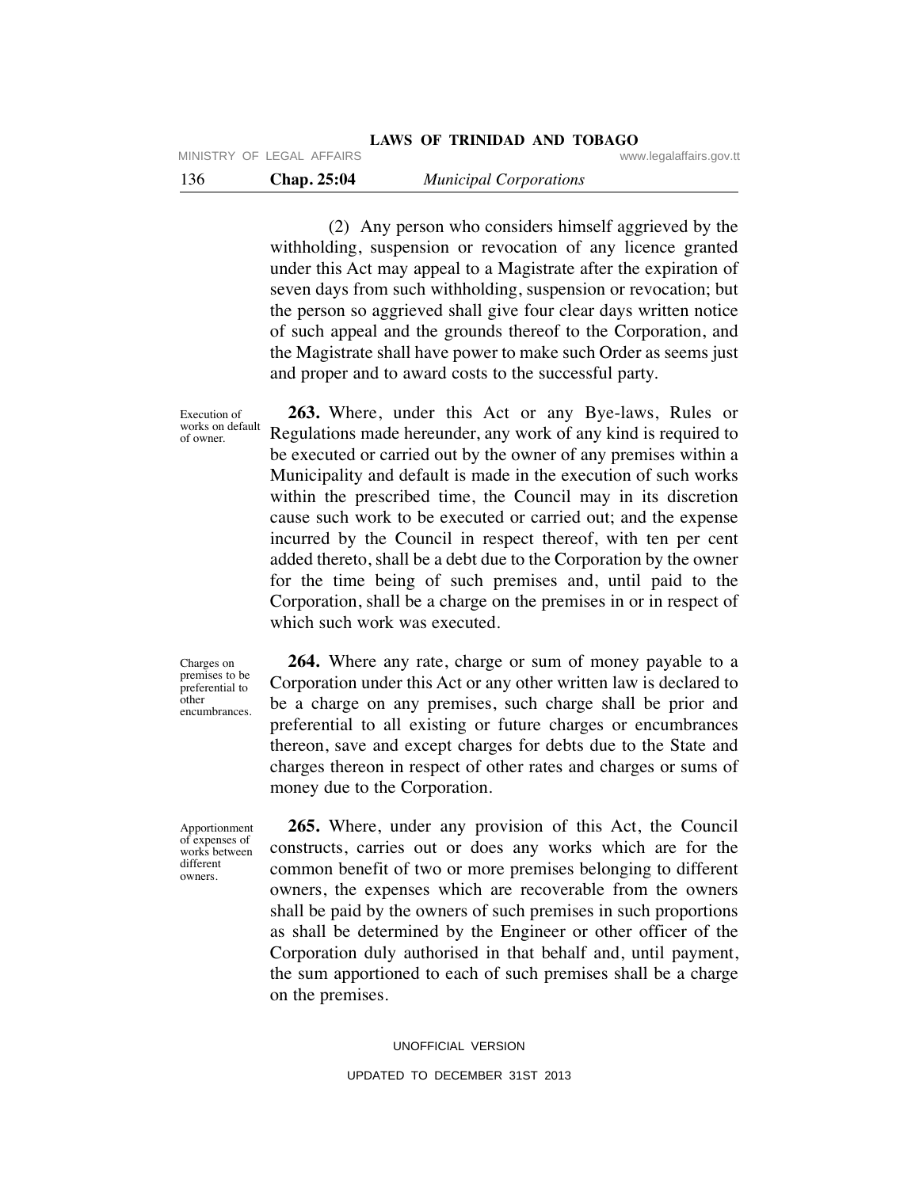(2) Any person who considers himself aggrieved by the withholding, suspension or revocation of any licence granted under this Act may appeal to a Magistrate after the expiration of seven days from such withholding, suspension or revocation; but the person so aggrieved shall give four clear days written notice of such appeal and the grounds thereof to the Corporation, and the Magistrate shall have power to make such Order as seems just and proper and to award costs to the successful party.

Execution of works on default of owner.

 **263.** Where, under this Act or any Bye-laws, Rules or Regulations made hereunder, any work of any kind is required to be executed or carried out by the owner of any premises within a Municipality and default is made in the execution of such works within the prescribed time, the Council may in its discretion cause such work to be executed or carried out; and the expense incurred by the Council in respect thereof, with ten per cent added thereto, shall be a debt due to the Corporation by the owner for the time being of such premises and, until paid to the Corporation, shall be a charge on the premises in or in respect of which such work was executed.

Charges on premises to be preferential to other encumbrances.

 **264.** Where any rate, charge or sum of money payable to a Corporation under this Act or any other written law is declared to be a charge on any premises, such charge shall be prior and preferential to all existing or future charges or encumbrances thereon, save and except charges for debts due to the State and charges thereon in respect of other rates and charges or sums of money due to the Corporation.

 **265.** Where, under any provision of this Act, the Council constructs, carries out or does any works which are for the common benefit of two or more premises belonging to different owners, the expenses which are recoverable from the owners shall be paid by the owners of such premises in such proportions as shall be determined by the Engineer or other officer of the Corporation duly authorised in that behalf and, until payment, the sum apportioned to each of such premises shall be a charge on the premises.

UNOFFICIAL VERSION

UPDATED TO DECEMBER 31ST 2013

Apportionment of expenses of works between different owners.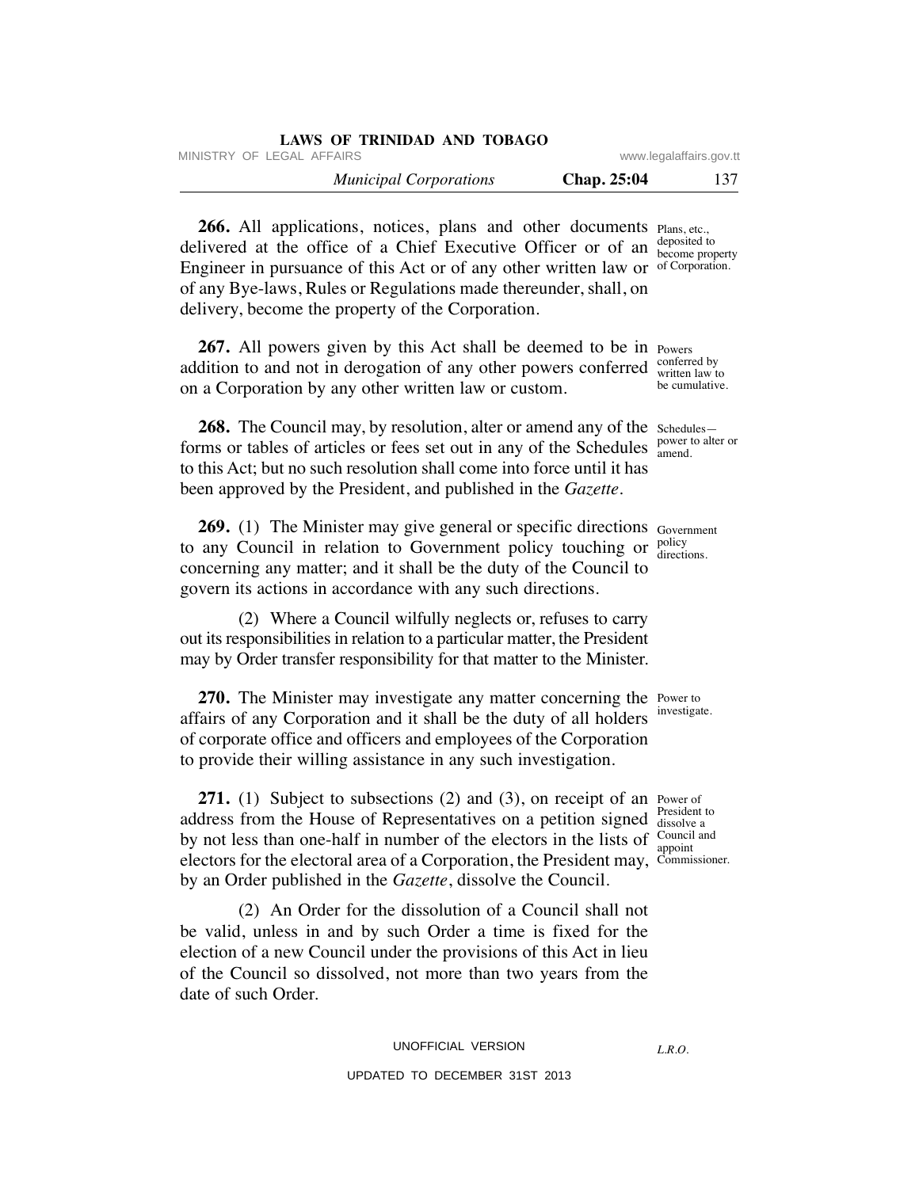|                           | LAWS OF TRINIDAD AND TOBAGO   |
|---------------------------|-------------------------------|
| www.legalaffairs.gov.tt   | MINISTRY OF LEGAL AFFAIRS     |
| 137<br><b>Chap.</b> 25:04 | <b>Municipal Corporations</b> |

266. All applications, notices, plans and other documents Plans, etc., delivered at the office of a Chief Executive Officer or of an  $\frac{deposited}{become non}$ Engineer in pursuance of this Act or of any other written law or of Corporation. of any Bye-laws, Rules or Regulations made thereunder, shall, on delivery, become the property of the Corporation.

**267.** All powers given by this Act shall be deemed to be in Powers addition to and not in derogation of any other powers conferred  $\frac{\text{conferred by}}{\text{written law}}$ on a Corporation by any other written law or custom.

**268.** The Council may, by resolution, alter or amend any of the schedulesforms or tables of articles or fees set out in any of the Schedules power to alter or to this Act; but no such resolution shall come into force until it has been approved by the President, and published in the *Gazette.*

**269.** (1) The Minister may give general or specific directions Government to any Council in relation to Government policy touching or  $_{\text{direct}}^{\text{policy}}$ concerning any matter; and it shall be the duty of the Council to govern its actions in accordance with any such directions.

 (2) Where a Council wilfully neglects or, refuses to carry out its responsibilities in relation to a particular matter, the President may by Order transfer responsibility for that matter to the Minister.

**270.** The Minister may investigate any matter concerning the Power to affairs of any Corporation and it shall be the duty of all holders of corporate office and officers and employees of the Corporation to provide their willing assistance in any such investigation.

**271.** (1) Subject to subsections (2) and (3), on receipt of an Power of address from the House of Representatives on a petition signed President to by not less than one-half in number of the electors in the lists of  $\frac{C_{\text{cuncil and}}}{\text{anpoint}}$ electors for the electoral area of a Corporation, the President may, Commissioner. by an Order published in the *Gazette*, dissolve the Council.

 (2) An Order for the dissolution of a Council shall not be valid, unless in and by such Order a time is fixed for the election of a new Council under the provisions of this Act in lieu of the Council so dissolved, not more than two years from the date of such Order.

> UNOFFICIAL VERSION UPDATED TO DECEMBER 31ST 2013

become property

written law to be cumulative.

amend.

directions.

investigate.

dissolve a appoint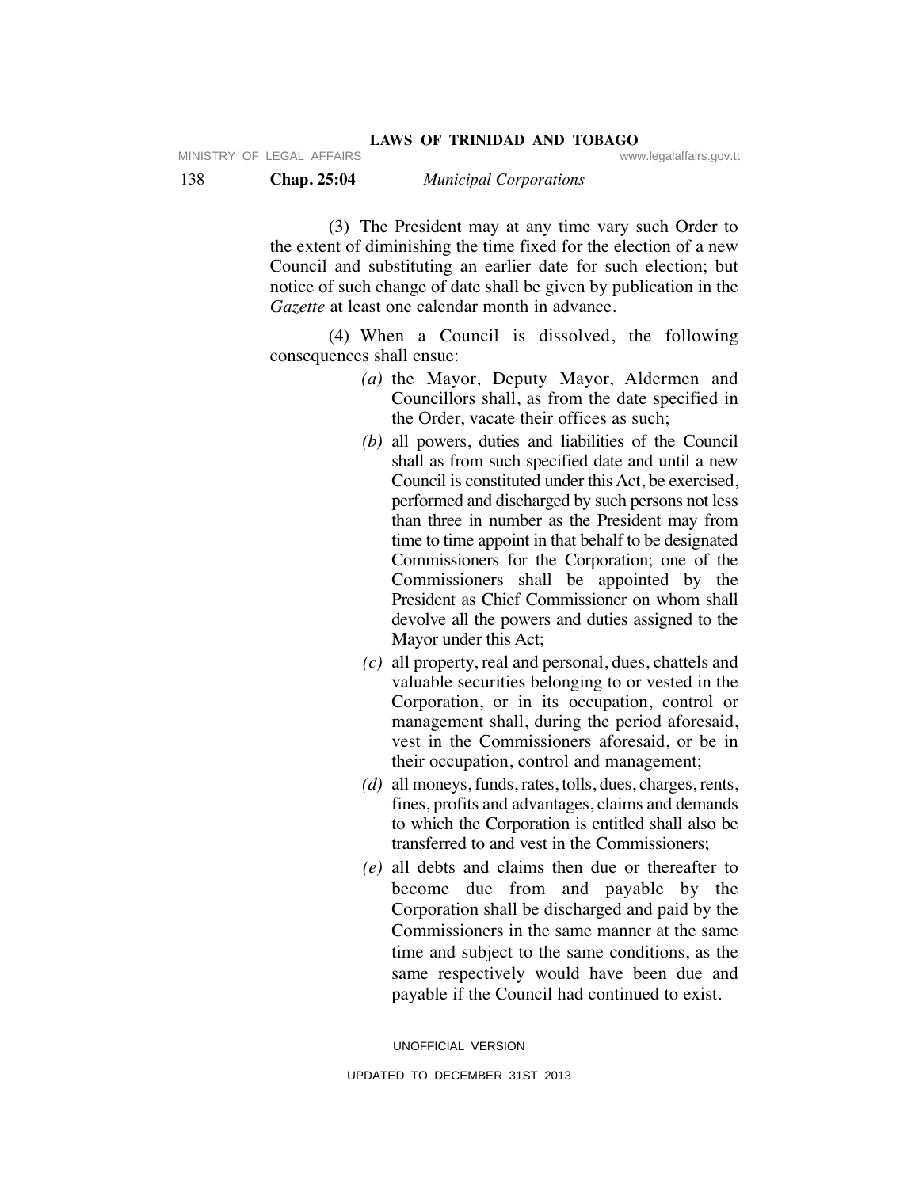(3) The President may at any time vary such Order to the extent of diminishing the time fixed for the election of a new Council and substituting an earlier date for such election; but notice of such change of date shall be given by publication in the *Gazette* at least one calendar month in advance.

 (4) When a Council is dissolved, the following consequences shall ensue:

- *(a)* the Mayor, Deputy Mayor, Aldermen and Councillors shall, as from the date specified in the Order, vacate their offices as such;
- *(b)* all powers, duties and liabilities of the Council shall as from such specified date and until a new Council is constituted under this Act, be exercised, performed and discharged by such persons not less than three in number as the President may from time to time appoint in that behalf to be designated Commissioners for the Corporation; one of the Commissioners shall be appointed by the President as Chief Commissioner on whom shall devolve all the powers and duties assigned to the Mayor under this Act;
- *(c)* all property, real and personal, dues, chattels and valuable securities belonging to or vested in the Corporation, or in its occupation, control or management shall, during the period aforesaid, vest in the Commissioners aforesaid, or be in their occupation, control and management;
- *(d)* all moneys, funds, rates, tolls, dues, charges, rents, fines, profits and advantages, claims and demands to which the Corporation is entitled shall also be transferred to and vest in the Commissioners;
- *(e)* all debts and claims then due or thereafter to become due from and payable by the Corporation shall be discharged and paid by the Commissioners in the same manner at the same time and subject to the same conditions, as the same respectively would have been due and payable if the Council had continued to exist.

UNOFFICIAL VERSION UPDATED TO DECEMBER 31ST 2013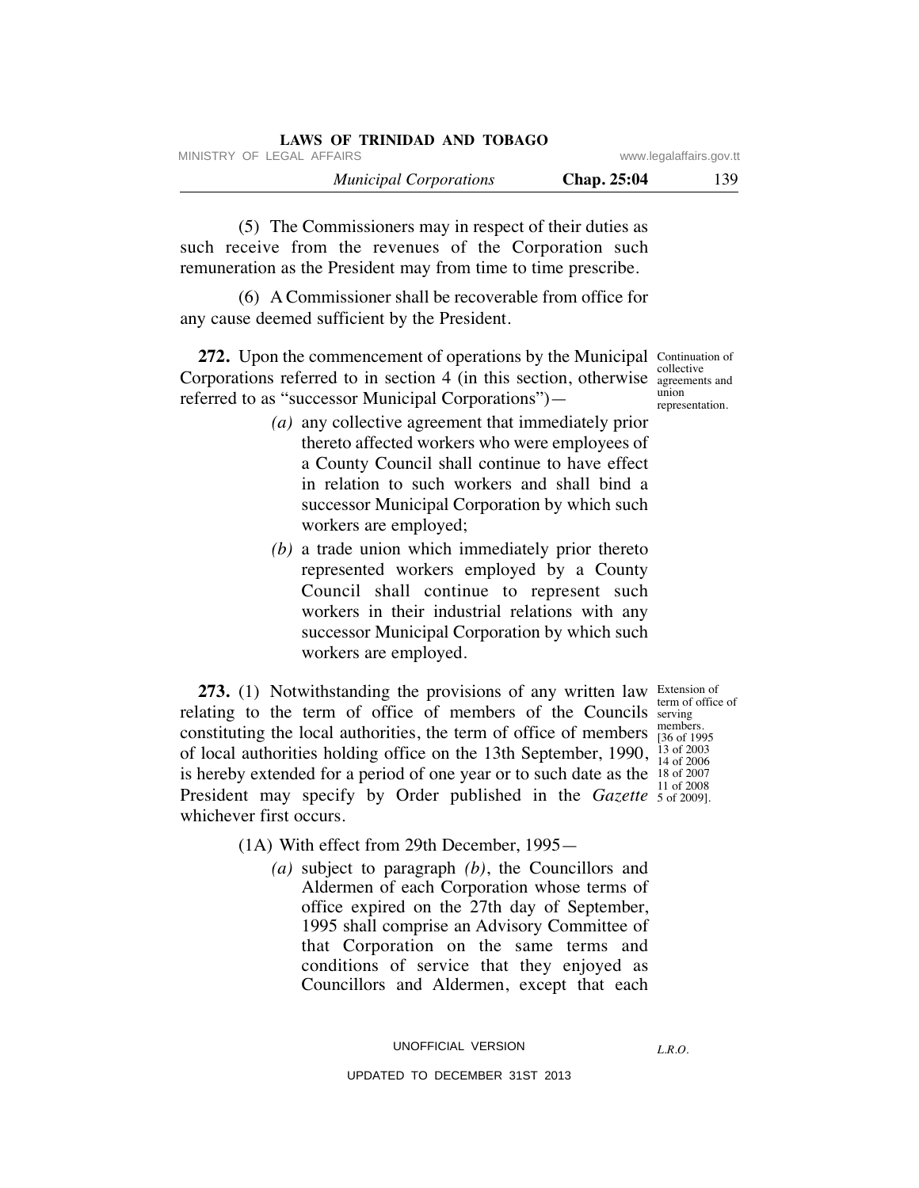| LAWS OF TRINIDAD AND TOBAGO   |                    |                         |
|-------------------------------|--------------------|-------------------------|
| MINISTRY OF LEGAL AFFAIRS     |                    | www.legalaffairs.gov.tt |
| <b>Municipal Corporations</b> | <b>Chap.</b> 25:04 | 139                     |

 (5) The Commissioners may in respect of their duties as such receive from the revenues of the Corporation such remuneration as the President may from time to time prescribe.

 (6) A Commissioner shall be recoverable from office for any cause deemed sufficient by the President.

**272.** Upon the commencement of operations by the Municipal Continuation of Corporations referred to in section  $\frac{1}{4}$  (in this section, otherwise  $\frac{1}{\text{agreement}}$ referred to as "successor Municipal Corporations") agreements and union representation.

- *(a)* any collective agreement that immediately prior thereto affected workers who were employees of a County Council shall continue to have effect in relation to such workers and shall bind a successor Municipal Corporation by which such workers are employed;
- *(b)* a trade union which immediately prior thereto represented workers employed by a County Council shall continue to represent such workers in their industrial relations with any successor Municipal Corporation by which such workers are employed.

**273.** (1) Notwithstanding the provisions of any written law Extension of relating to the term of office of members of the Councils serving constituting the local authorities, the term of office of members  $\frac{\text{members}}{136 \text{ of } 199}$ of local authorities holding office on the 13th September, 1990,  $^{13}_{14}$  of 2003 is hereby extended for a period of one year or to such date as the  $\frac{18}{13}$  of 2007 President may specify by Order published in the *Gazette* 5 of 2009]. whichever first occurs.

term of office of [36 of 1995 14 of 2006 11 of 2008

(1A) With effect from 29th December, 1995—

 *(a)* subject to paragraph *(b)*, the Councillors and Aldermen of each Corporation whose terms of office expired on the 27th day of September, 1995 shall comprise an Advisory Committee of that Corporation on the same terms and conditions of service that they enjoyed as Councillors and Aldermen, except that each

UNOFFICIAL VERSION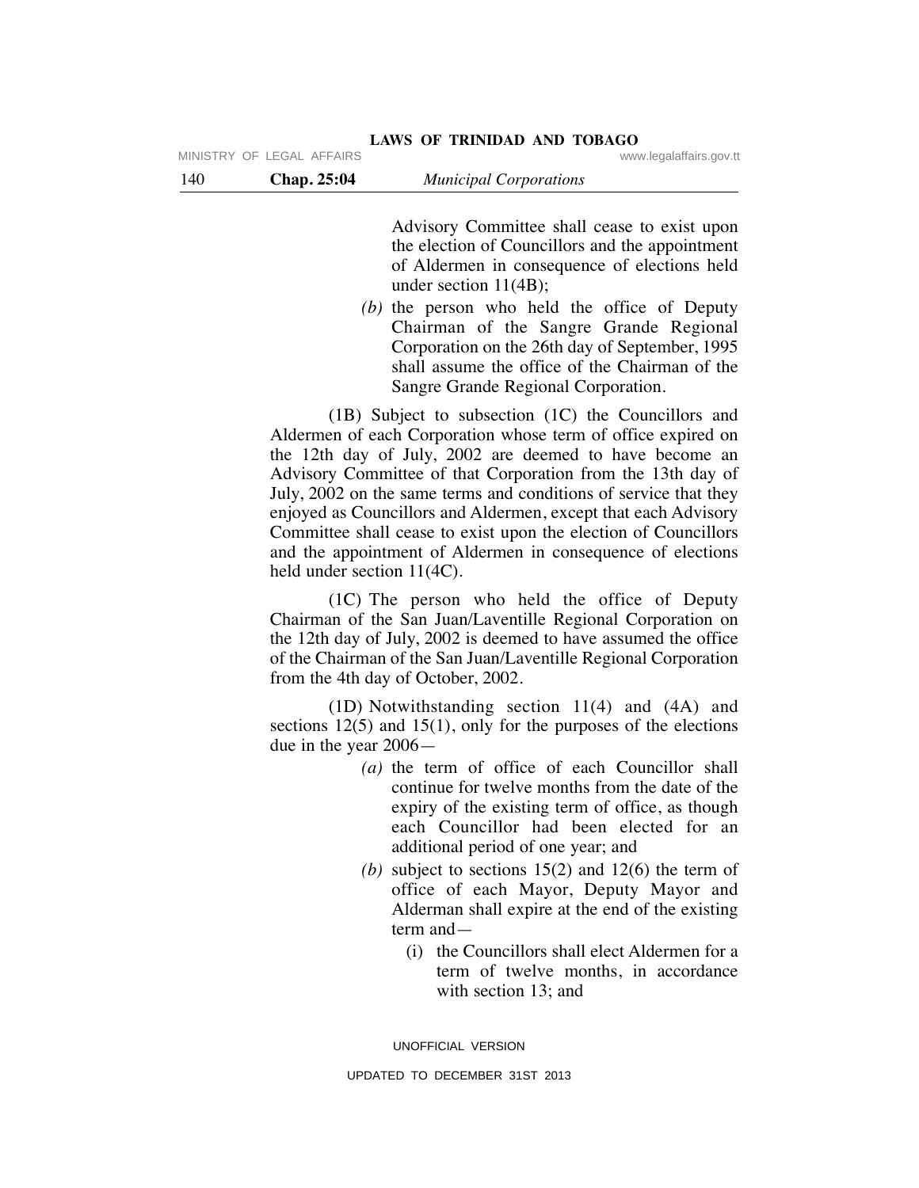Advisory Committee shall cease to exist upon the election of Councillors and the appointment of Aldermen in consequence of elections held under section 11(4B);

 *(b)* the person who held the office of Deputy Chairman of the Sangre Grande Regional Corporation on the 26th day of September, 1995 shall assume the office of the Chairman of the Sangre Grande Regional Corporation.

 (1B) Subject to subsection (1C) the Councillors and Aldermen of each Corporation whose term of office expired on the 12th day of July, 2002 are deemed to have become an Advisory Committee of that Corporation from the 13th day of July, 2002 on the same terms and conditions of service that they enjoyed as Councillors and Aldermen, except that each Advisory Committee shall cease to exist upon the election of Councillors and the appointment of Aldermen in consequence of elections held under section 11(4C).

 (1C) The person who held the office of Deputy Chairman of the San Juan/Laventille Regional Corporation on the 12th day of July, 2002 is deemed to have assumed the office of the Chairman of the San Juan/Laventille Regional Corporation from the 4th day of October, 2002.

 (1D) Notwithstanding section 11(4) and (4A) and sections  $12(5)$  and  $15(1)$ , only for the purposes of the elections due in the year 2006—

- *(a)* the term of office of each Councillor shall continue for twelve months from the date of the expiry of the existing term of office, as though each Councillor had been elected for an additional period of one year; and
- (b) subject to sections  $15(2)$  and  $12(6)$  the term of office of each Mayor, Deputy Mayor and Alderman shall expire at the end of the existing term and—
	- (i) the Councillors shall elect Aldermen for a term of twelve months, in accordance with section 13; and

UNOFFICIAL VERSION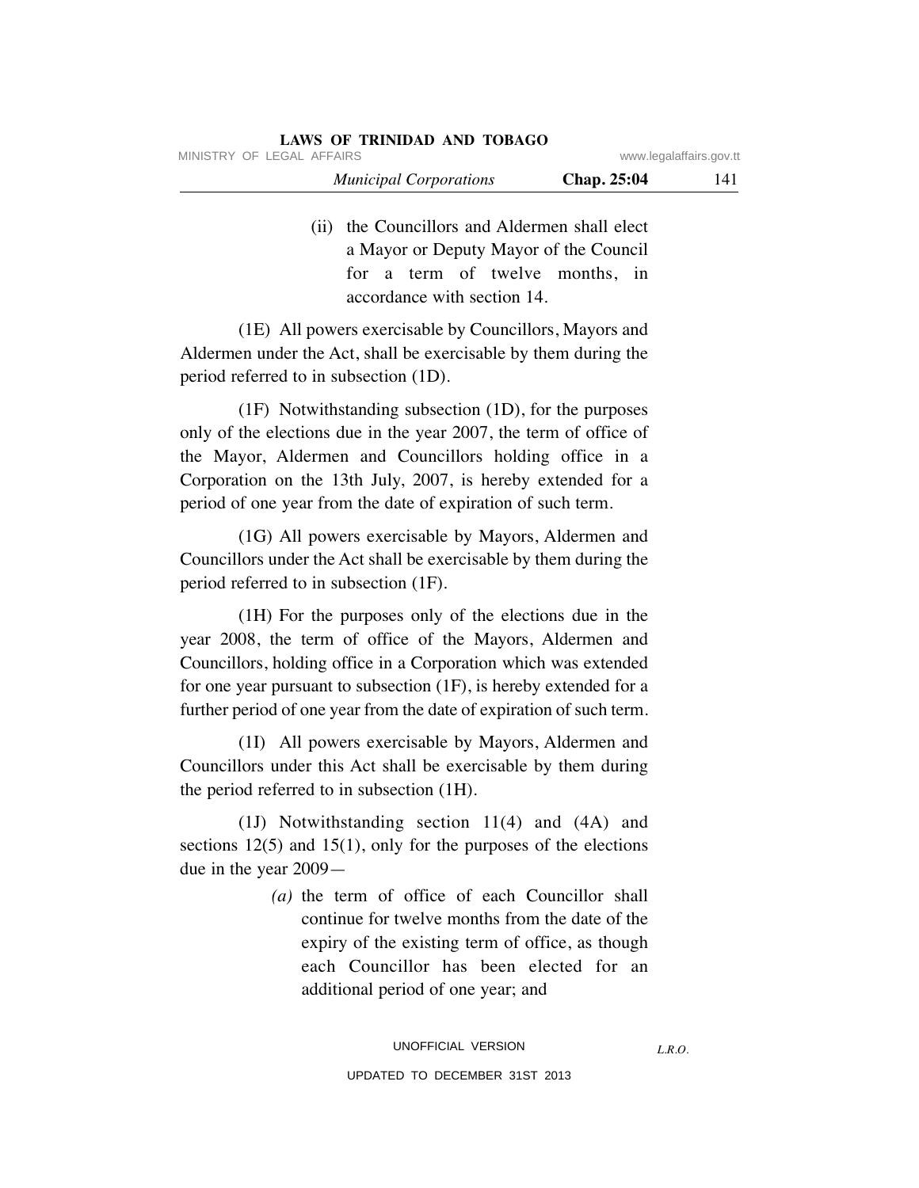| LAWS OF TRINIDAD AND TOBAGO   |             |                         |
|-------------------------------|-------------|-------------------------|
| MINISTRY OF LEGAL AFFAIRS     |             | www.legalaffairs.gov.tt |
| <b>Municipal Corporations</b> | Chap. 25:04 | 141                     |

 (ii) the Councillors and Aldermen shall elect a Mayor or Deputy Mayor of the Council for a term of twelve months, in accordance with section 14.

 (1E) All powers exercisable by Councillors, Mayors and Aldermen under the Act, shall be exercisable by them during the period referred to in subsection (1D).

 (1F) Notwithstanding subsection (1D), for the purposes only of the elections due in the year 2007, the term of office of the Mayor, Aldermen and Councillors holding office in a Corporation on the 13th July, 2007, is hereby extended for a period of one year from the date of expiration of such term.

 (1G) All powers exercisable by Mayors, Aldermen and Councillors under the Act shall be exercisable by them during the period referred to in subsection (1F).

 (1H) For the purposes only of the elections due in the year 2008, the term of office of the Mayors, Aldermen and Councillors, holding office in a Corporation which was extended for one year pursuant to subsection (1F), is hereby extended for a further period of one year from the date of expiration of such term.

 (1I) All powers exercisable by Mayors, Aldermen and Councillors under this Act shall be exercisable by them during the period referred to in subsection (1H).

 (1J) Notwithstanding section 11(4) and (4A) and sections  $12(5)$  and  $15(1)$ , only for the purposes of the elections due in the year 2009—

> *(a)* the term of office of each Councillor shall continue for twelve months from the date of the expiry of the existing term of office, as though each Councillor has been elected for an additional period of one year; and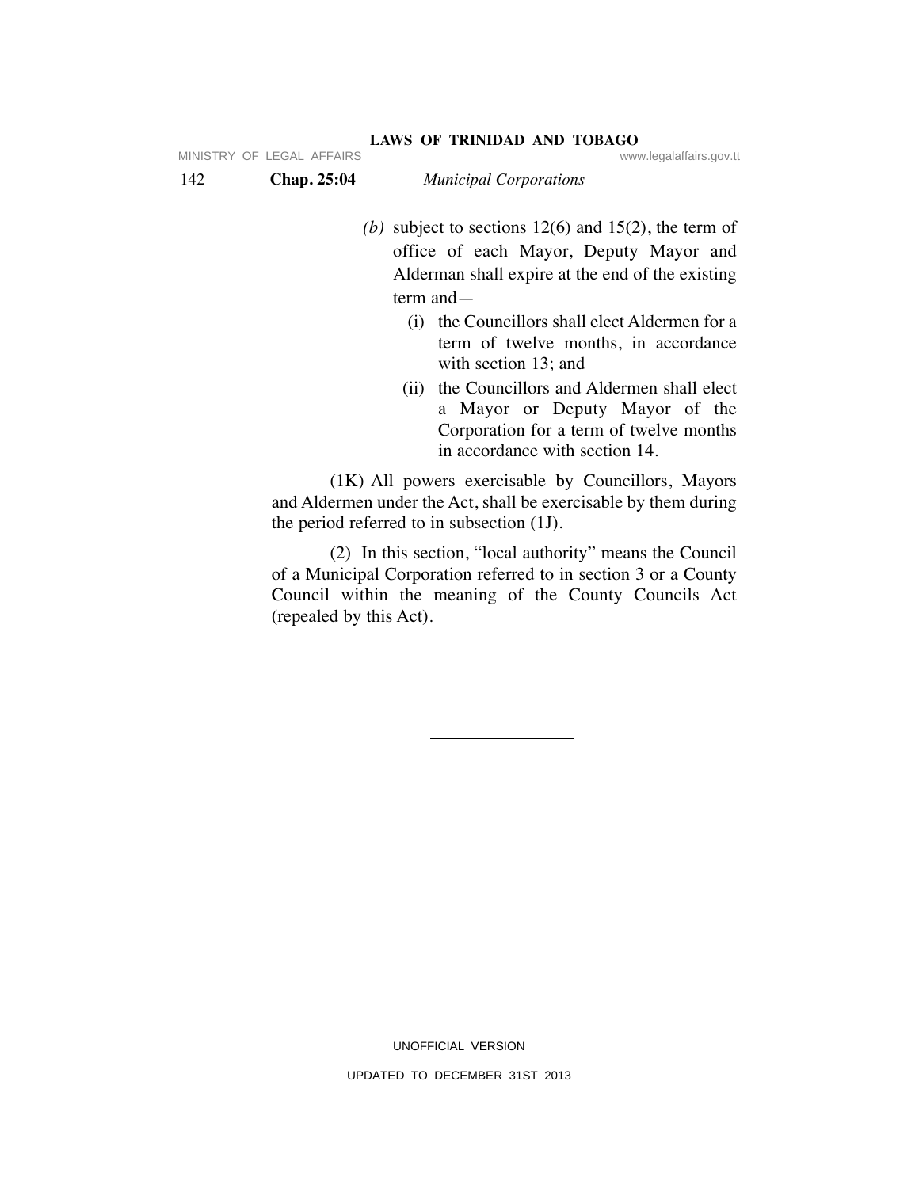| 142 | Chap. 25:04                                                                                                                                                         | <b>Municipal Corporations</b>                                                                                                                                           |  |
|-----|---------------------------------------------------------------------------------------------------------------------------------------------------------------------|-------------------------------------------------------------------------------------------------------------------------------------------------------------------------|--|
|     |                                                                                                                                                                     | (b) subject to sections $12(6)$ and $15(2)$ , the term of<br>office of each Mayor, Deputy Mayor and<br>Alderman shall expire at the end of the existing<br>term and $-$ |  |
|     |                                                                                                                                                                     | the Councillors shall elect Aldermen for a<br>(i)<br>term of twelve months, in accordance<br>with section 13; and                                                       |  |
|     |                                                                                                                                                                     | (ii) the Councillors and Aldermen shall elect<br>a Mayor or Deputy Mayor of the<br>Corporation for a term of twelve months<br>in accordance with section 14.            |  |
|     | (1K) All powers exercisable by Councillors, Mayors<br>and Aldermen under the Act, shall be exercisable by them during<br>the period referred to in subsection (1J). |                                                                                                                                                                         |  |

 (2) In this section, "local authority" means the Council of a Municipal Corporation referred to in section 3 or a County Council within the meaning of the County Councils Act (repealed by this Act).

| MINISTRY OF LEGAL AFFAIRS | www.legalaffairs.gov.tt |
|---------------------------|-------------------------|
|                           |                         |

**LAWS OF TRINIDAD AND TOBAGO**

UNOFFICIAL VERSION UPDATED TO DECEMBER 31ST 2013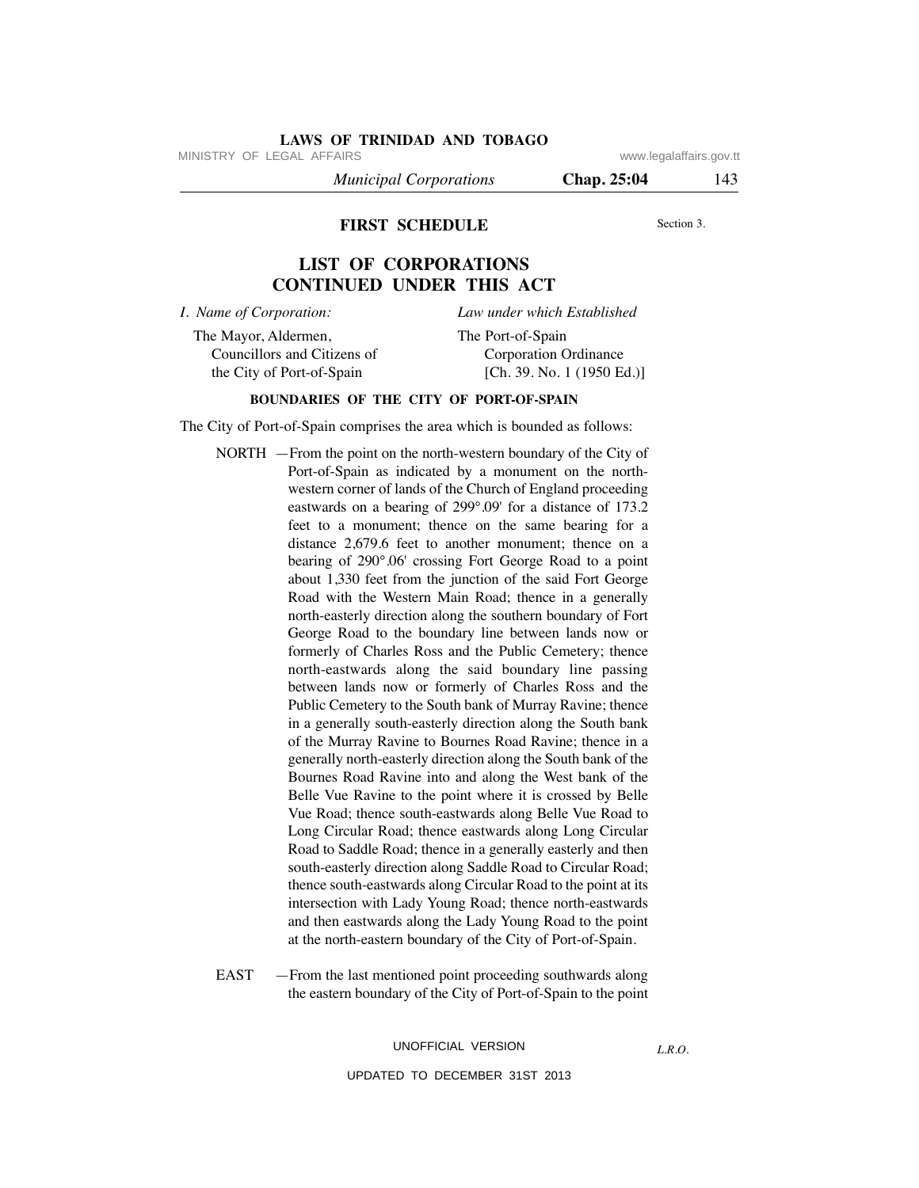MINISTRY OF LEGAL AFFAIRS **WWW.ISONS** www.legalaffairs.gov.tt

 *Municipal Corporations* **Chap. 25:04** 143

**FIRST SCHEDULE**

Section 3.

# **LIST OF CORPORATIONS CONTINUED UNDER THIS ACT**

*I. Name of Corporation:*

*Law under which Established*

The Mayor, Aldermen, Councillors and Citizens of the City of Port-of-Spain

The Port-of-Spain Corporation Ordinance [Ch. 39. No. 1 (1950 Ed.)]

## **BOUNDARIES OF THE CITY OF PORT-OF-SPAIN**

The City of Port-of-Spain comprises the area which is bounded as follows:

- NORTH —From the point on the north-western boundary of the City of Port-of-Spain as indicated by a monument on the northwestern corner of lands of the Church of England proceeding eastwards on a bearing of 299°.09' for a distance of 173.2 feet to a monument; thence on the same bearing for a distance 2,679.6 feet to another monument; thence on a bearing of 290°.06' crossing Fort George Road to a point about 1,330 feet from the junction of the said Fort George Road with the Western Main Road; thence in a generally north-easterly direction along the southern boundary of Fort George Road to the boundary line between lands now or formerly of Charles Ross and the Public Cemetery; thence north-eastwards along the said boundary line passing between lands now or formerly of Charles Ross and the Public Cemetery to the South bank of Murray Ravine; thence in a generally south-easterly direction along the South bank of the Murray Ravine to Bournes Road Ravine; thence in a generally north-easterly direction along the South bank of the Bournes Road Ravine into and along the West bank of the Belle Vue Ravine to the point where it is crossed by Belle Vue Road; thence south-eastwards along Belle Vue Road to Long Circular Road; thence eastwards along Long Circular Road to Saddle Road; thence in a generally easterly and then south-easterly direction along Saddle Road to Circular Road; thence south-eastwards along Circular Road to the point at its intersection with Lady Young Road; thence north-eastwards and then eastwards along the Lady Young Road to the point at the north-eastern boundary of the City of Port-of-Spain.
- EAST —From the last mentioned point proceeding southwards along the eastern boundary of the City of Port-of-Spain to the point

UNOFFICIAL VERSION

UPDATED TO DECEMBER 31ST 2013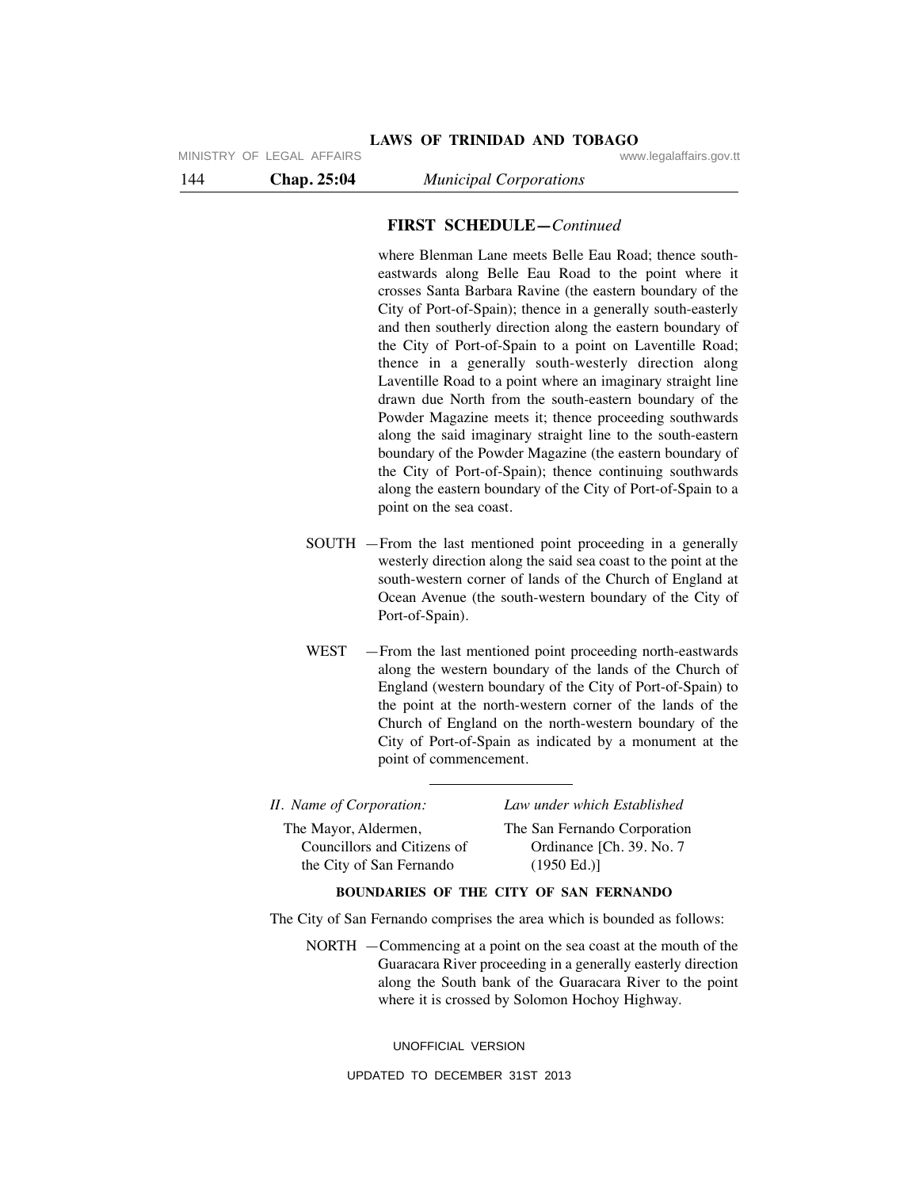144 **Chap. 25:04** *Municipal Corporations*

# **FIRST SCHEDULE—***Continued*

where Blenman Lane meets Belle Eau Road; thence southeastwards along Belle Eau Road to the point where it crosses Santa Barbara Ravine (the eastern boundary of the City of Port-of-Spain); thence in a generally south-easterly and then southerly direction along the eastern boundary of the City of Port-of-Spain to a point on Laventille Road; thence in a generally south-westerly direction along Laventille Road to a point where an imaginary straight line drawn due North from the south-eastern boundary of the Powder Magazine meets it; thence proceeding southwards along the said imaginary straight line to the south-eastern boundary of the Powder Magazine (the eastern boundary of the City of Port-of-Spain); thence continuing southwards along the eastern boundary of the City of Port-of-Spain to a point on the sea coast.

- SOUTH —From the last mentioned point proceeding in a generally westerly direction along the said sea coast to the point at the south-western corner of lands of the Church of England at Ocean Avenue (the south-western boundary of the City of Port-of-Spain).
- WEST From the last mentioned point proceeding north-eastwards along the western boundary of the lands of the Church of England (western boundary of the City of Port-of-Spain) to the point at the north-western corner of the lands of the Church of England on the north-western boundary of the City of Port-of-Spain as indicated by a monument at the point of commencement.

| II. Name of Corporation: | Law under which Established |
|--------------------------|-----------------------------|
|                          |                             |

The Mayor, Aldermen, Councillors and Citizens of the City of San Fernando

The San Fernando Corporation Ordinance [Ch. 39. No. 7 (1950 Ed.)]

# **BOUNDARIES OF THE CITY OF SAN FERNANDO**

The City of San Fernando comprises the area which is bounded as follows:

NORTH —Commencing at a point on the sea coast at the mouth of the Guaracara River proceeding in a generally easterly direction along the South bank of the Guaracara River to the point where it is crossed by Solomon Hochoy Highway.

UNOFFICIAL VERSION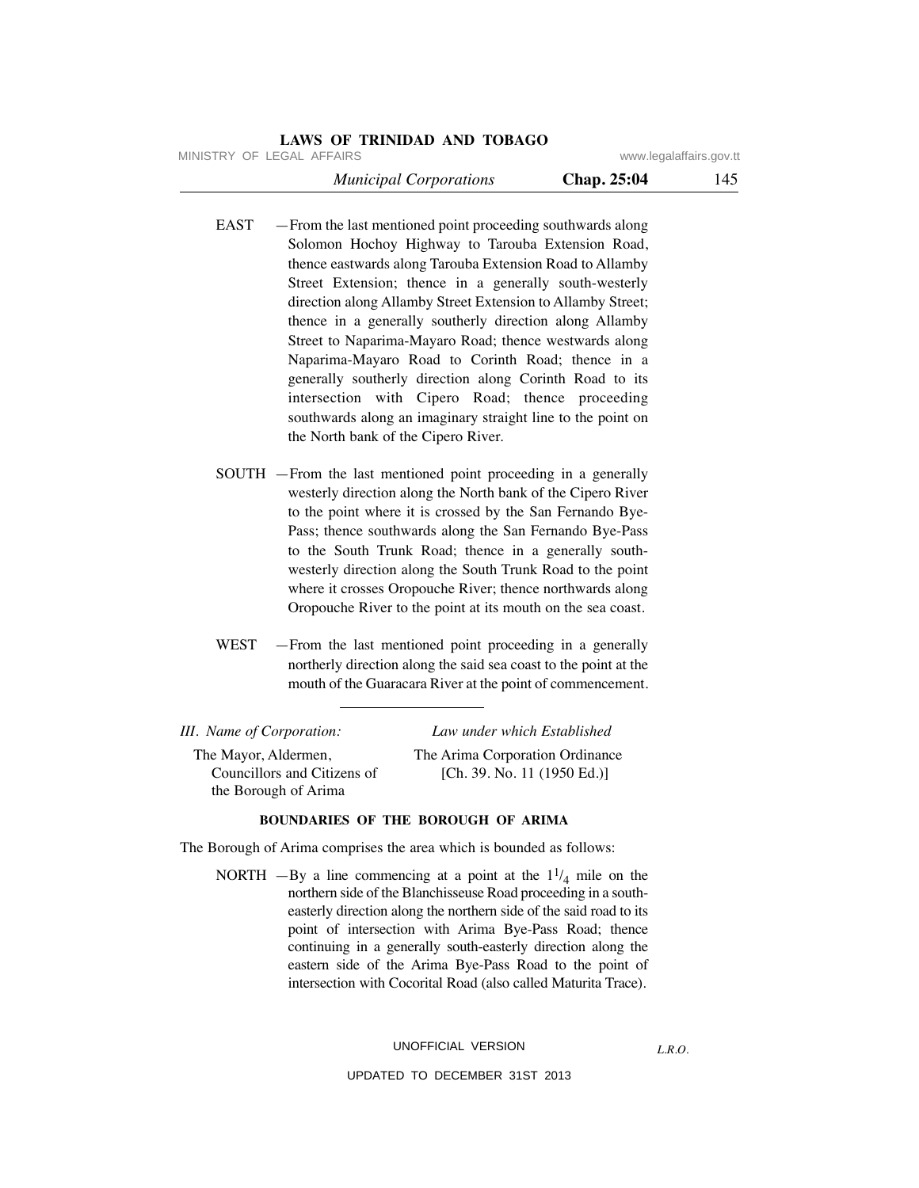MINISTRY OF LEGAL AFFAIRS **WWW.ISONS** www.legalaffairs.gov.tt

 *Municipal Corporations* **Chap. 25:04** 145

- EAST From the last mentioned point proceeding southwards along Solomon Hochoy Highway to Tarouba Extension Road, thence eastwards along Tarouba Extension Road to Allamby Street Extension; thence in a generally south-westerly direction along Allamby Street Extension to Allamby Street; thence in a generally southerly direction along Allamby Street to Naparima-Mayaro Road; thence westwards along Naparima-Mayaro Road to Corinth Road; thence in a generally southerly direction along Corinth Road to its intersection with Cipero Road; thence proceeding southwards along an imaginary straight line to the point on the North bank of the Cipero River.
- SOUTH —From the last mentioned point proceeding in a generally westerly direction along the North bank of the Cipero River to the point where it is crossed by the San Fernando Bye-Pass; thence southwards along the San Fernando Bye-Pass to the South Trunk Road; thence in a generally southwesterly direction along the South Trunk Road to the point where it crosses Oropouche River; thence northwards along Oropouche River to the point at its mouth on the sea coast.
- WEST —From the last mentioned point proceeding in a generally northerly direction along the said sea coast to the point at the mouth of the Guaracara River at the point of commencement.

| III. Name of Corporation:   | Law under which Established     |
|-----------------------------|---------------------------------|
| The Mayor, Aldermen,        | The Arima Corporation Ordinance |
| Councillors and Citizens of | [Ch. 39. No. 11 $(1950$ Ed.)]   |
| the Borough of Arima        |                                 |

#### **BOUNDARIES OF THE BOROUGH OF ARIMA**

The Borough of Arima comprises the area which is bounded as follows:

NORTH  $-By$  a line commencing at a point at the  $1^{1/4}$  mile on the northern side of the Blanchisseuse Road proceeding in a southeasterly direction along the northern side of the said road to its point of intersection with Arima Bye-Pass Road; thence continuing in a generally south-easterly direction along the eastern side of the Arima Bye-Pass Road to the point of intersection with Cocorital Road (also called Maturita Trace).

# UNOFFICIAL VERSION

*L.R.O.*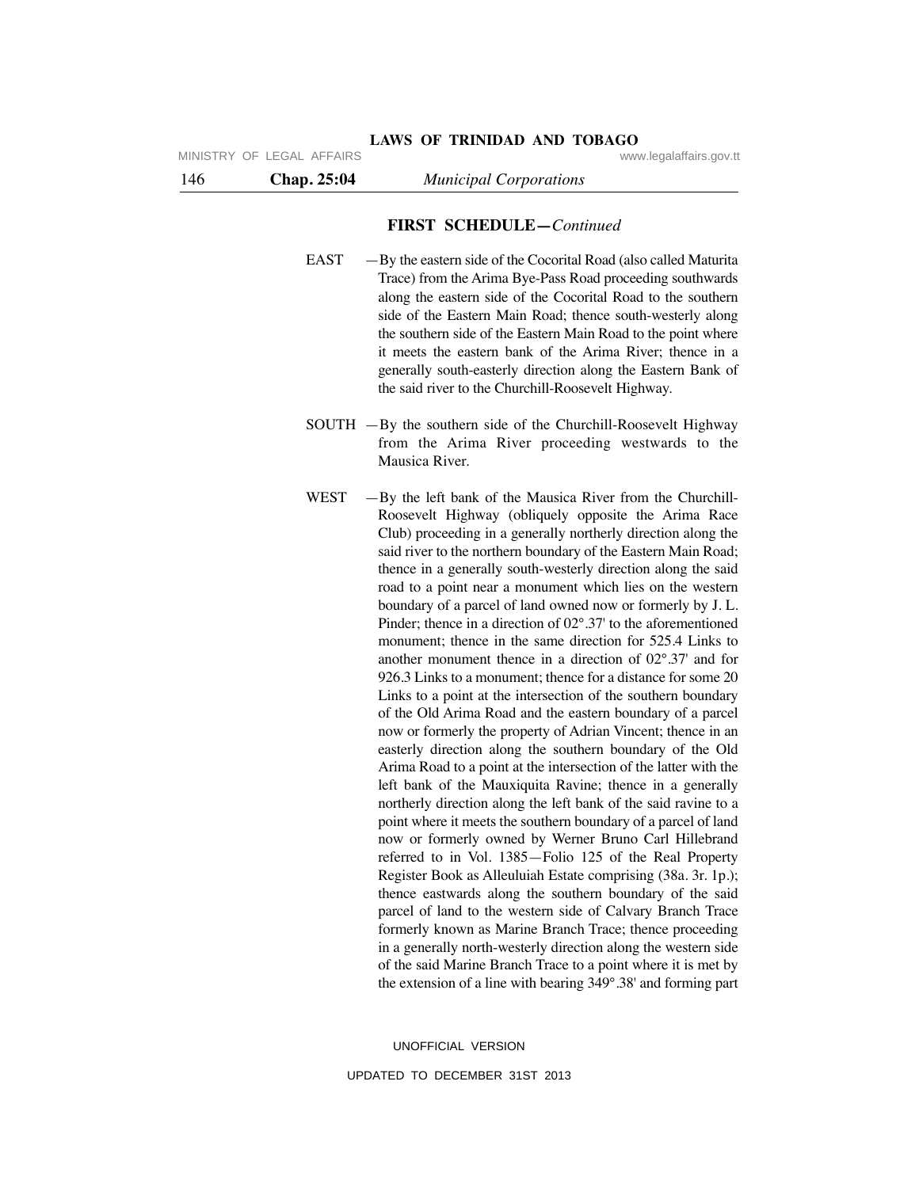# **FIRST SCHEDULE—***Continued*

**LAWS OF TRINIDAD AND TOBAGO**

- EAST —By the eastern side of the Cocorital Road (also called Maturita Trace) from the Arima Bye-Pass Road proceeding southwards along the eastern side of the Cocorital Road to the southern side of the Eastern Main Road; thence south-westerly along the southern side of the Eastern Main Road to the point where it meets the eastern bank of the Arima River; thence in a generally south-easterly direction along the Eastern Bank of the said river to the Churchill-Roosevelt Highway.
- SOUTH —By the southern side of the Churchill-Roosevelt Highway from the Arima River proceeding westwards to the Mausica River.
- WEST By the left bank of the Mausica River from the Churchill-Roosevelt Highway (obliquely opposite the Arima Race Club) proceeding in a generally northerly direction along the said river to the northern boundary of the Eastern Main Road; thence in a generally south-westerly direction along the said road to a point near a monument which lies on the western boundary of a parcel of land owned now or formerly by J. L. Pinder; thence in a direction of 02°.37' to the aforementioned monument; thence in the same direction for 525.4 Links to another monument thence in a direction of 02°.37' and for 926.3 Links to a monument; thence for a distance for some 20 Links to a point at the intersection of the southern boundary of the Old Arima Road and the eastern boundary of a parcel now or formerly the property of Adrian Vincent; thence in an easterly direction along the southern boundary of the Old Arima Road to a point at the intersection of the latter with the left bank of the Mauxiquita Ravine; thence in a generally northerly direction along the left bank of the said ravine to a point where it meets the southern boundary of a parcel of land now or formerly owned by Werner Bruno Carl Hillebrand referred to in Vol. 1385—Folio 125 of the Real Property Register Book as Alleuluiah Estate comprising (38a. 3r. 1p.); thence eastwards along the southern boundary of the said parcel of land to the western side of Calvary Branch Trace formerly known as Marine Branch Trace; thence proceeding in a generally north-westerly direction along the western side of the said Marine Branch Trace to a point where it is met by the extension of a line with bearing 349°.38' and forming part

UNOFFICIAL VERSION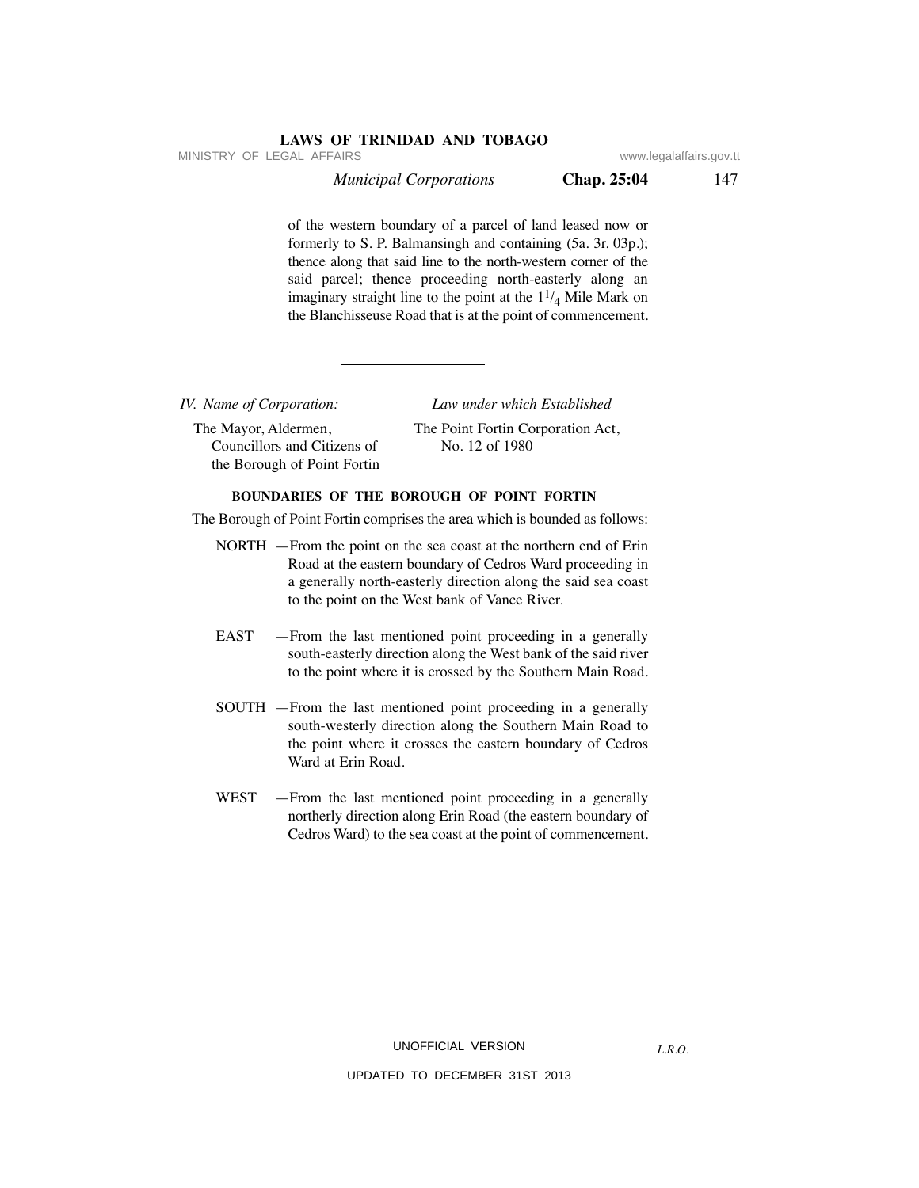MINISTRY OF LEGAL AFFAIRS **WWW.ISONS** www.legalaffairs.gov.tt

| <b>Municipal Corporations</b> | Chap. 25:04 | 147 |
|-------------------------------|-------------|-----|
|-------------------------------|-------------|-----|

of the western boundary of a parcel of land leased now or formerly to S. P. Balmansingh and containing (5a. 3r. 03p.); thence along that said line to the north-western corner of the said parcel; thence proceeding north-easterly along an imaginary straight line to the point at the  $1<sup>1</sup>/<sub>4</sub>$  Mile Mark on the Blanchisseuse Road that is at the point of commencement.

*IV. Name of Corporation:*

The Mayor, Aldermen, Councillors and Citizens of the Borough of Point Fortin

 *Law under which Established* The Point Fortin Corporation Act,

No. 12 of 1980

# **BOUNDARIES OF THE BOROUGH OF POINT FORTIN**

The Borough of Point Fortin comprises the area which is bounded as follows:

- NORTH —From the point on the sea coast at the northern end of Erin Road at the eastern boundary of Cedros Ward proceeding in a generally north-easterly direction along the said sea coast to the point on the West bank of Vance River.
- EAST —From the last mentioned point proceeding in a generally south-easterly direction along the West bank of the said river to the point where it is crossed by the Southern Main Road.
- SOUTH —From the last mentioned point proceeding in a generally south-westerly direction along the Southern Main Road to the point where it crosses the eastern boundary of Cedros Ward at Erin Road.
- WEST From the last mentioned point proceeding in a generally northerly direction along Erin Road (the eastern boundary of Cedros Ward) to the sea coast at the point of commencement.

UNOFFICIAL VERSION

*L.R.O.*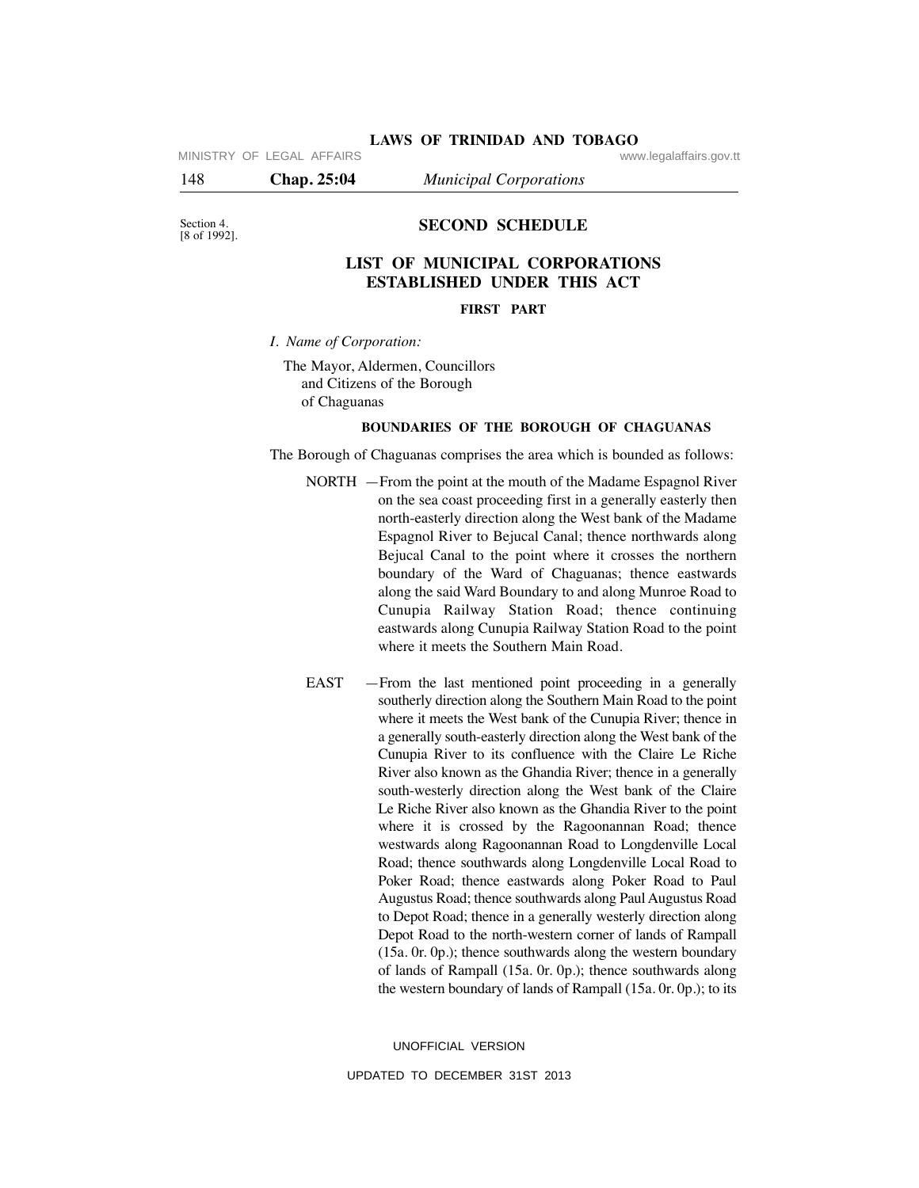MINISTRY OF LEGAL AFFAIRS **WARE ACCOMPTED MINISTRY** OF LEGAL AFFAIRS

148 **Chap. 25:04** *Municipal Corporations*

Section 4.<br>[8 of 1992].

# **SECOND SCHEDULE**

# **LIST OF MUNICIPAL CORPORATIONS ESTABLISHED UNDER THIS ACT**

### **FIRST PART**

*I. Name of Corporation:*

The Mayor, Aldermen, Councillors and Citizens of the Borough of Chaguanas

#### **BOUNDARIES OF THE BOROUGH OF CHAGUANAS**

The Borough of Chaguanas comprises the area which is bounded as follows:

- NORTH —From the point at the mouth of the Madame Espagnol River on the sea coast proceeding first in a generally easterly then north-easterly direction along the West bank of the Madame Espagnol River to Bejucal Canal; thence northwards along Bejucal Canal to the point where it crosses the northern boundary of the Ward of Chaguanas; thence eastwards along the said Ward Boundary to and along Munroe Road to Cunupia Railway Station Road; thence continuing eastwards along Cunupia Railway Station Road to the point where it meets the Southern Main Road.
- EAST —From the last mentioned point proceeding in a generally southerly direction along the Southern Main Road to the point where it meets the West bank of the Cunupia River; thence in a generally south-easterly direction along the West bank of the Cunupia River to its confluence with the Claire Le Riche River also known as the Ghandia River; thence in a generally south-westerly direction along the West bank of the Claire Le Riche River also known as the Ghandia River to the point where it is crossed by the Ragoonannan Road; thence westwards along Ragoonannan Road to Longdenville Local Road; thence southwards along Longdenville Local Road to Poker Road; thence eastwards along Poker Road to Paul Augustus Road; thence southwards along Paul Augustus Road to Depot Road; thence in a generally westerly direction along Depot Road to the north-western corner of lands of Rampall (15a. 0r. 0p.); thence southwards along the western boundary of lands of Rampall (15a. 0r. 0p.); thence southwards along the western boundary of lands of Rampall (15a. 0r. 0p.); to its

UNOFFICIAL VERSION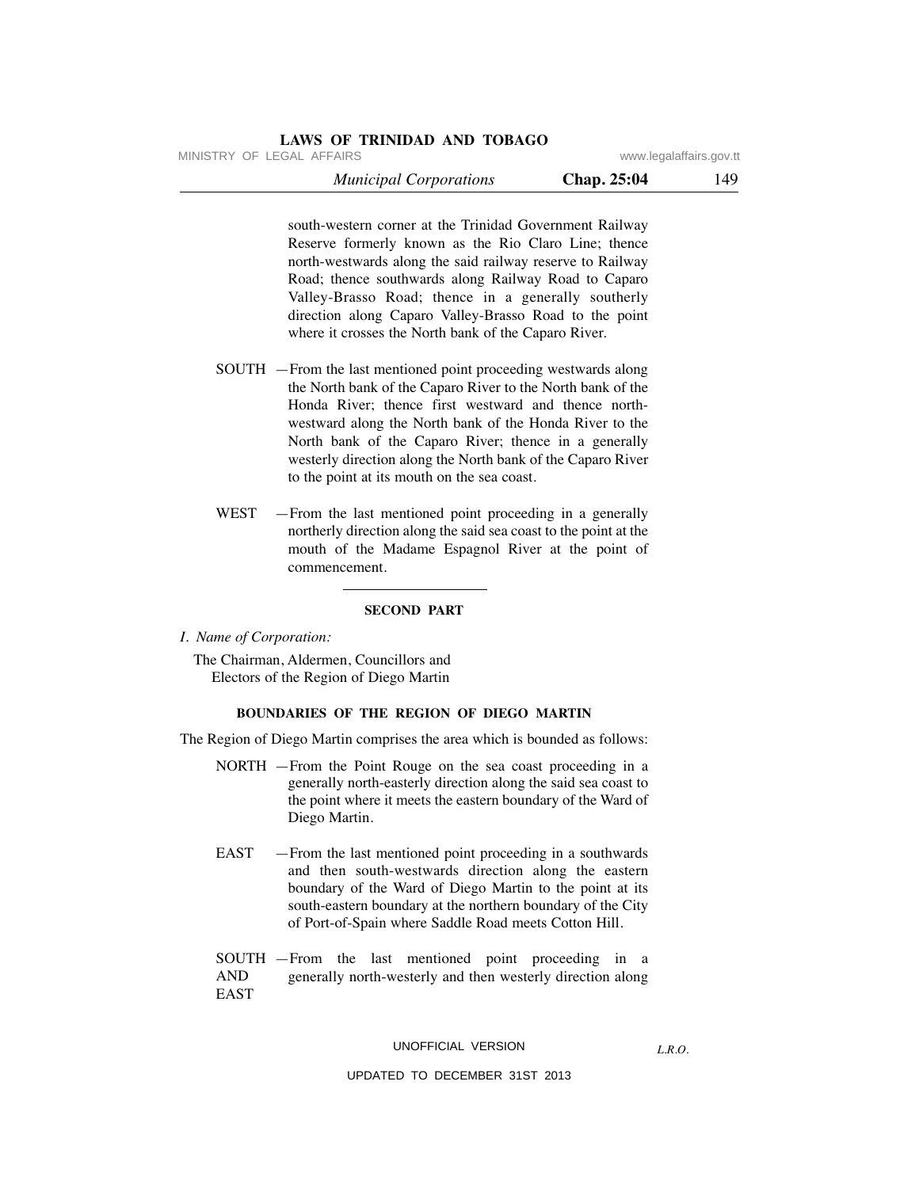MINISTRY OF LEGAL AFFAIRS **WWW.ISONS** www.legalaffairs.gov.tt

| <b>Municipal Corporations</b> | Chap. 25:04 | 149 |
|-------------------------------|-------------|-----|
|-------------------------------|-------------|-----|

south-western corner at the Trinidad Government Railway Reserve formerly known as the Rio Claro Line; thence north-westwards along the said railway reserve to Railway Road; thence southwards along Railway Road to Caparo Valley-Brasso Road; thence in a generally southerly direction along Caparo Valley-Brasso Road to the point where it crosses the North bank of the Caparo River.

- SOUTH —From the last mentioned point proceeding westwards along the North bank of the Caparo River to the North bank of the Honda River; thence first westward and thence northwestward along the North bank of the Honda River to the North bank of the Caparo River; thence in a generally westerly direction along the North bank of the Caparo River to the point at its mouth on the sea coast.
- WEST —From the last mentioned point proceeding in a generally northerly direction along the said sea coast to the point at the mouth of the Madame Espagnol River at the point of commencement.

#### **SECOND PART**

*I. Name of Corporation:*

The Chairman, Aldermen, Councillors and Electors of the Region of Diego Martin

#### **BOUNDARIES OF THE REGION OF DIEGO MARTIN**

The Region of Diego Martin comprises the area which is bounded as follows:

- NORTH —From the Point Rouge on the sea coast proceeding in a generally north-easterly direction along the said sea coast to the point where it meets the eastern boundary of the Ward of Diego Martin.
- EAST —From the last mentioned point proceeding in a southwards and then south-westwards direction along the eastern boundary of the Ward of Diego Martin to the point at its south-eastern boundary at the northern boundary of the City of Port-of-Spain where Saddle Road meets Cotton Hill.

SOUTH —From the last mentioned point proceeding in a AND generally north-westerly and then westerly direction along EAST

### UNOFFICIAL VERSION

*L.R.O.*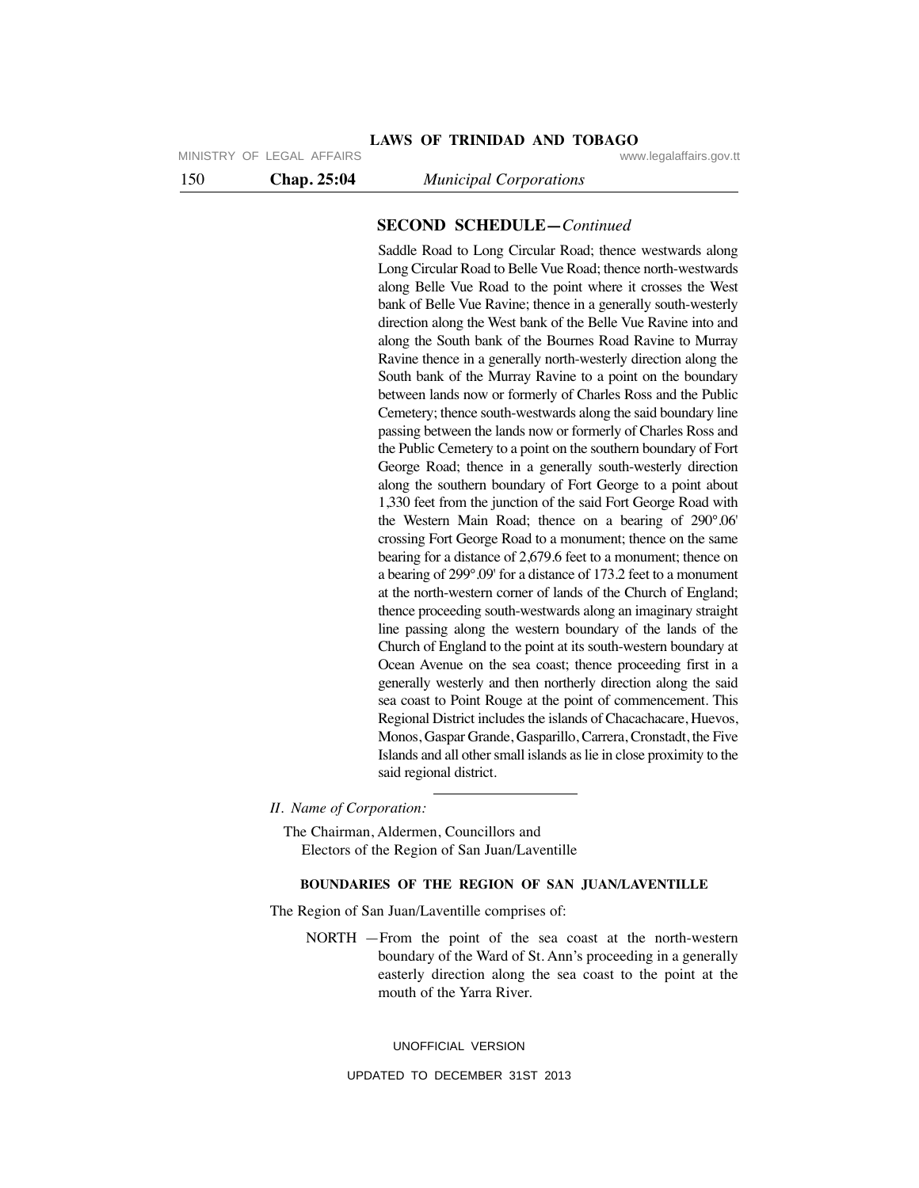MINISTRY OF LEGAL AFFAIRS **WARE ACCOMPTED MINISTRY** OF LEGAL AFFAIRS

150 **Chap. 25:04** *Municipal Corporations*

#### **SECOND SCHEDULE—***Continued*

Saddle Road to Long Circular Road; thence westwards along Long Circular Road to Belle Vue Road; thence north-westwards along Belle Vue Road to the point where it crosses the West bank of Belle Vue Ravine; thence in a generally south-westerly direction along the West bank of the Belle Vue Ravine into and along the South bank of the Bournes Road Ravine to Murray Ravine thence in a generally north-westerly direction along the South bank of the Murray Ravine to a point on the boundary between lands now or formerly of Charles Ross and the Public Cemetery; thence south-westwards along the said boundary line passing between the lands now or formerly of Charles Ross and the Public Cemetery to a point on the southern boundary of Fort George Road; thence in a generally south-westerly direction along the southern boundary of Fort George to a point about 1,330 feet from the junction of the said Fort George Road with the Western Main Road; thence on a bearing of 290°.06' crossing Fort George Road to a monument; thence on the same bearing for a distance of 2,679.6 feet to a monument; thence on a bearing of 299°.09' for a distance of 173.2 feet to a monument at the north-western corner of lands of the Church of England; thence proceeding south-westwards along an imaginary straight line passing along the western boundary of the lands of the Church of England to the point at its south-western boundary at Ocean Avenue on the sea coast; thence proceeding first in a generally westerly and then northerly direction along the said sea coast to Point Rouge at the point of commencement. This Regional District includes the islands of Chacachacare, Huevos, Monos, Gaspar Grande, Gasparillo, Carrera, Cronstadt, the Five Islands and all other small islands as lie in close proximity to the said regional district.

*II. Name of Corporation:*

The Chairman, Aldermen, Councillors and Electors of the Region of San Juan/Laventille

# **BOUNDARIES OF THE REGION OF SAN JUAN/LAVENTILLE**

The Region of San Juan/Laventille comprises of:

NORTH —From the point of the sea coast at the north-western boundary of the Ward of St. Ann's proceeding in a generally easterly direction along the sea coast to the point at the mouth of the Yarra River.

UNOFFICIAL VERSION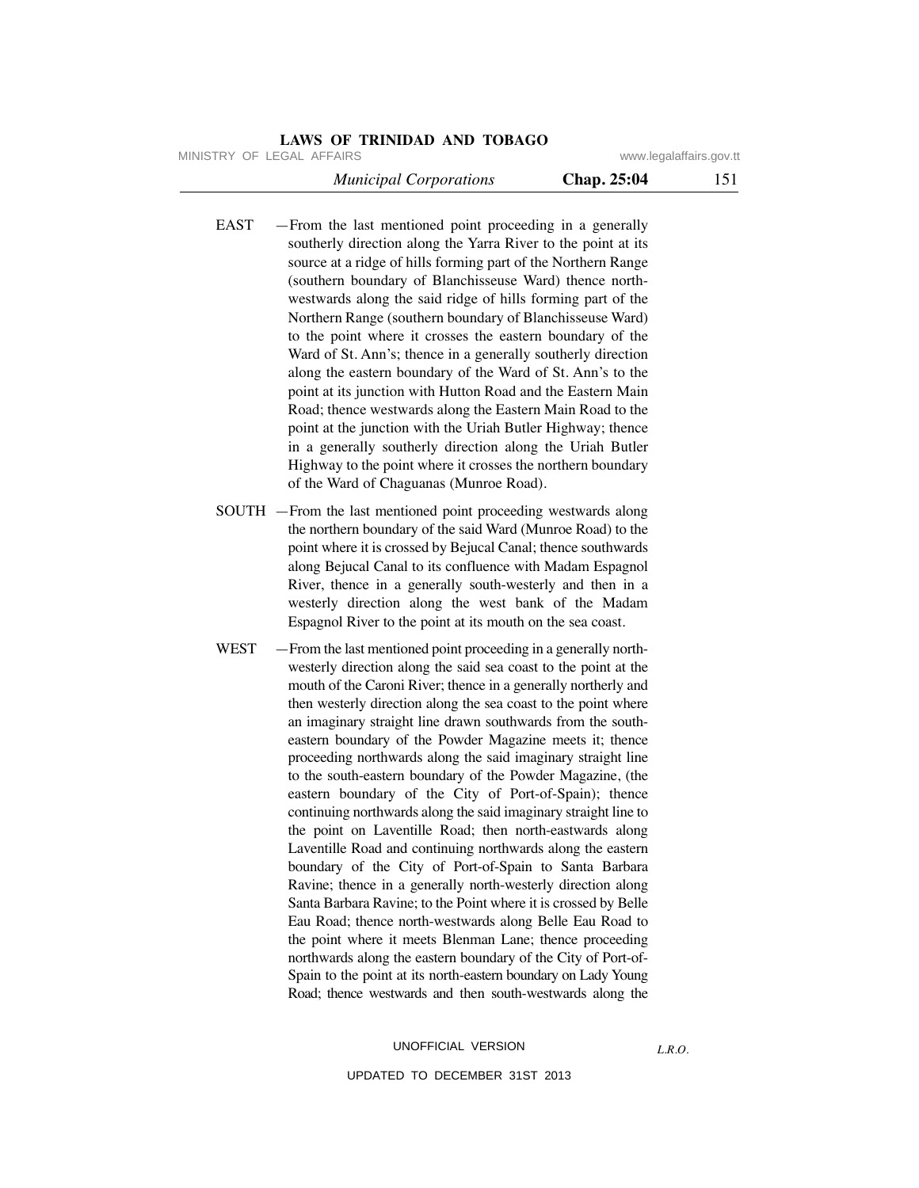MINISTRY OF LEGAL AFFAIRS **WWW.ISONS** www.legalaffairs.gov.tt

| <b>Municipal Corporations</b> | Chap. 25:04 | 151 |
|-------------------------------|-------------|-----|
|-------------------------------|-------------|-----|

- EAST —From the last mentioned point proceeding in a generally southerly direction along the Yarra River to the point at its source at a ridge of hills forming part of the Northern Range (southern boundary of Blanchisseuse Ward) thence northwestwards along the said ridge of hills forming part of the Northern Range (southern boundary of Blanchisseuse Ward) to the point where it crosses the eastern boundary of the Ward of St. Ann's; thence in a generally southerly direction along the eastern boundary of the Ward of St. Ann's to the point at its junction with Hutton Road and the Eastern Main Road; thence westwards along the Eastern Main Road to the point at the junction with the Uriah Butler Highway; thence in a generally southerly direction along the Uriah Butler Highway to the point where it crosses the northern boundary of the Ward of Chaguanas (Munroe Road).
- SOUTH —From the last mentioned point proceeding westwards along the northern boundary of the said Ward (Munroe Road) to the point where it is crossed by Bejucal Canal; thence southwards along Bejucal Canal to its confluence with Madam Espagnol River, thence in a generally south-westerly and then in a westerly direction along the west bank of the Madam Espagnol River to the point at its mouth on the sea coast.
- WEST From the last mentioned point proceeding in a generally northwesterly direction along the said sea coast to the point at the mouth of the Caroni River; thence in a generally northerly and then westerly direction along the sea coast to the point where an imaginary straight line drawn southwards from the southeastern boundary of the Powder Magazine meets it; thence proceeding northwards along the said imaginary straight line to the south-eastern boundary of the Powder Magazine, (the eastern boundary of the City of Port-of-Spain); thence continuing northwards along the said imaginary straight line to the point on Laventille Road; then north-eastwards along Laventille Road and continuing northwards along the eastern boundary of the City of Port-of-Spain to Santa Barbara Ravine; thence in a generally north-westerly direction along Santa Barbara Ravine; to the Point where it is crossed by Belle Eau Road; thence north-westwards along Belle Eau Road to the point where it meets Blenman Lane; thence proceeding northwards along the eastern boundary of the City of Port-of-Spain to the point at its north-eastern boundary on Lady Young Road; thence westwards and then south-westwards along the

### UNOFFICIAL VERSION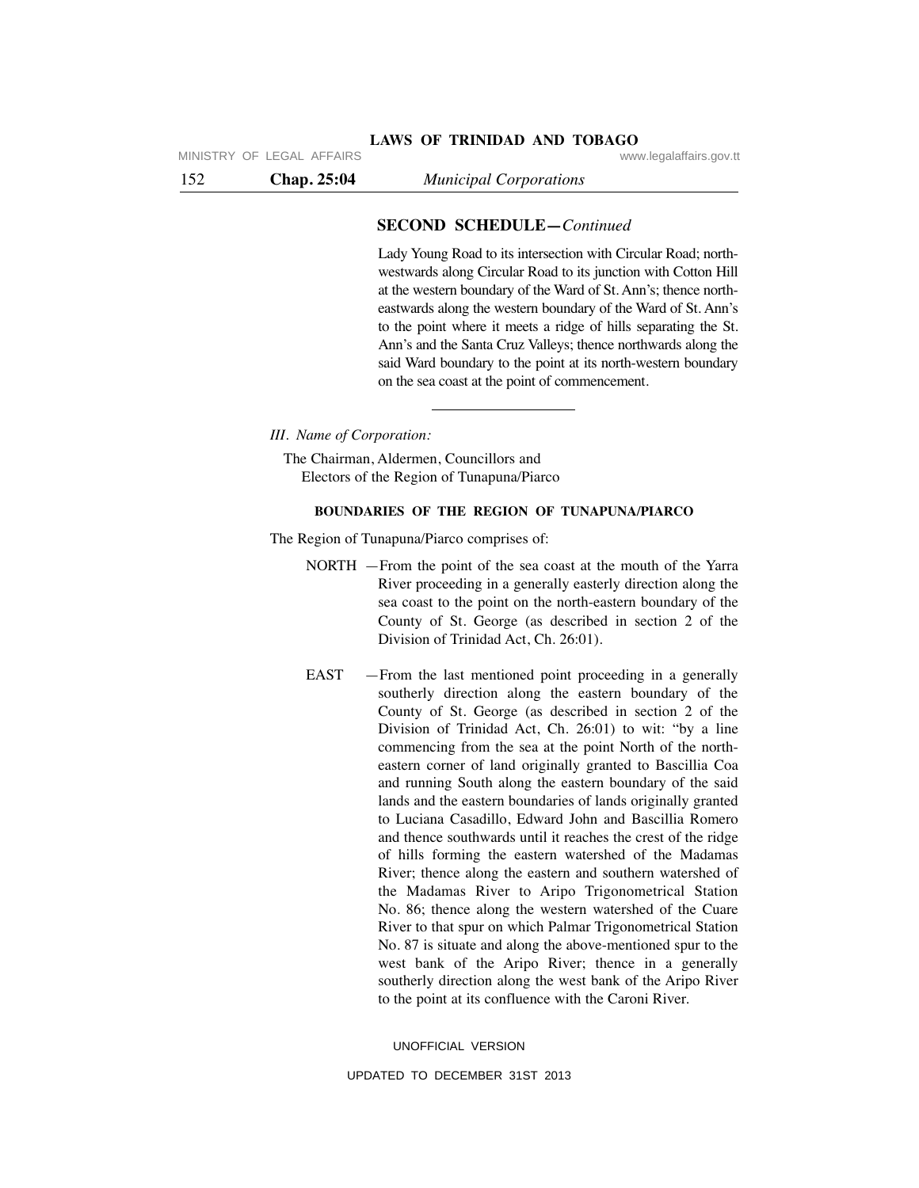### **SECOND SCHEDULE—***Continued*

**LAWS OF TRINIDAD AND TOBAGO**

Lady Young Road to its intersection with Circular Road; northwestwards along Circular Road to its junction with Cotton Hill at the western boundary of the Ward of St. Ann's; thence northeastwards along the western boundary of the Ward of St. Ann's to the point where it meets a ridge of hills separating the St. Ann's and the Santa Cruz Valleys; thence northwards along the said Ward boundary to the point at its north-western boundary on the sea coast at the point of commencement.

*III. Name of Corporation:*

The Chairman, Aldermen, Councillors and Electors of the Region of Tunapuna/Piarco

# **BOUNDARIES OF THE REGION OF TUNAPUNA/PIARCO**

The Region of Tunapuna/Piarco comprises of:

- NORTH —From the point of the sea coast at the mouth of the Yarra River proceeding in a generally easterly direction along the sea coast to the point on the north-eastern boundary of the County of St. George (as described in section 2 of the Division of Trinidad Act, Ch. 26:01).
- EAST —From the last mentioned point proceeding in a generally southerly direction along the eastern boundary of the County of St. George (as described in section 2 of the Division of Trinidad Act, Ch. 26:01) to wit: "by a line commencing from the sea at the point North of the northeastern corner of land originally granted to Bascillia Coa and running South along the eastern boundary of the said lands and the eastern boundaries of lands originally granted to Luciana Casadillo, Edward John and Bascillia Romero and thence southwards until it reaches the crest of the ridge of hills forming the eastern watershed of the Madamas River; thence along the eastern and southern watershed of the Madamas River to Aripo Trigonometrical Station No. 86; thence along the western watershed of the Cuare River to that spur on which Palmar Trigonometrical Station No. 87 is situate and along the above-mentioned spur to the west bank of the Aripo River; thence in a generally southerly direction along the west bank of the Aripo River to the point at its confluence with the Caroni River.

UNOFFICIAL VERSION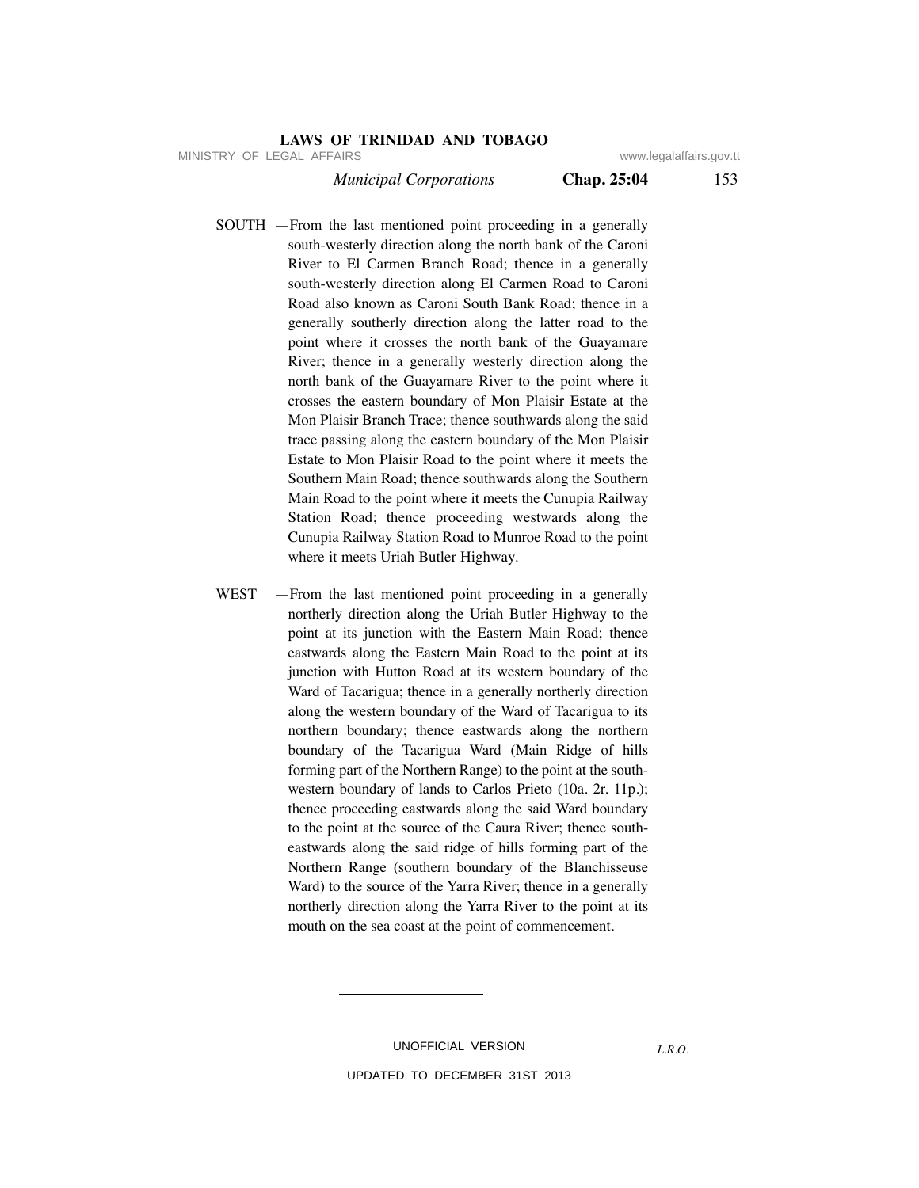MINISTRY OF LEGAL AFFAIRS **WWW.ISONS** www.legalaffairs.gov.tt

 *Municipal Corporations* **Chap. 25:04** 153

SOUTH —From the last mentioned point proceeding in a generally south-westerly direction along the north bank of the Caroni River to El Carmen Branch Road; thence in a generally south-westerly direction along El Carmen Road to Caroni Road also known as Caroni South Bank Road; thence in a generally southerly direction along the latter road to the point where it crosses the north bank of the Guayamare River; thence in a generally westerly direction along the north bank of the Guayamare River to the point where it crosses the eastern boundary of Mon Plaisir Estate at the Mon Plaisir Branch Trace; thence southwards along the said trace passing along the eastern boundary of the Mon Plaisir Estate to Mon Plaisir Road to the point where it meets the Southern Main Road; thence southwards along the Southern Main Road to the point where it meets the Cunupia Railway Station Road; thence proceeding westwards along the Cunupia Railway Station Road to Munroe Road to the point where it meets Uriah Butler Highway.

WEST -From the last mentioned point proceeding in a generally northerly direction along the Uriah Butler Highway to the point at its junction with the Eastern Main Road; thence eastwards along the Eastern Main Road to the point at its junction with Hutton Road at its western boundary of the Ward of Tacarigua; thence in a generally northerly direction along the western boundary of the Ward of Tacarigua to its northern boundary; thence eastwards along the northern boundary of the Tacarigua Ward (Main Ridge of hills forming part of the Northern Range) to the point at the southwestern boundary of lands to Carlos Prieto (10a. 2r. 11p.); thence proceeding eastwards along the said Ward boundary to the point at the source of the Caura River; thence southeastwards along the said ridge of hills forming part of the Northern Range (southern boundary of the Blanchisseuse Ward) to the source of the Yarra River; thence in a generally northerly direction along the Yarra River to the point at its mouth on the sea coast at the point of commencement.

> UNOFFICIAL VERSION UPDATED TO DECEMBER 31ST 2013

*L.R.O.*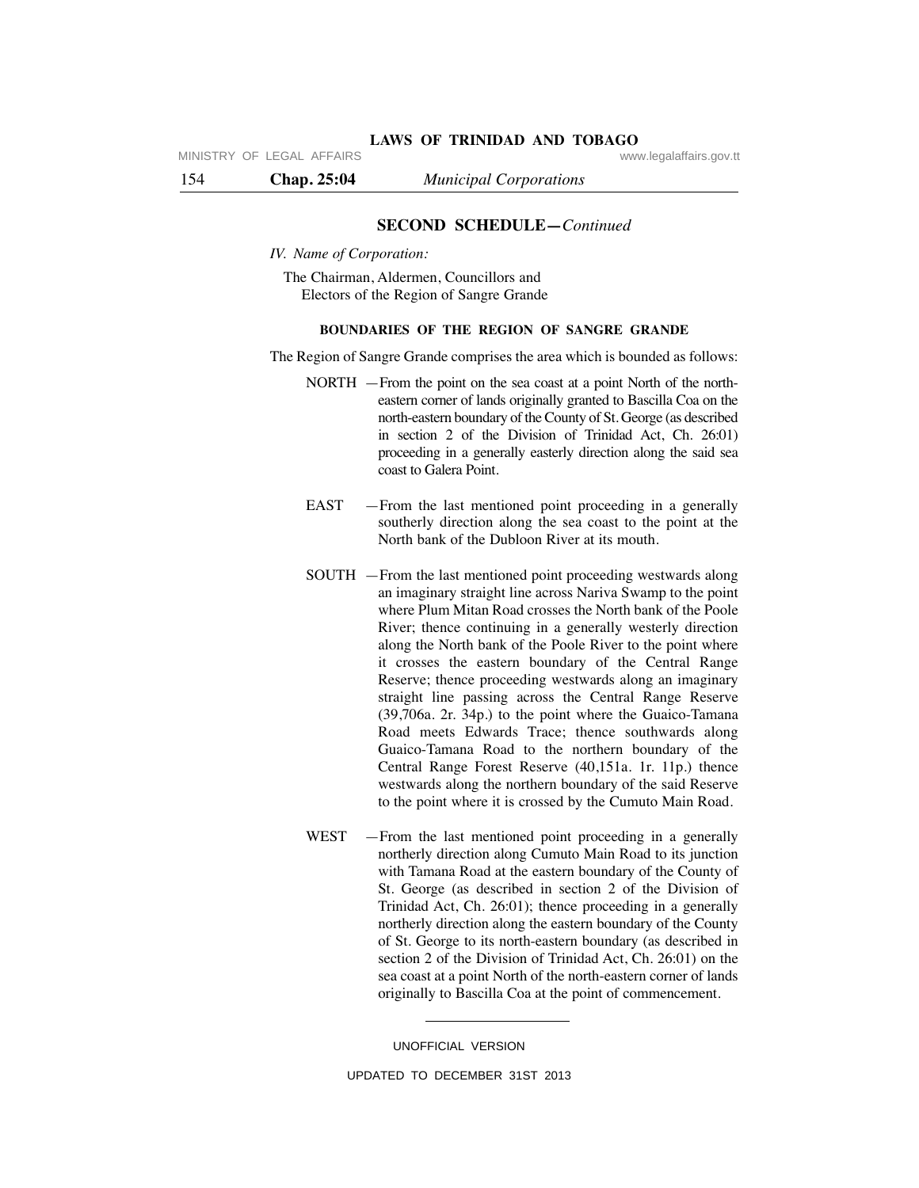MINISTRY OF LEGAL AFFAIRS **WARE ACCOMPTED MINISTRY** OF LEGAL AFFAIRS

154 **Chap. 25:04** *Municipal Corporations*

# **SECOND SCHEDULE—***Continued*

*IV. Name of Corporation:*

The Chairman, Aldermen, Councillors and Electors of the Region of Sangre Grande

# **BOUNDARIES OF THE REGION OF SANGRE GRANDE**

The Region of Sangre Grande comprises the area which is bounded as follows:

- NORTH —From the point on the sea coast at a point North of the northeastern corner of lands originally granted to Bascilla Coa on the north-eastern boundary of the County of St. George (as described in section 2 of the Division of Trinidad Act, Ch. 26:01) proceeding in a generally easterly direction along the said sea coast to Galera Point.
- EAST —From the last mentioned point proceeding in a generally southerly direction along the sea coast to the point at the North bank of the Dubloon River at its mouth.
- SOUTH —From the last mentioned point proceeding westwards along an imaginary straight line across Nariva Swamp to the point where Plum Mitan Road crosses the North bank of the Poole River; thence continuing in a generally westerly direction along the North bank of the Poole River to the point where it crosses the eastern boundary of the Central Range Reserve; thence proceeding westwards along an imaginary straight line passing across the Central Range Reserve (39,706a. 2r. 34p.) to the point where the Guaico-Tamana Road meets Edwards Trace; thence southwards along Guaico-Tamana Road to the northern boundary of the Central Range Forest Reserve (40,151a. 1r. 11p.) thence westwards along the northern boundary of the said Reserve to the point where it is crossed by the Cumuto Main Road.
- WEST —From the last mentioned point proceeding in a generally northerly direction along Cumuto Main Road to its junction with Tamana Road at the eastern boundary of the County of St. George (as described in section 2 of the Division of Trinidad Act, Ch. 26:01); thence proceeding in a generally northerly direction along the eastern boundary of the County of St. George to its north-eastern boundary (as described in section 2 of the Division of Trinidad Act, Ch. 26:01) on the sea coast at a point North of the north-eastern corner of lands originally to Bascilla Coa at the point of commencement.

UNOFFICIAL VERSION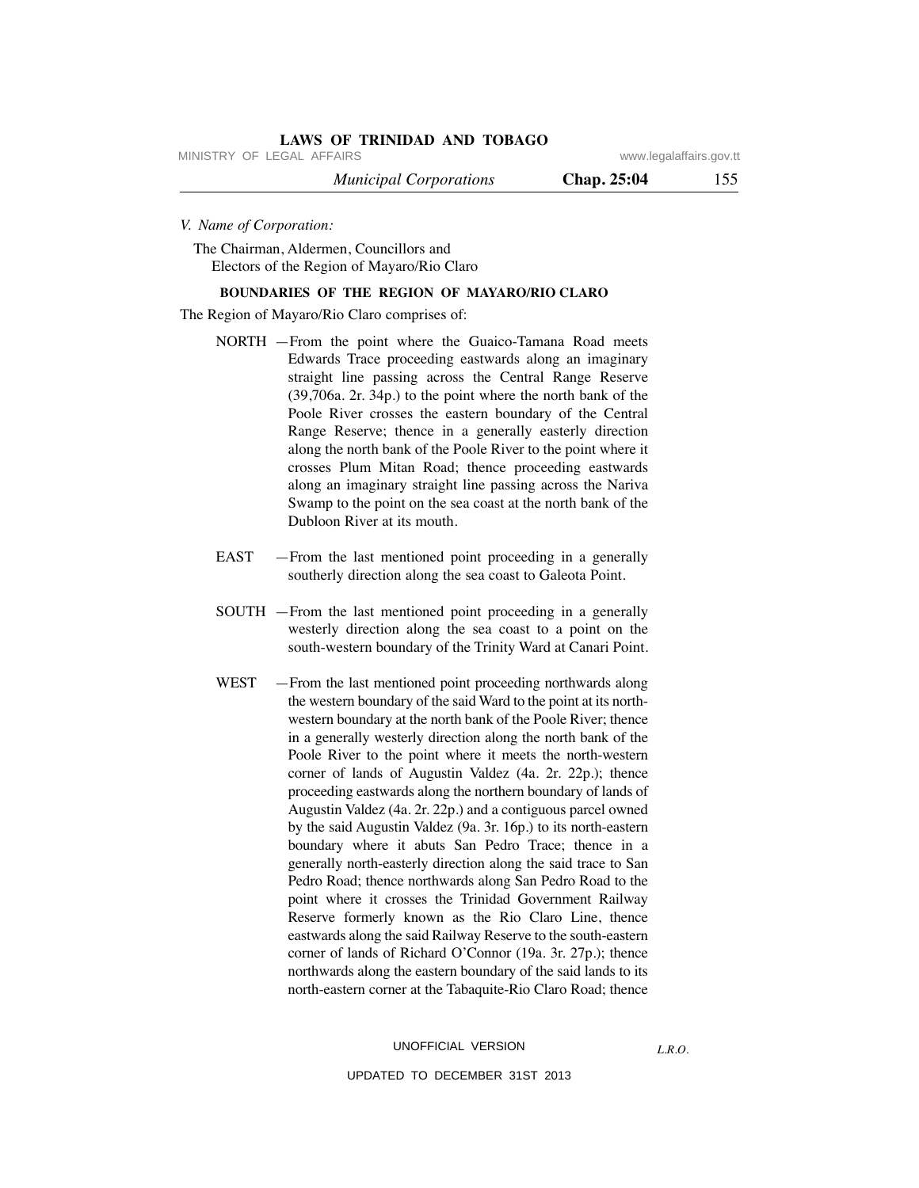MINISTRY OF LEGAL AFFAIRS **WWW.ISONS** www.legalaffairs.gov.tt

 *Municipal Corporations* **Chap. 25:04** 155

*V. Name of Corporation:*

The Chairman, Aldermen, Councillors and Electors of the Region of Mayaro/Rio Claro

### **BOUNDARIES OF THE REGION OF MAYARO/RIO CLARO**

The Region of Mayaro/Rio Claro comprises of:

- NORTH —From the point where the Guaico-Tamana Road meets Edwards Trace proceeding eastwards along an imaginary straight line passing across the Central Range Reserve (39,706a. 2r. 34p.) to the point where the north bank of the Poole River crosses the eastern boundary of the Central Range Reserve; thence in a generally easterly direction along the north bank of the Poole River to the point where it crosses Plum Mitan Road; thence proceeding eastwards along an imaginary straight line passing across the Nariva Swamp to the point on the sea coast at the north bank of the Dubloon River at its mouth.
- EAST —From the last mentioned point proceeding in a generally southerly direction along the sea coast to Galeota Point.
- SOUTH —From the last mentioned point proceeding in a generally westerly direction along the sea coast to a point on the south-western boundary of the Trinity Ward at Canari Point.
- WEST From the last mentioned point proceeding northwards along the western boundary of the said Ward to the point at its northwestern boundary at the north bank of the Poole River; thence in a generally westerly direction along the north bank of the Poole River to the point where it meets the north-western corner of lands of Augustin Valdez (4a. 2r. 22p.); thence proceeding eastwards along the northern boundary of lands of Augustin Valdez (4a. 2r. 22p.) and a contiguous parcel owned by the said Augustin Valdez (9a. 3r. 16p.) to its north-eastern boundary where it abuts San Pedro Trace; thence in a generally north-easterly direction along the said trace to San Pedro Road; thence northwards along San Pedro Road to the point where it crosses the Trinidad Government Railway Reserve formerly known as the Rio Claro Line, thence eastwards along the said Railway Reserve to the south-eastern corner of lands of Richard O'Connor (19a. 3r. 27p.); thence northwards along the eastern boundary of the said lands to its north-eastern corner at the Tabaquite-Rio Claro Road; thence

#### UPDATED TO DECEMBER 31ST 2013

*L.R.O.*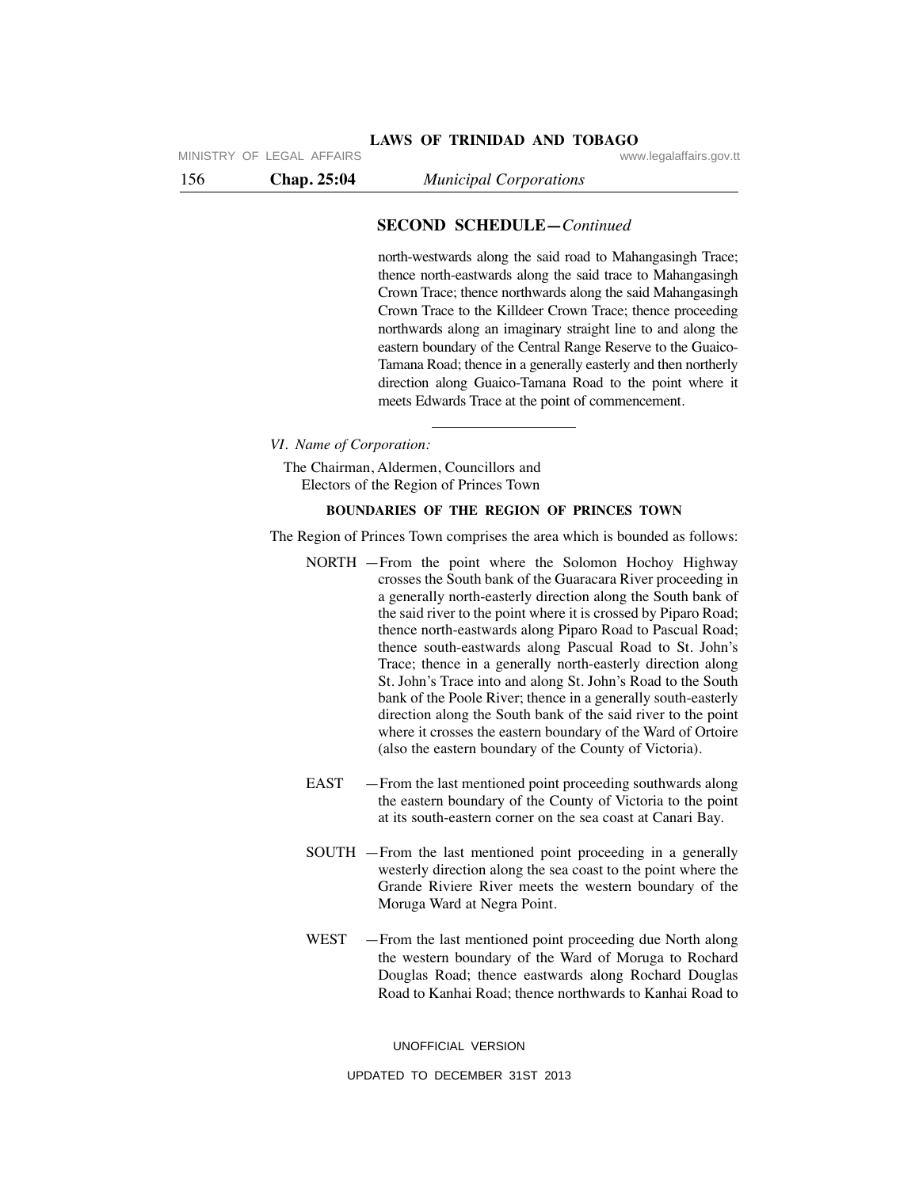MINISTRY OF LEGAL AFFAIRS **WARE ACCOMPTED MINISTRY** OF LEGAL AFFAIRS

156 **Chap. 25:04** *Municipal Corporations*

# **SECOND SCHEDULE—***Continued*

north-westwards along the said road to Mahangasingh Trace; thence north-eastwards along the said trace to Mahangasingh Crown Trace; thence northwards along the said Mahangasingh Crown Trace to the Killdeer Crown Trace; thence proceeding northwards along an imaginary straight line to and along the eastern boundary of the Central Range Reserve to the Guaico-Tamana Road; thence in a generally easterly and then northerly direction along Guaico-Tamana Road to the point where it meets Edwards Trace at the point of commencement.

*VI. Name of Corporation:*

The Chairman, Aldermen, Councillors and Electors of the Region of Princes Town

#### **BOUNDARIES OF THE REGION OF PRINCES TOWN**

The Region of Princes Town comprises the area which is bounded as follows:

- NORTH —From the point where the Solomon Hochoy Highway crosses the South bank of the Guaracara River proceeding in a generally north-easterly direction along the South bank of the said river to the point where it is crossed by Piparo Road; thence north-eastwards along Piparo Road to Pascual Road; thence south-eastwards along Pascual Road to St. John's Trace; thence in a generally north-easterly direction along St. John's Trace into and along St. John's Road to the South bank of the Poole River; thence in a generally south-easterly direction along the South bank of the said river to the point where it crosses the eastern boundary of the Ward of Ortoire (also the eastern boundary of the County of Victoria).
- EAST From the last mentioned point proceeding southwards along the eastern boundary of the County of Victoria to the point at its south-eastern corner on the sea coast at Canari Bay.
- SOUTH —From the last mentioned point proceeding in a generally westerly direction along the sea coast to the point where the Grande Riviere River meets the western boundary of the Moruga Ward at Negra Point.
- WEST From the last mentioned point proceeding due North along the western boundary of the Ward of Moruga to Rochard Douglas Road; thence eastwards along Rochard Douglas Road to Kanhai Road; thence northwards to Kanhai Road to

UNOFFICIAL VERSION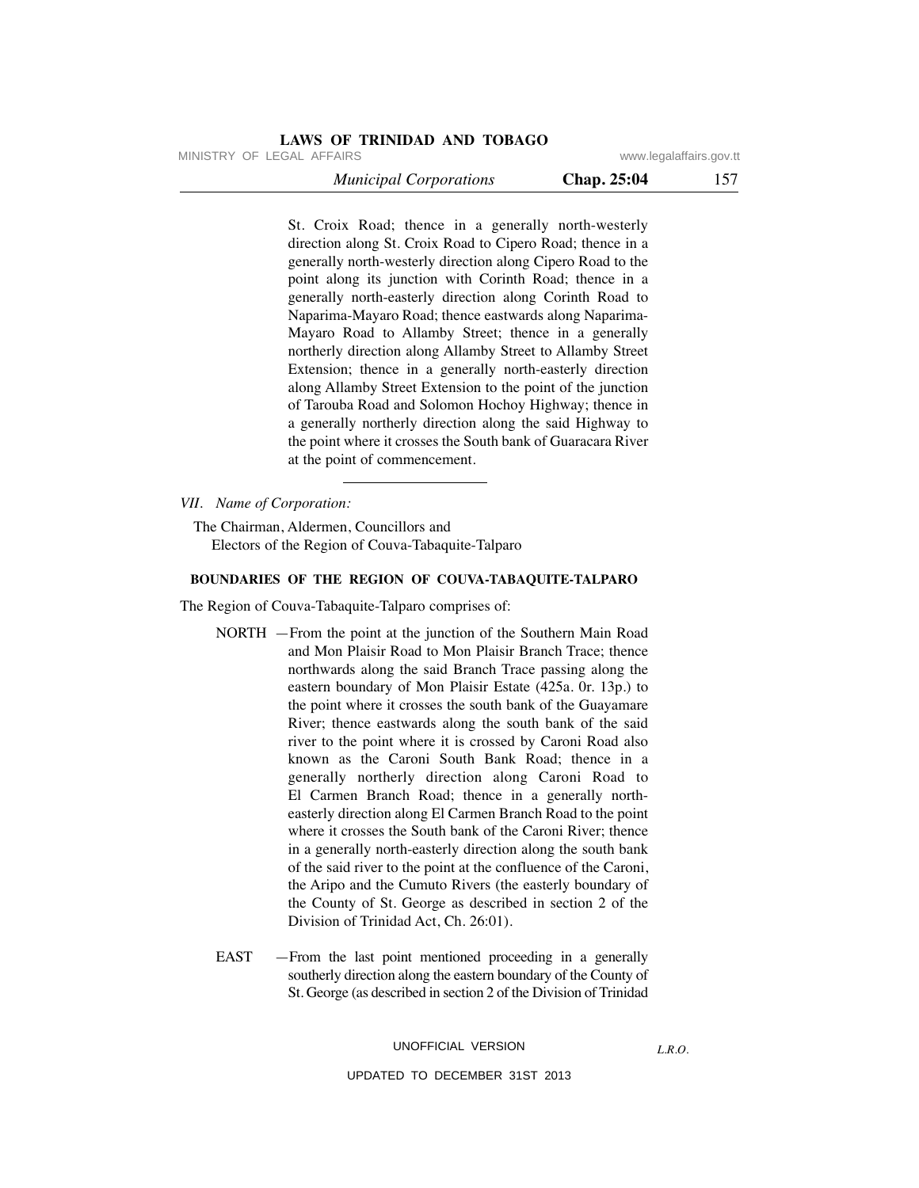MINISTRY OF LEGAL AFFAIRS **WWW.ISONS** www.legalaffairs.gov.tt

 *Municipal Corporations* **Chap. 25:04** 157

St. Croix Road; thence in a generally north-westerly direction along St. Croix Road to Cipero Road; thence in a generally north-westerly direction along Cipero Road to the point along its junction with Corinth Road; thence in a generally north-easterly direction along Corinth Road to Naparima-Mayaro Road; thence eastwards along Naparima-Mayaro Road to Allamby Street; thence in a generally northerly direction along Allamby Street to Allamby Street Extension; thence in a generally north-easterly direction along Allamby Street Extension to the point of the junction of Tarouba Road and Solomon Hochoy Highway; thence in a generally northerly direction along the said Highway to the point where it crosses the South bank of Guaracara River at the point of commencement.

*VII. Name of Corporation:*

The Chairman, Aldermen, Councillors and Electors of the Region of Couva-Tabaquite-Talparo

### **BOUNDARIES OF THE REGION OF COUVA-TABAQUITE-TALPARO**

The Region of Couva-Tabaquite-Talparo comprises of:

- NORTH —From the point at the junction of the Southern Main Road and Mon Plaisir Road to Mon Plaisir Branch Trace; thence northwards along the said Branch Trace passing along the eastern boundary of Mon Plaisir Estate (425a. 0r. 13p.) to the point where it crosses the south bank of the Guayamare River; thence eastwards along the south bank of the said river to the point where it is crossed by Caroni Road also known as the Caroni South Bank Road; thence in a generally northerly direction along Caroni Road to El Carmen Branch Road; thence in a generally northeasterly direction along El Carmen Branch Road to the point where it crosses the South bank of the Caroni River; thence in a generally north-easterly direction along the south bank of the said river to the point at the confluence of the Caroni, the Aripo and the Cumuto Rivers (the easterly boundary of the County of St. George as described in section 2 of the Division of Trinidad Act, Ch. 26:01).
- EAST —From the last point mentioned proceeding in a generally southerly direction along the eastern boundary of the County of St. George (as described in section 2 of the Division of Trinidad

UNOFFICIAL VERSION

*L.R.O.*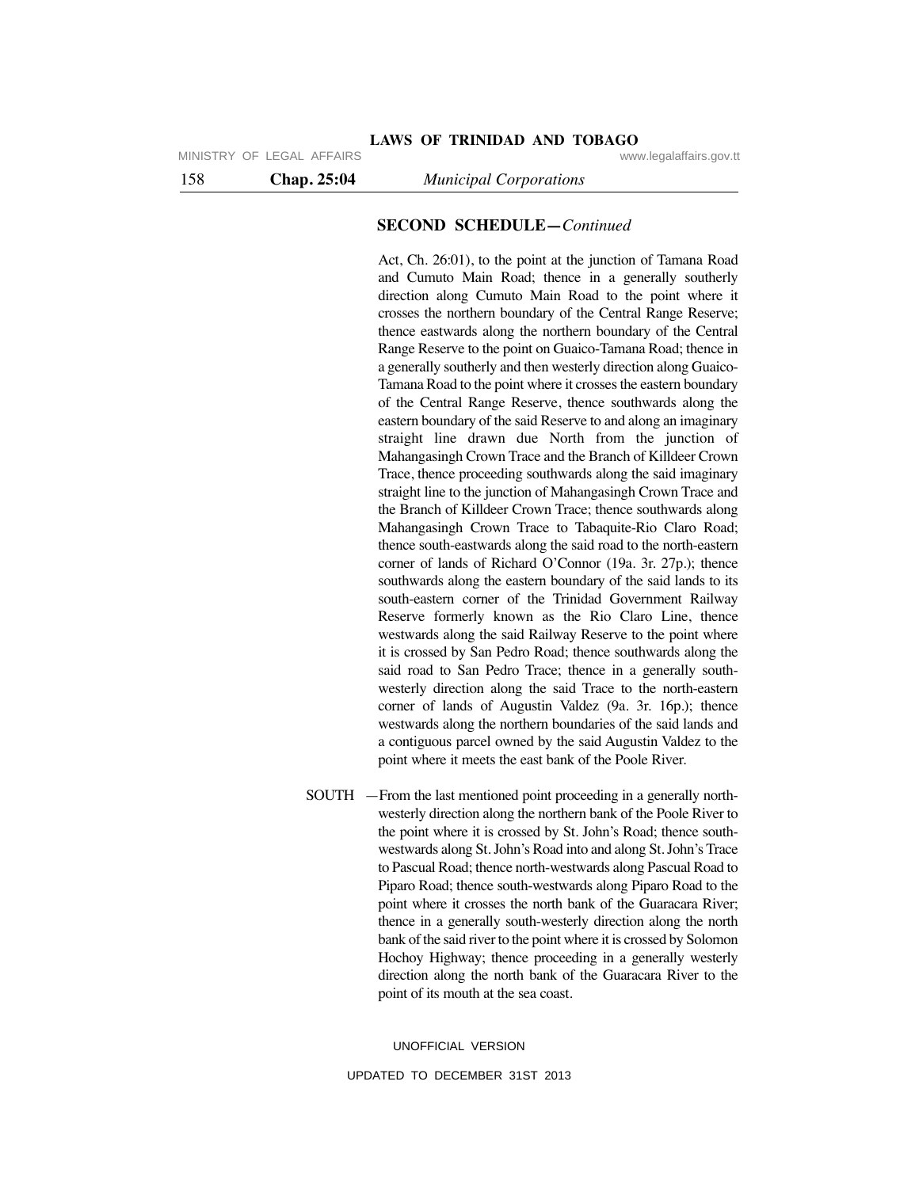MINISTRY OF LEGAL AFFAIRS **WARE ACCOMPTED MINISTRY** OF LEGAL AFFAIRS

158 **Chap. 25:04** *Municipal Corporations*

# **SECOND SCHEDULE—***Continued*

Act, Ch. 26:01), to the point at the junction of Tamana Road and Cumuto Main Road; thence in a generally southerly direction along Cumuto Main Road to the point where it crosses the northern boundary of the Central Range Reserve; thence eastwards along the northern boundary of the Central Range Reserve to the point on Guaico-Tamana Road; thence in a generally southerly and then westerly direction along Guaico-Tamana Road to the point where it crosses the eastern boundary of the Central Range Reserve, thence southwards along the eastern boundary of the said Reserve to and along an imaginary straight line drawn due North from the junction of Mahangasingh Crown Trace and the Branch of Killdeer Crown Trace, thence proceeding southwards along the said imaginary straight line to the junction of Mahangasingh Crown Trace and the Branch of Killdeer Crown Trace; thence southwards along Mahangasingh Crown Trace to Tabaquite-Rio Claro Road; thence south-eastwards along the said road to the north-eastern corner of lands of Richard O'Connor (19a. 3r. 27p.); thence southwards along the eastern boundary of the said lands to its south-eastern corner of the Trinidad Government Railway Reserve formerly known as the Rio Claro Line, thence westwards along the said Railway Reserve to the point where it is crossed by San Pedro Road; thence southwards along the said road to San Pedro Trace; thence in a generally southwesterly direction along the said Trace to the north-eastern corner of lands of Augustin Valdez (9a. 3r. 16p.); thence westwards along the northern boundaries of the said lands and a contiguous parcel owned by the said Augustin Valdez to the point where it meets the east bank of the Poole River.

SOUTH —From the last mentioned point proceeding in a generally northwesterly direction along the northern bank of the Poole River to the point where it is crossed by St. John's Road; thence southwestwards along St. John's Road into and along St. John's Trace to Pascual Road; thence north-westwards along Pascual Road to Piparo Road; thence south-westwards along Piparo Road to the point where it crosses the north bank of the Guaracara River; thence in a generally south-westerly direction along the north bank of the said river to the point where it is crossed by Solomon Hochoy Highway; thence proceeding in a generally westerly direction along the north bank of the Guaracara River to the point of its mouth at the sea coast.

UNOFFICIAL VERSION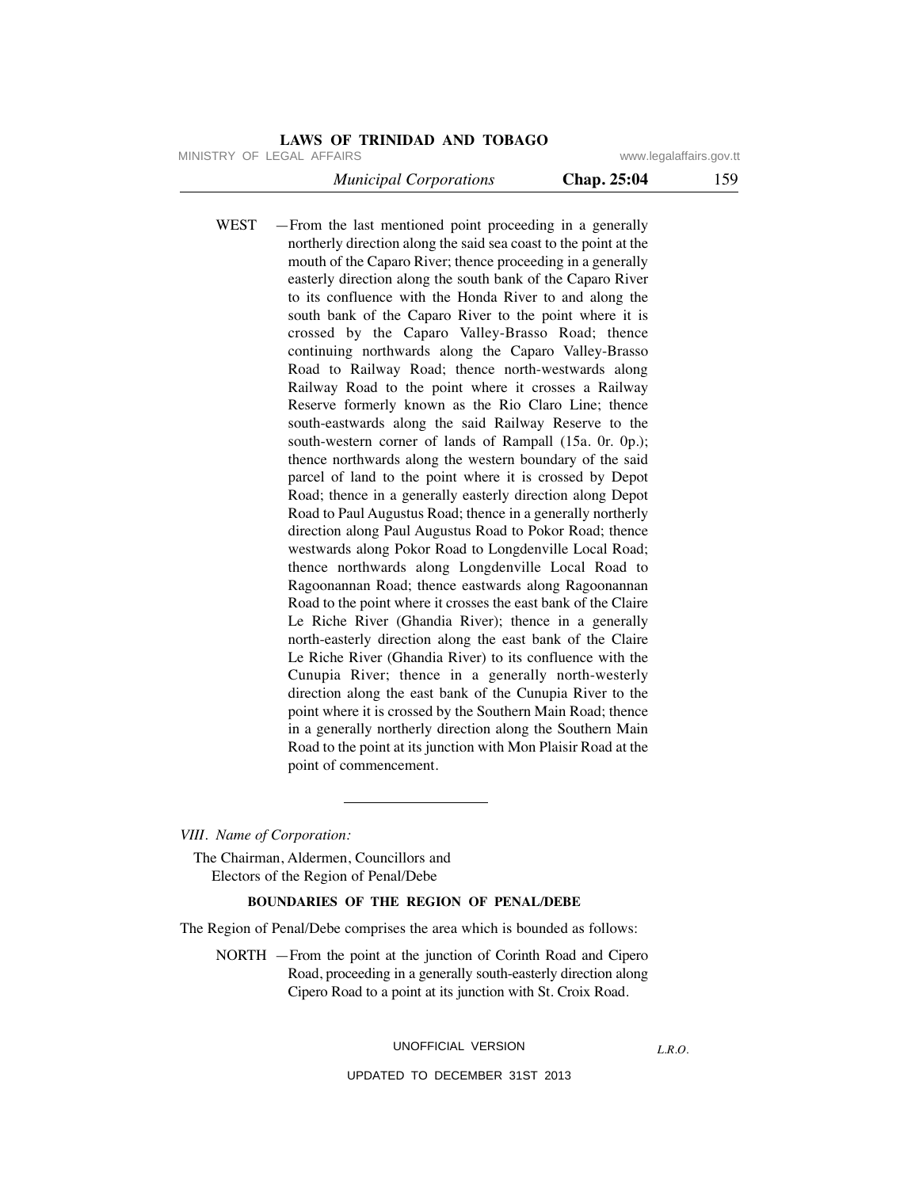MINISTRY OF LEGAL AFFAIRS **WWW.ISONS** www.legalaffairs.gov.tt

 *Municipal Corporations* **Chap. 25:04** 159

WEST —From the last mentioned point proceeding in a generally northerly direction along the said sea coast to the point at the mouth of the Caparo River; thence proceeding in a generally easterly direction along the south bank of the Caparo River to its confluence with the Honda River to and along the south bank of the Caparo River to the point where it is crossed by the Caparo Valley-Brasso Road; thence continuing northwards along the Caparo Valley-Brasso Road to Railway Road; thence north-westwards along Railway Road to the point where it crosses a Railway Reserve formerly known as the Rio Claro Line; thence south-eastwards along the said Railway Reserve to the south-western corner of lands of Rampall (15a. 0r. 0p.); thence northwards along the western boundary of the said parcel of land to the point where it is crossed by Depot Road; thence in a generally easterly direction along Depot Road to Paul Augustus Road; thence in a generally northerly direction along Paul Augustus Road to Pokor Road; thence westwards along Pokor Road to Longdenville Local Road; thence northwards along Longdenville Local Road to Ragoonannan Road; thence eastwards along Ragoonannan Road to the point where it crosses the east bank of the Claire Le Riche River (Ghandia River); thence in a generally north-easterly direction along the east bank of the Claire Le Riche River (Ghandia River) to its confluence with the Cunupia River; thence in a generally north-westerly direction along the east bank of the Cunupia River to the point where it is crossed by the Southern Main Road; thence in a generally northerly direction along the Southern Main Road to the point at its junction with Mon Plaisir Road at the point of commencement.

*VIII. Name of Corporation:*

The Chairman, Aldermen, Councillors and Electors of the Region of Penal/Debe

#### **BOUNDARIES OF THE REGION OF PENAL/DEBE**

The Region of Penal/Debe comprises the area which is bounded as follows:

NORTH —From the point at the junction of Corinth Road and Cipero Road, proceeding in a generally south-easterly direction along Cipero Road to a point at its junction with St. Croix Road.

UNOFFICIAL VERSION

UPDATED TO DECEMBER 31ST 2013

*L.R.O.*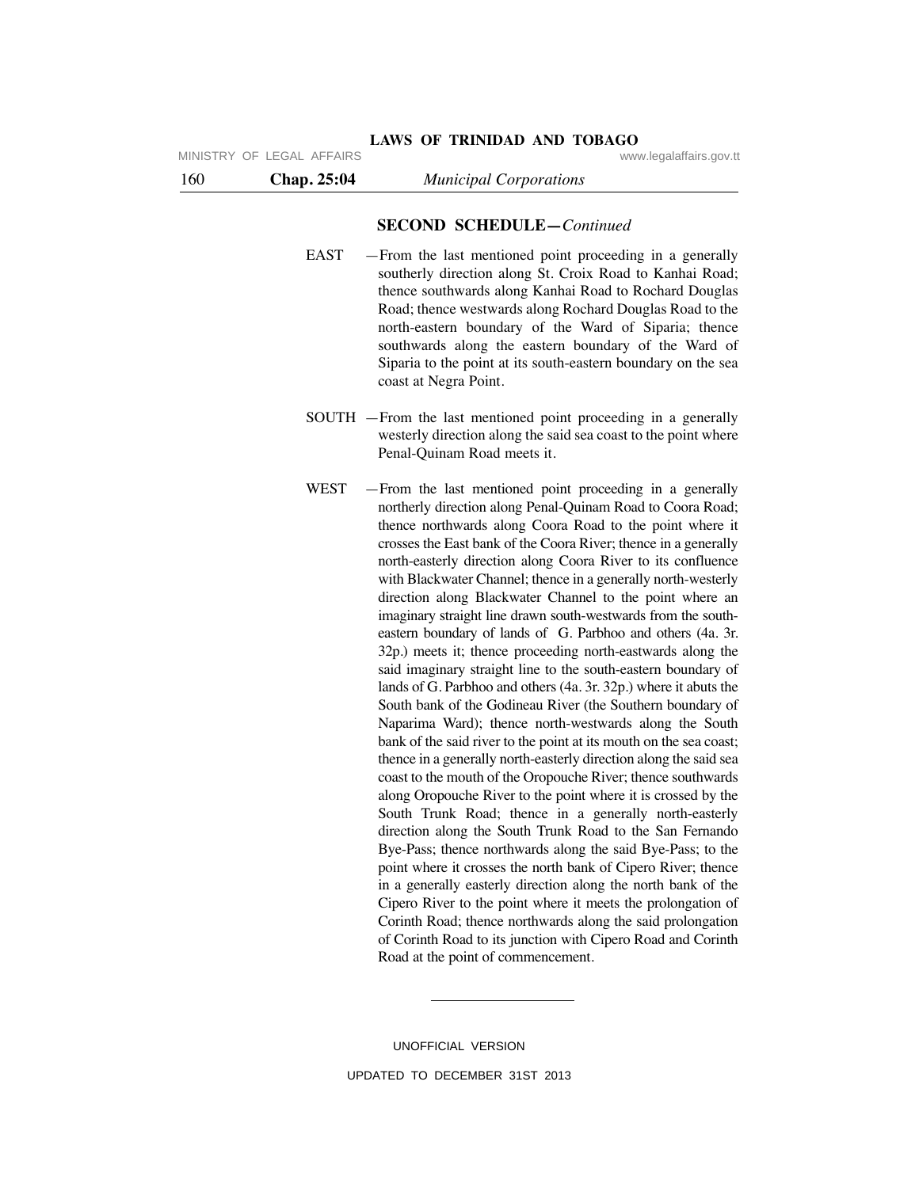# **SECOND SCHEDULE—***Continued*

**LAWS OF TRINIDAD AND TOBAGO**

- EAST —From the last mentioned point proceeding in a generally southerly direction along St. Croix Road to Kanhai Road; thence southwards along Kanhai Road to Rochard Douglas Road; thence westwards along Rochard Douglas Road to the north-eastern boundary of the Ward of Siparia; thence southwards along the eastern boundary of the Ward of Siparia to the point at its south-eastern boundary on the sea coast at Negra Point.
- SOUTH —From the last mentioned point proceeding in a generally westerly direction along the said sea coast to the point where Penal-Quinam Road meets it.
- WEST —From the last mentioned point proceeding in a generally northerly direction along Penal-Quinam Road to Coora Road; thence northwards along Coora Road to the point where it crosses the East bank of the Coora River; thence in a generally north-easterly direction along Coora River to its confluence with Blackwater Channel; thence in a generally north-westerly direction along Blackwater Channel to the point where an imaginary straight line drawn south-westwards from the southeastern boundary of lands of G. Parbhoo and others (4a. 3r. 32p.) meets it; thence proceeding north-eastwards along the said imaginary straight line to the south-eastern boundary of lands of G. Parbhoo and others (4a. 3r. 32p.) where it abuts the South bank of the Godineau River (the Southern boundary of Naparima Ward); thence north-westwards along the South bank of the said river to the point at its mouth on the sea coast; thence in a generally north-easterly direction along the said sea coast to the mouth of the Oropouche River; thence southwards along Oropouche River to the point where it is crossed by the South Trunk Road; thence in a generally north-easterly direction along the South Trunk Road to the San Fernando Bye-Pass; thence northwards along the said Bye-Pass; to the point where it crosses the north bank of Cipero River; thence in a generally easterly direction along the north bank of the Cipero River to the point where it meets the prolongation of Corinth Road; thence northwards along the said prolongation of Corinth Road to its junction with Cipero Road and Corinth Road at the point of commencement.

UNOFFICIAL VERSION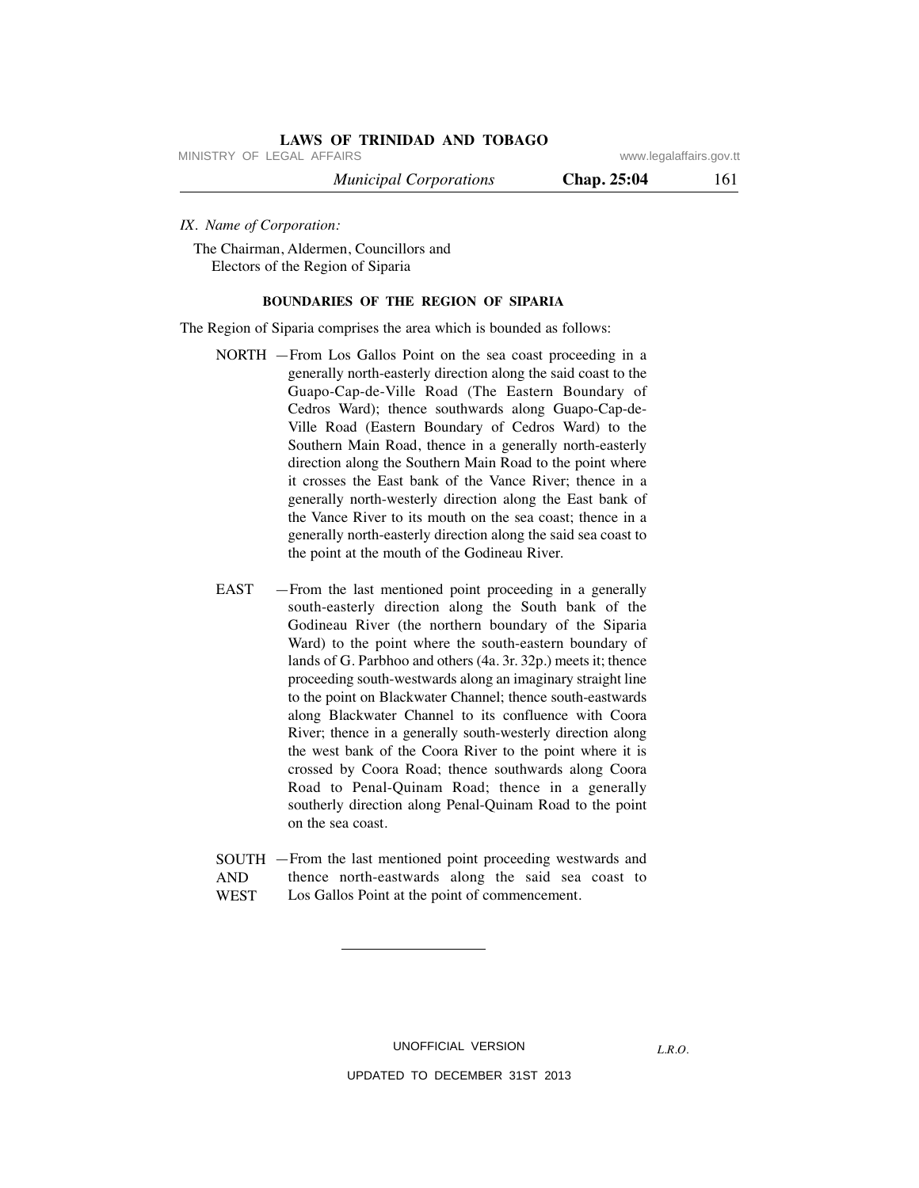MINISTRY OF LEGAL AFFAIRS **WWW.ISONS** www.legalaffairs.gov.tt

 *Municipal Corporations* **Chap. 25:04** 161

*IX. Name of Corporation:*

The Chairman, Aldermen, Councillors and Electors of the Region of Siparia

### **BOUNDARIES OF THE REGION OF SIPARIA**

The Region of Siparia comprises the area which is bounded as follows:

- NORTH —From Los Gallos Point on the sea coast proceeding in a generally north-easterly direction along the said coast to the Guapo-Cap-de-Ville Road (The Eastern Boundary of Cedros Ward); thence southwards along Guapo-Cap-de-Ville Road (Eastern Boundary of Cedros Ward) to the Southern Main Road, thence in a generally north-easterly direction along the Southern Main Road to the point where it crosses the East bank of the Vance River; thence in a generally north-westerly direction along the East bank of the Vance River to its mouth on the sea coast; thence in a generally north-easterly direction along the said sea coast to the point at the mouth of the Godineau River.
- EAST —From the last mentioned point proceeding in a generally south-easterly direction along the South bank of the Godineau River (the northern boundary of the Siparia Ward) to the point where the south-eastern boundary of lands of G. Parbhoo and others (4a. 3r. 32p.) meets it; thence proceeding south-westwards along an imaginary straight line to the point on Blackwater Channel; thence south-eastwards along Blackwater Channel to its confluence with Coora River; thence in a generally south-westerly direction along the west bank of the Coora River to the point where it is crossed by Coora Road; thence southwards along Coora Road to Penal-Quinam Road; thence in a generally southerly direction along Penal-Quinam Road to the point on the sea coast.
- —From the last mentioned point proceeding westwards and SOUTH thence north-eastwards along the said sea coast to Los Gallos Point at the point of commencement. AND **WEST**

UNOFFICIAL VERSION

*L.R.O.*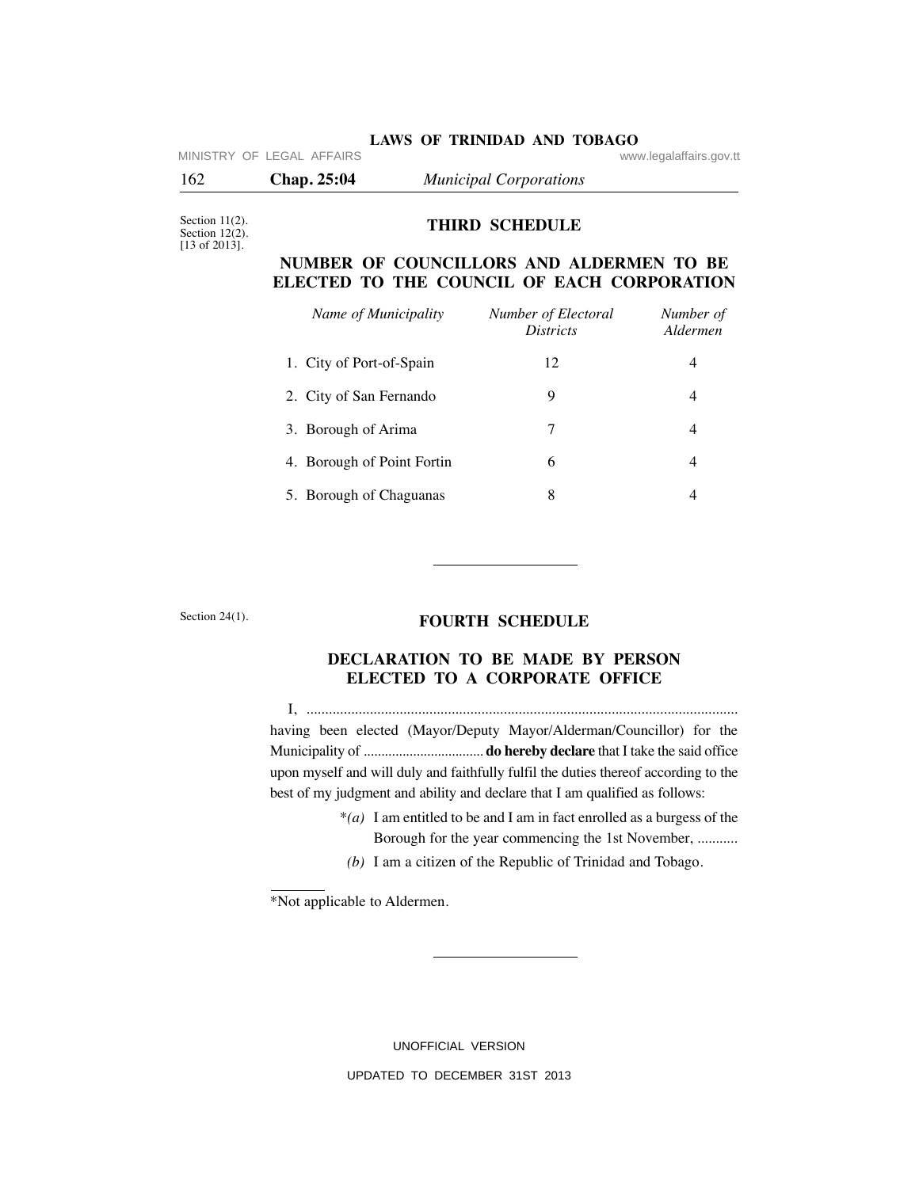| <b>LAWS OF TRINIDAD AND TOBAGO</b><br>MINISTRY OF LEGAL AFFAIRS<br>www.legalaffairs.gov.tt |                                                                                        |                                         |                       |  |  |
|--------------------------------------------------------------------------------------------|----------------------------------------------------------------------------------------|-----------------------------------------|-----------------------|--|--|
| 162                                                                                        | Chap. 25:04                                                                            | <b>Municipal Corporations</b>           |                       |  |  |
| Section $11(2)$ .<br>Section $12(2)$ .<br>$[13 \text{ of } 2013]$ .                        | <b>THIRD SCHEDULE</b>                                                                  |                                         |                       |  |  |
|                                                                                            | NUMBER OF COUNCILLORS AND ALDERMEN TO BE<br>ELECTED TO THE COUNCIL OF EACH CORPORATION |                                         |                       |  |  |
|                                                                                            | Name of Municipality                                                                   | Number of Electoral<br><b>Districts</b> | Number of<br>Aldermen |  |  |
|                                                                                            | 1. City of Port-of-Spain                                                               | 12                                      | $\overline{4}$        |  |  |
|                                                                                            | 2. City of San Fernando                                                                | 9                                       | $\overline{4}$        |  |  |
|                                                                                            | 3. Borough of Arima                                                                    | 7                                       | $\overline{4}$        |  |  |
|                                                                                            | 4. Borough of Point Fortin                                                             | 6                                       | $\overline{4}$        |  |  |
|                                                                                            |                                                                                        |                                         |                       |  |  |

Section 24(1).

# **FOURTH SCHEDULE**

# **DECLARATION TO BE MADE BY PERSON ELECTED TO A CORPORATE OFFICE**

 I, .................................................................................................................... having been elected (Mayor/Deputy Mayor/Alderman/Councillor) for the Municipality of .................................. **do hereby declare** that I take the said office upon myself and will duly and faithfully fulfil the duties thereof according to the best of my judgment and ability and declare that I am qualified as follows:

- \**(a)* I am entitled to be and I am in fact enrolled as a burgess of the Borough for the year commencing the 1st November, ...........
- *(b)* I am a citizen of the Republic of Trinidad and Tobago.

\*Not applicable to Aldermen.

UNOFFICIAL VERSION UPDATED TO DECEMBER 31ST 2013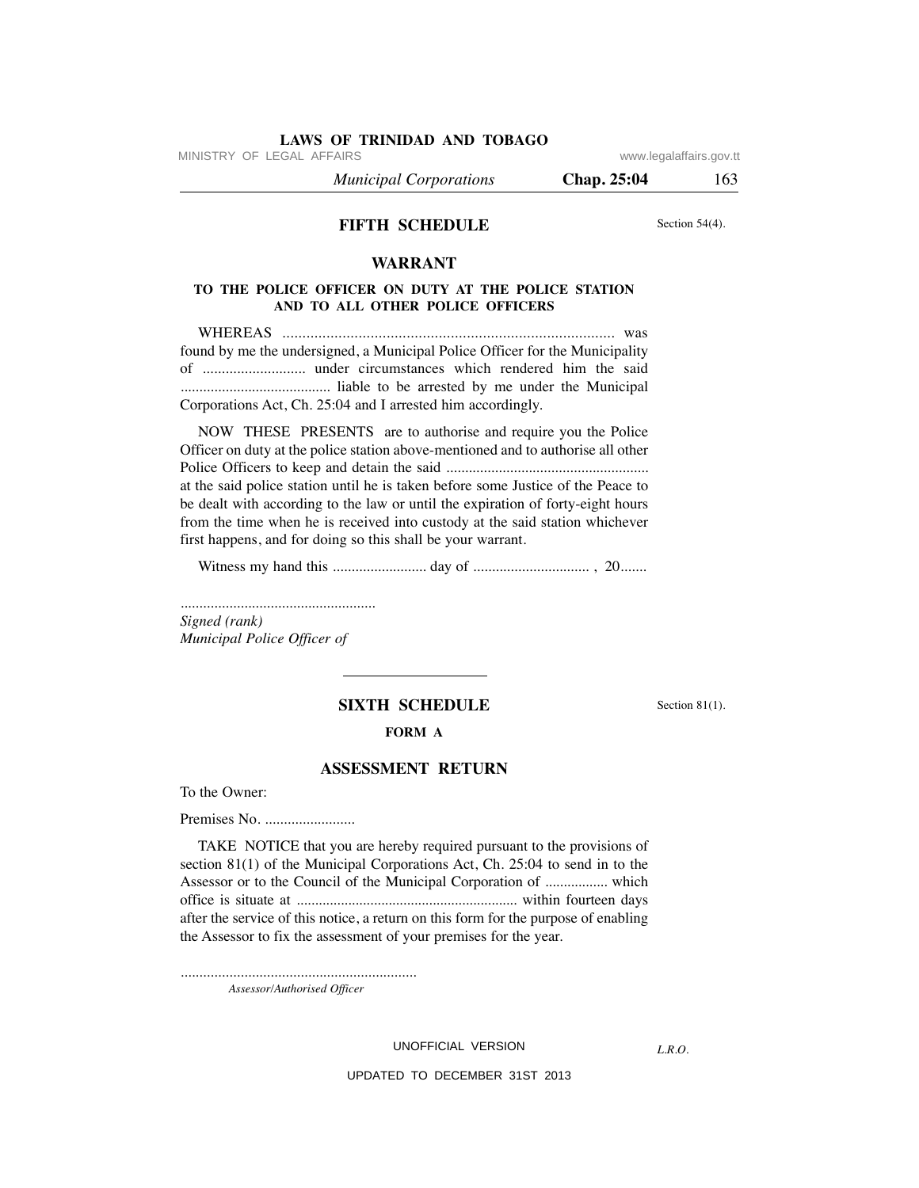MINISTRY OF LEGAL AFFAIRS **WWW.ISONS** www.legalaffairs.gov.tt

 *Municipal Corporations* **Chap. 25:04** 163

# **FIFTH SCHEDULE**

Section 54(4).

# **WARRANT**

# **TO THE POLICE OFFICER ON DUTY AT THE POLICE STATION AND TO ALL OTHER POLICE OFFICERS**

 WHEREAS ................................................................................... was found by me the undersigned, a Municipal Police Officer for the Municipality of ........................... under circumstances which rendered him the said ........................................ liable to be arrested by me under the Municipal Corporations Act, Ch. 25:04 and I arrested him accordingly.

 NOW THESE PRESENTS are to authorise and require you the Police Officer on duty at the police station above-mentioned and to authorise all other Police Officers to keep and detain the said ...................................................... at the said police station until he is taken before some Justice of the Peace to be dealt with according to the law or until the expiration of forty-eight hours from the time when he is received into custody at the said station whichever first happens, and for doing so this shall be your warrant.

Witness my hand this ......................... day of ............................... , 20.......

*.................................................... Signed (rank) Municipal Police Officer of*

# **SIXTH SCHEDULE** Section 81(1).

#### **FORM A**

# **ASSESSMENT RETURN**

To the Owner:

Premises No. ........................

 TAKE NOTICE that you are hereby required pursuant to the provisions of section 81(1) of the Municipal Corporations Act, Ch. 25:04 to send in to the Assessor or to the Council of the Municipal Corporation of ................. which office is situate at ............................................................ within fourteen days after the service of this notice, a return on this form for the purpose of enabling the Assessor to fix the assessment of your premises for the year.

...............................................................

*Assessor/Authorised Officer*

### UNOFFICIAL VERSION

*L.R.O.*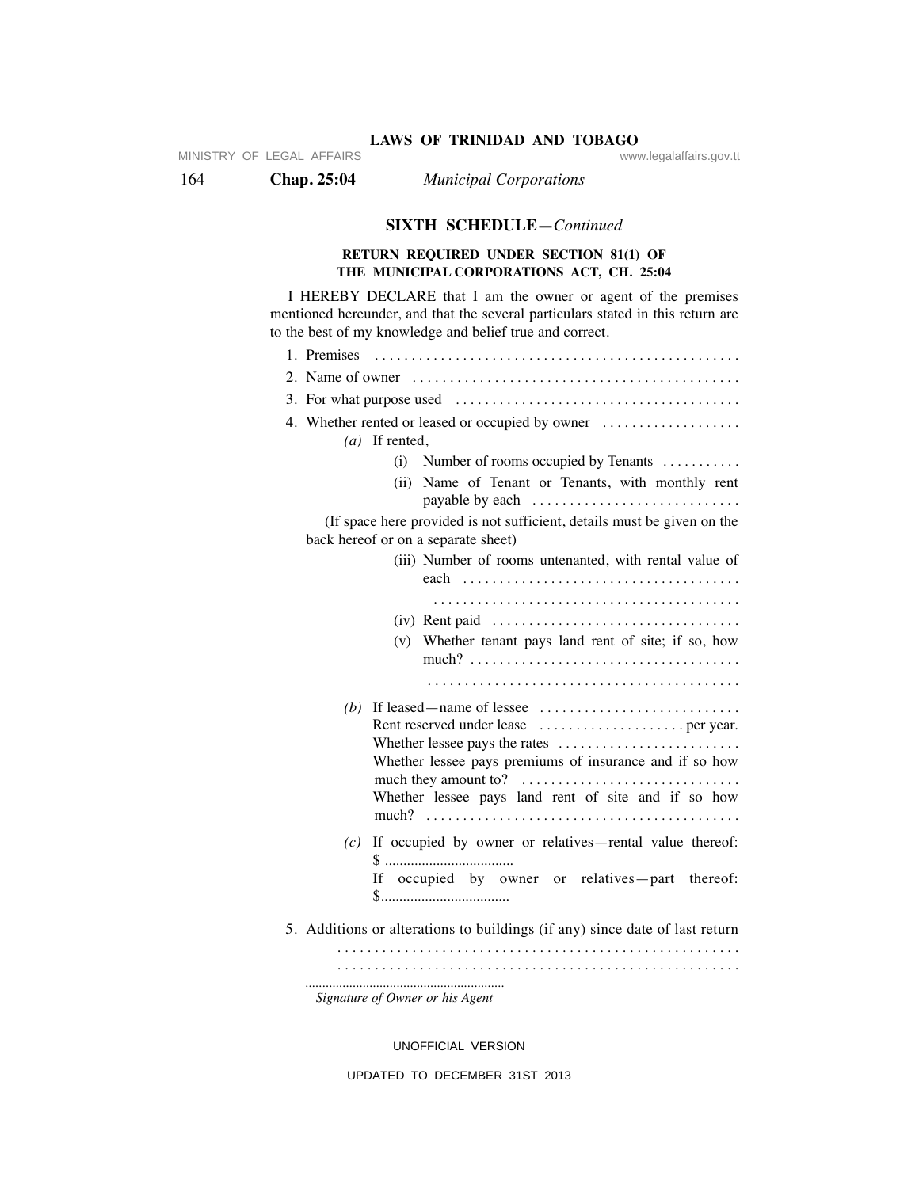# LAWS OF TRINIDAD AND TOBAGO<br>www.legalaffairs.gov.tt

164 **Chap. 25:04** *Municipal Corporations*

MINISTRY OF LEGAL AFFAIRS

# **SIXTH SCHEDULE—***Continued*

# **RETURN REQUIRED UNDER SECTION 81(1) OF THE MUNICIPAL CORPORATIONS ACT, CH. 25:04**

 I HEREBY DECLARE that I am the owner or agent of the premises mentioned hereunder, and that the several particulars stated in this return are to the best of my knowledge and belief true and correct.

| 4. Whether rented or leased or occupied by owner<br>$(a)$ If rented,                                                                                                                                     |
|----------------------------------------------------------------------------------------------------------------------------------------------------------------------------------------------------------|
| Number of rooms occupied by Tenants<br>(i)                                                                                                                                                               |
| Name of Tenant or Tenants, with monthly rent<br>(ii)                                                                                                                                                     |
| (If space here provided is not sufficient, details must be given on the<br>back hereof or on a separate sheet)                                                                                           |
| (iii) Number of rooms untenanted, with rental value of                                                                                                                                                   |
|                                                                                                                                                                                                          |
| Whether tenant pays land rent of site; if so, how<br>(v)                                                                                                                                                 |
|                                                                                                                                                                                                          |
| (b) If leased — name of lessee $\dots \dots \dots \dots \dots \dots \dots \dots \dots$<br>Whether lessee pays premiums of insurance and if so how<br>Whether lessee pays land rent of site and if so how |
| If occupied by owner or relatives-rental value thereof:<br>(c)<br>If occupied by owner or relatives-part thereof:                                                                                        |
| 5. Additions or alterations to buildings (if any) since date of last return                                                                                                                              |
|                                                                                                                                                                                                          |
| Signature of Owner or his Agent                                                                                                                                                                          |

UNOFFICIAL VERSION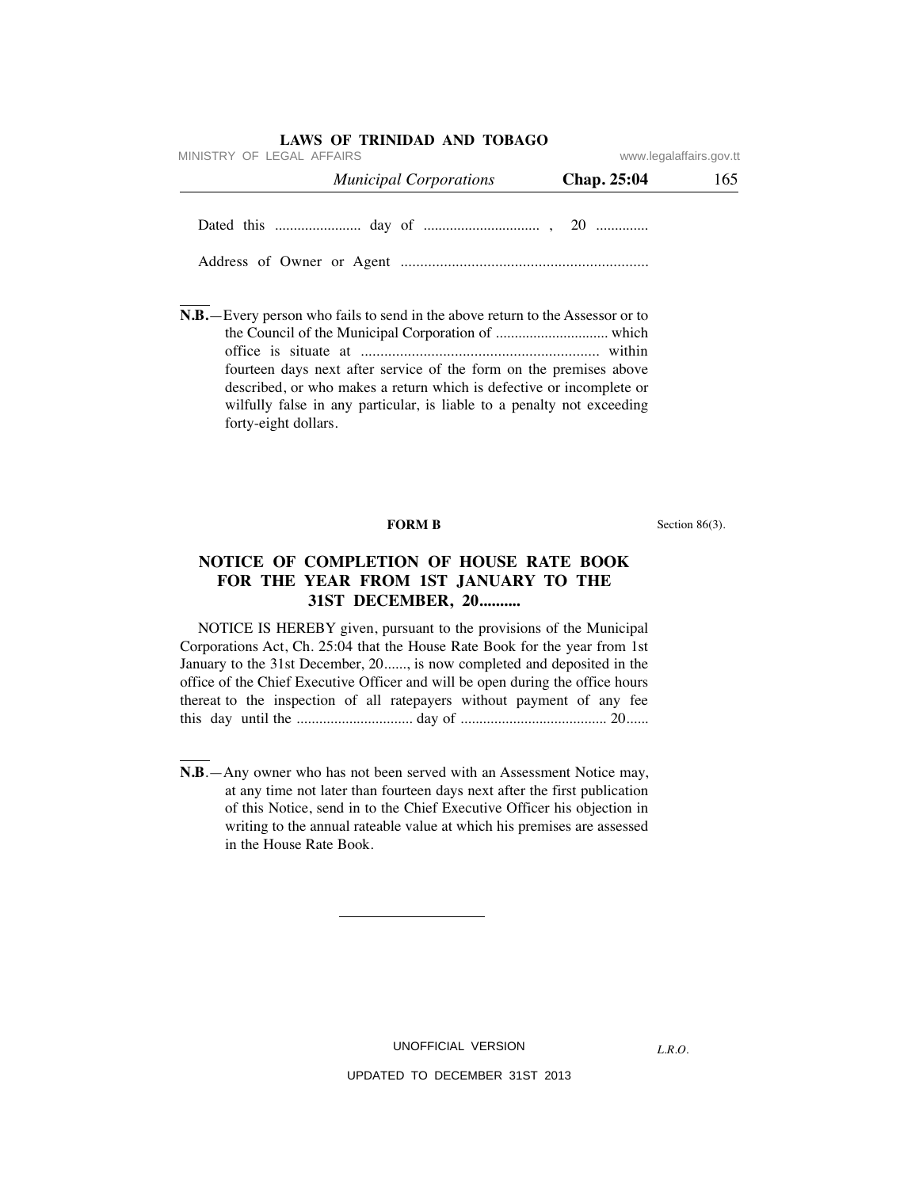| MINISTRY OF LEGAL AFFAIRS     | www.legalaffairs.gov.tt |     |
|-------------------------------|-------------------------|-----|
| <b>Municipal Corporations</b> | Chap. 25:04             | 165 |
|                               |                         |     |
|                               |                         |     |

**N.B.**—Every person who fails to send in the above return to the Assessor or to the Council of the Municipal Corporation of .............................. which office is situate at ............................................................. within fourteen days next after service of the form on the premises above described, or who makes a return which is defective or incomplete or wilfully false in any particular, is liable to a penalty not exceeding forty-eight dollars.

**FORM B** Section 86(3).

# **NOTICE OF COMPLETION OF HOUSE RATE BOOK FOR THE YEAR FROM 1ST JANUARY TO THE 31ST DECEMBER, 20..........**

 NOTICE IS HEREBY given, pursuant to the provisions of the Municipal Corporations Act, Ch. 25:04 that the House Rate Book for the year from 1st January to the 31st December, 20......, is now completed and deposited in the office of the Chief Executive Officer and will be open during the office hours thereat to the inspection of all ratepayers without payment of any fee this day until the ............................... day of ....................................... 20......

**N.B**.—Any owner who has not been served with an Assessment Notice may, at any time not later than fourteen days next after the first publication of this Notice, send in to the Chief Executive Officer his objection in writing to the annual rateable value at which his premises are assessed in the House Rate Book.

UNOFFICIAL VERSION

*L.R.O.*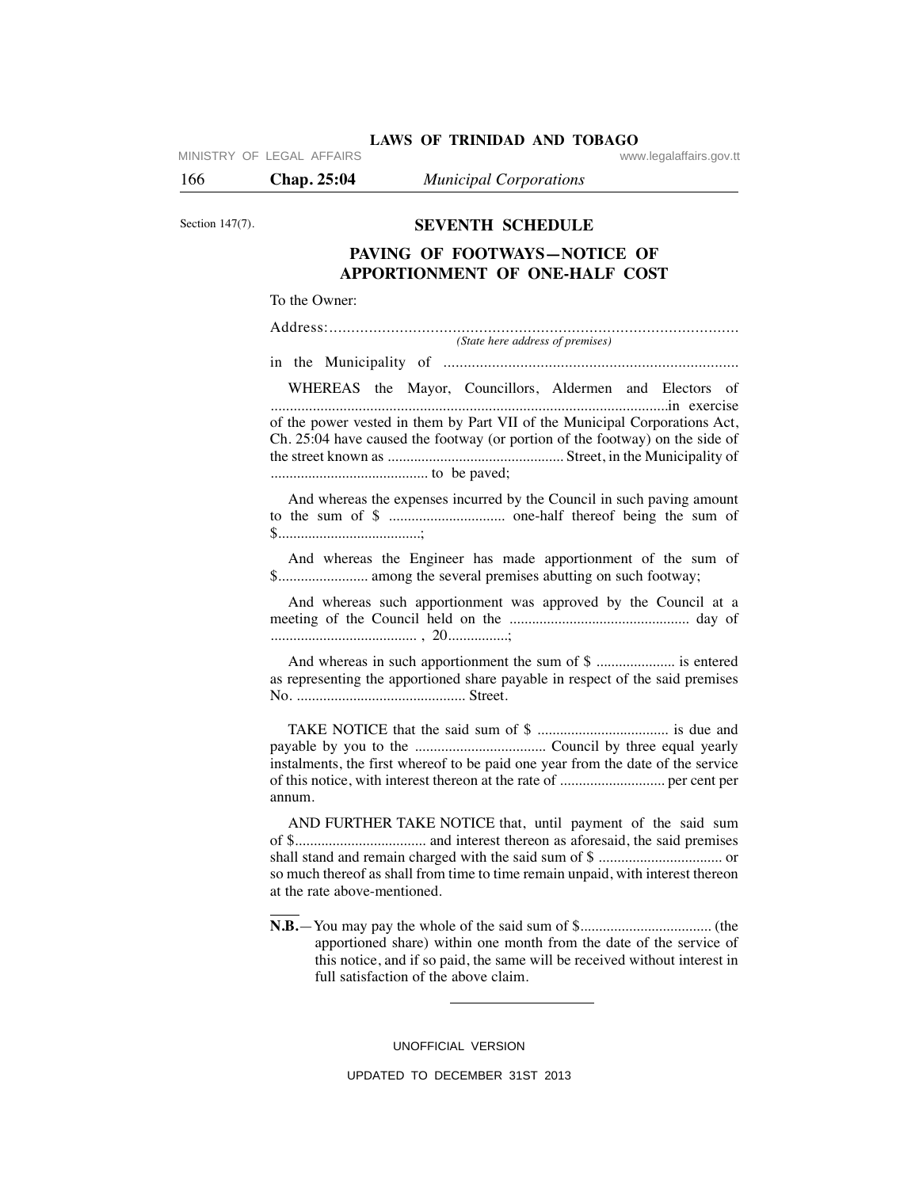| MINISTRY OF LEGAL AFFAIRS |  |  |
|---------------------------|--|--|

LAWS OF TRINIDAD AND TOBAGO<br>www.legalaffairs.gov.tt

166 **Chap. 25:04** *Municipal Corporations*

Section 147(7).

# **SEVENTH SCHEDULE**

# **PAVING OF FOOTWAYS—NOTICE OF APPORTIONMENT OF ONE-HALF COST**

#### To the Owner:

| (State here address of premises)                                             |
|------------------------------------------------------------------------------|
|                                                                              |
| WHEREAS the Mayor, Councillors, Aldermen and Electors of                     |
| of the power vested in them by Part VII of the Municipal Corporations Act,   |
| Ch. 25:04 have caused the footway (or portion of the footway) on the side of |
|                                                                              |
|                                                                              |

 And whereas the expenses incurred by the Council in such paving amount to the sum of \$ ............................... one-half thereof being the sum of \$......................................;

 And whereas the Engineer has made apportionment of the sum of \$........................ among the several premises abutting on such footway;

 And whereas such apportionment was approved by the Council at a meeting of the Council held on the ................................................ day of ....................................... , 20................;

 And whereas in such apportionment the sum of \$ ..................... is entered as representing the apportioned share payable in respect of the said premises No. ............................................. Street.

 TAKE NOTICE that the said sum of \$ ................................... is due and payable by you to the ................................... Council by three equal yearly instalments, the first whereof to be paid one year from the date of the service of this notice, with interest thereon at the rate of ............................ per cent per annum.

 AND FURTHER TAKE NOTICE that, until payment of the said sum of \$................................... and interest thereon as aforesaid, the said premises shall stand and remain charged with the said sum of \$ ................................. or so much thereof as shall from time to time remain unpaid, with interest thereon at the rate above-mentioned.

**N.B.**—You may pay the whole of the said sum of \$................................... (the apportioned share) within one month from the date of the service of this notice, and if so paid, the same will be received without interest in full satisfaction of the above claim.

UNOFFICIAL VERSION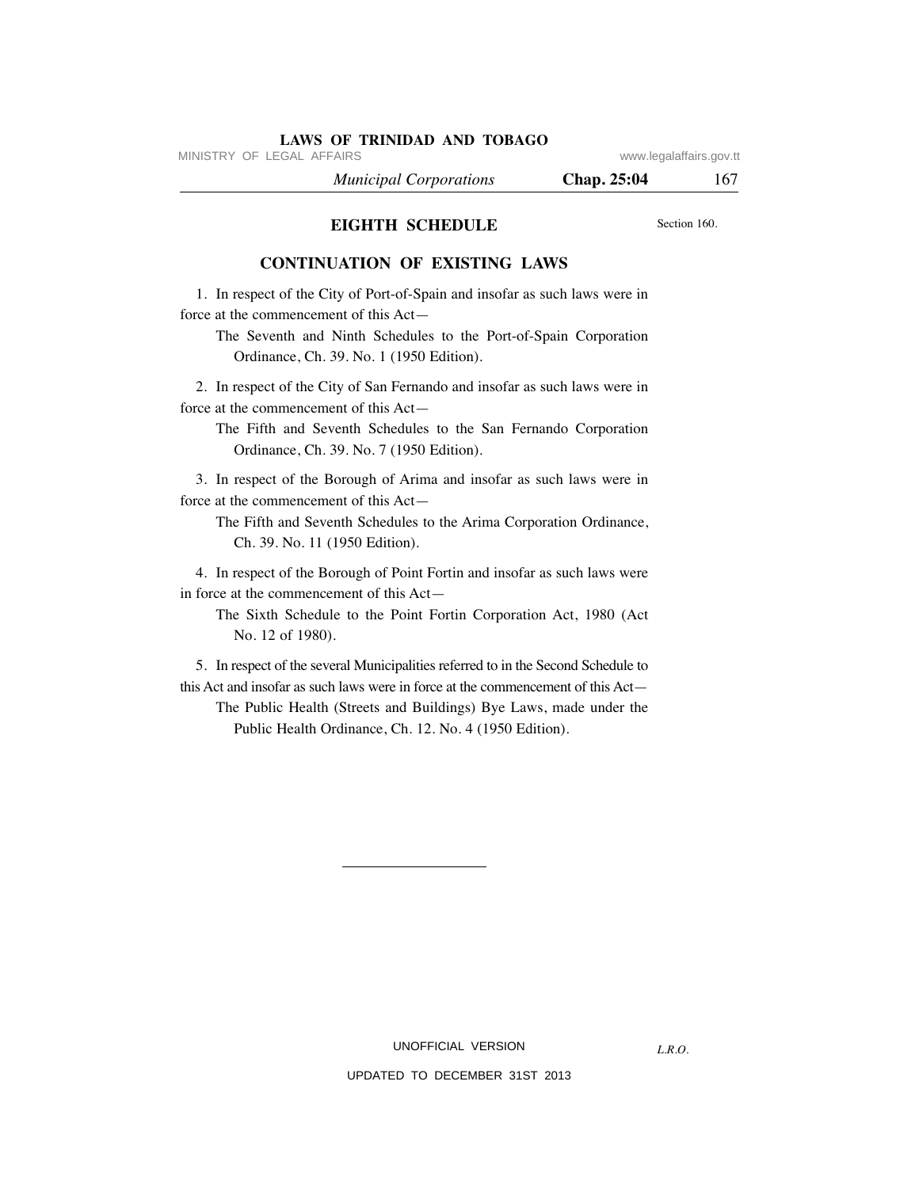MINISTRY OF LEGAL AFFAIRS **WARE ACCOMPTED MINISTRY** OF LEGAL AFFAIRS

*L.R.O.* 

 *Municipal Corporations* **Chap. 25:04** 167

# **EIGHTH SCHEDULE**

Section 160.

# **CONTINUATION OF EXISTING LAWS**

 1. In respect of the City of Port-of-Spain and insofar as such laws were in force at the commencement of this Act—

 The Seventh and Ninth Schedules to the Port-of-Spain Corporation Ordinance, Ch. 39. No. 1 (1950 Edition).

 2. In respect of the City of San Fernando and insofar as such laws were in force at the commencement of this Act—

 The Fifth and Seventh Schedules to the San Fernando Corporation Ordinance, Ch. 39. No. 7 (1950 Edition).

 3. In respect of the Borough of Arima and insofar as such laws were in force at the commencement of this Act—

 The Fifth and Seventh Schedules to the Arima Corporation Ordinance, Ch. 39. No. 11 (1950 Edition).

 4. In respect of the Borough of Point Fortin and insofar as such laws were in force at the commencement of this Act—

 The Sixth Schedule to the Point Fortin Corporation Act, 1980 (Act No. 12 of 1980).

 5. In respect of the several Municipalities referred to in the Second Schedule to this Act and insofar as such laws were in force at the commencement of this Act— The Public Health (Streets and Buildings) Bye Laws, made under the

Public Health Ordinance, Ch. 12. No. 4 (1950 Edition).

# UNOFFICIAL VERSION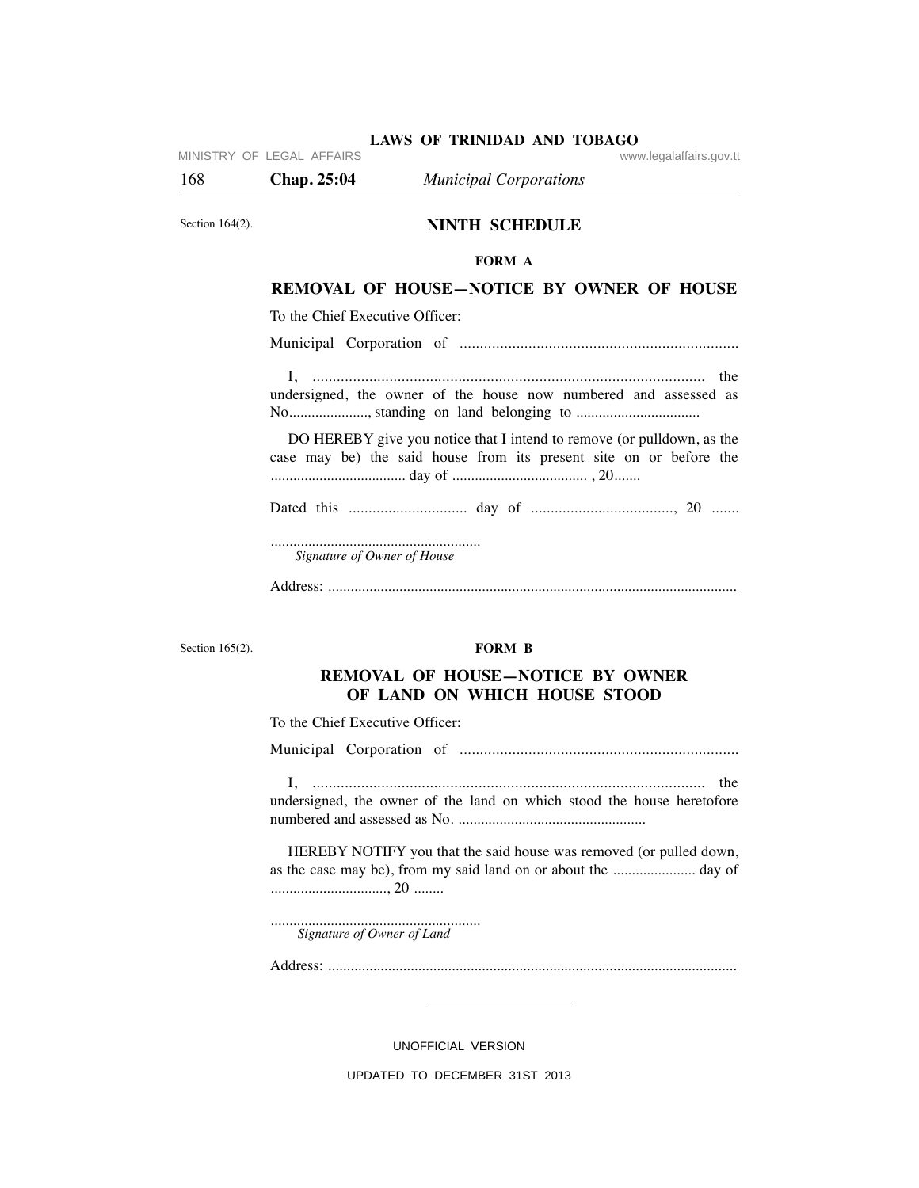168 **Chap. 25:04** *Municipal Corporations*

Section 164(2).

# **NINTH SCHEDULE**

#### **FORM A**

# **REMOVAL OF HOUSE—NOTICE BY OWNER OF HOUSE**

To the Chief Executive Officer:

Municipal Corporation of .....................................................................

 I, ................................................................................................. the undersigned, the owner of the house now numbered and assessed as No..................., standing on land belonging to ..................................

 DO HEREBY give you notice that I intend to remove (or pulldown, as the case may be) the said house from its present site on or before the .................................... day of .................................... , 20.......

Dated this .............................. day of ...................................., 20 .......

........................................................ *Signature of Owner of House*

Address: .............................................................................................................

Section 165(2).

#### **FORM B**

# **REMOVAL OF HOUSE—NOTICE BY OWNER OF LAND ON WHICH HOUSE STOOD**

To the Chief Executive Officer:

Municipal Corporation of .....................................................................

 I, ................................................................................................. the undersigned, the owner of the land on which stood the house heretofore numbered and assessed as No. ..................................................

 HEREBY NOTIFY you that the said house was removed (or pulled down, as the case may be), from my said land on or about the ...................... day of ..............................., 20 ........

........................................................ *Signature of Owner of Land*

Address: .............................................................................................................

UNOFFICIAL VERSION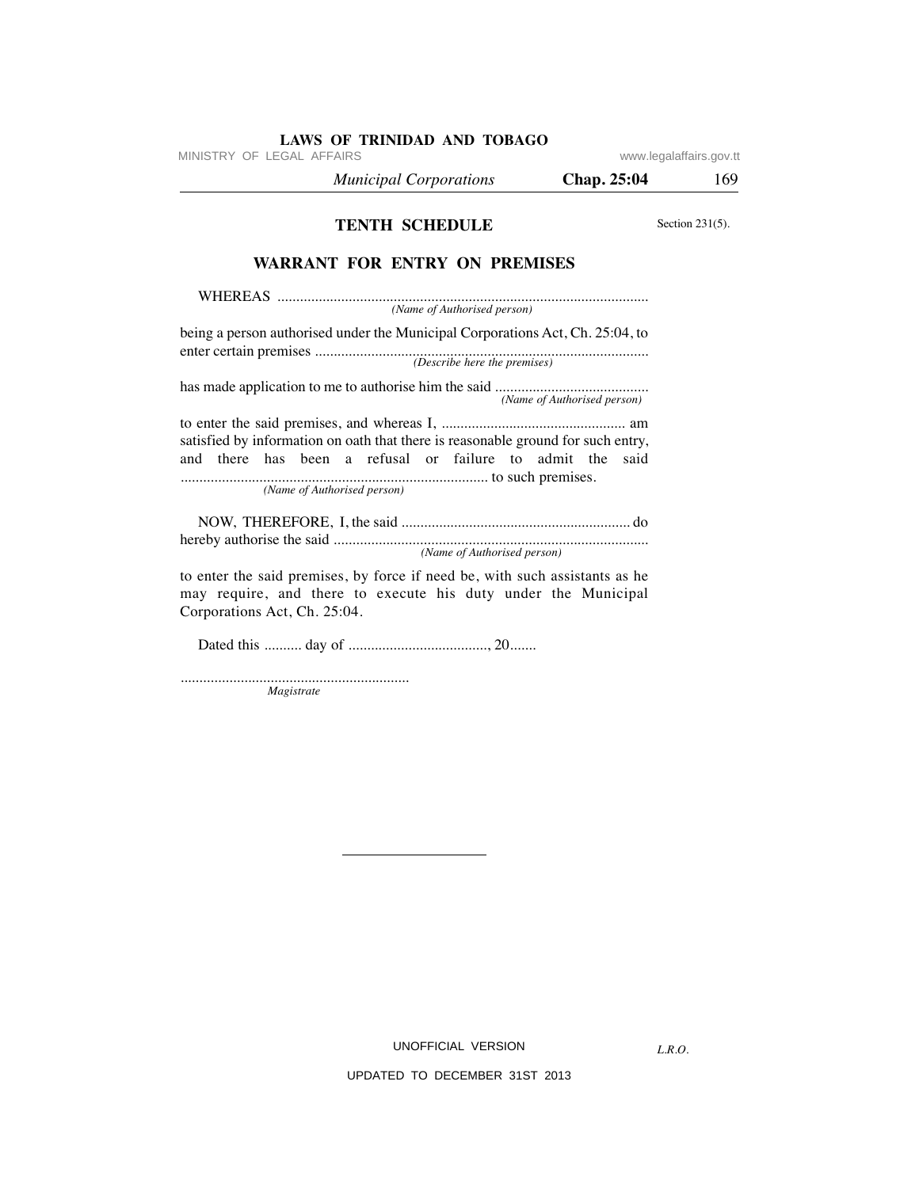| MINISTRY OF LEGAL AFFAIRS                                                                                                                                                     |                             | www.legalaffairs.gov.tt |
|-------------------------------------------------------------------------------------------------------------------------------------------------------------------------------|-----------------------------|-------------------------|
| <b>Municipal Corporations</b>                                                                                                                                                 | Chap. 25:04                 | 169                     |
| <b>TENTH SCHEDULE</b>                                                                                                                                                         |                             | Section $231(5)$ .      |
| <b>WARRANT FOR ENTRY ON PREMISES</b>                                                                                                                                          |                             |                         |
| (Name of Authorised person)                                                                                                                                                   |                             |                         |
| being a person authorised under the Municipal Corporations Act, Ch. 25:04, to                                                                                                 |                             |                         |
|                                                                                                                                                                               | (Name of Authorised person) |                         |
| satisfied by information on oath that there is reasonable ground for such entry,<br>and there has been a refusal or failure to admit the                                      | said                        |                         |
| (Name of Authorised person)                                                                                                                                                   |                             |                         |
| (Name of Authorised person)                                                                                                                                                   |                             |                         |
| to enter the said premises, by force if need be, with such assistants as he<br>may require, and there to execute his duty under the Municipal<br>Corporations Act, Ch. 25:04. |                             |                         |
|                                                                                                                                                                               |                             |                         |
| Magistrate                                                                                                                                                                    |                             |                         |

*Magistrate*

UNOFFICIAL VERSION

*L.R.O.*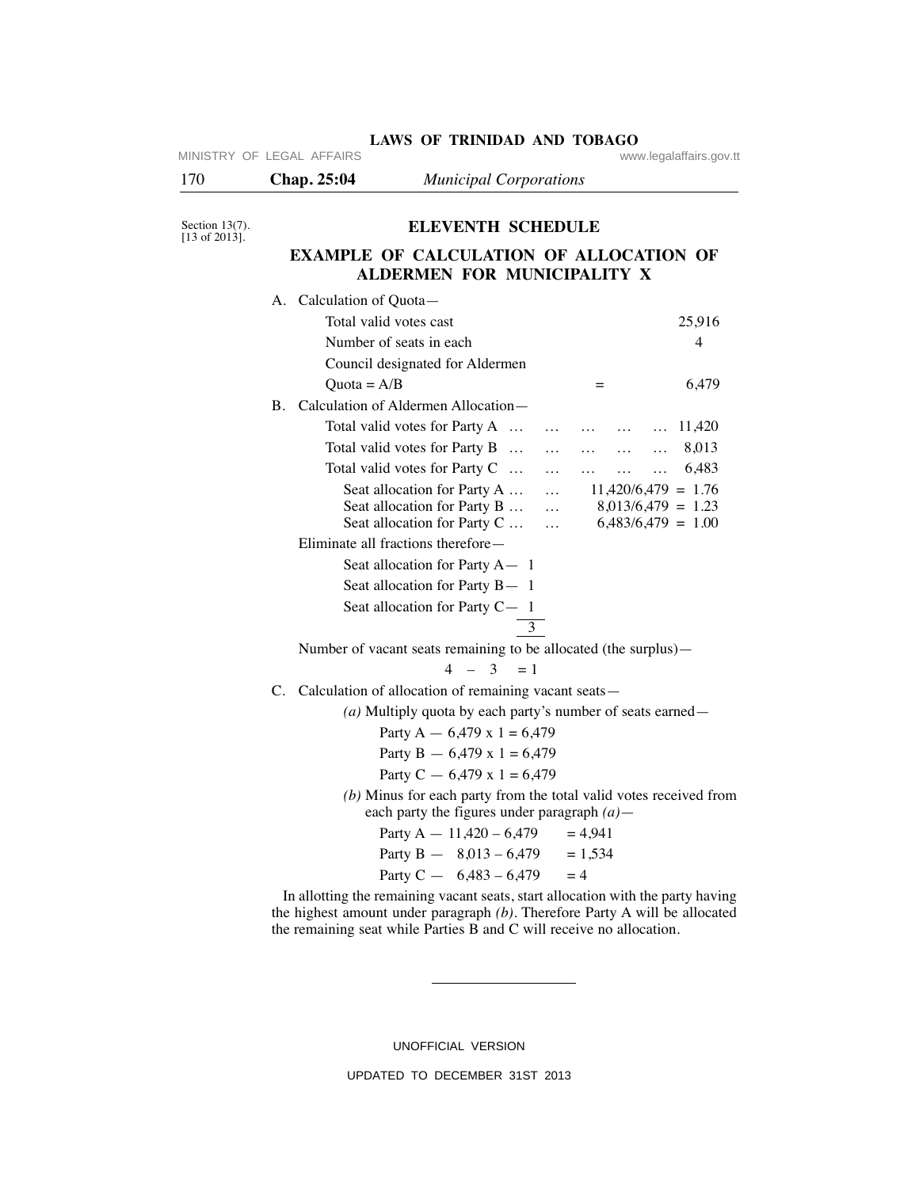| 170                                                                 | Chap. 25:04                                                                                                                                                                                                                                                                | <b>Municipal Corporations</b>                                                                                                                                                                                                             |                                                                      |        |
|---------------------------------------------------------------------|----------------------------------------------------------------------------------------------------------------------------------------------------------------------------------------------------------------------------------------------------------------------------|-------------------------------------------------------------------------------------------------------------------------------------------------------------------------------------------------------------------------------------------|----------------------------------------------------------------------|--------|
| Section $13(7)$ .<br>$[13 \text{ of } 2013]$ .                      |                                                                                                                                                                                                                                                                            | <b>ELEVENTH SCHEDULE</b>                                                                                                                                                                                                                  |                                                                      |        |
|                                                                     |                                                                                                                                                                                                                                                                            | <b>EXAMPLE OF CALCULATION OF ALLOCATION OF</b>                                                                                                                                                                                            |                                                                      |        |
|                                                                     |                                                                                                                                                                                                                                                                            | ALDERMEN FOR MUNICIPALITY X                                                                                                                                                                                                               |                                                                      |        |
|                                                                     | A. Calculation of Quota-                                                                                                                                                                                                                                                   |                                                                                                                                                                                                                                           |                                                                      |        |
|                                                                     | Total valid votes cast                                                                                                                                                                                                                                                     |                                                                                                                                                                                                                                           |                                                                      | 25,916 |
|                                                                     |                                                                                                                                                                                                                                                                            | Number of seats in each                                                                                                                                                                                                                   |                                                                      | 4      |
|                                                                     |                                                                                                                                                                                                                                                                            | Council designated for Aldermen                                                                                                                                                                                                           |                                                                      |        |
|                                                                     | Quota = $A/B$                                                                                                                                                                                                                                                              |                                                                                                                                                                                                                                           | $=$                                                                  | 6,479  |
|                                                                     |                                                                                                                                                                                                                                                                            | B. Calculation of Aldermen Allocation-                                                                                                                                                                                                    |                                                                      |        |
|                                                                     |                                                                                                                                                                                                                                                                            | Total valid votes for Party A                                                                                                                                                                                                             | $\cdots$<br>$\cdots$<br>$\cdots$                                     | 11,420 |
|                                                                     |                                                                                                                                                                                                                                                                            | Total valid votes for Party B                                                                                                                                                                                                             | $\cdots$<br>$\cdots$<br>$\cdots$<br>$\cdots$                         | 8,013  |
|                                                                     |                                                                                                                                                                                                                                                                            | Total valid votes for Party C                                                                                                                                                                                                             | $\cdots$<br>$\cdots$<br>$\cdots$<br>$\cdots$                         | 6,483  |
|                                                                     |                                                                                                                                                                                                                                                                            | Seat allocation for Party A                                                                                                                                                                                                               | $11,420/6,479 = 1.76$<br>$\cdots$                                    |        |
|                                                                     |                                                                                                                                                                                                                                                                            | Seat allocation for Party B<br>Seat allocation for Party C                                                                                                                                                                                | $8,013/6,479 = 1.23$<br>$\ddots$<br>$6,483/6,479 = 1.00$<br>$\cdots$ |        |
| Eliminate all fractions therefore—<br>Seat allocation for Party A-1 |                                                                                                                                                                                                                                                                            |                                                                                                                                                                                                                                           |                                                                      |        |
|                                                                     |                                                                                                                                                                                                                                                                            |                                                                                                                                                                                                                                           |                                                                      |        |
|                                                                     |                                                                                                                                                                                                                                                                            | Seat allocation for Party B-1                                                                                                                                                                                                             |                                                                      |        |
|                                                                     |                                                                                                                                                                                                                                                                            | Seat allocation for Party C-1                                                                                                                                                                                                             |                                                                      |        |
|                                                                     | 3<br>Number of vacant seats remaining to be allocated (the surplus)—<br>$4 - 3 = 1$<br>C. Calculation of allocation of remaining vacant seats -                                                                                                                            |                                                                                                                                                                                                                                           |                                                                      |        |
|                                                                     |                                                                                                                                                                                                                                                                            |                                                                                                                                                                                                                                           |                                                                      |        |
|                                                                     |                                                                                                                                                                                                                                                                            |                                                                                                                                                                                                                                           |                                                                      |        |
|                                                                     |                                                                                                                                                                                                                                                                            |                                                                                                                                                                                                                                           |                                                                      |        |
|                                                                     |                                                                                                                                                                                                                                                                            | (a) Multiply quota by each party's number of seats earned $-$                                                                                                                                                                             |                                                                      |        |
|                                                                     | Party A $-$ 6,479 x 1 = 6,479<br>Party B $- 6,479 \times 1 = 6,479$<br>Party C $-6,479 \times 1 = 6,479$<br>(b) Minus for each party from the total valid votes received from<br>each party the figures under paragraph $(a)$ —<br>Party A $- 11,420 - 6,479$<br>$= 4.941$ |                                                                                                                                                                                                                                           |                                                                      |        |
|                                                                     |                                                                                                                                                                                                                                                                            |                                                                                                                                                                                                                                           |                                                                      |        |
|                                                                     |                                                                                                                                                                                                                                                                            |                                                                                                                                                                                                                                           |                                                                      |        |
|                                                                     |                                                                                                                                                                                                                                                                            |                                                                                                                                                                                                                                           |                                                                      |        |
|                                                                     |                                                                                                                                                                                                                                                                            |                                                                                                                                                                                                                                           |                                                                      |        |
|                                                                     |                                                                                                                                                                                                                                                                            | Party B $-$ 8,013 - 6,479 = 1,534                                                                                                                                                                                                         |                                                                      |        |
|                                                                     |                                                                                                                                                                                                                                                                            | Party C $- 6,483 - 6,479$                                                                                                                                                                                                                 | $=4$                                                                 |        |
|                                                                     |                                                                                                                                                                                                                                                                            | In allotting the remaining vacant seats, start allocation with the party having<br>the highest amount under paragraph $(b)$ . Therefore Party A will be allocated<br>the remaining seat while Parties B and C will receive no allocation. |                                                                      |        |

LAWS OF TRINIDAD AND TOBAGO **WWW.legalaffairs.gov.tt** 

MINISTRY OF LEGAL AFFAIRS

UNOFFICIAL VERSION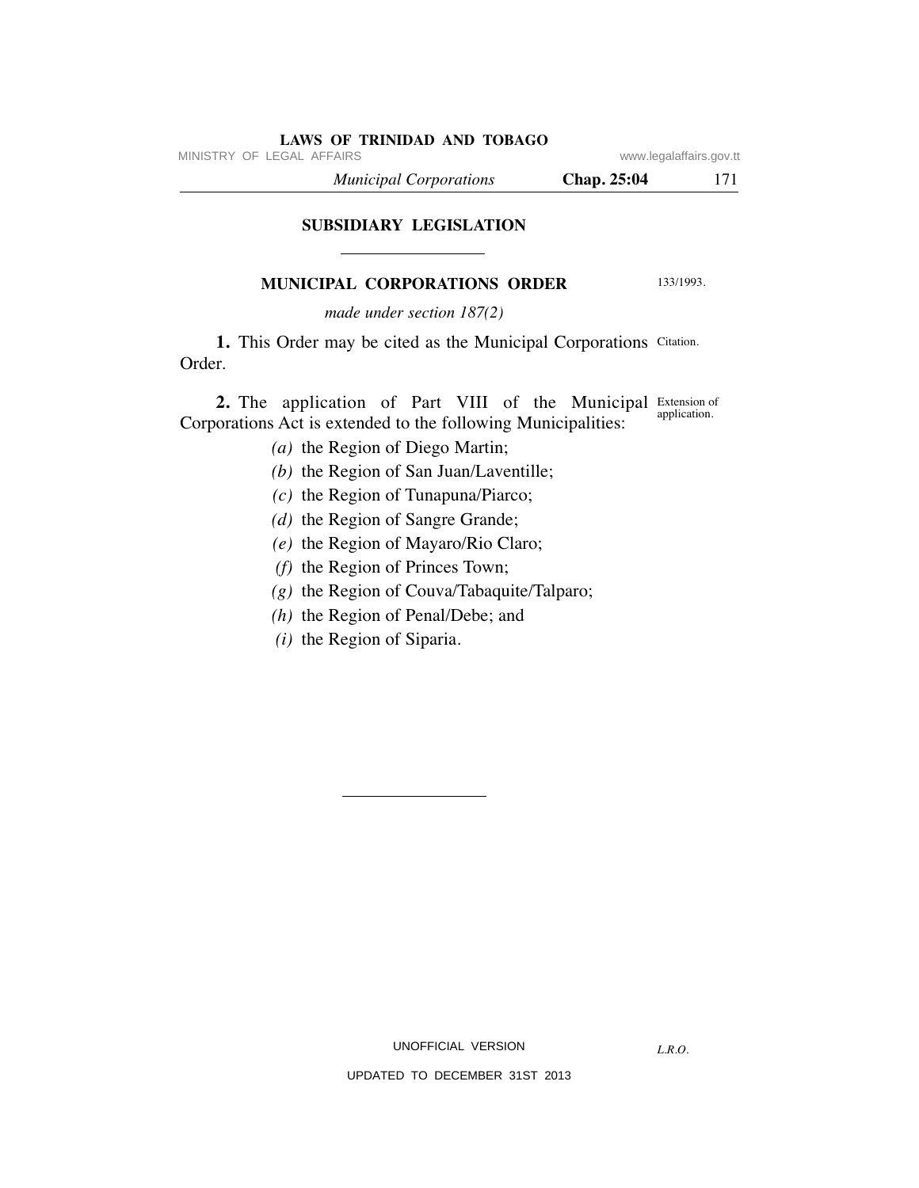MINISTRY OF LEGAL AFFAIRS **WARE ACCOMPTED MINISTRY** OF LEGAL AFFAIRS

 *Municipal Corporations* **Chap. 25:04** 171

# **SUBSIDIARY LEGISLATION**

# **MUNICIPAL CORPORATIONS ORDER**

133/1993.

*made under section 187(2)*

1. This Order may be cited as the Municipal Corporations Citation. Order.

**2.** The application of Part VIII of the Municipal Extension of Corporations Act is extended to the following Municipalities: application.

- *(a)* the Region of Diego Martin;
- *(b)* the Region of San Juan/Laventille;
- *(c)* the Region of Tunapuna/Piarco;
- *(d)* the Region of Sangre Grande;
- *(e)* the Region of Mayaro/Rio Claro;
- *(f)* the Region of Princes Town;
- *(g)* the Region of Couva/Tabaquite/Talparo;
- *(h)* the Region of Penal/Debe; and
- *(i)* the Region of Siparia.